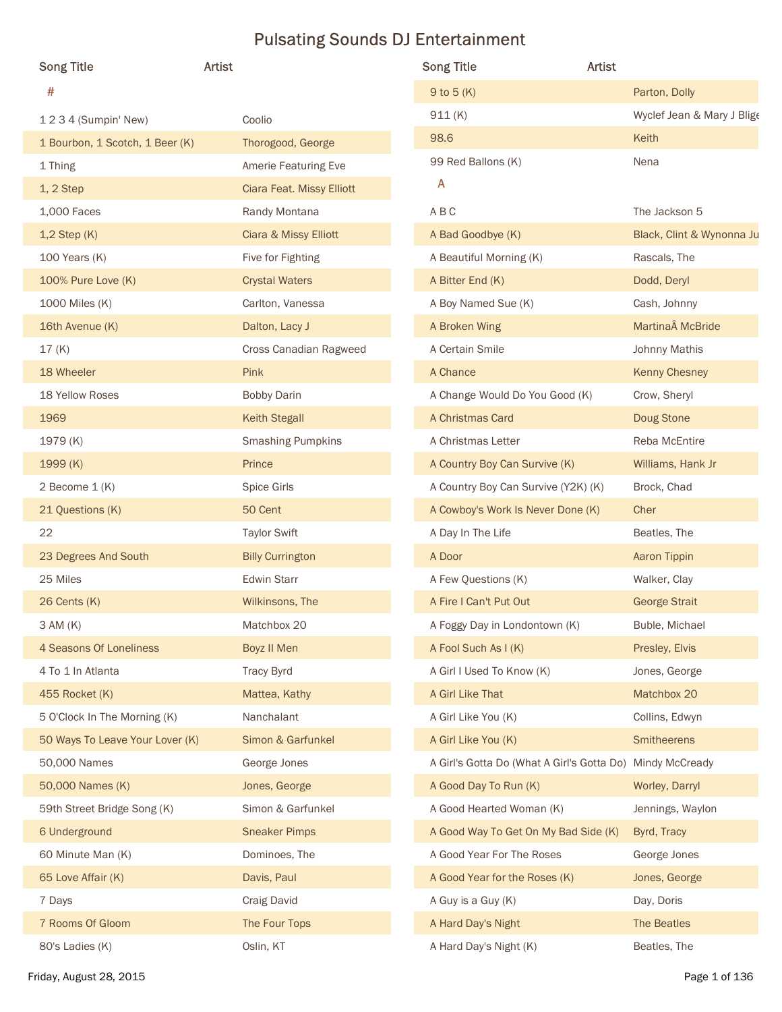| <b>Song Title</b>               | Artist                    | <b>Song Title</b><br>Artist                               |                            |
|---------------------------------|---------------------------|-----------------------------------------------------------|----------------------------|
| #                               |                           | $9$ to $5(K)$                                             | Parton, Dolly              |
| 1234 (Sumpin' New)              | Coolio                    | 911(K)                                                    | Wyclef Jean & Mary J Blige |
| 1 Bourbon, 1 Scotch, 1 Beer (K) | Thorogood, George         | 98.6                                                      | Keith                      |
| 1 Thing                         | Amerie Featuring Eve      | 99 Red Ballons (K)                                        | Nena                       |
| 1, 2 Step                       | Ciara Feat. Missy Elliott | A                                                         |                            |
| 1,000 Faces                     | Randy Montana             | A B C                                                     | The Jackson 5              |
| $1,2$ Step $(K)$                | Ciara & Missy Elliott     | A Bad Goodbye (K)                                         | Black, Clint & Wynonna Ju  |
| 100 Years (K)                   | Five for Fighting         | A Beautiful Morning (K)                                   | Rascals, The               |
| 100% Pure Love (K)              | <b>Crystal Waters</b>     | A Bitter End (K)                                          | Dodd, Deryl                |
| 1000 Miles (K)                  | Carlton, Vanessa          | A Boy Named Sue (K)                                       | Cash, Johnny               |
| 16th Avenue (K)                 | Dalton, Lacy J            | A Broken Wing                                             | Martina McBride            |
| 17(K)                           | Cross Canadian Ragweed    | A Certain Smile                                           | Johnny Mathis              |
| 18 Wheeler                      | Pink                      | A Chance                                                  | <b>Kenny Chesney</b>       |
| 18 Yellow Roses                 | <b>Bobby Darin</b>        | A Change Would Do You Good (K)                            | Crow, Sheryl               |
| 1969                            | <b>Keith Stegall</b>      | A Christmas Card                                          | Doug Stone                 |
| 1979 (K)                        | <b>Smashing Pumpkins</b>  | A Christmas Letter                                        | Reba McEntire              |
| 1999 (K)                        | Prince                    | A Country Boy Can Survive (K)                             | Williams, Hank Jr          |
| 2 Become 1 (K)                  | Spice Girls               | A Country Boy Can Survive (Y2K) (K)                       | Brock, Chad                |
| 21 Questions (K)                | 50 Cent                   | A Cowboy's Work Is Never Done (K)                         | Cher                       |
| 22                              | <b>Taylor Swift</b>       | A Day In The Life                                         | Beatles, The               |
| 23 Degrees And South            | <b>Billy Currington</b>   | A Door                                                    | Aaron Tippin               |
| 25 Miles                        | <b>Edwin Starr</b>        | A Few Questions (K)                                       | Walker, Clay               |
| 26 Cents (K)                    | Wilkinsons, The           | A Fire I Can't Put Out                                    | <b>George Strait</b>       |
| 3 AM (K)                        | Matchbox 20               | A Foggy Day in Londontown (K)                             | Buble, Michael             |
| 4 Seasons Of Loneliness         | Boyz II Men               | A Fool Such As I (K)                                      | Presley, Elvis             |
| 4 To 1 In Atlanta               | <b>Tracy Byrd</b>         | A Girl I Used To Know (K)                                 | Jones, George              |
| 455 Rocket (K)                  | Mattea, Kathy             | A Girl Like That                                          | Matchbox 20                |
| 5 O'Clock In The Morning (K)    | Nanchalant                | A Girl Like You (K)                                       | Collins, Edwyn             |
| 50 Ways To Leave Your Lover (K) | Simon & Garfunkel         | A Girl Like You (K)                                       | <b>Smitheerens</b>         |
| 50,000 Names                    | George Jones              | A Girl's Gotta Do (What A Girl's Gotta Do) Mindy McCready |                            |
| 50,000 Names (K)                | Jones, George             | A Good Day To Run (K)                                     | Worley, Darryl             |
| 59th Street Bridge Song (K)     | Simon & Garfunkel         | A Good Hearted Woman (K)                                  | Jennings, Waylon           |
| 6 Underground                   | <b>Sneaker Pimps</b>      | A Good Way To Get On My Bad Side (K)                      | Byrd, Tracy                |
| 60 Minute Man (K)               | Dominoes, The             | A Good Year For The Roses                                 | George Jones               |
| 65 Love Affair (K)              | Davis, Paul               | A Good Year for the Roses (K)                             | Jones, George              |
| 7 Days                          | Craig David               | A Guy is a Guy (K)                                        | Day, Doris                 |
| 7 Rooms Of Gloom                | The Four Tops             | A Hard Day's Night                                        | The Beatles                |
|                                 | Oslin, KT                 | A Hard Day's Night (K)                                    | Beatles, The               |

| <b>Song Title</b>               |                           |                                                           |                            |
|---------------------------------|---------------------------|-----------------------------------------------------------|----------------------------|
|                                 | Artist                    | <b>Song Title</b><br>Artist                               |                            |
| #                               |                           | $9$ to $5(K)$                                             | Parton, Dolly              |
| 1234 (Sumpin' New)              | Coolio                    | 911(K)                                                    | Wyclef Jean & Mary J Blige |
| 1 Bourbon, 1 Scotch, 1 Beer (K) | Thorogood, George         | 98.6                                                      | Keith                      |
| 1 Thing                         | Amerie Featuring Eve      | 99 Red Ballons (K)                                        | Nena                       |
| 1, 2 Step                       | Ciara Feat. Missy Elliott | A                                                         |                            |
| 1,000 Faces                     | Randy Montana             | A B C                                                     | The Jackson 5              |
| $1,2$ Step $(K)$                | Ciara & Missy Elliott     | A Bad Goodbye (K)                                         | Black, Clint & Wynonna Ju  |
| 100 Years (K)                   | Five for Fighting         | A Beautiful Morning (K)                                   | Rascals, The               |
| 100% Pure Love (K)              | <b>Crystal Waters</b>     | A Bitter End (K)                                          | Dodd, Deryl                |
| 1000 Miles (K)                  | Carlton, Vanessa          | A Boy Named Sue (K)                                       | Cash, Johnny               |
| 16th Avenue (K)                 | Dalton, Lacy J            | A Broken Wing                                             | Martina McBride            |
| 17(K)                           | Cross Canadian Ragweed    | A Certain Smile                                           | Johnny Mathis              |
| 18 Wheeler                      | Pink                      | A Chance                                                  | Kenny Chesney              |
| 18 Yellow Roses                 | <b>Bobby Darin</b>        | A Change Would Do You Good (K)                            | Crow, Sheryl               |
| 1969                            | <b>Keith Stegall</b>      | A Christmas Card                                          | Doug Stone                 |
| 1979 (K)                        | <b>Smashing Pumpkins</b>  | A Christmas Letter                                        | Reba McEntire              |
| 1999 (K)                        | Prince                    | A Country Boy Can Survive (K)                             | Williams, Hank Jr          |
| 2 Become 1 (K)                  | Spice Girls               | A Country Boy Can Survive (Y2K) (K)                       | Brock, Chad                |
| 21 Questions (K)                | 50 Cent                   | A Cowboy's Work Is Never Done (K)                         | Cher                       |
| 22                              | <b>Taylor Swift</b>       | A Day In The Life                                         | Beatles, The               |
| 23 Degrees And South            | <b>Billy Currington</b>   | A Door                                                    | Aaron Tippin               |
| 25 Miles                        | <b>Edwin Starr</b>        | A Few Questions (K)                                       | Walker, Clay               |
| 26 Cents (K)                    | Wilkinsons, The           | A Fire I Can't Put Out                                    | <b>George Strait</b>       |
| 3 AM (K)                        | Matchbox 20               | A Foggy Day in Londontown (K)                             | Buble, Michael             |
| 4 Seasons Of Loneliness         | Boyz II Men               | A Fool Such As I (K)                                      | Presley, Elvis             |
| 4 To 1 In Atlanta               | Tracy Byrd                | A Girl I Used To Know (K)                                 | Jones, George              |
| 455 Rocket (K)                  | Mattea, Kathy             | A Girl Like That                                          | Matchbox 20                |
| 5 O'Clock In The Morning (K)    | Nanchalant                | A Girl Like You (K)                                       | Collins, Edwyn             |
| 50 Ways To Leave Your Lover (K) | Simon & Garfunkel         | A Girl Like You (K)                                       | Smitheerens                |
| 50,000 Names                    | George Jones              | A Girl's Gotta Do (What A Girl's Gotta Do) Mindy McCready |                            |
| 50,000 Names (K)                | Jones, George             | A Good Day To Run (K)                                     | Worley, Darryl             |
| 59th Street Bridge Song (K)     | Simon & Garfunkel         | A Good Hearted Woman (K)                                  | Jennings, Waylon           |
| 6 Underground                   | <b>Sneaker Pimps</b>      | A Good Way To Get On My Bad Side (K)                      | Byrd, Tracy                |
| 60 Minute Man (K)               | Dominoes, The             | A Good Year For The Roses                                 | George Jones               |
| 65 Love Affair (K)              | Davis, Paul               | A Good Year for the Roses (K)                             | Jones, George              |
| 7 Days                          | Craig David               | A Guy is a Guy (K)                                        | Day, Doris                 |
| 7 Rooms Of Gloom                | The Four Tops             | A Hard Day's Night                                        | The Beatles                |
| 80's Ladies (K)                 | Oslin, KT                 | A Hard Day's Night (K)                                    | Beatles, The               |
|                                 |                           |                                                           |                            |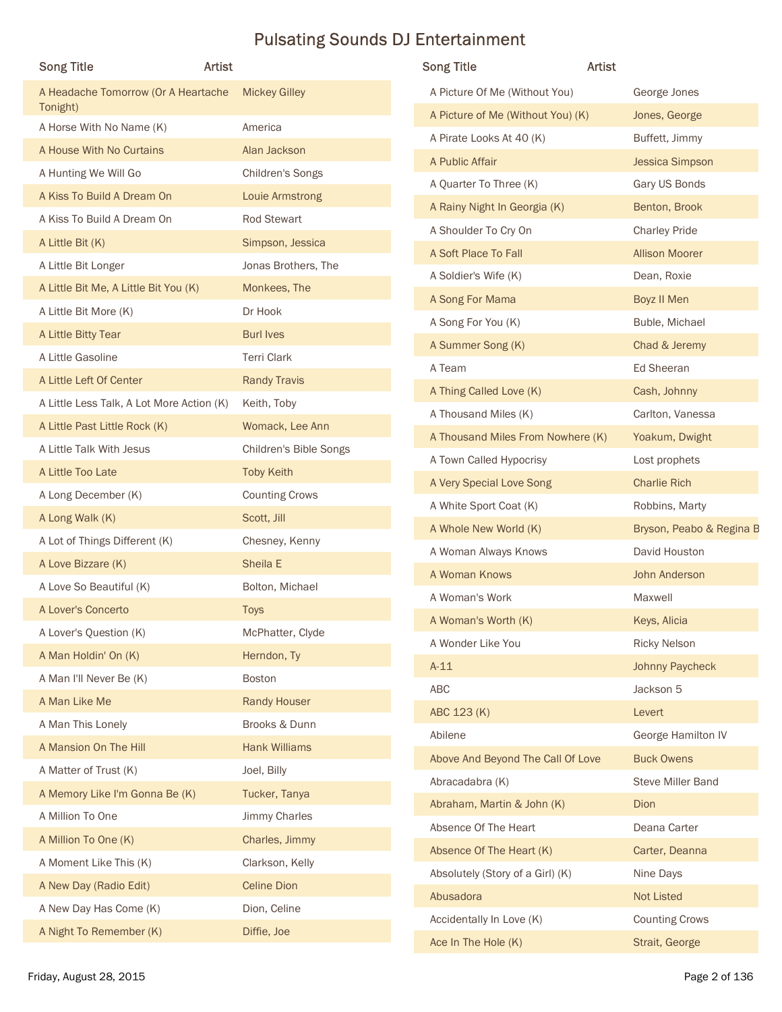| <b>Song Title</b><br><b>Artist</b>        | <b>Pulsating Sounds DJ Entertainment</b> | <b>Song Title</b>                 | <b>Artist</b>            |
|-------------------------------------------|------------------------------------------|-----------------------------------|--------------------------|
| A Headache Tomorrow (Or A Heartache       | <b>Mickey Gilley</b>                     | A Picture Of Me (Without You)     | George Jones             |
| Tonight)                                  |                                          | A Picture of Me (Without You) (K) | Jones, George            |
| A Horse With No Name (K)                  | America                                  | A Pirate Looks At 40 (K)          | Buffett, Jimmy           |
| A House With No Curtains                  | Alan Jackson                             | A Public Affair                   | <b>Jessica Simpson</b>   |
| A Hunting We Will Go                      | Children's Songs                         | A Quarter To Three (K)            | Gary US Bonds            |
| A Kiss To Build A Dream On                | Louie Armstrong                          | A Rainy Night In Georgia (K)      | Benton, Brook            |
| A Kiss To Build A Dream On                | Rod Stewart                              | A Shoulder To Cry On              | <b>Charley Pride</b>     |
| A Little Bit (K)                          | Simpson, Jessica                         | A Soft Place To Fall              | <b>Allison Moorer</b>    |
| A Little Bit Longer                       | Jonas Brothers, The                      | A Soldier's Wife (K)              | Dean, Roxie              |
| A Little Bit Me, A Little Bit You (K)     | Monkees, The                             | A Song For Mama                   | <b>Boyz II Men</b>       |
| A Little Bit More (K)                     | Dr Hook                                  | A Song For You (K)                | Buble, Michael           |
| A Little Bitty Tear                       | <b>Burl Ives</b>                         | A Summer Song (K)                 | Chad & Jeremy            |
| A Little Gasoline                         | <b>Terri Clark</b>                       | A Team                            | Ed Sheeran               |
| A Little Left Of Center                   | <b>Randy Travis</b>                      | A Thing Called Love (K)           | Cash, Johnny             |
| A Little Less Talk, A Lot More Action (K) | Keith, Toby                              | A Thousand Miles (K)              | Carlton, Vanessa         |
| A Little Past Little Rock (K)             | Womack, Lee Ann                          | A Thousand Miles From Nowhere (K) | Yoakum, Dwight           |
| A Little Talk With Jesus                  | Children's Bible Songs                   | A Town Called Hypocrisy           | Lost prophets            |
| A Little Too Late                         | <b>Toby Keith</b>                        | A Very Special Love Song          | <b>Charlie Rich</b>      |
| A Long December (K)                       | <b>Counting Crows</b>                    | A White Sport Coat (K)            | Robbins, Marty           |
| A Long Walk (K)                           | Scott, Jill                              | A Whole New World (K)             | Bryson, Peabo & Regina B |
| A Lot of Things Different (K)             | Chesney, Kenny                           | A Woman Always Knows              | David Houston            |
| A Love Bizzare (K)                        | Sheila E                                 | A Woman Knows                     | John Anderson            |
| A Love So Beautiful (K)                   | Bolton, Michael                          | A Woman's Work                    | Maxwell                  |
| A Lover's Concerto                        | <b>Toys</b>                              | A Woman's Worth (K)               | Keys, Alicia             |
| A Lover's Question (K)                    | McPhatter, Clyde                         | A Wonder Like You                 | <b>Ricky Nelson</b>      |
| A Man Holdin' On (K)                      | Herndon, Ty                              | $A-11$                            | Johnny Paycheck          |
| A Man I'll Never Be (K)                   | Boston                                   | ABC                               | Jackson 5                |
| A Man Like Me                             | <b>Randy Houser</b>                      | ABC 123 (K)                       | Levert                   |
| A Man This Lonely                         | Brooks & Dunn                            | Abilene                           | George Hamilton IV       |
| A Mansion On The Hill                     | <b>Hank Williams</b>                     | Above And Beyond The Call Of Love | <b>Buck Owens</b>        |
| A Matter of Trust (K)                     | Joel, Billy                              | Abracadabra (K)                   | Steve Miller Band        |
| A Memory Like I'm Gonna Be (K)            | Tucker, Tanya                            | Abraham, Martin & John (K)        | Dion                     |
| A Million To One                          | Jimmy Charles                            | Absence Of The Heart              | Deana Carter             |
| A Million To One (K)                      | Charles, Jimmy                           | Absence Of The Heart (K)          | Carter, Deanna           |
| A Moment Like This (K)                    | Clarkson, Kelly                          | Absolutely (Story of a Girl) (K)  | Nine Days                |
| A New Day (Radio Edit)                    | <b>Celine Dion</b>                       | Abusadora                         | <b>Not Listed</b>        |
| A New Day Has Come (K)                    | Dion, Celine                             | Accidentally In Love (K)          | <b>Counting Crows</b>    |
| A Night To Remember (K)                   | Diffie, Joe                              | Ace In The Hole (K)               | Strait, George           |
| riday, August 28, 2015                    |                                          |                                   | Page 2 of 136            |

| <b>Song Title</b>                         |                        | <b>Song Title</b>                 | Artist                   |
|-------------------------------------------|------------------------|-----------------------------------|--------------------------|
| A Headache Tomorrow (Or A Heartache       | <b>Mickey Gilley</b>   | A Picture Of Me (Without You)     | George Jones             |
| Tonight)                                  |                        | A Picture of Me (Without You) (K) | Jones, George            |
| A Horse With No Name (K)                  | America                | A Pirate Looks At 40 (K)          | Buffett, Jimmy           |
| A House With No Curtains                  | Alan Jackson           | A Public Affair                   | Jessica Simpson          |
| A Hunting We Will Go                      | Children's Songs       | A Quarter To Three (K)            | Gary US Bonds            |
| A Kiss To Build A Dream On                | Louie Armstrong        | A Rainy Night In Georgia (K)      | Benton, Brook            |
| A Kiss To Build A Dream On                | Rod Stewart            | A Shoulder To Cry On              | <b>Charley Pride</b>     |
| A Little Bit (K)                          | Simpson, Jessica       | A Soft Place To Fall              | <b>Allison Moorer</b>    |
| A Little Bit Longer                       | Jonas Brothers, The    | A Soldier's Wife (K)              | Dean, Roxie              |
| A Little Bit Me, A Little Bit You (K)     | Monkees, The           | A Song For Mama                   | Boyz II Men              |
| A Little Bit More (K)                     | Dr Hook                | A Song For You (K)                | Buble, Michael           |
| A Little Bitty Tear                       | <b>Burl Ives</b>       | A Summer Song (K)                 | Chad & Jeremy            |
| A Little Gasoline                         | Terri Clark            | A Team                            | Ed Sheeran               |
| A Little Left Of Center                   | <b>Randy Travis</b>    | A Thing Called Love (K)           | Cash, Johnny             |
| A Little Less Talk, A Lot More Action (K) | Keith, Toby            | A Thousand Miles (K)              | Carlton, Vanessa         |
| A Little Past Little Rock (K)             | Womack, Lee Ann        | A Thousand Miles From Nowhere (K) | Yoakum, Dwight           |
| A Little Talk With Jesus                  | Children's Bible Songs | A Town Called Hypocrisy           | Lost prophets            |
| A Little Too Late                         | <b>Toby Keith</b>      | A Very Special Love Song          | <b>Charlie Rich</b>      |
| A Long December (K)                       | <b>Counting Crows</b>  | A White Sport Coat (K)            | Robbins, Marty           |
| A Long Walk (K)                           | Scott, Jill            | A Whole New World (K)             | Bryson, Peabo & Regina B |
| A Lot of Things Different (K)             | Chesney, Kenny         | A Woman Always Knows              | David Houston            |
| A Love Bizzare (K)                        | Sheila E               | A Woman Knows                     | John Anderson            |
| A Love So Beautiful (K)                   | Bolton, Michael        | A Woman's Work                    | Maxwell                  |
| A Lover's Concerto                        | Toys                   | A Woman's Worth (K)               | Keys, Alicia             |
| A Lover's Question (K)                    | McPhatter, Clyde       | A Wonder Like You                 | Ricky Nelson             |
| A Man Holdin' On (K)                      | Herndon, Ty            | $A-11$                            | Johnny Paycheck          |
| A Man I'll Never Be (K)                   | Boston                 | ABC                               | Jackson 5                |
| A Man Like Me                             | <b>Randy Houser</b>    | ABC 123 (K)                       | Levert                   |
| A Man This Lonely                         | Brooks & Dunn          | Abilene                           | George Hamilton IV       |
| A Mansion On The Hill                     | <b>Hank Williams</b>   | Above And Beyond The Call Of Love | <b>Buck Owens</b>        |
| A Matter of Trust (K)                     | Joel, Billy            |                                   |                          |
| A Memory Like I'm Gonna Be (K)            | Tucker, Tanya          | Abracadabra (K)                   | Steve Miller Band        |
| A Million To One                          | Jimmy Charles          | Abraham, Martin & John (K)        | Dion                     |
| A Million To One (K)                      | Charles, Jimmy         | Absence Of The Heart              | Deana Carter             |
| A Moment Like This (K)                    | Clarkson, Kelly        | Absence Of The Heart (K)          | Carter, Deanna           |
| A New Day (Radio Edit)                    | Celine Dion            | Absolutely (Story of a Girl) (K)  | Nine Days                |
| A New Day Has Come (K)                    | Dion, Celine           | Abusadora                         | <b>Not Listed</b>        |
|                                           | Diffie, Joe            | Accidentally In Love (K)          | <b>Counting Crows</b>    |
| A Night To Remember (K)                   |                        | Ace In The Hole (K)               | Strait, George           |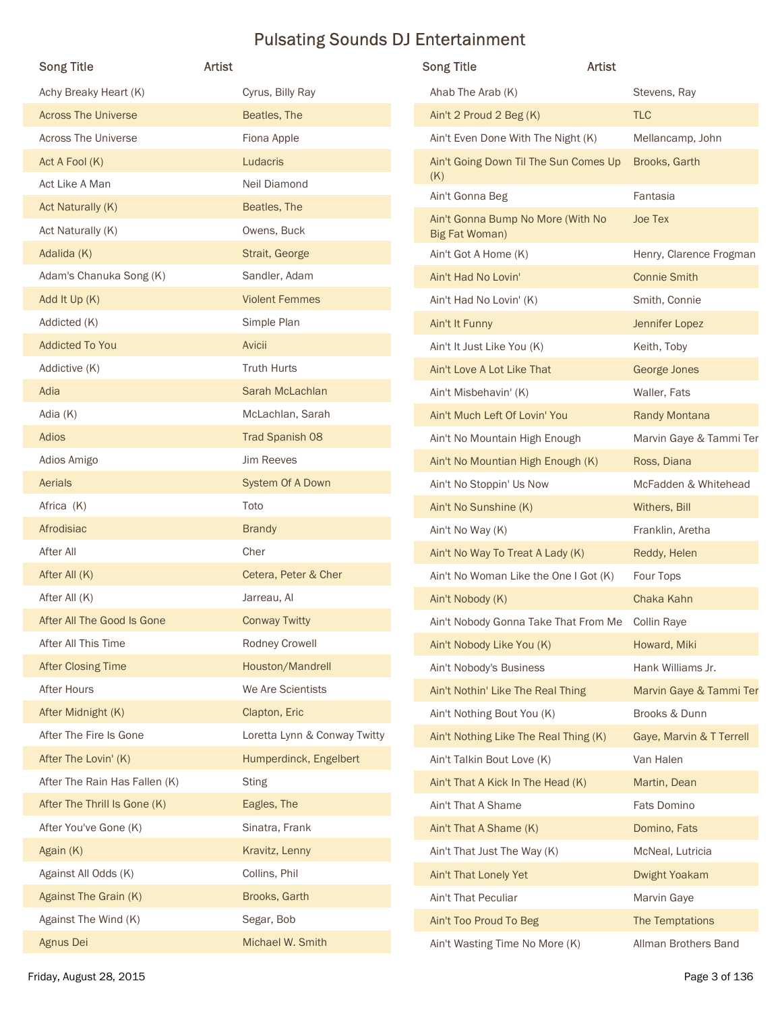| <b>Song Title</b><br>Artist   | <b>Pulsating Sounds DJ Entertainment</b> | <b>Song Title</b><br>Artist                                |                          |
|-------------------------------|------------------------------------------|------------------------------------------------------------|--------------------------|
| Achy Breaky Heart (K)         | Cyrus, Billy Ray                         | Ahab The Arab (K)                                          | Stevens, Ray             |
| <b>Across The Universe</b>    | Beatles, The                             | Ain't 2 Proud 2 Beg (K)                                    | <b>TLC</b>               |
| Across The Universe           | Fiona Apple                              | Ain't Even Done With The Night (K)                         | Mellancamp, John         |
| Act A Fool (K)                | Ludacris                                 | Ain't Going Down Til The Sun Comes Up                      | Brooks, Garth            |
| Act Like A Man                | Neil Diamond                             | (K)                                                        |                          |
| Act Naturally (K)             | Beatles, The                             | Ain't Gonna Beg                                            | Fantasia                 |
| Act Naturally (K)             | Owens, Buck                              | Ain't Gonna Bump No More (With No<br><b>Big Fat Woman)</b> | Joe Tex                  |
| Adalida (K)                   | Strait, George                           | Ain't Got A Home (K)                                       | Henry, Clarence Frogman  |
| Adam's Chanuka Song (K)       | Sandler, Adam                            | Ain't Had No Lovin'                                        | <b>Connie Smith</b>      |
| Add It Up (K)                 | <b>Violent Femmes</b>                    | Ain't Had No Lovin' (K)                                    | Smith, Connie            |
| Addicted (K)                  | Simple Plan                              | Ain't It Funny                                             | Jennifer Lopez           |
| <b>Addicted To You</b>        | Avicii                                   | Ain't It Just Like You (K)                                 | Keith, Toby              |
| Addictive (K)                 | <b>Truth Hurts</b>                       | Ain't Love A Lot Like That                                 | George Jones             |
| Adia                          | Sarah McLachlan                          | Ain't Misbehavin' (K)                                      | Waller, Fats             |
| Adia (K)                      | McLachlan, Sarah                         | Ain't Much Left Of Lovin' You                              | Randy Montana            |
| Adios                         | Trad Spanish 08                          | Ain't No Mountain High Enough                              | Marvin Gaye & Tammi Ter  |
| Adios Amigo                   | Jim Reeves                               | Ain't No Mountian High Enough (K)                          | Ross, Diana              |
| Aerials                       | System Of A Down                         | Ain't No Stoppin' Us Now                                   | McFadden & Whitehead     |
| Africa (K)                    | Toto                                     | Ain't No Sunshine (K)                                      | Withers, Bill            |
| Afrodisiac                    | <b>Brandy</b>                            | Ain't No Way (K)                                           | Franklin, Aretha         |
| After All                     | Cher                                     | Ain't No Way To Treat A Lady (K)                           | Reddy, Helen             |
| After All (K)                 | Cetera, Peter & Cher                     | Ain't No Woman Like the One I Got (K)                      | Four Tops                |
| After All (K)                 | Jarreau, Al                              | Ain't Nobody (K)                                           | Chaka Kahn               |
| After All The Good Is Gone    | <b>Conway Twitty</b>                     | Ain't Nobody Gonna Take That From Me Collin Raye           |                          |
| After All This Time           | Rodney Crowell                           | Ain't Nobody Like You (K)                                  | Howard, Miki             |
| After Closing Time            | Houston/Mandrell                         | Ain't Nobody's Business                                    | Hank Williams Jr.        |
| After Hours                   | We Are Scientists                        | Ain't Nothin' Like The Real Thing                          | Marvin Gaye & Tammi Ter  |
| After Midnight (K)            | Clapton, Eric                            | Ain't Nothing Bout You (K)                                 | Brooks & Dunn            |
| After The Fire Is Gone        | Loretta Lynn & Conway Twitty             | Ain't Nothing Like The Real Thing (K)                      | Gaye, Marvin & T Terrell |
| After The Lovin' (K)          | Humperdinck, Engelbert                   | Ain't Talkin Bout Love (K)                                 | Van Halen                |
| After The Rain Has Fallen (K) | <b>Sting</b>                             | Ain't That A Kick In The Head (K)                          | Martin, Dean             |
| After The Thrill Is Gone (K)  | Eagles, The                              | Ain't That A Shame                                         | Fats Domino              |
| After You've Gone (K)         | Sinatra, Frank                           | Ain't That A Shame (K)                                     | Domino, Fats             |
| Again (K)                     | Kravitz, Lenny                           | Ain't That Just The Way (K)                                | McNeal, Lutricia         |
| Against All Odds (K)          | Collins, Phil                            | Ain't That Lonely Yet                                      | Dwight Yoakam            |
| Against The Grain (K)         | Brooks, Garth                            | Ain't That Peculiar                                        | Marvin Gaye              |
| Against The Wind (K)          | Segar, Bob                               | Ain't Too Proud To Beg                                     | The Temptations          |
| Agnus Dei                     | Michael W. Smith                         | Ain't Wasting Time No More (K)                             | Allman Brothers Band     |
| Friday, August 28, 2015       |                                          |                                                            | Page 3 of 136            |

| Entertainment                                                               |                                   |
|-----------------------------------------------------------------------------|-----------------------------------|
| Artist<br><b>Song Title</b>                                                 |                                   |
|                                                                             |                                   |
| Ahab The Arab (K)                                                           | Stevens, Ray                      |
| Ain't 2 Proud 2 Beg (K)                                                     | <b>TLC</b>                        |
| Ain't Even Done With The Night (K)<br>Ain't Going Down Til The Sun Comes Up | Mellancamp, John<br>Brooks, Garth |
| (K)                                                                         |                                   |
| Ain't Gonna Beg                                                             | Fantasia                          |
| Ain't Gonna Bump No More (With No<br><b>Big Fat Woman)</b>                  | Joe Tex                           |
| Ain't Got A Home (K)                                                        | Henry, Clarence Frogman           |
| Ain't Had No Lovin'                                                         | <b>Connie Smith</b>               |
| Ain't Had No Lovin' (K)                                                     | Smith, Connie                     |
| Ain't It Funny                                                              | Jennifer Lopez                    |
| Ain't It Just Like You (K)                                                  | Keith, Toby                       |
| Ain't Love A Lot Like That                                                  | George Jones                      |
| Ain't Misbehavin' (K)                                                       | Waller, Fats                      |
| Ain't Much Left Of Lovin' You                                               | Randy Montana                     |
| Ain't No Mountain High Enough                                               | Marvin Gaye & Tammi Ter           |
| Ain't No Mountian High Enough (K)                                           | Ross, Diana                       |
| Ain't No Stoppin' Us Now                                                    | McFadden & Whitehead              |
| Ain't No Sunshine (K)                                                       | Withers, Bill                     |
| Ain't No Way (K)                                                            | Franklin, Aretha                  |
| Ain't No Way To Treat A Lady (K)                                            | Reddy, Helen                      |
| Ain't No Woman Like the One I Got (K)                                       | Four Tops                         |
| Ain't Nobody (K)                                                            | Chaka Kahn                        |
| Ain't Nobody Gonna Take That From Me                                        | Collin Raye                       |
| Ain't Nobody Like You (K)                                                   | Howard, Miki                      |
| Ain't Nobody's Business                                                     | Hank Williams Jr.                 |
| Ain't Nothin' Like The Real Thing                                           | Marvin Gaye & Tammi Ter           |
| Ain't Nothing Bout You (K)                                                  | Brooks & Dunn                     |
| Ain't Nothing Like The Real Thing (K)                                       | Gaye, Marvin & T Terrell          |
| Ain't Talkin Bout Love (K)                                                  | Van Halen                         |
| Ain't That A Kick In The Head (K)<br>Ain't That A Shame                     | Martin, Dean<br>Fats Domino       |
| Ain't That A Shame (K)                                                      | Domino, Fats                      |
| Ain't That Just The Way (K)                                                 | McNeal, Lutricia                  |
| Ain't That Lonely Yet                                                       | Dwight Yoakam                     |
| Ain't That Peculiar                                                         | Marvin Gaye                       |
| Ain't Too Proud To Beg                                                      | The Temptations                   |
| Ain't Wasting Time No More (K)                                              | Allman Brothers Band              |
|                                                                             | Page 3 of 136                     |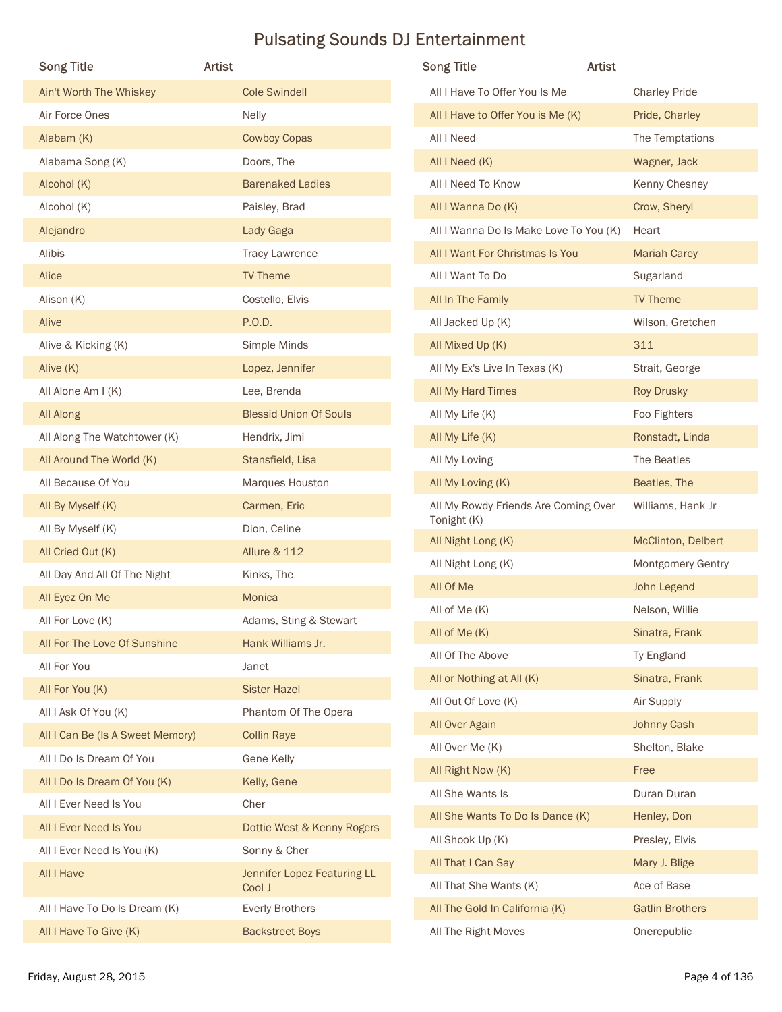| <b>Cole Swindell</b><br>All I Have To Offer You Is Me<br><b>Charley Pride</b><br>Ain't Worth The Whiskey<br>Air Force Ones<br><b>Nelly</b><br>All I Have to Offer You is Me (K)<br>Pride, Charley<br><b>Cowboy Copas</b><br>All I Need<br>The Temptations<br>Alabam (K)<br>Doors, The<br>All I Need (K)<br>Wagner, Jack<br>Alabama Song (K)<br><b>Barenaked Ladies</b><br>Kenny Chesney<br>All I Need To Know<br>Alcohol (K)<br>Paisley, Brad<br>Alcohol (K)<br>All I Wanna Do (K)<br>Crow, Sheryl<br>Lady Gaga<br>All I Wanna Do Is Make Love To You (K)<br>Alejandro<br>Heart<br><b>Mariah Carey</b><br>Alibis<br><b>Tracy Lawrence</b><br>All I Want For Christmas Is You<br><b>TV Theme</b><br>All I Want To Do<br>Sugarland<br>Alice<br><b>TV Theme</b><br>Alison (K)<br>Costello, Elvis<br>All In The Family<br>P.O.D.<br>All Jacked Up (K)<br>Wilson, Gretchen<br>Alive<br>311<br>Alive & Kicking (K)<br>Simple Minds<br>All Mixed Up (K)<br>Lopez, Jennifer<br>All My Ex's Live In Texas (K)<br>Strait, George<br>Alive (K)<br>Lee, Brenda<br>All Alone Am I (K)<br>All My Hard Times<br><b>Roy Drusky</b><br><b>Blessid Union Of Souls</b><br>All My Life (K)<br>Foo Fighters<br>All Along<br>Hendrix, Jimi<br>All Along The Watchtower (K)<br>All My Life (K)<br>Ronstadt, Linda<br>Stansfield, Lisa<br>All My Loving<br>The Beatles<br>All Around The World (K)<br>Marques Houston<br>Beatles, The<br>All Because Of You<br>All My Loving (K)<br>Carmen, Eric<br>All My Rowdy Friends Are Coming Over<br>Williams, Hank Jr<br>All By Myself (K)<br>Tonight (K)<br>Dion, Celine<br>All By Myself (K)<br>All Night Long (K)<br>McClinton, Delbert<br><b>Allure &amp; 112</b><br>All Cried Out (K)<br>All Night Long (K)<br>Montgomery Gentry<br>Kinks, The<br>All Day And All Of The Night<br>All Of Me<br>John Legend<br>Monica<br>All Eyez On Me<br>All of Me (K)<br>Nelson, Willie<br>Adams, Sting & Stewart<br>All For Love (K)<br>All of Me (K)<br>Sinatra, Frank<br>Hank Williams Jr.<br>All For The Love Of Sunshine<br>All Of The Above<br>Ty England<br>All For You<br>Janet<br>All or Nothing at All (K)<br>Sinatra, Frank<br><b>Sister Hazel</b><br>All For You (K)<br>All Out Of Love (K)<br>Air Supply<br>Phantom Of The Opera<br>All I Ask Of You (K)<br>All Over Again<br>Johnny Cash<br><b>Collin Raye</b><br>All I Can Be (Is A Sweet Memory)<br>Shelton, Blake<br>All Over Me (K)<br>All I Do Is Dream Of You<br>Gene Kelly<br>All Right Now (K)<br>Free<br>Kelly, Gene<br>All I Do Is Dream Of You (K)<br>All She Wants Is<br>Duran Duran<br>All I Ever Need Is You<br>Cher<br>All She Wants To Do Is Dance (K)<br>Henley, Don<br>All I Ever Need Is You<br>Dottie West & Kenny Rogers<br>All Shook Up (K)<br>Presley, Elvis<br>Sonny & Cher<br>All I Ever Need Is You (K)<br>All That I Can Say<br>Mary J. Blige<br>All I Have<br>Jennifer Lopez Featuring LL<br>Cool J<br>All That She Wants (K)<br>Ace of Base<br><b>Gatlin Brothers</b><br>All I Have To Do Is Dream (K)<br><b>Everly Brothers</b><br>All The Gold In California (K)<br>All I Have To Give (K)<br><b>Backstreet Boys</b><br>All The Right Moves<br>Onerepublic | <b>Song Title</b>       | <b>Pulsating Sounds DJ Entertainment</b><br>Artist | <b>Song Title</b><br>Artist |               |
|----------------------------------------------------------------------------------------------------------------------------------------------------------------------------------------------------------------------------------------------------------------------------------------------------------------------------------------------------------------------------------------------------------------------------------------------------------------------------------------------------------------------------------------------------------------------------------------------------------------------------------------------------------------------------------------------------------------------------------------------------------------------------------------------------------------------------------------------------------------------------------------------------------------------------------------------------------------------------------------------------------------------------------------------------------------------------------------------------------------------------------------------------------------------------------------------------------------------------------------------------------------------------------------------------------------------------------------------------------------------------------------------------------------------------------------------------------------------------------------------------------------------------------------------------------------------------------------------------------------------------------------------------------------------------------------------------------------------------------------------------------------------------------------------------------------------------------------------------------------------------------------------------------------------------------------------------------------------------------------------------------------------------------------------------------------------------------------------------------------------------------------------------------------------------------------------------------------------------------------------------------------------------------------------------------------------------------------------------------------------------------------------------------------------------------------------------------------------------------------------------------------------------------------------------------------------------------------------------------------------------------------------------------------------------------------------------------------------------------------------------------------------------------------------------------------------------------------------------------------------------------------------------------------------------------------------------------------------------------------------------------------------------------------------------------------------------------------------------------------------------------------------------------------|-------------------------|----------------------------------------------------|-----------------------------|---------------|
|                                                                                                                                                                                                                                                                                                                                                                                                                                                                                                                                                                                                                                                                                                                                                                                                                                                                                                                                                                                                                                                                                                                                                                                                                                                                                                                                                                                                                                                                                                                                                                                                                                                                                                                                                                                                                                                                                                                                                                                                                                                                                                                                                                                                                                                                                                                                                                                                                                                                                                                                                                                                                                                                                                                                                                                                                                                                                                                                                                                                                                                                                                                                                                |                         |                                                    |                             |               |
|                                                                                                                                                                                                                                                                                                                                                                                                                                                                                                                                                                                                                                                                                                                                                                                                                                                                                                                                                                                                                                                                                                                                                                                                                                                                                                                                                                                                                                                                                                                                                                                                                                                                                                                                                                                                                                                                                                                                                                                                                                                                                                                                                                                                                                                                                                                                                                                                                                                                                                                                                                                                                                                                                                                                                                                                                                                                                                                                                                                                                                                                                                                                                                |                         |                                                    |                             |               |
|                                                                                                                                                                                                                                                                                                                                                                                                                                                                                                                                                                                                                                                                                                                                                                                                                                                                                                                                                                                                                                                                                                                                                                                                                                                                                                                                                                                                                                                                                                                                                                                                                                                                                                                                                                                                                                                                                                                                                                                                                                                                                                                                                                                                                                                                                                                                                                                                                                                                                                                                                                                                                                                                                                                                                                                                                                                                                                                                                                                                                                                                                                                                                                |                         |                                                    |                             |               |
|                                                                                                                                                                                                                                                                                                                                                                                                                                                                                                                                                                                                                                                                                                                                                                                                                                                                                                                                                                                                                                                                                                                                                                                                                                                                                                                                                                                                                                                                                                                                                                                                                                                                                                                                                                                                                                                                                                                                                                                                                                                                                                                                                                                                                                                                                                                                                                                                                                                                                                                                                                                                                                                                                                                                                                                                                                                                                                                                                                                                                                                                                                                                                                |                         |                                                    |                             |               |
|                                                                                                                                                                                                                                                                                                                                                                                                                                                                                                                                                                                                                                                                                                                                                                                                                                                                                                                                                                                                                                                                                                                                                                                                                                                                                                                                                                                                                                                                                                                                                                                                                                                                                                                                                                                                                                                                                                                                                                                                                                                                                                                                                                                                                                                                                                                                                                                                                                                                                                                                                                                                                                                                                                                                                                                                                                                                                                                                                                                                                                                                                                                                                                |                         |                                                    |                             |               |
|                                                                                                                                                                                                                                                                                                                                                                                                                                                                                                                                                                                                                                                                                                                                                                                                                                                                                                                                                                                                                                                                                                                                                                                                                                                                                                                                                                                                                                                                                                                                                                                                                                                                                                                                                                                                                                                                                                                                                                                                                                                                                                                                                                                                                                                                                                                                                                                                                                                                                                                                                                                                                                                                                                                                                                                                                                                                                                                                                                                                                                                                                                                                                                |                         |                                                    |                             |               |
|                                                                                                                                                                                                                                                                                                                                                                                                                                                                                                                                                                                                                                                                                                                                                                                                                                                                                                                                                                                                                                                                                                                                                                                                                                                                                                                                                                                                                                                                                                                                                                                                                                                                                                                                                                                                                                                                                                                                                                                                                                                                                                                                                                                                                                                                                                                                                                                                                                                                                                                                                                                                                                                                                                                                                                                                                                                                                                                                                                                                                                                                                                                                                                |                         |                                                    |                             |               |
|                                                                                                                                                                                                                                                                                                                                                                                                                                                                                                                                                                                                                                                                                                                                                                                                                                                                                                                                                                                                                                                                                                                                                                                                                                                                                                                                                                                                                                                                                                                                                                                                                                                                                                                                                                                                                                                                                                                                                                                                                                                                                                                                                                                                                                                                                                                                                                                                                                                                                                                                                                                                                                                                                                                                                                                                                                                                                                                                                                                                                                                                                                                                                                |                         |                                                    |                             |               |
|                                                                                                                                                                                                                                                                                                                                                                                                                                                                                                                                                                                                                                                                                                                                                                                                                                                                                                                                                                                                                                                                                                                                                                                                                                                                                                                                                                                                                                                                                                                                                                                                                                                                                                                                                                                                                                                                                                                                                                                                                                                                                                                                                                                                                                                                                                                                                                                                                                                                                                                                                                                                                                                                                                                                                                                                                                                                                                                                                                                                                                                                                                                                                                |                         |                                                    |                             |               |
|                                                                                                                                                                                                                                                                                                                                                                                                                                                                                                                                                                                                                                                                                                                                                                                                                                                                                                                                                                                                                                                                                                                                                                                                                                                                                                                                                                                                                                                                                                                                                                                                                                                                                                                                                                                                                                                                                                                                                                                                                                                                                                                                                                                                                                                                                                                                                                                                                                                                                                                                                                                                                                                                                                                                                                                                                                                                                                                                                                                                                                                                                                                                                                |                         |                                                    |                             |               |
|                                                                                                                                                                                                                                                                                                                                                                                                                                                                                                                                                                                                                                                                                                                                                                                                                                                                                                                                                                                                                                                                                                                                                                                                                                                                                                                                                                                                                                                                                                                                                                                                                                                                                                                                                                                                                                                                                                                                                                                                                                                                                                                                                                                                                                                                                                                                                                                                                                                                                                                                                                                                                                                                                                                                                                                                                                                                                                                                                                                                                                                                                                                                                                |                         |                                                    |                             |               |
|                                                                                                                                                                                                                                                                                                                                                                                                                                                                                                                                                                                                                                                                                                                                                                                                                                                                                                                                                                                                                                                                                                                                                                                                                                                                                                                                                                                                                                                                                                                                                                                                                                                                                                                                                                                                                                                                                                                                                                                                                                                                                                                                                                                                                                                                                                                                                                                                                                                                                                                                                                                                                                                                                                                                                                                                                                                                                                                                                                                                                                                                                                                                                                |                         |                                                    |                             |               |
|                                                                                                                                                                                                                                                                                                                                                                                                                                                                                                                                                                                                                                                                                                                                                                                                                                                                                                                                                                                                                                                                                                                                                                                                                                                                                                                                                                                                                                                                                                                                                                                                                                                                                                                                                                                                                                                                                                                                                                                                                                                                                                                                                                                                                                                                                                                                                                                                                                                                                                                                                                                                                                                                                                                                                                                                                                                                                                                                                                                                                                                                                                                                                                |                         |                                                    |                             |               |
|                                                                                                                                                                                                                                                                                                                                                                                                                                                                                                                                                                                                                                                                                                                                                                                                                                                                                                                                                                                                                                                                                                                                                                                                                                                                                                                                                                                                                                                                                                                                                                                                                                                                                                                                                                                                                                                                                                                                                                                                                                                                                                                                                                                                                                                                                                                                                                                                                                                                                                                                                                                                                                                                                                                                                                                                                                                                                                                                                                                                                                                                                                                                                                |                         |                                                    |                             |               |
|                                                                                                                                                                                                                                                                                                                                                                                                                                                                                                                                                                                                                                                                                                                                                                                                                                                                                                                                                                                                                                                                                                                                                                                                                                                                                                                                                                                                                                                                                                                                                                                                                                                                                                                                                                                                                                                                                                                                                                                                                                                                                                                                                                                                                                                                                                                                                                                                                                                                                                                                                                                                                                                                                                                                                                                                                                                                                                                                                                                                                                                                                                                                                                |                         |                                                    |                             |               |
|                                                                                                                                                                                                                                                                                                                                                                                                                                                                                                                                                                                                                                                                                                                                                                                                                                                                                                                                                                                                                                                                                                                                                                                                                                                                                                                                                                                                                                                                                                                                                                                                                                                                                                                                                                                                                                                                                                                                                                                                                                                                                                                                                                                                                                                                                                                                                                                                                                                                                                                                                                                                                                                                                                                                                                                                                                                                                                                                                                                                                                                                                                                                                                |                         |                                                    |                             |               |
|                                                                                                                                                                                                                                                                                                                                                                                                                                                                                                                                                                                                                                                                                                                                                                                                                                                                                                                                                                                                                                                                                                                                                                                                                                                                                                                                                                                                                                                                                                                                                                                                                                                                                                                                                                                                                                                                                                                                                                                                                                                                                                                                                                                                                                                                                                                                                                                                                                                                                                                                                                                                                                                                                                                                                                                                                                                                                                                                                                                                                                                                                                                                                                |                         |                                                    |                             |               |
|                                                                                                                                                                                                                                                                                                                                                                                                                                                                                                                                                                                                                                                                                                                                                                                                                                                                                                                                                                                                                                                                                                                                                                                                                                                                                                                                                                                                                                                                                                                                                                                                                                                                                                                                                                                                                                                                                                                                                                                                                                                                                                                                                                                                                                                                                                                                                                                                                                                                                                                                                                                                                                                                                                                                                                                                                                                                                                                                                                                                                                                                                                                                                                |                         |                                                    |                             |               |
|                                                                                                                                                                                                                                                                                                                                                                                                                                                                                                                                                                                                                                                                                                                                                                                                                                                                                                                                                                                                                                                                                                                                                                                                                                                                                                                                                                                                                                                                                                                                                                                                                                                                                                                                                                                                                                                                                                                                                                                                                                                                                                                                                                                                                                                                                                                                                                                                                                                                                                                                                                                                                                                                                                                                                                                                                                                                                                                                                                                                                                                                                                                                                                |                         |                                                    |                             |               |
|                                                                                                                                                                                                                                                                                                                                                                                                                                                                                                                                                                                                                                                                                                                                                                                                                                                                                                                                                                                                                                                                                                                                                                                                                                                                                                                                                                                                                                                                                                                                                                                                                                                                                                                                                                                                                                                                                                                                                                                                                                                                                                                                                                                                                                                                                                                                                                                                                                                                                                                                                                                                                                                                                                                                                                                                                                                                                                                                                                                                                                                                                                                                                                |                         |                                                    |                             |               |
|                                                                                                                                                                                                                                                                                                                                                                                                                                                                                                                                                                                                                                                                                                                                                                                                                                                                                                                                                                                                                                                                                                                                                                                                                                                                                                                                                                                                                                                                                                                                                                                                                                                                                                                                                                                                                                                                                                                                                                                                                                                                                                                                                                                                                                                                                                                                                                                                                                                                                                                                                                                                                                                                                                                                                                                                                                                                                                                                                                                                                                                                                                                                                                |                         |                                                    |                             |               |
|                                                                                                                                                                                                                                                                                                                                                                                                                                                                                                                                                                                                                                                                                                                                                                                                                                                                                                                                                                                                                                                                                                                                                                                                                                                                                                                                                                                                                                                                                                                                                                                                                                                                                                                                                                                                                                                                                                                                                                                                                                                                                                                                                                                                                                                                                                                                                                                                                                                                                                                                                                                                                                                                                                                                                                                                                                                                                                                                                                                                                                                                                                                                                                |                         |                                                    |                             |               |
|                                                                                                                                                                                                                                                                                                                                                                                                                                                                                                                                                                                                                                                                                                                                                                                                                                                                                                                                                                                                                                                                                                                                                                                                                                                                                                                                                                                                                                                                                                                                                                                                                                                                                                                                                                                                                                                                                                                                                                                                                                                                                                                                                                                                                                                                                                                                                                                                                                                                                                                                                                                                                                                                                                                                                                                                                                                                                                                                                                                                                                                                                                                                                                |                         |                                                    |                             |               |
|                                                                                                                                                                                                                                                                                                                                                                                                                                                                                                                                                                                                                                                                                                                                                                                                                                                                                                                                                                                                                                                                                                                                                                                                                                                                                                                                                                                                                                                                                                                                                                                                                                                                                                                                                                                                                                                                                                                                                                                                                                                                                                                                                                                                                                                                                                                                                                                                                                                                                                                                                                                                                                                                                                                                                                                                                                                                                                                                                                                                                                                                                                                                                                |                         |                                                    |                             |               |
|                                                                                                                                                                                                                                                                                                                                                                                                                                                                                                                                                                                                                                                                                                                                                                                                                                                                                                                                                                                                                                                                                                                                                                                                                                                                                                                                                                                                                                                                                                                                                                                                                                                                                                                                                                                                                                                                                                                                                                                                                                                                                                                                                                                                                                                                                                                                                                                                                                                                                                                                                                                                                                                                                                                                                                                                                                                                                                                                                                                                                                                                                                                                                                |                         |                                                    |                             |               |
|                                                                                                                                                                                                                                                                                                                                                                                                                                                                                                                                                                                                                                                                                                                                                                                                                                                                                                                                                                                                                                                                                                                                                                                                                                                                                                                                                                                                                                                                                                                                                                                                                                                                                                                                                                                                                                                                                                                                                                                                                                                                                                                                                                                                                                                                                                                                                                                                                                                                                                                                                                                                                                                                                                                                                                                                                                                                                                                                                                                                                                                                                                                                                                |                         |                                                    |                             |               |
|                                                                                                                                                                                                                                                                                                                                                                                                                                                                                                                                                                                                                                                                                                                                                                                                                                                                                                                                                                                                                                                                                                                                                                                                                                                                                                                                                                                                                                                                                                                                                                                                                                                                                                                                                                                                                                                                                                                                                                                                                                                                                                                                                                                                                                                                                                                                                                                                                                                                                                                                                                                                                                                                                                                                                                                                                                                                                                                                                                                                                                                                                                                                                                |                         |                                                    |                             |               |
|                                                                                                                                                                                                                                                                                                                                                                                                                                                                                                                                                                                                                                                                                                                                                                                                                                                                                                                                                                                                                                                                                                                                                                                                                                                                                                                                                                                                                                                                                                                                                                                                                                                                                                                                                                                                                                                                                                                                                                                                                                                                                                                                                                                                                                                                                                                                                                                                                                                                                                                                                                                                                                                                                                                                                                                                                                                                                                                                                                                                                                                                                                                                                                |                         |                                                    |                             |               |
|                                                                                                                                                                                                                                                                                                                                                                                                                                                                                                                                                                                                                                                                                                                                                                                                                                                                                                                                                                                                                                                                                                                                                                                                                                                                                                                                                                                                                                                                                                                                                                                                                                                                                                                                                                                                                                                                                                                                                                                                                                                                                                                                                                                                                                                                                                                                                                                                                                                                                                                                                                                                                                                                                                                                                                                                                                                                                                                                                                                                                                                                                                                                                                |                         |                                                    |                             |               |
|                                                                                                                                                                                                                                                                                                                                                                                                                                                                                                                                                                                                                                                                                                                                                                                                                                                                                                                                                                                                                                                                                                                                                                                                                                                                                                                                                                                                                                                                                                                                                                                                                                                                                                                                                                                                                                                                                                                                                                                                                                                                                                                                                                                                                                                                                                                                                                                                                                                                                                                                                                                                                                                                                                                                                                                                                                                                                                                                                                                                                                                                                                                                                                |                         |                                                    |                             |               |
|                                                                                                                                                                                                                                                                                                                                                                                                                                                                                                                                                                                                                                                                                                                                                                                                                                                                                                                                                                                                                                                                                                                                                                                                                                                                                                                                                                                                                                                                                                                                                                                                                                                                                                                                                                                                                                                                                                                                                                                                                                                                                                                                                                                                                                                                                                                                                                                                                                                                                                                                                                                                                                                                                                                                                                                                                                                                                                                                                                                                                                                                                                                                                                |                         |                                                    |                             |               |
|                                                                                                                                                                                                                                                                                                                                                                                                                                                                                                                                                                                                                                                                                                                                                                                                                                                                                                                                                                                                                                                                                                                                                                                                                                                                                                                                                                                                                                                                                                                                                                                                                                                                                                                                                                                                                                                                                                                                                                                                                                                                                                                                                                                                                                                                                                                                                                                                                                                                                                                                                                                                                                                                                                                                                                                                                                                                                                                                                                                                                                                                                                                                                                |                         |                                                    |                             |               |
|                                                                                                                                                                                                                                                                                                                                                                                                                                                                                                                                                                                                                                                                                                                                                                                                                                                                                                                                                                                                                                                                                                                                                                                                                                                                                                                                                                                                                                                                                                                                                                                                                                                                                                                                                                                                                                                                                                                                                                                                                                                                                                                                                                                                                                                                                                                                                                                                                                                                                                                                                                                                                                                                                                                                                                                                                                                                                                                                                                                                                                                                                                                                                                |                         |                                                    |                             |               |
|                                                                                                                                                                                                                                                                                                                                                                                                                                                                                                                                                                                                                                                                                                                                                                                                                                                                                                                                                                                                                                                                                                                                                                                                                                                                                                                                                                                                                                                                                                                                                                                                                                                                                                                                                                                                                                                                                                                                                                                                                                                                                                                                                                                                                                                                                                                                                                                                                                                                                                                                                                                                                                                                                                                                                                                                                                                                                                                                                                                                                                                                                                                                                                |                         |                                                    |                             |               |
|                                                                                                                                                                                                                                                                                                                                                                                                                                                                                                                                                                                                                                                                                                                                                                                                                                                                                                                                                                                                                                                                                                                                                                                                                                                                                                                                                                                                                                                                                                                                                                                                                                                                                                                                                                                                                                                                                                                                                                                                                                                                                                                                                                                                                                                                                                                                                                                                                                                                                                                                                                                                                                                                                                                                                                                                                                                                                                                                                                                                                                                                                                                                                                |                         |                                                    |                             |               |
|                                                                                                                                                                                                                                                                                                                                                                                                                                                                                                                                                                                                                                                                                                                                                                                                                                                                                                                                                                                                                                                                                                                                                                                                                                                                                                                                                                                                                                                                                                                                                                                                                                                                                                                                                                                                                                                                                                                                                                                                                                                                                                                                                                                                                                                                                                                                                                                                                                                                                                                                                                                                                                                                                                                                                                                                                                                                                                                                                                                                                                                                                                                                                                |                         |                                                    |                             |               |
|                                                                                                                                                                                                                                                                                                                                                                                                                                                                                                                                                                                                                                                                                                                                                                                                                                                                                                                                                                                                                                                                                                                                                                                                                                                                                                                                                                                                                                                                                                                                                                                                                                                                                                                                                                                                                                                                                                                                                                                                                                                                                                                                                                                                                                                                                                                                                                                                                                                                                                                                                                                                                                                                                                                                                                                                                                                                                                                                                                                                                                                                                                                                                                |                         |                                                    |                             |               |
|                                                                                                                                                                                                                                                                                                                                                                                                                                                                                                                                                                                                                                                                                                                                                                                                                                                                                                                                                                                                                                                                                                                                                                                                                                                                                                                                                                                                                                                                                                                                                                                                                                                                                                                                                                                                                                                                                                                                                                                                                                                                                                                                                                                                                                                                                                                                                                                                                                                                                                                                                                                                                                                                                                                                                                                                                                                                                                                                                                                                                                                                                                                                                                | Friday, August 28, 2015 |                                                    |                             | Page 4 of 136 |

| <b>Intertainment</b>                                |                                  |  |
|-----------------------------------------------------|----------------------------------|--|
| <b>Song Title</b>                                   | Artist                           |  |
| All I Have To Offer You Is Me                       | <b>Charley Pride</b>             |  |
| All I Have to Offer You is Me (K)                   | Pride, Charley                   |  |
| All I Need                                          | The Temptations                  |  |
| All I Need (K)                                      | Wagner, Jack                     |  |
| All I Need To Know                                  | Kenny Chesney                    |  |
| All I Wanna Do (K)                                  | Crow, Sheryl                     |  |
| All I Wanna Do Is Make Love To You (K)              | Heart                            |  |
| All I Want For Christmas Is You                     | <b>Mariah Carey</b>              |  |
| All I Want To Do                                    | Sugarland                        |  |
| All In The Family                                   | TV Theme                         |  |
| All Jacked Up (K)                                   | Wilson, Gretchen                 |  |
| All Mixed Up (K)                                    | 311                              |  |
| All My Ex's Live In Texas (K)                       | Strait, George                   |  |
| All My Hard Times                                   | <b>Roy Drusky</b>                |  |
| All My Life (K)                                     | Foo Fighters                     |  |
| All My Life (K)                                     | Ronstadt, Linda                  |  |
| All My Loving                                       | The Beatles                      |  |
| All My Loving (K)                                   | Beatles, The                     |  |
| All My Rowdy Friends Are Coming Over<br>Tonight (K) | Williams, Hank Jr                |  |
| All Night Long (K)                                  | McClinton, Delbert               |  |
| All Night Long (K)                                  | Montgomery Gentry                |  |
| All Of Me                                           | John Legend                      |  |
| All of Me (K)<br>All of Me (K)                      | Nelson, Willie<br>Sinatra, Frank |  |
| All Of The Above                                    | Ty England                       |  |
| All or Nothing at All (K)                           | Sinatra, Frank                   |  |
| All Out Of Love (K)                                 | Air Supply                       |  |
| All Over Again                                      | Johnny Cash                      |  |
| All Over Me (K)                                     | Shelton, Blake                   |  |
| All Right Now (K)<br>All She Wants Is               | Free<br>Duran Duran              |  |
| All She Wants To Do Is Dance (K)                    | Henley, Don                      |  |
| All Shook Up (K)                                    | Presley, Elvis                   |  |
| All That I Can Say                                  | Mary J. Blige                    |  |
| All That She Wants (K)                              | Ace of Base                      |  |
| All The Gold In California (K)                      | <b>Gatlin Brothers</b>           |  |
| All The Right Moves                                 | Onerepublic                      |  |
|                                                     |                                  |  |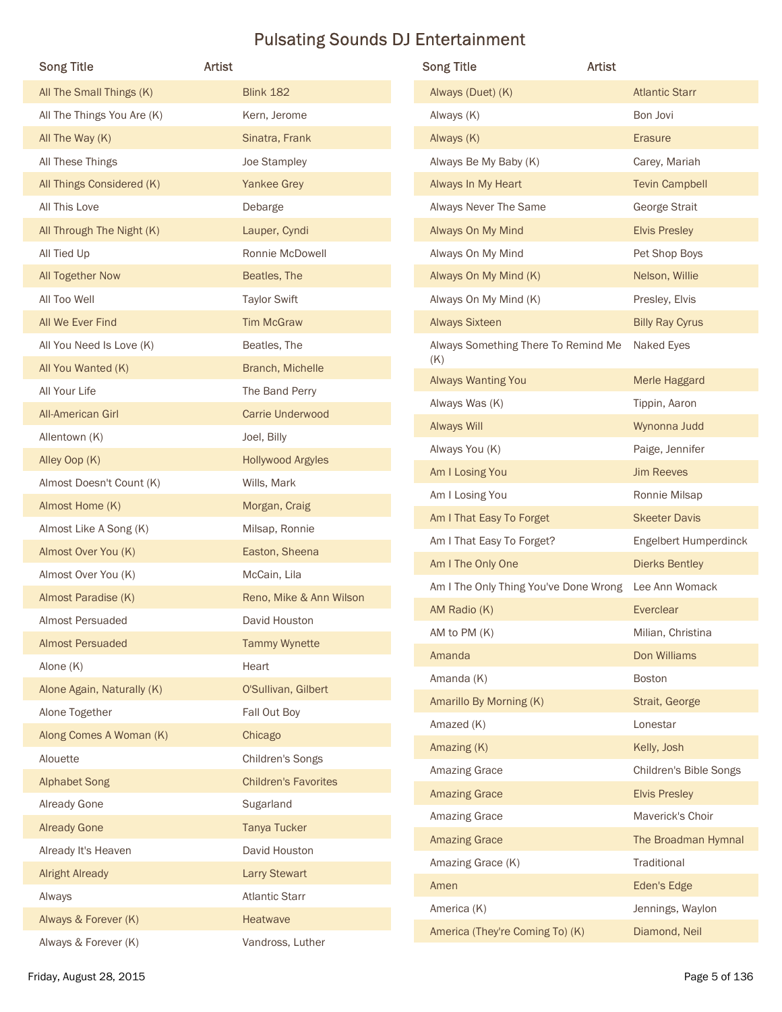|                                            | Artist                               | <b>Song Title</b><br>Artist                           |                        |
|--------------------------------------------|--------------------------------------|-------------------------------------------------------|------------------------|
| All The Small Things (K)                   | <b>Blink 182</b>                     | Always (Duet) (K)                                     | <b>Atlantic Starr</b>  |
| All The Things You Are (K)                 | Kern, Jerome                         | Always (K)                                            | Bon Jovi               |
| All The Way (K)                            | Sinatra, Frank                       | Always (K)                                            | Erasure                |
| All These Things                           | Joe Stampley                         | Always Be My Baby (K)                                 | Carey, Mariah          |
| All Things Considered (K)                  | <b>Yankee Grey</b>                   | Always In My Heart                                    | <b>Tevin Campbell</b>  |
| All This Love                              | Debarge                              | Always Never The Same                                 | George Strait          |
| All Through The Night (K)                  | Lauper, Cyndi                        | Always On My Mind                                     | <b>Elvis Presley</b>   |
| All Tied Up                                | Ronnie McDowell                      | Always On My Mind                                     | Pet Shop Boys          |
| All Together Now                           | Beatles, The                         | Always On My Mind (K)                                 | Nelson, Willie         |
| All Too Well                               | <b>Taylor Swift</b>                  | Always On My Mind (K)                                 | Presley, Elvis         |
| All We Ever Find                           | <b>Tim McGraw</b>                    | <b>Always Sixteen</b>                                 | <b>Billy Ray Cyrus</b> |
| All You Need Is Love (K)                   | Beatles, The                         | Always Something There To Remind Me Naked Eyes<br>(K) |                        |
| All You Wanted (K)                         | Branch, Michelle                     | Always Wanting You                                    | Merle Haggard          |
| All Your Life                              | The Band Perry                       | Always Was (K)                                        | Tippin, Aaron          |
| <b>All-American Girl</b>                   | Carrie Underwood                     | Always Will                                           | Wynonna Judd           |
| Allentown (K)                              | Joel, Billy                          | Always You (K)                                        | Paige, Jennifer        |
| Alley Oop (K)                              | <b>Hollywood Argyles</b>             | Am I Losing You                                       | <b>Jim Reeves</b>      |
| Almost Doesn't Count (K)                   | Wills, Mark                          | Am I Losing You                                       | Ronnie Milsap          |
| Almost Home (K)                            | Morgan, Craig                        | Am I That Easy To Forget                              | <b>Skeeter Davis</b>   |
| Almost Like A Song (K)                     | Milsap, Ronnie                       | Am I That Easy To Forget?                             | Engelbert Humperdinck  |
| Almost Over You (K)                        | Easton, Sheena                       | Am I The Only One                                     | <b>Dierks Bentley</b>  |
| Almost Over You (K)                        | McCain, Lila                         | Am I The Only Thing You've Done Wrong Lee Ann Womack  |                        |
| Almost Paradise (K)                        | Reno, Mike & Ann Wilson              | AM Radio (K)                                          | Everclear              |
| Almost Persuaded                           | David Houston                        | AM to PM (K)                                          | Milian, Christina      |
| <b>Almost Persuaded</b>                    | <b>Tammy Wynette</b>                 | Amanda                                                | Don Williams           |
| Alone (K)                                  | Heart                                | Amanda (K)                                            | <b>Boston</b>          |
| Alone Again, Naturally (K)                 | O'Sullivan, Gilbert                  | Amarillo By Morning (K)                               | Strait, George         |
| Alone Together                             | Fall Out Boy                         | Amazed (K)                                            | Lonestar               |
| Along Comes A Woman (K)                    | Chicago                              | Amazing (K)                                           | Kelly, Josh            |
| Alouette                                   | Children's Songs                     | Amazing Grace                                         | Children's Bible Songs |
| <b>Alphabet Song</b>                       | <b>Children's Favorites</b>          | <b>Amazing Grace</b>                                  | <b>Elvis Presley</b>   |
| Already Gone                               | Sugarland                            | Amazing Grace                                         | Maverick's Choir       |
| <b>Already Gone</b><br>Already It's Heaven | <b>Tanya Tucker</b><br>David Houston | <b>Amazing Grace</b>                                  | The Broadman Hymnal    |
| <b>Alright Already</b>                     | <b>Larry Stewart</b>                 | Amazing Grace (K)                                     | Traditional            |
| Always                                     | <b>Atlantic Starr</b>                | Amen                                                  | Eden's Edge            |
|                                            |                                      | America (K)                                           | Jennings, Waylon       |
| Always & Forever (K)                       | Heatwave                             |                                                       |                        |

| <b>Entertainment</b><br>Artist<br><b>Song Title</b><br>Always (Duet) (K)<br>Always (K)<br>Always (K)<br>Always Be My Baby (K)<br>Always In My Heart<br>Always Never The Same<br>Always On My Mind<br>Always On My Mind<br>Always On My Mind (K)<br>Always On My Mind (K)<br><b>Always Sixteen</b><br>Always Something There To Remind Me Naked Eyes<br>(K)<br><b>Always Wanting You</b><br>Always Was (K)<br>Always Will<br>Always You (K)<br>Am I Losing You<br>Am I Losing You<br>Am I That Easy To Forget<br>Am I That Easy To Forget?<br>Am I The Only One<br>Am I The Only Thing You've Done Wrong<br>AM Radio (K)<br>AM to PM (K)<br>Amanda<br>Amanda (K)<br>Amarillo By Morning (K)<br>Amazed (K)<br>Amazing (K)<br>Amazing Grace<br><b>Amazing Grace</b> | <b>Atlantic Starr</b><br>Bon Jovi<br><b>Erasure</b><br>Carey, Mariah<br><b>Tevin Campbell</b><br>George Strait<br><b>Elvis Presley</b><br>Pet Shop Boys<br>Nelson, Willie<br>Presley, Elvis<br><b>Billy Ray Cyrus</b><br>Merle Haggard<br>Tippin, Aaron |
|------------------------------------------------------------------------------------------------------------------------------------------------------------------------------------------------------------------------------------------------------------------------------------------------------------------------------------------------------------------------------------------------------------------------------------------------------------------------------------------------------------------------------------------------------------------------------------------------------------------------------------------------------------------------------------------------------------------------------------------------------------------|---------------------------------------------------------------------------------------------------------------------------------------------------------------------------------------------------------------------------------------------------------|
|                                                                                                                                                                                                                                                                                                                                                                                                                                                                                                                                                                                                                                                                                                                                                                  |                                                                                                                                                                                                                                                         |
|                                                                                                                                                                                                                                                                                                                                                                                                                                                                                                                                                                                                                                                                                                                                                                  |                                                                                                                                                                                                                                                         |
|                                                                                                                                                                                                                                                                                                                                                                                                                                                                                                                                                                                                                                                                                                                                                                  |                                                                                                                                                                                                                                                         |
|                                                                                                                                                                                                                                                                                                                                                                                                                                                                                                                                                                                                                                                                                                                                                                  |                                                                                                                                                                                                                                                         |
|                                                                                                                                                                                                                                                                                                                                                                                                                                                                                                                                                                                                                                                                                                                                                                  |                                                                                                                                                                                                                                                         |
|                                                                                                                                                                                                                                                                                                                                                                                                                                                                                                                                                                                                                                                                                                                                                                  |                                                                                                                                                                                                                                                         |
|                                                                                                                                                                                                                                                                                                                                                                                                                                                                                                                                                                                                                                                                                                                                                                  |                                                                                                                                                                                                                                                         |
|                                                                                                                                                                                                                                                                                                                                                                                                                                                                                                                                                                                                                                                                                                                                                                  |                                                                                                                                                                                                                                                         |
|                                                                                                                                                                                                                                                                                                                                                                                                                                                                                                                                                                                                                                                                                                                                                                  |                                                                                                                                                                                                                                                         |
|                                                                                                                                                                                                                                                                                                                                                                                                                                                                                                                                                                                                                                                                                                                                                                  |                                                                                                                                                                                                                                                         |
|                                                                                                                                                                                                                                                                                                                                                                                                                                                                                                                                                                                                                                                                                                                                                                  |                                                                                                                                                                                                                                                         |
|                                                                                                                                                                                                                                                                                                                                                                                                                                                                                                                                                                                                                                                                                                                                                                  |                                                                                                                                                                                                                                                         |
|                                                                                                                                                                                                                                                                                                                                                                                                                                                                                                                                                                                                                                                                                                                                                                  |                                                                                                                                                                                                                                                         |
|                                                                                                                                                                                                                                                                                                                                                                                                                                                                                                                                                                                                                                                                                                                                                                  |                                                                                                                                                                                                                                                         |
|                                                                                                                                                                                                                                                                                                                                                                                                                                                                                                                                                                                                                                                                                                                                                                  |                                                                                                                                                                                                                                                         |
|                                                                                                                                                                                                                                                                                                                                                                                                                                                                                                                                                                                                                                                                                                                                                                  |                                                                                                                                                                                                                                                         |
|                                                                                                                                                                                                                                                                                                                                                                                                                                                                                                                                                                                                                                                                                                                                                                  |                                                                                                                                                                                                                                                         |
|                                                                                                                                                                                                                                                                                                                                                                                                                                                                                                                                                                                                                                                                                                                                                                  |                                                                                                                                                                                                                                                         |
|                                                                                                                                                                                                                                                                                                                                                                                                                                                                                                                                                                                                                                                                                                                                                                  |                                                                                                                                                                                                                                                         |
|                                                                                                                                                                                                                                                                                                                                                                                                                                                                                                                                                                                                                                                                                                                                                                  |                                                                                                                                                                                                                                                         |
|                                                                                                                                                                                                                                                                                                                                                                                                                                                                                                                                                                                                                                                                                                                                                                  |                                                                                                                                                                                                                                                         |
|                                                                                                                                                                                                                                                                                                                                                                                                                                                                                                                                                                                                                                                                                                                                                                  |                                                                                                                                                                                                                                                         |
|                                                                                                                                                                                                                                                                                                                                                                                                                                                                                                                                                                                                                                                                                                                                                                  | Wynonna Judd                                                                                                                                                                                                                                            |
|                                                                                                                                                                                                                                                                                                                                                                                                                                                                                                                                                                                                                                                                                                                                                                  | Paige, Jennifer                                                                                                                                                                                                                                         |
|                                                                                                                                                                                                                                                                                                                                                                                                                                                                                                                                                                                                                                                                                                                                                                  | <b>Jim Reeves</b>                                                                                                                                                                                                                                       |
|                                                                                                                                                                                                                                                                                                                                                                                                                                                                                                                                                                                                                                                                                                                                                                  | Ronnie Milsap                                                                                                                                                                                                                                           |
|                                                                                                                                                                                                                                                                                                                                                                                                                                                                                                                                                                                                                                                                                                                                                                  | <b>Skeeter Davis</b>                                                                                                                                                                                                                                    |
|                                                                                                                                                                                                                                                                                                                                                                                                                                                                                                                                                                                                                                                                                                                                                                  | Engelbert Humperdinck                                                                                                                                                                                                                                   |
|                                                                                                                                                                                                                                                                                                                                                                                                                                                                                                                                                                                                                                                                                                                                                                  | <b>Dierks Bentley</b>                                                                                                                                                                                                                                   |
|                                                                                                                                                                                                                                                                                                                                                                                                                                                                                                                                                                                                                                                                                                                                                                  | Lee Ann Womack                                                                                                                                                                                                                                          |
|                                                                                                                                                                                                                                                                                                                                                                                                                                                                                                                                                                                                                                                                                                                                                                  | Everclear                                                                                                                                                                                                                                               |
|                                                                                                                                                                                                                                                                                                                                                                                                                                                                                                                                                                                                                                                                                                                                                                  | Milian, Christina                                                                                                                                                                                                                                       |
|                                                                                                                                                                                                                                                                                                                                                                                                                                                                                                                                                                                                                                                                                                                                                                  | Don Williams                                                                                                                                                                                                                                            |
|                                                                                                                                                                                                                                                                                                                                                                                                                                                                                                                                                                                                                                                                                                                                                                  | <b>Boston</b>                                                                                                                                                                                                                                           |
|                                                                                                                                                                                                                                                                                                                                                                                                                                                                                                                                                                                                                                                                                                                                                                  | Strait, George                                                                                                                                                                                                                                          |
|                                                                                                                                                                                                                                                                                                                                                                                                                                                                                                                                                                                                                                                                                                                                                                  | Lonestar                                                                                                                                                                                                                                                |
|                                                                                                                                                                                                                                                                                                                                                                                                                                                                                                                                                                                                                                                                                                                                                                  | Kelly, Josh                                                                                                                                                                                                                                             |
|                                                                                                                                                                                                                                                                                                                                                                                                                                                                                                                                                                                                                                                                                                                                                                  | Children's Bible Songs                                                                                                                                                                                                                                  |
|                                                                                                                                                                                                                                                                                                                                                                                                                                                                                                                                                                                                                                                                                                                                                                  | <b>Elvis Presley</b>                                                                                                                                                                                                                                    |
| Amazing Grace                                                                                                                                                                                                                                                                                                                                                                                                                                                                                                                                                                                                                                                                                                                                                    | Maverick's Choir                                                                                                                                                                                                                                        |
| <b>Amazing Grace</b>                                                                                                                                                                                                                                                                                                                                                                                                                                                                                                                                                                                                                                                                                                                                             | The Broadman Hymnal                                                                                                                                                                                                                                     |
| Amazing Grace (K)                                                                                                                                                                                                                                                                                                                                                                                                                                                                                                                                                                                                                                                                                                                                                | Traditional                                                                                                                                                                                                                                             |
| Amen                                                                                                                                                                                                                                                                                                                                                                                                                                                                                                                                                                                                                                                                                                                                                             |                                                                                                                                                                                                                                                         |
| America (K)                                                                                                                                                                                                                                                                                                                                                                                                                                                                                                                                                                                                                                                                                                                                                      | Eden's Edge                                                                                                                                                                                                                                             |
| America (They're Coming To) (K)                                                                                                                                                                                                                                                                                                                                                                                                                                                                                                                                                                                                                                                                                                                                  | Jennings, Waylon                                                                                                                                                                                                                                        |
|                                                                                                                                                                                                                                                                                                                                                                                                                                                                                                                                                                                                                                                                                                                                                                  | Diamond, Neil                                                                                                                                                                                                                                           |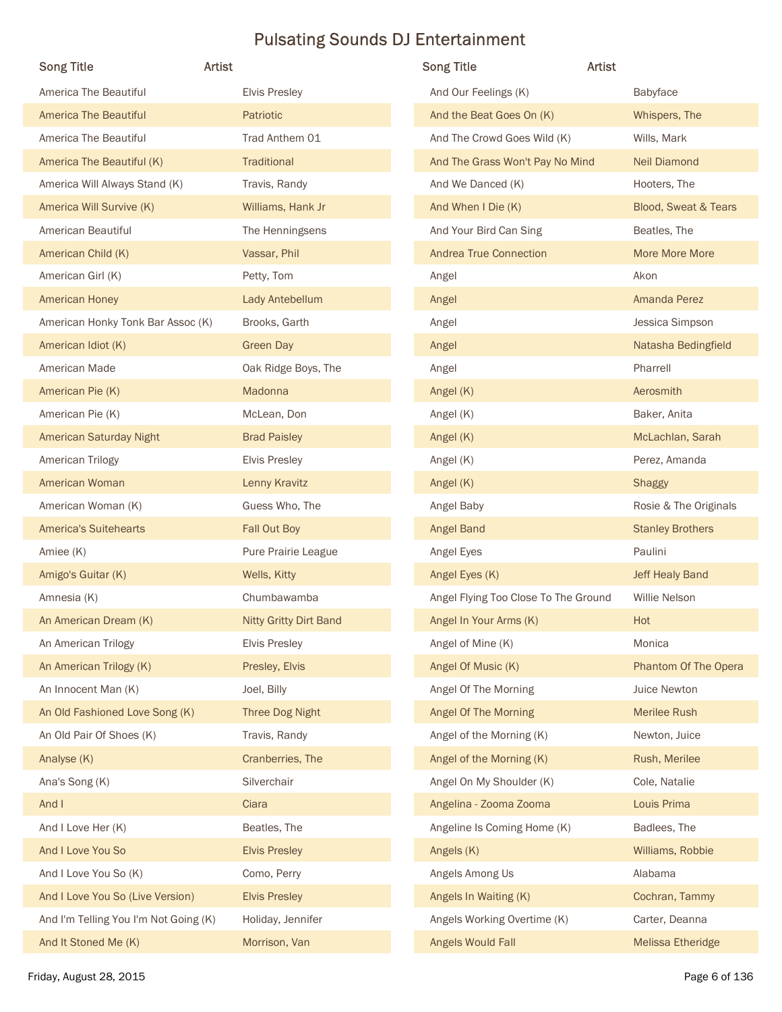| <b>Song Title</b>                     | Artist                             | <b>Song Title</b><br>Artist                      |                         |
|---------------------------------------|------------------------------------|--------------------------------------------------|-------------------------|
| America The Beautiful                 | <b>Elvis Presley</b>               | And Our Feelings (K)                             | Babyface                |
| <b>America The Beautiful</b>          | Patriotic                          | And the Beat Goes On (K)                         | Whispers, The           |
| America The Beautiful                 | Trad Anthem 01                     | And The Crowd Goes Wild (K)                      | Wills, Mark             |
| America The Beautiful (K)             | Traditional                        | And The Grass Won't Pay No Mind                  | <b>Neil Diamond</b>     |
| America Will Always Stand (K)         | Travis, Randy                      | And We Danced (K)                                | Hooters, The            |
| America Will Survive (K)              | Williams, Hank Jr                  | And When I Die (K)                               | Blood, Sweat & Tears    |
| American Beautiful                    | The Henningsens                    | And Your Bird Can Sing                           | Beatles, The            |
| American Child (K)                    | Vassar, Phil                       | <b>Andrea True Connection</b>                    | More More More          |
| American Girl (K)                     | Petty, Tom                         | Angel                                            | Akon                    |
| <b>American Honey</b>                 | Lady Antebellum                    | Angel                                            | Amanda Perez            |
| American Honky Tonk Bar Assoc (K)     | Brooks, Garth                      | Angel                                            | Jessica Simpson         |
| American Idiot (K)                    | <b>Green Day</b>                   | Angel                                            | Natasha Bedingfield     |
| American Made                         | Oak Ridge Boys, The                | Angel                                            | Pharrell                |
| American Pie (K)                      | Madonna                            | Angel (K)                                        | Aerosmith               |
| American Pie (K)                      | McLean, Don                        | Angel (K)                                        | Baker, Anita            |
| American Saturday Night               | <b>Brad Paisley</b>                | Angel (K)                                        | McLachlan, Sarah        |
| American Trilogy                      | <b>Elvis Presley</b>               | Angel (K)                                        | Perez, Amanda           |
| American Woman                        | Lenny Kravitz                      | Angel (K)                                        | Shaggy                  |
| American Woman (K)                    | Guess Who, The                     | Angel Baby                                       | Rosie & The Originals   |
| <b>America's Suitehearts</b>          | Fall Out Boy                       | Angel Band                                       | <b>Stanley Brothers</b> |
| Amiee (K)                             | Pure Prairie League                | Angel Eyes                                       | Paulini                 |
| Amigo's Guitar (K)                    | Wells, Kitty                       | Angel Eyes (K)                                   | Jeff Healy Band         |
| Amnesia (K)                           | Chumbawamba                        | Angel Flying Too Close To The Ground             | Willie Nelson           |
| An American Dream (K)                 | Nitty Gritty Dirt Band             | Angel In Your Arms (K)                           | Hot                     |
| An American Trilogy                   | Elvis Presley                      | Angel of Mine (K)                                | Monica                  |
| An American Trilogy (K)               | Presley, Elvis                     | Angel Of Music (K)                               | Phantom Of The Opera    |
| An Innocent Man (K)                   | Joel, Billy                        | Angel Of The Morning                             | Juice Newton            |
| An Old Fashioned Love Song (K)        | Three Dog Night                    | Angel Of The Morning                             | Merilee Rush            |
| An Old Pair Of Shoes (K)              | Travis, Randy                      | Angel of the Morning (K)                         | Newton, Juice           |
| Analyse (K)                           | Cranberries, The                   | Angel of the Morning (K)                         | Rush, Merilee           |
| Ana's Song (K)                        | Silverchair                        | Angel On My Shoulder (K)                         | Cole, Natalie           |
| And I                                 | Ciara                              | Angelina - Zooma Zooma                           | Louis Prima             |
| And I Love Her (K)                    | Beatles, The                       | Angeline Is Coming Home (K)                      | Badlees, The            |
| And I Love You So                     | <b>Elvis Presley</b>               | Angels (K)                                       | Williams, Robbie        |
| And I Love You So (K)                 | Como, Perry                        | Angels Among Us                                  | Alabama                 |
| And I Love You So (Live Version)      | <b>Elvis Presley</b>               | Angels In Waiting (K)                            | Cochran, Tammy          |
| And I'm Telling You I'm Not Going (K) | Holiday, Jennifer<br>Morrison, Van | Angels Working Overtime (K)<br>Angels Would Fall | Carter, Deanna          |
| And It Stoned Me (K)                  |                                    |                                                  | Melissa Etheridge       |

| <b>Intertainment</b>                 |                                                  |
|--------------------------------------|--------------------------------------------------|
| <b>Song Title</b><br>Artist          |                                                  |
| And Our Feelings (K)                 | Babyface                                         |
| And the Beat Goes On (K)             | Whispers, The                                    |
| And The Crowd Goes Wild (K)          | Wills, Mark                                      |
| And The Grass Won't Pay No Mind      | <b>Neil Diamond</b>                              |
| And We Danced (K)                    | Hooters, The                                     |
| And When I Die (K)                   | Blood, Sweat & Tears                             |
| And Your Bird Can Sing               | Beatles, The                                     |
| <b>Andrea True Connection</b>        | More More More                                   |
| Angel                                | Akon                                             |
| Angel                                | Amanda Perez                                     |
| Angel                                | Jessica Simpson                                  |
| Angel                                | Natasha Bedingfield                              |
| Angel                                | Pharrell                                         |
| Angel (K)                            | Aerosmith                                        |
| Angel (K)                            | Baker, Anita                                     |
| Angel (K)                            | McLachlan, Sarah                                 |
| Angel (K)                            | Perez, Amanda                                    |
| Angel (K)                            | Shaggy                                           |
| Angel Baby<br>Angel Band             | Rosie & The Originals<br><b>Stanley Brothers</b> |
| Angel Eyes                           | Paulini                                          |
| Angel Eyes (K)                       | Jeff Healy Band                                  |
| Angel Flying Too Close To The Ground | Willie Nelson                                    |
| Angel In Your Arms (K)               | Hot                                              |
| Angel of Mine (K)                    | Monica                                           |
| Angel Of Music (K)                   | Phantom Of The Opera                             |
| Angel Of The Morning                 | Juice Newton                                     |
| Angel Of The Morning                 | Merilee Rush                                     |
| Angel of the Morning (K)             | Newton, Juice                                    |
| Angel of the Morning (K)             | Rush, Merilee                                    |
| Angel On My Shoulder (K)             | Cole, Natalie                                    |
| Angelina - Zooma Zooma               | Louis Prima                                      |
| Angeline Is Coming Home (K)          | Badlees, The                                     |
| Angels (K)                           | Williams, Robbie                                 |
| Angels Among Us                      | Alabama                                          |
| Angels In Waiting (K)                | Cochran, Tammy                                   |
| Angels Working Overtime (K)          | Carter, Deanna                                   |
| Angels Would Fall                    | Melissa Etheridge                                |
|                                      | Page 6 of 136                                    |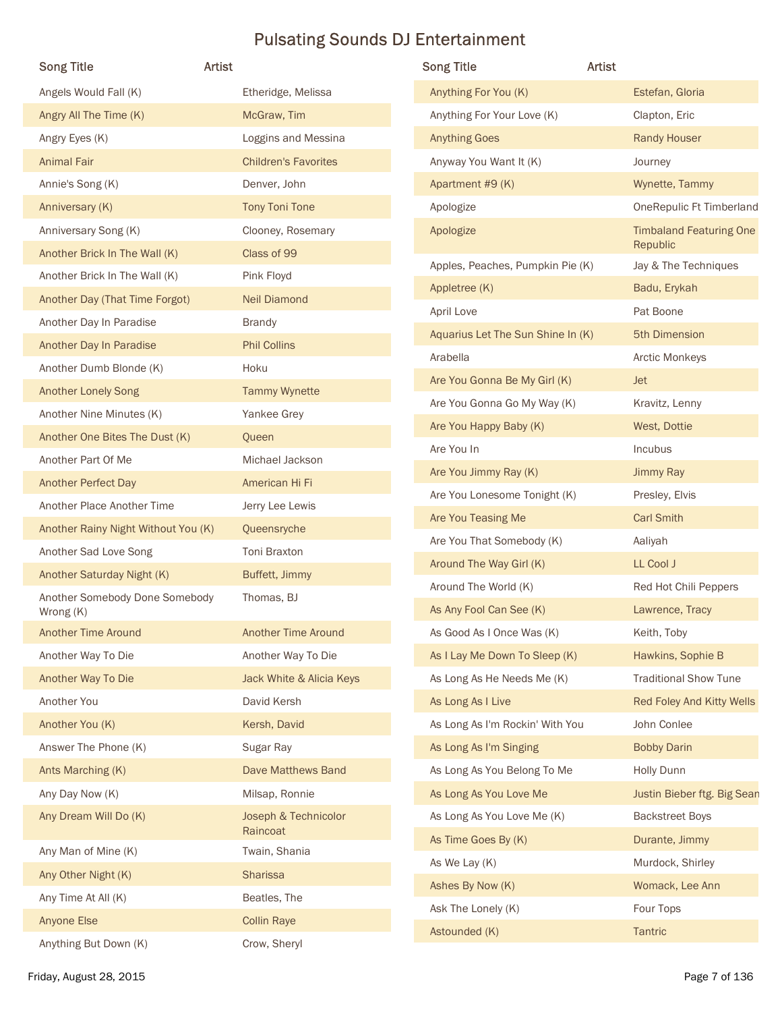|                                     | Artist                      | <b>Song Title</b><br>Artist                                 |                                          |
|-------------------------------------|-----------------------------|-------------------------------------------------------------|------------------------------------------|
| Angels Would Fall (K)               | Etheridge, Melissa          | Anything For You (K)                                        | Estefan, Gloria                          |
| Angry All The Time (K)              | McGraw, Tim                 | Anything For Your Love (K)                                  | Clapton, Eric                            |
| Angry Eyes (K)                      | Loggins and Messina         | <b>Anything Goes</b>                                        | <b>Randy Houser</b>                      |
| <b>Animal Fair</b>                  | <b>Children's Favorites</b> | Anyway You Want It (K)                                      | Journey                                  |
| Annie's Song (K)                    | Denver, John                | Apartment #9 (K)                                            | Wynette, Tammy                           |
| Anniversary (K)                     | <b>Tony Toni Tone</b>       | Apologize                                                   | <b>OneRepulic Ft Timberland</b>          |
| Anniversary Song (K)                | Clooney, Rosemary           | Apologize                                                   | <b>Timbaland Featuring One</b>           |
| Another Brick In The Wall (K)       | Class of 99                 |                                                             | Republic                                 |
| Another Brick In The Wall (K)       | Pink Floyd                  | Apples, Peaches, Pumpkin Pie (K)                            | Jay & The Techniques                     |
| Another Day (That Time Forgot)      | <b>Neil Diamond</b>         | Appletree (K)                                               | Badu, Erykah<br>Pat Boone                |
| Another Day In Paradise             | <b>Brandy</b>               | April Love                                                  |                                          |
| Another Day In Paradise             | <b>Phil Collins</b>         | Aquarius Let The Sun Shine In (K)                           | 5th Dimension                            |
| Another Dumb Blonde (K)             | Hoku                        | Arabella                                                    | Arctic Monkeys                           |
| Another Lonely Song                 | <b>Tammy Wynette</b>        | Are You Gonna Be My Girl (K)<br>Are You Gonna Go My Way (K) | Jet                                      |
| Another Nine Minutes (K)            | Yankee Grey                 | Are You Happy Baby (K)                                      | Kravitz, Lenny<br>West, Dottie           |
| Another One Bites The Dust (K)      | Queen                       | Are You In                                                  | Incubus                                  |
| Another Part Of Me                  | Michael Jackson             | Are You Jimmy Ray (K)                                       | Jimmy Ray                                |
| Another Perfect Day                 | American Hi Fi              | Are You Lonesome Tonight (K)                                | Presley, Elvis                           |
| Another Place Another Time          | Jerry Lee Lewis             | Are You Teasing Me                                          | Carl Smith                               |
| Another Rainy Night Without You (K) | Queensryche                 |                                                             |                                          |
| Another Sad Love Song               | Toni Braxton                | Are You That Somebody (K)<br>Around The Way Girl (K)        | Aaliyah<br>LL Cool J                     |
| Another Saturday Night (K)          | Buffett, Jimmy              |                                                             |                                          |
| Another Somebody Done Somebody      | Thomas, BJ                  | Around The World (K)<br>As Any Fool Can See (K)             | Red Hot Chili Peppers<br>Lawrence, Tracy |
| Wrong (K)<br>Another Time Around    | <b>Another Time Around</b>  | As Good As I Once Was (K)                                   | Keith, Toby                              |
| Another Way To Die                  | Another Way To Die          | As I Lay Me Down To Sleep (K)                               | Hawkins, Sophie B                        |
| Another Way To Die                  | Jack White & Alicia Keys    | As Long As He Needs Me (K)                                  | <b>Traditional Show Tune</b>             |
| Another You                         | David Kersh                 | As Long As I Live                                           | Red Foley And Kitty Wells                |
| Another You (K)                     | Kersh, David                | As Long As I'm Rockin' With You                             | John Conlee                              |
| Answer The Phone (K)                | Sugar Ray                   | As Long As I'm Singing                                      | <b>Bobby Darin</b>                       |
| Ants Marching (K)                   | Dave Matthews Band          | As Long As You Belong To Me                                 | Holly Dunn                               |
| Any Day Now (K)                     | Milsap, Ronnie              | As Long As You Love Me                                      | Justin Bieber ftg. Big Sean              |
| Any Dream Will Do (K)               | Joseph & Technicolor        | As Long As You Love Me (K)                                  | <b>Backstreet Boys</b>                   |
|                                     | Raincoat                    | As Time Goes By (K)                                         | Durante, Jimmy                           |
| Any Man of Mine (K)                 | Twain, Shania               | As We Lay (K)                                               | Murdock, Shirley                         |
| Any Other Night (K)                 | Sharissa                    | Ashes By Now (K)                                            | Womack, Lee Ann                          |
| Any Time At All (K)                 | Beatles, The                | Ask The Lonely (K)                                          | Four Tops                                |
|                                     | <b>Collin Raye</b>          | Astounded (K)                                               | Tantric                                  |
| Anyone Else                         |                             |                                                             |                                          |

| <b>Intertainment</b>                                       |                                                   |
|------------------------------------------------------------|---------------------------------------------------|
| <b>Song Title</b>                                          | Artist                                            |
| Anything For You (K)                                       | Estefan, Gloria                                   |
| Anything For Your Love (K)                                 | Clapton, Eric                                     |
| <b>Anything Goes</b>                                       | <b>Randy Houser</b>                               |
| Anyway You Want It (K)                                     | Journey                                           |
| Apartment #9 (K)                                           | Wynette, Tammy                                    |
| Apologize                                                  | <b>OneRepulic Ft Timberland</b>                   |
| Apologize                                                  | <b>Timbaland Featuring One</b><br>Republic        |
| Apples, Peaches, Pumpkin Pie (K)                           | Jay & The Techniques                              |
| Appletree (K)                                              | Badu, Erykah                                      |
| April Love                                                 | Pat Boone                                         |
| Aquarius Let The Sun Shine In (K)                          | 5th Dimension                                     |
| Arabella                                                   | Arctic Monkeys                                    |
| Are You Gonna Be My Girl (K)                               | <b>Jet</b>                                        |
| Are You Gonna Go My Way (K)                                | Kravitz, Lenny                                    |
| Are You Happy Baby (K)                                     | West, Dottie                                      |
| Are You In                                                 | Incubus                                           |
| Are You Jimmy Ray (K)                                      | Jimmy Ray                                         |
| Are You Lonesome Tonight (K)                               | Presley, Elvis                                    |
| Are You Teasing Me                                         | <b>Carl Smith</b>                                 |
| Are You That Somebody (K)                                  | Aaliyah                                           |
| Around The Way Girl (K)                                    | LL Cool J                                         |
| Around The World (K)                                       | Red Hot Chili Peppers                             |
| As Any Fool Can See (K)                                    | Lawrence, Tracy                                   |
| As Good As I Once Was (K)<br>As I Lay Me Down To Sleep (K) | Keith, Toby                                       |
| As Long As He Needs Me (K)                                 | Hawkins, Sophie B<br><b>Traditional Show Tune</b> |
| As Long As I Live                                          | <b>Red Foley And Kitty Wells</b>                  |
| As Long As I'm Rockin' With You                            | John Conlee                                       |
| As Long As I'm Singing                                     | <b>Bobby Darin</b>                                |
| As Long As You Belong To Me                                | <b>Holly Dunn</b>                                 |
| As Long As You Love Me                                     | Justin Bieber ftg. Big Sean                       |
| As Long As You Love Me (K)                                 | <b>Backstreet Boys</b>                            |
| As Time Goes By (K)                                        | Durante, Jimmy                                    |
| As We Lay (K)                                              | Murdock, Shirley                                  |
| Ashes By Now (K)                                           | Womack, Lee Ann                                   |
| Ask The Lonely (K)                                         | Four Tops                                         |
| Astounded (K)                                              | Tantric                                           |
|                                                            |                                                   |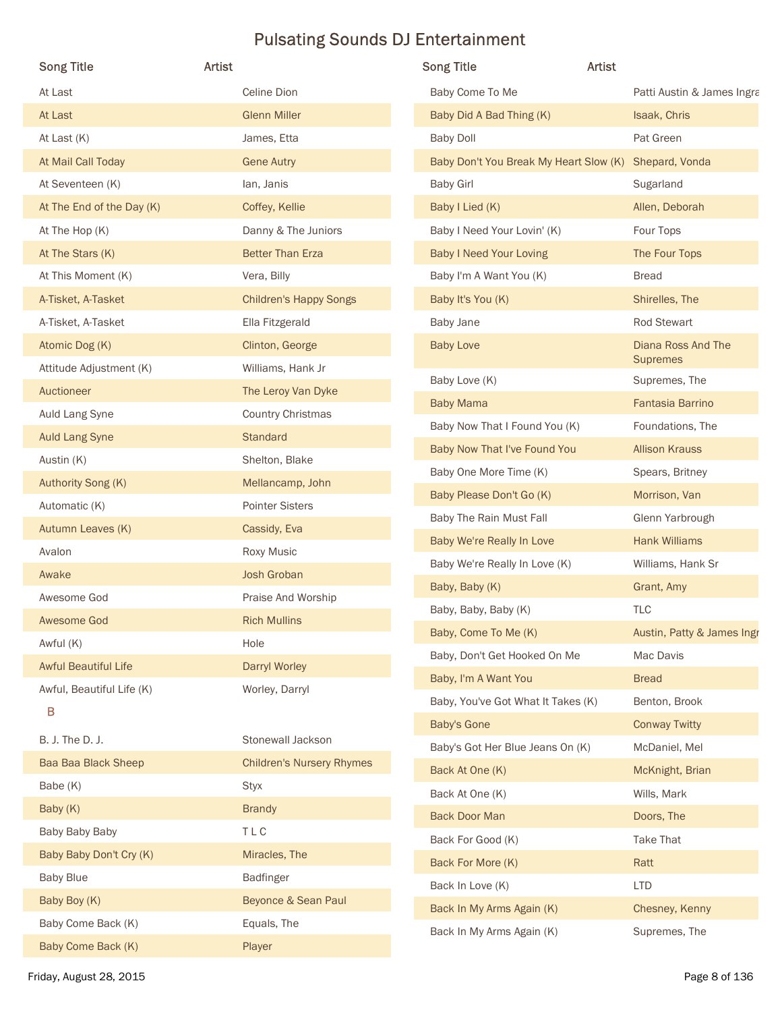| Celine Dion<br>Baby Come To Me<br>At Last<br>Patti Austin & James Ingra<br><b>Glenn Miller</b><br>Baby Did A Bad Thing (K)<br>At Last<br>Isaak, Chris<br>Pat Green<br>At Last (K)<br>James, Etta<br><b>Baby Doll</b><br>At Mail Call Today<br><b>Gene Autry</b><br>Baby Don't You Break My Heart Slow (K)<br>Shepard, Vonda<br>At Seventeen (K)<br>lan, Janis<br><b>Baby Girl</b><br>Sugarland<br>Coffey, Kellie<br>Baby I Lied (K)<br>At The End of the Day (K)<br>Allen, Deborah<br>At The Hop (K)<br>Danny & The Juniors<br>Baby I Need Your Lovin' (K)<br>Four Tops<br><b>Better Than Erza</b><br>At The Stars (K)<br><b>Baby I Need Your Loving</b><br>The Four Tops<br>Vera, Billy<br>Baby I'm A Want You (K)<br><b>Bread</b><br>At This Moment (K)<br>A-Tisket, A-Tasket<br><b>Children's Happy Songs</b><br>Baby It's You (K)<br>Shirelles, The<br>Rod Stewart<br>A-Tisket, A-Tasket<br>Ella Fitzgerald<br>Baby Jane<br>Diana Ross And The<br>Atomic Dog (K)<br>Clinton, George<br><b>Baby Love</b><br><b>Supremes</b><br>Williams, Hank Jr<br>Attitude Adjustment (K)<br>Baby Love (K)<br>Supremes, The<br>Auctioneer<br>The Leroy Van Dyke<br><b>Baby Mama</b><br>Fantasia Barrino<br><b>Country Christmas</b><br>Auld Lang Syne<br>Baby Now That I Found You (K)<br>Foundations, The<br>Standard<br><b>Auld Lang Syne</b><br>Baby Now That I've Found You<br><b>Allison Krauss</b><br>Shelton, Blake<br>Austin (K)<br>Spears, Britney<br>Baby One More Time (K)<br>Mellancamp, John<br>Authority Song (K)<br>Baby Please Don't Go (K)<br>Morrison, Van<br>Pointer Sisters<br>Automatic (K)<br>Glenn Yarbrough<br>Baby The Rain Must Fall<br>Cassidy, Eva<br>Autumn Leaves (K)<br>Baby We're Really In Love<br><b>Hank Williams</b><br>Roxy Music<br>Avalon<br>Williams, Hank Sr<br>Baby We're Really In Love (K)<br>Josh Groban<br>Awake<br>Baby, Baby (K)<br>Grant, Amy<br>Awesome God<br>Praise And Worship<br>TLC<br>Baby, Baby, Baby (K)<br><b>Rich Mullins</b><br>Awesome God<br>Baby, Come To Me (K)<br>Austin, Patty & James Ingr<br>Hole<br>Awful (K)<br>Mac Davis<br>Baby, Don't Get Hooked On Me<br><b>Awful Beautiful Life</b><br>Darryl Worley<br>Baby, I'm A Want You<br><b>Bread</b><br>Awful, Beautiful Life (K)<br>Worley, Darryl<br>Benton, Brook<br>Baby, You've Got What It Takes (K)<br>B<br><b>Baby's Gone</b><br><b>Conway Twitty</b><br>B. J. The D. J.<br>Stonewall Jackson<br>Baby's Got Her Blue Jeans On (K)<br>McDaniel, Mel<br>Baa Baa Black Sheep<br><b>Children's Nursery Rhymes</b><br>Back At One (K)<br>McKnight, Brian<br>Babe (K)<br><b>Styx</b><br>Back At One (K)<br>Wills, Mark<br>Baby (K)<br><b>Brandy</b><br><b>Back Door Man</b><br>Doors, The<br><b>TLC</b><br>Baby Baby Baby<br>Take That<br>Back For Good (K)<br>Miracles, The<br>Baby Baby Don't Cry (K)<br>Back For More (K)<br>Ratt<br><b>Baby Blue</b><br><b>Badfinger</b><br>Back In Love (K)<br><b>LTD</b><br>Baby Boy (K)<br>Beyonce & Sean Paul<br>Back In My Arms Again (K)<br>Chesney, Kenny<br>Baby Come Back (K)<br>Equals, The<br>Back In My Arms Again (K)<br>Supremes, The<br>Baby Come Back (K)<br>Player | <b>Song Title</b> | Artist | <b>Pulsating Sounds DJ Entertainment</b><br><b>Song Title</b><br>Artist |  |
|------------------------------------------------------------------------------------------------------------------------------------------------------------------------------------------------------------------------------------------------------------------------------------------------------------------------------------------------------------------------------------------------------------------------------------------------------------------------------------------------------------------------------------------------------------------------------------------------------------------------------------------------------------------------------------------------------------------------------------------------------------------------------------------------------------------------------------------------------------------------------------------------------------------------------------------------------------------------------------------------------------------------------------------------------------------------------------------------------------------------------------------------------------------------------------------------------------------------------------------------------------------------------------------------------------------------------------------------------------------------------------------------------------------------------------------------------------------------------------------------------------------------------------------------------------------------------------------------------------------------------------------------------------------------------------------------------------------------------------------------------------------------------------------------------------------------------------------------------------------------------------------------------------------------------------------------------------------------------------------------------------------------------------------------------------------------------------------------------------------------------------------------------------------------------------------------------------------------------------------------------------------------------------------------------------------------------------------------------------------------------------------------------------------------------------------------------------------------------------------------------------------------------------------------------------------------------------------------------------------------------------------------------------------------------------------------------------------------------------------------------------------------------------------------------------------------------------------------------------------------------------------------------------------------------------------------------------------------------------------------------------------------------------------------------------------------------------------------------------------------------------|-------------------|--------|-------------------------------------------------------------------------|--|
|                                                                                                                                                                                                                                                                                                                                                                                                                                                                                                                                                                                                                                                                                                                                                                                                                                                                                                                                                                                                                                                                                                                                                                                                                                                                                                                                                                                                                                                                                                                                                                                                                                                                                                                                                                                                                                                                                                                                                                                                                                                                                                                                                                                                                                                                                                                                                                                                                                                                                                                                                                                                                                                                                                                                                                                                                                                                                                                                                                                                                                                                                                                                    |                   |        |                                                                         |  |
|                                                                                                                                                                                                                                                                                                                                                                                                                                                                                                                                                                                                                                                                                                                                                                                                                                                                                                                                                                                                                                                                                                                                                                                                                                                                                                                                                                                                                                                                                                                                                                                                                                                                                                                                                                                                                                                                                                                                                                                                                                                                                                                                                                                                                                                                                                                                                                                                                                                                                                                                                                                                                                                                                                                                                                                                                                                                                                                                                                                                                                                                                                                                    |                   |        |                                                                         |  |
|                                                                                                                                                                                                                                                                                                                                                                                                                                                                                                                                                                                                                                                                                                                                                                                                                                                                                                                                                                                                                                                                                                                                                                                                                                                                                                                                                                                                                                                                                                                                                                                                                                                                                                                                                                                                                                                                                                                                                                                                                                                                                                                                                                                                                                                                                                                                                                                                                                                                                                                                                                                                                                                                                                                                                                                                                                                                                                                                                                                                                                                                                                                                    |                   |        |                                                                         |  |
|                                                                                                                                                                                                                                                                                                                                                                                                                                                                                                                                                                                                                                                                                                                                                                                                                                                                                                                                                                                                                                                                                                                                                                                                                                                                                                                                                                                                                                                                                                                                                                                                                                                                                                                                                                                                                                                                                                                                                                                                                                                                                                                                                                                                                                                                                                                                                                                                                                                                                                                                                                                                                                                                                                                                                                                                                                                                                                                                                                                                                                                                                                                                    |                   |        |                                                                         |  |
|                                                                                                                                                                                                                                                                                                                                                                                                                                                                                                                                                                                                                                                                                                                                                                                                                                                                                                                                                                                                                                                                                                                                                                                                                                                                                                                                                                                                                                                                                                                                                                                                                                                                                                                                                                                                                                                                                                                                                                                                                                                                                                                                                                                                                                                                                                                                                                                                                                                                                                                                                                                                                                                                                                                                                                                                                                                                                                                                                                                                                                                                                                                                    |                   |        |                                                                         |  |
|                                                                                                                                                                                                                                                                                                                                                                                                                                                                                                                                                                                                                                                                                                                                                                                                                                                                                                                                                                                                                                                                                                                                                                                                                                                                                                                                                                                                                                                                                                                                                                                                                                                                                                                                                                                                                                                                                                                                                                                                                                                                                                                                                                                                                                                                                                                                                                                                                                                                                                                                                                                                                                                                                                                                                                                                                                                                                                                                                                                                                                                                                                                                    |                   |        |                                                                         |  |
|                                                                                                                                                                                                                                                                                                                                                                                                                                                                                                                                                                                                                                                                                                                                                                                                                                                                                                                                                                                                                                                                                                                                                                                                                                                                                                                                                                                                                                                                                                                                                                                                                                                                                                                                                                                                                                                                                                                                                                                                                                                                                                                                                                                                                                                                                                                                                                                                                                                                                                                                                                                                                                                                                                                                                                                                                                                                                                                                                                                                                                                                                                                                    |                   |        |                                                                         |  |
|                                                                                                                                                                                                                                                                                                                                                                                                                                                                                                                                                                                                                                                                                                                                                                                                                                                                                                                                                                                                                                                                                                                                                                                                                                                                                                                                                                                                                                                                                                                                                                                                                                                                                                                                                                                                                                                                                                                                                                                                                                                                                                                                                                                                                                                                                                                                                                                                                                                                                                                                                                                                                                                                                                                                                                                                                                                                                                                                                                                                                                                                                                                                    |                   |        |                                                                         |  |
|                                                                                                                                                                                                                                                                                                                                                                                                                                                                                                                                                                                                                                                                                                                                                                                                                                                                                                                                                                                                                                                                                                                                                                                                                                                                                                                                                                                                                                                                                                                                                                                                                                                                                                                                                                                                                                                                                                                                                                                                                                                                                                                                                                                                                                                                                                                                                                                                                                                                                                                                                                                                                                                                                                                                                                                                                                                                                                                                                                                                                                                                                                                                    |                   |        |                                                                         |  |
|                                                                                                                                                                                                                                                                                                                                                                                                                                                                                                                                                                                                                                                                                                                                                                                                                                                                                                                                                                                                                                                                                                                                                                                                                                                                                                                                                                                                                                                                                                                                                                                                                                                                                                                                                                                                                                                                                                                                                                                                                                                                                                                                                                                                                                                                                                                                                                                                                                                                                                                                                                                                                                                                                                                                                                                                                                                                                                                                                                                                                                                                                                                                    |                   |        |                                                                         |  |
|                                                                                                                                                                                                                                                                                                                                                                                                                                                                                                                                                                                                                                                                                                                                                                                                                                                                                                                                                                                                                                                                                                                                                                                                                                                                                                                                                                                                                                                                                                                                                                                                                                                                                                                                                                                                                                                                                                                                                                                                                                                                                                                                                                                                                                                                                                                                                                                                                                                                                                                                                                                                                                                                                                                                                                                                                                                                                                                                                                                                                                                                                                                                    |                   |        |                                                                         |  |
|                                                                                                                                                                                                                                                                                                                                                                                                                                                                                                                                                                                                                                                                                                                                                                                                                                                                                                                                                                                                                                                                                                                                                                                                                                                                                                                                                                                                                                                                                                                                                                                                                                                                                                                                                                                                                                                                                                                                                                                                                                                                                                                                                                                                                                                                                                                                                                                                                                                                                                                                                                                                                                                                                                                                                                                                                                                                                                                                                                                                                                                                                                                                    |                   |        |                                                                         |  |
|                                                                                                                                                                                                                                                                                                                                                                                                                                                                                                                                                                                                                                                                                                                                                                                                                                                                                                                                                                                                                                                                                                                                                                                                                                                                                                                                                                                                                                                                                                                                                                                                                                                                                                                                                                                                                                                                                                                                                                                                                                                                                                                                                                                                                                                                                                                                                                                                                                                                                                                                                                                                                                                                                                                                                                                                                                                                                                                                                                                                                                                                                                                                    |                   |        |                                                                         |  |
|                                                                                                                                                                                                                                                                                                                                                                                                                                                                                                                                                                                                                                                                                                                                                                                                                                                                                                                                                                                                                                                                                                                                                                                                                                                                                                                                                                                                                                                                                                                                                                                                                                                                                                                                                                                                                                                                                                                                                                                                                                                                                                                                                                                                                                                                                                                                                                                                                                                                                                                                                                                                                                                                                                                                                                                                                                                                                                                                                                                                                                                                                                                                    |                   |        |                                                                         |  |
|                                                                                                                                                                                                                                                                                                                                                                                                                                                                                                                                                                                                                                                                                                                                                                                                                                                                                                                                                                                                                                                                                                                                                                                                                                                                                                                                                                                                                                                                                                                                                                                                                                                                                                                                                                                                                                                                                                                                                                                                                                                                                                                                                                                                                                                                                                                                                                                                                                                                                                                                                                                                                                                                                                                                                                                                                                                                                                                                                                                                                                                                                                                                    |                   |        |                                                                         |  |
|                                                                                                                                                                                                                                                                                                                                                                                                                                                                                                                                                                                                                                                                                                                                                                                                                                                                                                                                                                                                                                                                                                                                                                                                                                                                                                                                                                                                                                                                                                                                                                                                                                                                                                                                                                                                                                                                                                                                                                                                                                                                                                                                                                                                                                                                                                                                                                                                                                                                                                                                                                                                                                                                                                                                                                                                                                                                                                                                                                                                                                                                                                                                    |                   |        |                                                                         |  |
|                                                                                                                                                                                                                                                                                                                                                                                                                                                                                                                                                                                                                                                                                                                                                                                                                                                                                                                                                                                                                                                                                                                                                                                                                                                                                                                                                                                                                                                                                                                                                                                                                                                                                                                                                                                                                                                                                                                                                                                                                                                                                                                                                                                                                                                                                                                                                                                                                                                                                                                                                                                                                                                                                                                                                                                                                                                                                                                                                                                                                                                                                                                                    |                   |        |                                                                         |  |
|                                                                                                                                                                                                                                                                                                                                                                                                                                                                                                                                                                                                                                                                                                                                                                                                                                                                                                                                                                                                                                                                                                                                                                                                                                                                                                                                                                                                                                                                                                                                                                                                                                                                                                                                                                                                                                                                                                                                                                                                                                                                                                                                                                                                                                                                                                                                                                                                                                                                                                                                                                                                                                                                                                                                                                                                                                                                                                                                                                                                                                                                                                                                    |                   |        |                                                                         |  |
|                                                                                                                                                                                                                                                                                                                                                                                                                                                                                                                                                                                                                                                                                                                                                                                                                                                                                                                                                                                                                                                                                                                                                                                                                                                                                                                                                                                                                                                                                                                                                                                                                                                                                                                                                                                                                                                                                                                                                                                                                                                                                                                                                                                                                                                                                                                                                                                                                                                                                                                                                                                                                                                                                                                                                                                                                                                                                                                                                                                                                                                                                                                                    |                   |        |                                                                         |  |
|                                                                                                                                                                                                                                                                                                                                                                                                                                                                                                                                                                                                                                                                                                                                                                                                                                                                                                                                                                                                                                                                                                                                                                                                                                                                                                                                                                                                                                                                                                                                                                                                                                                                                                                                                                                                                                                                                                                                                                                                                                                                                                                                                                                                                                                                                                                                                                                                                                                                                                                                                                                                                                                                                                                                                                                                                                                                                                                                                                                                                                                                                                                                    |                   |        |                                                                         |  |
|                                                                                                                                                                                                                                                                                                                                                                                                                                                                                                                                                                                                                                                                                                                                                                                                                                                                                                                                                                                                                                                                                                                                                                                                                                                                                                                                                                                                                                                                                                                                                                                                                                                                                                                                                                                                                                                                                                                                                                                                                                                                                                                                                                                                                                                                                                                                                                                                                                                                                                                                                                                                                                                                                                                                                                                                                                                                                                                                                                                                                                                                                                                                    |                   |        |                                                                         |  |
|                                                                                                                                                                                                                                                                                                                                                                                                                                                                                                                                                                                                                                                                                                                                                                                                                                                                                                                                                                                                                                                                                                                                                                                                                                                                                                                                                                                                                                                                                                                                                                                                                                                                                                                                                                                                                                                                                                                                                                                                                                                                                                                                                                                                                                                                                                                                                                                                                                                                                                                                                                                                                                                                                                                                                                                                                                                                                                                                                                                                                                                                                                                                    |                   |        |                                                                         |  |
|                                                                                                                                                                                                                                                                                                                                                                                                                                                                                                                                                                                                                                                                                                                                                                                                                                                                                                                                                                                                                                                                                                                                                                                                                                                                                                                                                                                                                                                                                                                                                                                                                                                                                                                                                                                                                                                                                                                                                                                                                                                                                                                                                                                                                                                                                                                                                                                                                                                                                                                                                                                                                                                                                                                                                                                                                                                                                                                                                                                                                                                                                                                                    |                   |        |                                                                         |  |
|                                                                                                                                                                                                                                                                                                                                                                                                                                                                                                                                                                                                                                                                                                                                                                                                                                                                                                                                                                                                                                                                                                                                                                                                                                                                                                                                                                                                                                                                                                                                                                                                                                                                                                                                                                                                                                                                                                                                                                                                                                                                                                                                                                                                                                                                                                                                                                                                                                                                                                                                                                                                                                                                                                                                                                                                                                                                                                                                                                                                                                                                                                                                    |                   |        |                                                                         |  |
|                                                                                                                                                                                                                                                                                                                                                                                                                                                                                                                                                                                                                                                                                                                                                                                                                                                                                                                                                                                                                                                                                                                                                                                                                                                                                                                                                                                                                                                                                                                                                                                                                                                                                                                                                                                                                                                                                                                                                                                                                                                                                                                                                                                                                                                                                                                                                                                                                                                                                                                                                                                                                                                                                                                                                                                                                                                                                                                                                                                                                                                                                                                                    |                   |        |                                                                         |  |
|                                                                                                                                                                                                                                                                                                                                                                                                                                                                                                                                                                                                                                                                                                                                                                                                                                                                                                                                                                                                                                                                                                                                                                                                                                                                                                                                                                                                                                                                                                                                                                                                                                                                                                                                                                                                                                                                                                                                                                                                                                                                                                                                                                                                                                                                                                                                                                                                                                                                                                                                                                                                                                                                                                                                                                                                                                                                                                                                                                                                                                                                                                                                    |                   |        |                                                                         |  |
|                                                                                                                                                                                                                                                                                                                                                                                                                                                                                                                                                                                                                                                                                                                                                                                                                                                                                                                                                                                                                                                                                                                                                                                                                                                                                                                                                                                                                                                                                                                                                                                                                                                                                                                                                                                                                                                                                                                                                                                                                                                                                                                                                                                                                                                                                                                                                                                                                                                                                                                                                                                                                                                                                                                                                                                                                                                                                                                                                                                                                                                                                                                                    |                   |        |                                                                         |  |
|                                                                                                                                                                                                                                                                                                                                                                                                                                                                                                                                                                                                                                                                                                                                                                                                                                                                                                                                                                                                                                                                                                                                                                                                                                                                                                                                                                                                                                                                                                                                                                                                                                                                                                                                                                                                                                                                                                                                                                                                                                                                                                                                                                                                                                                                                                                                                                                                                                                                                                                                                                                                                                                                                                                                                                                                                                                                                                                                                                                                                                                                                                                                    |                   |        |                                                                         |  |
|                                                                                                                                                                                                                                                                                                                                                                                                                                                                                                                                                                                                                                                                                                                                                                                                                                                                                                                                                                                                                                                                                                                                                                                                                                                                                                                                                                                                                                                                                                                                                                                                                                                                                                                                                                                                                                                                                                                                                                                                                                                                                                                                                                                                                                                                                                                                                                                                                                                                                                                                                                                                                                                                                                                                                                                                                                                                                                                                                                                                                                                                                                                                    |                   |        |                                                                         |  |
|                                                                                                                                                                                                                                                                                                                                                                                                                                                                                                                                                                                                                                                                                                                                                                                                                                                                                                                                                                                                                                                                                                                                                                                                                                                                                                                                                                                                                                                                                                                                                                                                                                                                                                                                                                                                                                                                                                                                                                                                                                                                                                                                                                                                                                                                                                                                                                                                                                                                                                                                                                                                                                                                                                                                                                                                                                                                                                                                                                                                                                                                                                                                    |                   |        |                                                                         |  |
|                                                                                                                                                                                                                                                                                                                                                                                                                                                                                                                                                                                                                                                                                                                                                                                                                                                                                                                                                                                                                                                                                                                                                                                                                                                                                                                                                                                                                                                                                                                                                                                                                                                                                                                                                                                                                                                                                                                                                                                                                                                                                                                                                                                                                                                                                                                                                                                                                                                                                                                                                                                                                                                                                                                                                                                                                                                                                                                                                                                                                                                                                                                                    |                   |        |                                                                         |  |
|                                                                                                                                                                                                                                                                                                                                                                                                                                                                                                                                                                                                                                                                                                                                                                                                                                                                                                                                                                                                                                                                                                                                                                                                                                                                                                                                                                                                                                                                                                                                                                                                                                                                                                                                                                                                                                                                                                                                                                                                                                                                                                                                                                                                                                                                                                                                                                                                                                                                                                                                                                                                                                                                                                                                                                                                                                                                                                                                                                                                                                                                                                                                    |                   |        |                                                                         |  |
|                                                                                                                                                                                                                                                                                                                                                                                                                                                                                                                                                                                                                                                                                                                                                                                                                                                                                                                                                                                                                                                                                                                                                                                                                                                                                                                                                                                                                                                                                                                                                                                                                                                                                                                                                                                                                                                                                                                                                                                                                                                                                                                                                                                                                                                                                                                                                                                                                                                                                                                                                                                                                                                                                                                                                                                                                                                                                                                                                                                                                                                                                                                                    |                   |        |                                                                         |  |
|                                                                                                                                                                                                                                                                                                                                                                                                                                                                                                                                                                                                                                                                                                                                                                                                                                                                                                                                                                                                                                                                                                                                                                                                                                                                                                                                                                                                                                                                                                                                                                                                                                                                                                                                                                                                                                                                                                                                                                                                                                                                                                                                                                                                                                                                                                                                                                                                                                                                                                                                                                                                                                                                                                                                                                                                                                                                                                                                                                                                                                                                                                                                    |                   |        |                                                                         |  |
|                                                                                                                                                                                                                                                                                                                                                                                                                                                                                                                                                                                                                                                                                                                                                                                                                                                                                                                                                                                                                                                                                                                                                                                                                                                                                                                                                                                                                                                                                                                                                                                                                                                                                                                                                                                                                                                                                                                                                                                                                                                                                                                                                                                                                                                                                                                                                                                                                                                                                                                                                                                                                                                                                                                                                                                                                                                                                                                                                                                                                                                                                                                                    |                   |        |                                                                         |  |
|                                                                                                                                                                                                                                                                                                                                                                                                                                                                                                                                                                                                                                                                                                                                                                                                                                                                                                                                                                                                                                                                                                                                                                                                                                                                                                                                                                                                                                                                                                                                                                                                                                                                                                                                                                                                                                                                                                                                                                                                                                                                                                                                                                                                                                                                                                                                                                                                                                                                                                                                                                                                                                                                                                                                                                                                                                                                                                                                                                                                                                                                                                                                    |                   |        |                                                                         |  |
|                                                                                                                                                                                                                                                                                                                                                                                                                                                                                                                                                                                                                                                                                                                                                                                                                                                                                                                                                                                                                                                                                                                                                                                                                                                                                                                                                                                                                                                                                                                                                                                                                                                                                                                                                                                                                                                                                                                                                                                                                                                                                                                                                                                                                                                                                                                                                                                                                                                                                                                                                                                                                                                                                                                                                                                                                                                                                                                                                                                                                                                                                                                                    |                   |        |                                                                         |  |
|                                                                                                                                                                                                                                                                                                                                                                                                                                                                                                                                                                                                                                                                                                                                                                                                                                                                                                                                                                                                                                                                                                                                                                                                                                                                                                                                                                                                                                                                                                                                                                                                                                                                                                                                                                                                                                                                                                                                                                                                                                                                                                                                                                                                                                                                                                                                                                                                                                                                                                                                                                                                                                                                                                                                                                                                                                                                                                                                                                                                                                                                                                                                    |                   |        |                                                                         |  |

| <b>Entertainment</b>                                       |                                       |
|------------------------------------------------------------|---------------------------------------|
| Artist<br><b>Song Title</b>                                |                                       |
|                                                            |                                       |
| Baby Come To Me                                            | Patti Austin & James Ingra            |
| Baby Did A Bad Thing (K)                                   | Isaak, Chris<br>Pat Green             |
| <b>Baby Doll</b><br>Baby Don't You Break My Heart Slow (K) | Shepard, Vonda                        |
|                                                            |                                       |
| <b>Baby Girl</b><br>Baby I Lied (K)                        | Sugarland<br>Allen, Deborah           |
| Baby I Need Your Lovin' (K)                                | Four Tops                             |
| <b>Baby I Need Your Loving</b>                             | The Four Tops                         |
| Baby I'm A Want You (K)                                    | <b>Bread</b>                          |
| Baby It's You (K)                                          | Shirelles, The                        |
| Baby Jane                                                  | Rod Stewart                           |
| <b>Baby Love</b>                                           | Diana Ross And The<br><b>Supremes</b> |
| Baby Love (K)                                              | Supremes, The                         |
| <b>Baby Mama</b>                                           | Fantasia Barrino                      |
| Baby Now That I Found You (K)                              | Foundations, The                      |
| Baby Now That I've Found You                               | <b>Allison Krauss</b>                 |
| Baby One More Time (K)                                     | Spears, Britney                       |
| Baby Please Don't Go (K)                                   | Morrison, Van                         |
| Baby The Rain Must Fall                                    | Glenn Yarbrough                       |
| Baby We're Really In Love                                  | <b>Hank Williams</b>                  |
| Baby We're Really In Love (K)                              | Williams, Hank Sr                     |
| Baby, Baby (K)                                             | Grant, Amy                            |
| Baby, Baby, Baby (K)                                       | <b>TLC</b>                            |
| Baby, Come To Me (K)                                       | Austin, Patty & James Ingr            |
| Baby, Don't Get Hooked On Me                               | Mac Davis                             |
| Baby, I'm A Want You                                       | <b>Bread</b>                          |
| Baby, You've Got What It Takes (K)                         | Benton, Brook                         |
| Baby's Gone                                                | <b>Conway Twitty</b>                  |
| Baby's Got Her Blue Jeans On (K)                           | McDaniel, Mel                         |
| Back At One (K)                                            | McKnight, Brian                       |
| Back At One (K)                                            | Wills, Mark                           |
| <b>Back Door Man</b>                                       | Doors, The                            |
| Back For Good (K)                                          | Take That                             |
| Back For More (K)                                          | Ratt                                  |
| Back In Love (K)                                           | <b>LTD</b>                            |
| Back In My Arms Again (K)                                  | Chesney, Kenny                        |
| Back In My Arms Again (K)                                  | Supremes, The                         |
|                                                            |                                       |
|                                                            | Page 8 of 136                         |
|                                                            |                                       |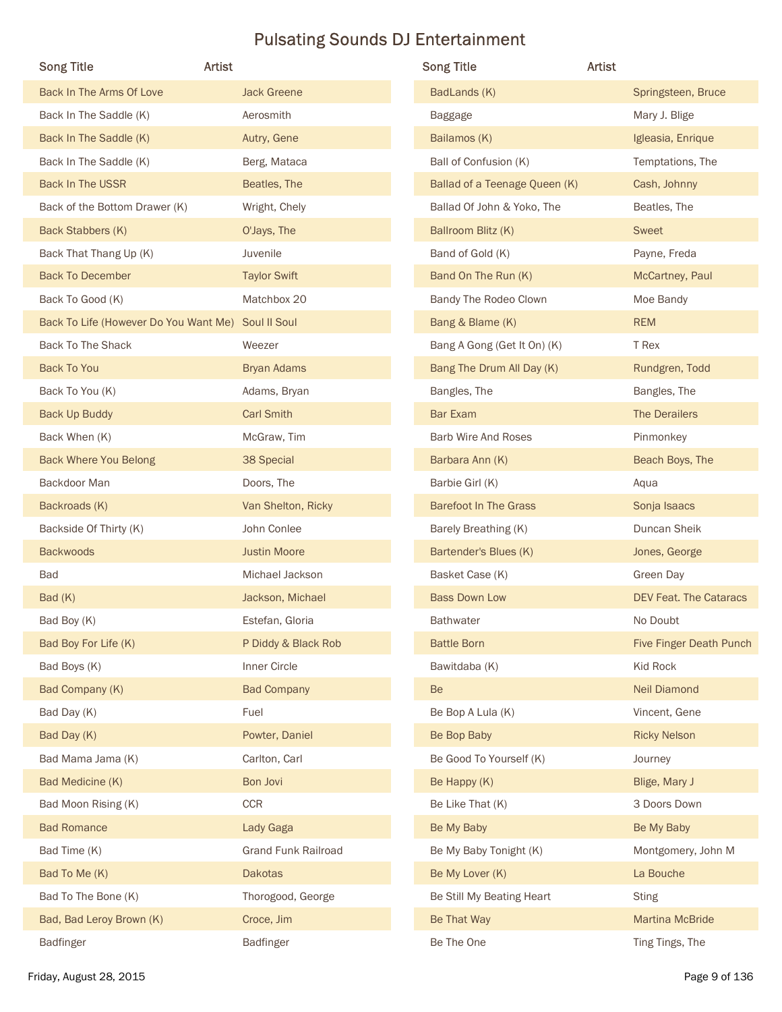|                              | Artist                                             |                     | <b>Song Title</b>             | Artist                  |
|------------------------------|----------------------------------------------------|---------------------|-------------------------------|-------------------------|
|                              | Back In The Arms Of Love                           | <b>Jack Greene</b>  | BadLands (K)                  | Springsteen, Bruce      |
| Back In The Saddle (K)       |                                                    | Aerosmith           | Baggage                       | Mary J. Blige           |
| Back In The Saddle (K)       |                                                    | Autry, Gene         | Bailamos (K)                  | Igleasia, Enrique       |
| Back In The Saddle (K)       |                                                    | Berg, Mataca        | Ball of Confusion (K)         | Temptations, The        |
| Back In The USSR             |                                                    | Beatles, The        | Ballad of a Teenage Queen (K) | Cash, Johnny            |
|                              | Back of the Bottom Drawer (K)                      | Wright, Chely       | Ballad Of John & Yoko, The    | Beatles, The            |
| Back Stabbers (K)            |                                                    | O'Jays, The         | Ballroom Blitz (K)            | Sweet                   |
| Back That Thang Up (K)       |                                                    | Juvenile            | Band of Gold (K)              | Payne, Freda            |
| <b>Back To December</b>      |                                                    | <b>Taylor Swift</b> | Band On The Run (K)           | McCartney, Paul         |
| Back To Good (K)             |                                                    | Matchbox 20         | Bandy The Rodeo Clown         | Moe Bandy               |
|                              | Back To Life (However Do You Want Me) Soul II Soul |                     | Bang & Blame (K)              | <b>REM</b>              |
| Back To The Shack            |                                                    | Weezer              | Bang A Gong (Get It On) (K)   | T Rex                   |
| <b>Back To You</b>           |                                                    | <b>Bryan Adams</b>  | Bang The Drum All Day (K)     | Rundgren, Todd          |
| Back To You (K)              |                                                    | Adams, Bryan        | Bangles, The                  | Bangles, The            |
| <b>Back Up Buddy</b>         |                                                    | <b>Carl Smith</b>   | <b>Bar Exam</b>               | The Derailers           |
| Back When (K)                |                                                    | McGraw, Tim         | Barb Wire And Roses           | Pinmonkey               |
| <b>Back Where You Belong</b> |                                                    | 38 Special          | Barbara Ann (K)               | Beach Boys, The         |
| Backdoor Man                 |                                                    | Doors, The          | Barbie Girl (K)               | Aqua                    |
| Backroads (K)                |                                                    | Van Shelton, Ricky  | <b>Barefoot In The Grass</b>  | Sonja Isaacs            |
| Backside Of Thirty (K)       |                                                    | John Conlee         | Barely Breathing (K)          | Duncan Sheik            |
| Backwoods                    |                                                    | <b>Justin Moore</b> | Bartender's Blues (K)         | Jones, George           |
| Bad                          |                                                    | Michael Jackson     | Basket Case (K)               | Green Day               |
| Bad (K)                      |                                                    | Jackson, Michael    | <b>Bass Down Low</b>          | DEV Feat. The Cataracs  |
| Bad Boy (K)                  |                                                    | Estefan, Gloria     | Bathwater                     | No Doubt                |
| Bad Boy For Life (K)         |                                                    | P Diddy & Black Rob | <b>Battle Born</b>            | Five Finger Death Punch |
| Bad Boys (K)                 |                                                    | Inner Circle        | Bawitdaba (K)                 | Kid Rock                |
| Bad Company (K)              |                                                    | <b>Bad Company</b>  | Be                            | Neil Diamond            |
| Bad Day (K)                  |                                                    | Fuel                | Be Bop A Lula (K)             | Vincent, Gene           |
| Bad Day (K)                  |                                                    | Powter, Daniel      | Be Bop Baby                   | <b>Ricky Nelson</b>     |
| Bad Mama Jama (K)            |                                                    | Carlton, Carl       | Be Good To Yourself (K)       | Journey                 |
| Bad Medicine (K)             |                                                    | Bon Jovi            | Be Happy (K)                  | Blige, Mary J           |
| Bad Moon Rising (K)          |                                                    | CCR                 | Be Like That (K)              | 3 Doors Down            |
| <b>Bad Romance</b>           |                                                    | Lady Gaga           | Be My Baby                    | Be My Baby              |
| Bad Time (K)                 |                                                    | Grand Funk Railroad | Be My Baby Tonight (K)        | Montgomery, John M      |
| Bad To Me (K)                |                                                    | <b>Dakotas</b>      | Be My Lover (K)               | La Bouche               |
| Bad To The Bone (K)          |                                                    | Thorogood, George   | Be Still My Beating Heart     | <b>Sting</b>            |
|                              | Bad, Bad Leroy Brown (K)                           | Croce, Jim          | Be That Way                   | Martina McBride         |
| Badfinger                    |                                                    | <b>Badfinger</b>    | Be The One                    | Ting Tings, The         |
|                              | Friday, August 28, 2015                            |                     |                               | Page 9 of 136           |

| <b>Intertainment</b>          |                                  |
|-------------------------------|----------------------------------|
| <b>Song Title</b>             | Artist                           |
| BadLands (K)                  | Springsteen, Bruce               |
| <b>Baggage</b>                | Mary J. Blige                    |
| Bailamos (K)                  | Igleasia, Enrique                |
| Ball of Confusion (K)         | Temptations, The                 |
| Ballad of a Teenage Queen (K) | Cash, Johnny                     |
| Ballad Of John & Yoko, The    | Beatles, The                     |
| Ballroom Blitz (K)            | Sweet                            |
| Band of Gold (K)              | Payne, Freda                     |
| Band On The Run (K)           | McCartney, Paul                  |
| Bandy The Rodeo Clown         | Moe Bandy                        |
| Bang & Blame (K)              | <b>REM</b>                       |
| Bang A Gong (Get It On) (K)   | T Rex                            |
| Bang The Drum All Day (K)     | Rundgren, Todd                   |
| Bangles, The                  | Bangles, The                     |
| Bar Exam                      | <b>The Derailers</b>             |
| <b>Barb Wire And Roses</b>    | Pinmonkey                        |
| Barbara Ann (K)               | Beach Boys, The                  |
| Barbie Girl (K)               | Aqua                             |
| <b>Barefoot In The Grass</b>  | Sonja Isaacs                     |
| Barely Breathing (K)          | Duncan Sheik                     |
| Bartender's Blues (K)         | Jones, George                    |
| Basket Case (K)               | Green Day                        |
| <b>Bass Down Low</b>          | <b>DEV Feat. The Cataracs</b>    |
| Bathwater                     | No Doubt                         |
| <b>Battle Born</b>            | Five Finger Death Punch          |
| Bawitdaba (K)                 | Kid Rock                         |
| Be                            | <b>Neil Diamond</b>              |
| Be Bop A Lula (K)             | Vincent, Gene                    |
| Be Bop Baby                   | <b>Ricky Nelson</b>              |
| Be Good To Yourself (K)       | Journey                          |
| Be Happy (K)                  | Blige, Mary J                    |
| Be Like That (K)              | 3 Doors Down                     |
| Be My Baby                    | Be My Baby                       |
| Be My Baby Tonight (K)        | Montgomery, John M               |
| Be My Lover (K)               | La Bouche                        |
| Be Still My Beating Heart     | <b>Sting</b>                     |
| Be That Way                   | <b>Martina McBride</b>           |
| Be The One                    | Ting Tings, The<br>Page 9 of 136 |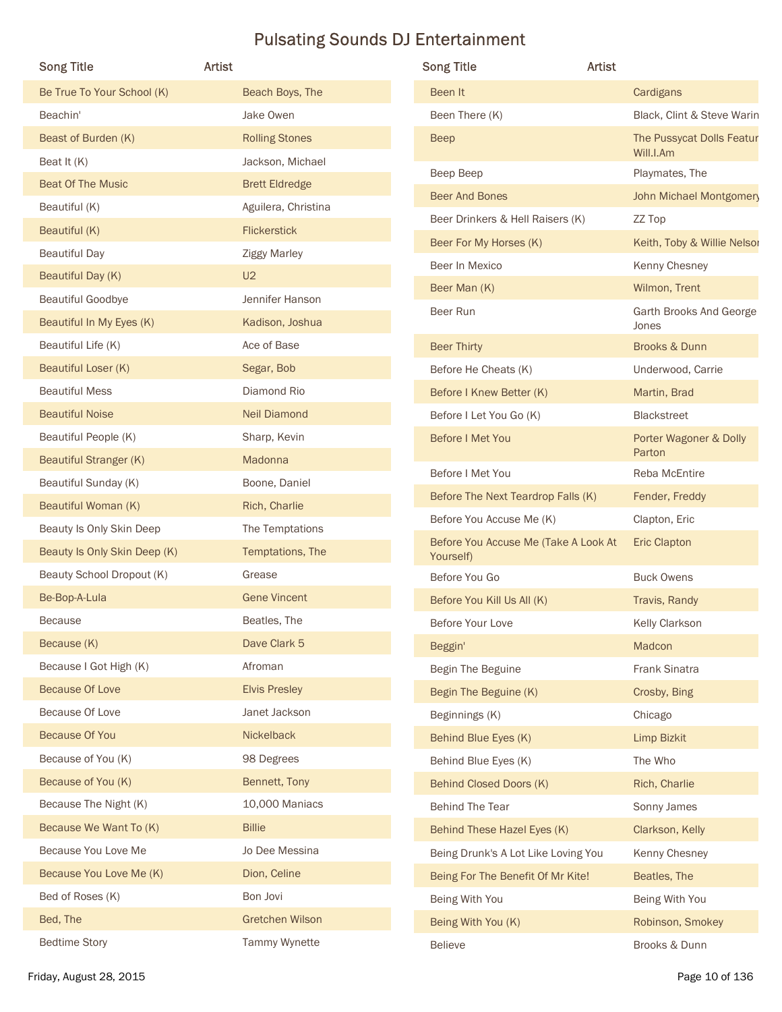|                                                          | Artist                              | <b>Song Title</b><br>Artist                       |                                  |
|----------------------------------------------------------|-------------------------------------|---------------------------------------------------|----------------------------------|
| Be True To Your School (K)                               | Beach Boys, The                     | Been It                                           | Cardigans                        |
| Beachin'                                                 | Jake Owen                           | Been There (K)                                    | Black, Clint & Steve Warin       |
| Beast of Burden (K)                                      | <b>Rolling Stones</b>               | Beep                                              | The Pussycat Dolls Featur        |
| Beat It (K)                                              | Jackson, Michael                    | Beep Beep                                         | Will.I.Am<br>Playmates, The      |
| <b>Beat Of The Music</b>                                 | <b>Brett Eldredge</b>               | <b>Beer And Bones</b>                             | John Michael Montgomery          |
| Beautiful (K)                                            | Aguilera, Christina                 | Beer Drinkers & Hell Raisers (K)                  | ZZ Top                           |
| Beautiful (K)                                            | <b>Flickerstick</b>                 | Beer For My Horses (K)                            | Keith, Toby & Willie Nelsor      |
| <b>Beautiful Day</b>                                     | Ziggy Marley                        | Beer In Mexico                                    | Kenny Chesney                    |
| Beautiful Day (K)                                        | U2                                  | Beer Man (K)                                      | Wilmon, Trent                    |
| <b>Beautiful Goodbye</b>                                 | Jennifer Hanson                     | Beer Run                                          | Garth Brooks And George          |
| Beautiful In My Eyes (K)                                 | Kadison, Joshua                     |                                                   | Jones                            |
| Beautiful Life (K)                                       | Ace of Base                         | <b>Beer Thirty</b>                                | Brooks & Dunn                    |
| Beautiful Loser (K)                                      | Segar, Bob                          | Before He Cheats (K)                              | Underwood, Carrie                |
| <b>Beautiful Mess</b>                                    | Diamond Rio                         | Before I Knew Better (K)                          | Martin, Brad                     |
| <b>Beautiful Noise</b>                                   | <b>Neil Diamond</b>                 | Before I Let You Go (K)                           | Blackstreet                      |
| Beautiful People (K)                                     | Sharp, Kevin                        | Before I Met You                                  | Porter Wagoner & Dolly<br>Parton |
| <b>Beautiful Stranger (K)</b>                            | Madonna                             | Before I Met You                                  | Reba McEntire                    |
| Beautiful Sunday (K)                                     | Boone, Daniel                       | Before The Next Teardrop Falls (K)                | Fender, Freddy                   |
| Beautiful Woman (K)                                      | Rich, Charlie                       | Before You Accuse Me (K)                          | Clapton, Eric                    |
| Beauty Is Only Skin Deep<br>Beauty Is Only Skin Deep (K) | The Temptations<br>Temptations, The | Before You Accuse Me (Take A Look At<br>Yourself) | Eric Clapton                     |
| Beauty School Dropout (K)                                | Grease                              | Before You Go                                     | <b>Buck Owens</b>                |
| Be-Bop-A-Lula                                            | <b>Gene Vincent</b>                 | Before You Kill Us All (K)                        | Travis, Randy                    |
| Because                                                  | Beatles, The                        | Before Your Love                                  | Kelly Clarkson                   |
| Because (K)                                              | Dave Clark 5                        | Beggin'                                           | Madcon                           |
| Because I Got High (K)                                   | Afroman                             | Begin The Beguine                                 | Frank Sinatra                    |
| <b>Because Of Love</b>                                   | <b>Elvis Presley</b>                | Begin The Beguine (K)                             | Crosby, Bing                     |
| Because Of Love                                          | Janet Jackson                       | Beginnings (K)                                    | Chicago                          |
| <b>Because Of You</b>                                    | Nickelback                          | Behind Blue Eyes (K)                              | Limp Bizkit                      |
| Because of You (K)                                       | 98 Degrees                          | Behind Blue Eyes (K)                              | The Who                          |
| Because of You (K)                                       | Bennett, Tony                       | Behind Closed Doors (K)                           | Rich, Charlie                    |
| Because The Night (K)                                    | 10,000 Maniacs                      | Behind The Tear                                   | Sonny James                      |
| Because We Want To (K)                                   | <b>Billie</b>                       | Behind These Hazel Eyes (K)                       | Clarkson, Kelly                  |
| Because You Love Me                                      | Jo Dee Messina                      | Being Drunk's A Lot Like Loving You               | Kenny Chesney                    |
| Because You Love Me (K)                                  | Dion, Celine                        | Being For The Benefit Of Mr Kite!                 | Beatles, The                     |
| Bed of Roses (K)                                         | Bon Jovi                            | Being With You                                    | Being With You                   |
| Bed, The                                                 | <b>Gretchen Wilson</b>              | Being With You (K)                                | Robinson, Smokey                 |
|                                                          |                                     |                                                   |                                  |

| <b>Intertainment</b>                              |                                        |
|---------------------------------------------------|----------------------------------------|
| <b>Song Title</b>                                 | Artist                                 |
| Been It                                           | Cardigans                              |
| Been There (K)                                    | Black, Clint & Steve Warin             |
| <b>Beep</b>                                       | The Pussycat Dolls Featur<br>Will.I.Am |
| Beep Beep                                         | Playmates, The                         |
| <b>Beer And Bones</b>                             | John Michael Montgomery                |
| Beer Drinkers & Hell Raisers (K)                  | ZZ Top                                 |
| Beer For My Horses (K)                            | Keith, Toby & Willie Nelsor            |
| Beer In Mexico                                    | Kenny Chesney                          |
| Beer Man (K)                                      | Wilmon, Trent                          |
| Beer Run                                          | Garth Brooks And George<br>Jones       |
| <b>Beer Thirty</b>                                | <b>Brooks &amp; Dunn</b>               |
| Before He Cheats (K)                              | Underwood, Carrie                      |
| Before I Knew Better (K)                          | Martin, Brad                           |
| Before I Let You Go (K)                           | Blackstreet                            |
| <b>Before I Met You</b>                           | Porter Wagoner & Dolly<br>Parton       |
| Before I Met You                                  | Reba McEntire                          |
| Before The Next Teardrop Falls (K)                | Fender, Freddy                         |
| Before You Accuse Me (K)                          | Clapton, Eric                          |
| Before You Accuse Me (Take A Look At<br>Yourself) | <b>Eric Clapton</b>                    |
| Before You Go                                     | <b>Buck Owens</b>                      |
| Before You Kill Us All (K)                        | Travis, Randy                          |
| Before Your Love                                  | Kelly Clarkson                         |
| Beggin'                                           | Madcon                                 |
| Begin The Beguine                                 | Frank Sinatra                          |
| Begin The Beguine (K)                             | Crosby, Bing                           |
| Beginnings (K)                                    | Chicago                                |
| Behind Blue Eyes (K)<br>Behind Blue Eyes (K)      | Limp Bizkit<br>The Who                 |
| <b>Behind Closed Doors (K)</b>                    | Rich, Charlie                          |
| <b>Behind The Tear</b>                            | Sonny James                            |
| Behind These Hazel Eyes (K)                       | Clarkson, Kelly                        |
| Being Drunk's A Lot Like Loving You               | Kenny Chesney                          |
| Being For The Benefit Of Mr Kite!                 | Beatles, The                           |
| Being With You                                    | Being With You                         |
| Being With You (K)                                | Robinson, Smokey                       |
| <b>Believe</b>                                    | Brooks & Dunn                          |
|                                                   | Page 10 of 136                         |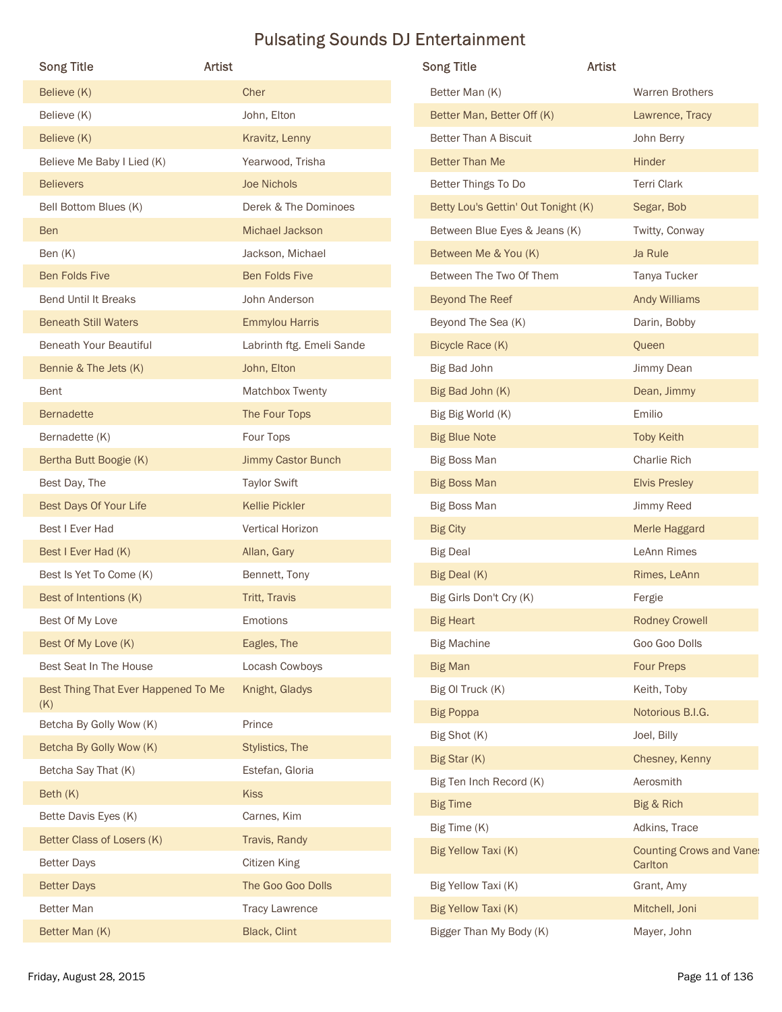| <b>Song Title</b><br>Artist                |                           | <b>Song Title</b><br>Artist         |                                            |
|--------------------------------------------|---------------------------|-------------------------------------|--------------------------------------------|
| Believe (K)                                | Cher                      | Better Man (K)                      | Warren Brothers                            |
| Believe (K)                                | John, Elton               | Better Man, Better Off (K)          | Lawrence, Tracy                            |
| Believe (K)                                | Kravitz, Lenny            | <b>Better Than A Biscuit</b>        | John Berry                                 |
| Believe Me Baby I Lied (K)                 | Yearwood, Trisha          | <b>Better Than Me</b>               | Hinder                                     |
| <b>Believers</b>                           | <b>Joe Nichols</b>        | Better Things To Do                 | <b>Terri Clark</b>                         |
| Bell Bottom Blues (K)                      | Derek & The Dominoes      | Betty Lou's Gettin' Out Tonight (K) | Segar, Bob                                 |
| <b>Ben</b>                                 | Michael Jackson           | Between Blue Eyes & Jeans (K)       | Twitty, Conway                             |
| Ben (K)                                    | Jackson, Michael          | Between Me & You (K)                | Ja Rule                                    |
| <b>Ben Folds Five</b>                      | <b>Ben Folds Five</b>     | Between The Two Of Them             | Tanya Tucker                               |
| <b>Bend Until It Breaks</b>                | John Anderson             | <b>Beyond The Reef</b>              | Andy Williams                              |
| <b>Beneath Still Waters</b>                | <b>Emmylou Harris</b>     | Beyond The Sea (K)                  | Darin, Bobby                               |
| <b>Beneath Your Beautiful</b>              | Labrinth ftg. Emeli Sande | Bicycle Race (K)                    | Queen                                      |
| Bennie & The Jets (K)                      | John, Elton               | Big Bad John                        | Jimmy Dean                                 |
| Bent                                       | Matchbox Twenty           | Big Bad John (K)                    | Dean, Jimmy                                |
| Bernadette                                 | The Four Tops             | Big Big World (K)                   | Emilio                                     |
| Bernadette (K)                             | Four Tops                 | <b>Big Blue Note</b>                | <b>Toby Keith</b>                          |
| Bertha Butt Boogie (K)                     | Jimmy Castor Bunch        | Big Boss Man                        | Charlie Rich                               |
| Best Day, The                              | <b>Taylor Swift</b>       | <b>Big Boss Man</b>                 | <b>Elvis Presley</b>                       |
| Best Days Of Your Life                     | <b>Kellie Pickler</b>     | Big Boss Man                        | Jimmy Reed                                 |
| Best I Ever Had                            | Vertical Horizon          | <b>Big City</b>                     | Merle Haggard                              |
| Best I Ever Had (K)                        | Allan, Gary               | <b>Big Deal</b>                     | LeAnn Rimes                                |
| Best Is Yet To Come (K)                    | Bennett, Tony             | Big Deal (K)                        | Rimes, LeAnn                               |
| Best of Intentions (K)                     | Tritt, Travis             | Big Girls Don't Cry (K)             | Fergie                                     |
| Best Of My Love                            | Emotions                  | <b>Big Heart</b>                    | <b>Rodney Crowell</b>                      |
| Best Of My Love (K)                        | Eagles, The               | <b>Big Machine</b>                  | Goo Goo Dolls                              |
| Best Seat In The House                     | Locash Cowboys            | <b>Big Man</b>                      | <b>Four Preps</b>                          |
| Best Thing That Ever Happened To Me<br>(K) | Knight, Gladys            | Big OI Truck (K)                    | Keith, Toby                                |
| Betcha By Golly Wow (K)                    | Prince                    | <b>Big Poppa</b>                    | Notorious B.I.G.                           |
| Betcha By Golly Wow (K)                    | Stylistics, The           | Big Shot (K)                        | Joel, Billy                                |
| Betcha Say That (K)                        | Estefan, Gloria           | Big Star (K)                        | Chesney, Kenny                             |
| Beth (K)                                   | Kiss                      | Big Ten Inch Record (K)             | Aerosmith                                  |
| Bette Davis Eyes (K)                       | Carnes, Kim               | <b>Big Time</b>                     | Big & Rich                                 |
| Better Class of Losers (K)                 | Travis, Randy             | Big Time (K)                        | Adkins, Trace                              |
| <b>Better Days</b>                         | <b>Citizen King</b>       | Big Yellow Taxi (K)                 | <b>Counting Crows and Vane:</b><br>Carlton |
| <b>Better Days</b>                         | The Goo Goo Dolls         | Big Yellow Taxi (K)                 | Grant, Amy                                 |
| Better Man                                 | <b>Tracy Lawrence</b>     | Big Yellow Taxi (K)                 | Mitchell, Joni                             |
|                                            |                           |                                     |                                            |

| <b>Intertainment</b>                |                                            |
|-------------------------------------|--------------------------------------------|
| <b>Song Title</b>                   | Artist                                     |
| Better Man (K)                      | <b>Warren Brothers</b>                     |
| Better Man, Better Off (K)          | Lawrence, Tracy                            |
| <b>Better Than A Biscuit</b>        | John Berry                                 |
| <b>Better Than Me</b>               | Hinder                                     |
| Better Things To Do                 | <b>Terri Clark</b>                         |
| Betty Lou's Gettin' Out Tonight (K) | Segar, Bob                                 |
| Between Blue Eyes & Jeans (K)       | Twitty, Conway                             |
| Between Me & You (K)                | Ja Rule                                    |
| Between The Two Of Them             | Tanya Tucker                               |
| Beyond The Reef                     | Andy Williams                              |
| Beyond The Sea (K)                  | Darin, Bobby                               |
| Bicycle Race (K)                    | Queen                                      |
| Big Bad John                        | Jimmy Dean                                 |
| Big Bad John (K)                    | Dean, Jimmy                                |
| Big Big World (K)                   | Emilio                                     |
| <b>Big Blue Note</b>                | <b>Toby Keith</b>                          |
| Big Boss Man                        | Charlie Rich                               |
| <b>Big Boss Man</b>                 | <b>Elvis Presley</b>                       |
| Big Boss Man                        | Jimmy Reed                                 |
| <b>Big City</b>                     | Merle Haggard                              |
| <b>Big Deal</b>                     | LeAnn Rimes                                |
| Big Deal (K)                        | Rimes, LeAnn                               |
| Big Girls Don't Cry (K)             | Fergie                                     |
| <b>Big Heart</b>                    | <b>Rodney Crowell</b>                      |
| <b>Big Machine</b>                  | Goo Goo Dolls                              |
| <b>Big Man</b>                      | Four Preps                                 |
| Big OI Truck (K)                    | Keith, Toby                                |
| <b>Big Poppa</b>                    | Notorious B.I.G.                           |
| Big Shot (K)                        | Joel, Billy                                |
| Big Star (K)                        | Chesney, Kenny                             |
| Big Ten Inch Record (K)             | Aerosmith                                  |
| <b>Big Time</b>                     | Big & Rich                                 |
| Big Time (K)                        | Adkins, Trace                              |
| Big Yellow Taxi (K)                 | <b>Counting Crows and Vane:</b><br>Carlton |
| Big Yellow Taxi (K)                 | Grant, Amy                                 |
| Big Yellow Taxi (K)                 | Mitchell, Joni                             |
| Bigger Than My Body (K)             | Mayer, John                                |
|                                     |                                            |
|                                     | Page 11 of 136                             |
|                                     |                                            |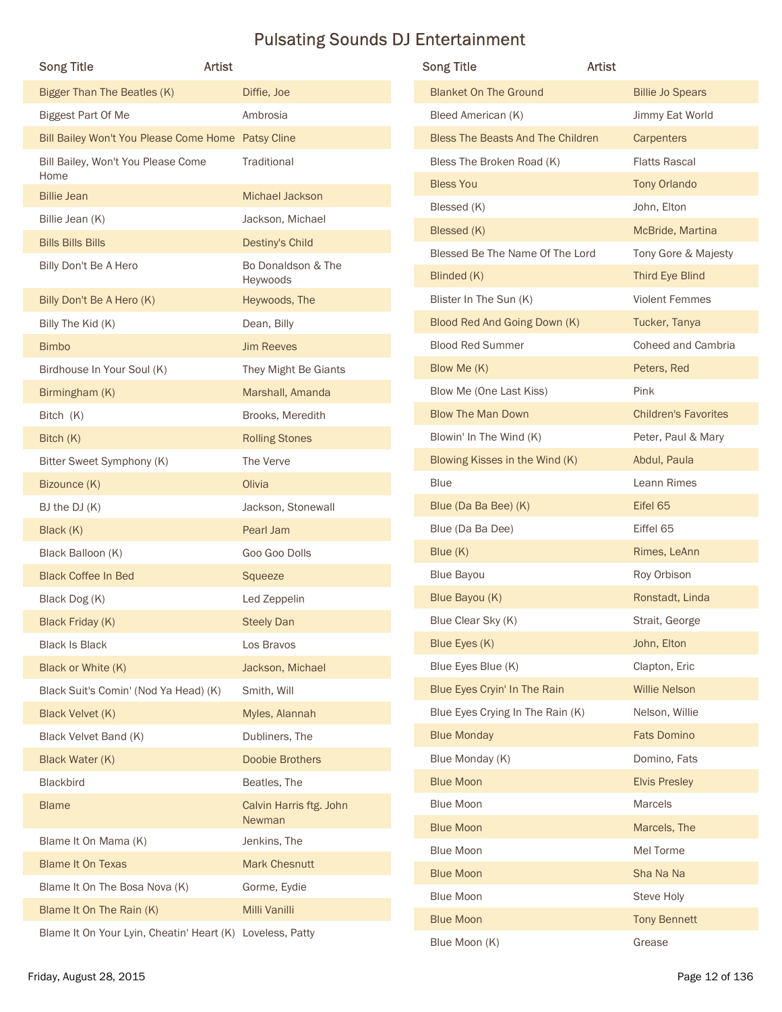| <b>Song Title</b><br>Artist                                                                      | <b>Pulsating Sounds DJ Entertainment</b> | <b>Song Title</b>                                              | Artist                                 |
|--------------------------------------------------------------------------------------------------|------------------------------------------|----------------------------------------------------------------|----------------------------------------|
| <b>Bigger Than The Beatles (K)</b>                                                               | Diffie, Joe                              | <b>Blanket On The Ground</b>                                   | <b>Billie Jo Spears</b>                |
| <b>Biggest Part Of Me</b>                                                                        | Ambrosia                                 | Bleed American (K)                                             | Jimmy Eat World                        |
|                                                                                                  |                                          |                                                                |                                        |
| Bill Bailey Won't You Please Come Home Patsy Cline<br>Bill Bailey, Won't You Please Come<br>Home | Traditional                              | Bless The Beasts And The Children<br>Bless The Broken Road (K) | Carpenters<br><b>Flatts Rascal</b>     |
| <b>Billie Jean</b>                                                                               | Michael Jackson                          | <b>Bless You</b>                                               | <b>Tony Orlando</b>                    |
| Billie Jean (K)                                                                                  | Jackson, Michael                         | Blessed (K)                                                    | John, Elton                            |
| <b>Bills Bills Bills</b>                                                                         | Destiny's Child                          | Blessed (K)                                                    | McBride, Martina                       |
| Billy Don't Be A Hero                                                                            | Bo Donaldson & The<br>Heywoods           | Blessed Be The Name Of The Lord<br>Blinded (K)                 | Tony Gore & Majesty<br>Third Eye Blind |
| Billy Don't Be A Hero (K)                                                                        | Heywoods, The                            | Blister In The Sun (K)                                         | <b>Violent Femmes</b>                  |
| Billy The Kid (K)                                                                                | Dean, Billy                              | Blood Red And Going Down (K)                                   | Tucker, Tanya                          |
| <b>Bimbo</b>                                                                                     | <b>Jim Reeves</b>                        | <b>Blood Red Summer</b>                                        | Coheed and Cambria                     |
| Birdhouse In Your Soul (K)                                                                       | They Might Be Giants                     | Blow Me (K)                                                    | Peters, Red                            |
| Birmingham (K)                                                                                   | Marshall, Amanda                         | Blow Me (One Last Kiss)                                        | Pink                                   |
| Bitch (K)                                                                                        | Brooks, Meredith                         | <b>Blow The Man Down</b>                                       | <b>Children's Favorites</b>            |
| Bitch (K)                                                                                        | <b>Rolling Stones</b>                    | Blowin' In The Wind (K)                                        | Peter, Paul & Mary                     |
| Bitter Sweet Symphony (K)                                                                        | The Verve                                | Blowing Kisses in the Wind (K)                                 | Abdul, Paula                           |
| Bizounce (K)                                                                                     | Olivia                                   | <b>Blue</b>                                                    | Leann Rimes                            |
| BJ the DJ (K)                                                                                    | Jackson, Stonewall                       | Blue (Da Ba Bee) (K)                                           | Eifel 65                               |
| Black (K)                                                                                        | Pearl Jam                                | Blue (Da Ba Dee)                                               | Eiffel 65                              |
| Black Balloon (K)                                                                                | Goo Goo Dolls                            | Blue (K)                                                       | Rimes, LeAnn                           |
| <b>Black Coffee In Bed</b>                                                                       | Squeeze                                  | <b>Blue Bayou</b>                                              | Roy Orbison                            |
| Black Dog (K)                                                                                    | Led Zeppelin                             | Blue Bayou (K)                                                 | Ronstadt, Linda                        |
| Black Friday (K)                                                                                 | <b>Steely Dan</b>                        | Blue Clear Sky (K)                                             | Strait, George                         |
| <b>Black Is Black</b>                                                                            | Los Bravos                               | Blue Eyes (K)                                                  | John, Elton                            |
| Black or White (K)                                                                               | Jackson, Michael                         | Blue Eyes Blue (K)                                             | Clapton, Eric                          |
| Black Suit's Comin' (Nod Ya Head) (K)                                                            | Smith, Will                              | Blue Eyes Cryin' In The Rain                                   | <b>Willie Nelson</b>                   |
| Black Velvet (K)                                                                                 | Myles, Alannah                           | Blue Eyes Crying In The Rain (K)                               | Nelson, Willie                         |
| Black Velvet Band (K)                                                                            | Dubliners, The                           | <b>Blue Monday</b>                                             | <b>Fats Domino</b>                     |
| Black Water (K)                                                                                  | Doobie Brothers                          | Blue Monday (K)                                                | Domino, Fats                           |
| Blackbird                                                                                        | Beatles, The                             | <b>Blue Moon</b>                                               | <b>Elvis Presley</b>                   |
| <b>Blame</b>                                                                                     | Calvin Harris ftg. John<br>Newman        | <b>Blue Moon</b>                                               | Marcels                                |
| Blame It On Mama (K)                                                                             | Jenkins, The                             | <b>Blue Moon</b>                                               | Marcels, The                           |
| <b>Blame It On Texas</b>                                                                         | <b>Mark Chesnutt</b>                     | <b>Blue Moon</b>                                               | Mel Torme                              |
| Blame It On The Bosa Nova (K)                                                                    | Gorme, Eydie                             | <b>Blue Moon</b>                                               | Sha Na Na                              |
| Blame It On The Rain (K)                                                                         | Milli Vanilli                            | Blue Moon                                                      | Steve Holy                             |
| Blame It On Your Lyin, Cheatin' Heart (K) Loveless, Patty                                        |                                          | <b>Blue Moon</b>                                               | <b>Tony Bennett</b>                    |
| riday, August 28, 2015                                                                           |                                          | Blue Moon (K)                                                  | Grease<br>Page 12 of 136               |
|                                                                                                  |                                          |                                                                |                                        |

| Artist<br><b>Song Title</b>                               |                                   | <b>Song Title</b>                    | Artist                      |
|-----------------------------------------------------------|-----------------------------------|--------------------------------------|-----------------------------|
| Bigger Than The Beatles (K)                               | Diffie, Joe                       | <b>Blanket On The Ground</b>         | <b>Billie Jo Spears</b>     |
| <b>Biggest Part Of Me</b>                                 | Ambrosia                          | Bleed American (K)                   | Jimmy Eat World             |
| Bill Bailey Won't You Please Come Home Patsy Cline        |                                   | Bless The Beasts And The Children    | Carpenters                  |
| Bill Bailey, Won't You Please Come                        | Traditional                       | Bless The Broken Road (K)            | <b>Flatts Rascal</b>        |
| Home                                                      |                                   | <b>Bless You</b>                     | <b>Tony Orlando</b>         |
| <b>Billie Jean</b>                                        | Michael Jackson                   | Blessed (K)                          | John, Elton                 |
| Billie Jean (K)                                           | Jackson, Michael                  | Blessed (K)                          | McBride, Martina            |
| <b>Bills Bills Bills</b>                                  | Destiny's Child                   | Blessed Be The Name Of The Lord      | Tony Gore & Majesty         |
| Billy Don't Be A Hero                                     | Bo Donaldson & The<br>Heywoods    | Blinded (K)                          | Third Eye Blind             |
| Billy Don't Be A Hero (K)                                 | Heywoods, The                     | Blister In The Sun (K)               | <b>Violent Femmes</b>       |
| Billy The Kid (K)                                         | Dean, Billy                       | Blood Red And Going Down (K)         | Tucker, Tanya               |
| <b>Bimbo</b>                                              | <b>Jim Reeves</b>                 | <b>Blood Red Summer</b>              | Coheed and Cambria          |
| Birdhouse In Your Soul (K)                                | They Might Be Giants              | Blow Me (K)                          | Peters, Red                 |
| Birmingham (K)                                            | Marshall, Amanda                  | Blow Me (One Last Kiss)              | Pink                        |
| Bitch (K)                                                 | Brooks, Meredith                  | <b>Blow The Man Down</b>             | <b>Children's Favorites</b> |
| Bitch (K)                                                 | <b>Rolling Stones</b>             | Blowin' In The Wind (K)              | Peter, Paul & Mary          |
| Bitter Sweet Symphony (K)                                 | The Verve                         | Blowing Kisses in the Wind (K)       | Abdul, Paula                |
| Bizounce (K)                                              | Olivia                            | Blue                                 | Leann Rimes                 |
| BJ the DJ (K)                                             | Jackson, Stonewall                | Blue (Da Ba Bee) (K)                 | Eifel 65                    |
| Black (K)                                                 | Pearl Jam                         | Blue (Da Ba Dee)                     | Eiffel 65                   |
| Black Balloon (K)                                         | Goo Goo Dolls                     | Blue (K)                             | Rimes, LeAnn                |
| <b>Black Coffee In Bed</b>                                | Squeeze                           | <b>Blue Bayou</b>                    | Roy Orbison                 |
| Black Dog (K)                                             | Led Zeppelin                      | Blue Bayou (K)                       | Ronstadt, Linda             |
| Black Friday (K)                                          | <b>Steely Dan</b>                 | Blue Clear Sky (K)                   | Strait, George              |
| <b>Black Is Black</b>                                     | Los Bravos                        | Blue Eyes (K)                        | John, Elton                 |
| Black or White (K)                                        | Jackson, Michael                  | Blue Eyes Blue (K)                   | Clapton, Eric               |
| Black Suit's Comin' (Nod Ya Head) (K)                     | Smith, Will                       | Blue Eyes Cryin' In The Rain         | <b>Willie Nelson</b>        |
| Black Velvet (K)                                          | Myles, Alannah                    | Blue Eyes Crying In The Rain (K)     | Nelson, Willie              |
| Black Velvet Band (K)                                     | Dubliners, The                    | <b>Blue Monday</b>                   | <b>Fats Domino</b>          |
| Black Water (K)                                           | Doobie Brothers                   | Blue Monday (K)                      | Domino, Fats                |
| Blackbird                                                 | Beatles, The                      | <b>Blue Moon</b>                     | <b>Elvis Presley</b>        |
| <b>Blame</b>                                              | Calvin Harris ftg. John<br>Newman | <b>Blue Moon</b>                     | Marcels                     |
| Blame It On Mama (K)                                      | Jenkins, The                      | <b>Blue Moon</b>                     | Marcels, The                |
| <b>Blame It On Texas</b>                                  | <b>Mark Chesnutt</b>              | <b>Blue Moon</b>                     | Mel Torme                   |
| Blame It On The Bosa Nova (K)                             | Gorme, Eydie                      | <b>Blue Moon</b>                     | Sha Na Na                   |
| Blame It On The Rain (K)                                  | Milli Vanilli                     | <b>Blue Moon</b><br><b>Blue Moon</b> | Steve Holy                  |
| Blame It On Your Lyin, Cheatin' Heart (K) Loveless, Patty |                                   |                                      | <b>Tony Bennett</b>         |
|                                                           |                                   | Blue Moon (K)                        | Grease                      |
| Friday, August 28, 2015                                   |                                   |                                      | Page 12 of 136              |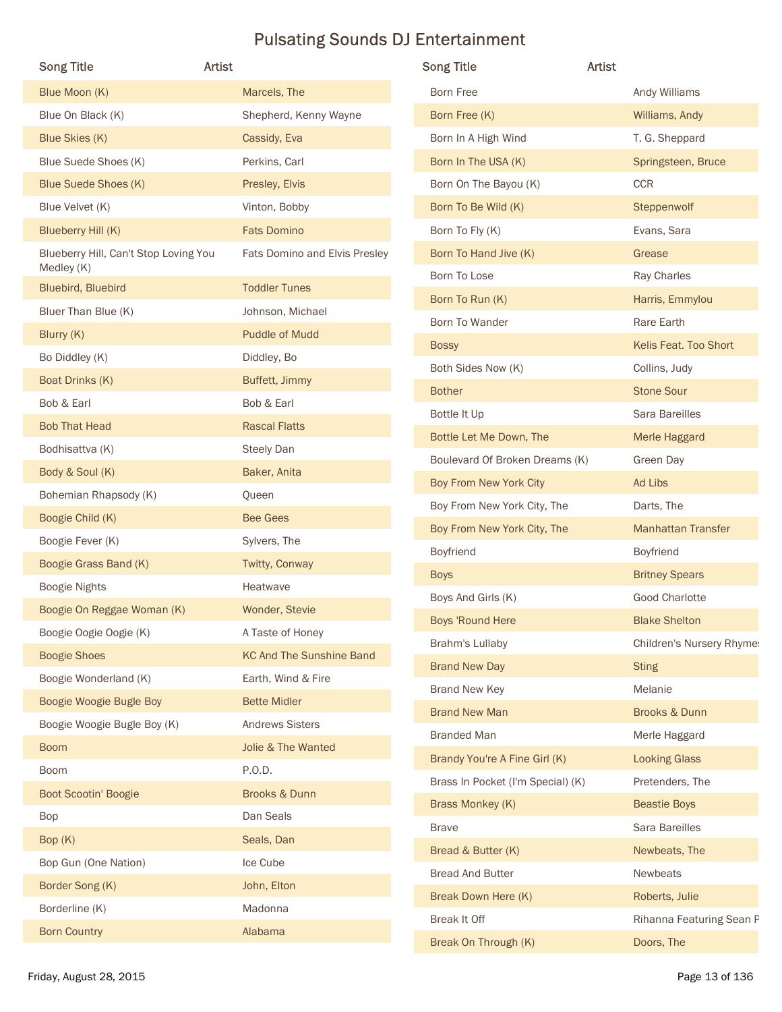| <b>Song Title</b>                       | Artist                             | <b>Song Title</b><br>Artist       |                           |
|-----------------------------------------|------------------------------------|-----------------------------------|---------------------------|
| Blue Moon (K)                           | Marcels, The                       | Born Free                         | Andy Williams             |
| Blue On Black (K)                       | Shepherd, Kenny Wayne              | Born Free (K)                     | Williams, Andy            |
| Blue Skies (K)                          | Cassidy, Eva                       | Born In A High Wind               | T. G. Sheppard            |
| Blue Suede Shoes (K)                    | Perkins, Carl                      | Born In The USA (K)               | Springsteen, Bruce        |
| <b>Blue Suede Shoes (K)</b>             | Presley, Elvis                     | Born On The Bayou (K)             | CCR                       |
| Blue Velvet (K)                         | Vinton, Bobby                      | Born To Be Wild (K)               | Steppenwolf               |
| Blueberry Hill (K)                      | <b>Fats Domino</b>                 | Born To Fly (K)                   | Evans, Sara               |
| Blueberry Hill, Can't Stop Loving You   | Fats Domino and Elvis Presley      | Born To Hand Jive (K)             | Grease                    |
| Medley (K)                              |                                    | Born To Lose                      | Ray Charles               |
| Bluebird, Bluebird                      | <b>Toddler Tunes</b>               | Born To Run (K)                   | Harris, Emmylou           |
| Bluer Than Blue (K)                     | Johnson, Michael                   | Born To Wander                    | Rare Earth                |
| Blurry (K)                              | <b>Puddle of Mudd</b>              | <b>Bossy</b>                      | Kelis Feat. Too Short     |
| Bo Diddley (K)                          | Diddley, Bo                        | Both Sides Now (K)                | Collins, Judy             |
| Boat Drinks (K)                         | Buffett, Jimmy                     | <b>Bother</b>                     | Stone Sour                |
| Bob & Earl                              | Bob & Earl                         | Bottle It Up                      | Sara Bareilles            |
| <b>Bob That Head</b><br>Bodhisattva (K) | <b>Rascal Flatts</b><br>Steely Dan | Bottle Let Me Down, The           | Merle Haggard             |
| Body & Soul (K)                         | Baker, Anita                       | Boulevard Of Broken Dreams (K)    | Green Day                 |
| Bohemian Rhapsody (K)                   | Queen                              | Boy From New York City            | Ad Libs                   |
| Boogie Child (K)                        | <b>Bee Gees</b>                    | Boy From New York City, The       | Darts, The                |
| Boogie Fever (K)                        | Sylvers, The                       | Boy From New York City, The       | <b>Manhattan Transfer</b> |
| Boogie Grass Band (K)                   | Twitty, Conway                     | Boyfriend                         | Boyfriend                 |
| <b>Boogie Nights</b>                    | Heatwave                           | <b>Boys</b>                       | <b>Britney Spears</b>     |
| Boogie On Reggae Woman (K)              | Wonder, Stevie                     | Boys And Girls (K)                | Good Charlotte            |
| Boogie Oogie Oogie (K)                  | A Taste of Honey                   | Boys 'Round Here                  | <b>Blake Shelton</b>      |
| <b>Boogie Shoes</b>                     | <b>KC And The Sunshine Band</b>    | Brahm's Lullaby                   | Children's Nursery Rhyme: |
| Boogie Wonderland (K)                   | Earth, Wind & Fire                 | <b>Brand New Day</b>              | <b>Sting</b>              |
| Boogie Woogie Bugle Boy                 | <b>Bette Midler</b>                | <b>Brand New Key</b>              | Melanie                   |
| Boogie Woogie Bugle Boy (K)             | <b>Andrews Sisters</b>             | <b>Brand New Man</b>              | Brooks & Dunn             |
| <b>Boom</b>                             | Jolie & The Wanted                 | <b>Branded Man</b>                | Merle Haggard             |
| Boom                                    | P.O.D.                             | Brandy You're A Fine Girl (K)     | <b>Looking Glass</b>      |
| Boot Scootin' Boogie                    | Brooks & Dunn                      | Brass In Pocket (I'm Special) (K) | Pretenders, The           |
| Bop                                     | Dan Seals                          | Brass Monkey (K)                  | <b>Beastie Boys</b>       |
| Bop (K)                                 | Seals, Dan                         | <b>Brave</b>                      | Sara Bareilles            |
| Bop Gun (One Nation)                    | Ice Cube                           | Bread & Butter (K)                | Newbeats, The             |
| Border Song (K)                         | John, Elton                        | <b>Bread And Butter</b>           | Newbeats                  |
| Borderline (K)                          | Madonna                            | Break Down Here (K)               | Roberts, Julie            |
| <b>Born Country</b>                     | Alabama                            | Break It Off                      | Rihanna Featuring Sean F  |
|                                         |                                    | Break On Through (K)              | Doors, The                |

| Entertainment                                 |                                            |
|-----------------------------------------------|--------------------------------------------|
|                                               |                                            |
| <b>Song Title</b><br>Artist                   |                                            |
| <b>Born Free</b>                              | Andy Williams                              |
| Born Free (K)                                 | Williams, Andy                             |
| Born In A High Wind                           | T. G. Sheppard                             |
| Born In The USA (K)<br>Born On The Bayou (K)  | Springsteen, Bruce<br>CCR                  |
| Born To Be Wild (K)                           | Steppenwolf                                |
| Born To Fly (K)                               | Evans, Sara                                |
| Born To Hand Jive (K)                         | Grease                                     |
| Born To Lose                                  | Ray Charles                                |
| Born To Run (K)                               | Harris, Emmylou                            |
| Born To Wander                                | Rare Earth                                 |
| <b>Bossy</b>                                  | Kelis Feat. Too Short                      |
| Both Sides Now (K)                            | Collins, Judy                              |
| <b>Bother</b>                                 | <b>Stone Sour</b>                          |
| Bottle It Up                                  | Sara Bareilles                             |
| Bottle Let Me Down, The                       | Merle Haggard                              |
| Boulevard Of Broken Dreams (K)                | Green Day                                  |
| Boy From New York City                        | Ad Libs                                    |
| Boy From New York City, The                   | Darts, The                                 |
| Boy From New York City, The                   | <b>Manhattan Transfer</b>                  |
| Boyfriend                                     | Boyfriend                                  |
| <b>Boys</b>                                   | <b>Britney Spears</b>                      |
| Boys And Girls (K)                            | <b>Good Charlotte</b>                      |
| <b>Boys 'Round Here</b>                       | <b>Blake Shelton</b>                       |
| Brahm's Lullaby                               | Children's Nursery Rhyme:                  |
| <b>Brand New Day</b>                          | <b>Sting</b>                               |
| <b>Brand New Key</b>                          | Melanie                                    |
| <b>Brand New Man</b>                          | Brooks & Dunn                              |
| <b>Branded Man</b>                            | Merle Haggard                              |
| Brandy You're A Fine Girl (K)                 | <b>Looking Glass</b>                       |
| Brass In Pocket (I'm Special) (K)             | Pretenders, The                            |
| Brass Monkey (K)                              | <b>Beastie Boys</b>                        |
| <b>Brave</b>                                  | Sara Bareilles                             |
| Bread & Butter (K)<br><b>Bread And Butter</b> | Newbeats, The<br>Newbeats                  |
|                                               |                                            |
| Break Down Here (K)<br>Break It Off           | Roberts, Julie<br>Rihanna Featuring Sean F |
| Break On Through (K)                          | Doors, The                                 |
|                                               | Page 13 of 136                             |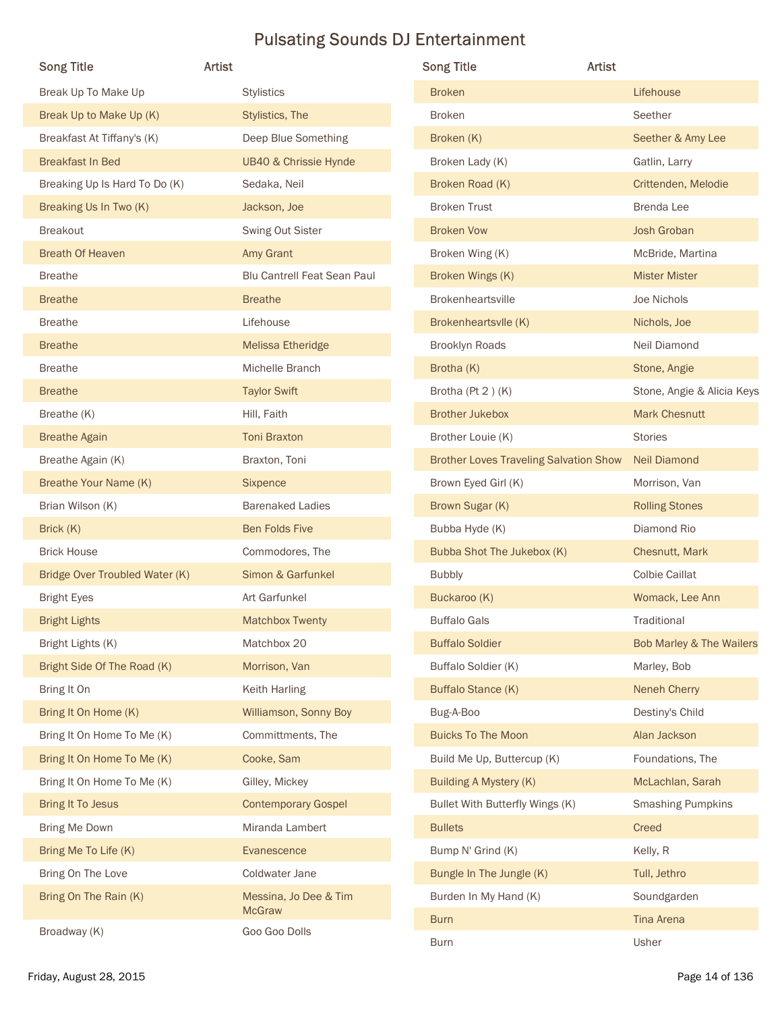|                                                          | Artist |                                       | <b>Song Title</b>   | <b>Pulsating Sounds DJ Entertainment</b><br>Artist |                                      |
|----------------------------------------------------------|--------|---------------------------------------|---------------------|----------------------------------------------------|--------------------------------------|
| <b>Song Title</b>                                        |        |                                       |                     |                                                    |                                      |
| Break Up To Make Up                                      |        | <b>Stylistics</b>                     | <b>Broken</b>       |                                                    | Lifehouse<br>Seether                 |
| Break Up to Make Up (K)<br>Breakfast At Tiffany's (K)    |        | Stylistics, The                       | <b>Broken</b>       |                                                    | Seether & Amy Lee                    |
|                                                          |        | Deep Blue Something                   | Broken (K)          |                                                    |                                      |
| <b>Breakfast In Bed</b><br>Breaking Up Is Hard To Do (K) |        | UB40 & Chrissie Hynde<br>Sedaka, Neil |                     | Broken Lady (K)<br>Broken Road (K)                 | Gatlin, Larry<br>Crittenden, Melodie |
|                                                          |        | Jackson, Joe                          |                     | <b>Broken Trust</b>                                | Brenda Lee                           |
| Breaking Us In Two (K)<br><b>Breakout</b>                |        | Swing Out Sister                      | <b>Broken Vow</b>   |                                                    | Josh Groban                          |
| <b>Breath Of Heaven</b>                                  |        | Amy Grant                             |                     | Broken Wing (K)                                    | McBride, Martina                     |
| <b>Breathe</b>                                           |        | Blu Cantrell Feat Sean Paul           |                     | Broken Wings (K)                                   | <b>Mister Mister</b>                 |
| <b>Breathe</b>                                           |        | <b>Breathe</b>                        |                     | Brokenheartsville                                  | Joe Nichols                          |
| <b>Breathe</b>                                           |        | Lifehouse                             |                     | Brokenheartsvlle (K)                               | Nichols, Joe                         |
| <b>Breathe</b>                                           |        | Melissa Etheridge                     |                     | <b>Brooklyn Roads</b>                              | Neil Diamond                         |
| <b>Breathe</b>                                           |        | Michelle Branch                       | Brotha (K)          |                                                    | Stone, Angie                         |
| <b>Breathe</b>                                           |        | <b>Taylor Swift</b>                   |                     | Brotha (Pt 2) (K)                                  | Stone, Angie & Alicia Keys           |
|                                                          |        | Hill, Faith                           |                     | <b>Brother Jukebox</b>                             | <b>Mark Chesnutt</b>                 |
| Breathe (K)<br><b>Breathe Again</b>                      |        | <b>Toni Braxton</b>                   |                     | Brother Louie (K)                                  | <b>Stories</b>                       |
| Breathe Again (K)                                        |        | Braxton, Toni                         |                     | <b>Brother Loves Traveling Salvation Show</b>      | Neil Diamond                         |
| Breathe Your Name (K)                                    |        | Sixpence                              |                     | Brown Eyed Girl (K)                                | Morrison, Van                        |
|                                                          |        | <b>Barenaked Ladies</b>               |                     |                                                    |                                      |
| Brian Wilson (K)                                         |        |                                       |                     | Brown Sugar (K)                                    | <b>Rolling Stones</b>                |
| Brick (K)                                                |        | <b>Ben Folds Five</b>                 |                     | Bubba Hyde (K)                                     | Diamond Rio                          |
| <b>Brick House</b>                                       |        | Commodores, The                       |                     | <b>Bubba Shot The Jukebox (K)</b>                  | Chesnutt, Mark                       |
| Bridge Over Troubled Water (K)                           |        | Simon & Garfunkel                     | <b>Bubbly</b>       |                                                    | <b>Colbie Caillat</b>                |
| <b>Bright Eyes</b>                                       |        | Art Garfunkel                         |                     | Buckaroo (K)                                       | Womack, Lee Ann                      |
| <b>Bright Lights</b>                                     |        | <b>Matchbox Twenty</b>                | <b>Buffalo Gals</b> |                                                    | Traditional                          |
| Bright Lights (K)                                        |        | Matchbox 20                           |                     | <b>Buffalo Soldier</b>                             | Bob Marley & The Wailers             |
| Bright Side Of The Road (K)                              |        | Morrison, Van                         |                     | Buffalo Soldier (K)                                | Marley, Bob                          |
| Bring It On                                              |        | Keith Harling                         |                     | <b>Buffalo Stance (K)</b>                          | Neneh Cherry                         |
| Bring It On Home (K)                                     |        | Williamson, Sonny Boy                 | Bug-A-Boo           |                                                    | Destiny's Child                      |
| Bring It On Home To Me (K)                               |        | Committments, The                     |                     | <b>Buicks To The Moon</b>                          | Alan Jackson                         |
| Bring It On Home To Me (K)                               |        | Cooke, Sam                            |                     | Build Me Up, Buttercup (K)                         | Foundations, The                     |
| Bring It On Home To Me (K)                               |        | Gilley, Mickey                        |                     | Building A Mystery (K)                             | McLachlan, Sarah                     |
| Bring It To Jesus                                        |        | <b>Contemporary Gospel</b>            |                     | Bullet With Butterfly Wings (K)                    | <b>Smashing Pumpkins</b>             |
| Bring Me Down                                            |        | Miranda Lambert                       | <b>Bullets</b>      |                                                    | Creed                                |
| Bring Me To Life (K)                                     |        | Evanescence                           |                     | Bump N' Grind (K)                                  | Kelly, R                             |
| Bring On The Love                                        |        | Coldwater Jane                        |                     | Bungle In The Jungle (K)                           | Tull, Jethro                         |
| Bring On The Rain (K)                                    |        | Messina, Jo Dee & Tim<br>McGraw       |                     | Burden In My Hand (K)                              | Soundgarden                          |
| Broadway (K)                                             |        | Goo Goo Dolls                         | <b>Burn</b>         |                                                    | Tina Arena                           |
|                                                          |        |                                       | Burn                |                                                    | Usher                                |
|                                                          |        |                                       |                     |                                                    |                                      |

| <b>Entertainment</b>                          |                                                    |
|-----------------------------------------------|----------------------------------------------------|
| <b>Song Title</b><br><b>Artist</b>            |                                                    |
| <b>Broken</b>                                 | Lifehouse                                          |
| <b>Broken</b>                                 | Seether                                            |
| Broken (K)                                    | Seether & Amy Lee                                  |
| Broken Lady (K)                               | Gatlin, Larry                                      |
| Broken Road (K)                               | Crittenden, Melodie                                |
| <b>Broken Trust</b>                           | Brenda Lee                                         |
| <b>Broken Vow</b>                             | Josh Groban                                        |
| Broken Wing (K)                               | McBride, Martina                                   |
| Broken Wings (K)                              | <b>Mister Mister</b>                               |
| Brokenheartsville                             | Joe Nichols                                        |
| Brokenheartsvlle (K)                          | Nichols, Joe                                       |
| <b>Brooklyn Roads</b>                         | Neil Diamond                                       |
| Brotha (K)<br>Brotha (Pt 2)(K)                | Stone, Angie                                       |
| <b>Brother Jukebox</b>                        | Stone, Angie & Alicia Keys<br><b>Mark Chesnutt</b> |
| Brother Louie (K)                             | <b>Stories</b>                                     |
| <b>Brother Loves Traveling Salvation Show</b> | <b>Neil Diamond</b>                                |
| Brown Eyed Girl (K)                           | Morrison, Van                                      |
| Brown Sugar (K)                               | <b>Rolling Stones</b>                              |
| Bubba Hyde (K)                                | Diamond Rio                                        |
| Bubba Shot The Jukebox (K)                    | Chesnutt, Mark                                     |
| <b>Bubbly</b>                                 | <b>Colbie Caillat</b>                              |
| Buckaroo (K)                                  | Womack, Lee Ann                                    |
| <b>Buffalo Gals</b>                           | Traditional                                        |
| <b>Buffalo Soldier</b>                        | Bob Marley & The Wailers                           |
| Buffalo Soldier (K)                           | Marley, Bob                                        |
| <b>Buffalo Stance (K)</b>                     | Neneh Cherry                                       |
| Bug-A-Boo                                     | Destiny's Child                                    |
| <b>Buicks To The Moon</b>                     | Alan Jackson                                       |
| Build Me Up, Buttercup (K)                    | Foundations, The                                   |
| Building A Mystery (K)                        | McLachlan, Sarah                                   |
| Bullet With Butterfly Wings (K)               | <b>Smashing Pumpkins</b>                           |
| <b>Bullets</b>                                | Creed                                              |
| Bump N' Grind (K)                             | Kelly, R                                           |
| Bungle In The Jungle (K)                      | Tull, Jethro                                       |
| Burden In My Hand (K)                         | Soundgarden                                        |
| <b>Burn</b>                                   | <b>Tina Arena</b>                                  |
| <b>Burn</b>                                   | Usher                                              |
|                                               | Page 14 of 136                                     |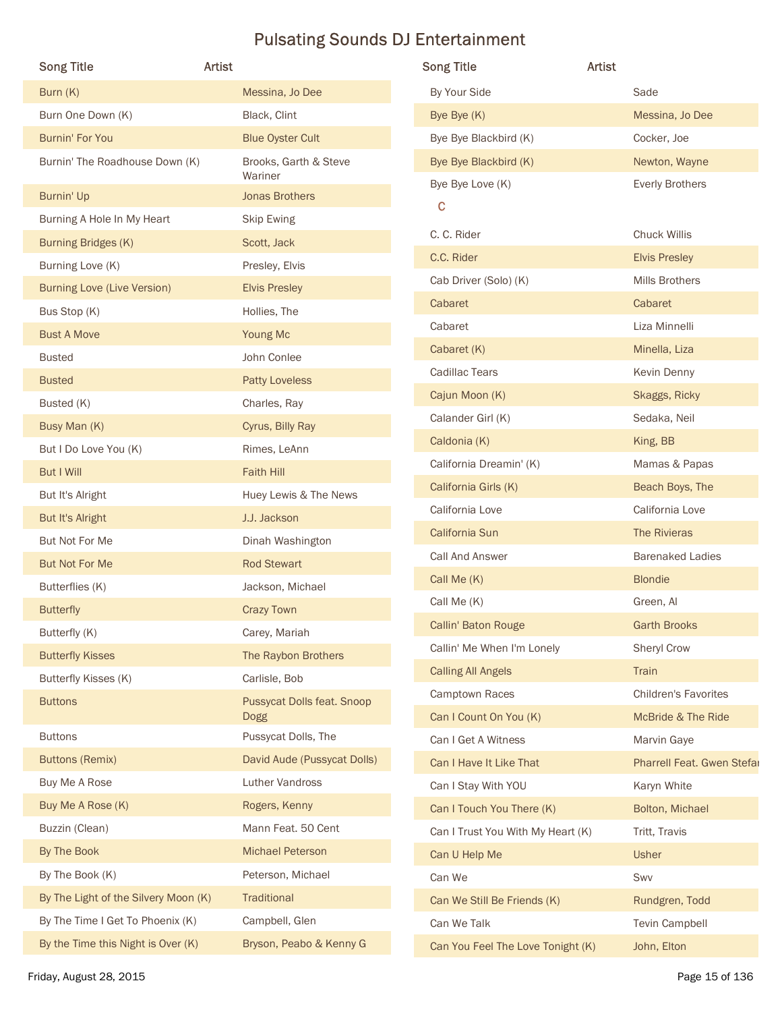|                                                                        |                                  | Artist                            |                            |
|------------------------------------------------------------------------|----------------------------------|-----------------------------------|----------------------------|
| <b>Song Title</b><br>Artist                                            |                                  | <b>Song Title</b><br>By Your Side |                            |
| Burn (K)<br>Burn One Down (K)                                          | Messina, Jo Dee<br>Black, Clint  | Bye Bye (K)                       | Sade<br>Messina, Jo Dee    |
| <b>Burnin' For You</b>                                                 | <b>Blue Oyster Cult</b>          | Bye Bye Blackbird (K)             | Cocker, Joe                |
| Burnin' The Roadhouse Down (K)                                         | Brooks, Garth & Steve            | Bye Bye Blackbird (K)             | Newton, Wayne              |
|                                                                        | Wariner                          | Bye Bye Love (K)                  | <b>Everly Brothers</b>     |
| Burnin' Up                                                             | <b>Jonas Brothers</b>            | $\mathbf C$                       |                            |
| Burning A Hole In My Heart                                             | <b>Skip Ewing</b>                | C. C. Rider                       | Chuck Willis               |
| <b>Burning Bridges (K)</b>                                             | Scott, Jack                      | C.C. Rider                        | <b>Elvis Presley</b>       |
| Burning Love (K)                                                       | Presley, Elvis                   | Cab Driver (Solo) (K)             | Mills Brothers             |
| <b>Burning Love (Live Version)</b>                                     | <b>Elvis Presley</b>             | Cabaret                           | Cabaret                    |
| Bus Stop (K)                                                           | Hollies, The                     | Cabaret                           | Liza Minnelli              |
| <b>Bust A Move</b>                                                     | Young Mc                         | Cabaret (K)                       | Minella, Liza              |
| <b>Busted</b>                                                          | John Conlee                      | Cadillac Tears                    | Kevin Denny                |
| <b>Busted</b>                                                          | <b>Patty Loveless</b>            | Cajun Moon (K)                    | Skaggs, Ricky              |
| Busted (K)                                                             | Charles, Ray                     | Calander Girl (K)                 | Sedaka, Neil               |
| Busy Man (K)<br>But I Do Love You (K)                                  | Cyrus, Billy Ray<br>Rimes, LeAnn | Caldonia (K)                      | King, BB                   |
| But I Will                                                             | Faith Hill                       | California Dreamin' (K)           | Mamas & Papas              |
| But It's Alright                                                       | Huey Lewis & The News            | California Girls (K)              | Beach Boys, The            |
| But It's Alright                                                       | J.J. Jackson                     | California Love                   | California Love            |
| But Not For Me                                                         | Dinah Washington                 | California Sun                    | The Rivieras               |
| But Not For Me                                                         | <b>Rod Stewart</b>               | Call And Answer                   | <b>Barenaked Ladies</b>    |
| Butterflies (K)                                                        | Jackson, Michael                 | Call Me (K)                       | <b>Blondie</b>             |
| <b>Butterfly</b>                                                       | <b>Crazy Town</b>                | Call Me (K)                       | Green, Al                  |
| Butterfly (K)                                                          | Carey, Mariah                    | Callin' Baton Rouge               | <b>Garth Brooks</b>        |
| <b>Butterfly Kisses</b>                                                | The Raybon Brothers              | Callin' Me When I'm Lonely        | Sheryl Crow                |
| Butterfly Kisses (K)                                                   | Carlisle, Bob                    | <b>Calling All Angels</b>         | Train                      |
| <b>Buttons</b>                                                         | Pussycat Dolls feat. Snoop       | Camptown Races                    | Children's Favorites       |
|                                                                        | <b>Dogg</b>                      | Can I Count On You (K)            | McBride & The Ride         |
| <b>Buttons</b>                                                         | Pussycat Dolls, The              | Can I Get A Witness               | Marvin Gaye                |
| <b>Buttons (Remix)</b>                                                 | David Aude (Pussycat Dolls)      | Can I Have It Like That           | Pharrell Feat. Gwen Stefal |
| Buy Me A Rose                                                          | Luther Vandross                  | Can I Stay With YOU               | Karyn White                |
| Buy Me A Rose (K)                                                      | Rogers, Kenny                    | Can I Touch You There (K)         | Bolton, Michael            |
| Buzzin (Clean)                                                         | Mann Feat. 50 Cent               | Can I Trust You With My Heart (K) | Tritt, Travis              |
| By The Book                                                            | Michael Peterson                 | Can U Help Me                     | Usher                      |
| By The Book (K)                                                        | Peterson, Michael                | Can We                            | Swv                        |
| By The Light of the Silvery Moon (K)                                   | Traditional                      | Can We Still Be Friends (K)       | Rundgren, Todd             |
| By The Time I Get To Phoenix (K)<br>By the Time this Night is Over (K) | Campbell, Glen                   | Can We Talk                       | Tevin Campbell             |
|                                                                        | Bryson, Peabo & Kenny G          | Can You Feel The Love Tonight (K) | John, Elton                |

| <b>Entertainment</b><br><b>Song Title</b><br>By Your Side<br>Bye Bye (K) |        |                                   |
|--------------------------------------------------------------------------|--------|-----------------------------------|
|                                                                          |        |                                   |
|                                                                          |        |                                   |
|                                                                          |        |                                   |
|                                                                          |        |                                   |
|                                                                          |        |                                   |
|                                                                          |        |                                   |
|                                                                          |        |                                   |
|                                                                          |        |                                   |
|                                                                          | Artist |                                   |
|                                                                          |        | Sade                              |
|                                                                          |        | Messina, Jo Dee                   |
| Bye Bye Blackbird (K)                                                    |        | Cocker, Joe                       |
| Bye Bye Blackbird (K)                                                    |        | Newton, Wayne                     |
| Bye Bye Love (K)                                                         |        | <b>Everly Brothers</b>            |
| $\mathbf C$                                                              |        |                                   |
| C. C. Rider                                                              |        | Chuck Willis                      |
| C.C. Rider                                                               |        | <b>Elvis Presley</b>              |
| Cab Driver (Solo) (K)                                                    |        | Mills Brothers                    |
| Cabaret                                                                  |        | Cabaret                           |
| Cabaret                                                                  |        | Liza Minnelli                     |
| Cabaret (K)                                                              |        | Minella, Liza                     |
| Cadillac Tears                                                           |        | Kevin Denny                       |
| Cajun Moon (K)                                                           |        | Skaggs, Ricky                     |
| Calander Girl (K)                                                        |        | Sedaka, Neil                      |
| Caldonia (K)<br>California Dreamin' (K)                                  |        | King, BB                          |
| California Girls (K)                                                     |        | Mamas & Papas<br>Beach Boys, The  |
| California Love                                                          |        | California Love                   |
| California Sun                                                           |        | The Rivieras                      |
| Call And Answer                                                          |        | <b>Barenaked Ladies</b>           |
| Call Me (K)                                                              |        | <b>Blondie</b>                    |
| Call Me (K)                                                              |        | Green, Al                         |
| Callin' Baton Rouge                                                      |        | <b>Garth Brooks</b>               |
| Callin' Me When I'm Lonely                                               |        | Sheryl Crow                       |
| <b>Calling All Angels</b>                                                |        | Train                             |
| Camptown Races                                                           |        | Children's Favorites              |
| Can I Count On You (K)                                                   |        | McBride & The Ride                |
| Can I Get A Witness                                                      |        | Marvin Gaye                       |
| Can I Have It Like That                                                  |        | <b>Pharrell Feat. Gwen Stefal</b> |
| Can I Stay With YOU                                                      |        | Karyn White                       |
| Can I Touch You There (K)                                                |        | Bolton, Michael                   |
| Can I Trust You With My Heart (K)                                        |        | Tritt, Travis                     |
| Can U Help Me                                                            |        | <b>Usher</b>                      |
| Can We                                                                   |        | Swv                               |
| Can We Still Be Friends (K)                                              |        | Rundgren, Todd                    |
| Can We Talk                                                              |        | <b>Tevin Campbell</b>             |
| Can You Feel The Love Tonight (K)                                        |        | John, Elton                       |
|                                                                          |        | Page 15 of 136                    |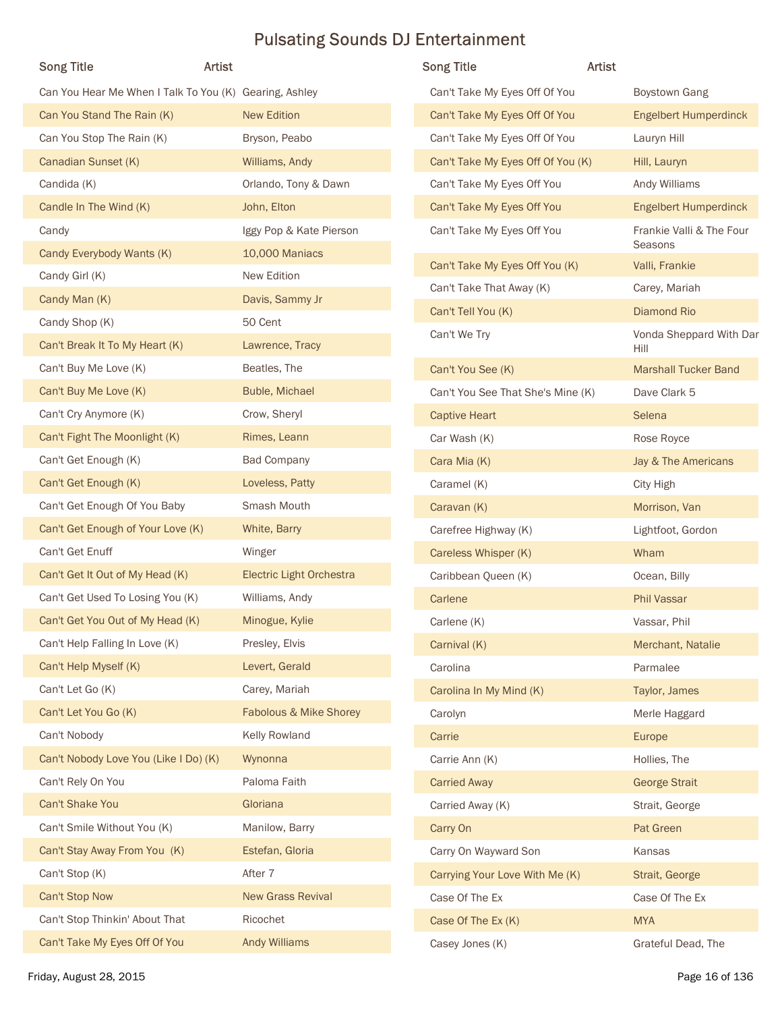|                                                        |                          | <b>Pulsating Sounds DJ Entertainment</b> |                              |
|--------------------------------------------------------|--------------------------|------------------------------------------|------------------------------|
| <b>Song Title</b><br>Artist                            |                          | <b>Song Title</b><br>Artist              |                              |
| Can You Hear Me When I Talk To You (K) Gearing, Ashley |                          | Can't Take My Eyes Off Of You            | <b>Boystown Gang</b>         |
| Can You Stand The Rain (K)                             | <b>New Edition</b>       | Can't Take My Eyes Off Of You            | <b>Engelbert Humperdinck</b> |
| Can You Stop The Rain (K)                              | Bryson, Peabo            | Can't Take My Eyes Off Of You            | Lauryn Hill                  |
| Canadian Sunset (K)                                    | Williams, Andy           | Can't Take My Eyes Off Of You (K)        | Hill, Lauryn                 |
| Candida (K)                                            | Orlando, Tony & Dawn     | Can't Take My Eyes Off You               | Andy Williams                |
| Candle In The Wind (K)                                 | John, Elton              | Can't Take My Eyes Off You               | <b>Engelbert Humperdinck</b> |
| Candy                                                  | Iggy Pop & Kate Pierson  | Can't Take My Eyes Off You               | Frankie Valli & The Four     |
| Candy Everybody Wants (K)                              | 10,000 Maniacs           | Can't Take My Eyes Off You (K)           | Seasons<br>Valli, Frankie    |
| Candy Girl (K)                                         | New Edition              | Can't Take That Away (K)                 | Carey, Mariah                |
| Candy Man (K)                                          | Davis, Sammy Jr          | Can't Tell You (K)                       | <b>Diamond Rio</b>           |
| Candy Shop (K)                                         | 50 Cent                  | Can't We Try                             | Vonda Sheppard With Dar      |
| Can't Break It To My Heart (K)                         | Lawrence, Tracy          |                                          | Hill                         |
| Can't Buy Me Love (K)                                  | Beatles, The             | Can't You See (K)                        | <b>Marshall Tucker Band</b>  |
| Can't Buy Me Love (K)                                  | Buble, Michael           | Can't You See That She's Mine (K)        | Dave Clark 5                 |
| Can't Cry Anymore (K)                                  | Crow, Sheryl             | <b>Captive Heart</b>                     | Selena                       |
| Can't Fight The Moonlight (K)                          | Rimes, Leann             | Car Wash (K)                             | Rose Royce                   |
| Can't Get Enough (K)                                   | <b>Bad Company</b>       | Cara Mia (K)                             | Jay & The Americans          |
| Can't Get Enough (K)                                   | Loveless, Patty          | Caramel (K)                              | City High                    |
| Can't Get Enough Of You Baby                           | Smash Mouth              | Caravan (K)                              | Morrison, Van                |
| Can't Get Enough of Your Love (K)                      | White, Barry             | Carefree Highway (K)                     | Lightfoot, Gordon            |
| Can't Get Enuff                                        | Winger                   | Careless Whisper (K)                     | Wham                         |
| Can't Get It Out of My Head (K)                        | Electric Light Orchestra | Caribbean Queen (K)                      | Ocean, Billy                 |
| Can't Get Used To Losing You (K)                       | Williams, Andy           | Carlene                                  | Phil Vassar                  |
| Can't Get You Out of My Head (K)                       | Minogue, Kylie           | Carlene (K)                              | Vassar, Phil                 |
| Can't Help Falling In Love (K)                         | Presley, Elvis           | Carnival (K)                             | Merchant, Natalie            |
| Can't Help Myself (K)                                  | Levert, Gerald           | Carolina                                 | Parmalee                     |
| Can't Let Go (K)                                       | Carey, Mariah            | Carolina In My Mind (K)                  | Taylor, James                |
| Can't Let You Go (K)                                   | Fabolous & Mike Shorey   | Carolyn                                  | Merle Haggard                |
| Can't Nobody                                           | Kelly Rowland            | Carrie                                   | Europe                       |
| Can't Nobody Love You (Like I Do) (K)                  | Wynonna                  | Carrie Ann (K)                           | Hollies, The                 |
| Can't Rely On You                                      | Paloma Faith             | <b>Carried Away</b>                      | <b>George Strait</b>         |
| Can't Shake You                                        | Gloriana                 | Carried Away (K)                         | Strait, George               |
| Can't Smile Without You (K)                            | Manilow, Barry           | Carry On                                 | Pat Green                    |
| Can't Stay Away From You (K)                           | Estefan, Gloria          | Carry On Wayward Son                     | Kansas                       |
| Can't Stop (K)                                         | After 7                  | Carrying Your Love With Me (K)           | Strait, George               |
| <b>Can't Stop Now</b>                                  | New Grass Revival        | Case Of The Ex                           | Case Of The Ex               |
| Can't Stop Thinkin' About That                         | Ricochet                 | Case Of The Ex (K)                       | <b>MYA</b>                   |
| Can't Take My Eyes Off Of You                          | <b>Andy Williams</b>     | Casey Jones (K)                          | Grateful Dead, The           |

| <b>Intertainment</b>                                     |                                               |  |
|----------------------------------------------------------|-----------------------------------------------|--|
| <b>Song Title</b>                                        | Artist                                        |  |
| Can't Take My Eyes Off Of You                            | Boystown Gang                                 |  |
| Can't Take My Eyes Off Of You                            | <b>Engelbert Humperdinck</b>                  |  |
| Can't Take My Eyes Off Of You                            | Lauryn Hill                                   |  |
| Can't Take My Eyes Off Of You (K)                        | Hill, Lauryn                                  |  |
| Can't Take My Eyes Off You<br>Can't Take My Eyes Off You | Andy Williams<br><b>Engelbert Humperdinck</b> |  |
| Can't Take My Eyes Off You                               | Frankie Valli & The Four<br>Seasons           |  |
| Can't Take My Eyes Off You (K)                           | Valli, Frankie                                |  |
| Can't Take That Away (K)                                 | Carey, Mariah                                 |  |
| Can't Tell You (K)                                       | Diamond Rio                                   |  |
| Can't We Try                                             | Vonda Sheppard With Dar<br>Hill               |  |
| Can't You See (K)                                        | <b>Marshall Tucker Band</b>                   |  |
| Can't You See That She's Mine (K)                        | Dave Clark 5                                  |  |
| <b>Captive Heart</b>                                     | Selena                                        |  |
| Car Wash (K)                                             | Rose Royce                                    |  |
| Cara Mia (K)                                             | Jay & The Americans                           |  |
| Caramel (K)                                              | City High                                     |  |
| Caravan (K)                                              | Morrison, Van                                 |  |
| Carefree Highway (K)                                     | Lightfoot, Gordon                             |  |
| Careless Whisper (K)                                     | Wham                                          |  |
| Caribbean Queen (K)<br>Carlene                           | Ocean, Billy<br>Phil Vassar                   |  |
| Carlene (K)                                              | Vassar, Phil                                  |  |
| Carnival (K)                                             | Merchant, Natalie                             |  |
| Carolina                                                 | Parmalee                                      |  |
| Carolina In My Mind (K)                                  | Taylor, James                                 |  |
| Carolyn                                                  | Merle Haggard                                 |  |
| Carrie                                                   | Europe                                        |  |
| Carrie Ann (K)                                           | Hollies, The                                  |  |
| <b>Carried Away</b>                                      | <b>George Strait</b>                          |  |
| Carried Away (K)                                         | Strait, George                                |  |
| Carry On                                                 | Pat Green                                     |  |
| Carry On Wayward Son                                     | Kansas                                        |  |
| Carrying Your Love With Me (K)                           | Strait, George                                |  |
| Case Of The Ex                                           | Case Of The Ex                                |  |
| Case Of The Ex (K)                                       | <b>MYA</b>                                    |  |
| Casey Jones (K)                                          | Grateful Dead, The                            |  |
|                                                          | Page 16 of 136                                |  |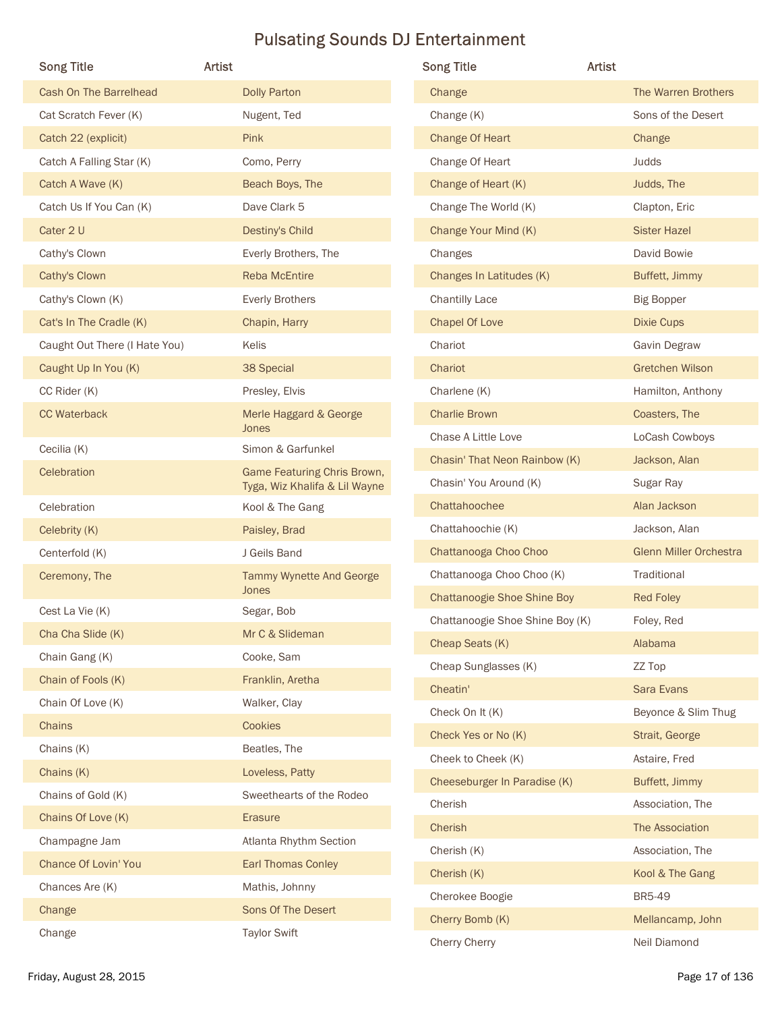|                               | Artist                            | <b>Song Title</b><br>Artist        |                               |
|-------------------------------|-----------------------------------|------------------------------------|-------------------------------|
| Cash On The Barrelhead        | <b>Dolly Parton</b>               | Change                             | The Warren Brothers           |
| Cat Scratch Fever (K)         | Nugent, Ted                       | Change (K)                         | Sons of the Desert            |
| Catch 22 (explicit)           | Pink                              | Change Of Heart                    | Change                        |
| Catch A Falling Star (K)      | Como, Perry                       | Change Of Heart                    | Judds                         |
| Catch A Wave (K)              | Beach Boys, The                   | Change of Heart (K)                | Judds, The                    |
| Catch Us If You Can (K)       | Dave Clark 5                      | Change The World (K)               | Clapton, Eric                 |
| Cater 2 U                     | Destiny's Child                   | Change Your Mind (K)               | <b>Sister Hazel</b>           |
| Cathy's Clown                 | Everly Brothers, The              | Changes                            | David Bowie                   |
| Cathy's Clown                 | <b>Reba McEntire</b>              | Changes In Latitudes (K)           | Buffett, Jimmy                |
| Cathy's Clown (K)             | <b>Everly Brothers</b>            | <b>Chantilly Lace</b>              | <b>Big Bopper</b>             |
| Cat's In The Cradle (K)       | Chapin, Harry                     | <b>Chapel Of Love</b>              | <b>Dixie Cups</b>             |
| Caught Out There (I Hate You) | Kelis                             | Chariot                            | Gavin Degraw                  |
| Caught Up In You (K)          | 38 Special                        | Chariot                            | Gretchen Wilson               |
| CC Rider (K)                  | Presley, Elvis                    | Charlene (K)                       | Hamilton, Anthony             |
| <b>CC Waterback</b>           | Merle Haggard & George            | <b>Charlie Brown</b>               | Coasters, The                 |
| Cecilia (K)                   | Jones<br>Simon & Garfunkel        | Chase A Little Love                | LoCash Cowboys                |
| Celebration                   | Game Featuring Chris Brown,       | Chasin' That Neon Rainbow (K)      | Jackson, Alan                 |
|                               | Tyga, Wiz Khalifa & Lil Wayne     | Chasin' You Around (K)             | Sugar Ray                     |
| Celebration                   | Kool & The Gang                   | Chattahoochee                      | Alan Jackson                  |
| Celebrity (K)                 | Paisley, Brad                     | Chattahoochie (K)                  | Jackson, Alan                 |
| Centerfold (K)                | J Geils Band                      | Chattanooga Choo Choo              | <b>Glenn Miller Orchestra</b> |
| Ceremony, The                 | Tammy Wynette And George<br>Jones | Chattanooga Choo Choo (K)          | Traditional                   |
| Cest La Vie (K)               | Segar, Bob                        | <b>Chattanoogie Shoe Shine Boy</b> | <b>Red Foley</b>              |
| Cha Cha Slide (K)             | Mr C & Slideman                   | Chattanoogie Shoe Shine Boy (K)    | Foley, Red                    |
| Chain Gang (K)                | Cooke, Sam                        | Cheap Seats (K)                    | Alabama                       |
| Chain of Fools (K)            | Franklin, Aretha                  | Cheap Sunglasses (K)               | ZZ Top                        |
| Chain Of Love (K)             | Walker, Clay                      | Cheatin'                           | Sara Evans                    |
| Chains                        | Cookies                           | Check On It (K)                    | Beyonce & Slim Thug           |
| Chains (K)                    | Beatles, The                      | Check Yes or No (K)                | Strait, George                |
| Chains (K)                    | Loveless, Patty                   | Cheek to Cheek (K)                 | Astaire, Fred                 |
| Chains of Gold (K)            | Sweethearts of the Rodeo          | Cheeseburger In Paradise (K)       | Buffett, Jimmy                |
| Chains Of Love (K)            | Erasure                           | Cherish                            | Association, The              |
| Champagne Jam                 | Atlanta Rhythm Section            | Cherish                            | The Association               |
| <b>Chance Of Lovin' You</b>   | Earl Thomas Conley                | Cherish (K)                        | Association, The              |
| Chances Are (K)               | Mathis, Johnny                    | Cherish (K)                        | Kool & The Gang               |
| Change                        | Sons Of The Desert                | Cherokee Boogie                    | <b>BR5-49</b>                 |
|                               | <b>Taylor Swift</b>               | Cherry Bomb (K)                    | Mellancamp, John              |
| Change                        |                                   | Cherry Cherry                      | Neil Diamond                  |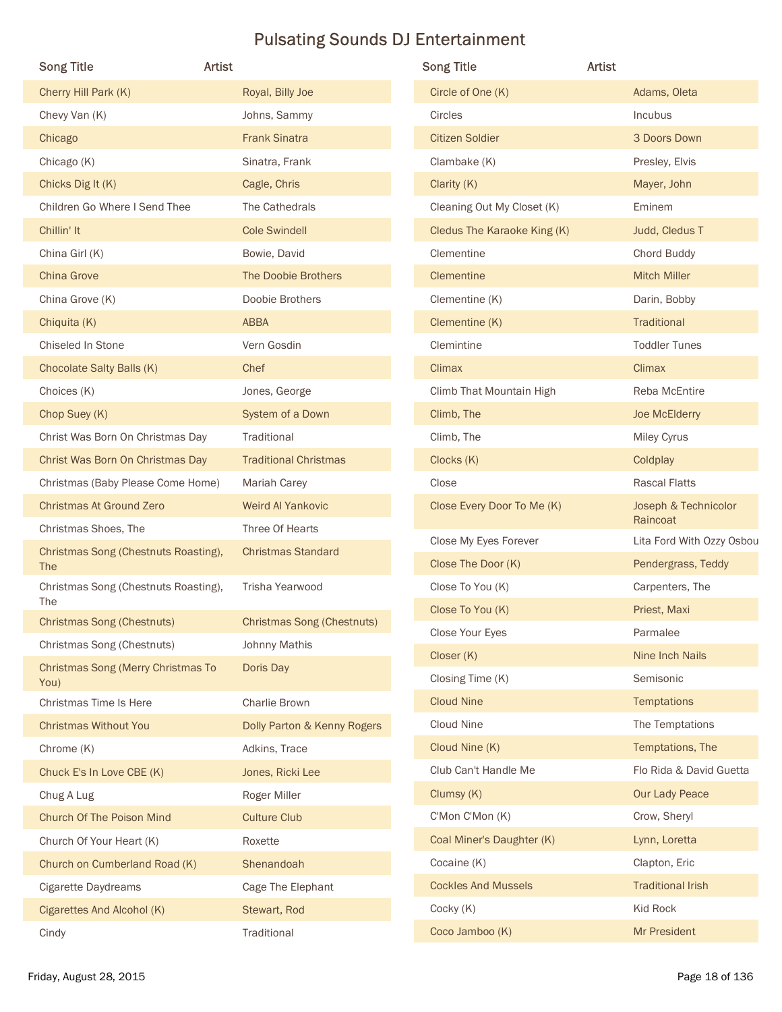|                                                    | Artist                            | <b>Song Title</b>           | Artist                           |
|----------------------------------------------------|-----------------------------------|-----------------------------|----------------------------------|
| Cherry Hill Park (K)                               | Royal, Billy Joe                  | Circle of One (K)           | Adams, Oleta                     |
| Chevy Van (K)                                      | Johns, Sammy                      | Circles                     | Incubus                          |
| Chicago                                            | <b>Frank Sinatra</b>              | <b>Citizen Soldier</b>      | 3 Doors Down                     |
| Chicago (K)                                        | Sinatra, Frank                    | Clambake (K)                | Presley, Elvis                   |
| Chicks Dig It (K)                                  | Cagle, Chris                      | Clarity (K)                 | Mayer, John                      |
| Children Go Where I Send Thee                      | The Cathedrals                    | Cleaning Out My Closet (K)  | Eminem                           |
| Chillin' It                                        | <b>Cole Swindell</b>              | Cledus The Karaoke King (K) | Judd, Cledus T                   |
| China Girl (K)                                     | Bowie, David                      | Clementine                  | Chord Buddy                      |
| <b>China Grove</b>                                 | The Doobie Brothers               | Clementine                  | <b>Mitch Miller</b>              |
| China Grove (K)                                    | Doobie Brothers                   | Clementine (K)              | Darin, Bobby                     |
| Chiquita (K)                                       | <b>ABBA</b>                       | Clementine (K)              | Traditional                      |
| Chiseled In Stone                                  | Vern Gosdin                       | Clemintine                  | <b>Toddler Tunes</b>             |
| Chocolate Salty Balls (K)                          | Chef                              | Climax                      | Climax                           |
| Choices (K)                                        | Jones, George                     | Climb That Mountain High    | Reba McEntire                    |
| Chop Suey (K)                                      | System of a Down                  | Climb, The                  | Joe McElderry                    |
| Christ Was Born On Christmas Day                   | Traditional                       | Climb, The                  | Miley Cyrus                      |
| Christ Was Born On Christmas Day                   | <b>Traditional Christmas</b>      | Clocks (K)                  | Coldplay                         |
| Christmas (Baby Please Come Home)                  | <b>Mariah Carey</b>               | Close                       | <b>Rascal Flatts</b>             |
| <b>Christmas At Ground Zero</b>                    | Weird Al Yankovic                 | Close Every Door To Me (K)  | Joseph & Technicolor<br>Raincoat |
| Christmas Shoes, The                               | Three Of Hearts                   | Close My Eyes Forever       | Lita Ford With Ozzy Osbou        |
| Christmas Song (Chestnuts Roasting),<br><b>The</b> | <b>Christmas Standard</b>         | Close The Door (K)          | Pendergrass, Teddy               |
| Christmas Song (Chestnuts Roasting),               | Trisha Yearwood                   | Close To You (K)            | Carpenters, The                  |
| The                                                |                                   | Close To You (K)            | Priest, Maxi                     |
| <b>Christmas Song (Chestnuts)</b>                  | <b>Christmas Song (Chestnuts)</b> | Close Your Eyes             | Parmalee                         |
| Christmas Song (Chestnuts)                         | Johnny Mathis                     | Closer (K)                  | Nine Inch Nails                  |
| Christmas Song (Merry Christmas To<br>You)         | Doris Day                         | Closing Time (K)            | Semisonic                        |
| Christmas Time Is Here                             | Charlie Brown                     | <b>Cloud Nine</b>           | Temptations                      |
| <b>Christmas Without You</b>                       | Dolly Parton & Kenny Rogers       | Cloud Nine                  | The Temptations                  |
| Chrome (K)                                         | Adkins, Trace                     | Cloud Nine (K)              | Temptations, The                 |
| Chuck E's In Love CBE (K)                          | Jones, Ricki Lee                  | Club Can't Handle Me        | Flo Rida & David Guetta          |
| Chug A Lug                                         | Roger Miller                      | Clumsy (K)                  | Our Lady Peace                   |
| Church Of The Poison Mind                          | <b>Culture Club</b>               | C'Mon C'Mon (K)             | Crow, Sheryl                     |
| Church Of Your Heart (K)                           | Roxette                           | Coal Miner's Daughter (K)   | Lynn, Loretta                    |
| Church on Cumberland Road (K)                      | Shenandoah                        | Cocaine (K)                 | Clapton, Eric                    |
| Cigarette Daydreams                                | Cage The Elephant                 | <b>Cockles And Mussels</b>  | <b>Traditional Irish</b>         |
| Cigarettes And Alcohol (K)                         | Stewart, Rod                      | Cocky (K)                   | Kid Rock                         |
|                                                    | Traditional                       | Coco Jamboo (K)             | Mr President                     |

| <b>Song Title</b>                                                                                      | Artist                                                                                                   |
|--------------------------------------------------------------------------------------------------------|----------------------------------------------------------------------------------------------------------|
| Circle of One (K)                                                                                      | Adams, Oleta                                                                                             |
| <b>Circles</b>                                                                                         | Incubus                                                                                                  |
| <b>Citizen Soldier</b>                                                                                 | 3 Doors Down                                                                                             |
| Clambake (K)                                                                                           | Presley, Elvis                                                                                           |
| Clarity (K)                                                                                            | Mayer, John                                                                                              |
| Cleaning Out My Closet (K)                                                                             | Eminem                                                                                                   |
| Cledus The Karaoke King (K)                                                                            | Judd, Cledus T                                                                                           |
| Clementine                                                                                             | Chord Buddy                                                                                              |
| Clementine                                                                                             | <b>Mitch Miller</b>                                                                                      |
| Clementine (K)                                                                                         | Darin, Bobby                                                                                             |
| Clementine (K)                                                                                         | <b>Traditional</b>                                                                                       |
| Clemintine                                                                                             | <b>Toddler Tunes</b>                                                                                     |
| Climax                                                                                                 | Climax                                                                                                   |
| Climb That Mountain High                                                                               | Reba McEntire                                                                                            |
| Climb, The                                                                                             | Joe McElderry                                                                                            |
| Climb, The                                                                                             | Miley Cyrus                                                                                              |
| Clocks (K)                                                                                             | Coldplay                                                                                                 |
| Close                                                                                                  | <b>Rascal Flatts</b>                                                                                     |
| Close Every Door To Me (K)                                                                             | Joseph & Technicolor<br>Raincoat                                                                         |
| Close My Eyes Forever                                                                                  | Lita Ford With Ozzy Osbou                                                                                |
| Close The Door (K)                                                                                     | Pendergrass, Teddy                                                                                       |
| Close To You (K)                                                                                       | Carpenters, The                                                                                          |
| Close To You (K)                                                                                       | Priest, Maxi                                                                                             |
| Close Your Eyes                                                                                        | Parmalee                                                                                                 |
| Closer (K)                                                                                             | Nine Inch Nails                                                                                          |
| Closing Time (K)                                                                                       | Semisonic                                                                                                |
| <b>Cloud Nine</b>                                                                                      | <b>Temptations</b>                                                                                       |
| Cloud Nine                                                                                             | The Temptations                                                                                          |
| Cloud Nine (K)                                                                                         | Temptations, The                                                                                         |
| Club Can't Handle Me                                                                                   | Flo Rida & David Guetta                                                                                  |
| Clumsy (K)                                                                                             | Our Lady Peace                                                                                           |
| C'Mon C'Mon (K)                                                                                        | Crow, Sheryl                                                                                             |
|                                                                                                        |                                                                                                          |
|                                                                                                        |                                                                                                          |
|                                                                                                        |                                                                                                          |
|                                                                                                        |                                                                                                          |
| Coal Miner's Daughter (K)<br>Cocaine (K)<br><b>Cockles And Mussels</b><br>Cocky (K)<br>Coco Jamboo (K) | Lynn, Loretta<br>Clapton, Eric<br><b>Traditional Irish</b><br>Kid Rock<br>Mr President<br>Page 18 of 136 |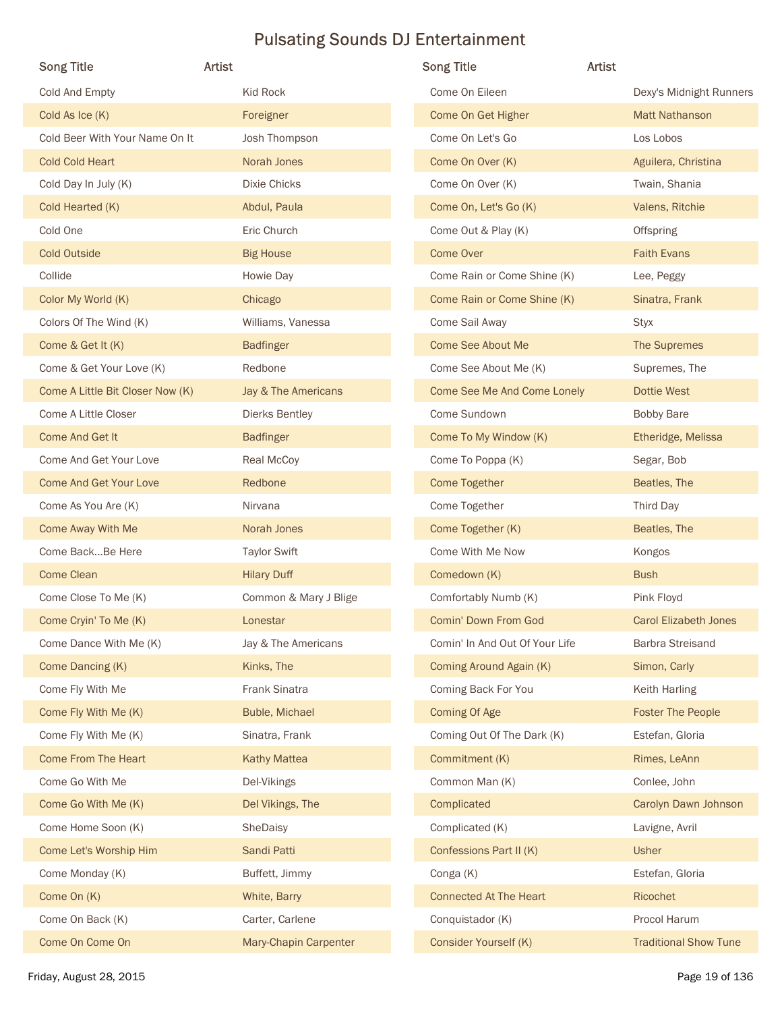| <b>Song Title</b>                | Artist                | <b>Song Title</b>              | Artist                       |
|----------------------------------|-----------------------|--------------------------------|------------------------------|
| Cold And Empty                   | Kid Rock              | Come On Eileen                 | Dexy's Midnight Runners      |
| Cold As Ice (K)                  | Foreigner             | Come On Get Higher             | <b>Matt Nathanson</b>        |
| Cold Beer With Your Name On It   | Josh Thompson         | Come On Let's Go               | Los Lobos                    |
| <b>Cold Cold Heart</b>           | Norah Jones           | Come On Over (K)               | Aguilera, Christina          |
| Cold Day In July (K)             | Dixie Chicks          | Come On Over (K)               | Twain, Shania                |
| Cold Hearted (K)                 | Abdul, Paula          | Come On, Let's Go (K)          | Valens, Ritchie              |
| Cold One                         | Eric Church           | Come Out & Play (K)            | Offspring                    |
| <b>Cold Outside</b>              | <b>Big House</b>      | Come Over                      | <b>Faith Evans</b>           |
| Collide                          | Howie Day             | Come Rain or Come Shine (K)    | Lee, Peggy                   |
| Color My World (K)               | Chicago               | Come Rain or Come Shine (K)    | Sinatra, Frank               |
| Colors Of The Wind (K)           | Williams, Vanessa     | Come Sail Away                 | <b>Styx</b>                  |
| Come & Get It (K)                | <b>Badfinger</b>      | <b>Come See About Me</b>       | The Supremes                 |
| Come & Get Your Love (K)         | Redbone               | Come See About Me (K)          | Supremes, The                |
| Come A Little Bit Closer Now (K) | Jay & The Americans   | Come See Me And Come Lonely    | <b>Dottie West</b>           |
| Come A Little Closer             | <b>Dierks Bentley</b> | Come Sundown                   | <b>Bobby Bare</b>            |
| Come And Get It                  | <b>Badfinger</b>      | Come To My Window (K)          | Etheridge, Melissa           |
| Come And Get Your Love           | Real McCoy            | Come To Poppa (K)              | Segar, Bob                   |
| <b>Come And Get Your Love</b>    | Redbone               | <b>Come Together</b>           | Beatles, The                 |
| Come As You Are (K)              | Nirvana               | Come Together                  | Third Day                    |
| Come Away With Me                | Norah Jones           | Come Together (K)              | Beatles, The                 |
| Come BackBe Here                 | <b>Taylor Swift</b>   | Come With Me Now               | Kongos                       |
| <b>Come Clean</b>                | <b>Hilary Duff</b>    | Comedown (K)                   | <b>Bush</b>                  |
| Come Close To Me (K)             | Common & Mary J Blige | Comfortably Numb (K)           | Pink Floyd                   |
| Come Cryin' To Me (K)            | Lonestar              | Comin' Down From God           | <b>Carol Elizabeth Jones</b> |
| Come Dance With Me (K)           | Jay & The Americans   | Comin' In And Out Of Your Life | <b>Barbra Streisand</b>      |
| Come Dancing (K)                 | Kinks, The            | Coming Around Again (K)        | Simon, Carly                 |
| Come Fly With Me                 | Frank Sinatra         | Coming Back For You            | Keith Harling                |
| Come Fly With Me (K)             | Buble, Michael        | Coming Of Age                  | <b>Foster The People</b>     |
| Come Fly With Me (K)             | Sinatra, Frank        | Coming Out Of The Dark (K)     | Estefan, Gloria              |
| <b>Come From The Heart</b>       | <b>Kathy Mattea</b>   | Commitment (K)                 | Rimes, LeAnn                 |
| Come Go With Me                  | Del-Vikings           | Common Man (K)                 | Conlee, John                 |
| Come Go With Me (K)              | Del Vikings, The      | Complicated                    | Carolyn Dawn Johnson         |
| Come Home Soon (K)               | SheDaisy              | Complicated (K)                | Lavigne, Avril               |
| Come Let's Worship Him           | Sandi Patti           | Confessions Part II (K)        | Usher                        |
| Come Monday (K)                  | Buffett, Jimmy        | Conga (K)                      | Estefan, Gloria              |
| Come On (K)                      | White, Barry          | <b>Connected At The Heart</b>  | Ricochet                     |
| Come On Back (K)                 | Carter, Carlene       | Conquistador (K)               | Procol Harum                 |
| Come On Come On                  | Mary-Chapin Carpenter | Consider Yourself (K)          | <b>Traditional Show Tune</b> |

| ntertainment                     |                              |
|----------------------------------|------------------------------|
| <b>Song Title</b>                | Artist                       |
| Come On Eileen                   | Dexy's Midnight Runners      |
| Come On Get Higher               | <b>Matt Nathanson</b>        |
| Come On Let's Go                 | Los Lobos                    |
| Come On Over (K)                 | Aguilera, Christina          |
| Come On Over (K)                 | Twain, Shania                |
| Come On, Let's Go (K)            | Valens, Ritchie              |
| Come Out & Play (K)              | Offspring                    |
| Come Over                        | <b>Faith Evans</b>           |
| Come Rain or Come Shine (K)      | Lee, Peggy                   |
| Come Rain or Come Shine (K)      | Sinatra, Frank               |
| Come Sail Away                   | Styx                         |
| <b>Come See About Me</b>         | <b>The Supremes</b>          |
| Come See About Me (K)            | Supremes, The                |
| Come See Me And Come Lonely      | Dottie West                  |
| Come Sundown                     | <b>Bobby Bare</b>            |
| Come To My Window (K)            | Etheridge, Melissa           |
| Come To Poppa (K)                | Segar, Bob                   |
| Come Together                    | Beatles, The                 |
| Come Together                    | Third Day                    |
| Come Together (K)                | Beatles, The                 |
| Come With Me Now<br>Comedown (K) | Kongos<br><b>Bush</b>        |
| Comfortably Numb (K)             | Pink Floyd                   |
| Comin' Down From God             | Carol Elizabeth Jones        |
| Comin' In And Out Of Your Life   | Barbra Streisand             |
| Coming Around Again (K)          | Simon, Carly                 |
| Coming Back For You              | Keith Harling                |
| Coming Of Age                    | <b>Foster The People</b>     |
| Coming Out Of The Dark (K)       | Estefan, Gloria              |
| Commitment (K)                   | Rimes, LeAnn                 |
| Common Man (K)                   | Conlee, John                 |
| Complicated                      | Carolyn Dawn Johnson         |
| Complicated (K)                  | Lavigne, Avril               |
| Confessions Part II (K)          | <b>Usher</b>                 |
| Conga (K)                        | Estefan, Gloria              |
| <b>Connected At The Heart</b>    | Ricochet                     |
| Conquistador (K)                 | Procol Harum                 |
| Consider Yourself (K)            | <b>Traditional Show Tune</b> |
|                                  |                              |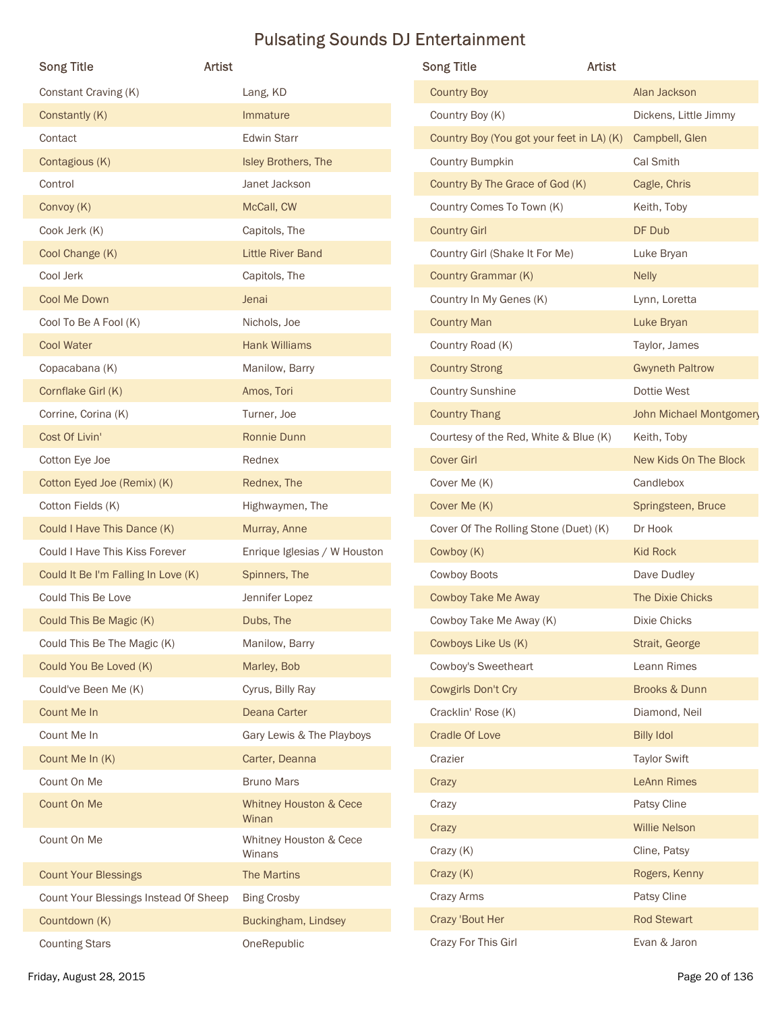| <b>Song Title</b>                     | Artist                          | <b>Song Title</b><br>Artist               |                                     |
|---------------------------------------|---------------------------------|-------------------------------------------|-------------------------------------|
| Constant Craving (K)                  | Lang, KD                        | <b>Country Boy</b>                        | Alan Jackson                        |
| Constantly (K)                        | Immature                        | Country Boy (K)                           | Dickens, Little Jimmy               |
| Contact                               | <b>Edwin Starr</b>              | Country Boy (You got your feet in LA) (K) | Campbell, Glen                      |
| Contagious (K)                        | Isley Brothers, The             | Country Bumpkin                           | Cal Smith                           |
| Control                               | Janet Jackson                   | Country By The Grace of God (K)           | Cagle, Chris                        |
| Convoy (K)                            | McCall, CW                      | Country Comes To Town (K)                 | Keith, Toby                         |
| Cook Jerk (K)                         | Capitols, The                   | <b>Country Girl</b>                       | DF Dub                              |
| Cool Change (K)                       | <b>Little River Band</b>        | Country Girl (Shake It For Me)            | Luke Bryan                          |
| Cool Jerk                             | Capitols, The                   | Country Grammar (K)                       | <b>Nelly</b>                        |
| Cool Me Down                          | Jenai                           | Country In My Genes (K)                   | Lynn, Loretta                       |
| Cool To Be A Fool (K)                 | Nichols, Joe                    | <b>Country Man</b>                        | Luke Bryan                          |
| <b>Cool Water</b>                     | <b>Hank Williams</b>            | Country Road (K)                          | Taylor, James                       |
| Copacabana (K)                        | Manilow, Barry                  | <b>Country Strong</b>                     | <b>Gwyneth Paltrow</b>              |
| Cornflake Girl (K)                    | Amos, Tori                      | <b>Country Sunshine</b>                   | Dottie West                         |
| Corrine, Corina (K)                   | Turner, Joe                     | <b>Country Thang</b>                      | John Michael Montgomery             |
| Cost Of Livin'                        | Ronnie Dunn                     | Courtesy of the Red, White & Blue (K)     | Keith, Toby                         |
| Cotton Eye Joe                        | Rednex                          | <b>Cover Girl</b>                         | New Kids On The Block               |
| Cotton Eyed Joe (Remix) (K)           | Rednex, The                     | Cover Me (K)                              | Candlebox                           |
| Cotton Fields (K)                     | Highwaymen, The                 | Cover Me (K)                              | Springsteen, Bruce                  |
| Could I Have This Dance (K)           | Murray, Anne                    | Cover Of The Rolling Stone (Duet) (K)     | Dr Hook                             |
| Could I Have This Kiss Forever        | Enrique Iglesias / W Houston    | Cowboy (K)                                | Kid Rock                            |
| Could It Be I'm Falling In Love (K)   | Spinners, The                   | Cowboy Boots                              | Dave Dudley                         |
| Could This Be Love                    | Jennifer Lopez                  | Cowboy Take Me Away                       | The Dixie Chicks                    |
| Could This Be Magic (K)               | Dubs, The                       | Cowboy Take Me Away (K)                   | Dixie Chicks                        |
| Could This Be The Magic (K)           | Manilow, Barry                  | Cowboys Like Us (K)                       | Strait, George                      |
| Could You Be Loved (K)                | Marley, Bob                     | Cowboy's Sweetheart                       | Leann Rimes                         |
| Could've Been Me (K)                  | Cyrus, Billy Ray                | Cowgirls Don't Cry                        | Brooks & Dunn                       |
| Count Me In                           | Deana Carter                    | Cracklin' Rose (K)                        | Diamond, Neil                       |
| Count Me In                           | Gary Lewis & The Playboys       | <b>Cradle Of Love</b>                     | <b>Billy Idol</b>                   |
| Count Me In (K)                       | Carter, Deanna                  | Crazier                                   | <b>Taylor Swift</b>                 |
| Count On Me                           | <b>Bruno Mars</b>               | Crazy                                     | <b>LeAnn Rimes</b>                  |
| Count On Me                           | Whitney Houston & Cece<br>Winan | Crazy<br>Crazy                            | Patsy Cline<br><b>Willie Nelson</b> |
| Count On Me                           | Whitney Houston & Cece          | Crazy (K)                                 | Cline, Patsy                        |
| <b>Count Your Blessings</b>           | Winans<br>The Martins           | Crazy (K)                                 | Rogers, Kenny                       |
| Count Your Blessings Instead Of Sheep | <b>Bing Crosby</b>              | Crazy Arms                                | Patsy Cline                         |
| Countdown (K)                         | Buckingham, Lindsey             | Crazy 'Bout Her                           | <b>Rod Stewart</b>                  |
| <b>Counting Stars</b>                 | OneRepublic                     | Crazy For This Girl                       | Evan & Jaron                        |
|                                       |                                 |                                           |                                     |

| <b>Intertainment</b>                                  |                          |
|-------------------------------------------------------|--------------------------|
| Artist<br><b>Song Title</b>                           |                          |
| <b>Country Boy</b>                                    | Alan Jackson             |
| Country Boy (K)                                       | Dickens, Little Jimmy    |
| Country Boy (You got your feet in LA) (K)             | Campbell, Glen           |
| Country Bumpkin                                       | Cal Smith                |
| Country By The Grace of God (K)                       | Cagle, Chris             |
| Country Comes To Town (K)                             | Keith, Toby<br>DF Dub    |
| <b>Country Girl</b><br>Country Girl (Shake It For Me) | Luke Bryan               |
| Country Grammar (K)                                   | <b>Nelly</b>             |
| Country In My Genes (K)                               | Lynn, Loretta            |
| <b>Country Man</b>                                    | Luke Bryan               |
| Country Road (K)                                      | Taylor, James            |
| <b>Country Strong</b>                                 | <b>Gwyneth Paltrow</b>   |
| <b>Country Sunshine</b>                               | Dottie West              |
| <b>Country Thang</b>                                  | John Michael Montgomery  |
| Courtesy of the Red, White & Blue (K)                 | Keith, Toby              |
| <b>Cover Girl</b>                                     | New Kids On The Block    |
| Cover Me (K)                                          | Candlebox                |
| Cover Me (K)                                          | Springsteen, Bruce       |
| Cover Of The Rolling Stone (Duet) (K)                 | Dr Hook                  |
| Cowboy (K)                                            | <b>Kid Rock</b>          |
| Cowboy Boots                                          | Dave Dudley              |
| <b>Cowboy Take Me Away</b>                            | The Dixie Chicks         |
| Cowboy Take Me Away (K)                               | Dixie Chicks             |
| Cowboys Like Us (K)                                   | Strait, George           |
| Cowboy's Sweetheart                                   | Leann Rimes              |
| Cowgirls Don't Cry                                    | <b>Brooks &amp; Dunn</b> |
| Cracklin' Rose (K)                                    | Diamond, Neil            |
| <b>Cradle Of Love</b>                                 | <b>Billy Idol</b>        |
| Crazier                                               | <b>Taylor Swift</b>      |
| Crazy                                                 | <b>LeAnn Rimes</b>       |
| Crazy                                                 | Patsy Cline              |
| Crazy                                                 | <b>Willie Nelson</b>     |
| Crazy (K)                                             | Cline, Patsy             |
| Crazy (K)                                             | Rogers, Kenny            |
| Crazy Arms                                            | Patsy Cline              |
| Crazy 'Bout Her                                       | <b>Rod Stewart</b>       |
| Crazy For This Girl                                   | Evan & Jaron             |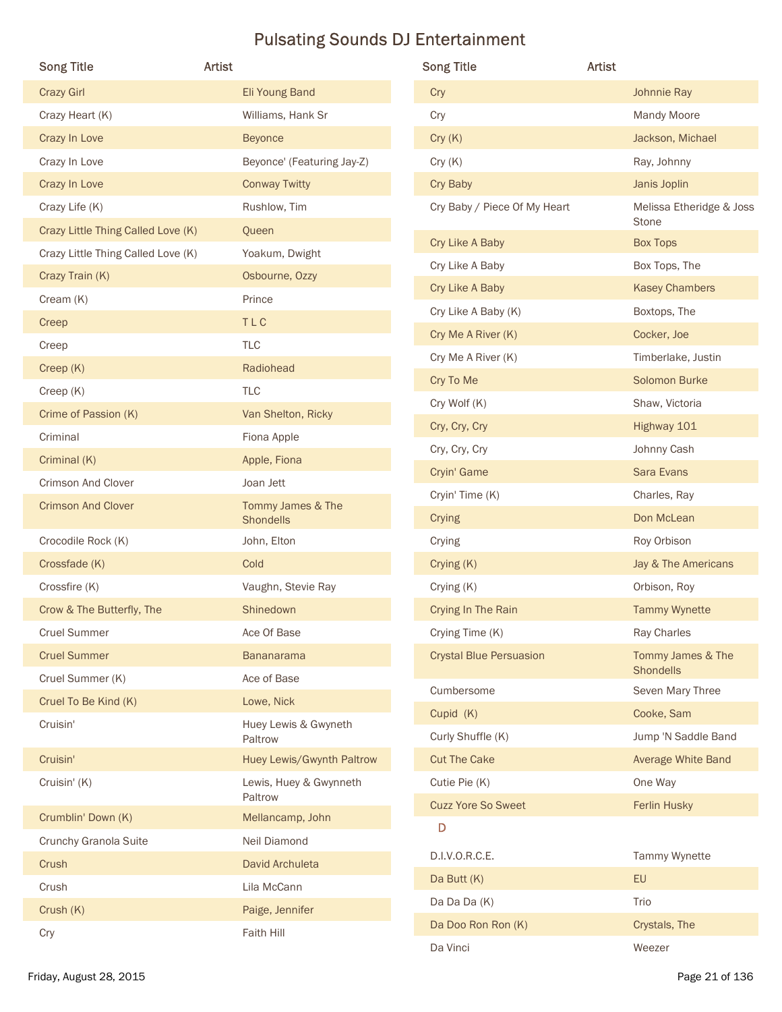| <b>Song Title</b>                          | <b>Pulsating Sounds DJ Entertainment</b><br>Artist | <b>Song Title</b>                | Artist                              |
|--------------------------------------------|----------------------------------------------------|----------------------------------|-------------------------------------|
| <b>Crazy Girl</b>                          | Eli Young Band                                     | Cry                              | Johnnie Ray                         |
| Crazy Heart (K)                            | Williams, Hank Sr                                  | Cry                              | <b>Mandy Moore</b>                  |
|                                            |                                                    |                                  | Jackson, Michael                    |
| Crazy In Love<br>Crazy In Love             | Beyonce<br>Beyonce' (Featuring Jay-Z)              | Cry (K)<br>Cry (K)               | Ray, Johnny                         |
| Crazy In Love                              | <b>Conway Twitty</b>                               | Cry Baby                         | Janis Joplin                        |
| Crazy Life (K)                             | Rushlow, Tim                                       | Cry Baby / Piece Of My Heart     | Melissa Etheridge & Joss            |
| Crazy Little Thing Called Love (K)         | Queen                                              |                                  | Stone                               |
| Crazy Little Thing Called Love (K)         | Yoakum, Dwight                                     | Cry Like A Baby                  | <b>Box Tops</b>                     |
| Crazy Train (K)                            | Osbourne, Ozzy                                     | Cry Like A Baby                  | Box Tops, The                       |
| Cream (K)                                  | Prince                                             | Cry Like A Baby                  | <b>Kasey Chambers</b>               |
| Creep                                      | <b>TLC</b>                                         | Cry Like A Baby (K)              | Boxtops, The                        |
| Creep                                      | ${\sf TLC}$                                        | Cry Me A River (K)               | Cocker, Joe                         |
| Creep (K)                                  | Radiohead                                          | Cry Me A River (K)               | Timberlake, Justin                  |
| Creep (K)                                  | TLC                                                | Cry To Me                        | Solomon Burke                       |
| Crime of Passion (K)                       | Van Shelton, Ricky                                 | Cry Wolf (K)                     | Shaw, Victoria                      |
| Criminal                                   | Fiona Apple                                        | Cry, Cry, Cry                    | Highway 101                         |
| Criminal (K)                               | Apple, Fiona                                       | Cry, Cry, Cry                    | Johnny Cash                         |
| Crimson And Clover                         | Joan Jett                                          | Cryin' Game                      | Sara Evans                          |
| <b>Crimson And Clover</b>                  | Tommy James & The                                  | Cryin' Time (K)                  | Charles, Ray                        |
|                                            | <b>Shondells</b>                                   | Crying                           | Don McLean                          |
| Crocodile Rock (K)                         | John, Elton                                        | Crying                           | Roy Orbison                         |
| Crossfade (K)                              | Cold                                               | Crying (K)                       | Jay & The Americans<br>Orbison, Roy |
| Crossfire (K)<br>Crow & The Butterfly, The | Vaughn, Stevie Ray<br>Shinedown                    | Crying (K)<br>Crying In The Rain | <b>Tammy Wynette</b>                |
| <b>Cruel Summer</b>                        | Ace Of Base                                        | Crying Time (K)                  | Ray Charles                         |
| <b>Cruel Summer</b>                        | <b>Bananarama</b>                                  | <b>Crystal Blue Persuasion</b>   | Tommy James & The                   |
| Cruel Summer (K)                           | Ace of Base                                        |                                  | <b>Shondells</b>                    |
| Cruel To Be Kind (K)                       | Lowe, Nick                                         | Cumbersome                       | Seven Mary Three                    |
| Cruisin'                                   | Huey Lewis & Gwyneth                               | Cupid (K)                        | Cooke, Sam                          |
|                                            | Paltrow                                            | Curly Shuffle (K)                | Jump 'N Saddle Band                 |
| Cruisin'                                   | Huey Lewis/Gwynth Paltrow                          | <b>Cut The Cake</b>              | Average White Band                  |
| Cruisin' (K)                               | Lewis, Huey & Gwynneth<br>Paltrow                  | Cutie Pie (K)                    | One Way                             |
| Crumblin' Down (K)                         | Mellancamp, John                                   | <b>Cuzz Yore So Sweet</b>        | Ferlin Husky                        |
| Crunchy Granola Suite                      | Neil Diamond                                       | D                                |                                     |
| Crush                                      | David Archuleta                                    | D.I.V.O.R.C.E.                   | Tammy Wynette                       |
| Crush                                      | Lila McCann                                        | Da Butt (K)                      | EU                                  |
| Crush (K)                                  | Paige, Jennifer                                    | Da Da Da (K)                     | Trio                                |
| Cry                                        | Faith Hill                                         | Da Doo Ron Ron (K)               | Crystals, The                       |
|                                            |                                                    | Da Vinci                         | Weezer                              |
| riday, August 28, 2015                     |                                                    |                                  | Page 21 of 136                      |
|                                            |                                                    |                                  |                                     |
|                                            |                                                    |                                  |                                     |

| Artist<br><b>Song Title</b>        |                                 |                                |                                       |
|------------------------------------|---------------------------------|--------------------------------|---------------------------------------|
|                                    |                                 | <b>Song Title</b>              | Artist                                |
| <b>Crazy Girl</b>                  | Eli Young Band                  | Cry                            | Johnnie Ray                           |
| Crazy Heart (K)                    | Williams, Hank Sr               | Cry                            | Mandy Moore                           |
| Crazy In Love                      | Beyonce                         | Cry (K)                        | Jackson, Michael                      |
| Crazy In Love                      | Beyonce' (Featuring Jay-Z)      | Cry (K)                        | Ray, Johnny                           |
| Crazy In Love                      | <b>Conway Twitty</b>            | Cry Baby                       | Janis Joplin                          |
| Crazy Life (K)                     | Rushlow, Tim                    | Cry Baby / Piece Of My Heart   | Melissa Etheridge & Joss<br>Stone     |
| Crazy Little Thing Called Love (K) | Queen                           | Cry Like A Baby                | <b>Box Tops</b>                       |
| Crazy Little Thing Called Love (K) | Yoakum, Dwight                  | Cry Like A Baby                | Box Tops, The                         |
| Crazy Train (K)                    | Osbourne, Ozzy                  | Cry Like A Baby                | <b>Kasey Chambers</b>                 |
| Cream (K)<br>Creep                 | Prince<br><b>TLC</b>            | Cry Like A Baby (K)            | Boxtops, The                          |
| Creep                              | TLC                             | Cry Me A River (K)             | Cocker, Joe                           |
| Creep (K)                          | Radiohead                       | Cry Me A River (K)             | Timberlake, Justin                    |
| Creep (K)                          | ${\sf TLC}$                     | Cry To Me                      | Solomon Burke                         |
| Crime of Passion (K)               | Van Shelton, Ricky              | Cry Wolf (K)                   | Shaw, Victoria                        |
| Criminal                           | Fiona Apple                     | Cry, Cry, Cry                  | Highway 101                           |
| Criminal (K)                       | Apple, Fiona                    | Cry, Cry, Cry                  | Johnny Cash                           |
| Crimson And Clover                 | Joan Jett                       | Cryin' Game                    | Sara Evans                            |
| <b>Crimson And Clover</b>          | Tommy James & The               | Cryin' Time (K)                | Charles, Ray                          |
|                                    | <b>Shondells</b>                | Crying                         | Don McLean                            |
| Crocodile Rock (K)                 | John, Elton                     | Crying                         | Roy Orbison                           |
| Crossfade (K)                      | Cold                            | Crying (K)                     | Jay & The Americans                   |
| Crossfire (K)                      | Vaughn, Stevie Ray              | Crying (K)                     | Orbison, Roy                          |
| Crow & The Butterfly, The          | Shinedown                       | Crying In The Rain             | <b>Tammy Wynette</b>                  |
| <b>Cruel Summer</b>                | Ace Of Base                     | Crying Time (K)                | Ray Charles                           |
| <b>Cruel Summer</b>                | Bananarama                      | <b>Crystal Blue Persuasion</b> | Tommy James & The<br><b>Shondells</b> |
| Cruel Summer (K)                   | Ace of Base                     | Cumbersome                     | Seven Mary Three                      |
| Cruel To Be Kind (K)               | Lowe, Nick                      | Cupid (K)                      | Cooke, Sam                            |
| Cruisin'                           | Huey Lewis & Gwyneth<br>Paltrow | Curly Shuffle (K)              | Jump 'N Saddle Band                   |
| Cruisin'                           | Huey Lewis/Gwynth Paltrow       | <b>Cut The Cake</b>            | Average White Band                    |
| Cruisin' (K)                       | Lewis, Huey & Gwynneth          | Cutie Pie (K)                  | One Way                               |
|                                    | Paltrow                         | <b>Cuzz Yore So Sweet</b>      | Ferlin Husky                          |
| Crumblin' Down (K)                 | Mellancamp, John                | D                              |                                       |
| Crunchy Granola Suite              | Neil Diamond                    | D.I.V.O.R.C.E.                 | Tammy Wynette                         |
| Crush                              | David Archuleta                 | Da Butt (K)                    | $\mathsf{EU}$                         |
| Crush                              | Lila McCann                     | Da Da Da (K)                   | Trio                                  |
| Crush (K)                          | Paige, Jennifer                 | Da Doo Ron Ron (K)             | Crystals, The                         |
| Cry                                | Faith Hill                      |                                |                                       |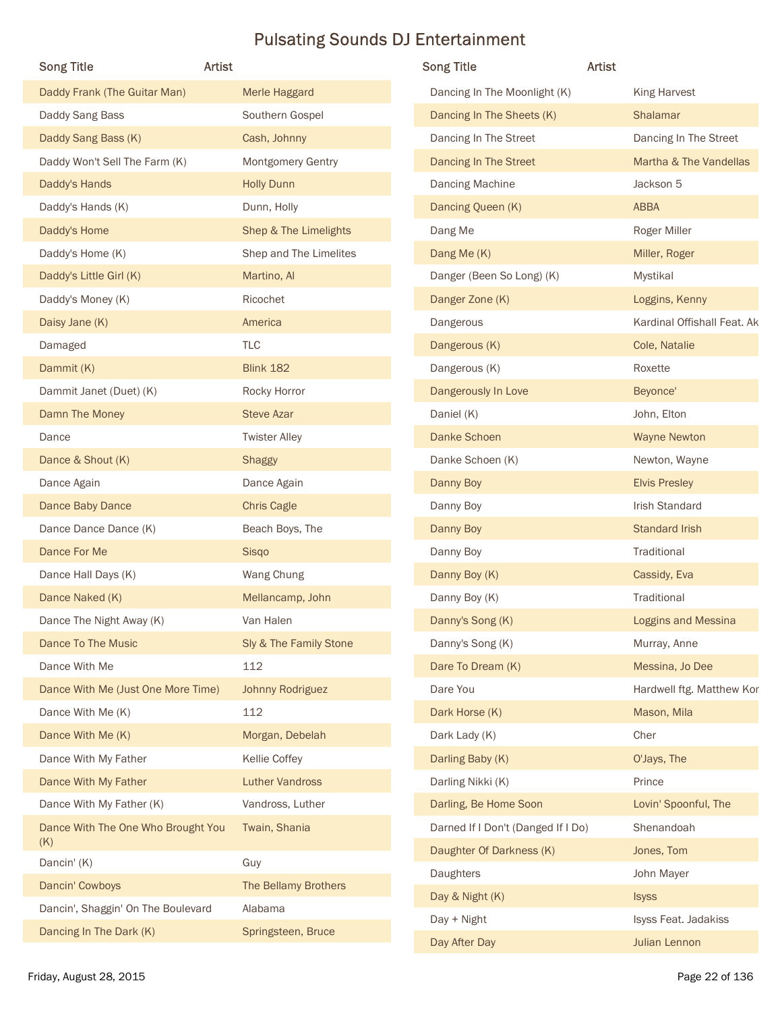| <b>Song Title</b><br>Artist               |                        | <b>Song Title</b><br>Artist        |                             |
|-------------------------------------------|------------------------|------------------------------------|-----------------------------|
| Daddy Frank (The Guitar Man)              | Merle Haggard          | Dancing In The Moonlight (K)       | <b>King Harvest</b>         |
| Daddy Sang Bass                           | Southern Gospel        | Dancing In The Sheets (K)          | Shalamar                    |
| Daddy Sang Bass (K)                       | Cash, Johnny           | Dancing In The Street              | Dancing In The Street       |
| Daddy Won't Sell The Farm (K)             | Montgomery Gentry      | Dancing In The Street              | Martha & The Vandellas      |
| Daddy's Hands                             | <b>Holly Dunn</b>      | Dancing Machine                    | Jackson 5                   |
| Daddy's Hands (K)                         | Dunn, Holly            | Dancing Queen (K)                  | ABBA                        |
| Daddy's Home                              | Shep & The Limelights  | Dang Me                            | Roger Miller                |
| Daddy's Home (K)                          | Shep and The Limelites | Dang Me (K)                        | Miller, Roger               |
| Daddy's Little Girl (K)                   | Martino, Al            | Danger (Been So Long) (K)          | Mystikal                    |
| Daddy's Money (K)                         | Ricochet               | Danger Zone (K)                    | Loggins, Kenny              |
| Daisy Jane (K)                            | America                | Dangerous                          | Kardinal Offishall Feat. Ak |
| Damaged                                   | TLC                    | Dangerous (K)                      | Cole, Natalie               |
| Dammit (K)                                | <b>Blink 182</b>       | Dangerous (K)                      | Roxette                     |
| Dammit Janet (Duet) (K)                   | Rocky Horror           | Dangerously In Love                | Beyonce'                    |
| Damn The Money                            | <b>Steve Azar</b>      | Daniel (K)                         | John, Elton                 |
| Dance                                     | <b>Twister Alley</b>   | Danke Schoen                       | <b>Wayne Newton</b>         |
| Dance & Shout (K)                         | Shaggy                 | Danke Schoen (K)                   | Newton, Wayne               |
| Dance Again                               | Dance Again            | Danny Boy                          | <b>Elvis Presley</b>        |
| Dance Baby Dance                          | <b>Chris Cagle</b>     | Danny Boy                          | Irish Standard              |
| Dance Dance Dance (K)                     | Beach Boys, The        | Danny Boy                          | Standard Irish              |
| Dance For Me                              | Sisqo                  | Danny Boy                          | Traditional                 |
| Dance Hall Days (K)                       | Wang Chung             | Danny Boy (K)                      | Cassidy, Eva                |
| Dance Naked (K)                           | Mellancamp, John       | Danny Boy (K)                      | Traditional                 |
| Dance The Night Away (K)                  | Van Halen              | Danny's Song (K)                   | Loggins and Messina         |
| Dance To The Music                        | Sly & The Family Stone | Danny's Song (K)                   | Murray, Anne                |
| Dance With Me                             | 112                    | Dare To Dream (K)                  | Messina, Jo Dee             |
| Dance With Me (Just One More Time)        | Johnny Rodriguez       | Dare You                           | Hardwell ftg. Matthew Kor   |
| Dance With Me (K)                         | 112                    | Dark Horse (K)                     | Mason, Mila                 |
| Dance With Me (K)                         | Morgan, Debelah        | Dark Lady (K)                      | Cher                        |
| Dance With My Father                      | Kellie Coffey          | Darling Baby (K)                   | O'Jays, The                 |
| Dance With My Father                      | <b>Luther Vandross</b> | Darling Nikki (K)                  | Prince                      |
| Dance With My Father (K)                  | Vandross, Luther       | Darling, Be Home Soon              | Lovin' Spoonful, The        |
| Dance With The One Who Brought You<br>(K) | Twain, Shania          | Darned If I Don't (Danged If I Do) | Shenandoah                  |
| Dancin' (K)                               | Guy                    | Daughter Of Darkness (K)           | Jones, Tom                  |
| Dancin' Cowboys                           | The Bellamy Brothers   | Daughters                          | John Mayer                  |
| Dancin', Shaggin' On The Boulevard        | Alabama                | Day & Night (K)                    | <b>Isyss</b>                |
| Dancing In The Dark (K)                   | Springsteen, Bruce     | Day + Night                        | Isyss Feat. Jadakiss        |
|                                           |                        | Day After Day                      | Julian Lennon               |

| <b>Entertainment</b>                     |        |                                        |
|------------------------------------------|--------|----------------------------------------|
| <b>Song Title</b>                        | Artist |                                        |
| Dancing In The Moonlight (K)             |        | <b>King Harvest</b>                    |
| Dancing In The Sheets (K)                |        | Shalamar                               |
| Dancing In The Street                    |        | Dancing In The Street                  |
| Dancing In The Street                    |        | Martha & The Vandellas                 |
| Dancing Machine                          |        | Jackson 5                              |
| Dancing Queen (K)                        |        | <b>ABBA</b>                            |
| Dang Me                                  |        | Roger Miller                           |
| Dang Me (K)<br>Danger (Been So Long) (K) |        | Miller, Roger<br>Mystikal              |
| Danger Zone (K)                          |        | Loggins, Kenny                         |
| Dangerous                                |        | Kardinal Offishall Feat. Ak            |
| Dangerous (K)                            |        | Cole, Natalie                          |
| Dangerous (K)                            |        | Roxette                                |
| Dangerously In Love                      |        | Beyonce'                               |
| Daniel (K)                               |        | John, Elton                            |
| Danke Schoen                             |        | <b>Wayne Newton</b>                    |
| Danke Schoen (K)                         |        | Newton, Wayne                          |
| Danny Boy                                |        | <b>Elvis Presley</b>                   |
| Danny Boy                                |        | Irish Standard                         |
| Danny Boy                                |        | <b>Standard Irish</b>                  |
| Danny Boy                                |        | Traditional                            |
| Danny Boy (K)                            |        | Cassidy, Eva                           |
| Danny Boy (K)                            |        | Traditional                            |
| Danny's Song (K)                         |        | Loggins and Messina                    |
| Danny's Song (K)                         |        | Murray, Anne                           |
| Dare To Dream (K)                        |        | Messina, Jo Dee                        |
| Dare You                                 |        | Hardwell ftg. Matthew Kor              |
| Dark Horse (K)                           |        | Mason, Mila                            |
| Dark Lady (K)                            |        | Cher                                   |
| Darling Baby (K)                         |        | O'Jays, The                            |
| Darling Nikki (K)                        |        | Prince                                 |
| Darling, Be Home Soon                    |        | Lovin' Spoonful, The                   |
| Darned If I Don't (Danged If I Do)       |        | Shenandoah                             |
| Daughter Of Darkness (K)                 |        | Jones, Tom                             |
| Daughters                                |        | John Mayer                             |
| Day & Night (K)                          |        | <b>Isyss</b>                           |
| Day + Night                              |        | Isyss Feat. Jadakiss                   |
| Day After Day                            |        | <b>Julian Lennon</b><br>Page 22 of 136 |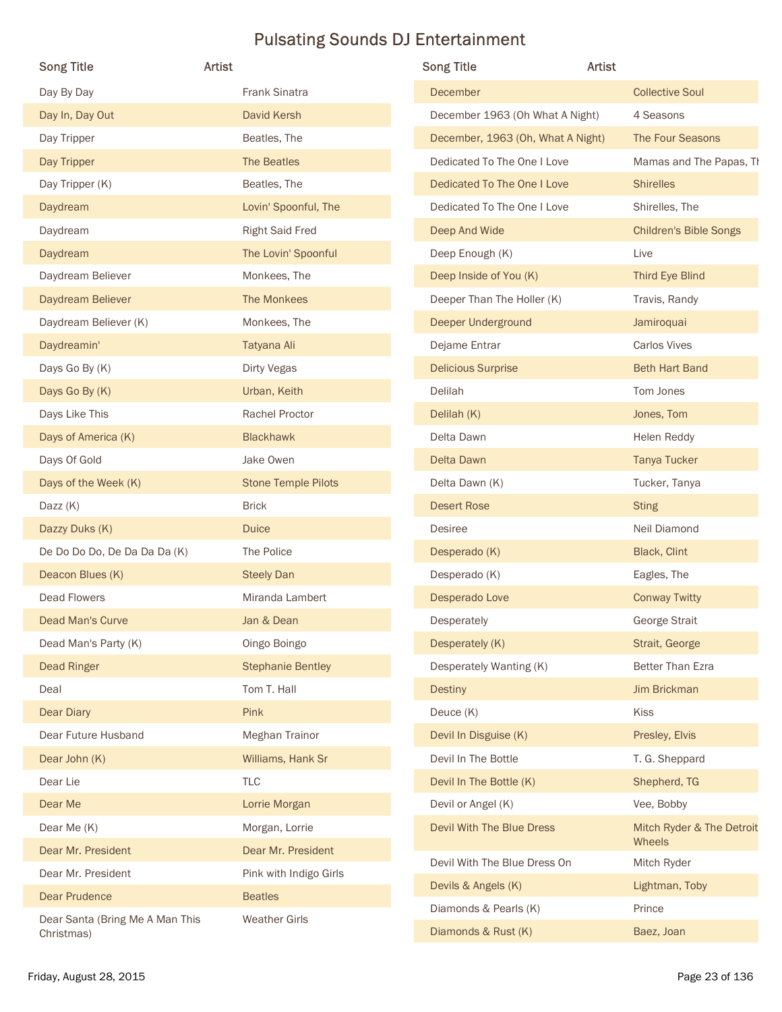| <b>Song Title</b><br>Artist     |                            |                                     |                                   |
|---------------------------------|----------------------------|-------------------------------------|-----------------------------------|
|                                 |                            | <b>Song Title</b><br>Artist         |                                   |
| Day By Day                      | <b>Frank Sinatra</b>       | December                            | <b>Collective Soul</b>            |
| Day In, Day Out                 | David Kersh                | December 1963 (Oh What A Night)     | 4 Seasons                         |
| Day Tripper                     | Beatles, The               | December, 1963 (Oh, What A Night)   | The Four Seasons                  |
| Day Tripper                     | The Beatles                | Dedicated To The One I Love         | Mamas and The Papas, Th           |
| Day Tripper (K)                 | Beatles, The               | Dedicated To The One I Love         | <b>Shirelles</b>                  |
| Daydream                        | Lovin' Spoonful, The       | Dedicated To The One I Love         | Shirelles, The                    |
| Daydream                        | <b>Right Said Fred</b>     | Deep And Wide                       | <b>Children's Bible Songs</b>     |
| Daydream                        | The Lovin' Spoonful        | Deep Enough (K)                     | Live                              |
| Daydream Believer               | Monkees, The               | Deep Inside of You (K)              | Third Eye Blind                   |
| Daydream Believer               | The Monkees                | Deeper Than The Holler (K)          | Travis, Randy                     |
| Daydream Believer (K)           | Monkees, The               | Deeper Underground<br>Dejame Entrar | Jamiroquai<br><b>Carlos Vives</b> |
| Daydreamin'<br>Days Go By (K)   | Tatyana Ali<br>Dirty Vegas | <b>Delicious Surprise</b>           | <b>Beth Hart Band</b>             |
| Days Go By (K)                  | Urban, Keith               | Delilah                             | Tom Jones                         |
| Days Like This                  | Rachel Proctor             | Delilah (K)                         | Jones, Tom                        |
| Days of America (K)             | <b>Blackhawk</b>           | Delta Dawn                          | Helen Reddy                       |
| Days Of Gold                    | Jake Owen                  | Delta Dawn                          | Tanya Tucker                      |
| Days of the Week (K)            | <b>Stone Temple Pilots</b> | Delta Dawn (K)                      | Tucker, Tanya                     |
| Dazz (K)                        | <b>Brick</b>               | <b>Desert Rose</b>                  | <b>Sting</b>                      |
| Dazzy Duks (K)                  | <b>Duice</b>               | Desiree                             | Neil Diamond                      |
| De Do Do Do, De Da Da Da (K)    | The Police                 | Desperado (K)                       | Black, Clint                      |
| Deacon Blues (K)                | <b>Steely Dan</b>          | Desperado (K)                       | Eagles, The                       |
| Dead Flowers                    | Miranda Lambert            | Desperado Love                      | <b>Conway Twitty</b>              |
| Dead Man's Curve                | Jan & Dean                 | Desperately                         | George Strait                     |
| Dead Man's Party (K)            | Oingo Boingo               | Desperately (K)                     | Strait, George                    |
| <b>Dead Ringer</b>              | <b>Stephanie Bentley</b>   | Desperately Wanting (K)             | <b>Better Than Ezra</b>           |
| Deal                            | Tom T. Hall                | Destiny                             | Jim Brickman                      |
| <b>Dear Diary</b>               | Pink                       | Deuce (K)                           | Kiss                              |
| Dear Future Husband             | Meghan Trainor             | Devil In Disguise (K)               | Presley, Elvis                    |
| Dear John (K)                   | Williams, Hank Sr          | Devil In The Bottle                 | T. G. Sheppard                    |
| Dear Lie                        | TLC                        | Devil In The Bottle (K)             | Shepherd, TG                      |
| Dear Me                         | Lorrie Morgan              | Devil or Angel (K)                  | Vee, Bobby                        |
| Dear Me (K)                     | Morgan, Lorrie             | Devil With The Blue Dress           | Mitch Ryder & The Detroit         |
| Dear Mr. President              | Dear Mr. President         |                                     | Wheels                            |
| Dear Mr. President              | Pink with Indigo Girls     | Devil With The Blue Dress On        | Mitch Ryder                       |
|                                 | <b>Beatles</b>             | Devils & Angels (K)                 | Lightman, Toby                    |
| Dear Prudence                   |                            | Diamonds & Pearls (K)               | Prince                            |
| Dear Santa (Bring Me A Man This | <b>Weather Girls</b>       | Diamonds & Rust (K)                 | Baez, Joan                        |

| <b>Collective Soul</b><br>December 1963 (Oh What A Night)<br>4 Seasons<br>The Four Seasons<br>December, 1963 (Oh, What A Night)<br><b>Shirelles</b><br>Shirelles, The<br>Live<br>Third Eye Blind<br>Travis, Randy<br>Jamiroquai<br><b>Carlos Vives</b><br><b>Beth Hart Band</b><br>Tom Jones<br>Jones, Tom<br>Helen Reddy<br>Tanya Tucker | <b>Children's Bible Songs</b>                                                                                                                     |
|-------------------------------------------------------------------------------------------------------------------------------------------------------------------------------------------------------------------------------------------------------------------------------------------------------------------------------------------|---------------------------------------------------------------------------------------------------------------------------------------------------|
|                                                                                                                                                                                                                                                                                                                                           | Mamas and The Papas, TI                                                                                                                           |
|                                                                                                                                                                                                                                                                                                                                           |                                                                                                                                                   |
|                                                                                                                                                                                                                                                                                                                                           |                                                                                                                                                   |
|                                                                                                                                                                                                                                                                                                                                           |                                                                                                                                                   |
|                                                                                                                                                                                                                                                                                                                                           |                                                                                                                                                   |
|                                                                                                                                                                                                                                                                                                                                           |                                                                                                                                                   |
|                                                                                                                                                                                                                                                                                                                                           |                                                                                                                                                   |
|                                                                                                                                                                                                                                                                                                                                           |                                                                                                                                                   |
|                                                                                                                                                                                                                                                                                                                                           |                                                                                                                                                   |
|                                                                                                                                                                                                                                                                                                                                           |                                                                                                                                                   |
|                                                                                                                                                                                                                                                                                                                                           |                                                                                                                                                   |
|                                                                                                                                                                                                                                                                                                                                           |                                                                                                                                                   |
|                                                                                                                                                                                                                                                                                                                                           |                                                                                                                                                   |
|                                                                                                                                                                                                                                                                                                                                           |                                                                                                                                                   |
|                                                                                                                                                                                                                                                                                                                                           |                                                                                                                                                   |
|                                                                                                                                                                                                                                                                                                                                           |                                                                                                                                                   |
|                                                                                                                                                                                                                                                                                                                                           |                                                                                                                                                   |
| Tucker, Tanya                                                                                                                                                                                                                                                                                                                             |                                                                                                                                                   |
| <b>Sting</b>                                                                                                                                                                                                                                                                                                                              |                                                                                                                                                   |
| Neil Diamond                                                                                                                                                                                                                                                                                                                              |                                                                                                                                                   |
| Black, Clint                                                                                                                                                                                                                                                                                                                              |                                                                                                                                                   |
| Eagles, The                                                                                                                                                                                                                                                                                                                               |                                                                                                                                                   |
| <b>Conway Twitty</b>                                                                                                                                                                                                                                                                                                                      |                                                                                                                                                   |
| George Strait                                                                                                                                                                                                                                                                                                                             |                                                                                                                                                   |
|                                                                                                                                                                                                                                                                                                                                           |                                                                                                                                                   |
|                                                                                                                                                                                                                                                                                                                                           |                                                                                                                                                   |
|                                                                                                                                                                                                                                                                                                                                           |                                                                                                                                                   |
|                                                                                                                                                                                                                                                                                                                                           |                                                                                                                                                   |
|                                                                                                                                                                                                                                                                                                                                           |                                                                                                                                                   |
|                                                                                                                                                                                                                                                                                                                                           |                                                                                                                                                   |
| Vee, Bobby                                                                                                                                                                                                                                                                                                                                |                                                                                                                                                   |
|                                                                                                                                                                                                                                                                                                                                           | Mitch Ryder & The Detroit                                                                                                                         |
| Mitch Ryder                                                                                                                                                                                                                                                                                                                               |                                                                                                                                                   |
| Lightman, Toby                                                                                                                                                                                                                                                                                                                            |                                                                                                                                                   |
| Prince                                                                                                                                                                                                                                                                                                                                    |                                                                                                                                                   |
| Baez, Joan                                                                                                                                                                                                                                                                                                                                |                                                                                                                                                   |
|                                                                                                                                                                                                                                                                                                                                           | Strait, George<br>Better Than Ezra<br><b>Jim Brickman</b><br>Kiss<br>Presley, Elvis<br>T. G. Sheppard<br>Shepherd, TG<br>Wheels<br>Page 23 of 136 |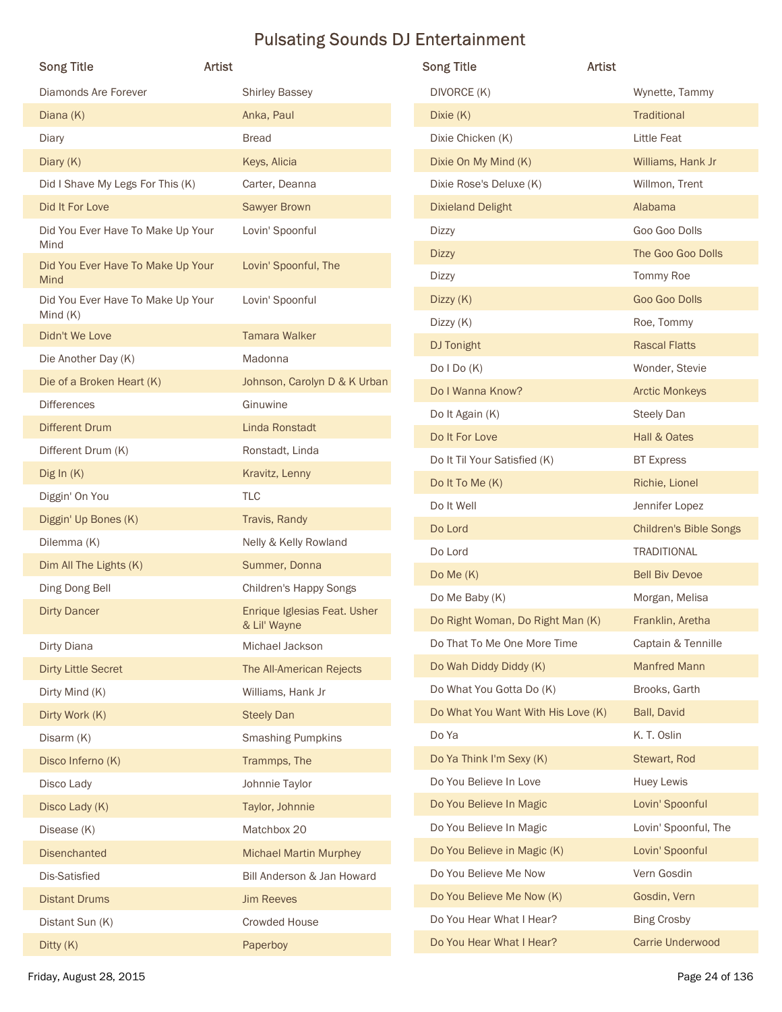| <b>Song Title</b><br>Artist                   |                                              | <b>Song Title</b><br>Artist        |                               |
|-----------------------------------------------|----------------------------------------------|------------------------------------|-------------------------------|
|                                               | <b>Shirley Bassey</b>                        |                                    |                               |
| Diamonds Are Forever                          | Anka, Paul                                   | DIVORCE (K)<br>Dixie (K)           | Wynette, Tammy<br>Traditional |
| Diana (K)<br>Diary                            | <b>Bread</b>                                 | Dixie Chicken (K)                  | Little Feat                   |
| Diary (K)                                     | Keys, Alicia                                 | Dixie On My Mind (K)               | Williams, Hank Jr             |
| Did I Shave My Legs For This (K)              | Carter, Deanna                               | Dixie Rose's Deluxe (K)            | Willmon, Trent                |
| Did It For Love                               | Sawyer Brown                                 | <b>Dixieland Delight</b>           | Alabama                       |
| Did You Ever Have To Make Up Your             | Lovin' Spoonful                              | <b>Dizzy</b>                       | Goo Goo Dolls                 |
| Mind                                          |                                              | <b>Dizzy</b>                       | The Goo Goo Dolls             |
| Did You Ever Have To Make Up Your<br>Mind     | Lovin' Spoonful, The                         | <b>Dizzy</b>                       | Tommy Roe                     |
| Did You Ever Have To Make Up Your<br>Mind (K) | Lovin' Spoonful                              | Dizzy (K)<br>Dizzy (K)             | Goo Goo Dolls<br>Roe, Tommy   |
| Didn't We Love                                | <b>Tamara Walker</b>                         | DJ Tonight                         | <b>Rascal Flatts</b>          |
| Die Another Day (K)                           | Madonna                                      | Do I Do (K)                        | Wonder, Stevie                |
| Die of a Broken Heart (K)                     | Johnson, Carolyn D & K Urban                 | Do I Wanna Know?                   | <b>Arctic Monkeys</b>         |
| <b>Differences</b>                            | Ginuwine                                     | Do It Again (K)                    | Steely Dan                    |
| <b>Different Drum</b>                         | Linda Ronstadt                               | Do It For Love                     | Hall & Oates                  |
| Different Drum (K)                            | Ronstadt, Linda                              | Do It Til Your Satisfied (K)       | <b>BT Express</b>             |
| Dig In (K)                                    | Kravitz, Lenny                               | Do It To Me (K)                    | Richie, Lionel                |
| Diggin' On You                                | TLC                                          | Do It Well                         | Jennifer Lopez                |
| Diggin' Up Bones (K)                          | Travis, Randy                                | Do Lord                            | <b>Children's Bible Songs</b> |
| Dilemma (K)                                   | Nelly & Kelly Rowland                        | Do Lord                            | TRADITIONAL                   |
| Dim All The Lights (K)                        | Summer, Donna                                | Do Me $(K)$                        | <b>Bell Biv Devoe</b>         |
| Ding Dong Bell                                | Children's Happy Songs                       | Do Me Baby (K)                     | Morgan, Melisa                |
| <b>Dirty Dancer</b>                           | Enrique Iglesias Feat. Usher<br>& Lil' Wayne | Do Right Woman, Do Right Man (K)   | Franklin, Aretha              |
| Dirty Diana                                   | Michael Jackson                              | Do That To Me One More Time        | Captain & Tennille            |
| <b>Dirty Little Secret</b>                    | The All-American Rejects                     | Do Wah Diddy Diddy (K)             | <b>Manfred Mann</b>           |
| Dirty Mind (K)                                | Williams, Hank Jr                            | Do What You Gotta Do (K)           | Brooks, Garth                 |
| Dirty Work (K)                                | <b>Steely Dan</b>                            | Do What You Want With His Love (K) | Ball, David                   |
| Disarm (K)                                    | <b>Smashing Pumpkins</b>                     | Do Ya                              | K. T. Oslin                   |
| Disco Inferno (K)                             | Trammps, The                                 | Do Ya Think I'm Sexy (K)           | Stewart, Rod                  |
| Disco Lady                                    | Johnnie Taylor                               | Do You Believe In Love             | <b>Huey Lewis</b>             |
| Disco Lady (K)                                | Taylor, Johnnie                              | Do You Believe In Magic            | Lovin' Spoonful               |
| Disease (K)                                   | Matchbox 20                                  | Do You Believe In Magic            | Lovin' Spoonful, The          |
| Disenchanted                                  | <b>Michael Martin Murphey</b>                | Do You Believe in Magic (K)        | Lovin' Spoonful               |
| Dis-Satisfied                                 | Bill Anderson & Jan Howard                   | Do You Believe Me Now              | Vern Gosdin                   |
| <b>Distant Drums</b>                          | <b>Jim Reeves</b>                            | Do You Believe Me Now (K)          | Gosdin, Vern                  |
|                                               | Crowded House                                | Do You Hear What I Hear?           | <b>Bing Crosby</b>            |
| Distant Sun (K)                               |                                              | Do You Hear What I Hear?           | Carrie Underwood              |

| <b>Entertainment</b>                                   |        |                                         |
|--------------------------------------------------------|--------|-----------------------------------------|
| <b>Song Title</b>                                      | Artist |                                         |
| DIVORCE (K)                                            |        | Wynette, Tammy                          |
| Dixie (K)                                              |        | Traditional                             |
| Dixie Chicken (K)                                      |        | Little Feat                             |
| Dixie On My Mind (K)                                   |        | Williams, Hank Jr                       |
| Dixie Rose's Deluxe (K)                                |        | Willmon, Trent                          |
| <b>Dixieland Delight</b>                               |        | Alabama                                 |
| <b>Dizzy</b>                                           |        | Goo Goo Dolls                           |
| <b>Dizzy</b>                                           |        | The Goo Goo Dolls                       |
| <b>Dizzy</b>                                           |        | Tommy Roe                               |
| Dizzy (K)                                              |        | Goo Goo Dolls                           |
| Dizzy (K)                                              |        | Roe, Tommy                              |
| DJ Tonight                                             |        | <b>Rascal Flatts</b>                    |
| Do I Do (K)                                            |        | Wonder, Stevie                          |
| Do I Wanna Know?                                       |        | <b>Arctic Monkeys</b>                   |
| Do It Again (K)                                        |        | Steely Dan                              |
| Do It For Love                                         |        | Hall & Oates                            |
| Do It Til Your Satisfied (K)                           |        | <b>BT Express</b>                       |
| Do It To Me (K)                                        |        | Richie, Lionel                          |
| Do It Well                                             |        | Jennifer Lopez                          |
| Do Lord                                                |        | <b>Children's Bible Songs</b>           |
| Do Lord                                                |        | TRADITIONAL                             |
| Do Me $(K)$                                            |        | <b>Bell Biv Devoe</b>                   |
| Do Me Baby (K)                                         |        | Morgan, Melisa                          |
| Do Right Woman, Do Right Man (K)                       |        | Franklin, Aretha                        |
| Do That To Me One More Time                            |        | Captain & Tennille                      |
| Do Wah Diddy Diddy (K)                                 |        | <b>Manfred Mann</b>                     |
| Do What You Gotta Do (K)                               |        | Brooks, Garth                           |
| Do What You Want With His Love (K)                     |        | Ball, David                             |
| Do Ya                                                  |        | K. T. Oslin                             |
| Do Ya Think I'm Sexy (K)                               |        | Stewart, Rod                            |
| Do You Believe In Love                                 |        | Huey Lewis                              |
| Do You Believe In Magic                                |        | Lovin' Spoonful                         |
| Do You Believe In Magic<br>Do You Believe in Magic (K) |        | Lovin' Spoonful, The<br>Lovin' Spoonful |
| Do You Believe Me Now                                  |        | Vern Gosdin                             |
|                                                        |        |                                         |
| Do You Believe Me Now (K)<br>Do You Hear What I Hear?  |        | Gosdin, Vern<br><b>Bing Crosby</b>      |
| Do You Hear What I Hear?                               |        | Carrie Underwood                        |
|                                                        |        | Page 24 of 136                          |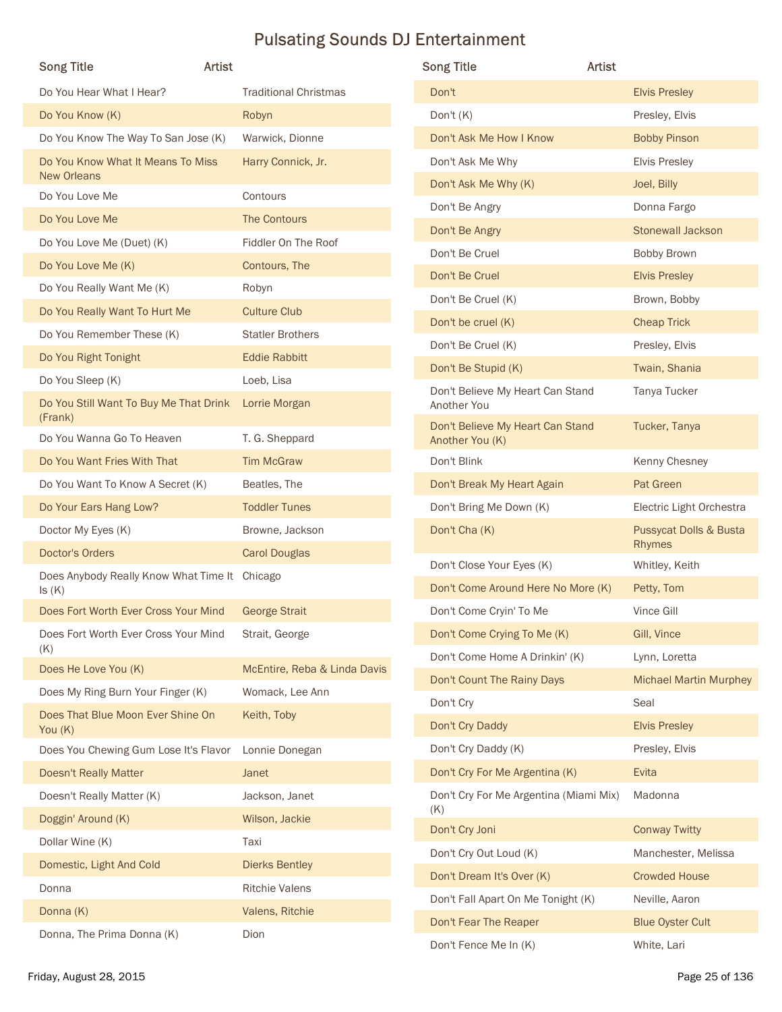| <b>Song Title</b><br>Artist                                            |                                | <b>Song Title</b><br>Artist                                                         |                                             |
|------------------------------------------------------------------------|--------------------------------|-------------------------------------------------------------------------------------|---------------------------------------------|
| Do You Hear What I Hear?                                               | <b>Traditional Christmas</b>   | Don't                                                                               | <b>Elvis Presley</b>                        |
| Do You Know (K)                                                        | Robyn                          | Don't (K)                                                                           | Presley, Elvis                              |
| Do You Know The Way To San Jose (K)                                    | Warwick, Dionne                | Don't Ask Me How I Know                                                             | <b>Bobby Pinson</b>                         |
| Do You Know What It Means To Miss<br><b>New Orleans</b>                | Harry Connick, Jr.             | Don't Ask Me Why                                                                    | <b>Elvis Presley</b>                        |
| Do You Love Me                                                         | Contours                       | Don't Ask Me Why (K)                                                                | Joel, Billy                                 |
| Do You Love Me                                                         | The Contours                   | Don't Be Angry                                                                      | Donna Fargo                                 |
| Do You Love Me (Duet) (K)                                              | Fiddler On The Roof            | Don't Be Angry                                                                      | <b>Stonewall Jackson</b>                    |
| Do You Love Me (K)                                                     | Contours, The                  | Don't Be Cruel                                                                      | Bobby Brown                                 |
| Do You Really Want Me (K)                                              | Robyn                          | Don't Be Cruel                                                                      | <b>Elvis Presley</b>                        |
| Do You Really Want To Hurt Me                                          | <b>Culture Club</b>            | Don't Be Cruel (K)                                                                  | Brown, Bobby                                |
| Do You Remember These (K)                                              | <b>Statler Brothers</b>        | Don't be cruel (K)                                                                  | <b>Cheap Trick</b>                          |
| Do You Right Tonight                                                   | <b>Eddie Rabbitt</b>           | Don't Be Cruel (K)                                                                  | Presley, Elvis                              |
| Do You Sleep (K)                                                       | Loeb, Lisa                     | Don't Be Stupid (K)                                                                 | Twain, Shania                               |
| Do You Still Want To Buy Me That Drink<br>(Frank)                      | Lorrie Morgan                  | Don't Believe My Heart Can Stand<br>Another You<br>Don't Believe My Heart Can Stand | Tanya Tucker<br>Tucker, Tanya               |
| Do You Wanna Go To Heaven                                              | T. G. Sheppard                 | Another You (K)                                                                     |                                             |
| Do You Want Fries With That                                            | <b>Tim McGraw</b>              | Don't Blink                                                                         | Kenny Chesney                               |
| Do You Want To Know A Secret (K)                                       | Beatles, The                   | Don't Break My Heart Again                                                          | Pat Green                                   |
| Do Your Ears Hang Low?                                                 | <b>Toddler Tunes</b>           | Don't Bring Me Down (K)                                                             | Electric Light Orchestra                    |
| Doctor My Eyes (K)                                                     | Browne, Jackson                | Don't Cha (K)                                                                       | <b>Pussycat Dolls &amp; Busta</b><br>Rhymes |
| Doctor's Orders                                                        | <b>Carol Douglas</b>           | Don't Close Your Eyes (K)                                                           | Whitley, Keith                              |
| Does Anybody Really Know What Time It Chicago<br>Is(K)                 |                                | Don't Come Around Here No More (K)                                                  | Petty, Tom                                  |
| Does Fort Worth Ever Cross Your Mind                                   | <b>George Strait</b>           | Don't Come Cryin' To Me                                                             | Vince Gill                                  |
| Does Fort Worth Ever Cross Your Mind                                   | Strait, George                 | Don't Come Crying To Me (K)                                                         | Gill, Vince                                 |
| (K)                                                                    |                                | Don't Come Home A Drinkin' (K)                                                      | Lynn, Loretta                               |
| Does He Love You (K)                                                   | McEntire, Reba & Linda Davis   | Don't Count The Rainy Days                                                          | <b>Michael Martin Murphey</b>               |
| Does My Ring Burn Your Finger (K)<br>Does That Blue Moon Ever Shine On | Womack, Lee Ann<br>Keith, Toby | Don't Cry                                                                           | Seal                                        |
| You (K)                                                                |                                | Don't Cry Daddy                                                                     | <b>Elvis Presley</b>                        |
| Does You Chewing Gum Lose It's Flavor                                  | Lonnie Donegan                 | Don't Cry Daddy (K)                                                                 | Presley, Elvis                              |
| <b>Doesn't Really Matter</b>                                           | Janet                          | Don't Cry For Me Argentina (K)                                                      | Evita                                       |
| Doesn't Really Matter (K)                                              | Jackson, Janet                 | Don't Cry For Me Argentina (Miami Mix)<br>(K)                                       | Madonna                                     |
| Doggin' Around (K)                                                     | Wilson, Jackie                 | Don't Cry Joni                                                                      | <b>Conway Twitty</b>                        |
| Dollar Wine (K)                                                        | Taxi                           | Don't Cry Out Loud (K)                                                              | Manchester, Melissa                         |
| Domestic, Light And Cold                                               | <b>Dierks Bentley</b>          | Don't Dream It's Over (K)                                                           | <b>Crowded House</b>                        |
| Donna                                                                  | <b>Ritchie Valens</b>          | Don't Fall Apart On Me Tonight (K)                                                  | Neville, Aaron                              |
| Donna (K)                                                              | Valens, Ritchie                | Don't Fear The Reaper                                                               | <b>Blue Oyster Cult</b>                     |
| Donna, The Prima Donna (K)                                             | Dion                           | Don't Fence Me In (K)                                                               | White, Lari                                 |
|                                                                        |                                |                                                                                     |                                             |

| <b>Song Title</b><br>Artist                                     |                              | Artist<br><b>Song Title</b>                                     |                                   |
|-----------------------------------------------------------------|------------------------------|-----------------------------------------------------------------|-----------------------------------|
| Do You Hear What I Hear?                                        | <b>Traditional Christmas</b> | Don't                                                           | <b>Elvis Presley</b>              |
| Do You Know (K)                                                 | Robyn                        | Don't (K)                                                       | Presley, Elvis                    |
| Do You Know The Way To San Jose (K)                             | Warwick, Dionne              | Don't Ask Me How I Know                                         | <b>Bobby Pinson</b>               |
| Do You Know What It Means To Miss<br><b>New Orleans</b>         | Harry Connick, Jr.           | Don't Ask Me Why                                                | Elvis Presley                     |
| Do You Love Me                                                  | Contours                     | Don't Ask Me Why (K)                                            | Joel, Billy                       |
| Do You Love Me                                                  | The Contours                 | Don't Be Angry                                                  | Donna Fargo                       |
| Do You Love Me (Duet) (K)                                       | Fiddler On The Roof          | Don't Be Angry                                                  | Stonewall Jackson                 |
| Do You Love Me (K)                                              | Contours, The                | Don't Be Cruel                                                  | Bobby Brown                       |
| Do You Really Want Me (K)                                       | Robyn                        | Don't Be Cruel                                                  | <b>Elvis Presley</b>              |
| Do You Really Want To Hurt Me                                   | <b>Culture Club</b>          | Don't Be Cruel (K)                                              | Brown, Bobby                      |
| Do You Remember These (K)                                       | <b>Statler Brothers</b>      | Don't be cruel (K)                                              | <b>Cheap Trick</b>                |
| Do You Right Tonight                                            | <b>Eddie Rabbitt</b>         | Don't Be Cruel (K)                                              | Presley, Elvis                    |
| Do You Sleep (K)                                                | Loeb, Lisa                   | Don't Be Stupid (K)                                             | Twain, Shania                     |
| Do You Still Want To Buy Me That Drink Lorrie Morgan<br>(Frank) |                              | Don't Believe My Heart Can Stand<br>Another You                 | Tanya Tucker                      |
| Do You Wanna Go To Heaven                                       | T. G. Sheppard               | Don't Believe My Heart Can Stand<br>Another You (K)             | Tucker, Tanya                     |
| Do You Want Fries With That                                     | <b>Tim McGraw</b>            | Don't Blink                                                     | Kenny Chesney                     |
| Do You Want To Know A Secret (K)                                | Beatles, The                 | Don't Break My Heart Again                                      | Pat Green                         |
| Do Your Ears Hang Low?                                          | <b>Toddler Tunes</b>         | Don't Bring Me Down (K)                                         | Electric Light Orchestra          |
| Doctor My Eyes (K)                                              | Browne, Jackson              | Don't Cha (K)                                                   | <b>Pussycat Dolls &amp; Busta</b> |
| Doctor's Orders                                                 | <b>Carol Douglas</b>         |                                                                 | Rhymes                            |
| Does Anybody Really Know What Time It Chicago<br>Is(K)          |                              | Don't Close Your Eyes (K)<br>Don't Come Around Here No More (K) | Whitley, Keith<br>Petty, Tom      |
| Does Fort Worth Ever Cross Your Mind                            | <b>George Strait</b>         | Don't Come Cryin' To Me                                         | Vince Gill                        |
| Does Fort Worth Ever Cross Your Mind                            | Strait, George               | Don't Come Crying To Me (K)                                     | Gill, Vince                       |
| (K)                                                             |                              | Don't Come Home A Drinkin' (K)                                  | Lynn, Loretta                     |
| Does He Love You (K)                                            | McEntire, Reba & Linda Davis | Don't Count The Rainy Days                                      | <b>Michael Martin Murphey</b>     |
| Does My Ring Burn Your Finger (K)                               | Womack, Lee Ann              | Don't Cry                                                       | Seal                              |
| Does That Blue Moon Ever Shine On<br>You (K)                    | Keith, Toby                  | Don't Cry Daddy                                                 | <b>Elvis Presley</b>              |
| Does You Chewing Gum Lose It's Flavor                           | Lonnie Donegan               | Don't Cry Daddy (K)                                             | Presley, Elvis                    |
| Doesn't Really Matter                                           | Janet                        | Don't Cry For Me Argentina (K)                                  | Evita                             |
| Doesn't Really Matter (K)                                       | Jackson, Janet               | Don't Cry For Me Argentina (Miami Mix)                          | Madonna                           |
| Doggin' Around (K)                                              | Wilson, Jackie               | (K)                                                             |                                   |
| Dollar Wine (K)                                                 | Taxi                         | Don't Cry Joni                                                  | <b>Conway Twitty</b>              |
| Domestic, Light And Cold                                        | <b>Dierks Bentley</b>        | Don't Cry Out Loud (K)                                          | Manchester, Melissa               |
| Donna                                                           | <b>Ritchie Valens</b>        | Don't Dream It's Over (K)                                       | <b>Crowded House</b>              |
| Donna (K)                                                       | Valens, Ritchie              | Don't Fall Apart On Me Tonight (K)                              | Neville, Aaron                    |
| Donna, The Prima Donna (K)                                      | Dion                         | Don't Fear The Reaper                                           | <b>Blue Oyster Cult</b>           |
|                                                                 |                              | Don't Fence Me In (K)                                           | White, Lari                       |
| Friday, August 28, 2015                                         |                              |                                                                 | Page 25 of 136                    |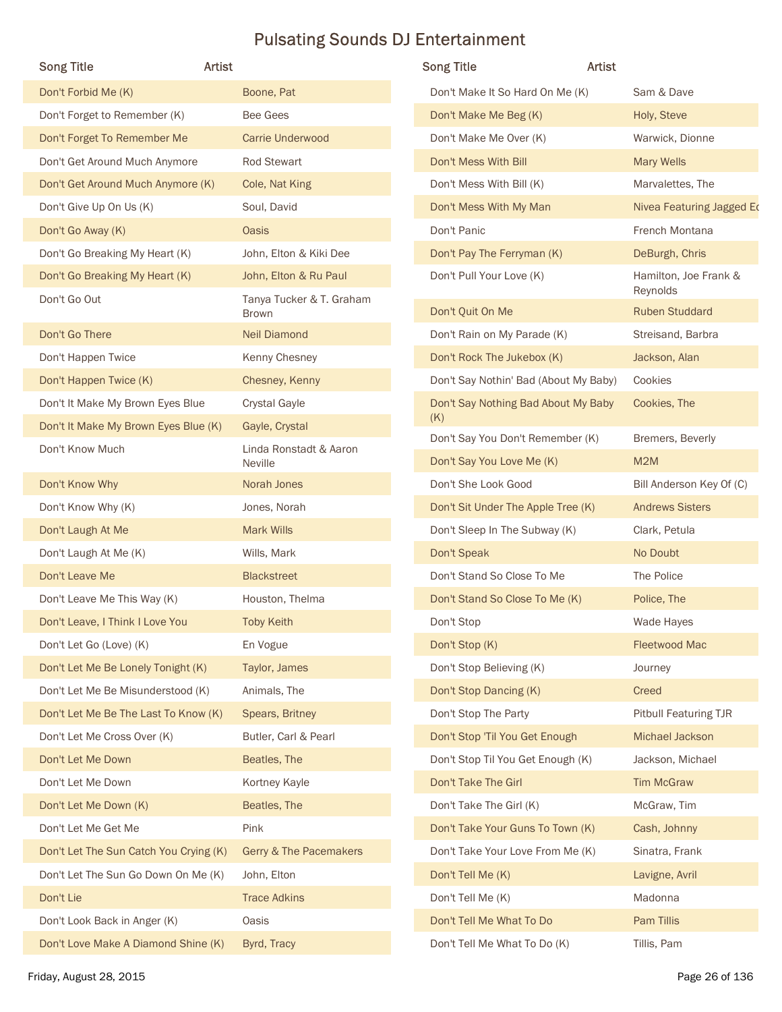| <b>Song Title</b><br>Artist                                      |                                        | <b>Pulsating Sounds DJ Entertainment</b>               |                                         |
|------------------------------------------------------------------|----------------------------------------|--------------------------------------------------------|-----------------------------------------|
|                                                                  |                                        | <b>Song Title</b><br>Artist                            |                                         |
| Don't Forbid Me (K)                                              | Boone, Pat                             | Don't Make It So Hard On Me (K)                        | Sam & Dave                              |
| Don't Forget to Remember (K)                                     | <b>Bee Gees</b>                        | Don't Make Me Beg (K)                                  | Holy, Steve                             |
| Don't Forget To Remember Me                                      | <b>Carrie Underwood</b>                | Don't Make Me Over (K)                                 | Warwick, Dionne                         |
| Don't Get Around Much Anymore                                    | <b>Rod Stewart</b>                     | Don't Mess With Bill                                   | <b>Mary Wells</b>                       |
| Don't Get Around Much Anymore (K)                                | Cole, Nat King                         | Don't Mess With Bill (K)                               | Marvalettes, The                        |
| Don't Give Up On Us (K)                                          | Soul, David                            | Don't Mess With My Man                                 | Nivea Featuring Jagged Ed               |
| Don't Go Away (K)                                                | <b>Oasis</b><br>John, Elton & Kiki Dee | Don't Panic                                            | French Montana                          |
| Don't Go Breaking My Heart (K)<br>Don't Go Breaking My Heart (K) | John, Elton & Ru Paul                  | Don't Pay The Ferryman (K)<br>Don't Pull Your Love (K) | DeBurgh, Chris<br>Hamilton, Joe Frank & |
| Don't Go Out                                                     | Tanya Tucker & T. Graham               | Don't Quit On Me                                       | Reynolds<br><b>Ruben Studdard</b>       |
| Don't Go There                                                   | <b>Brown</b><br><b>Neil Diamond</b>    | Don't Rain on My Parade (K)                            | Streisand, Barbra                       |
| Don't Happen Twice                                               | Kenny Chesney                          | Don't Rock The Jukebox (K)                             | Jackson, Alan                           |
| Don't Happen Twice (K)                                           | Chesney, Kenny                         | Don't Say Nothin' Bad (About My Baby)                  | Cookies                                 |
| Don't It Make My Brown Eyes Blue                                 | <b>Crystal Gayle</b>                   | Don't Say Nothing Bad About My Baby                    | Cookies, The                            |
| Don't It Make My Brown Eyes Blue (K)                             | Gayle, Crystal                         | (K)                                                    |                                         |
| Don't Know Much                                                  | Linda Ronstadt & Aaron                 | Don't Say You Don't Remember (K)                       | Bremers, Beverly                        |
|                                                                  | Neville                                | Don't Say You Love Me (K)                              | M2M                                     |
| Don't Know Why                                                   | Norah Jones                            | Don't She Look Good                                    | Bill Anderson Key Of (C)                |
| Don't Know Why (K)                                               | Jones, Norah                           | Don't Sit Under The Apple Tree (K)                     | <b>Andrews Sisters</b>                  |
| Don't Laugh At Me                                                | Mark Wills                             | Don't Sleep In The Subway (K)                          | Clark, Petula                           |
| Don't Laugh At Me (K)                                            | Wills, Mark                            | Don't Speak                                            | No Doubt                                |
| Don't Leave Me                                                   | <b>Blackstreet</b>                     | Don't Stand So Close To Me                             | The Police                              |
| Don't Leave Me This Way (K)                                      | Houston, Thelma                        | Don't Stand So Close To Me (K)                         | Police, The                             |
| Don't Leave, I Think I Love You                                  | <b>Toby Keith</b>                      | Don't Stop                                             | Wade Hayes                              |
| Don't Let Go (Love) (K)                                          | En Vogue                               | Don't Stop (K)                                         | <b>Fleetwood Mac</b>                    |
| Don't Let Me Be Lonely Tonight (K)                               | Taylor, James                          | Don't Stop Believing (K)                               | Journey                                 |
| Don't Let Me Be Misunderstood (K)                                | Animals, The                           | Don't Stop Dancing (K)                                 | Creed                                   |
| Don't Let Me Be The Last To Know (K)                             | Spears, Britney                        | Don't Stop The Party                                   | <b>Pitbull Featuring TJR</b>            |
| Don't Let Me Cross Over (K)                                      | Butler, Carl & Pearl                   | Don't Stop 'Til You Get Enough                         | Michael Jackson                         |
| Don't Let Me Down                                                | Beatles, The                           | Don't Stop Til You Get Enough (K)                      | Jackson, Michael                        |
| Don't Let Me Down                                                | Kortney Kayle                          | Don't Take The Girl                                    | <b>Tim McGraw</b>                       |
| Don't Let Me Down (K)                                            | Beatles, The                           | Don't Take The Girl (K)                                | McGraw, Tim                             |
| Don't Let Me Get Me                                              | Pink                                   | Don't Take Your Guns To Town (K)                       | Cash, Johnny                            |
| Don't Let The Sun Catch You Crying (K)                           | Gerry & The Pacemakers                 | Don't Take Your Love From Me (K)                       | Sinatra, Frank                          |
| Don't Let The Sun Go Down On Me (K)<br>Don't Lie                 | John, Elton<br><b>Trace Adkins</b>     | Don't Tell Me (K)<br>Don't Tell Me (K)                 | Lavigne, Avril<br>Madonna               |
| Don't Look Back in Anger (K)                                     | Oasis                                  | Don't Tell Me What To Do                               | Pam Tillis                              |
|                                                                  |                                        |                                                        |                                         |
| Don't Love Make A Diamond Shine (K)                              | Byrd, Tracy                            | Don't Tell Me What To Do (K)                           | Tillis, Pam                             |

| <b>Intertainment</b>                           |        |                                   |
|------------------------------------------------|--------|-----------------------------------|
| <b>Song Title</b>                              | Artist |                                   |
| Don't Make It So Hard On Me (K)                |        | Sam & Dave                        |
| Don't Make Me Beg (K)                          |        | Holy, Steve                       |
| Don't Make Me Over (K)                         |        | Warwick, Dionne                   |
| Don't Mess With Bill                           |        | <b>Mary Wells</b>                 |
| Don't Mess With Bill (K)                       |        | Marvalettes, The                  |
| Don't Mess With My Man                         |        | Nivea Featuring Jagged Ed         |
| Don't Panic                                    |        | French Montana                    |
| Don't Pay The Ferryman (K)                     |        | DeBurgh, Chris                    |
| Don't Pull Your Love (K)                       |        | Hamilton, Joe Frank &<br>Reynolds |
| Don't Quit On Me                               |        | <b>Ruben Studdard</b>             |
| Don't Rain on My Parade (K)                    |        | Streisand, Barbra                 |
| Don't Rock The Jukebox (K)                     |        | Jackson, Alan                     |
| Don't Say Nothin' Bad (About My Baby)          |        | Cookies                           |
| Don't Say Nothing Bad About My Baby<br>(K)     |        | Cookies, The                      |
| Don't Say You Don't Remember (K)               |        | Bremers, Beverly                  |
| Don't Say You Love Me (K)                      |        | M2M                               |
| Don't She Look Good                            |        | Bill Anderson Key Of (C)          |
| Don't Sit Under The Apple Tree (K)             |        | <b>Andrews Sisters</b>            |
| Don't Sleep In The Subway (K)                  |        | Clark, Petula                     |
| Don't Speak                                    |        | No Doubt                          |
| Don't Stand So Close To Me                     |        | The Police                        |
| Don't Stand So Close To Me (K)                 |        | Police, The                       |
| Don't Stop                                     |        | Wade Hayes                        |
| Don't Stop (K)                                 |        | <b>Fleetwood Mac</b>              |
| Don't Stop Believing (K)                       |        | Journey                           |
| Don't Stop Dancing (K)                         |        | <b>Creed</b>                      |
| Don't Stop The Party                           |        | <b>Pitbull Featuring TJR</b>      |
| Don't Stop 'Til You Get Enough                 |        | Michael Jackson                   |
| Don't Stop Til You Get Enough (K)              |        | Jackson, Michael                  |
| Don't Take The Girl<br>Don't Take The Girl (K) |        | <b>Tim McGraw</b><br>McGraw, Tim  |
| Don't Take Your Guns To Town (K)               |        | Cash, Johnny                      |
| Don't Take Your Love From Me (K)               |        | Sinatra, Frank                    |
| Don't Tell Me (K)                              |        | Lavigne, Avril                    |
| Don't Tell Me (K)                              |        | Madonna                           |
| Don't Tell Me What To Do                       |        | Pam Tillis                        |
| Don't Tell Me What To Do (K)                   |        | Tillis, Pam                       |
|                                                |        | Page 26 of 136                    |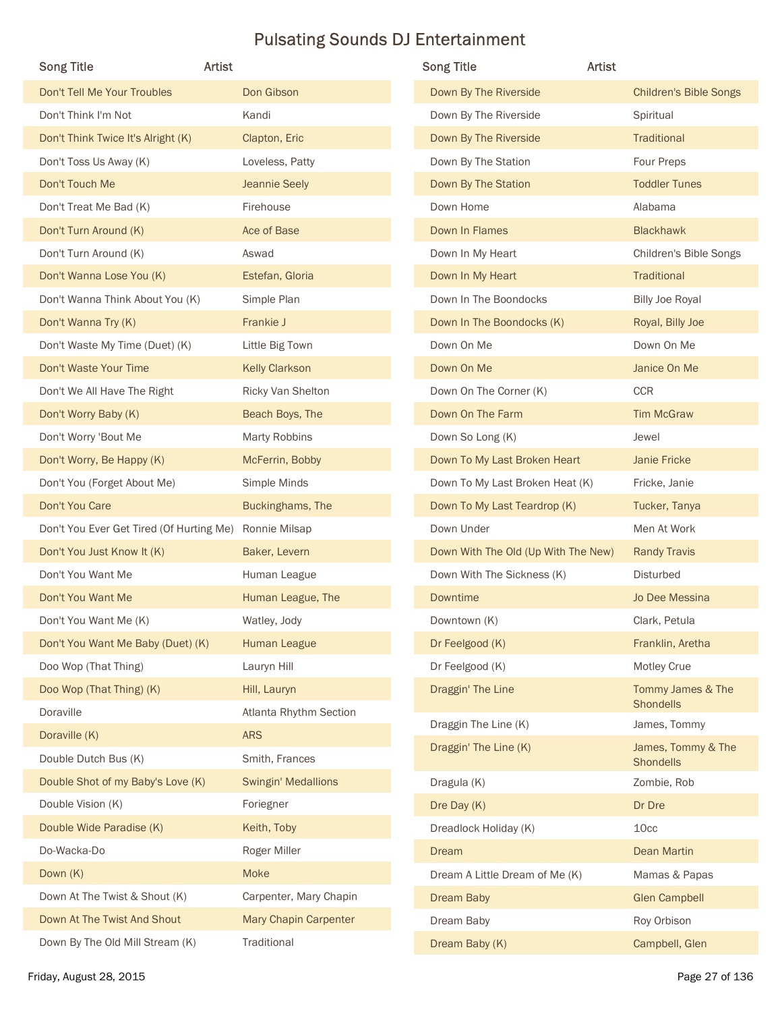|                                          | Artist                       | <b>Song Title</b><br>Artist         |                                       |
|------------------------------------------|------------------------------|-------------------------------------|---------------------------------------|
| Don't Tell Me Your Troubles              | Don Gibson                   | Down By The Riverside               | <b>Children's Bible Songs</b>         |
| Don't Think I'm Not                      | Kandi                        | Down By The Riverside               | Spiritual                             |
| Don't Think Twice It's Alright (K)       | Clapton, Eric                | Down By The Riverside               | Traditional                           |
| Don't Toss Us Away (K)                   | Loveless, Patty              | Down By The Station                 | Four Preps                            |
| Don't Touch Me                           | <b>Jeannie Seely</b>         | Down By The Station                 | <b>Toddler Tunes</b>                  |
| Don't Treat Me Bad (K)                   | Firehouse                    | Down Home                           | Alabama                               |
| Don't Turn Around (K)                    | Ace of Base                  | Down In Flames                      | <b>Blackhawk</b>                      |
| Don't Turn Around (K)                    | Aswad                        | Down In My Heart                    | Children's Bible Songs                |
| Don't Wanna Lose You (K)                 | Estefan, Gloria              | Down In My Heart                    | Traditional                           |
| Don't Wanna Think About You (K)          | Simple Plan                  | Down In The Boondocks               | <b>Billy Joe Royal</b>                |
| Don't Wanna Try (K)                      | Frankie J                    | Down In The Boondocks (K)           | Royal, Billy Joe                      |
| Don't Waste My Time (Duet) (K)           | Little Big Town              | Down On Me                          | Down On Me                            |
| Don't Waste Your Time                    | <b>Kelly Clarkson</b>        | Down On Me                          | Janice On Me                          |
| Don't We All Have The Right              | Ricky Van Shelton            | Down On The Corner (K)              | CCR                                   |
| Don't Worry Baby (K)                     | Beach Boys, The              | Down On The Farm                    | <b>Tim McGraw</b>                     |
| Don't Worry 'Bout Me                     | <b>Marty Robbins</b>         | Down So Long (K)                    | Jewel                                 |
| Don't Worry, Be Happy (K)                | McFerrin, Bobby              | Down To My Last Broken Heart        | Janie Fricke                          |
| Don't You (Forget About Me)              | Simple Minds                 | Down To My Last Broken Heat (K)     | Fricke, Janie                         |
| Don't You Care                           | Buckinghams, The             | Down To My Last Teardrop (K)        | Tucker, Tanya                         |
| Don't You Ever Get Tired (Of Hurting Me) | Ronnie Milsap                | Down Under                          | Men At Work                           |
| Don't You Just Know It (K)               | Baker, Levern                | Down With The Old (Up With The New) | <b>Randy Travis</b>                   |
| Don't You Want Me                        | Human League                 | Down With The Sickness (K)          | Disturbed                             |
| Don't You Want Me                        | Human League, The            | Downtime                            | Jo Dee Messina                        |
| Don't You Want Me (K)                    | Watley, Jody                 | Downtown (K)                        | Clark, Petula                         |
| Don't You Want Me Baby (Duet) (K)        | Human League                 | Dr Feelgood (K)                     | Franklin, Aretha                      |
| Doo Wop (That Thing)                     | Lauryn Hill                  | Dr Feelgood (K)                     | Motley Crue                           |
| Doo Wop (That Thing) (K)                 | Hill, Lauryn                 | Draggin' The Line                   | Tommy James & The<br><b>Shondells</b> |
| Doraville                                | Atlanta Rhythm Section       | Draggin The Line (K)                | James, Tommy                          |
| Doraville (K)                            | <b>ARS</b>                   | Draggin' The Line (K)               | James, Tommy & The                    |
| Double Dutch Bus (K)                     | Smith, Frances               |                                     | <b>Shondells</b>                      |
| Double Shot of my Baby's Love (K)        | <b>Swingin' Medallions</b>   | Dragula (K)                         | Zombie, Rob                           |
| Double Vision (K)                        | Foriegner                    | Dre Day (K)                         | Dr Dre                                |
| Double Wide Paradise (K)                 | Keith, Toby                  | Dreadlock Holiday (K)               | 10 <sub>cc</sub>                      |
| Do-Wacka-Do                              | Roger Miller                 | <b>Dream</b>                        | Dean Martin                           |
| Down (K)                                 | Moke                         | Dream A Little Dream of Me (K)      | Mamas & Papas                         |
| Down At The Twist & Shout (K)            | Carpenter, Mary Chapin       | Dream Baby                          | <b>Glen Campbell</b>                  |
| Down At The Twist And Shout              | <b>Mary Chapin Carpenter</b> | Dream Baby                          | Roy Orbison                           |
| Down By The Old Mill Stream (K)          | Traditional                  | Dream Baby (K)                      | Campbell, Glen                        |

| ntertainment                         |                                                      |
|--------------------------------------|------------------------------------------------------|
| <b>Song Title</b>                    | Artist                                               |
| Down By The Riverside                | <b>Children's Bible Songs</b>                        |
| Down By The Riverside                | Spiritual                                            |
| Down By The Riverside                | Traditional                                          |
| Down By The Station                  | Four Preps                                           |
| Down By The Station                  | <b>Toddler Tunes</b>                                 |
| Down Home                            | Alabama                                              |
| Down In Flames                       | <b>Blackhawk</b>                                     |
| Down In My Heart                     | Children's Bible Songs                               |
| Down In My Heart                     | <b>Traditional</b>                                   |
| Down In The Boondocks                | <b>Billy Joe Royal</b>                               |
| Down In The Boondocks (K)            | Royal, Billy Joe                                     |
| Down On Me                           | Down On Me                                           |
| Down On Me                           | Janice On Me                                         |
| Down On The Corner (K)               | CCR                                                  |
| Down On The Farm                     | <b>Tim McGraw</b>                                    |
| Down So Long (K)                     | Jewel                                                |
| Down To My Last Broken Heart         | Janie Fricke                                         |
| Down To My Last Broken Heat (K)      | Fricke, Janie                                        |
| Down To My Last Teardrop (K)         | Tucker, Tanya                                        |
| Down Under                           | Men At Work                                          |
| Down With The Old (Up With The New)  | <b>Randy Travis</b>                                  |
| Down With The Sickness (K)           | Disturbed                                            |
| Downtime                             | Jo Dee Messina                                       |
| Downtown (K)                         | Clark, Petula                                        |
| Dr Feelgood (K)                      | Franklin, Aretha                                     |
| Dr Feelgood (K)<br>Draggin' The Line | Motley Crue<br>Tommy James & The<br><b>Shondells</b> |
| Draggin The Line (K)                 | James, Tommy                                         |
| Draggin' The Line (K)                | James, Tommy & The<br><b>Shondells</b>               |
| Dragula (K)                          | Zombie, Rob                                          |
| Dre Day (K)                          | Dr Dre                                               |
| Dreadlock Holiday (K)                | 10cc                                                 |
| <b>Dream</b>                         | <b>Dean Martin</b>                                   |
| Dream A Little Dream of Me (K)       | Mamas & Papas                                        |
| Dream Baby                           | <b>Glen Campbell</b>                                 |
| Dream Baby<br>Dream Baby (K)         | Roy Orbison                                          |
|                                      | Campbell, Glen<br>Page 27 of 136                     |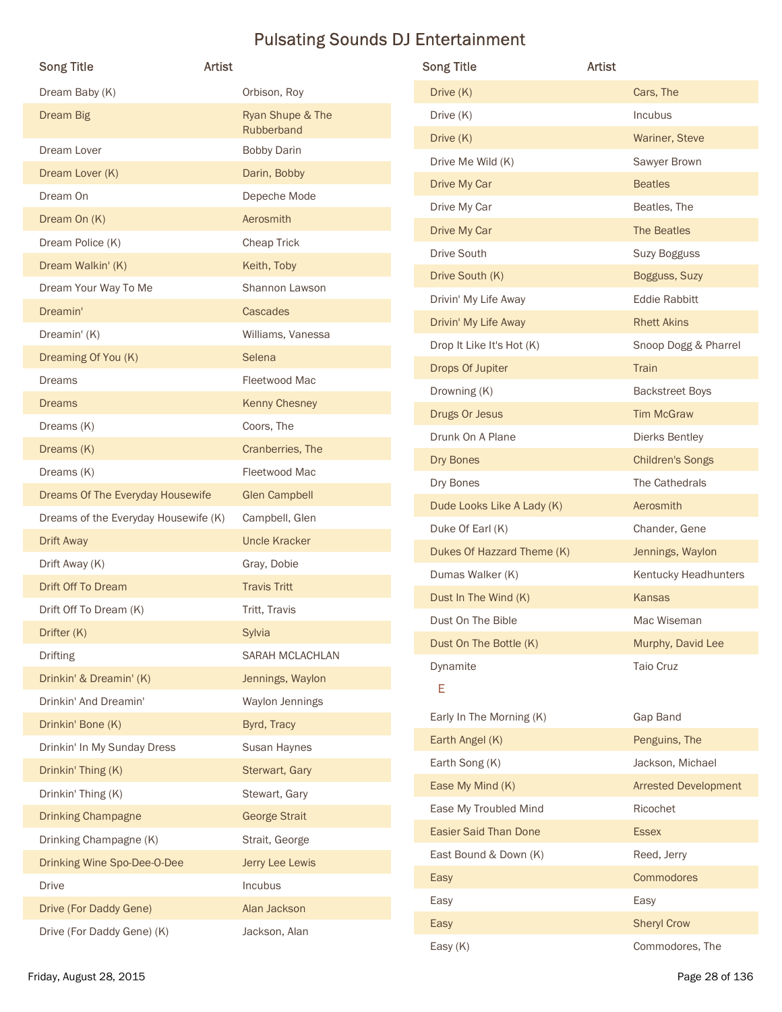| Dream Baby (K)<br>Orbison, Roy<br>Drive (K)<br>Cars, The<br>Ryan Shupe & The<br>Dream Big<br>Drive (K)<br>Incubus<br>Rubberband<br>Drive (K)<br>Wariner, Steve<br>Dream Lover<br><b>Bobby Darin</b><br>Drive Me Wild (K)<br>Sawyer Brown<br>Darin, Bobby<br>Dream Lover (K)<br>Drive My Car<br><b>Beatles</b><br>Dream On<br>Depeche Mode<br>Drive My Car<br>Beatles, The<br>Dream On (K)<br>Aerosmith<br>Drive My Car<br>The Beatles<br>Dream Police (K)<br>Cheap Trick<br>Drive South<br>Suzy Bogguss<br>Dream Walkin' (K)<br>Keith, Toby<br>Drive South (K)<br>Bogguss, Suzy<br>Dream Your Way To Me<br>Shannon Lawson<br>Drivin' My Life Away<br><b>Eddie Rabbitt</b><br>Dreamin'<br>Cascades<br>Drivin' My Life Away<br><b>Rhett Akins</b><br>Williams, Vanessa<br>Dreamin' (K)<br>Snoop Dogg & Pharrel<br>Drop It Like It's Hot (K)<br>Selena<br>Dreaming Of You (K)<br>Drops Of Jupiter<br>Train<br>Fleetwood Mac<br>Dreams<br>Drowning (K)<br><b>Backstreet Boys</b><br>Kenny Chesney<br><b>Dreams</b><br>Drugs Or Jesus<br><b>Tim McGraw</b><br>Dreams (K)<br>Coors, The<br>Drunk On A Plane<br>Dierks Bentley<br>Dreams (K)<br>Cranberries, The<br>Dry Bones<br><b>Children's Songs</b><br>Fleetwood Mac<br>Dreams (K)<br>Dry Bones<br>The Cathedrals<br><b>Glen Campbell</b><br>Dude Looks Like A Lady (K)<br>Aerosmith<br>Campbell, Glen<br>Duke Of Earl (K)<br>Chander, Gene<br><b>Uncle Kracker</b><br>Dukes Of Hazzard Theme (K)<br>Jennings, Waylon<br>Gray, Dobie<br>Dumas Walker (K)<br>Kentucky Headhunters<br><b>Travis Tritt</b><br>Dust In The Wind (K)<br>Kansas<br>Tritt, Travis<br>Dust On The Bible<br>Mac Wiseman<br>Sylvia<br>Dust On The Bottle (K)<br>Murphy, David Lee<br>SARAH MCLACHLAN<br>Taio Cruz<br>Dynamite<br>Jennings, Waylon<br>Е<br>Waylon Jennings<br>Early In The Morning (K)<br>Gap Band<br>Byrd, Tracy<br>Earth Angel (K)<br>Penguins, The<br>Susan Haynes<br>Earth Song (K)<br>Jackson, Michael<br>Sterwart, Gary<br><b>Arrested Development</b><br>Ease My Mind (K)<br>Stewart, Gary<br>Ease My Troubled Mind<br>Ricochet<br><b>George Strait</b><br><b>Easier Said Than Done</b><br><b>Essex</b><br>Strait, George<br>East Bound & Down (K)<br>Reed, Jerry<br>Jerry Lee Lewis<br>Easy<br><b>Commodores</b><br>Incubus<br>Easy<br>Easy<br>Alan Jackson<br><b>Sheryl Crow</b><br>Easy<br>Jackson, Alan<br>Easy (K)<br>Commodores, The<br>Page 28 of 136 | <b>Song Title</b><br>Artist      | <b>Pulsating Sounds DJ Entertainment</b> | <b>Song Title</b> | Artist |
|--------------------------------------------------------------------------------------------------------------------------------------------------------------------------------------------------------------------------------------------------------------------------------------------------------------------------------------------------------------------------------------------------------------------------------------------------------------------------------------------------------------------------------------------------------------------------------------------------------------------------------------------------------------------------------------------------------------------------------------------------------------------------------------------------------------------------------------------------------------------------------------------------------------------------------------------------------------------------------------------------------------------------------------------------------------------------------------------------------------------------------------------------------------------------------------------------------------------------------------------------------------------------------------------------------------------------------------------------------------------------------------------------------------------------------------------------------------------------------------------------------------------------------------------------------------------------------------------------------------------------------------------------------------------------------------------------------------------------------------------------------------------------------------------------------------------------------------------------------------------------------------------------------------------------------------------------------------------------------------------------------------------------------------------------------------------------------------------------------------------------------------------------------------------------------------------------------------------------------------------------------------------------------------------------------------------------------------------------------------------------------------------------------|----------------------------------|------------------------------------------|-------------------|--------|
|                                                                                                                                                                                                                                                                                                                                                                                                                                                                                                                                                                                                                                                                                                                                                                                                                                                                                                                                                                                                                                                                                                                                                                                                                                                                                                                                                                                                                                                                                                                                                                                                                                                                                                                                                                                                                                                                                                                                                                                                                                                                                                                                                                                                                                                                                                                                                                                                        |                                  |                                          |                   |        |
|                                                                                                                                                                                                                                                                                                                                                                                                                                                                                                                                                                                                                                                                                                                                                                                                                                                                                                                                                                                                                                                                                                                                                                                                                                                                                                                                                                                                                                                                                                                                                                                                                                                                                                                                                                                                                                                                                                                                                                                                                                                                                                                                                                                                                                                                                                                                                                                                        |                                  |                                          |                   |        |
|                                                                                                                                                                                                                                                                                                                                                                                                                                                                                                                                                                                                                                                                                                                                                                                                                                                                                                                                                                                                                                                                                                                                                                                                                                                                                                                                                                                                                                                                                                                                                                                                                                                                                                                                                                                                                                                                                                                                                                                                                                                                                                                                                                                                                                                                                                                                                                                                        |                                  |                                          |                   |        |
|                                                                                                                                                                                                                                                                                                                                                                                                                                                                                                                                                                                                                                                                                                                                                                                                                                                                                                                                                                                                                                                                                                                                                                                                                                                                                                                                                                                                                                                                                                                                                                                                                                                                                                                                                                                                                                                                                                                                                                                                                                                                                                                                                                                                                                                                                                                                                                                                        |                                  |                                          |                   |        |
|                                                                                                                                                                                                                                                                                                                                                                                                                                                                                                                                                                                                                                                                                                                                                                                                                                                                                                                                                                                                                                                                                                                                                                                                                                                                                                                                                                                                                                                                                                                                                                                                                                                                                                                                                                                                                                                                                                                                                                                                                                                                                                                                                                                                                                                                                                                                                                                                        |                                  |                                          |                   |        |
|                                                                                                                                                                                                                                                                                                                                                                                                                                                                                                                                                                                                                                                                                                                                                                                                                                                                                                                                                                                                                                                                                                                                                                                                                                                                                                                                                                                                                                                                                                                                                                                                                                                                                                                                                                                                                                                                                                                                                                                                                                                                                                                                                                                                                                                                                                                                                                                                        |                                  |                                          |                   |        |
|                                                                                                                                                                                                                                                                                                                                                                                                                                                                                                                                                                                                                                                                                                                                                                                                                                                                                                                                                                                                                                                                                                                                                                                                                                                                                                                                                                                                                                                                                                                                                                                                                                                                                                                                                                                                                                                                                                                                                                                                                                                                                                                                                                                                                                                                                                                                                                                                        |                                  |                                          |                   |        |
|                                                                                                                                                                                                                                                                                                                                                                                                                                                                                                                                                                                                                                                                                                                                                                                                                                                                                                                                                                                                                                                                                                                                                                                                                                                                                                                                                                                                                                                                                                                                                                                                                                                                                                                                                                                                                                                                                                                                                                                                                                                                                                                                                                                                                                                                                                                                                                                                        |                                  |                                          |                   |        |
|                                                                                                                                                                                                                                                                                                                                                                                                                                                                                                                                                                                                                                                                                                                                                                                                                                                                                                                                                                                                                                                                                                                                                                                                                                                                                                                                                                                                                                                                                                                                                                                                                                                                                                                                                                                                                                                                                                                                                                                                                                                                                                                                                                                                                                                                                                                                                                                                        |                                  |                                          |                   |        |
|                                                                                                                                                                                                                                                                                                                                                                                                                                                                                                                                                                                                                                                                                                                                                                                                                                                                                                                                                                                                                                                                                                                                                                                                                                                                                                                                                                                                                                                                                                                                                                                                                                                                                                                                                                                                                                                                                                                                                                                                                                                                                                                                                                                                                                                                                                                                                                                                        |                                  |                                          |                   |        |
|                                                                                                                                                                                                                                                                                                                                                                                                                                                                                                                                                                                                                                                                                                                                                                                                                                                                                                                                                                                                                                                                                                                                                                                                                                                                                                                                                                                                                                                                                                                                                                                                                                                                                                                                                                                                                                                                                                                                                                                                                                                                                                                                                                                                                                                                                                                                                                                                        |                                  |                                          |                   |        |
|                                                                                                                                                                                                                                                                                                                                                                                                                                                                                                                                                                                                                                                                                                                                                                                                                                                                                                                                                                                                                                                                                                                                                                                                                                                                                                                                                                                                                                                                                                                                                                                                                                                                                                                                                                                                                                                                                                                                                                                                                                                                                                                                                                                                                                                                                                                                                                                                        |                                  |                                          |                   |        |
|                                                                                                                                                                                                                                                                                                                                                                                                                                                                                                                                                                                                                                                                                                                                                                                                                                                                                                                                                                                                                                                                                                                                                                                                                                                                                                                                                                                                                                                                                                                                                                                                                                                                                                                                                                                                                                                                                                                                                                                                                                                                                                                                                                                                                                                                                                                                                                                                        |                                  |                                          |                   |        |
|                                                                                                                                                                                                                                                                                                                                                                                                                                                                                                                                                                                                                                                                                                                                                                                                                                                                                                                                                                                                                                                                                                                                                                                                                                                                                                                                                                                                                                                                                                                                                                                                                                                                                                                                                                                                                                                                                                                                                                                                                                                                                                                                                                                                                                                                                                                                                                                                        |                                  |                                          |                   |        |
|                                                                                                                                                                                                                                                                                                                                                                                                                                                                                                                                                                                                                                                                                                                                                                                                                                                                                                                                                                                                                                                                                                                                                                                                                                                                                                                                                                                                                                                                                                                                                                                                                                                                                                                                                                                                                                                                                                                                                                                                                                                                                                                                                                                                                                                                                                                                                                                                        |                                  |                                          |                   |        |
|                                                                                                                                                                                                                                                                                                                                                                                                                                                                                                                                                                                                                                                                                                                                                                                                                                                                                                                                                                                                                                                                                                                                                                                                                                                                                                                                                                                                                                                                                                                                                                                                                                                                                                                                                                                                                                                                                                                                                                                                                                                                                                                                                                                                                                                                                                                                                                                                        |                                  |                                          |                   |        |
|                                                                                                                                                                                                                                                                                                                                                                                                                                                                                                                                                                                                                                                                                                                                                                                                                                                                                                                                                                                                                                                                                                                                                                                                                                                                                                                                                                                                                                                                                                                                                                                                                                                                                                                                                                                                                                                                                                                                                                                                                                                                                                                                                                                                                                                                                                                                                                                                        |                                  |                                          |                   |        |
|                                                                                                                                                                                                                                                                                                                                                                                                                                                                                                                                                                                                                                                                                                                                                                                                                                                                                                                                                                                                                                                                                                                                                                                                                                                                                                                                                                                                                                                                                                                                                                                                                                                                                                                                                                                                                                                                                                                                                                                                                                                                                                                                                                                                                                                                                                                                                                                                        |                                  |                                          |                   |        |
| Dreams of the Everyday Housewife (K)<br>Drift Away<br>Drift Away (K)<br>Drift Off To Dream<br>Drift Off To Dream (K)<br>Drifter (K)<br><b>Drifting</b><br>Drinkin' & Dreamin' (K)<br>Drinkin' And Dreamin'<br>Drinkin' Bone (K)<br>Drinkin' In My Sunday Dress<br>Drinkin' Thing (K)<br>Drinkin' Thing (K)<br><b>Drinking Champagne</b>                                                                                                                                                                                                                                                                                                                                                                                                                                                                                                                                                                                                                                                                                                                                                                                                                                                                                                                                                                                                                                                                                                                                                                                                                                                                                                                                                                                                                                                                                                                                                                                                                                                                                                                                                                                                                                                                                                                                                                                                                                                                | Dreams Of The Everyday Housewife |                                          |                   |        |
|                                                                                                                                                                                                                                                                                                                                                                                                                                                                                                                                                                                                                                                                                                                                                                                                                                                                                                                                                                                                                                                                                                                                                                                                                                                                                                                                                                                                                                                                                                                                                                                                                                                                                                                                                                                                                                                                                                                                                                                                                                                                                                                                                                                                                                                                                                                                                                                                        |                                  |                                          |                   |        |
|                                                                                                                                                                                                                                                                                                                                                                                                                                                                                                                                                                                                                                                                                                                                                                                                                                                                                                                                                                                                                                                                                                                                                                                                                                                                                                                                                                                                                                                                                                                                                                                                                                                                                                                                                                                                                                                                                                                                                                                                                                                                                                                                                                                                                                                                                                                                                                                                        |                                  |                                          |                   |        |
|                                                                                                                                                                                                                                                                                                                                                                                                                                                                                                                                                                                                                                                                                                                                                                                                                                                                                                                                                                                                                                                                                                                                                                                                                                                                                                                                                                                                                                                                                                                                                                                                                                                                                                                                                                                                                                                                                                                                                                                                                                                                                                                                                                                                                                                                                                                                                                                                        |                                  |                                          |                   |        |
|                                                                                                                                                                                                                                                                                                                                                                                                                                                                                                                                                                                                                                                                                                                                                                                                                                                                                                                                                                                                                                                                                                                                                                                                                                                                                                                                                                                                                                                                                                                                                                                                                                                                                                                                                                                                                                                                                                                                                                                                                                                                                                                                                                                                                                                                                                                                                                                                        |                                  |                                          |                   |        |
|                                                                                                                                                                                                                                                                                                                                                                                                                                                                                                                                                                                                                                                                                                                                                                                                                                                                                                                                                                                                                                                                                                                                                                                                                                                                                                                                                                                                                                                                                                                                                                                                                                                                                                                                                                                                                                                                                                                                                                                                                                                                                                                                                                                                                                                                                                                                                                                                        |                                  |                                          |                   |        |
|                                                                                                                                                                                                                                                                                                                                                                                                                                                                                                                                                                                                                                                                                                                                                                                                                                                                                                                                                                                                                                                                                                                                                                                                                                                                                                                                                                                                                                                                                                                                                                                                                                                                                                                                                                                                                                                                                                                                                                                                                                                                                                                                                                                                                                                                                                                                                                                                        |                                  |                                          |                   |        |
|                                                                                                                                                                                                                                                                                                                                                                                                                                                                                                                                                                                                                                                                                                                                                                                                                                                                                                                                                                                                                                                                                                                                                                                                                                                                                                                                                                                                                                                                                                                                                                                                                                                                                                                                                                                                                                                                                                                                                                                                                                                                                                                                                                                                                                                                                                                                                                                                        |                                  |                                          |                   |        |
|                                                                                                                                                                                                                                                                                                                                                                                                                                                                                                                                                                                                                                                                                                                                                                                                                                                                                                                                                                                                                                                                                                                                                                                                                                                                                                                                                                                                                                                                                                                                                                                                                                                                                                                                                                                                                                                                                                                                                                                                                                                                                                                                                                                                                                                                                                                                                                                                        |                                  |                                          |                   |        |
|                                                                                                                                                                                                                                                                                                                                                                                                                                                                                                                                                                                                                                                                                                                                                                                                                                                                                                                                                                                                                                                                                                                                                                                                                                                                                                                                                                                                                                                                                                                                                                                                                                                                                                                                                                                                                                                                                                                                                                                                                                                                                                                                                                                                                                                                                                                                                                                                        |                                  |                                          |                   |        |
|                                                                                                                                                                                                                                                                                                                                                                                                                                                                                                                                                                                                                                                                                                                                                                                                                                                                                                                                                                                                                                                                                                                                                                                                                                                                                                                                                                                                                                                                                                                                                                                                                                                                                                                                                                                                                                                                                                                                                                                                                                                                                                                                                                                                                                                                                                                                                                                                        |                                  |                                          |                   |        |
|                                                                                                                                                                                                                                                                                                                                                                                                                                                                                                                                                                                                                                                                                                                                                                                                                                                                                                                                                                                                                                                                                                                                                                                                                                                                                                                                                                                                                                                                                                                                                                                                                                                                                                                                                                                                                                                                                                                                                                                                                                                                                                                                                                                                                                                                                                                                                                                                        |                                  |                                          |                   |        |
|                                                                                                                                                                                                                                                                                                                                                                                                                                                                                                                                                                                                                                                                                                                                                                                                                                                                                                                                                                                                                                                                                                                                                                                                                                                                                                                                                                                                                                                                                                                                                                                                                                                                                                                                                                                                                                                                                                                                                                                                                                                                                                                                                                                                                                                                                                                                                                                                        |                                  |                                          |                   |        |
|                                                                                                                                                                                                                                                                                                                                                                                                                                                                                                                                                                                                                                                                                                                                                                                                                                                                                                                                                                                                                                                                                                                                                                                                                                                                                                                                                                                                                                                                                                                                                                                                                                                                                                                                                                                                                                                                                                                                                                                                                                                                                                                                                                                                                                                                                                                                                                                                        |                                  |                                          |                   |        |
|                                                                                                                                                                                                                                                                                                                                                                                                                                                                                                                                                                                                                                                                                                                                                                                                                                                                                                                                                                                                                                                                                                                                                                                                                                                                                                                                                                                                                                                                                                                                                                                                                                                                                                                                                                                                                                                                                                                                                                                                                                                                                                                                                                                                                                                                                                                                                                                                        |                                  |                                          |                   |        |
| Drinking Wine Spo-Dee-O-Dee<br>Drive<br>Drive (For Daddy Gene)<br>Drive (For Daddy Gene) (K)                                                                                                                                                                                                                                                                                                                                                                                                                                                                                                                                                                                                                                                                                                                                                                                                                                                                                                                                                                                                                                                                                                                                                                                                                                                                                                                                                                                                                                                                                                                                                                                                                                                                                                                                                                                                                                                                                                                                                                                                                                                                                                                                                                                                                                                                                                           | Drinking Champagne (K)           |                                          |                   |        |
|                                                                                                                                                                                                                                                                                                                                                                                                                                                                                                                                                                                                                                                                                                                                                                                                                                                                                                                                                                                                                                                                                                                                                                                                                                                                                                                                                                                                                                                                                                                                                                                                                                                                                                                                                                                                                                                                                                                                                                                                                                                                                                                                                                                                                                                                                                                                                                                                        |                                  |                                          |                   |        |
|                                                                                                                                                                                                                                                                                                                                                                                                                                                                                                                                                                                                                                                                                                                                                                                                                                                                                                                                                                                                                                                                                                                                                                                                                                                                                                                                                                                                                                                                                                                                                                                                                                                                                                                                                                                                                                                                                                                                                                                                                                                                                                                                                                                                                                                                                                                                                                                                        |                                  |                                          |                   |        |
|                                                                                                                                                                                                                                                                                                                                                                                                                                                                                                                                                                                                                                                                                                                                                                                                                                                                                                                                                                                                                                                                                                                                                                                                                                                                                                                                                                                                                                                                                                                                                                                                                                                                                                                                                                                                                                                                                                                                                                                                                                                                                                                                                                                                                                                                                                                                                                                                        |                                  |                                          |                   |        |
|                                                                                                                                                                                                                                                                                                                                                                                                                                                                                                                                                                                                                                                                                                                                                                                                                                                                                                                                                                                                                                                                                                                                                                                                                                                                                                                                                                                                                                                                                                                                                                                                                                                                                                                                                                                                                                                                                                                                                                                                                                                                                                                                                                                                                                                                                                                                                                                                        |                                  |                                          |                   |        |
|                                                                                                                                                                                                                                                                                                                                                                                                                                                                                                                                                                                                                                                                                                                                                                                                                                                                                                                                                                                                                                                                                                                                                                                                                                                                                                                                                                                                                                                                                                                                                                                                                                                                                                                                                                                                                                                                                                                                                                                                                                                                                                                                                                                                                                                                                                                                                                                                        |                                  |                                          |                   |        |

| Artist<br><b>Song Title</b>          |                                | <b>Song Title</b>                 | Artist                         |
|--------------------------------------|--------------------------------|-----------------------------------|--------------------------------|
|                                      |                                |                                   |                                |
| Dream Baby (K)                       | Orbison, Roy                   | Drive (K)                         | Cars, The                      |
| Dream Big                            | Ryan Shupe & The<br>Rubberband | Drive (K)                         | Incubus                        |
| Dream Lover                          | <b>Bobby Darin</b>             | Drive (K)                         | Wariner, Steve                 |
| Dream Lover (K)                      | Darin, Bobby                   | Drive Me Wild (K)<br>Drive My Car | Sawyer Brown<br><b>Beatles</b> |
| Dream On                             | Depeche Mode                   | Drive My Car                      | Beatles, The                   |
| Dream On (K)                         | Aerosmith                      | Drive My Car                      | The Beatles                    |
| Dream Police (K)                     | Cheap Trick                    | Drive South                       | Suzy Bogguss                   |
| Dream Walkin' (K)                    | Keith, Toby                    | Drive South (K)                   | Bogguss, Suzy                  |
| Dream Your Way To Me                 | Shannon Lawson                 | Drivin' My Life Away              | <b>Eddie Rabbitt</b>           |
| Dreamin'                             | Cascades                       | Drivin' My Life Away              | <b>Rhett Akins</b>             |
| Dreamin' (K)                         | Williams, Vanessa              | Drop It Like It's Hot (K)         | Snoop Dogg & Pharrel           |
| Dreaming Of You (K)                  | Selena                         | Drops Of Jupiter                  | Train                          |
| Dreams                               | Fleetwood Mac                  | Drowning (K)                      | <b>Backstreet Boys</b>         |
| <b>Dreams</b>                        | <b>Kenny Chesney</b>           | Drugs Or Jesus                    | <b>Tim McGraw</b>              |
| Dreams (K)                           | Coors, The                     | Drunk On A Plane                  | <b>Dierks Bentley</b>          |
| Dreams (K)                           | Cranberries, The               | Dry Bones                         | <b>Children's Songs</b>        |
| Dreams (K)                           | Fleetwood Mac                  | Dry Bones                         | The Cathedrals                 |
| Dreams Of The Everyday Housewife     | <b>Glen Campbell</b>           | Dude Looks Like A Lady (K)        | Aerosmith                      |
| Dreams of the Everyday Housewife (K) | Campbell, Glen                 | Duke Of Earl (K)                  | Chander, Gene                  |
| Drift Away                           | <b>Uncle Kracker</b>           | Dukes Of Hazzard Theme (K)        | Jennings, Waylon               |
| Drift Away (K)                       | Gray, Dobie                    | Dumas Walker (K)                  | Kentucky Headhunters           |
| Drift Off To Dream                   | <b>Travis Tritt</b>            | Dust In The Wind (K)              | Kansas                         |
| Drift Off To Dream (K)               | Tritt, Travis                  | Dust On The Bible                 | Mac Wiseman                    |
| Drifter (K)                          | Sylvia                         | Dust On The Bottle (K)            | Murphy, David Lee              |
| <b>Drifting</b>                      | SARAH MCLACHLAN                | Dynamite                          | Taio Cruz                      |
| Drinkin' & Dreamin' (K)              | Jennings, Waylon               | Е                                 |                                |
| Drinkin' And Dreamin'                | Waylon Jennings                |                                   |                                |
| Drinkin' Bone (K)                    | Byrd, Tracy                    | Early In The Morning (K)          | Gap Band                       |
| Drinkin' In My Sunday Dress          | Susan Haynes                   | Earth Angel (K)                   | Penguins, The                  |
| Drinkin' Thing (K)                   | Sterwart, Gary                 | Earth Song (K)                    | Jackson, Michael               |
| Drinkin' Thing (K)                   | Stewart, Gary                  | Ease My Mind (K)                  | <b>Arrested Development</b>    |
| <b>Drinking Champagne</b>            | <b>George Strait</b>           | Ease My Troubled Mind             | Ricochet                       |
| Drinking Champagne (K)               | Strait, George                 | Easier Said Than Done             | <b>Essex</b>                   |
| Drinking Wine Spo-Dee-O-Dee          | Jerry Lee Lewis                | East Bound & Down (K)             | Reed, Jerry                    |
| <b>Drive</b>                         | Incubus                        | Easy                              | Commodores                     |
| Drive (For Daddy Gene)               | Alan Jackson                   | Easy                              | Easy                           |
| Drive (For Daddy Gene) (K)           | Jackson, Alan                  | Easy                              | <b>Sheryl Crow</b>             |
|                                      |                                | Easy (K)                          | Commodores, The                |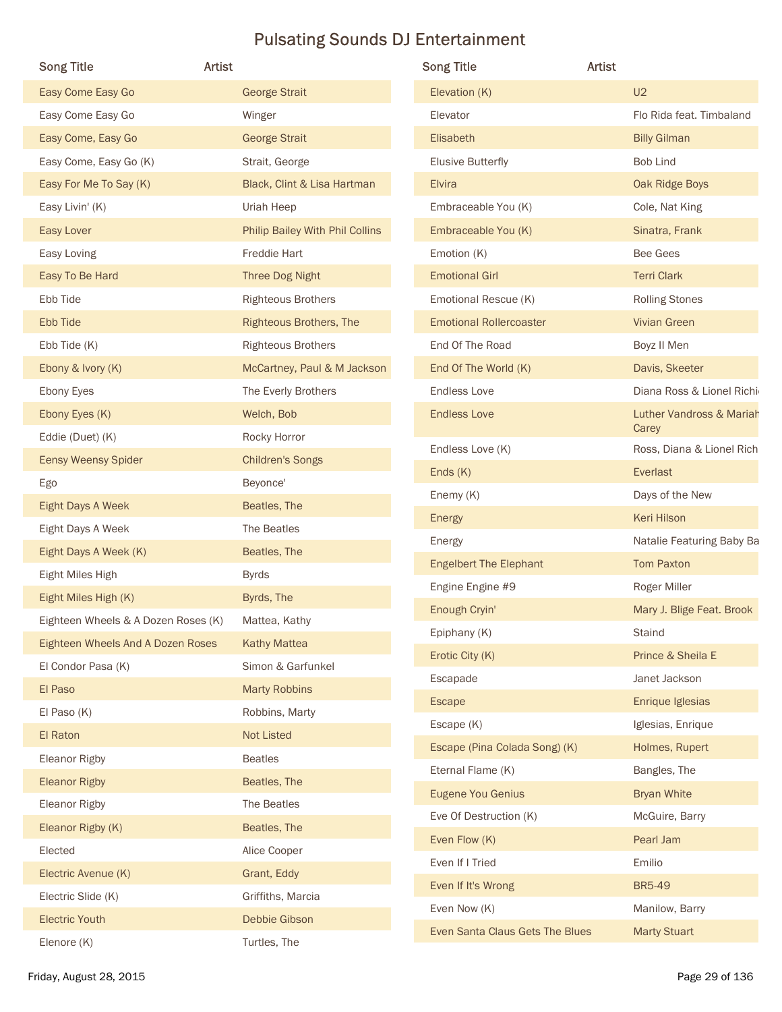|                                     | Artist                                   | <b>Song Title</b><br>Artist     |                                              |
|-------------------------------------|------------------------------------------|---------------------------------|----------------------------------------------|
| Easy Come Easy Go                   | <b>George Strait</b>                     | Elevation (K)                   | U2                                           |
| Easy Come Easy Go                   | Winger                                   | Elevator                        | Flo Rida feat. Timbaland                     |
| Easy Come, Easy Go                  | <b>George Strait</b>                     | Elisabeth                       | <b>Billy Gilman</b>                          |
| Easy Come, Easy Go (K)              | Strait, George                           | <b>Elusive Butterfly</b>        | <b>Bob Lind</b>                              |
| Easy For Me To Say (K)              | Black, Clint & Lisa Hartman              | <b>Elvira</b>                   | Oak Ridge Boys                               |
| Easy Livin' (K)                     | Uriah Heep                               | Embraceable You (K)             | Cole, Nat King                               |
| Easy Lover                          | Philip Bailey With Phil Collins          | Embraceable You (K)             | Sinatra, Frank                               |
| Easy Loving                         | Freddie Hart                             | Emotion (K)                     | <b>Bee Gees</b>                              |
| Easy To Be Hard                     | Three Dog Night                          | <b>Emotional Girl</b>           | <b>Terri Clark</b>                           |
| Ebb Tide                            | <b>Righteous Brothers</b>                | Emotional Rescue (K)            | <b>Rolling Stones</b>                        |
| Ebb Tide                            | <b>Righteous Brothers, The</b>           | <b>Emotional Rollercoaster</b>  | <b>Vivian Green</b>                          |
| Ebb Tide (K)                        | <b>Righteous Brothers</b>                | End Of The Road                 | Boyz II Men                                  |
| Ebony & Ivory (K)                   | McCartney, Paul & M Jackson              | End Of The World (K)            | Davis, Skeeter                               |
| Ebony Eyes                          | The Everly Brothers                      | Endless Love                    | Diana Ross & Lionel Richi                    |
| Ebony Eyes (K)                      | Welch, Bob                               | <b>Endless Love</b>             | <b>Luther Vandross &amp; Mariah</b><br>Carey |
| Eddie (Duet) (K)                    | Rocky Horror                             | Endless Love (K)                | Ross, Diana & Lionel Rich                    |
| <b>Eensy Weensy Spider</b>          | <b>Children's Songs</b>                  | Ends (K)                        | Everlast                                     |
| Ego                                 | Beyonce'                                 | Enemy (K)                       | Days of the New                              |
| Eight Days A Week                   | Beatles, The                             | Energy                          | Keri Hilson                                  |
| Eight Days A Week                   | The Beatles                              | Energy                          | Natalie Featuring Baby Ba                    |
| Eight Days A Week (K)               | Beatles, The                             | <b>Engelbert The Elephant</b>   | Tom Paxton                                   |
| Eight Miles High                    | <b>Byrds</b>                             | Engine Engine #9                | Roger Miller                                 |
| Eight Miles High (K)                | Byrds, The                               | Enough Cryin'                   | Mary J. Blige Feat. Brook                    |
| Eighteen Wheels & A Dozen Roses (K) | Mattea, Kathy                            | Epiphany (K)                    | Staind                                       |
| Eighteen Wheels And A Dozen Roses   | <b>Kathy Mattea</b><br>Simon & Garfunkel | Erotic City (K)                 | Prince & Sheila E                            |
| El Condor Pasa (K)<br>El Paso       | <b>Marty Robbins</b>                     | Escapade                        | Janet Jackson                                |
| El Paso (K)                         | Robbins, Marty                           | Escape                          | Enrique Iglesias                             |
| El Raton                            | <b>Not Listed</b>                        | Escape (K)                      | Iglesias, Enrique                            |
| <b>Eleanor Rigby</b>                | <b>Beatles</b>                           | Escape (Pina Colada Song) (K)   | Holmes, Rupert                               |
| <b>Eleanor Rigby</b>                | Beatles, The                             | Eternal Flame (K)               | Bangles, The                                 |
| <b>Eleanor Rigby</b>                | The Beatles                              | Eugene You Genius               | <b>Bryan White</b>                           |
| Eleanor Rigby (K)                   | Beatles, The                             | Eve Of Destruction (K)          | McGuire, Barry                               |
| Elected                             | Alice Cooper                             | Even Flow (K)                   | Pearl Jam                                    |
| Electric Avenue (K)                 | Grant, Eddy                              | Even If I Tried                 | Emilio                                       |
| Electric Slide (K)                  | Griffiths, Marcia                        | Even If It's Wrong              | <b>BR5-49</b>                                |
| <b>Electric Youth</b>               | Debbie Gibson                            | Even Now (K)                    | Manilow, Barry                               |
|                                     |                                          | Even Santa Claus Gets The Blues | <b>Marty Stuart</b>                          |

| <b>Entertainment</b>                              |                                   |                                     |
|---------------------------------------------------|-----------------------------------|-------------------------------------|
| <b>Song Title</b>                                 | Artist                            |                                     |
| Elevation (K)                                     | U2                                |                                     |
| Elevator                                          |                                   | Flo Rida feat. Timbaland            |
| Elisabeth                                         | <b>Billy Gilman</b>               |                                     |
| <b>Elusive Butterfly</b>                          | <b>Bob Lind</b>                   |                                     |
| <b>Elvira</b>                                     |                                   | Oak Ridge Boys                      |
| Embraceable You (K)                               |                                   | Cole, Nat King                      |
| Embraceable You (K)                               |                                   | Sinatra, Frank                      |
| Emotion (K)                                       | <b>Bee Gees</b>                   |                                     |
| <b>Emotional Girl</b>                             | <b>Terri Clark</b>                |                                     |
| Emotional Rescue (K)                              |                                   | <b>Rolling Stones</b>               |
| <b>Emotional Rollercoaster</b>                    | <b>Vivian Green</b>               |                                     |
| End Of The Road                                   | Boyz II Men                       |                                     |
| End Of The World (K)                              |                                   | Davis, Skeeter                      |
| Endless Love                                      |                                   | Diana Ross & Lionel Richi           |
| <b>Endless Love</b>                               | Carey                             | <b>Luther Vandross &amp; Mariah</b> |
| Endless Love (K)                                  |                                   | Ross, Diana & Lionel Rich           |
| Ends (K)                                          | Everlast                          |                                     |
| Enemy (K)                                         |                                   | Days of the New                     |
| Energy                                            | Keri Hilson                       |                                     |
| Energy                                            |                                   | Natalie Featuring Baby Ba           |
| <b>Engelbert The Elephant</b><br>Engine Engine #9 | <b>Tom Paxton</b><br>Roger Miller |                                     |
| Enough Cryin'                                     |                                   | Mary J. Blige Feat. Brook           |
| Epiphany (K)                                      | Staind                            |                                     |
| Erotic City (K)                                   |                                   | Prince & Sheila E                   |
| Escapade                                          |                                   | Janet Jackson                       |
| <b>Escape</b>                                     |                                   | Enrique Iglesias                    |
| Escape (K)                                        |                                   | Iglesias, Enrique                   |
| Escape (Pina Colada Song) (K)                     |                                   | Holmes, Rupert                      |
| Eternal Flame (K)                                 | Bangles, The                      |                                     |
| Eugene You Genius                                 | <b>Bryan White</b>                |                                     |
| Eve Of Destruction (K)                            |                                   | McGuire, Barry                      |
| Even Flow (K)                                     | Pearl Jam                         |                                     |
| Even If I Tried                                   | Emilio                            |                                     |
| Even If It's Wrong                                | <b>BR5-49</b>                     |                                     |
| Even Now (K)                                      |                                   | Manilow, Barry                      |
| Even Santa Claus Gets The Blues                   | <b>Marty Stuart</b>               |                                     |
|                                                   |                                   |                                     |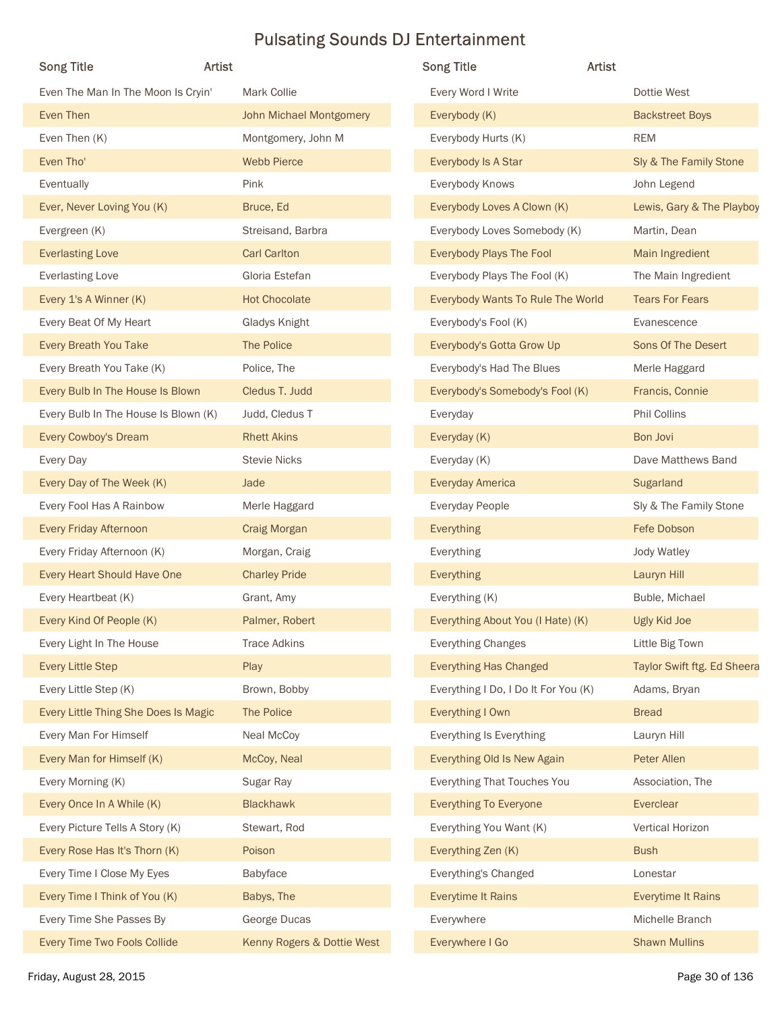| <b>Song Title</b><br>Artist                        |                                |                                                                 |                                           |
|----------------------------------------------------|--------------------------------|-----------------------------------------------------------------|-------------------------------------------|
|                                                    |                                | <b>Song Title</b><br>Artist                                     |                                           |
| Even The Man In The Moon Is Cryin'                 | Mark Collie                    | Every Word I Write                                              | Dottie West                               |
| Even Then                                          | John Michael Montgomery        | Everybody (K)                                                   | <b>Backstreet Boys</b>                    |
| Even Then (K)                                      | Montgomery, John M             | Everybody Hurts (K)                                             | <b>REM</b>                                |
| Even Tho'                                          | <b>Webb Pierce</b>             | Everybody Is A Star                                             | Sly & The Family Stone                    |
| Eventually                                         | Pink                           | Everybody Knows                                                 | John Legend                               |
| Ever, Never Loving You (K)                         | Bruce, Ed<br>Streisand, Barbra | Everybody Loves A Clown (K)                                     | Lewis, Gary & The Playboy<br>Martin, Dean |
| Evergreen (K)                                      | <b>Carl Carlton</b>            | Everybody Loves Somebody (K)                                    |                                           |
| <b>Everlasting Love</b><br><b>Everlasting Love</b> | Gloria Estefan                 | <b>Everybody Plays The Fool</b><br>Everybody Plays The Fool (K) | Main Ingredient<br>The Main Ingredient    |
| Every 1's A Winner (K)                             | <b>Hot Chocolate</b>           | Everybody Wants To Rule The World                               | <b>Tears For Fears</b>                    |
| Every Beat Of My Heart                             | Gladys Knight                  | Everybody's Fool (K)                                            | Evanescence                               |
| Every Breath You Take                              | The Police                     | Everybody's Gotta Grow Up                                       | Sons Of The Desert                        |
| Every Breath You Take (K)                          | Police, The                    | Everybody's Had The Blues                                       | Merle Haggard                             |
| Every Bulb In The House Is Blown                   | Cledus T. Judd                 | Everybody's Somebody's Fool (K)                                 | Francis, Connie                           |
| Every Bulb In The House Is Blown (K)               | Judd, Cledus T                 | Everyday                                                        | Phil Collins                              |
| Every Cowboy's Dream                               | <b>Rhett Akins</b>             | Everyday (K)                                                    | Bon Jovi                                  |
| Every Day                                          | <b>Stevie Nicks</b>            | Everyday (K)                                                    | Dave Matthews Band                        |
| Every Day of The Week (K)                          | Jade                           | Everyday America                                                | Sugarland                                 |
| Every Fool Has A Rainbow                           | Merle Haggard                  | Everyday People                                                 | Sly & The Family Stone                    |
| <b>Every Friday Afternoon</b>                      | <b>Craig Morgan</b>            | Everything                                                      | Fefe Dobson                               |
| Every Friday Afternoon (K)                         | Morgan, Craig                  | Everything                                                      | Jody Watley                               |
| Every Heart Should Have One                        | <b>Charley Pride</b>           | Everything                                                      | Lauryn Hill                               |
| Every Heartbeat (K)                                | Grant, Amy                     | Everything (K)                                                  | Buble, Michael                            |
| Every Kind Of People (K)                           | Palmer, Robert                 | Everything About You (I Hate) (K)                               | Ugly Kid Joe                              |
| Every Light In The House                           | <b>Trace Adkins</b>            | <b>Everything Changes</b>                                       | Little Big Town                           |
| <b>Every Little Step</b>                           | Play                           | <b>Everything Has Changed</b>                                   | Taylor Swift ftg. Ed Sheera               |
| Every Little Step (K)                              | Brown, Bobby                   | Everything I Do, I Do It For You (K)                            | Adams, Bryan                              |
| Every Little Thing She Does Is Magic               | The Police                     | Everything I Own                                                | <b>Bread</b>                              |
| Every Man For Himself                              | Neal McCoy                     | Everything Is Everything                                        | Lauryn Hill                               |
| Every Man for Himself (K)                          | McCoy, Neal                    | Everything Old Is New Again                                     | Peter Allen                               |
| Every Morning (K)                                  | Sugar Ray                      | Everything That Touches You                                     | Association, The                          |
| Every Once In A While (K)                          | <b>Blackhawk</b>               | <b>Everything To Everyone</b>                                   | Everclear                                 |
| Every Picture Tells A Story (K)                    | Stewart, Rod                   | Everything You Want (K)                                         | Vertical Horizon                          |
| Every Rose Has It's Thorn (K)                      | Poison                         | Everything Zen (K)                                              | <b>Bush</b>                               |
| Every Time I Close My Eyes                         | Babyface                       | Everything's Changed                                            | Lonestar                                  |
| Every Time I Think of You (K)                      | Babys, The                     | Everytime It Rains                                              | <b>Everytime It Rains</b>                 |
| Every Time She Passes By                           | George Ducas                   | Everywhere                                                      | Michelle Branch                           |
| Every Time Two Fools Collide                       | Kenny Rogers & Dottie West     | Everywhere I Go                                                 | <b>Shawn Mullins</b>                      |
|                                                    |                                |                                                                 |                                           |

| <b>Entertainment</b>                 |                                        |
|--------------------------------------|----------------------------------------|
| <b>Song Title</b>                    | <b>Artist</b>                          |
| Every Word I Write                   | Dottie West                            |
| Everybody (K)                        | <b>Backstreet Boys</b>                 |
| Everybody Hurts (K)                  | <b>REM</b>                             |
| Everybody Is A Star                  | Sly & The Family Stone                 |
| Everybody Knows                      | John Legend                            |
| Everybody Loves A Clown (K)          | Lewis, Gary & The Playboy              |
| Everybody Loves Somebody (K)         | Martin, Dean                           |
| Everybody Plays The Fool             | Main Ingredient                        |
| Everybody Plays The Fool (K)         | The Main Ingredient                    |
| Everybody Wants To Rule The World    | <b>Tears For Fears</b>                 |
| Everybody's Fool (K)                 | Evanescence                            |
| Everybody's Gotta Grow Up            | Sons Of The Desert                     |
| Everybody's Had The Blues            | Merle Haggard                          |
| Everybody's Somebody's Fool (K)      | Francis, Connie                        |
| Everyday                             | Phil Collins                           |
| Everyday (K)                         | Bon Jovi                               |
| Everyday (K)                         | Dave Matthews Band                     |
| Everyday America                     | Sugarland                              |
| Everyday People                      | Sly & The Family Stone                 |
| Everything                           | Fefe Dobson                            |
| Everything                           | Jody Watley                            |
| Everything<br>Everything (K)         | Lauryn Hill<br>Buble, Michael          |
| Everything About You (I Hate) (K)    | Ugly Kid Joe                           |
| <b>Everything Changes</b>            | Little Big Town                        |
| <b>Everything Has Changed</b>        | Taylor Swift ftg. Ed Sheera            |
| Everything I Do, I Do It For You (K) | Adams, Bryan                           |
| Everything I Own                     | <b>Bread</b>                           |
| Everything Is Everything             | Lauryn Hill                            |
| Everything Old Is New Again          | Peter Allen                            |
| Everything That Touches You          | Association, The                       |
| <b>Everything To Everyone</b>        | Everclear                              |
| Everything You Want (K)              | Vertical Horizon                       |
| Everything Zen (K)                   | <b>Bush</b>                            |
| Everything's Changed                 | Lonestar                               |
| <b>Everytime It Rains</b>            | <b>Everytime It Rains</b>              |
| Everywhere                           | Michelle Branch                        |
| Everywhere I Go                      | <b>Shawn Mullins</b><br>Page 30 of 136 |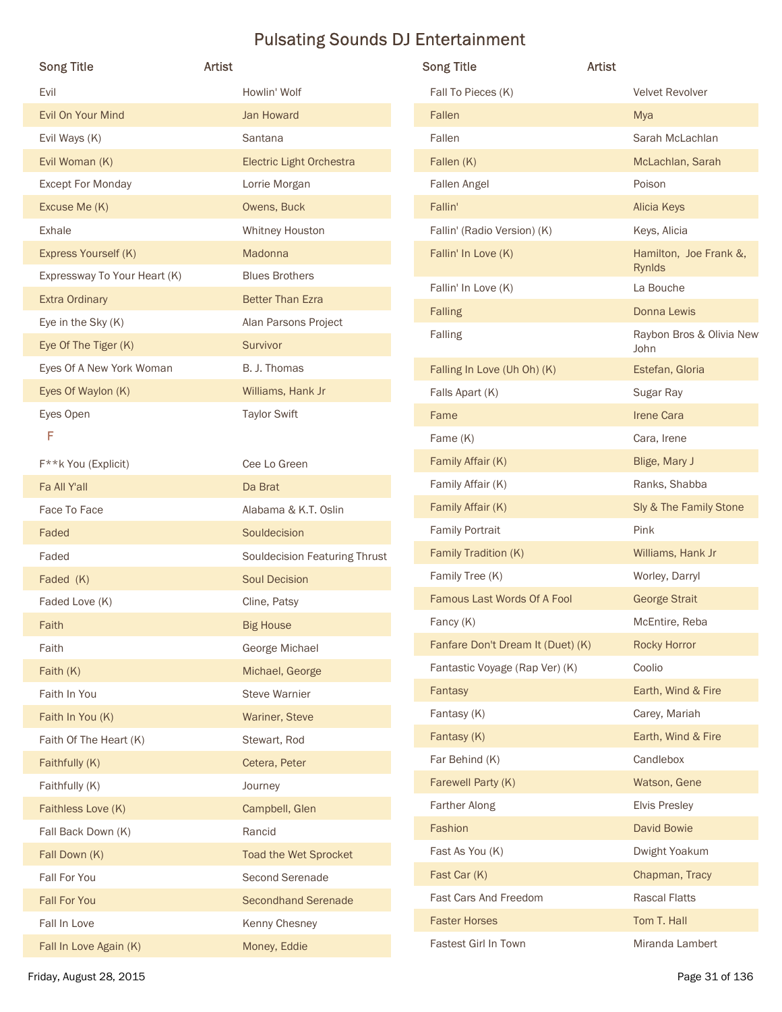| <b>Song Title</b>                                    |                                      |                                   |                                        |
|------------------------------------------------------|--------------------------------------|-----------------------------------|----------------------------------------|
|                                                      | Artist                               | Artist<br><b>Song Title</b>       |                                        |
| Evil                                                 | Howlin' Wolf                         | Fall To Pieces (K)                | Velvet Revolver                        |
| Evil On Your Mind                                    | Jan Howard                           | Fallen                            | Mya                                    |
| Evil Ways (K)                                        | Santana                              | Fallen                            | Sarah McLachlan                        |
| Evil Woman (K)                                       | <b>Electric Light Orchestra</b>      | Fallen (K)                        | McLachlan, Sarah                       |
| <b>Except For Monday</b>                             | Lorrie Morgan                        | Fallen Angel                      | Poison                                 |
| Excuse Me (K)                                        | Owens, Buck                          | Fallin'                           | Alicia Keys                            |
| Exhale                                               | Whitney Houston                      | Fallin' (Radio Version) (K)       | Keys, Alicia<br>Hamilton, Joe Frank &, |
| Express Yourself (K)<br>Expressway To Your Heart (K) | Madonna<br><b>Blues Brothers</b>     | Fallin' In Love (K)               | Rynlds                                 |
| <b>Extra Ordinary</b>                                | <b>Better Than Ezra</b>              | Fallin' In Love (K)               | La Bouche                              |
| Eye in the Sky (K)                                   | Alan Parsons Project                 | Falling                           | Donna Lewis                            |
| Eye Of The Tiger (K)                                 | Survivor                             | Falling                           | Raybon Bros & Olivia New               |
| Eyes Of A New York Woman                             | B. J. Thomas                         | Falling In Love (Uh Oh) (K)       | John<br>Estefan, Gloria                |
| Eyes Of Waylon (K)                                   | Williams, Hank Jr                    | Falls Apart (K)                   | Sugar Ray                              |
| Eyes Open                                            | <b>Taylor Swift</b>                  | Fame                              | Irene Cara                             |
| F                                                    |                                      | Fame (K)                          | Cara, Irene                            |
|                                                      | Cee Lo Green                         | Family Affair (K)                 | Blige, Mary J                          |
| F**k You (Explicit)<br>Fa All Y'all                  | Da Brat                              | Family Affair (K)                 | Ranks, Shabba                          |
| Face To Face                                         | Alabama & K.T. Oslin                 | Family Affair (K)                 | Sly & The Family Stone                 |
| Faded                                                | Souldecision                         | Family Portrait                   | Pink                                   |
| Faded                                                | <b>Souldecision Featuring Thrust</b> | Family Tradition (K)              | Williams, Hank Jr                      |
| Faded (K)                                            | Soul Decision                        | Family Tree (K)                   | Worley, Darryl                         |
| Faded Love (K)                                       | Cline, Patsy                         | Famous Last Words Of A Fool       | <b>George Strait</b>                   |
| Faith                                                | <b>Big House</b>                     | Fancy (K)                         | McEntire, Reba                         |
| Faith                                                | George Michael                       | Fanfare Don't Dream It (Duet) (K) | <b>Rocky Horror</b>                    |
| Faith (K)                                            | Michael, George                      | Fantastic Voyage (Rap Ver) (K)    | Coolio                                 |
| Faith In You                                         | Steve Warnier                        | Fantasy                           | Earth, Wind & Fire                     |
| Faith In You (K)                                     | Wariner, Steve                       | Fantasy (K)                       | Carey, Mariah                          |
| Faith Of The Heart (K)                               | Stewart, Rod                         | Fantasy (K)                       | Earth, Wind & Fire                     |
| Faithfully (K)                                       | Cetera, Peter                        | Far Behind (K)                    | Candlebox                              |
| Faithfully (K)                                       | Journey                              | Farewell Party (K)                | Watson, Gene                           |
| Faithless Love (K)                                   | Campbell, Glen                       | Farther Along                     | <b>Elvis Presley</b>                   |
| Fall Back Down (K)                                   | Rancid                               | Fashion                           | David Bowie                            |
| Fall Down (K)                                        | Toad the Wet Sprocket                | Fast As You (K)                   | Dwight Yoakum                          |
| Fall For You                                         | Second Serenade                      | Fast Car (K)                      | Chapman, Tracy                         |
| <b>Fall For You</b>                                  | <b>Secondhand Serenade</b>           | Fast Cars And Freedom             | <b>Rascal Flatts</b>                   |
| Fall In Love                                         | Kenny Chesney                        | <b>Faster Horses</b>              | Tom T. Hall                            |
| Fall In Love Again (K)                               | Money, Eddie                         | Fastest Girl In Town              | Miranda Lambert                        |
|                                                      |                                      |                                   |                                        |

| <b>Entertainment</b>                |                                  |
|-------------------------------------|----------------------------------|
| <b>Song Title</b>                   | <b>Artist</b>                    |
| Fall To Pieces (K)                  | <b>Velvet Revolver</b>           |
| Fallen                              | Mya                              |
| Fallen                              | Sarah McLachlan                  |
| Fallen (K)                          | McLachlan, Sarah                 |
| Fallen Angel                        | Poison                           |
| Fallin'                             | Alicia Keys                      |
| Fallin' (Radio Version) (K)         | Keys, Alicia                     |
| Fallin' In Love (K)                 | Hamilton, Joe Frank &,<br>Rynlds |
| Fallin' In Love (K)                 | La Bouche                        |
| <b>Falling</b>                      | Donna Lewis                      |
| Falling                             | Raybon Bros & Olivia New<br>John |
| Falling In Love (Uh Oh) (K)         | Estefan, Gloria                  |
| Falls Apart (K)                     | Sugar Ray                        |
| Fame                                | <b>Irene Cara</b>                |
| Fame (K)                            | Cara, Irene                      |
| Family Affair (K)                   | Blige, Mary J                    |
| Family Affair (K)                   | Ranks, Shabba                    |
| Family Affair (K)                   | Sly & The Family Stone           |
| <b>Family Portrait</b>              | Pink                             |
| Family Tradition (K)                | Williams, Hank Jr                |
| Family Tree (K)                     | Worley, Darryl                   |
| Famous Last Words Of A Fool         | <b>George Strait</b>             |
| Fancy (K)                           | McEntire, Reba                   |
| Fanfare Don't Dream It (Duet) (K)   | Rocky Horror                     |
| Fantastic Voyage (Rap Ver) (K)      | Coolio                           |
| Fantasy                             | Earth, Wind & Fire               |
| Fantasy (K)                         | Carey, Mariah                    |
| Fantasy (K)                         | Earth, Wind & Fire               |
| Far Behind (K)                      | Candlebox                        |
| Farewell Party (K)<br>Farther Along | Watson, Gene<br>Elvis Presley    |
| Fashion                             | David Bowie                      |
| Fast As You (K)                     | Dwight Yoakum                    |
| Fast Car (K)                        | Chapman, Tracy                   |
| Fast Cars And Freedom               | Rascal Flatts                    |
| <b>Faster Horses</b>                | Tom T. Hall                      |
| Fastest Girl In Town                | Miranda Lambert                  |
|                                     | Page 31 of 136                   |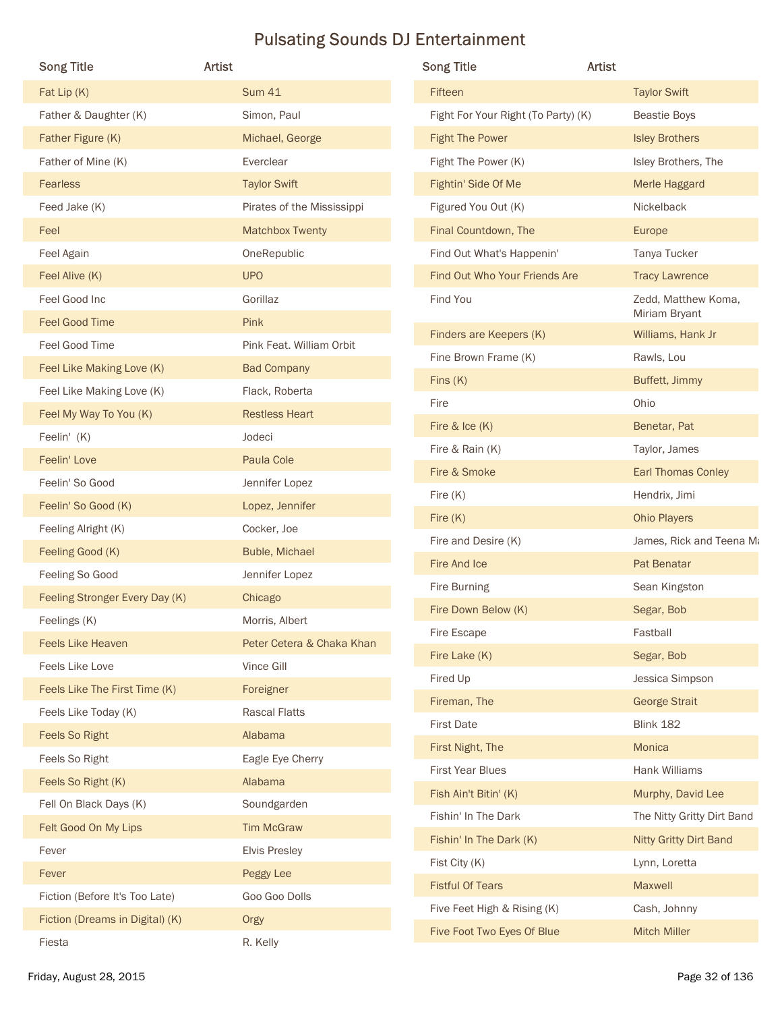|                                 | Artist                     | <b>Song Title</b><br>Artist         |                                      |
|---------------------------------|----------------------------|-------------------------------------|--------------------------------------|
| Fat Lip (K)                     | <b>Sum 41</b>              | Fifteen                             | <b>Taylor Swift</b>                  |
| Father & Daughter (K)           | Simon, Paul                | Fight For Your Right (To Party) (K) | Beastie Boys                         |
| Father Figure (K)               | Michael, George            | <b>Fight The Power</b>              | <b>Isley Brothers</b>                |
| Father of Mine (K)              | Everclear                  | Fight The Power (K)                 | Isley Brothers, The                  |
| Fearless                        | <b>Taylor Swift</b>        | Fightin' Side Of Me                 | Merle Haggard                        |
| Feed Jake (K)                   | Pirates of the Mississippi | Figured You Out (K)                 | Nickelback                           |
| Feel                            | <b>Matchbox Twenty</b>     | Final Countdown, The                | Europe                               |
| Feel Again                      | OneRepublic                | Find Out What's Happenin'           | Tanya Tucker                         |
| Feel Alive (K)                  | <b>UPO</b>                 | Find Out Who Your Friends Are       | <b>Tracy Lawrence</b>                |
| Feel Good Inc                   | Gorillaz                   | Find You                            | Zedd, Matthew Koma,<br>Miriam Bryant |
| <b>Feel Good Time</b>           | Pink                       | Finders are Keepers (K)             | Williams, Hank Jr                    |
| Feel Good Time                  | Pink Feat. William Orbit   | Fine Brown Frame (K)                | Rawls, Lou                           |
| Feel Like Making Love (K)       | <b>Bad Company</b>         | Fins $(K)$                          | Buffett, Jimmy                       |
| Feel Like Making Love (K)       | Flack, Roberta             | Fire                                | Ohio                                 |
| Feel My Way To You (K)          | <b>Restless Heart</b>      | Fire $&$ Ice $(K)$                  | Benetar, Pat                         |
| Feelin' (K)                     | Jodeci                     | Fire & Rain (K)                     | Taylor, James                        |
| Feelin' Love                    | Paula Cole                 | Fire & Smoke                        | Earl Thomas Conley                   |
| Feelin' So Good                 | Jennifer Lopez             | Fire (K)                            | Hendrix, Jimi                        |
| Feelin' So Good (K)             | Lopez, Jennifer            | Fire (K)                            | <b>Ohio Players</b>                  |
| Feeling Alright (K)             | Cocker, Joe                | Fire and Desire (K)                 | James, Rick and Teena Mi             |
| Feeling Good (K)                | Buble, Michael             | Fire And Ice                        | Pat Benatar                          |
| Feeling So Good                 | Jennifer Lopez             | Fire Burning                        | Sean Kingston                        |
| Feeling Stronger Every Day (K)  | Chicago                    | Fire Down Below (K)                 | Segar, Bob                           |
| Feelings (K)                    | Morris, Albert             | Fire Escape                         | Fastball                             |
| <b>Feels Like Heaven</b>        | Peter Cetera & Chaka Khan  | Fire Lake (K)                       | Segar, Bob                           |
| Feels Like Love                 | Vince Gill                 | Fired Up                            | Jessica Simpson                      |
| Feels Like The First Time (K)   | Foreigner                  | Fireman, The                        | <b>George Strait</b>                 |
| Feels Like Today (K)            | Rascal Flatts              | <b>First Date</b>                   | Blink 182                            |
| Feels So Right                  | Alabama                    | First Night, The                    | Monica                               |
| Feels So Right                  | Eagle Eye Cherry           | First Year Blues                    | Hank Williams                        |
| Feels So Right (K)              | Alabama                    | Fish Ain't Bitin' (K)               | Murphy, David Lee                    |
| Fell On Black Days (K)          | Soundgarden                | Fishin' In The Dark                 | The Nitty Gritty Dirt Band           |
| Felt Good On My Lips            | <b>Tim McGraw</b>          | Fishin' In The Dark (K)             | Nitty Gritty Dirt Band               |
| Fever                           | <b>Elvis Presley</b>       | Fist City (K)                       | Lynn, Loretta                        |
| Fever                           | Peggy Lee                  | <b>Fistful Of Tears</b>             | Maxwell                              |
| Fiction (Before It's Too Late)  | Goo Goo Dolls              | Five Feet High & Rising (K)         | Cash, Johnny                         |
| Fiction (Dreams in Digital) (K) | Orgy                       | Five Foot Two Eyes Of Blue          | <b>Mitch Miller</b>                  |
| Fiesta                          | R. Kelly                   |                                     |                                      |

| <b>Intertainment</b>                      |                                                               |  |
|-------------------------------------------|---------------------------------------------------------------|--|
| <b>Song Title</b>                         | Artist                                                        |  |
| Fifteen                                   | <b>Taylor Swift</b>                                           |  |
| Fight For Your Right (To Party) (K)       | <b>Beastie Boys</b>                                           |  |
| <b>Fight The Power</b>                    | <b>Isley Brothers</b>                                         |  |
| Fight The Power (K)                       | Isley Brothers, The                                           |  |
| Fightin' Side Of Me                       | Merle Haggard                                                 |  |
| Figured You Out (K)                       | Nickelback                                                    |  |
| Final Countdown, The                      | Europe                                                        |  |
| Find Out What's Happenin'                 | Tanya Tucker                                                  |  |
| Find Out Who Your Friends Are<br>Find You | <b>Tracy Lawrence</b><br>Zedd, Matthew Koma,<br>Miriam Bryant |  |
| Finders are Keepers (K)                   | Williams, Hank Jr                                             |  |
| Fine Brown Frame (K)                      | Rawls, Lou                                                    |  |
| Fins (K)                                  | Buffett, Jimmy                                                |  |
| Fire                                      | Ohio                                                          |  |
| Fire $&$ Ice $(K)$                        | Benetar, Pat                                                  |  |
| Fire & Rain (K)                           | Taylor, James                                                 |  |
| Fire & Smoke                              | Earl Thomas Conley                                            |  |
| Fire (K)                                  | Hendrix, Jimi                                                 |  |
| Fire (K)                                  | <b>Ohio Players</b>                                           |  |
| Fire and Desire (K)                       | James, Rick and Teena Mi                                      |  |
| Fire And Ice                              | Pat Benatar                                                   |  |
| Fire Burning                              | Sean Kingston                                                 |  |
| Fire Down Below (K)                       | Segar, Bob                                                    |  |
| Fire Escape                               | Fastball                                                      |  |
| Fire Lake (K)                             | Segar, Bob                                                    |  |
| Fired Up                                  | Jessica Simpson                                               |  |
| Fireman, The                              | <b>George Strait</b>                                          |  |
| <b>First Date</b><br>First Night, The     | Blink 182<br>Monica                                           |  |
| <b>First Year Blues</b>                   | Hank Williams                                                 |  |
| Fish Ain't Bitin' (K)                     | Murphy, David Lee                                             |  |
| Fishin' In The Dark                       | The Nitty Gritty Dirt Band                                    |  |
| Fishin' In The Dark (K)                   | Nitty Gritty Dirt Band                                        |  |
| Fist City (K)                             | Lynn, Loretta                                                 |  |
| <b>Fistful Of Tears</b>                   | Maxwell                                                       |  |
| Five Feet High & Rising (K)               | Cash, Johnny                                                  |  |
| Five Foot Two Eyes Of Blue                | <b>Mitch Miller</b>                                           |  |
|                                           | Page 32 of 136                                                |  |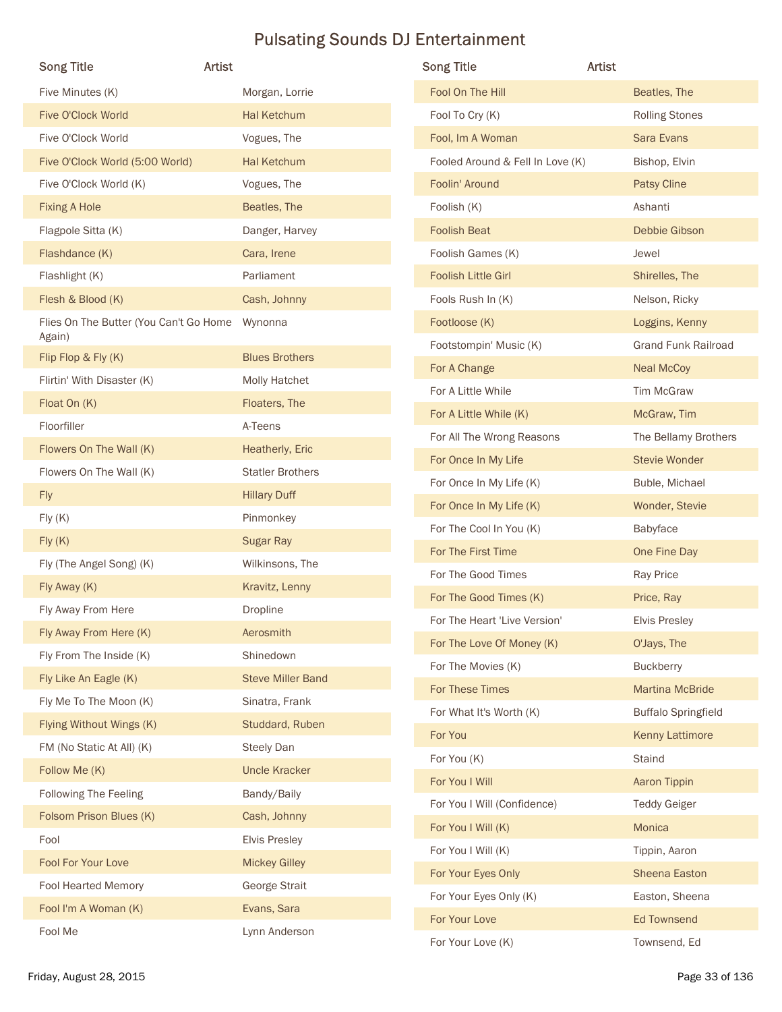|                                                | Artist                   | <b>Song Title</b>                | Artist                     |
|------------------------------------------------|--------------------------|----------------------------------|----------------------------|
| Five Minutes (K)                               | Morgan, Lorrie           | Fool On The Hill                 | Beatles, The               |
| Five O'Clock World                             | Hal Ketchum              | Fool To Cry (K)                  | <b>Rolling Stones</b>      |
| Five O'Clock World                             | Vogues, The              | Fool, Im A Woman                 | Sara Evans                 |
| Five O'Clock World (5:00 World)                | <b>Hal Ketchum</b>       | Fooled Around & Fell In Love (K) | Bishop, Elvin              |
| Five O'Clock World (K)                         | Vogues, The              | Foolin' Around                   | <b>Patsy Cline</b>         |
| <b>Fixing A Hole</b>                           | Beatles, The             | Foolish (K)                      | Ashanti                    |
| Flagpole Sitta (K)                             | Danger, Harvey           | <b>Foolish Beat</b>              | Debbie Gibson              |
| Flashdance (K)                                 | Cara, Irene              | Foolish Games (K)                | Jewel                      |
| Flashlight (K)                                 | Parliament               | <b>Foolish Little Girl</b>       | Shirelles, The             |
| Flesh & Blood (K)                              | Cash, Johnny             | Fools Rush In (K)                | Nelson, Ricky              |
| Flies On The Butter (You Can't Go Home Wynonna |                          | Footloose (K)                    | Loggins, Kenny             |
| Again)<br>Flip Flop & Fly (K)                  | <b>Blues Brothers</b>    | Footstompin' Music (K)           | Grand Funk Railroad        |
| Flirtin' With Disaster (K)                     | <b>Molly Hatchet</b>     | For A Change                     | <b>Neal McCoy</b>          |
| Float On (K)                                   | Floaters, The            | For A Little While               | Tim McGraw                 |
| Floorfiller                                    | A-Teens                  | For A Little While (K)           | McGraw, Tim                |
| Flowers On The Wall (K)                        | Heatherly, Eric          | For All The Wrong Reasons        | The Bellamy Brothers       |
| Flowers On The Wall (K)                        | <b>Statler Brothers</b>  | For Once In My Life              | <b>Stevie Wonder</b>       |
| Fly                                            | <b>Hillary Duff</b>      | For Once In My Life (K)          | Buble, Michael             |
| Fly(K)                                         | Pinmonkey                | For Once In My Life (K)          | Wonder, Stevie             |
| Fly(K)                                         | <b>Sugar Ray</b>         | For The Cool In You (K)          | Babyface                   |
| Fly (The Angel Song) (K)                       | Wilkinsons, The          | For The First Time               | One Fine Day               |
| Fly Away (K)                                   | Kravitz, Lenny           | For The Good Times               | Ray Price                  |
| Fly Away From Here                             | Dropline                 | For The Good Times (K)           | Price, Ray                 |
| Fly Away From Here (K)                         | Aerosmith                | For The Heart 'Live Version'     | <b>Elvis Presley</b>       |
| Fly From The Inside (K)                        | Shinedown                | For The Love Of Money (K)        | O'Jays, The                |
| Fly Like An Eagle (K)                          | <b>Steve Miller Band</b> | For The Movies (K)               | Buckberry                  |
| Fly Me To The Moon (K)                         | Sinatra, Frank           | For These Times                  | <b>Martina McBride</b>     |
| Flying Without Wings (K)                       | Studdard, Ruben          | For What It's Worth (K)          | <b>Buffalo Springfield</b> |
| FM (No Static At All) (K)                      | <b>Steely Dan</b>        | For You                          | Kenny Lattimore            |
| Follow Me (K)                                  | <b>Uncle Kracker</b>     | For You (K)                      | Staind                     |
| Following The Feeling                          | Bandy/Baily              | For You I Will                   | Aaron Tippin               |
| Folsom Prison Blues (K)                        | Cash, Johnny             | For You I Will (Confidence)      | <b>Teddy Geiger</b>        |
| Fool                                           | <b>Elvis Presley</b>     | For You I Will (K)               | Monica                     |
| Fool For Your Love                             | <b>Mickey Gilley</b>     | For You I Will (K)               | Tippin, Aaron              |
| <b>Fool Hearted Memory</b>                     | George Strait            | For Your Eyes Only               | <b>Sheena Easton</b>       |
| Fool I'm A Woman (K)                           | Evans, Sara              | For Your Eyes Only (K)           | Easton, Sheena             |
| Fool Me                                        | Lynn Anderson            | For Your Love                    | <b>Ed Townsend</b>         |
|                                                |                          | For Your Love (K)                | Townsend, Ed               |

| <b>Intertainment</b>                     |                            |
|------------------------------------------|----------------------------|
| <b>Song Title</b>                        | Artist                     |
| Fool On The Hill                         | Beatles, The               |
| Fool To Cry (K)                          | <b>Rolling Stones</b>      |
| Fool, Im A Woman                         | Sara Evans                 |
| Fooled Around & Fell In Love (K)         | Bishop, Elvin              |
| Foolin' Around                           | Patsy Cline                |
| Foolish (K)                              | Ashanti                    |
| <b>Foolish Beat</b>                      | Debbie Gibson              |
| Foolish Games (K)                        | Jewel                      |
| <b>Foolish Little Girl</b>               | Shirelles, The             |
| Fools Rush In (K)                        | Nelson, Ricky              |
| Footloose (K)                            | Loggins, Kenny             |
| Footstompin' Music (K)                   | <b>Grand Funk Railroad</b> |
| For A Change                             | Neal McCoy                 |
| For A Little While                       | Tim McGraw                 |
| For A Little While (K)                   | McGraw, Tim                |
| For All The Wrong Reasons                | The Bellamy Brothers       |
| For Once In My Life                      | <b>Stevie Wonder</b>       |
| For Once In My Life (K)                  | Buble, Michael             |
| For Once In My Life (K)                  | Wonder, Stevie             |
| For The Cool In You (K)                  | Babyface                   |
| For The First Time<br>For The Good Times | One Fine Day               |
| For The Good Times (K)                   | Ray Price<br>Price, Ray    |
| For The Heart 'Live Version'             | Elvis Presley              |
| For The Love Of Money (K)                | O'Jays, The                |
| For The Movies (K)                       | Buckberry                  |
| For These Times                          | <b>Martina McBride</b>     |
| For What It's Worth (K)                  | <b>Buffalo Springfield</b> |
| For You                                  | Kenny Lattimore            |
| For You (K)                              | Staind                     |
| For You I Will                           | Aaron Tippin               |
| For You I Will (Confidence)              | <b>Teddy Geiger</b>        |
| For You I Will (K)                       | Monica                     |
| For You I Will (K)                       | Tippin, Aaron              |
| For Your Eyes Only                       | Sheena Easton              |
| For Your Eyes Only (K)                   | Easton, Sheena             |
| For Your Love                            | <b>Ed Townsend</b>         |
| For Your Love (K)                        | Townsend, Ed               |
|                                          | Page 33 of 136             |
|                                          |                            |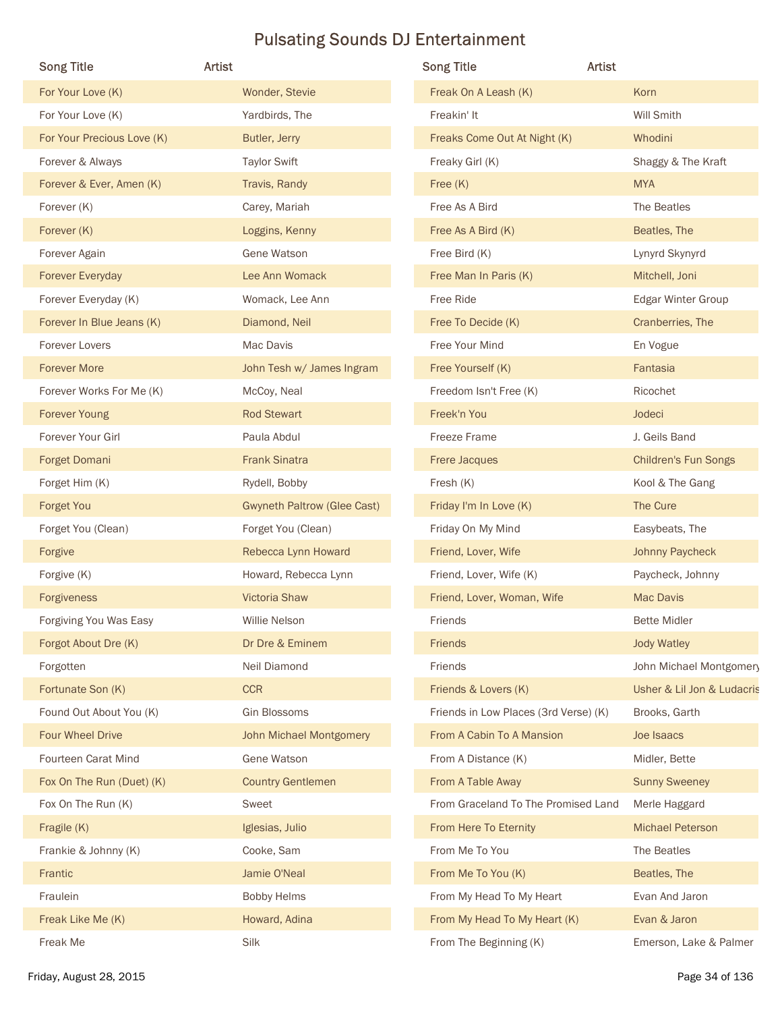|                                | Artist                             | <b>Song Title</b><br>Artist           |                                               |
|--------------------------------|------------------------------------|---------------------------------------|-----------------------------------------------|
| For Your Love (K)              | Wonder, Stevie                     | Freak On A Leash (K)                  | Korn                                          |
| For Your Love (K)              | Yardbirds, The                     | Freakin' It                           | Will Smith                                    |
| For Your Precious Love (K)     | Butler, Jerry                      | Freaks Come Out At Night (K)          | Whodini                                       |
| Forever & Always               | <b>Taylor Swift</b>                | Freaky Girl (K)                       | Shaggy & The Kraft                            |
| Forever & Ever, Amen (K)       | Travis, Randy                      | Free $(K)$                            | <b>MYA</b>                                    |
| Forever (K)                    | Carey, Mariah                      | Free As A Bird                        | The Beatles                                   |
| Forever (K)                    | Loggins, Kenny                     | Free As A Bird (K)                    | Beatles, The                                  |
| Forever Again                  | Gene Watson                        | Free Bird (K)                         | Lynyrd Skynyrd                                |
| Forever Everyday               | Lee Ann Womack                     | Free Man In Paris (K)                 | Mitchell, Joni                                |
| Forever Everyday (K)           | Womack, Lee Ann                    | Free Ride                             | Edgar Winter Group                            |
| Forever In Blue Jeans (K)      | Diamond, Neil                      | Free To Decide (K)                    | Cranberries, The                              |
| Forever Lovers                 | Mac Davis                          | Free Your Mind                        | En Vogue                                      |
| <b>Forever More</b>            | John Tesh w/ James Ingram          | Free Yourself (K)                     | Fantasia                                      |
| Forever Works For Me (K)       | McCoy, Neal                        | Freedom Isn't Free (K)                | Ricochet                                      |
| <b>Forever Young</b>           | <b>Rod Stewart</b>                 | Freek'n You                           | Jodeci                                        |
| Forever Your Girl              | Paula Abdul                        | Freeze Frame                          | J. Geils Band                                 |
| Forget Domani                  | <b>Frank Sinatra</b>               | Frere Jacques                         | <b>Children's Fun Songs</b>                   |
| Forget Him (K)                 | Rydell, Bobby                      | Fresh (K)                             | Kool & The Gang                               |
| Forget You                     | <b>Gwyneth Paltrow (Glee Cast)</b> | Friday I'm In Love (K)                | The Cure                                      |
| Forget You (Clean)             | Forget You (Clean)                 | Friday On My Mind                     | Easybeats, The                                |
| Forgive                        | Rebecca Lynn Howard                | Friend, Lover, Wife                   | Johnny Paycheck                               |
| Forgive (K)                    | Howard, Rebecca Lynn               | Friend, Lover, Wife (K)               | Paycheck, Johnny                              |
| Forgiveness                    | Victoria Shaw                      | Friend, Lover, Woman, Wife            | Mac Davis                                     |
| Forgiving You Was Easy         | Willie Nelson<br>Dr Dre & Eminem   | Friends                               | <b>Bette Midler</b>                           |
| Forgot About Dre (K)           | Neil Diamond                       | Friends<br>Friends                    | <b>Jody Watley</b><br>John Michael Montgomery |
| Forgotten<br>Fortunate Son (K) | CCR                                | Friends & Lovers (K)                  | Usher & Lil Jon & Ludacris                    |
| Found Out About You (K)        | <b>Gin Blossoms</b>                | Friends in Low Places (3rd Verse) (K) | Brooks, Garth                                 |
| <b>Four Wheel Drive</b>        | John Michael Montgomery            | From A Cabin To A Mansion             | Joe Isaacs                                    |
| Fourteen Carat Mind            | Gene Watson                        | From A Distance (K)                   | Midler, Bette                                 |
| Fox On The Run (Duet) (K)      | <b>Country Gentlemen</b>           | From A Table Away                     | <b>Sunny Sweeney</b>                          |
| Fox On The Run (K)             | Sweet                              | From Graceland To The Promised Land   | Merle Haggard                                 |
| Fragile (K)                    | Iglesias, Julio                    | From Here To Eternity                 | <b>Michael Peterson</b>                       |
| Frankie & Johnny (K)           | Cooke, Sam                         | From Me To You                        | The Beatles                                   |
| Frantic                        | Jamie O'Neal                       | From Me To You (K)                    | Beatles, The                                  |
| Fraulein                       | <b>Bobby Helms</b>                 | From My Head To My Heart              | Evan And Jaron                                |
| Freak Like Me (K)              | Howard, Adina                      | From My Head To My Heart (K)          | Evan & Jaron                                  |
| Freak Me                       | Silk                               | From The Beginning (K)                | Emerson, Lake & Palmer                        |
|                                |                                    |                                       |                                               |

| <b>Intertainment</b>                                     |                                |
|----------------------------------------------------------|--------------------------------|
| <b>Song Title</b>                                        | Artist                         |
| Freak On A Leash (K)                                     | Korn                           |
| Freakin' It                                              | Will Smith                     |
| Freaks Come Out At Night (K)                             | Whodini                        |
| Freaky Girl (K)                                          | Shaggy & The Kraft             |
| Free (K)                                                 | <b>MYA</b>                     |
| Free As A Bird                                           | The Beatles                    |
| Free As A Bird (K)                                       | Beatles, The                   |
| Free Bird (K)                                            | Lynyrd Skynyrd                 |
| Free Man In Paris (K)                                    | Mitchell, Joni                 |
| Free Ride                                                | Edgar Winter Group             |
| Free To Decide (K)                                       | Cranberries, The               |
| Free Your Mind                                           | En Vogue                       |
| Free Yourself (K)                                        | Fantasia                       |
| Freedom Isn't Free (K)                                   | Ricochet                       |
| Freek'n You                                              | Jodeci                         |
| Freeze Frame                                             | J. Geils Band                  |
| Frere Jacques                                            | <b>Children's Fun Songs</b>    |
| Fresh (K)                                                | Kool & The Gang                |
| Friday I'm In Love (K)                                   | The Cure                       |
| Friday On My Mind                                        | Easybeats, The                 |
| Friend, Lover, Wife                                      | Johnny Paycheck                |
| Friend, Lover, Wife (K)                                  | Paycheck, Johnny               |
| Friend, Lover, Woman, Wife                               | <b>Mac Davis</b>               |
| Friends                                                  | <b>Bette Midler</b>            |
| <b>Friends</b>                                           | <b>Jody Watley</b>             |
| Friends                                                  | John Michael Montgomery        |
| Friends & Lovers (K)                                     | Usher & Lil Jon & Ludacris     |
| Friends in Low Places (3rd Verse) (K)                    | Brooks, Garth                  |
| From A Cabin To A Mansion                                | Joe Isaacs                     |
| From A Distance (K)                                      | Midler, Bette                  |
| From A Table Away                                        | <b>Sunny Sweeney</b>           |
| From Graceland To The Promised Land                      | Merle Haggard                  |
| From Here To Eternity                                    | <b>Michael Peterson</b>        |
| From Me To You                                           | The Beatles                    |
| From Me To You (K)                                       | Beatles, The                   |
| From My Head To My Heart<br>From My Head To My Heart (K) | Evan And Jaron<br>Evan & Jaron |
| From The Beginning (K)                                   | Emerson, Lake & Palmer         |
|                                                          | Page 34 of 136                 |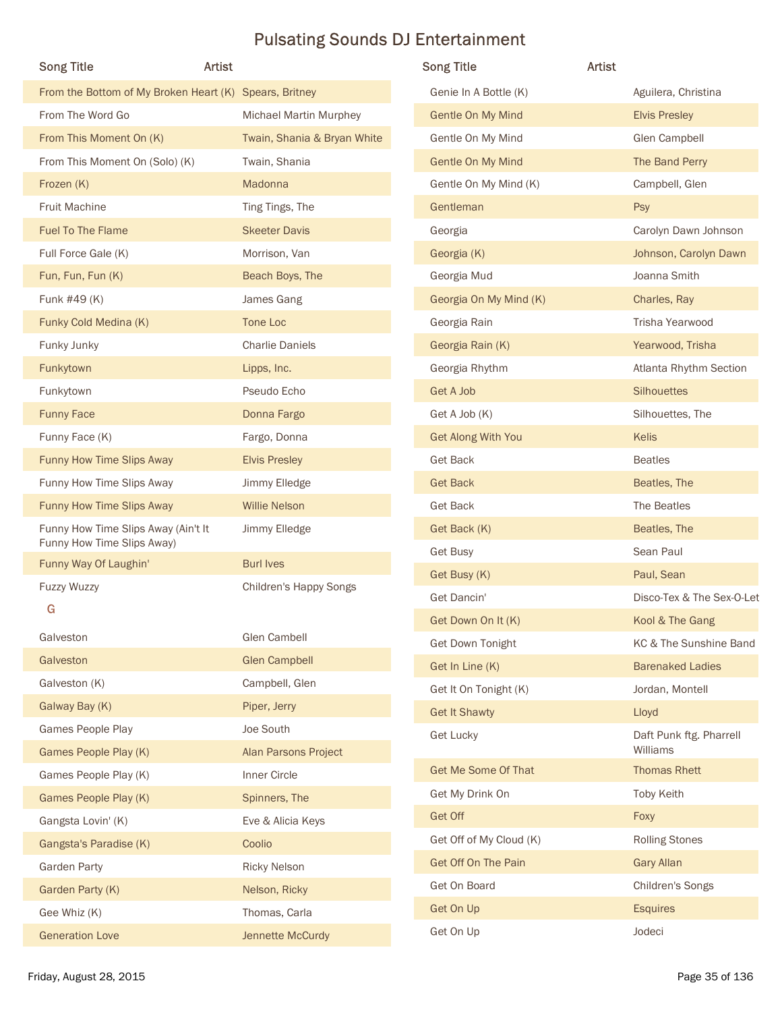|                                                        | <b>Pulsating Sounds DJ Entertainment</b> |                             |                                     |  |
|--------------------------------------------------------|------------------------------------------|-----------------------------|-------------------------------------|--|
| <b>Song Title</b><br>Artist                            |                                          | <b>Song Title</b><br>Artist |                                     |  |
| From the Bottom of My Broken Heart (K) Spears, Britney |                                          | Genie In A Bottle (K)       | Aguilera, Christina                 |  |
| From The Word Go                                       | <b>Michael Martin Murphey</b>            | Gentle On My Mind           | <b>Elvis Presley</b>                |  |
| From This Moment On (K)                                | Twain, Shania & Bryan White              | Gentle On My Mind           | Glen Campbell                       |  |
| From This Moment On (Solo) (K)                         | Twain, Shania                            | Gentle On My Mind           | The Band Perry                      |  |
| Frozen (K)                                             | Madonna                                  | Gentle On My Mind (K)       | Campbell, Glen                      |  |
| <b>Fruit Machine</b>                                   | Ting Tings, The                          | Gentleman                   | Psy                                 |  |
| Fuel To The Flame                                      | <b>Skeeter Davis</b>                     | Georgia                     | Carolyn Dawn Johnson                |  |
| Full Force Gale (K)                                    | Morrison, Van                            | Georgia (K)                 | Johnson, Carolyn Dawn               |  |
| Fun, Fun, Fun (K)                                      | Beach Boys, The                          | Georgia Mud                 | Joanna Smith                        |  |
| Funk #49 (K)                                           | James Gang                               | Georgia On My Mind (K)      | Charles, Ray                        |  |
| Funky Cold Medina (K)                                  | Tone Loc                                 | Georgia Rain                | Trisha Yearwood                     |  |
| Funky Junky                                            | <b>Charlie Daniels</b>                   | Georgia Rain (K)            | Yearwood, Trisha                    |  |
| Funkytown                                              | Lipps, Inc.                              | Georgia Rhythm              | Atlanta Rhythm Section              |  |
| Funkytown                                              | Pseudo Echo                              | Get A Job                   | Silhouettes                         |  |
| <b>Funny Face</b>                                      | Donna Fargo                              | Get A Job (K)               | Silhouettes, The                    |  |
| Funny Face (K)                                         | Fargo, Donna                             | <b>Get Along With You</b>   | Kelis                               |  |
| Funny How Time Slips Away                              | <b>Elvis Presley</b>                     | <b>Get Back</b>             | <b>Beatles</b>                      |  |
| Funny How Time Slips Away                              | Jimmy Elledge                            | <b>Get Back</b>             | Beatles, The                        |  |
| Funny How Time Slips Away                              | <b>Willie Nelson</b>                     | <b>Get Back</b>             | The Beatles                         |  |
| Funny How Time Slips Away (Ain't It                    | Jimmy Elledge                            | Get Back (K)                | Beatles, The                        |  |
| Funny How Time Slips Away)<br>Funny Way Of Laughin'    | <b>Burl Ives</b>                         | <b>Get Busy</b>             | Sean Paul                           |  |
| Fuzzy Wuzzy                                            | Children's Happy Songs                   | Get Busy (K)                | Paul, Sean                          |  |
| G                                                      |                                          | Get Dancin'                 | Disco-Tex & The Sex-O-Let           |  |
|                                                        | Glen Cambell                             | Get Down On It (K)          | Kool & The Gang                     |  |
| Galveston<br>Galveston                                 | <b>Glen Campbell</b>                     | Get Down Tonight            | KC & The Sunshine Band              |  |
| Galveston (K)                                          | Campbell, Glen                           | Get In Line (K)             | <b>Barenaked Ladies</b>             |  |
| Galway Bay (K)                                         | Piper, Jerry                             | Get It On Tonight (K)       | Jordan, Montell                     |  |
| Games People Play                                      | Joe South                                | <b>Get It Shawty</b>        | Lloyd                               |  |
| Games People Play (K)                                  | Alan Parsons Project                     | <b>Get Lucky</b>            | Daft Punk ftg. Pharrell<br>Williams |  |
| Games People Play (K)                                  | Inner Circle                             | Get Me Some Of That         | <b>Thomas Rhett</b>                 |  |
| Games People Play (K)                                  | Spinners, The                            | Get My Drink On             | Toby Keith                          |  |
| Gangsta Lovin' (K)                                     | Eve & Alicia Keys                        | Get Off                     | Foxy                                |  |
| Gangsta's Paradise (K)                                 | Coolio                                   | Get Off of My Cloud (K)     | <b>Rolling Stones</b>               |  |
| Garden Party                                           | <b>Ricky Nelson</b>                      | Get Off On The Pain         | Gary Allan                          |  |
| Garden Party (K)                                       | Nelson, Ricky                            | Get On Board                | Children's Songs                    |  |
| Gee Whiz (K)                                           | Thomas, Carla                            | Get On Up                   | <b>Esquires</b>                     |  |
|                                                        |                                          | Get On Up                   | Jodeci                              |  |
| <b>Generation Love</b>                                 | Jennette McCurdy                         |                             |                                     |  |

| <b>Intertainment</b>       |                                     |
|----------------------------|-------------------------------------|
| <b>Song Title</b>          | Artist                              |
| Genie In A Bottle (K)      | Aguilera, Christina                 |
| Gentle On My Mind          | <b>Elvis Presley</b>                |
| Gentle On My Mind          | Glen Campbell                       |
| Gentle On My Mind          | The Band Perry                      |
| Gentle On My Mind (K)      | Campbell, Glen                      |
| Gentleman                  | Psy                                 |
| Georgia                    | Carolyn Dawn Johnson                |
| Georgia (K)                | Johnson, Carolyn Dawn               |
| Georgia Mud                | Joanna Smith                        |
| Georgia On My Mind (K)     | Charles, Ray                        |
| Georgia Rain               | Trisha Yearwood                     |
| Georgia Rain (K)           | Yearwood, Trisha                    |
| Georgia Rhythm             | Atlanta Rhythm Section              |
| Get A Job                  | <b>Silhouettes</b>                  |
| Get A Job (K)              | Silhouettes, The                    |
| <b>Get Along With You</b>  | Kelis                               |
| Get Back                   | <b>Beatles</b>                      |
| <b>Get Back</b>            | Beatles, The                        |
| <b>Get Back</b>            | The Beatles                         |
| Get Back (K)               | Beatles, The                        |
| <b>Get Busy</b>            | Sean Paul                           |
| Get Busy (K)               | Paul, Sean                          |
| Get Dancin'                | Disco-Tex & The Sex-O-Let           |
| Get Down On It (K)         | Kool & The Gang                     |
| Get Down Tonight           | KC & The Sunshine Band              |
| Get In Line (K)            | <b>Barenaked Ladies</b>             |
| Get It On Tonight (K)      | Jordan, Montell                     |
| <b>Get It Shawty</b>       | Lloyd                               |
| Get Lucky                  | Daft Punk ftg. Pharrell<br>Williams |
| <b>Get Me Some Of That</b> | <b>Thomas Rhett</b>                 |
| Get My Drink On            | <b>Toby Keith</b>                   |
| Get Off                    | Foxy                                |
| Get Off of My Cloud (K)    | <b>Rolling Stones</b>               |
| Get Off On The Pain        | <b>Gary Allan</b>                   |
| Get On Board               | Children's Songs                    |
| Get On Up                  | Esquires                            |
| Get On Up                  | Jodeci                              |
|                            |                                     |
|                            | Page 35 of 136                      |
|                            |                                     |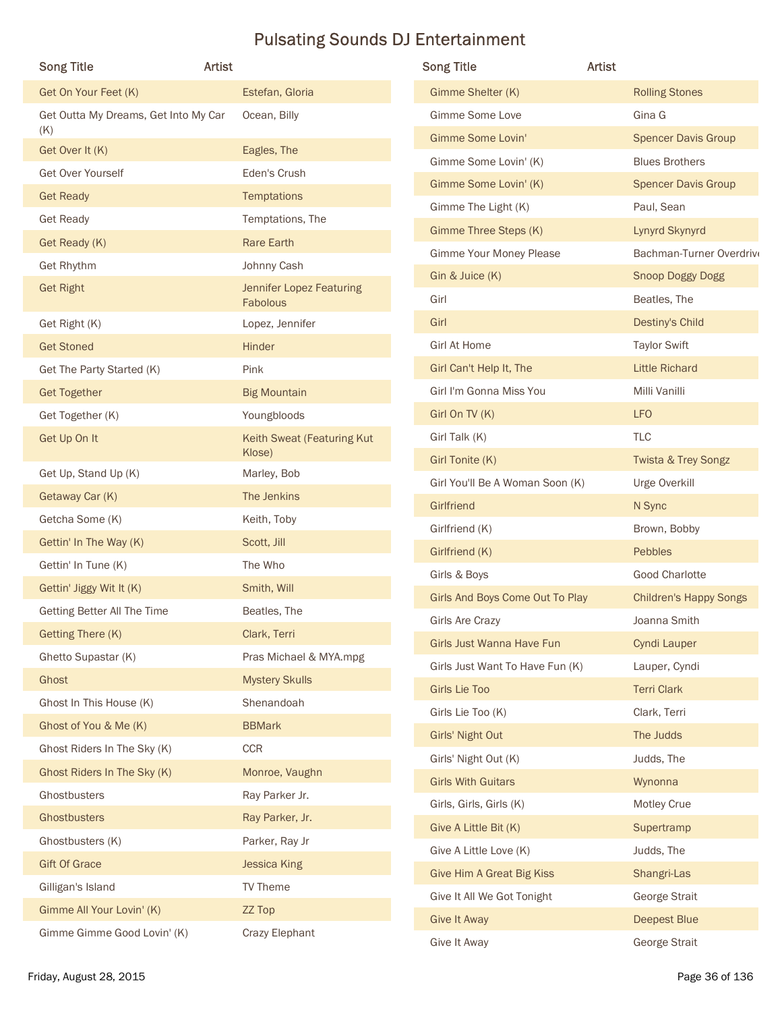| <b>Song Title</b><br>Artist          |                                      | <b>Pulsating Sounds DJ Entertainment</b><br><b>Song Title</b><br>Artist |                                |  |
|--------------------------------------|--------------------------------------|-------------------------------------------------------------------------|--------------------------------|--|
| Get On Your Feet (K)                 | Estefan, Gloria                      | <b>Gimme Shelter (K)</b>                                                | <b>Rolling Stones</b>          |  |
| Get Outta My Dreams, Get Into My Car | Ocean, Billy                         | Gimme Some Love                                                         | Gina G                         |  |
| (K)<br>Get Over It (K)               | Eagles, The                          | Gimme Some Lovin'                                                       | <b>Spencer Davis Group</b>     |  |
| Get Over Yourself                    | Eden's Crush                         | Gimme Some Lovin' (K)                                                   | <b>Blues Brothers</b>          |  |
| <b>Get Ready</b>                     | Temptations                          | Gimme Some Lovin' (K)                                                   | <b>Spencer Davis Group</b>     |  |
| <b>Get Ready</b>                     | Temptations, The                     | Gimme The Light (K)                                                     | Paul, Sean                     |  |
| Get Ready (K)                        | Rare Earth                           | <b>Gimme Three Steps (K)</b>                                            | Lynyrd Skynyrd                 |  |
| Get Rhythm                           | Johnny Cash                          | Gimme Your Money Please                                                 | Bachman-Turner Overdrivo       |  |
| <b>Get Right</b>                     | Jennifer Lopez Featuring             | Gin & Juice (K)                                                         | Snoop Doggy Dogg               |  |
|                                      | <b>Fabolous</b>                      | Girl                                                                    | Beatles, The                   |  |
| Get Right (K)                        | Lopez, Jennifer                      | Girl                                                                    | Destiny's Child                |  |
| <b>Get Stoned</b>                    | Hinder                               | <b>Girl At Home</b>                                                     | <b>Taylor Swift</b>            |  |
| Get The Party Started (K)            | Pink                                 | Girl Can't Help It, The                                                 | <b>Little Richard</b>          |  |
| <b>Get Together</b>                  | <b>Big Mountain</b>                  | Girl I'm Gonna Miss You                                                 | Milli Vanilli                  |  |
| Get Together (K)                     | Youngbloods                          | Girl On TV (K)                                                          | <b>LFO</b>                     |  |
| Get Up On It                         | Keith Sweat (Featuring Kut<br>Klose) | Girl Talk (K)                                                           | TLC                            |  |
| Get Up, Stand Up (K)                 | Marley, Bob                          | Girl Tonite (K)                                                         | <b>Twista &amp; Trey Songz</b> |  |
| Getaway Car (K)                      | The Jenkins                          | Girl You'll Be A Woman Soon (K)                                         | Urge Overkill                  |  |
| Getcha Some (K)                      | Keith, Toby                          | Girlfriend                                                              | N Sync                         |  |
| Gettin' In The Way (K)               | Scott, Jill                          | Girlfriend (K)                                                          | Brown, Bobby                   |  |
| Gettin' In Tune (K)                  | The Who                              | Girlfriend (K)                                                          | Pebbles                        |  |
| Gettin' Jiggy Wit It (K)             | Smith, Will                          | Girls & Boys                                                            | Good Charlotte                 |  |
| Getting Better All The Time          | Beatles, The                         | Girls And Boys Come Out To Play                                         | <b>Children's Happy Songs</b>  |  |
| Getting There (K)                    | Clark, Terri                         | Girls Are Crazy                                                         | Joanna Smith                   |  |
| Ghetto Supastar (K)                  | Pras Michael & MYA.mpg               | Girls Just Wanna Have Fun                                               | Cyndi Lauper                   |  |
| Ghost                                | <b>Mystery Skulls</b>                | Girls Just Want To Have Fun (K)                                         | Lauper, Cyndi                  |  |
| Ghost In This House (K)              | Shenandoah                           | <b>Girls Lie Too</b>                                                    | <b>Terri Clark</b>             |  |
| Ghost of You & Me (K)                | <b>BBMark</b>                        | Girls Lie Too (K)                                                       | Clark, Terri                   |  |
| Ghost Riders In The Sky (K)          | CCR                                  | Girls' Night Out                                                        | The Judds                      |  |
| Ghost Riders In The Sky (K)          | Monroe, Vaughn                       | Girls' Night Out (K)                                                    | Judds, The                     |  |
| Ghostbusters                         | Ray Parker Jr.                       | <b>Girls With Guitars</b>                                               | Wynonna                        |  |
| Ghostbusters                         | Ray Parker, Jr.                      | Girls, Girls, Girls (K)                                                 | Motley Crue                    |  |
| Ghostbusters (K)                     | Parker, Ray Jr                       | Give A Little Bit (K)                                                   | Supertramp                     |  |
| <b>Gift Of Grace</b>                 | <b>Jessica King</b>                  | Give A Little Love (K)                                                  | Judds, The                     |  |
| Gilligan's Island                    | TV Theme                             | <b>Give Him A Great Big Kiss</b>                                        | Shangri-Las                    |  |
| Gimme All Your Lovin' (K)            | ZZ Top                               | Give It All We Got Tonight                                              | George Strait                  |  |
|                                      | Crazy Elephant                       | <b>Give It Away</b>                                                     | Deepest Blue                   |  |
| Gimme Gimme Good Lovin' (K)          |                                      | Give It Away                                                            | George Strait                  |  |

| <b>Intertainment</b>                             |                                 |
|--------------------------------------------------|---------------------------------|
| <b>Song Title</b>                                | Artist                          |
| <b>Gimme Shelter (K)</b>                         | <b>Rolling Stones</b>           |
| Gimme Some Love                                  | Gina G                          |
| <b>Gimme Some Lovin'</b>                         | <b>Spencer Davis Group</b>      |
| Gimme Some Lovin' (K)                            | <b>Blues Brothers</b>           |
| Gimme Some Lovin' (K)                            | <b>Spencer Davis Group</b>      |
| Gimme The Light (K)                              | Paul, Sean                      |
| <b>Gimme Three Steps (K)</b>                     | Lynyrd Skynyrd                  |
| Gimme Your Money Please                          | Bachman-Turner Overdrive        |
| Gin & Juice (K)                                  | <b>Snoop Doggy Dogg</b>         |
| Girl                                             | Beatles, The                    |
| Girl                                             | Destiny's Child                 |
| <b>Girl At Home</b>                              | <b>Taylor Swift</b>             |
| Girl Can't Help It, The                          | <b>Little Richard</b>           |
| Girl I'm Gonna Miss You                          | Milli Vanilli                   |
| Girl On TV (K)                                   | <b>LFO</b>                      |
| Girl Talk (K)                                    | <b>TLC</b>                      |
| Girl Tonite (K)                                  | Twista & Trey Songz             |
| Girl You'll Be A Woman Soon (K)                  | Urge Overkill                   |
| Girlfriend                                       | N Sync                          |
| Girlfriend (K)                                   | Brown, Bobby                    |
| Girlfriend (K)                                   | <b>Pebbles</b>                  |
| Girls & Boys                                     | <b>Good Charlotte</b>           |
| Girls And Boys Come Out To Play                  | <b>Children's Happy Songs</b>   |
| Girls Are Crazy                                  | Joanna Smith                    |
| Girls Just Wanna Have Fun                        | Cyndi Lauper                    |
| Girls Just Want To Have Fun (K)                  | Lauper, Cyndi                   |
| <b>Girls Lie Too</b>                             | <b>Terri Clark</b>              |
| Girls Lie Too (K)                                | Clark, Terri                    |
| Girls' Night Out                                 | The Judds                       |
| Girls' Night Out (K)                             | Judds, The                      |
| <b>Girls With Guitars</b>                        | Wynonna                         |
| Girls, Girls, Girls (K)<br>Give A Little Bit (K) | Motley Crue<br>Supertramp       |
| Give A Little Love (K)                           | Judds, The                      |
| <b>Give Him A Great Big Kiss</b>                 | Shangri-Las                     |
| Give It All We Got Tonight                       | George Strait                   |
| <b>Give It Away</b>                              | <b>Deepest Blue</b>             |
|                                                  |                                 |
| Give It Away                                     | George Strait<br>Page 36 of 136 |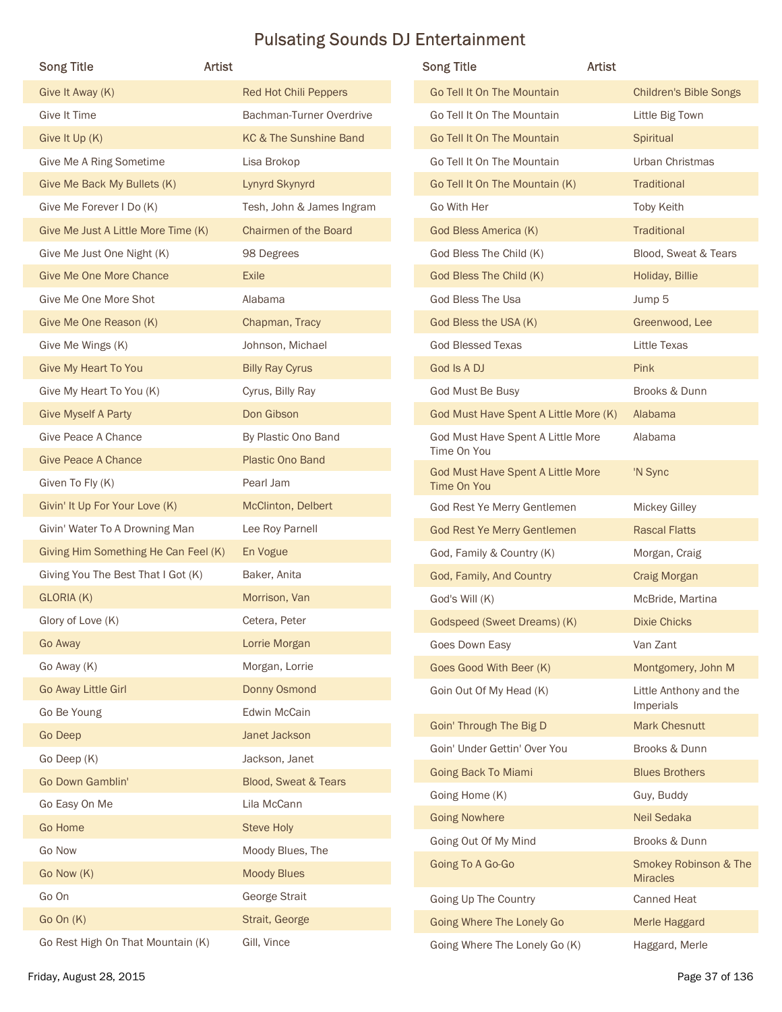|                                      |                              | <b>Song Title</b><br>Artist                      |                                     |
|--------------------------------------|------------------------------|--------------------------------------------------|-------------------------------------|
| Give It Away (K)                     | <b>Red Hot Chili Peppers</b> | Go Tell It On The Mountain                       | <b>Children's Bible Songs</b>       |
| Give It Time                         | Bachman-Turner Overdrive     | Go Tell It On The Mountain                       | Little Big Town                     |
| Give It Up (K)                       | KC & The Sunshine Band       | Go Tell It On The Mountain                       | Spiritual                           |
| Give Me A Ring Sometime              | Lisa Brokop                  | Go Tell It On The Mountain                       | Urban Christmas                     |
| Give Me Back My Bullets (K)          | Lynyrd Skynyrd               | Go Tell It On The Mountain (K)                   | Traditional                         |
| Give Me Forever I Do (K)             | Tesh, John & James Ingram    | Go With Her                                      | Toby Keith                          |
| Give Me Just A Little More Time (K)  | Chairmen of the Board        | God Bless America (K)                            | Traditional                         |
| Give Me Just One Night (K)           | 98 Degrees                   | God Bless The Child (K)                          | Blood, Sweat & Tears                |
| Give Me One More Chance              | Exile                        | God Bless The Child (K)                          | Holiday, Billie                     |
| Give Me One More Shot                | Alabama                      | God Bless The Usa                                | Jump 5                              |
| Give Me One Reason (K)               | Chapman, Tracy               | God Bless the USA (K)                            | Greenwood, Lee                      |
| Give Me Wings (K)                    | Johnson, Michael             | God Blessed Texas                                | Little Texas                        |
| <b>Give My Heart To You</b>          | <b>Billy Ray Cyrus</b>       | God Is A DJ                                      | Pink                                |
| Give My Heart To You (K)             | Cyrus, Billy Ray             | God Must Be Busy                                 | Brooks & Dunn                       |
| <b>Give Myself A Party</b>           | Don Gibson                   | God Must Have Spent A Little More (K)            | Alabama                             |
| Give Peace A Chance                  | By Plastic Ono Band          | God Must Have Spent A Little More<br>Time On You | Alabama                             |
| <b>Give Peace A Chance</b>           | Plastic Ono Band             | God Must Have Spent A Little More                | 'N Sync                             |
| Given To Fly (K)                     | Pearl Jam                    | Time On You                                      |                                     |
| Givin' It Up For Your Love (K)       | McClinton, Delbert           | God Rest Ye Merry Gentlemen                      | <b>Mickey Gilley</b>                |
| Givin' Water To A Drowning Man       | Lee Roy Parnell              | God Rest Ye Merry Gentlemen                      | <b>Rascal Flatts</b>                |
| Giving Him Something He Can Feel (K) | En Vogue                     | God, Family & Country (K)                        | Morgan, Craig                       |
| Giving You The Best That I Got (K)   | Baker, Anita                 | God, Family, And Country                         | Craig Morgan                        |
| <b>GLORIA (K)</b>                    | Morrison, Van                | God's Will (K)                                   | McBride, Martina                    |
| Glory of Love (K)                    | Cetera, Peter                | Godspeed (Sweet Dreams) (K)                      | <b>Dixie Chicks</b>                 |
| Go Away                              | Lorrie Morgan                | Goes Down Easy                                   | Van Zant                            |
| Go Away (K)                          | Morgan, Lorrie               | Goes Good With Beer (K)                          | Montgomery, John M                  |
| Go Away Little Girl                  | Donny Osmond                 | Goin Out Of My Head (K)                          | Little Anthony and the<br>Imperials |
| Go Be Young                          | Edwin McCain                 | Goin' Through The Big D                          | <b>Mark Chesnutt</b>                |
| Go Deep                              | Janet Jackson                | Goin' Under Gettin' Over You                     | Brooks & Dunn                       |
| Go Deep (K)                          | Jackson, Janet               | <b>Going Back To Miami</b>                       | <b>Blues Brothers</b>               |
| Go Down Gamblin'                     | Blood, Sweat & Tears         | Going Home (K)                                   | Guy, Buddy                          |
| Go Easy On Me                        | Lila McCann                  | <b>Going Nowhere</b>                             | Neil Sedaka                         |
| Go Home                              | <b>Steve Holy</b>            | Going Out Of My Mind                             | Brooks & Dunn                       |
| Go Now                               | Moody Blues, The             | Going To A Go-Go                                 | Smokey Robinson & The               |
| Go Now (K)                           | <b>Moody Blues</b>           |                                                  | <b>Miracles</b>                     |
| Go On                                | George Strait                | Going Up The Country                             | Canned Heat                         |
| Go On (K)                            | Strait, George               | Going Where The Lonely Go                        | Merle Haggard                       |
| Go Rest High On That Mountain (K)    | Gill, Vince                  | Going Where The Lonely Go (K)                    | Haggard, Merle                      |

|                   | Entertainment                                      |                                                           |
|-------------------|----------------------------------------------------|-----------------------------------------------------------|
| <b>Song Title</b> | Artist                                             |                                                           |
|                   | Go Tell It On The Mountain                         | <b>Children's Bible Songs</b>                             |
|                   | Go Tell It On The Mountain                         | Little Big Town                                           |
|                   | Go Tell It On The Mountain                         | Spiritual                                                 |
|                   | Go Tell It On The Mountain                         | Urban Christmas                                           |
|                   | Go Tell It On The Mountain (K)                     | Traditional                                               |
|                   | Go With Her                                        | Toby Keith                                                |
|                   | God Bless America (K)                              | Traditional                                               |
|                   | God Bless The Child (K)                            | Blood, Sweat & Tears                                      |
|                   | God Bless The Child (K)                            | Holiday, Billie                                           |
|                   | God Bless The Usa                                  | Jump 5                                                    |
|                   | God Bless the USA (K)                              | Greenwood, Lee                                            |
|                   | <b>God Blessed Texas</b>                           | <b>Little Texas</b>                                       |
|                   | <b>God Is A DJ</b>                                 | Pink                                                      |
|                   | God Must Be Busy                                   | Brooks & Dunn                                             |
|                   | God Must Have Spent A Little More (K)              | Alabama                                                   |
|                   | God Must Have Spent A Little More<br>Time On You   | Alabama                                                   |
|                   | God Must Have Spent A Little More<br>Time On You   | 'N Sync                                                   |
|                   | God Rest Ye Merry Gentlemen                        | <b>Mickey Gilley</b>                                      |
|                   | <b>God Rest Ye Merry Gentlemen</b>                 | <b>Rascal Flatts</b>                                      |
|                   | God, Family & Country (K)                          | Morgan, Craig                                             |
|                   | God, Family, And Country                           | <b>Craig Morgan</b>                                       |
|                   | God's Will (K)                                     | McBride, Martina                                          |
|                   | Godspeed (Sweet Dreams) (K)                        | <b>Dixie Chicks</b>                                       |
|                   | Goes Down Easy                                     | Van Zant                                                  |
|                   | Goes Good With Beer (K)<br>Goin Out Of My Head (K) | Montgomery, John M<br>Little Anthony and the<br>Imperials |
|                   | Goin' Through The Big D                            | <b>Mark Chesnutt</b>                                      |
|                   | Goin' Under Gettin' Over You                       | Brooks & Dunn                                             |
|                   | Going Back To Miami                                | <b>Blues Brothers</b>                                     |
|                   | Going Home (K)                                     | Guy, Buddy                                                |
|                   | <b>Going Nowhere</b>                               | Neil Sedaka                                               |
|                   | Going Out Of My Mind                               | Brooks & Dunn                                             |
|                   | Going To A Go-Go                                   | Smokey Robinson & The<br><b>Miracles</b>                  |
|                   | Going Up The Country                               | Canned Heat                                               |
|                   | Going Where The Lonely Go                          | Merle Haggard                                             |
|                   | Going Where The Lonely Go (K)                      | Haggard, Merle                                            |
|                   |                                                    | Page 37 of 136                                            |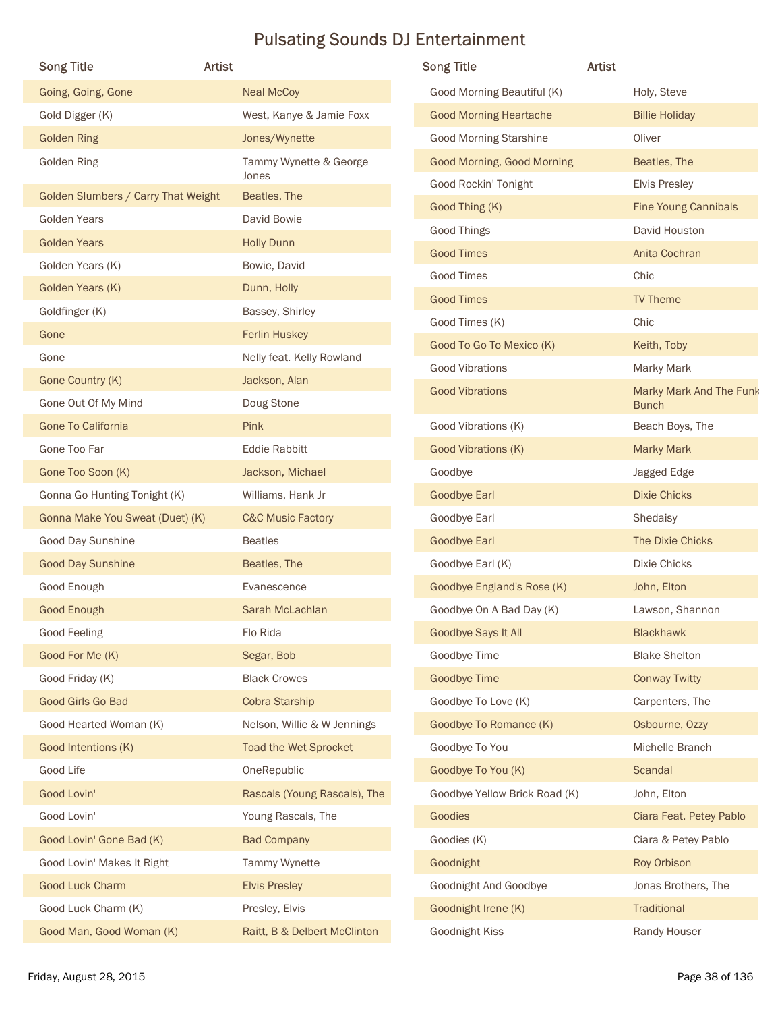|                                        |                                 | <b>Pulsating Sounds DJ Entertainment</b> |                         |
|----------------------------------------|---------------------------------|------------------------------------------|-------------------------|
| <b>Song Title</b>                      | Artist                          | <b>Song Title</b><br>Artist              |                         |
| Going, Going, Gone                     | <b>Neal McCoy</b>               | Good Morning Beautiful (K)               | Holy, Steve             |
| Gold Digger (K)                        | West, Kanye & Jamie Foxx        | <b>Good Morning Heartache</b>            | <b>Billie Holiday</b>   |
| <b>Golden Ring</b>                     | Jones/Wynette                   | <b>Good Morning Starshine</b>            | Oliver                  |
| <b>Golden Ring</b>                     | Tammy Wynette & George<br>Jones | Good Morning, Good Morning               | Beatles, The            |
| Golden Slumbers / Carry That Weight    | Beatles, The                    | Good Rockin' Tonight                     | <b>Elvis Presley</b>    |
| <b>Golden Years</b>                    | David Bowie                     | Good Thing (K)                           | Fine Young Cannibals    |
| <b>Golden Years</b>                    | <b>Holly Dunn</b>               | Good Things                              | David Houston           |
| Golden Years (K)                       | Bowie, David                    | <b>Good Times</b><br>Good Times          | Anita Cochran<br>Chic   |
| Golden Years (K)                       | Dunn, Holly                     | <b>Good Times</b>                        | <b>TV Theme</b>         |
| Goldfinger (K)                         | Bassey, Shirley                 | Good Times (K)                           | Chic                    |
| Gone                                   | Ferlin Huskey                   | Good To Go To Mexico (K)                 | Keith, Toby             |
| Gone                                   | Nelly feat. Kelly Rowland       | <b>Good Vibrations</b>                   | Marky Mark              |
| Gone Country (K)                       | Jackson, Alan                   | <b>Good Vibrations</b>                   | Marky Mark And The Funk |
| Gone Out Of My Mind                    | Doug Stone                      |                                          | <b>Bunch</b>            |
| Gone To California                     | Pink                            | Good Vibrations (K)                      | Beach Boys, The         |
| Gone Too Far                           | <b>Eddie Rabbitt</b>            | <b>Good Vibrations (K)</b>               | <b>Marky Mark</b>       |
| Gone Too Soon (K)                      | Jackson, Michael                | Goodbye                                  | Jagged Edge             |
| Gonna Go Hunting Tonight (K)           | Williams, Hank Jr               | Goodbye Earl                             | <b>Dixie Chicks</b>     |
| Gonna Make You Sweat (Duet) (K)        | <b>C&amp;C Music Factory</b>    | Goodbye Earl                             | Shedaisy                |
| Good Day Sunshine                      | <b>Beatles</b>                  | <b>Goodbye Earl</b>                      | The Dixie Chicks        |
| <b>Good Day Sunshine</b>               | Beatles, The                    | Goodbye Earl (K)                         | Dixie Chicks            |
| Good Enough                            | Evanescence                     | Goodbye England's Rose (K)               | John, Elton             |
| <b>Good Enough</b>                     | Sarah McLachlan                 | Goodbye On A Bad Day (K)                 | Lawson, Shannon         |
| Good Feeling                           | Flo Rida                        | Goodbye Says It All                      | <b>Blackhawk</b>        |
| Good For Me (K)                        | Segar, Bob                      | Goodbye Time                             | <b>Blake Shelton</b>    |
| Good Friday (K)                        | <b>Black Crowes</b>             | Goodbye Time                             | <b>Conway Twitty</b>    |
| Good Girls Go Bad                      | Cobra Starship                  | Goodbye To Love (K)                      | Carpenters, The         |
| Good Hearted Woman (K)                 | Nelson, Willie & W Jennings     | Goodbye To Romance (K)                   | Osbourne, Ozzy          |
| Good Intentions (K)                    | Toad the Wet Sprocket           | Goodbye To You                           | Michelle Branch         |
| Good Life                              | OneRepublic                     | Goodbye To You (K)                       | Scandal                 |
| Good Lovin'                            | Rascals (Young Rascals), The    | Goodbye Yellow Brick Road (K)            | John, Elton             |
| Good Lovin'                            | Young Rascals, The              | Goodies                                  | Ciara Feat. Petey Pablo |
| Good Lovin' Gone Bad (K)               | <b>Bad Company</b>              | Goodies (K)                              | Ciara & Petey Pablo     |
| Good Lovin' Makes It Right             | Tammy Wynette                   | Goodnight                                | Roy Orbison             |
| Good Luck Charm<br>Good Luck Charm (K) | <b>Elvis Presley</b>            | Goodnight And Goodbye                    | Jonas Brothers, The     |
|                                        | Presley, Elvis                  | Goodnight Irene (K)                      | Traditional             |
| Good Man, Good Woman (K)               | Raitt, B & Delbert McClinton    | Goodnight Kiss                           | Randy Houser            |
| Friday, August 28, 2015                |                                 |                                          | Page 38 of 136          |

| <b>Entertainment</b>                     |                                   |                                |
|------------------------------------------|-----------------------------------|--------------------------------|
| <b>Song Title</b>                        | Artist                            |                                |
| Good Morning Beautiful (K)               | Holy, Steve                       |                                |
| <b>Good Morning Heartache</b>            | <b>Billie Holiday</b>             |                                |
| <b>Good Morning Starshine</b>            | Oliver                            |                                |
| Good Morning, Good Morning               | Beatles, The                      |                                |
| Good Rockin' Tonight                     | Elvis Presley                     |                                |
| Good Thing (K)                           |                                   | <b>Fine Young Cannibals</b>    |
| <b>Good Things</b><br><b>Good Times</b>  | David Houston<br>Anita Cochran    |                                |
| <b>Good Times</b>                        | Chic                              |                                |
| <b>Good Times</b>                        | <b>TV Theme</b>                   |                                |
| Good Times (K)                           | Chic                              |                                |
| Good To Go To Mexico (K)                 | Keith, Toby                       |                                |
| <b>Good Vibrations</b>                   | Marky Mark                        |                                |
| <b>Good Vibrations</b>                   | <b>Bunch</b>                      | <b>Marky Mark And The Funk</b> |
| Good Vibrations (K)                      | Beach Boys, The                   |                                |
| <b>Good Vibrations (K)</b>               | <b>Marky Mark</b>                 |                                |
| Goodbye                                  | Jagged Edge                       |                                |
| <b>Goodbye Earl</b>                      | <b>Dixie Chicks</b>               |                                |
| Goodbye Earl                             | Shedaisy                          |                                |
| <b>Goodbye Earl</b>                      | The Dixie Chicks                  |                                |
| Goodbye Earl (K)                         | Dixie Chicks                      |                                |
| Goodbye England's Rose (K)               | John, Elton                       |                                |
| Goodbye On A Bad Day (K)                 | Lawson, Shannon                   |                                |
| Goodbye Says It All                      | <b>Blackhawk</b>                  |                                |
| Goodbye Time                             | <b>Blake Shelton</b>              |                                |
| <b>Goodbye Time</b>                      | <b>Conway Twitty</b>              |                                |
| Goodbye To Love (K)                      | Carpenters, The                   |                                |
| Goodbye To Romance (K)<br>Goodbye To You | Osbourne, Ozzy<br>Michelle Branch |                                |
| Goodbye To You (K)                       | Scandal                           |                                |
| Goodbye Yellow Brick Road (K)            | John, Elton                       |                                |
| Goodies                                  |                                   | Ciara Feat. Petey Pablo        |
| Goodies (K)                              |                                   | Ciara & Petey Pablo            |
| Goodnight                                | Roy Orbison                       |                                |
| Goodnight And Goodbye                    |                                   | Jonas Brothers, The            |
| Goodnight Irene (K)                      | Traditional                       |                                |
| Goodnight Kiss                           | Randy Houser                      |                                |
|                                          |                                   |                                |
|                                          |                                   | Page 38 of 136                 |
|                                          |                                   |                                |
|                                          |                                   |                                |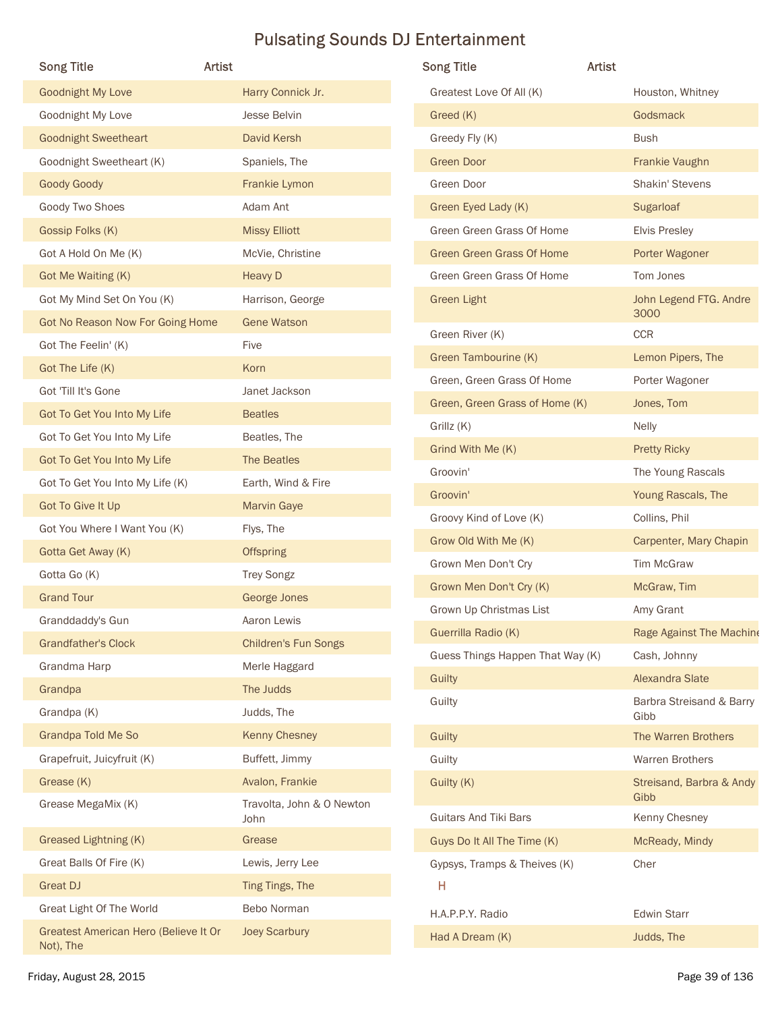| Harry Connick Jr.<br>Jesse Belvin<br>David Kersh<br>Spaniels, The<br>Frankie Lymon<br>Adam Ant<br><b>Missy Elliott</b><br>McVie, Christine<br>Heavy D | <b>Song Title</b><br>Artist<br>Greatest Love Of All (K)<br>Greed (K)<br>Greedy Fly (K)<br><b>Green Door</b><br>Green Door<br>Green Eyed Lady (K) | Houston, Whitney<br>Godsmack<br><b>Bush</b><br>Frankie Vaughn                                                                                                                                                                                                                                       |
|-------------------------------------------------------------------------------------------------------------------------------------------------------|--------------------------------------------------------------------------------------------------------------------------------------------------|-----------------------------------------------------------------------------------------------------------------------------------------------------------------------------------------------------------------------------------------------------------------------------------------------------|
|                                                                                                                                                       |                                                                                                                                                  |                                                                                                                                                                                                                                                                                                     |
|                                                                                                                                                       |                                                                                                                                                  |                                                                                                                                                                                                                                                                                                     |
|                                                                                                                                                       |                                                                                                                                                  |                                                                                                                                                                                                                                                                                                     |
|                                                                                                                                                       |                                                                                                                                                  |                                                                                                                                                                                                                                                                                                     |
|                                                                                                                                                       |                                                                                                                                                  | Shakin' Stevens                                                                                                                                                                                                                                                                                     |
|                                                                                                                                                       |                                                                                                                                                  |                                                                                                                                                                                                                                                                                                     |
|                                                                                                                                                       |                                                                                                                                                  | Sugarloaf                                                                                                                                                                                                                                                                                           |
|                                                                                                                                                       | Green Green Grass Of Home                                                                                                                        | <b>Elvis Presley</b>                                                                                                                                                                                                                                                                                |
|                                                                                                                                                       | <b>Green Green Grass Of Home</b>                                                                                                                 | Porter Wagoner                                                                                                                                                                                                                                                                                      |
|                                                                                                                                                       | Green Green Grass Of Home                                                                                                                        | Tom Jones                                                                                                                                                                                                                                                                                           |
| Harrison, George                                                                                                                                      | <b>Green Light</b>                                                                                                                               | John Legend FTG. Andre<br>3000                                                                                                                                                                                                                                                                      |
| <b>Gene Watson</b>                                                                                                                                    | Green River (K)                                                                                                                                  | CCR                                                                                                                                                                                                                                                                                                 |
| Five                                                                                                                                                  | Green Tambourine (K)                                                                                                                             | Lemon Pipers, The                                                                                                                                                                                                                                                                                   |
| Korn                                                                                                                                                  | Green, Green Grass Of Home                                                                                                                       | Porter Wagoner                                                                                                                                                                                                                                                                                      |
|                                                                                                                                                       | Green, Green Grass of Home (K)                                                                                                                   | Jones, Tom                                                                                                                                                                                                                                                                                          |
| <b>Beatles</b>                                                                                                                                        | Grillz (K)                                                                                                                                       | <b>Nelly</b>                                                                                                                                                                                                                                                                                        |
| Beatles, The                                                                                                                                          | Grind With Me (K)                                                                                                                                | <b>Pretty Ricky</b>                                                                                                                                                                                                                                                                                 |
| The Beatles                                                                                                                                           | Groovin'                                                                                                                                         | The Young Rascals                                                                                                                                                                                                                                                                                   |
| Earth, Wind & Fire                                                                                                                                    | Groovin'                                                                                                                                         | Young Rascals, The                                                                                                                                                                                                                                                                                  |
| <b>Marvin Gaye</b>                                                                                                                                    |                                                                                                                                                  | Collins, Phil                                                                                                                                                                                                                                                                                       |
| Flys, The                                                                                                                                             |                                                                                                                                                  | Carpenter, Mary Chapin                                                                                                                                                                                                                                                                              |
| <b>Offspring</b>                                                                                                                                      |                                                                                                                                                  | Tim McGraw                                                                                                                                                                                                                                                                                          |
| <b>Trey Songz</b>                                                                                                                                     |                                                                                                                                                  | McGraw, Tim                                                                                                                                                                                                                                                                                         |
| George Jones                                                                                                                                          |                                                                                                                                                  | Amy Grant                                                                                                                                                                                                                                                                                           |
| Aaron Lewis                                                                                                                                           |                                                                                                                                                  |                                                                                                                                                                                                                                                                                                     |
| Children's Fun Songs                                                                                                                                  |                                                                                                                                                  | Rage Against The Machine                                                                                                                                                                                                                                                                            |
| Merle Haggard                                                                                                                                         |                                                                                                                                                  | Cash, Johnny                                                                                                                                                                                                                                                                                        |
| The Judds                                                                                                                                             |                                                                                                                                                  | Alexandra Slate                                                                                                                                                                                                                                                                                     |
| Judds, The                                                                                                                                            |                                                                                                                                                  | Barbra Streisand & Barry<br>Gibb                                                                                                                                                                                                                                                                    |
| <b>Kenny Chesney</b>                                                                                                                                  | Guilty                                                                                                                                           | The Warren Brothers                                                                                                                                                                                                                                                                                 |
| Buffett, Jimmy                                                                                                                                        | Guilty                                                                                                                                           | Warren Brothers                                                                                                                                                                                                                                                                                     |
| Avalon, Frankie                                                                                                                                       | Guilty (K)                                                                                                                                       | Streisand, Barbra & Andy                                                                                                                                                                                                                                                                            |
| Travolta, John & O Newton                                                                                                                             |                                                                                                                                                  | Gibb                                                                                                                                                                                                                                                                                                |
| John                                                                                                                                                  |                                                                                                                                                  | Kenny Chesney                                                                                                                                                                                                                                                                                       |
|                                                                                                                                                       |                                                                                                                                                  | McReady, Mindy                                                                                                                                                                                                                                                                                      |
|                                                                                                                                                       |                                                                                                                                                  | Cher                                                                                                                                                                                                                                                                                                |
| Ting Tings, The                                                                                                                                       | н.                                                                                                                                               |                                                                                                                                                                                                                                                                                                     |
| Bebo Norman                                                                                                                                           | H.A.P.P.Y. Radio                                                                                                                                 | <b>Edwin Starr</b>                                                                                                                                                                                                                                                                                  |
| <b>Joey Scarbury</b>                                                                                                                                  | Had A Dream (K)                                                                                                                                  | Judds, The                                                                                                                                                                                                                                                                                          |
|                                                                                                                                                       | Janet Jackson<br>Grease<br>Lewis, Jerry Lee                                                                                                      | Groovy Kind of Love (K)<br>Grow Old With Me (K)<br>Grown Men Don't Cry<br>Grown Men Don't Cry (K)<br>Grown Up Christmas List<br>Guerrilla Radio (K)<br>Guess Things Happen That Way (K)<br>Guilty<br>Guilty<br>Guitars And Tiki Bars<br>Guys Do It All The Time (K)<br>Gypsys, Tramps & Theives (K) |

| <b>Intertainment</b>                               |                                  |
|----------------------------------------------------|----------------------------------|
| <b>Song Title</b>                                  | Artist                           |
| Greatest Love Of All (K)                           | Houston, Whitney                 |
| Greed (K)                                          | Godsmack                         |
| Greedy Fly (K)                                     | <b>Bush</b>                      |
| <b>Green Door</b>                                  | Frankie Vaughn                   |
| Green Door<br>Green Eyed Lady (K)                  | Shakin' Stevens<br>Sugarloaf     |
| Green Green Grass Of Home                          | <b>Elvis Presley</b>             |
| <b>Green Green Grass Of Home</b>                   | Porter Wagoner                   |
| Green Green Grass Of Home                          | Tom Jones                        |
| <b>Green Light</b>                                 | John Legend FTG. Andre<br>3000   |
| Green River (K)                                    | CCR                              |
| Green Tambourine (K)                               | Lemon Pipers, The                |
| Green, Green Grass Of Home                         | Porter Wagoner                   |
| Green, Green Grass of Home (K)                     | Jones, Tom                       |
| Grillz (K)                                         | <b>Nelly</b>                     |
| Grind With Me (K)                                  | <b>Pretty Ricky</b>              |
| Groovin'                                           | The Young Rascals                |
| Groovin'                                           | Young Rascals, The               |
| Groovy Kind of Love (K)                            | Collins, Phil                    |
| Grow Old With Me (K)                               | Carpenter, Mary Chapin           |
| Grown Men Don't Cry                                | <b>Tim McGraw</b>                |
| Grown Men Don't Cry (K)<br>Grown Up Christmas List | McGraw, Tim<br>Amy Grant         |
| Guerrilla Radio (K)                                | Rage Against The Machine         |
| Guess Things Happen That Way (K)                   | Cash, Johnny                     |
| Guilty                                             | <b>Alexandra Slate</b>           |
| Guilty                                             | Barbra Streisand & Barry<br>Gibb |
| Guilty                                             | The Warren Brothers              |
| Guilty                                             | <b>Warren Brothers</b>           |
| Guilty (K)                                         | Streisand, Barbra & Andy<br>Gibb |
| <b>Guitars And Tiki Bars</b>                       | Kenny Chesney                    |
| Guys Do It All The Time (K)                        | McReady, Mindy                   |
| Gypsys, Tramps & Theives (K)<br>Н                  | Cher                             |
| H.A.P.P.Y. Radio                                   | <b>Edwin Starr</b>               |
| Had A Dream (K)                                    | Judds, The                       |
|                                                    |                                  |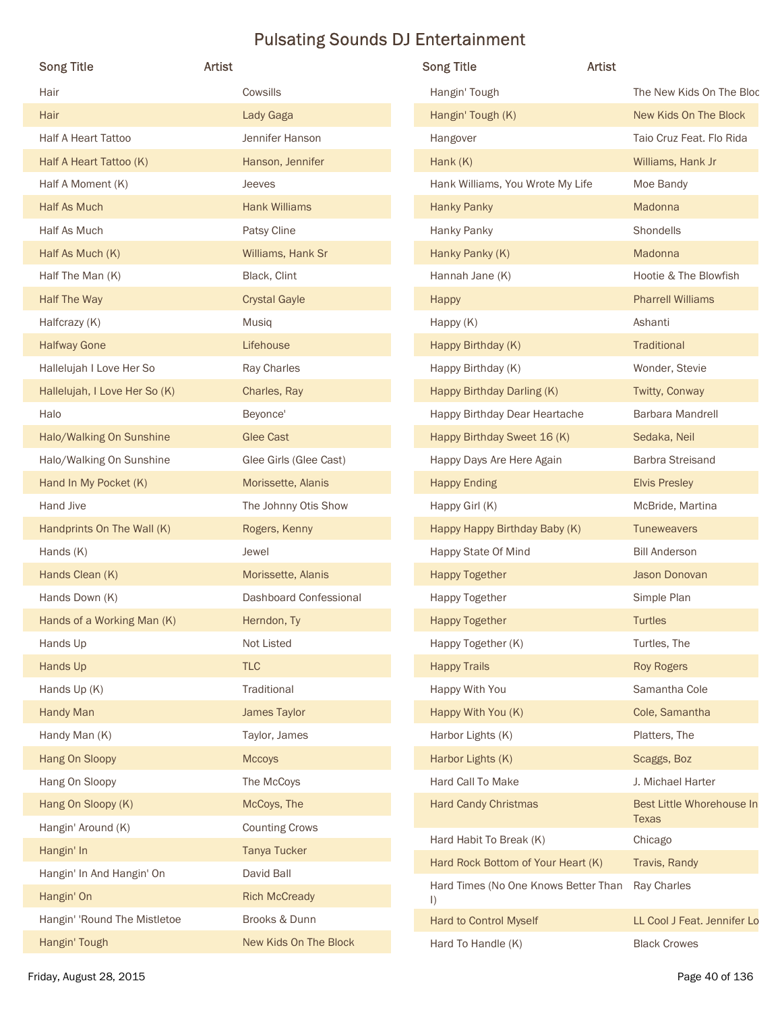| <b>Song Title</b>             | Artist                 | <b>Song Title</b><br>Artist                      |                             |
|-------------------------------|------------------------|--------------------------------------------------|-----------------------------|
| Hair                          | Cowsills               | Hangin' Tough                                    | The New Kids On The Bloc    |
| Hair                          | Lady Gaga              | Hangin' Tough (K)                                | New Kids On The Block       |
| Half A Heart Tattoo           | Jennifer Hanson        |                                                  | Taio Cruz Feat. Flo Rida    |
| Half A Heart Tattoo (K)       | Hanson, Jennifer       | Hangover<br>Hank (K)                             | Williams, Hank Jr           |
| Half A Moment (K)             | Jeeves                 | Hank Williams, You Wrote My Life                 | Moe Bandy                   |
| <b>Half As Much</b>           | <b>Hank Williams</b>   | Hanky Panky                                      | Madonna                     |
| Half As Much                  | Patsy Cline            | Hanky Panky                                      | Shondells                   |
| Half As Much (K)              | Williams, Hank Sr      | Hanky Panky (K)                                  | Madonna                     |
| Half The Man (K)              | Black, Clint           | Hannah Jane (K)                                  | Hootie & The Blowfish       |
| <b>Half The Way</b>           | <b>Crystal Gayle</b>   | Happy                                            | <b>Pharrell Williams</b>    |
| Halfcrazy (K)                 | Musiq                  | Happy (K)                                        | Ashanti                     |
| <b>Halfway Gone</b>           | Lifehouse              | Happy Birthday (K)                               | Traditional                 |
| Hallelujah I Love Her So      | Ray Charles            | Happy Birthday (K)                               | Wonder, Stevie              |
| Hallelujah, I Love Her So (K) | Charles, Ray           | Happy Birthday Darling (K)                       | Twitty, Conway              |
| Halo                          | Beyonce'               | Happy Birthday Dear Heartache                    | Barbara Mandrell            |
| Halo/Walking On Sunshine      | <b>Glee Cast</b>       | Happy Birthday Sweet 16 (K)                      | Sedaka, Neil                |
| Halo/Walking On Sunshine      | Glee Girls (Glee Cast) | Happy Days Are Here Again                        | <b>Barbra Streisand</b>     |
| Hand In My Pocket (K)         | Morissette, Alanis     | <b>Happy Ending</b>                              | <b>Elvis Presley</b>        |
| Hand Jive                     | The Johnny Otis Show   | Happy Girl (K)                                   | McBride, Martina            |
| Handprints On The Wall (K)    | Rogers, Kenny          | Happy Happy Birthday Baby (K)                    | <b>Tuneweavers</b>          |
| Hands (K)                     | Jewel                  | Happy State Of Mind                              | <b>Bill Anderson</b>        |
| Hands Clean (K)               | Morissette, Alanis     | <b>Happy Together</b>                            | Jason Donovan               |
| Hands Down (K)                | Dashboard Confessional | Happy Together                                   | Simple Plan                 |
| Hands of a Working Man (K)    | Herndon, Ty            | <b>Happy Together</b>                            | Turtles                     |
| Hands Up                      | Not Listed             | Happy Together (K)                               | Turtles, The                |
| Hands Up                      | <b>TLC</b>             | <b>Happy Trails</b>                              | Roy Rogers                  |
| Hands Up (K)                  | Traditional            | Happy With You                                   | Samantha Cole               |
| <b>Handy Man</b>              | James Taylor           | Happy With You (K)                               | Cole, Samantha              |
| Handy Man (K)                 | Taylor, James          | Harbor Lights (K)                                | Platters, The               |
| Hang On Sloopy                | Mccoys                 | Harbor Lights (K)                                | Scaggs, Boz                 |
| Hang On Sloopy                | The McCoys             | Hard Call To Make                                | J. Michael Harter           |
| Hang On Sloopy (K)            | McCoys, The            | <b>Hard Candy Christmas</b>                      | Best Little Whorehouse In   |
| Hangin' Around (K)            | <b>Counting Crows</b>  | Hard Habit To Break (K)                          | <b>Texas</b><br>Chicago     |
| Hangin' In                    | Tanya Tucker           | Hard Rock Bottom of Your Heart (K)               | Travis, Randy               |
| Hangin' In And Hangin' On     | David Ball             | Hard Times (No One Knows Better Than Ray Charles |                             |
| Hangin' On                    | <b>Rich McCready</b>   | $\vert$ )                                        |                             |
| Hangin' 'Round The Mistletoe  | Brooks & Dunn          | <b>Hard to Control Myself</b>                    | LL Cool J Feat. Jennifer Lo |
|                               | New Kids On The Block  |                                                  |                             |

| Entertainment                                        |                                                 |
|------------------------------------------------------|-------------------------------------------------|
| Artist<br><b>Song Title</b>                          |                                                 |
| Hangin' Tough                                        | The New Kids On The Bloc                        |
| Hangin' Tough (K)                                    | New Kids On The Block                           |
| Hangover                                             | Taio Cruz Feat. Flo Rida                        |
| Hank (K)                                             | Williams, Hank Jr                               |
| Hank Williams, You Wrote My Life                     | Moe Bandy                                       |
| Hanky Panky                                          | Madonna                                         |
| Hanky Panky                                          | Shondells                                       |
| Hanky Panky (K)                                      | Madonna                                         |
| Hannah Jane (K)                                      | Hootie & The Blowfish                           |
| Happy                                                | <b>Pharrell Williams</b>                        |
| Happy (K)                                            | Ashanti                                         |
| Happy Birthday (K)                                   | Traditional                                     |
| Happy Birthday (K)                                   | Wonder, Stevie                                  |
| Happy Birthday Darling (K)                           | Twitty, Conway                                  |
| Happy Birthday Dear Heartache                        | Barbara Mandrell                                |
| Happy Birthday Sweet 16 (K)                          | Sedaka, Neil                                    |
| Happy Days Are Here Again<br><b>Happy Ending</b>     | <b>Barbra Streisand</b><br><b>Elvis Presley</b> |
| Happy Girl (K)                                       | McBride, Martina                                |
|                                                      |                                                 |
| Happy Happy Birthday Baby (K)<br>Happy State Of Mind | <b>Tuneweavers</b><br><b>Bill Anderson</b>      |
| <b>Happy Together</b>                                | Jason Donovan                                   |
| Happy Together                                       | Simple Plan                                     |
| <b>Happy Together</b>                                | <b>Turtles</b>                                  |
| Happy Together (K)                                   | Turtles, The                                    |
| <b>Happy Trails</b>                                  | <b>Roy Rogers</b>                               |
| Happy With You                                       | Samantha Cole                                   |
| Happy With You (K)                                   | Cole, Samantha                                  |
| Harbor Lights (K)                                    | Platters, The                                   |
| Harbor Lights (K)                                    | Scaggs, Boz                                     |
| Hard Call To Make                                    | J. Michael Harter                               |
| <b>Hard Candy Christmas</b>                          | Best Little Whorehouse In<br><b>Texas</b>       |
| Hard Habit To Break (K)                              | Chicago                                         |
| Hard Rock Bottom of Your Heart (K)                   | Travis, Randy                                   |
| Hard Times (No One Knows Better Than<br>$\vert$      | Ray Charles                                     |
| <b>Hard to Control Myself</b>                        | LL Cool J Feat. Jennifer Lo                     |
| Hard To Handle (K)                                   | <b>Black Crowes</b><br>Page 40 of 136           |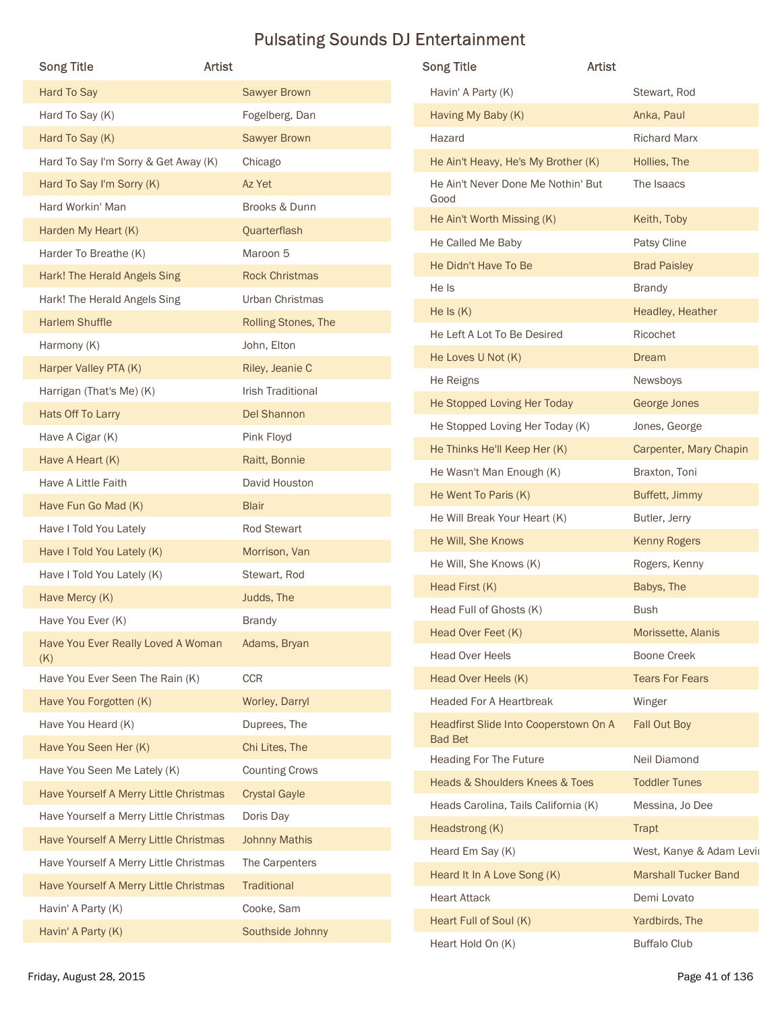| <b>Song Title</b>                                                                | Artist                         | Artist<br><b>Song Title</b>                                             |                             |
|----------------------------------------------------------------------------------|--------------------------------|-------------------------------------------------------------------------|-----------------------------|
| Hard To Say                                                                      | Sawyer Brown                   | Havin' A Party (K)                                                      | Stewart, Rod                |
| Hard To Say (K)                                                                  | Fogelberg, Dan                 | Having My Baby (K)                                                      | Anka, Paul                  |
| Hard To Say (K)                                                                  | Sawyer Brown                   | Hazard                                                                  | <b>Richard Marx</b>         |
| Hard To Say I'm Sorry & Get Away (K)                                             | Chicago                        | He Ain't Heavy, He's My Brother (K)                                     | Hollies, The                |
| Hard To Say I'm Sorry (K)                                                        | Az Yet                         | He Ain't Never Done Me Nothin' But                                      | The Isaacs                  |
| Hard Workin' Man                                                                 | Brooks & Dunn                  | Good                                                                    |                             |
| Harden My Heart (K)                                                              | Quarterflash                   | He Ain't Worth Missing (K)                                              | Keith, Toby                 |
| Harder To Breathe (K)                                                            | Maroon 5                       | He Called Me Baby                                                       | Patsy Cline                 |
| Hark! The Herald Angels Sing                                                     | <b>Rock Christmas</b>          | He Didn't Have To Be                                                    | <b>Brad Paisley</b>         |
| Hark! The Herald Angels Sing                                                     | <b>Urban Christmas</b>         | He Is                                                                   | <b>Brandy</b>               |
| <b>Harlem Shuffle</b>                                                            | Rolling Stones, The            | He $Is(K)$                                                              | Headley, Heather            |
| Harmony (K)                                                                      | John, Elton                    | He Left A Lot To Be Desired                                             | Ricochet                    |
| Harper Valley PTA (K)                                                            | Riley, Jeanie C                | He Loves U Not (K)                                                      | Dream                       |
| Harrigan (That's Me) (K)                                                         | Irish Traditional              | He Reigns                                                               | Newsboys                    |
| Hats Off To Larry                                                                | Del Shannon                    | He Stopped Loving Her Today                                             | George Jones                |
| Have A Cigar (K)                                                                 | Pink Floyd                     | He Stopped Loving Her Today (K)                                         | Jones, George               |
| Have A Heart (K)                                                                 | Raitt, Bonnie                  | He Thinks He'll Keep Her (K)                                            | Carpenter, Mary Chapin      |
| Have A Little Faith                                                              | David Houston                  | He Wasn't Man Enough (K)                                                | Braxton, Toni               |
| Have Fun Go Mad (K)                                                              | <b>Blair</b>                   | He Went To Paris (K)                                                    | Buffett, Jimmy              |
| Have I Told You Lately                                                           | Rod Stewart                    | He Will Break Your Heart (K)                                            | Butler, Jerry               |
| Have I Told You Lately (K)                                                       | Morrison, Van                  | He Will, She Knows                                                      | <b>Kenny Rogers</b>         |
| Have I Told You Lately (K)                                                       | Stewart, Rod                   | He Will, She Knows (K)                                                  | Rogers, Kenny               |
| Have Mercy (K)                                                                   | Judds, The                     | Head First (K)                                                          | Babys, The                  |
| Have You Ever (K)                                                                | <b>Brandy</b>                  | Head Full of Ghosts (K)                                                 | <b>Bush</b>                 |
| Have You Ever Really Loved A Woman                                               | Adams, Bryan                   | Head Over Feet (K)                                                      | Morissette, Alanis          |
| (K)                                                                              |                                | Head Over Heels                                                         | Boone Creek                 |
| Have You Ever Seen The Rain (K)                                                  | CCR                            | Head Over Heels (K)                                                     | <b>Tears For Fears</b>      |
| Have You Forgotten (K)<br>Have You Heard (K)                                     | Worley, Darryl                 | <b>Headed For A Heartbreak</b><br>Headfirst Slide Into Cooperstown On A | Winger<br>Fall Out Boy      |
| Have You Seen Her (K)                                                            | Duprees, The<br>Chi Lites, The | <b>Bad Bet</b>                                                          |                             |
| Have You Seen Me Lately (K)                                                      | <b>Counting Crows</b>          | Heading For The Future                                                  | Neil Diamond                |
| Have Yourself A Merry Little Christmas                                           | <b>Crystal Gayle</b>           | Heads & Shoulders Knees & Toes                                          | <b>Toddler Tunes</b>        |
| Have Yourself a Merry Little Christmas                                           |                                | Heads Carolina, Tails California (K)                                    | Messina, Jo Dee             |
| Have Yourself A Merry Little Christmas                                           | Doris Day                      | Headstrong (K)                                                          | Trapt                       |
|                                                                                  | <b>Johnny Mathis</b>           | Heard Em Say (K)                                                        | West, Kanye & Adam Levi     |
| Have Yourself A Merry Little Christmas<br>Have Yourself A Merry Little Christmas | The Carpenters<br>Traditional  | Heard It In A Love Song (K)                                             | <b>Marshall Tucker Band</b> |
| Havin' A Party (K)                                                               | Cooke, Sam                     | <b>Heart Attack</b>                                                     | Demi Lovato                 |
|                                                                                  |                                | Heart Full of Soul (K)                                                  | Yardbirds, The              |
| Havin' A Party (K)                                                               | Southside Johnny               |                                                                         |                             |

| <b>Entertainment</b>                                    |                                       |
|---------------------------------------------------------|---------------------------------------|
| <b>Song Title</b><br>Artist                             |                                       |
| Havin' A Party (K)                                      | Stewart, Rod                          |
| Having My Baby (K)                                      | Anka, Paul                            |
| Hazard                                                  | <b>Richard Marx</b>                   |
| He Ain't Heavy, He's My Brother (K)                     | Hollies, The                          |
| He Ain't Never Done Me Nothin' But<br>Good              | The Isaacs                            |
| He Ain't Worth Missing (K)                              | Keith, Toby                           |
| He Called Me Baby                                       | Patsy Cline                           |
| He Didn't Have To Be                                    | <b>Brad Paisley</b>                   |
| He Is                                                   | <b>Brandy</b>                         |
| He $Is(K)$                                              | Headley, Heather                      |
| He Left A Lot To Be Desired                             | Ricochet                              |
| He Loves U Not (K)                                      | <b>Dream</b>                          |
| He Reigns                                               | Newsboys                              |
| He Stopped Loving Her Today                             | George Jones                          |
| He Stopped Loving Her Today (K)                         | Jones, George                         |
| He Thinks He'll Keep Her (K)                            | Carpenter, Mary Chapin                |
| He Wasn't Man Enough (K)                                | Braxton, Toni                         |
| He Went To Paris (K)                                    | Buffett, Jimmy                        |
| He Will Break Your Heart (K)                            | Butler, Jerry                         |
| He Will, She Knows                                      | <b>Kenny Rogers</b>                   |
| He Will, She Knows (K)                                  | Rogers, Kenny                         |
| Head First (K)<br>Head Full of Ghosts (K)               | Babys, The<br><b>Bush</b>             |
| Head Over Feet (K)                                      | Morissette, Alanis                    |
| <b>Head Over Heels</b>                                  | <b>Boone Creek</b>                    |
| Head Over Heels (K)                                     | <b>Tears For Fears</b>                |
| Headed For A Heartbreak                                 | Winger                                |
| Headfirst Slide Into Cooperstown On A<br><b>Bad Bet</b> | Fall Out Boy                          |
| Heading For The Future                                  | Neil Diamond                          |
| Heads & Shoulders Knees & Toes                          | <b>Toddler Tunes</b>                  |
| Heads Carolina, Tails California (K)                    | Messina, Jo Dee                       |
| Headstrong (K)                                          | <b>Trapt</b>                          |
| Heard Em Say (K)                                        | West, Kanye & Adam Levir              |
| Heard It In A Love Song (K)                             | <b>Marshall Tucker Band</b>           |
| <b>Heart Attack</b>                                     | Demi Lovato                           |
| Heart Full of Soul (K)                                  | Yardbirds, The                        |
| Heart Hold On (K)                                       | <b>Buffalo Club</b><br>Page 41 of 136 |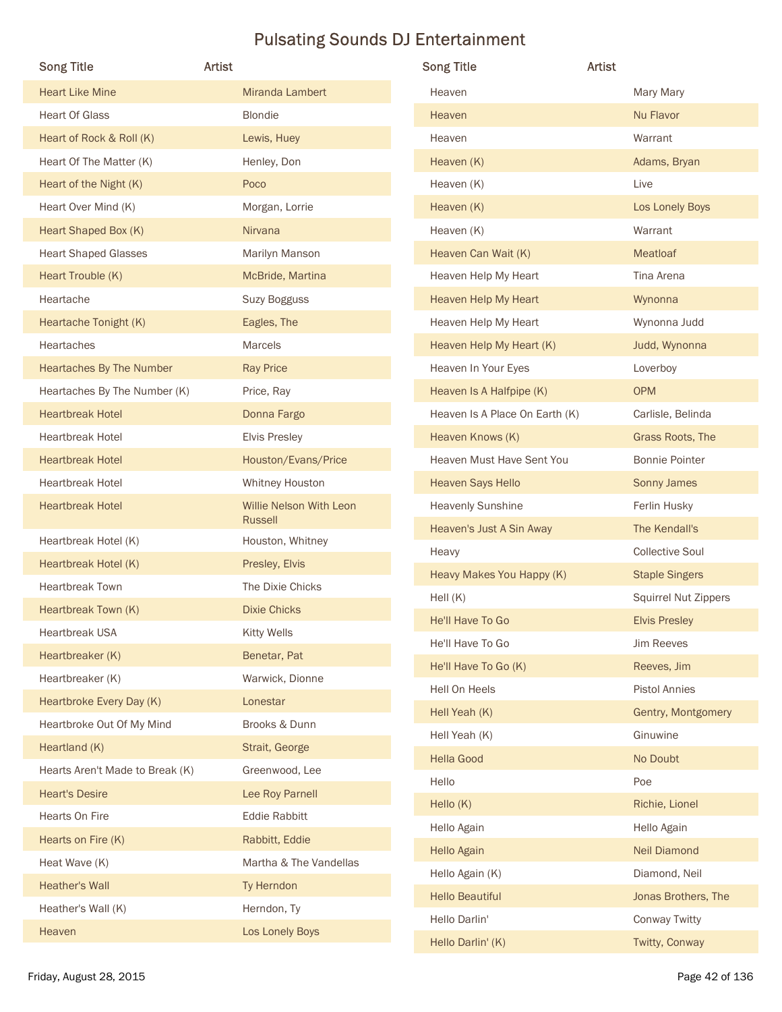| <b>Song Title</b><br>Artist     |                                    | <b>Song Title</b><br>Artist               |                                      |
|---------------------------------|------------------------------------|-------------------------------------------|--------------------------------------|
| <b>Heart Like Mine</b>          | Miranda Lambert                    | Heaven                                    | Mary Mary                            |
| <b>Heart Of Glass</b>           | <b>Blondie</b>                     | Heaven                                    | Nu Flavor                            |
| Heart of Rock & Roll (K)        | Lewis, Huey                        | Heaven                                    | Warrant                              |
| Heart Of The Matter (K)         | Henley, Don                        | Heaven (K)                                | Adams, Bryan                         |
| Heart of the Night (K)          | Poco                               | Heaven (K)                                | Live                                 |
| Heart Over Mind (K)             | Morgan, Lorrie                     | Heaven (K)                                | Los Lonely Boys                      |
| Heart Shaped Box (K)            | Nirvana                            | Heaven (K)                                | Warrant                              |
| <b>Heart Shaped Glasses</b>     | Marilyn Manson                     | Heaven Can Wait (K)                       | Meatloaf                             |
| Heart Trouble (K)               | McBride, Martina                   | Heaven Help My Heart                      | Tina Arena                           |
| Heartache                       | <b>Suzy Bogguss</b>                | Heaven Help My Heart                      | Wynonna                              |
| Heartache Tonight (K)           | Eagles, The                        | Heaven Help My Heart                      | Wynonna Judd                         |
| Heartaches                      | Marcels                            | Heaven Help My Heart (K)                  | Judd, Wynonna                        |
| Heartaches By The Number        | <b>Ray Price</b>                   | Heaven In Your Eyes                       | Loverboy                             |
| Heartaches By The Number (K)    | Price, Ray                         | Heaven Is A Halfpipe (K)                  | OPM                                  |
| <b>Heartbreak Hotel</b>         | Donna Fargo                        | Heaven Is A Place On Earth (K)            | Carlisle, Belinda                    |
| <b>Heartbreak Hotel</b>         | <b>Elvis Presley</b>               | Heaven Knows (K)                          | Grass Roots, The                     |
| <b>Heartbreak Hotel</b>         | Houston/Evans/Price                | Heaven Must Have Sent You                 | <b>Bonnie Pointer</b>                |
| <b>Heartbreak Hotel</b>         | Whitney Houston                    | Heaven Says Hello                         | Sonny James                          |
| <b>Heartbreak Hotel</b>         | Willie Nelson With Leon<br>Russell | Heavenly Sunshine                         | Ferlin Husky                         |
| Heartbreak Hotel (K)            | Houston, Whitney                   | Heaven's Just A Sin Away                  | The Kendall's                        |
| Heartbreak Hotel (K)            | Presley, Elvis                     | Heavy                                     | <b>Collective Soul</b>               |
| <b>Heartbreak Town</b>          | The Dixie Chicks                   | Heavy Makes You Happy (K)                 | <b>Staple Singers</b>                |
| Heartbreak Town (K)             | <b>Dixie Chicks</b>                | Hell (K)                                  | <b>Squirrel Nut Zippers</b>          |
| Heartbreak USA                  | <b>Kitty Wells</b>                 | He'll Have To Go                          | <b>Elvis Presley</b>                 |
| Heartbreaker (K)                | Benetar, Pat                       | He'll Have To Go                          | Jim Reeves                           |
| Heartbreaker (K)                | Warwick, Dionne                    | He'll Have To Go (K)                      | Reeves, Jim                          |
| Heartbroke Every Day (K)        | Lonestar                           | Hell On Heels                             | <b>Pistol Annies</b>                 |
| Heartbroke Out Of My Mind       | Brooks & Dunn                      | Hell Yeah (K)                             | Gentry, Montgomery                   |
| Heartland (K)                   | Strait, George                     | Hell Yeah (K)<br><b>Hella Good</b>        | Ginuwine                             |
| Hearts Aren't Made to Break (K) | Greenwood, Lee                     | Hello                                     | No Doubt<br>Poe                      |
| <b>Heart's Desire</b>           | Lee Roy Parnell                    |                                           |                                      |
| Hearts On Fire                  | <b>Eddie Rabbitt</b>               | Hello (K)                                 | Richie, Lionel                       |
| Hearts on Fire (K)              | Rabbitt, Eddie                     | Hello Again<br><b>Hello Again</b>         | Hello Again<br><b>Neil Diamond</b>   |
| Heat Wave (K)                   | Martha & The Vandellas             |                                           |                                      |
| Heather's Wall                  | Ty Herndon                         | Hello Again (K)<br><b>Hello Beautiful</b> | Diamond, Neil<br>Jonas Brothers, The |
| Heather's Wall (K)              | Herndon, Ty                        | Hello Darlin'                             | <b>Conway Twitty</b>                 |
| Heaven                          | Los Lonely Boys                    | Hello Darlin' (K)                         | Twitty, Conway                       |

| Artist<br><b>Song Title</b>                 |                                | <b>Pulsating Sounds DJ Entertainment</b> |                        |
|---------------------------------------------|--------------------------------|------------------------------------------|------------------------|
|                                             |                                | <b>Song Title</b>                        | Artist                 |
| <b>Heart Like Mine</b>                      | Miranda Lambert                | Heaven                                   | Mary Mary              |
| <b>Heart Of Glass</b>                       | <b>Blondie</b>                 | Heaven                                   | Nu Flavor              |
| Heart of Rock & Roll (K)                    | Lewis, Huey                    | Heaven                                   | Warrant                |
| Heart Of The Matter (K)                     | Henley, Don                    | Heaven (K)                               | Adams, Bryan           |
| Heart of the Night (K)                      | Poco                           | Heaven (K)                               | Live                   |
| Heart Over Mind (K)                         | Morgan, Lorrie                 | Heaven (K)                               | Los Lonely Boys        |
| Heart Shaped Box (K)                        | Nirvana                        | Heaven (K)                               | Warrant                |
| <b>Heart Shaped Glasses</b>                 | Marilyn Manson                 | Heaven Can Wait (K)                      | Meatloaf               |
| Heart Trouble (K)                           | McBride, Martina               | Heaven Help My Heart                     | Tina Arena             |
| Heartache                                   | <b>Suzy Bogguss</b>            | Heaven Help My Heart                     | Wynonna                |
| Heartache Tonight (K)                       | Eagles, The                    | Heaven Help My Heart                     | Wynonna Judd           |
| Heartaches                                  | Marcels                        | Heaven Help My Heart (K)                 | Judd, Wynonna          |
| Heartaches By The Number                    | <b>Ray Price</b>               | Heaven In Your Eyes                      | Loverboy               |
| Heartaches By The Number (K)                | Price, Ray                     | Heaven Is A Halfpipe (K)                 | OPM                    |
| <b>Heartbreak Hotel</b>                     | Donna Fargo                    | Heaven Is A Place On Earth (K)           | Carlisle, Belinda      |
| Heartbreak Hotel                            | <b>Elvis Presley</b>           | Heaven Knows (K)                         | Grass Roots, The       |
| <b>Heartbreak Hotel</b>                     | Houston/Evans/Price            | Heaven Must Have Sent You                | <b>Bonnie Pointer</b>  |
| <b>Heartbreak Hotel</b>                     | Whitney Houston                | <b>Heaven Says Hello</b>                 | Sonny James            |
| <b>Heartbreak Hotel</b>                     | Willie Nelson With Leon        | <b>Heavenly Sunshine</b>                 | Ferlin Husky           |
| Heartbreak Hotel (K)                        | Russell<br>Houston, Whitney    | Heaven's Just A Sin Away                 | The Kendall's          |
| Heartbreak Hotel (K)                        | Presley, Elvis                 | Heavy                                    | <b>Collective Soul</b> |
| Heartbreak Town                             | The Dixie Chicks               | Heavy Makes You Happy (K)                | <b>Staple Singers</b>  |
| Heartbreak Town (K)                         | <b>Dixie Chicks</b>            | Hell (K)                                 | Squirrel Nut Zippers   |
| <b>Heartbreak USA</b>                       | <b>Kitty Wells</b>             | He'll Have To Go                         | <b>Elvis Presley</b>   |
| Heartbreaker (K)                            | Benetar, Pat                   | He'll Have To Go                         | Jim Reeves             |
| Heartbreaker (K)                            | Warwick, Dionne                | He'll Have To Go (K)                     | Reeves, Jim            |
| Heartbroke Every Day (K)                    | Lonestar                       | Hell On Heels                            | <b>Pistol Annies</b>   |
| Heartbroke Out Of My Mind                   | Brooks & Dunn                  | Hell Yeah (K)                            | Gentry, Montgomery     |
| Heartland (K)                               | Strait, George                 | Hell Yeah (K)                            | Ginuwine               |
| Hearts Aren't Made to Break (K)             | Greenwood, Lee                 | <b>Hella Good</b>                        | No Doubt               |
| <b>Heart's Desire</b>                       | Lee Roy Parnell                | Hello                                    | Poe                    |
| Hearts On Fire                              | <b>Eddie Rabbitt</b>           | Hello (K)                                | Richie, Lionel         |
| Hearts on Fire (K)                          | Rabbitt, Eddie                 | Hello Again                              | Hello Again            |
|                                             | Martha & The Vandellas         | Hello Again                              | Neil Diamond           |
| Heat Wave (K)                               |                                | Hello Again (K)                          | Diamond, Neil          |
| <b>Heather's Wall</b><br>Heather's Wall (K) | Ty Herndon                     | <b>Hello Beautiful</b>                   | Jonas Brothers, The    |
| Heaven                                      | Herndon, Ty<br>Los Lonely Boys | Hello Darlin'                            | Conway Twitty          |
|                                             |                                | Hello Darlin' (K)                        | Twitty, Conway         |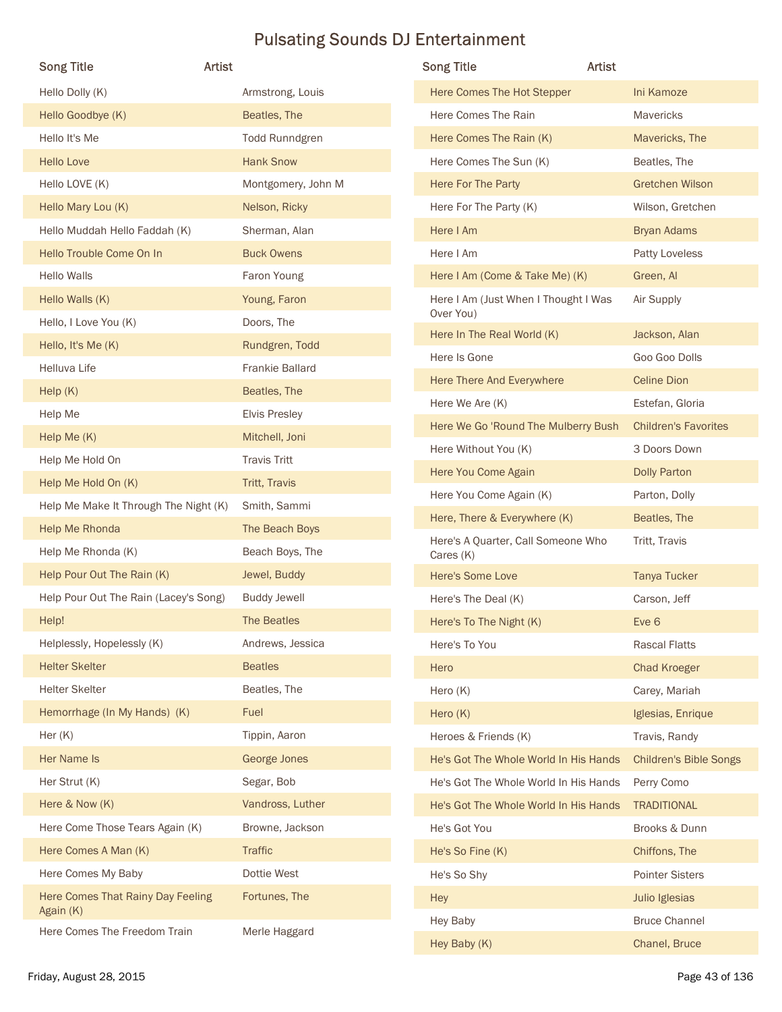|                                       | Artist                | <b>Song Title</b><br>Artist                |                               |
|---------------------------------------|-----------------------|--------------------------------------------|-------------------------------|
| Hello Dolly (K)                       | Armstrong, Louis      | Here Comes The Hot Stepper                 | Ini Kamoze                    |
| Hello Goodbye (K)                     | Beatles, The          | Here Comes The Rain                        | Mavericks                     |
| Hello It's Me                         | <b>Todd Runndgren</b> | Here Comes The Rain (K)                    | Mavericks, The                |
| <b>Hello Love</b>                     | <b>Hank Snow</b>      | Here Comes The Sun (K)                     | Beatles, The                  |
| Hello LOVE (K)                        | Montgomery, John M    | Here For The Party                         | <b>Gretchen Wilson</b>        |
| Hello Mary Lou (K)                    | Nelson, Ricky         | Here For The Party (K)                     | Wilson, Gretchen              |
| Hello Muddah Hello Faddah (K)         | Sherman, Alan         | Here I Am                                  | <b>Bryan Adams</b>            |
| Hello Trouble Come On In              | <b>Buck Owens</b>     | Here I Am                                  | Patty Loveless                |
| <b>Hello Walls</b>                    | Faron Young           | Here I Am (Come & Take Me) (K)             | Green, Al                     |
| Hello Walls (K)                       | Young, Faron          | Here I Am (Just When I Thought I Was       | Air Supply                    |
| Hello, I Love You (K)                 | Doors, The            | Over You)                                  | Jackson, Alan                 |
| Hello, It's Me (K)                    | Rundgren, Todd        | Here In The Real World (K)<br>Here Is Gone | Goo Goo Dolls                 |
| Helluva Life                          | Frankie Ballard       | Here There And Everywhere                  | <b>Celine Dion</b>            |
| Help (K)                              | Beatles, The          | Here We Are (K)                            | Estefan, Gloria               |
| Help Me                               | Elvis Presley         | Here We Go 'Round The Mulberry Bush        | <b>Children's Favorites</b>   |
| Help Me (K)                           | Mitchell, Joni        | Here Without You (K)                       | 3 Doors Down                  |
| Help Me Hold On                       | <b>Travis Tritt</b>   | Here You Come Again                        | <b>Dolly Parton</b>           |
| Help Me Hold On (K)                   | Tritt, Travis         | Here You Come Again (K)                    | Parton, Dolly                 |
| Help Me Make It Through The Night (K) | Smith, Sammi          | Here, There & Everywhere (K)               | Beatles, The                  |
| Help Me Rhonda                        | The Beach Boys        | Here's A Quarter, Call Someone Who         | Tritt, Travis                 |
| Help Me Rhonda (K)                    | Beach Boys, The       | Cares (K)                                  |                               |
| Help Pour Out The Rain (K)            | Jewel, Buddy          | Here's Some Love                           | Tanya Tucker                  |
| Help Pour Out The Rain (Lacey's Song) | <b>Buddy Jewell</b>   | Here's The Deal (K)                        | Carson, Jeff                  |
| Help!                                 | The Beatles           | Here's To The Night (K)                    | Eve 6                         |
| Helplessly, Hopelessly (K)            | Andrews, Jessica      | Here's To You                              | Rascal Flatts                 |
| <b>Helter Skelter</b>                 | <b>Beatles</b>        | Hero                                       | <b>Chad Kroeger</b>           |
| <b>Helter Skelter</b>                 | Beatles, The          | Hero (K)                                   | Carey, Mariah                 |
| Hemorrhage (In My Hands) (K)          | Fuel                  | Hero (K)                                   | Iglesias, Enrique             |
| Her (K)                               | Tippin, Aaron         | Heroes & Friends (K)                       | Travis, Randy                 |
| Her Name Is                           | George Jones          | He's Got The Whole World In His Hands      | <b>Children's Bible Songs</b> |
| Her Strut (K)                         | Segar, Bob            | He's Got The Whole World In His Hands      | Perry Como                    |
| Here & Now (K)                        | Vandross, Luther      | He's Got The Whole World In His Hands      | TRADITIONAL                   |
| Here Come Those Tears Again (K)       | Browne, Jackson       | He's Got You                               | Brooks & Dunn                 |
| Here Comes A Man (K)                  | <b>Traffic</b>        | He's So Fine (K)                           | Chiffons, The                 |
| Here Comes My Baby                    | Dottie West           | He's So Shy                                | <b>Pointer Sisters</b>        |
| Here Comes That Rainy Day Feeling     | Fortunes, The         | Hey                                        | Julio Iglesias                |
| Again (K)                             | Merle Haggard         | Hey Baby                                   | <b>Bruce Channel</b>          |
| Here Comes The Freedom Train          |                       |                                            |                               |

| <b>Intertainment</b>                                                           |                                  |
|--------------------------------------------------------------------------------|----------------------------------|
| <b>Song Title</b>                                                              | Artist                           |
| Here Comes The Hot Stepper                                                     | Ini Kamoze                       |
| Here Comes The Rain                                                            | Mavericks                        |
| Here Comes The Rain (K)                                                        | Mavericks, The                   |
| Here Comes The Sun (K)                                                         | Beatles, The                     |
| Here For The Party                                                             | <b>Gretchen Wilson</b>           |
| Here For The Party (K)                                                         | Wilson, Gretchen                 |
| Here I Am                                                                      | <b>Bryan Adams</b>               |
| Here I Am                                                                      | Patty Loveless                   |
| Here I Am (Come & Take Me) (K)                                                 | Green, Al                        |
| Here I Am (Just When I Thought I Was<br>Over You)                              | Air Supply                       |
| Here In The Real World (K)                                                     | Jackson, Alan                    |
| Here Is Gone                                                                   | Goo Goo Dolls                    |
| <b>Here There And Everywhere</b>                                               | <b>Celine Dion</b>               |
| Here We Are (K)                                                                | Estefan, Gloria                  |
| Here We Go 'Round The Mulberry Bush                                            | <b>Children's Favorites</b>      |
| Here Without You (K)                                                           | 3 Doors Down                     |
| Here You Come Again                                                            | <b>Dolly Parton</b>              |
| Here You Come Again (K)                                                        | Parton, Dolly                    |
| Here, There & Everywhere (K)                                                   | Beatles, The                     |
| Here's A Quarter, Call Someone Who<br>Cares (K)                                | Tritt, Travis                    |
| Here's Some Love                                                               | Tanya Tucker                     |
| Here's The Deal (K)                                                            | Carson, Jeff                     |
| Here's To The Night (K)                                                        | Eve 6                            |
| Here's To You                                                                  | <b>Rascal Flatts</b>             |
| Hero                                                                           | <b>Chad Kroeger</b>              |
| Hero (K)                                                                       | Carey, Mariah                    |
| Hero (K)                                                                       | Iglesias, Enrique                |
| Heroes & Friends (K)                                                           | Travis, Randy                    |
| He's Got The Whole World In His Hands                                          | <b>Children's Bible Songs</b>    |
| He's Got The Whole World In His Hands<br>He's Got The Whole World In His Hands | Perry Como<br><b>TRADITIONAL</b> |
| He's Got You                                                                   | Brooks & Dunn                    |
| He's So Fine (K)                                                               | Chiffons, The                    |
| He's So Shy                                                                    | <b>Pointer Sisters</b>           |
| Hey                                                                            | Julio Iglesias                   |
| <b>Hey Baby</b>                                                                | <b>Bruce Channel</b>             |
| Hey Baby (K)                                                                   | Chanel, Bruce                    |
|                                                                                | Page 43 of 136                   |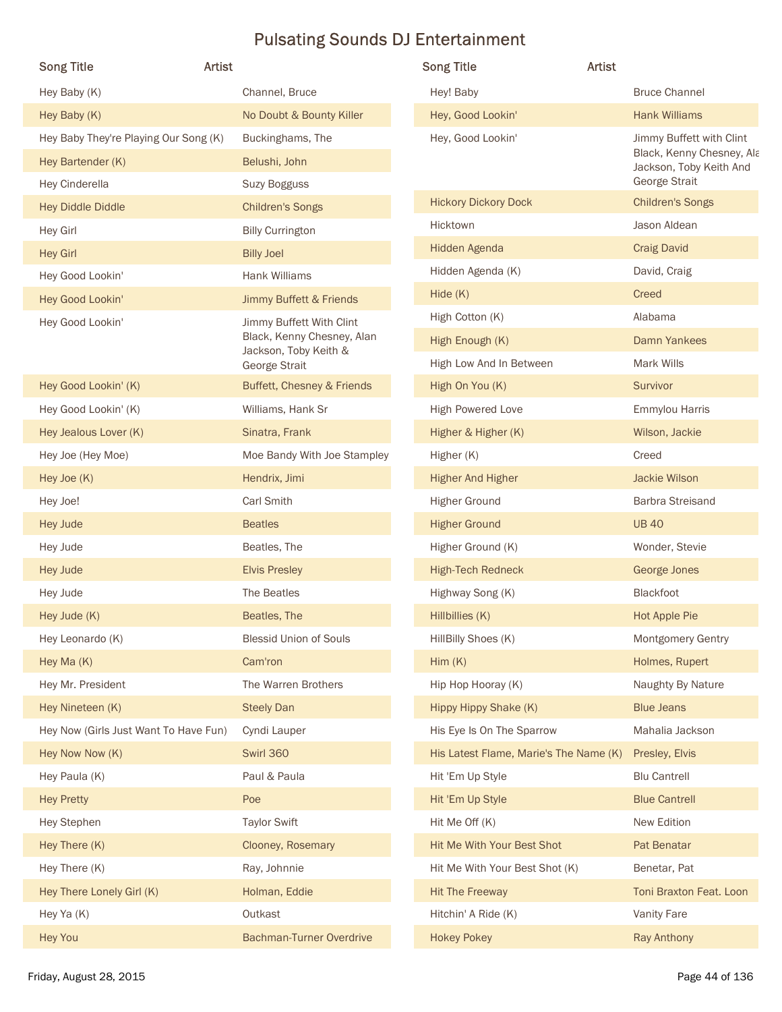| <b>Song Title</b><br>Artist           |                                                     | <b>Song Title</b><br>Artist            |                                          |
|---------------------------------------|-----------------------------------------------------|----------------------------------------|------------------------------------------|
| Hey Baby (K)                          | Channel, Bruce                                      | Hey! Baby                              | <b>Bruce Channel</b>                     |
| Hey Baby (K)                          | No Doubt & Bounty Killer                            | Hey, Good Lookin'                      | <b>Hank Williams</b>                     |
| Hey Baby They're Playing Our Song (K) | Buckinghams, The                                    | Hey, Good Lookin'                      | Jimmy Buffett with Clint                 |
| Hey Bartender (K)                     | Belushi, John                                       |                                        | Black, Kenny Chesney, Ala                |
| Hey Cinderella                        | <b>Suzy Bogguss</b>                                 |                                        | Jackson, Toby Keith And<br>George Strait |
| <b>Hey Diddle Diddle</b>              | <b>Children's Songs</b>                             | <b>Hickory Dickory Dock</b>            | <b>Children's Songs</b>                  |
| <b>Hey Girl</b>                       | <b>Billy Currington</b>                             | Hicktown                               | Jason Aldean                             |
| <b>Hey Girl</b>                       | <b>Billy Joel</b>                                   | Hidden Agenda                          | <b>Craig David</b>                       |
| Hey Good Lookin'                      | Hank Williams                                       | Hidden Agenda (K)                      | David, Craig                             |
| Hey Good Lookin'                      | Jimmy Buffett & Friends                             | Hide (K)                               | Creed                                    |
| Hey Good Lookin'                      | Jimmy Buffett With Clint                            | High Cotton (K)                        | Alabama                                  |
|                                       | Black, Kenny Chesney, Alan<br>Jackson, Toby Keith & | High Enough (K)                        | Damn Yankees                             |
|                                       | George Strait                                       | High Low And In Between                | Mark Wills                               |
| Hey Good Lookin' (K)                  | Buffett, Chesney & Friends                          | High On You (K)                        | Survivor                                 |
| Hey Good Lookin' (K)                  | Williams, Hank Sr                                   | High Powered Love                      | Emmylou Harris                           |
| Hey Jealous Lover (K)                 | Sinatra, Frank                                      | Higher & Higher (K)                    | Wilson, Jackie                           |
| Hey Joe (Hey Moe)                     | Moe Bandy With Joe Stampley                         | Higher (K)                             | Creed                                    |
| Hey Joe (K)                           | Hendrix, Jimi                                       | <b>Higher And Higher</b>               | Jackie Wilson                            |
| Hey Joe!                              | Carl Smith                                          | <b>Higher Ground</b>                   | <b>Barbra Streisand</b>                  |
| Hey Jude                              | <b>Beatles</b>                                      | <b>Higher Ground</b>                   | <b>UB40</b>                              |
| Hey Jude                              | Beatles, The                                        | Higher Ground (K)                      | Wonder, Stevie                           |
| Hey Jude                              | <b>Elvis Presley</b>                                | High-Tech Redneck                      | George Jones                             |
| Hey Jude                              | The Beatles                                         | Highway Song (K)                       | Blackfoot                                |
| Hey Jude (K)                          | Beatles, The<br><b>Blessid Union of Souls</b>       | Hillbillies (K)                        | Hot Apple Pie                            |
| Hey Leonardo (K)                      | Cam'ron                                             | HillBilly Shoes (K)<br>Him(K)          | Montgomery Gentry                        |
| Hey Ma (K)<br>Hey Mr. President       | The Warren Brothers                                 | Hip Hop Hooray (K)                     | Holmes, Rupert<br>Naughty By Nature      |
| Hey Nineteen (K)                      | <b>Steely Dan</b>                                   | Hippy Hippy Shake (K)                  | <b>Blue Jeans</b>                        |
| Hey Now (Girls Just Want To Have Fun) | Cyndi Lauper                                        | His Eye Is On The Sparrow              | Mahalia Jackson                          |
| Hey Now Now (K)                       | Swirl 360                                           | His Latest Flame, Marie's The Name (K) | Presley, Elvis                           |
| Hey Paula (K)                         | Paul & Paula                                        | Hit 'Em Up Style                       | <b>Blu Cantrell</b>                      |
| <b>Hey Pretty</b>                     | Poe                                                 | Hit 'Em Up Style                       | <b>Blue Cantrell</b>                     |
| Hey Stephen                           | <b>Taylor Swift</b>                                 | Hit Me Off (K)                         | New Edition                              |
| Hey There (K)                         | Clooney, Rosemary                                   | Hit Me With Your Best Shot             | Pat Benatar                              |
| Hey There (K)                         | Ray, Johnnie                                        | Hit Me With Your Best Shot (K)         | Benetar, Pat                             |
| Hey There Lonely Girl (K)             | Holman, Eddie                                       | <b>Hit The Freeway</b>                 | Toni Braxton Feat. Loon                  |
|                                       |                                                     |                                        | Vanity Fare                              |
| Hey Ya (K)                            | Outkast                                             | Hitchin' A Ride (K)                    |                                          |

| <b>Entertainment</b>                      |               |                                                                                                   |
|-------------------------------------------|---------------|---------------------------------------------------------------------------------------------------|
| <b>Song Title</b>                         | <b>Artist</b> |                                                                                                   |
| Hey! Baby                                 |               | <b>Bruce Channel</b>                                                                              |
| Hey, Good Lookin'                         |               | <b>Hank Williams</b>                                                                              |
| Hey, Good Lookin'                         |               | Jimmy Buffett with Clint<br>Black, Kenny Chesney, Ala<br>Jackson, Toby Keith And<br>George Strait |
| <b>Hickory Dickory Dock</b>               |               | <b>Children's Songs</b>                                                                           |
| Hicktown                                  |               | Jason Aldean                                                                                      |
| Hidden Agenda                             |               | <b>Craig David</b>                                                                                |
| Hidden Agenda (K)                         |               | David, Craig                                                                                      |
| Hide (K)                                  | <b>Creed</b>  |                                                                                                   |
| High Cotton (K)                           |               | Alabama                                                                                           |
| High Enough (K)                           |               | Damn Yankees                                                                                      |
| High Low And In Between                   |               | Mark Wills                                                                                        |
| High On You (K)                           | Survivor      |                                                                                                   |
| <b>High Powered Love</b>                  |               | Emmylou Harris                                                                                    |
| Higher & Higher (K)                       |               | Wilson, Jackie                                                                                    |
| Higher (K)                                | Creed         |                                                                                                   |
| <b>Higher And Higher</b>                  |               | Jackie Wilson                                                                                     |
| <b>Higher Ground</b>                      |               | Barbra Streisand                                                                                  |
| <b>Higher Ground</b>                      | <b>UB40</b>   |                                                                                                   |
| Higher Ground (K)                         |               | Wonder, Stevie                                                                                    |
| High-Tech Redneck                         |               | George Jones                                                                                      |
| Highway Song (K)                          |               | Blackfoot                                                                                         |
| Hillbillies (K)                           |               | <b>Hot Apple Pie</b>                                                                              |
| HillBilly Shoes (K)                       |               | Montgomery Gentry                                                                                 |
| Him(K)                                    |               | Holmes, Rupert                                                                                    |
| Hip Hop Hooray (K)                        |               | Naughty By Nature                                                                                 |
| Hippy Hippy Shake (K)                     |               | <b>Blue Jeans</b>                                                                                 |
| His Eye Is On The Sparrow                 |               | Mahalia Jackson                                                                                   |
| His Latest Flame, Marie's The Name (K)    |               | Presley, Elvis                                                                                    |
| Hit 'Em Up Style                          |               | <b>Blu Cantrell</b>                                                                               |
| Hit 'Em Up Style                          |               | <b>Blue Cantrell</b>                                                                              |
| Hit Me Off (K)                            |               | New Edition                                                                                       |
| Hit Me With Your Best Shot                |               | Pat Benatar                                                                                       |
| Hit Me With Your Best Shot (K)            |               | Benetar, Pat                                                                                      |
| <b>Hit The Freeway</b>                    |               | Toni Braxton Feat. Loon<br>Vanity Fare                                                            |
| Hitchin' A Ride (K)<br><b>Hokey Pokey</b> |               | Ray Anthony                                                                                       |
|                                           |               | Page 44 of 136                                                                                    |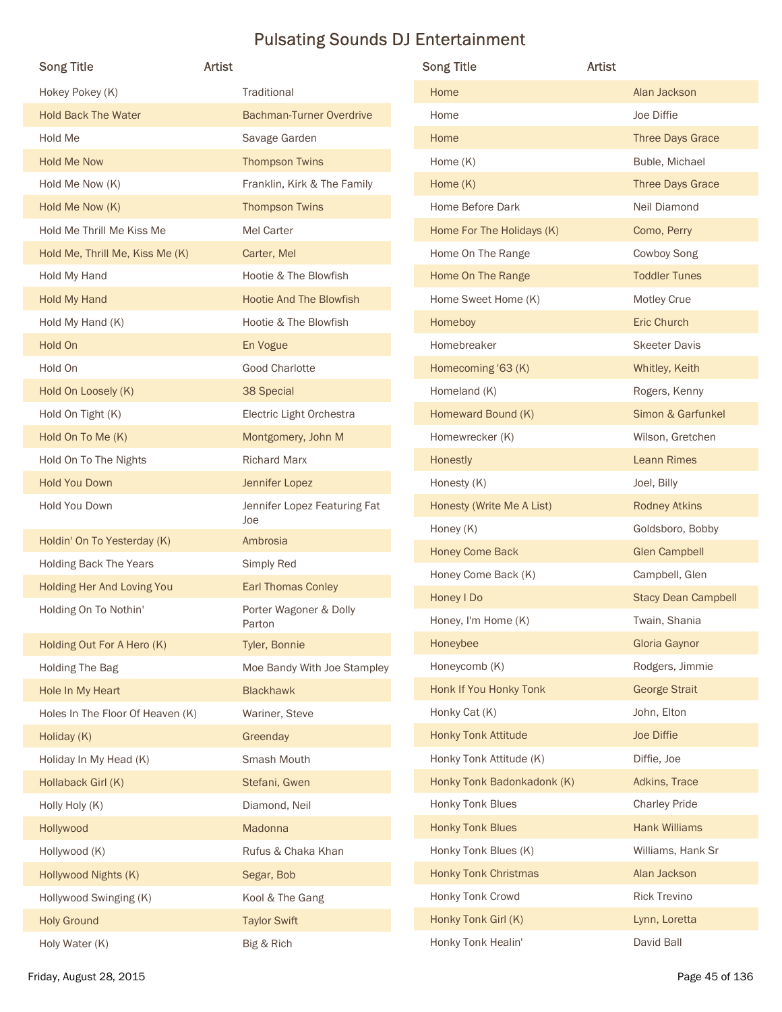| Hokey Pokey (K)<br>Traditional<br>Home<br>Alan Jackson<br><b>Bachman-Turner Overdrive</b><br>Joe Diffie<br><b>Hold Back The Water</b><br>Home<br>Hold Me<br>Savage Garden<br>Three Days Grace<br>Home<br><b>Hold Me Now</b><br>Home (K)<br><b>Thompson Twins</b><br>Buble, Michael<br>Hold Me Now (K)<br>Franklin, Kirk & The Family<br>Home (K)<br>Three Days Grace<br>Home Before Dark<br>Hold Me Now (K)<br><b>Thompson Twins</b><br>Neil Diamond<br>Hold Me Thrill Me Kiss Me<br>Mel Carter<br>Home For The Holidays (K)<br>Como, Perry<br>Carter, Mel<br>Home On The Range<br>Cowboy Song<br>Hold Me, Thrill Me, Kiss Me (K)<br>Hootie & The Blowfish<br>Hold My Hand<br>Home On The Range<br><b>Toddler Tunes</b><br><b>Hold My Hand</b><br><b>Hootie And The Blowfish</b><br>Home Sweet Home (K)<br>Motley Crue<br>Eric Church<br>Hold My Hand (K)<br>Hootie & The Blowfish<br>Homeboy<br>Hold On<br><b>Skeeter Davis</b><br>En Vogue<br>Homebreaker<br>Hold On<br>Good Charlotte<br>Whitley, Keith<br>Homecoming '63 (K)<br>Hold On Loosely (K)<br>38 Special<br>Homeland (K)<br>Rogers, Kenny<br>Electric Light Orchestra<br>Simon & Garfunkel<br>Hold On Tight (K)<br>Homeward Bound (K)<br>Wilson, Gretchen<br>Hold On To Me (K)<br>Montgomery, John M<br>Homewrecker (K)<br><b>Leann Rimes</b><br>Hold On To The Nights<br><b>Richard Marx</b><br>Honestly<br><b>Hold You Down</b><br>Jennifer Lopez<br>Joel, Billy<br>Honesty (K)<br>Jennifer Lopez Featuring Fat<br>Hold You Down<br>Honesty (Write Me A List)<br>Rodney Atkins<br>Joe<br>Goldsboro, Bobby<br>Honey (K)<br>Holdin' On To Yesterday (K)<br>Ambrosia<br>Honey Come Back<br><b>Glen Campbell</b><br>Holding Back The Years<br>Simply Red<br>Honey Come Back (K)<br>Campbell, Glen<br>Holding Her And Loving You<br>Earl Thomas Conley<br>Honey I Do<br><b>Stacy Dean Campbell</b><br>Porter Wagoner & Dolly<br>Holding On To Nothin'<br>Twain, Shania<br>Honey, I'm Home (K)<br>Parton<br>Gloria Gaynor<br>Honeybee<br>Holding Out For A Hero (K)<br>Tyler, Bonnie<br>Honeycomb (K)<br>Rodgers, Jimmie<br>Moe Bandy With Joe Stampley<br>Holding The Bag<br>Honk If You Honky Tonk<br><b>George Strait</b><br><b>Blackhawk</b><br>Hole In My Heart<br>John, Elton<br>Honky Cat (K)<br>Holes In The Floor Of Heaven (K)<br>Wariner, Steve<br>Joe Diffie<br>Honky Tonk Attitude<br>Holiday (K)<br>Greenday<br>Diffie, Joe<br>Honky Tonk Attitude (K)<br>Smash Mouth<br>Holiday In My Head (K)<br>Honky Tonk Badonkadonk (K)<br>Adkins, Trace<br>Stefani, Gwen<br>Hollaback Girl (K)<br>Honky Tonk Blues<br><b>Charley Pride</b><br>Holly Holy (K)<br>Diamond, Neil<br><b>Honky Tonk Blues</b><br><b>Hank Williams</b><br>Hollywood<br>Madonna<br>Williams, Hank Sr<br>Honky Tonk Blues (K)<br>Rufus & Chaka Khan<br>Hollywood (K)<br><b>Honky Tonk Christmas</b><br>Alan Jackson<br>Hollywood Nights (K)<br>Segar, Bob<br><b>Rick Trevino</b><br>Honky Tonk Crowd<br>Hollywood Swinging (K)<br>Kool & The Gang<br>Honky Tonk Girl (K)<br>Lynn, Loretta<br><b>Taylor Swift</b><br><b>Holy Ground</b><br>Honky Tonk Healin'<br>David Ball<br>Big & Rich<br>Holy Water (K) | <b>Song Title</b><br>Artist | <b>Pulsating Sounds DJ Entertainment</b> | <b>Song Title</b><br>Artist |  |
|--------------------------------------------------------------------------------------------------------------------------------------------------------------------------------------------------------------------------------------------------------------------------------------------------------------------------------------------------------------------------------------------------------------------------------------------------------------------------------------------------------------------------------------------------------------------------------------------------------------------------------------------------------------------------------------------------------------------------------------------------------------------------------------------------------------------------------------------------------------------------------------------------------------------------------------------------------------------------------------------------------------------------------------------------------------------------------------------------------------------------------------------------------------------------------------------------------------------------------------------------------------------------------------------------------------------------------------------------------------------------------------------------------------------------------------------------------------------------------------------------------------------------------------------------------------------------------------------------------------------------------------------------------------------------------------------------------------------------------------------------------------------------------------------------------------------------------------------------------------------------------------------------------------------------------------------------------------------------------------------------------------------------------------------------------------------------------------------------------------------------------------------------------------------------------------------------------------------------------------------------------------------------------------------------------------------------------------------------------------------------------------------------------------------------------------------------------------------------------------------------------------------------------------------------------------------------------------------------------------------------------------------------------------------------------------------------------------------------------------------------------------------------------------------------------------------------------------------------------------------------------------------------------------------------------------------------------------------------------------------------------------------------------------------------------------------------------------------------------------------------------------------------|-----------------------------|------------------------------------------|-----------------------------|--|
|                                                                                                                                                                                                                                                                                                                                                                                                                                                                                                                                                                                                                                                                                                                                                                                                                                                                                                                                                                                                                                                                                                                                                                                                                                                                                                                                                                                                                                                                                                                                                                                                                                                                                                                                                                                                                                                                                                                                                                                                                                                                                                                                                                                                                                                                                                                                                                                                                                                                                                                                                                                                                                                                                                                                                                                                                                                                                                                                                                                                                                                                                                                                                  |                             |                                          |                             |  |
|                                                                                                                                                                                                                                                                                                                                                                                                                                                                                                                                                                                                                                                                                                                                                                                                                                                                                                                                                                                                                                                                                                                                                                                                                                                                                                                                                                                                                                                                                                                                                                                                                                                                                                                                                                                                                                                                                                                                                                                                                                                                                                                                                                                                                                                                                                                                                                                                                                                                                                                                                                                                                                                                                                                                                                                                                                                                                                                                                                                                                                                                                                                                                  |                             |                                          |                             |  |
|                                                                                                                                                                                                                                                                                                                                                                                                                                                                                                                                                                                                                                                                                                                                                                                                                                                                                                                                                                                                                                                                                                                                                                                                                                                                                                                                                                                                                                                                                                                                                                                                                                                                                                                                                                                                                                                                                                                                                                                                                                                                                                                                                                                                                                                                                                                                                                                                                                                                                                                                                                                                                                                                                                                                                                                                                                                                                                                                                                                                                                                                                                                                                  |                             |                                          |                             |  |
|                                                                                                                                                                                                                                                                                                                                                                                                                                                                                                                                                                                                                                                                                                                                                                                                                                                                                                                                                                                                                                                                                                                                                                                                                                                                                                                                                                                                                                                                                                                                                                                                                                                                                                                                                                                                                                                                                                                                                                                                                                                                                                                                                                                                                                                                                                                                                                                                                                                                                                                                                                                                                                                                                                                                                                                                                                                                                                                                                                                                                                                                                                                                                  |                             |                                          |                             |  |
|                                                                                                                                                                                                                                                                                                                                                                                                                                                                                                                                                                                                                                                                                                                                                                                                                                                                                                                                                                                                                                                                                                                                                                                                                                                                                                                                                                                                                                                                                                                                                                                                                                                                                                                                                                                                                                                                                                                                                                                                                                                                                                                                                                                                                                                                                                                                                                                                                                                                                                                                                                                                                                                                                                                                                                                                                                                                                                                                                                                                                                                                                                                                                  |                             |                                          |                             |  |
|                                                                                                                                                                                                                                                                                                                                                                                                                                                                                                                                                                                                                                                                                                                                                                                                                                                                                                                                                                                                                                                                                                                                                                                                                                                                                                                                                                                                                                                                                                                                                                                                                                                                                                                                                                                                                                                                                                                                                                                                                                                                                                                                                                                                                                                                                                                                                                                                                                                                                                                                                                                                                                                                                                                                                                                                                                                                                                                                                                                                                                                                                                                                                  |                             |                                          |                             |  |
| Page 45 of 136                                                                                                                                                                                                                                                                                                                                                                                                                                                                                                                                                                                                                                                                                                                                                                                                                                                                                                                                                                                                                                                                                                                                                                                                                                                                                                                                                                                                                                                                                                                                                                                                                                                                                                                                                                                                                                                                                                                                                                                                                                                                                                                                                                                                                                                                                                                                                                                                                                                                                                                                                                                                                                                                                                                                                                                                                                                                                                                                                                                                                                                                                                                                   |                             |                                          |                             |  |
|                                                                                                                                                                                                                                                                                                                                                                                                                                                                                                                                                                                                                                                                                                                                                                                                                                                                                                                                                                                                                                                                                                                                                                                                                                                                                                                                                                                                                                                                                                                                                                                                                                                                                                                                                                                                                                                                                                                                                                                                                                                                                                                                                                                                                                                                                                                                                                                                                                                                                                                                                                                                                                                                                                                                                                                                                                                                                                                                                                                                                                                                                                                                                  |                             |                                          |                             |  |
|                                                                                                                                                                                                                                                                                                                                                                                                                                                                                                                                                                                                                                                                                                                                                                                                                                                                                                                                                                                                                                                                                                                                                                                                                                                                                                                                                                                                                                                                                                                                                                                                                                                                                                                                                                                                                                                                                                                                                                                                                                                                                                                                                                                                                                                                                                                                                                                                                                                                                                                                                                                                                                                                                                                                                                                                                                                                                                                                                                                                                                                                                                                                                  |                             |                                          |                             |  |
| Friday, August 28, 2015                                                                                                                                                                                                                                                                                                                                                                                                                                                                                                                                                                                                                                                                                                                                                                                                                                                                                                                                                                                                                                                                                                                                                                                                                                                                                                                                                                                                                                                                                                                                                                                                                                                                                                                                                                                                                                                                                                                                                                                                                                                                                                                                                                                                                                                                                                                                                                                                                                                                                                                                                                                                                                                                                                                                                                                                                                                                                                                                                                                                                                                                                                                          |                             |                                          |                             |  |
|                                                                                                                                                                                                                                                                                                                                                                                                                                                                                                                                                                                                                                                                                                                                                                                                                                                                                                                                                                                                                                                                                                                                                                                                                                                                                                                                                                                                                                                                                                                                                                                                                                                                                                                                                                                                                                                                                                                                                                                                                                                                                                                                                                                                                                                                                                                                                                                                                                                                                                                                                                                                                                                                                                                                                                                                                                                                                                                                                                                                                                                                                                                                                  |                             |                                          |                             |  |
|                                                                                                                                                                                                                                                                                                                                                                                                                                                                                                                                                                                                                                                                                                                                                                                                                                                                                                                                                                                                                                                                                                                                                                                                                                                                                                                                                                                                                                                                                                                                                                                                                                                                                                                                                                                                                                                                                                                                                                                                                                                                                                                                                                                                                                                                                                                                                                                                                                                                                                                                                                                                                                                                                                                                                                                                                                                                                                                                                                                                                                                                                                                                                  |                             |                                          |                             |  |
|                                                                                                                                                                                                                                                                                                                                                                                                                                                                                                                                                                                                                                                                                                                                                                                                                                                                                                                                                                                                                                                                                                                                                                                                                                                                                                                                                                                                                                                                                                                                                                                                                                                                                                                                                                                                                                                                                                                                                                                                                                                                                                                                                                                                                                                                                                                                                                                                                                                                                                                                                                                                                                                                                                                                                                                                                                                                                                                                                                                                                                                                                                                                                  |                             |                                          |                             |  |
|                                                                                                                                                                                                                                                                                                                                                                                                                                                                                                                                                                                                                                                                                                                                                                                                                                                                                                                                                                                                                                                                                                                                                                                                                                                                                                                                                                                                                                                                                                                                                                                                                                                                                                                                                                                                                                                                                                                                                                                                                                                                                                                                                                                                                                                                                                                                                                                                                                                                                                                                                                                                                                                                                                                                                                                                                                                                                                                                                                                                                                                                                                                                                  |                             |                                          |                             |  |
|                                                                                                                                                                                                                                                                                                                                                                                                                                                                                                                                                                                                                                                                                                                                                                                                                                                                                                                                                                                                                                                                                                                                                                                                                                                                                                                                                                                                                                                                                                                                                                                                                                                                                                                                                                                                                                                                                                                                                                                                                                                                                                                                                                                                                                                                                                                                                                                                                                                                                                                                                                                                                                                                                                                                                                                                                                                                                                                                                                                                                                                                                                                                                  |                             |                                          |                             |  |
|                                                                                                                                                                                                                                                                                                                                                                                                                                                                                                                                                                                                                                                                                                                                                                                                                                                                                                                                                                                                                                                                                                                                                                                                                                                                                                                                                                                                                                                                                                                                                                                                                                                                                                                                                                                                                                                                                                                                                                                                                                                                                                                                                                                                                                                                                                                                                                                                                                                                                                                                                                                                                                                                                                                                                                                                                                                                                                                                                                                                                                                                                                                                                  |                             |                                          |                             |  |
|                                                                                                                                                                                                                                                                                                                                                                                                                                                                                                                                                                                                                                                                                                                                                                                                                                                                                                                                                                                                                                                                                                                                                                                                                                                                                                                                                                                                                                                                                                                                                                                                                                                                                                                                                                                                                                                                                                                                                                                                                                                                                                                                                                                                                                                                                                                                                                                                                                                                                                                                                                                                                                                                                                                                                                                                                                                                                                                                                                                                                                                                                                                                                  |                             |                                          |                             |  |
|                                                                                                                                                                                                                                                                                                                                                                                                                                                                                                                                                                                                                                                                                                                                                                                                                                                                                                                                                                                                                                                                                                                                                                                                                                                                                                                                                                                                                                                                                                                                                                                                                                                                                                                                                                                                                                                                                                                                                                                                                                                                                                                                                                                                                                                                                                                                                                                                                                                                                                                                                                                                                                                                                                                                                                                                                                                                                                                                                                                                                                                                                                                                                  |                             |                                          |                             |  |
|                                                                                                                                                                                                                                                                                                                                                                                                                                                                                                                                                                                                                                                                                                                                                                                                                                                                                                                                                                                                                                                                                                                                                                                                                                                                                                                                                                                                                                                                                                                                                                                                                                                                                                                                                                                                                                                                                                                                                                                                                                                                                                                                                                                                                                                                                                                                                                                                                                                                                                                                                                                                                                                                                                                                                                                                                                                                                                                                                                                                                                                                                                                                                  |                             |                                          |                             |  |
|                                                                                                                                                                                                                                                                                                                                                                                                                                                                                                                                                                                                                                                                                                                                                                                                                                                                                                                                                                                                                                                                                                                                                                                                                                                                                                                                                                                                                                                                                                                                                                                                                                                                                                                                                                                                                                                                                                                                                                                                                                                                                                                                                                                                                                                                                                                                                                                                                                                                                                                                                                                                                                                                                                                                                                                                                                                                                                                                                                                                                                                                                                                                                  |                             |                                          |                             |  |
|                                                                                                                                                                                                                                                                                                                                                                                                                                                                                                                                                                                                                                                                                                                                                                                                                                                                                                                                                                                                                                                                                                                                                                                                                                                                                                                                                                                                                                                                                                                                                                                                                                                                                                                                                                                                                                                                                                                                                                                                                                                                                                                                                                                                                                                                                                                                                                                                                                                                                                                                                                                                                                                                                                                                                                                                                                                                                                                                                                                                                                                                                                                                                  |                             |                                          |                             |  |
|                                                                                                                                                                                                                                                                                                                                                                                                                                                                                                                                                                                                                                                                                                                                                                                                                                                                                                                                                                                                                                                                                                                                                                                                                                                                                                                                                                                                                                                                                                                                                                                                                                                                                                                                                                                                                                                                                                                                                                                                                                                                                                                                                                                                                                                                                                                                                                                                                                                                                                                                                                                                                                                                                                                                                                                                                                                                                                                                                                                                                                                                                                                                                  |                             |                                          |                             |  |
|                                                                                                                                                                                                                                                                                                                                                                                                                                                                                                                                                                                                                                                                                                                                                                                                                                                                                                                                                                                                                                                                                                                                                                                                                                                                                                                                                                                                                                                                                                                                                                                                                                                                                                                                                                                                                                                                                                                                                                                                                                                                                                                                                                                                                                                                                                                                                                                                                                                                                                                                                                                                                                                                                                                                                                                                                                                                                                                                                                                                                                                                                                                                                  |                             |                                          |                             |  |
|                                                                                                                                                                                                                                                                                                                                                                                                                                                                                                                                                                                                                                                                                                                                                                                                                                                                                                                                                                                                                                                                                                                                                                                                                                                                                                                                                                                                                                                                                                                                                                                                                                                                                                                                                                                                                                                                                                                                                                                                                                                                                                                                                                                                                                                                                                                                                                                                                                                                                                                                                                                                                                                                                                                                                                                                                                                                                                                                                                                                                                                                                                                                                  |                             |                                          |                             |  |
|                                                                                                                                                                                                                                                                                                                                                                                                                                                                                                                                                                                                                                                                                                                                                                                                                                                                                                                                                                                                                                                                                                                                                                                                                                                                                                                                                                                                                                                                                                                                                                                                                                                                                                                                                                                                                                                                                                                                                                                                                                                                                                                                                                                                                                                                                                                                                                                                                                                                                                                                                                                                                                                                                                                                                                                                                                                                                                                                                                                                                                                                                                                                                  |                             |                                          |                             |  |
|                                                                                                                                                                                                                                                                                                                                                                                                                                                                                                                                                                                                                                                                                                                                                                                                                                                                                                                                                                                                                                                                                                                                                                                                                                                                                                                                                                                                                                                                                                                                                                                                                                                                                                                                                                                                                                                                                                                                                                                                                                                                                                                                                                                                                                                                                                                                                                                                                                                                                                                                                                                                                                                                                                                                                                                                                                                                                                                                                                                                                                                                                                                                                  |                             |                                          |                             |  |
|                                                                                                                                                                                                                                                                                                                                                                                                                                                                                                                                                                                                                                                                                                                                                                                                                                                                                                                                                                                                                                                                                                                                                                                                                                                                                                                                                                                                                                                                                                                                                                                                                                                                                                                                                                                                                                                                                                                                                                                                                                                                                                                                                                                                                                                                                                                                                                                                                                                                                                                                                                                                                                                                                                                                                                                                                                                                                                                                                                                                                                                                                                                                                  |                             |                                          |                             |  |
|                                                                                                                                                                                                                                                                                                                                                                                                                                                                                                                                                                                                                                                                                                                                                                                                                                                                                                                                                                                                                                                                                                                                                                                                                                                                                                                                                                                                                                                                                                                                                                                                                                                                                                                                                                                                                                                                                                                                                                                                                                                                                                                                                                                                                                                                                                                                                                                                                                                                                                                                                                                                                                                                                                                                                                                                                                                                                                                                                                                                                                                                                                                                                  |                             |                                          |                             |  |
|                                                                                                                                                                                                                                                                                                                                                                                                                                                                                                                                                                                                                                                                                                                                                                                                                                                                                                                                                                                                                                                                                                                                                                                                                                                                                                                                                                                                                                                                                                                                                                                                                                                                                                                                                                                                                                                                                                                                                                                                                                                                                                                                                                                                                                                                                                                                                                                                                                                                                                                                                                                                                                                                                                                                                                                                                                                                                                                                                                                                                                                                                                                                                  |                             |                                          |                             |  |
|                                                                                                                                                                                                                                                                                                                                                                                                                                                                                                                                                                                                                                                                                                                                                                                                                                                                                                                                                                                                                                                                                                                                                                                                                                                                                                                                                                                                                                                                                                                                                                                                                                                                                                                                                                                                                                                                                                                                                                                                                                                                                                                                                                                                                                                                                                                                                                                                                                                                                                                                                                                                                                                                                                                                                                                                                                                                                                                                                                                                                                                                                                                                                  |                             |                                          |                             |  |
|                                                                                                                                                                                                                                                                                                                                                                                                                                                                                                                                                                                                                                                                                                                                                                                                                                                                                                                                                                                                                                                                                                                                                                                                                                                                                                                                                                                                                                                                                                                                                                                                                                                                                                                                                                                                                                                                                                                                                                                                                                                                                                                                                                                                                                                                                                                                                                                                                                                                                                                                                                                                                                                                                                                                                                                                                                                                                                                                                                                                                                                                                                                                                  |                             |                                          |                             |  |
|                                                                                                                                                                                                                                                                                                                                                                                                                                                                                                                                                                                                                                                                                                                                                                                                                                                                                                                                                                                                                                                                                                                                                                                                                                                                                                                                                                                                                                                                                                                                                                                                                                                                                                                                                                                                                                                                                                                                                                                                                                                                                                                                                                                                                                                                                                                                                                                                                                                                                                                                                                                                                                                                                                                                                                                                                                                                                                                                                                                                                                                                                                                                                  |                             |                                          |                             |  |
|                                                                                                                                                                                                                                                                                                                                                                                                                                                                                                                                                                                                                                                                                                                                                                                                                                                                                                                                                                                                                                                                                                                                                                                                                                                                                                                                                                                                                                                                                                                                                                                                                                                                                                                                                                                                                                                                                                                                                                                                                                                                                                                                                                                                                                                                                                                                                                                                                                                                                                                                                                                                                                                                                                                                                                                                                                                                                                                                                                                                                                                                                                                                                  |                             |                                          |                             |  |
|                                                                                                                                                                                                                                                                                                                                                                                                                                                                                                                                                                                                                                                                                                                                                                                                                                                                                                                                                                                                                                                                                                                                                                                                                                                                                                                                                                                                                                                                                                                                                                                                                                                                                                                                                                                                                                                                                                                                                                                                                                                                                                                                                                                                                                                                                                                                                                                                                                                                                                                                                                                                                                                                                                                                                                                                                                                                                                                                                                                                                                                                                                                                                  |                             |                                          |                             |  |
|                                                                                                                                                                                                                                                                                                                                                                                                                                                                                                                                                                                                                                                                                                                                                                                                                                                                                                                                                                                                                                                                                                                                                                                                                                                                                                                                                                                                                                                                                                                                                                                                                                                                                                                                                                                                                                                                                                                                                                                                                                                                                                                                                                                                                                                                                                                                                                                                                                                                                                                                                                                                                                                                                                                                                                                                                                                                                                                                                                                                                                                                                                                                                  |                             |                                          |                             |  |
|                                                                                                                                                                                                                                                                                                                                                                                                                                                                                                                                                                                                                                                                                                                                                                                                                                                                                                                                                                                                                                                                                                                                                                                                                                                                                                                                                                                                                                                                                                                                                                                                                                                                                                                                                                                                                                                                                                                                                                                                                                                                                                                                                                                                                                                                                                                                                                                                                                                                                                                                                                                                                                                                                                                                                                                                                                                                                                                                                                                                                                                                                                                                                  |                             |                                          |                             |  |
|                                                                                                                                                                                                                                                                                                                                                                                                                                                                                                                                                                                                                                                                                                                                                                                                                                                                                                                                                                                                                                                                                                                                                                                                                                                                                                                                                                                                                                                                                                                                                                                                                                                                                                                                                                                                                                                                                                                                                                                                                                                                                                                                                                                                                                                                                                                                                                                                                                                                                                                                                                                                                                                                                                                                                                                                                                                                                                                                                                                                                                                                                                                                                  |                             |                                          |                             |  |
|                                                                                                                                                                                                                                                                                                                                                                                                                                                                                                                                                                                                                                                                                                                                                                                                                                                                                                                                                                                                                                                                                                                                                                                                                                                                                                                                                                                                                                                                                                                                                                                                                                                                                                                                                                                                                                                                                                                                                                                                                                                                                                                                                                                                                                                                                                                                                                                                                                                                                                                                                                                                                                                                                                                                                                                                                                                                                                                                                                                                                                                                                                                                                  |                             |                                          |                             |  |
|                                                                                                                                                                                                                                                                                                                                                                                                                                                                                                                                                                                                                                                                                                                                                                                                                                                                                                                                                                                                                                                                                                                                                                                                                                                                                                                                                                                                                                                                                                                                                                                                                                                                                                                                                                                                                                                                                                                                                                                                                                                                                                                                                                                                                                                                                                                                                                                                                                                                                                                                                                                                                                                                                                                                                                                                                                                                                                                                                                                                                                                                                                                                                  |                             |                                          |                             |  |

| <b>Intertainment</b>                                  |                              |
|-------------------------------------------------------|------------------------------|
| <b>Song Title</b>                                     | Artist                       |
| Home                                                  | Alan Jackson                 |
| Home                                                  | Joe Diffie                   |
| Home                                                  | <b>Three Days Grace</b>      |
| Home (K)                                              | Buble, Michael               |
| Home (K)                                              | Three Days Grace             |
| Home Before Dark                                      | Neil Diamond                 |
| Home For The Holidays (K)                             | Como, Perry                  |
| Home On The Range                                     | Cowboy Song                  |
| Home On The Range                                     | <b>Toddler Tunes</b>         |
| Home Sweet Home (K)                                   | Motley Crue                  |
| Homeboy                                               | Eric Church                  |
| Homebreaker                                           | <b>Skeeter Davis</b>         |
| Homecoming '63 (K)                                    | Whitley, Keith               |
| Homeland (K)                                          | Rogers, Kenny                |
| Homeward Bound (K)                                    | Simon & Garfunkel            |
| Homewrecker (K)                                       | Wilson, Gretchen             |
| Honestly                                              | <b>Leann Rimes</b>           |
| Honesty (K)                                           | Joel, Billy                  |
| Honesty (Write Me A List)                             | Rodney Atkins                |
| Honey (K)                                             | Goldsboro, Bobby             |
| Honey Come Back                                       | <b>Glen Campbell</b>         |
| Honey Come Back (K)                                   | Campbell, Glen               |
| Honey I Do                                            | <b>Stacy Dean Campbell</b>   |
| Honey, I'm Home (K)                                   | Twain, Shania                |
| Honeybee                                              | Gloria Gaynor                |
| Honeycomb (K)                                         | Rodgers, Jimmie              |
| Honk If You Honky Tonk                                | <b>George Strait</b>         |
| Honky Cat (K)                                         | John, Elton                  |
| Honky Tonk Attitude                                   | Joe Diffie                   |
| Honky Tonk Attitude (K)<br>Honky Tonk Badonkadonk (K) | Diffie, Joe<br>Adkins, Trace |
| Honky Tonk Blues                                      | <b>Charley Pride</b>         |
| <b>Honky Tonk Blues</b>                               | <b>Hank Williams</b>         |
| Honky Tonk Blues (K)                                  | Williams, Hank Sr            |
| <b>Honky Tonk Christmas</b>                           | Alan Jackson                 |
| Honky Tonk Crowd                                      | Rick Trevino                 |
| Honky Tonk Girl (K)                                   | Lynn, Loretta                |
| Honky Tonk Healin'                                    | David Ball                   |
|                                                       | Page 45 of 136               |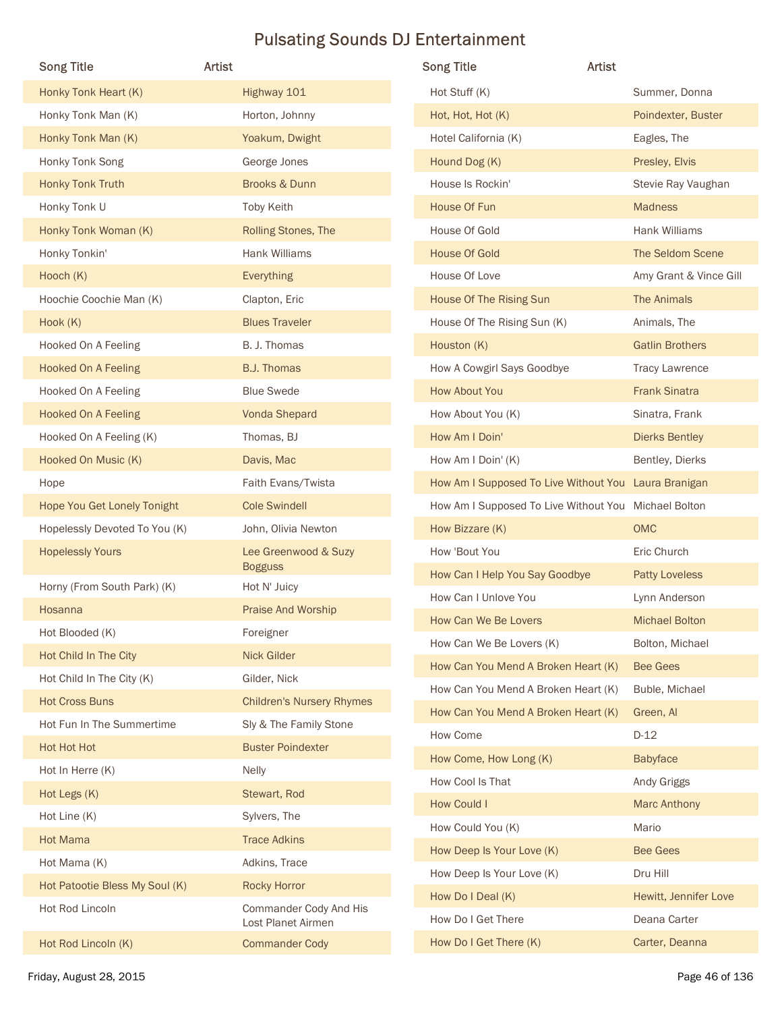| <b>Song Title</b>              | Artist                                      | <b>Song Title</b><br>Artist                          |                                       |
|--------------------------------|---------------------------------------------|------------------------------------------------------|---------------------------------------|
| Honky Tonk Heart (K)           | Highway 101                                 | Hot Stuff (K)                                        | Summer, Donna                         |
| Honky Tonk Man (K)             | Horton, Johnny                              | Hot, Hot, Hot (K)                                    | Poindexter, Buster                    |
| Honky Tonk Man (K)             | Yoakum, Dwight                              | Hotel California (K)                                 | Eagles, The                           |
| Honky Tonk Song                | George Jones                                | Hound Dog (K)                                        | Presley, Elvis                        |
| <b>Honky Tonk Truth</b>        | Brooks & Dunn                               | House Is Rockin'                                     | Stevie Ray Vaughan                    |
| Honky Tonk U                   | Toby Keith                                  | House Of Fun                                         | <b>Madness</b>                        |
| Honky Tonk Woman (K)           | Rolling Stones, The                         | House Of Gold                                        | Hank Williams                         |
| Honky Tonkin'                  | <b>Hank Williams</b>                        | <b>House Of Gold</b>                                 | The Seldom Scene                      |
| Hooch $(K)$                    | Everything                                  | House Of Love                                        | Amy Grant & Vince Gill                |
| Hoochie Coochie Man (K)        | Clapton, Eric                               | House Of The Rising Sun                              | The Animals                           |
| Hook (K)                       | <b>Blues Traveler</b>                       | House Of The Rising Sun (K)                          | Animals, The                          |
| Hooked On A Feeling            | B. J. Thomas                                | Houston (K)                                          | <b>Gatlin Brothers</b>                |
| Hooked On A Feeling            | <b>B.J. Thomas</b>                          | How A Cowgirl Says Goodbye                           | <b>Tracy Lawrence</b>                 |
| Hooked On A Feeling            | <b>Blue Swede</b>                           | How About You                                        | <b>Frank Sinatra</b>                  |
| Hooked On A Feeling            | <b>Vonda Shepard</b>                        | How About You (K)                                    | Sinatra, Frank                        |
| Hooked On A Feeling (K)        | Thomas, BJ                                  | How Am I Doin'                                       | <b>Dierks Bentley</b>                 |
| Hooked On Music (K)            | Davis, Mac                                  | How Am I Doin' (K)                                   | Bentley, Dierks                       |
| Hope                           | Faith Evans/Twista                          | How Am I Supposed To Live Without You Laura Branigan |                                       |
| Hope You Get Lonely Tonight    | <b>Cole Swindell</b>                        | How Am I Supposed To Live Without You Michael Bolton |                                       |
| Hopelessly Devoted To You (K)  | John, Olivia Newton                         | How Bizzare (K)                                      | OMC                                   |
| <b>Hopelessly Yours</b>        | Lee Greenwood & Suzy                        | How 'Bout You                                        | Eric Church                           |
| Horny (From South Park) (K)    | <b>Bogguss</b><br>Hot N' Juicy              | How Can I Help You Say Goodbye                       | <b>Patty Loveless</b>                 |
| Hosanna                        | Praise And Worship                          | How Can I Unlove You                                 | Lynn Anderson                         |
| Hot Blooded (K)                | Foreigner                                   | How Can We Be Lovers                                 | Michael Bolton                        |
| Hot Child In The City          | Nick Gilder                                 | How Can We Be Lovers (K)                             | Bolton, Michael                       |
| Hot Child In The City (K)      | Gilder, Nick                                | How Can You Mend A Broken Heart (K)                  | <b>Bee Gees</b>                       |
| <b>Hot Cross Buns</b>          | <b>Children's Nursery Rhymes</b>            | How Can You Mend A Broken Heart (K)                  | Buble, Michael                        |
| Hot Fun In The Summertime      | Sly & The Family Stone                      | How Can You Mend A Broken Heart (K)                  | Green, Al                             |
| Hot Hot Hot                    | <b>Buster Poindexter</b>                    | How Come                                             | $D-12$                                |
| Hot In Herre (K)               | <b>Nelly</b>                                | How Come, How Long (K)                               | Babyface                              |
| Hot Legs (K)                   | Stewart, Rod                                | How Cool Is That                                     | Andy Griggs                           |
| Hot Line (K)                   | Sylvers, The                                | <b>How Could I</b>                                   | <b>Marc Anthony</b>                   |
| Hot Mama                       | <b>Trace Adkins</b>                         | How Could You (K)                                    | Mario                                 |
| Hot Mama (K)                   | Adkins, Trace                               | How Deep Is Your Love (K)                            | <b>Bee Gees</b>                       |
| Hot Patootie Bless My Soul (K) | <b>Rocky Horror</b>                         | How Deep Is Your Love (K)                            | Dru Hill                              |
| Hot Rod Lincoln                | Commander Cody And His                      | How Do I Deal (K)<br>How Do I Get There              | Hewitt, Jennifer Love<br>Deana Carter |
| Hot Rod Lincoln (K)            | Lost Planet Airmen<br><b>Commander Cody</b> | How Do I Get There (K)                               | Carter, Deanna                        |
|                                |                                             |                                                      |                                       |

| <b>Entertainment</b>                                 |                                   |
|------------------------------------------------------|-----------------------------------|
| Artist                                               |                                   |
| <b>Song Title</b>                                    |                                   |
| Hot Stuff (K)                                        | Summer, Donna                     |
| Hot, Hot, Hot (K)                                    | Poindexter, Buster                |
| Hotel California (K)<br>Hound Dog (K)                | Eagles, The<br>Presley, Elvis     |
| House Is Rockin'                                     | Stevie Ray Vaughan                |
| House Of Fun                                         | <b>Madness</b>                    |
| House Of Gold                                        | Hank Williams                     |
| <b>House Of Gold</b>                                 | The Seldom Scene                  |
| House Of Love                                        | Amy Grant & Vince Gill            |
| House Of The Rising Sun                              | The Animals                       |
| House Of The Rising Sun (K)                          | Animals, The                      |
| Houston (K)                                          | <b>Gatlin Brothers</b>            |
| How A Cowgirl Says Goodbye                           | <b>Tracy Lawrence</b>             |
| <b>How About You</b>                                 | <b>Frank Sinatra</b>              |
| How About You (K)                                    | Sinatra, Frank                    |
| How Am I Doin'                                       | <b>Dierks Bentley</b>             |
| How Am I Doin' (K)                                   | Bentley, Dierks                   |
| How Am I Supposed To Live Without You Laura Branigan |                                   |
| How Am I Supposed To Live Without You Michael Bolton |                                   |
| How Bizzare (K)                                      | OMC                               |
| How 'Bout You                                        | Eric Church                       |
| How Can I Help You Say Goodbye                       | <b>Patty Loveless</b>             |
| How Can I Unlove You                                 | Lynn Anderson                     |
| How Can We Be Lovers                                 | <b>Michael Bolton</b>             |
| How Can We Be Lovers (K)                             | Bolton, Michael                   |
| How Can You Mend A Broken Heart (K)                  | <b>Bee Gees</b>                   |
| How Can You Mend A Broken Heart (K)                  | Buble, Michael                    |
| How Can You Mend A Broken Heart (K)                  | Green, Al                         |
| How Come                                             | $D-12$                            |
| How Come, How Long (K)                               | Babyface                          |
| How Cool Is That                                     | Andy Griggs                       |
| <b>How Could I</b>                                   | Marc Anthony                      |
| How Could You (K)                                    | Mario                             |
| How Deep Is Your Love (K)                            | <b>Bee Gees</b>                   |
| How Deep Is Your Love (K)                            | Dru Hill<br>Hewitt, Jennifer Love |
| How Do I Deal (K)<br>How Do I Get There              | Deana Carter                      |
| How Do I Get There (K)                               | Carter, Deanna                    |
|                                                      | Page 46 of 136                    |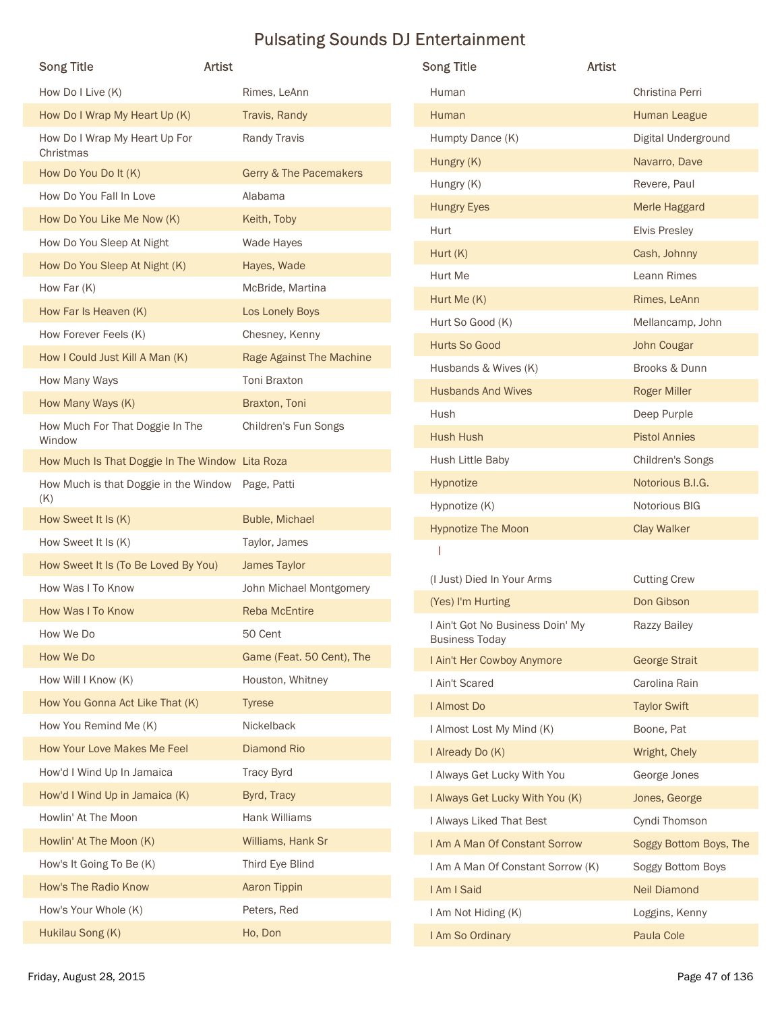|                                                   |                                   | <b>Pulsating Sounds DJ Entertainment</b> |                                     |
|---------------------------------------------------|-----------------------------------|------------------------------------------|-------------------------------------|
| <b>Song Title</b><br>Artist                       |                                   | <b>Song Title</b><br>Artist              |                                     |
| How Do I Live (K)                                 | Rimes, LeAnn                      | Human                                    | Christina Perri                     |
| How Do I Wrap My Heart Up (K)                     | Travis, Randy                     | Human                                    | Human League                        |
| How Do I Wrap My Heart Up For                     | Randy Travis                      | Humpty Dance (K)                         | Digital Underground                 |
| Christmas<br>How Do You Do It (K)                 | <b>Gerry &amp; The Pacemakers</b> | Hungry (K)                               | Navarro, Dave                       |
| How Do You Fall In Love                           | Alabama                           | Hungry (K)                               | Revere, Paul                        |
| How Do You Like Me Now (K)                        | Keith, Toby                       | <b>Hungry Eyes</b>                       | Merle Haggard                       |
| How Do You Sleep At Night                         | Wade Hayes                        | Hurt                                     | <b>Elvis Presley</b>                |
| How Do You Sleep At Night (K)                     | Hayes, Wade                       | Hurt (K)                                 | Cash, Johnny                        |
| How Far (K)                                       | McBride, Martina                  | Hurt Me                                  | Leann Rimes                         |
| How Far Is Heaven (K)                             | Los Lonely Boys                   | Hurt Me (K)                              | Rimes, LeAnn                        |
| How Forever Feels (K)                             | Chesney, Kenny                    | Hurt So Good (K)                         | Mellancamp, John                    |
| How I Could Just Kill A Man (K)                   | Rage Against The Machine          | Hurts So Good                            | John Cougar                         |
| How Many Ways                                     | Toni Braxton                      | Husbands & Wives (K)                     | Brooks & Dunn                       |
| How Many Ways (K)                                 | Braxton, Toni                     | <b>Husbands And Wives</b>                | <b>Roger Miller</b>                 |
| How Much For That Doggie In The<br>Window         | Children's Fun Songs              | Hush<br><b>Hush Hush</b>                 | Deep Purple<br><b>Pistol Annies</b> |
| How Much Is That Doggie In The Window Lita Roza   |                                   | Hush Little Baby                         | Children's Songs                    |
| How Much is that Doggie in the Window Page, Patti |                                   | Hypnotize                                | Notorious B.I.G.                    |
| (K)                                               |                                   | Hypnotize (K)                            | Notorious BIG                       |
| How Sweet It Is (K)                               | Buble, Michael                    | <b>Hypnotize The Moon</b>                | <b>Clay Walker</b>                  |
| How Sweet It Is (K)                               | Taylor, James                     |                                          |                                     |
| How Sweet It Is (To Be Loved By You)              | James Taylor                      | (I Just) Died In Your Arms               | <b>Cutting Crew</b>                 |
| How Was I To Know                                 | John Michael Montgomery           | (Yes) I'm Hurting                        | Don Gibson                          |
| How Was I To Know<br>How We Do                    | Reba McEntire<br>50 Cent          | I Ain't Got No Business Doin' My         | Razzy Bailey                        |
| How We Do                                         | Game (Feat. 50 Cent), The         | <b>Business Today</b>                    |                                     |
| How Will I Know (K)                               | Houston, Whitney                  | I Ain't Her Cowboy Anymore               | <b>George Strait</b>                |
| How You Gonna Act Like That (K)                   | <b>Tyrese</b>                     | I Ain't Scared<br>I Almost Do            | Carolina Rain                       |
| How You Remind Me (K)                             | Nickelback                        | I Almost Lost My Mind (K)                | <b>Taylor Swift</b><br>Boone, Pat   |
| How Your Love Makes Me Feel                       | <b>Diamond Rio</b>                | I Already Do (K)                         | Wright, Chely                       |
| How'd I Wind Up In Jamaica                        | <b>Tracy Byrd</b>                 | I Always Get Lucky With You              | George Jones                        |
| How'd I Wind Up in Jamaica (K)                    | Byrd, Tracy                       | I Always Get Lucky With You (K)          | Jones, George                       |
| Howlin' At The Moon                               | Hank Williams                     | I Always Liked That Best                 | Cyndi Thomson                       |
| Howlin' At The Moon (K)                           | Williams, Hank Sr                 | I Am A Man Of Constant Sorrow            | Soggy Bottom Boys, The              |
| How's It Going To Be (K)                          | Third Eye Blind                   | I Am A Man Of Constant Sorrow (K)        | Soggy Bottom Boys                   |
| How's The Radio Know                              | Aaron Tippin                      | I Am I Said                              | Neil Diamond                        |
| How's Your Whole (K)                              | Peters, Red                       | I Am Not Hiding (K)                      | Loggins, Kenny                      |
| Hukilau Song (K)                                  | Ho, Don                           | I Am So Ordinary                         | Paula Cole                          |
|                                                   |                                   |                                          |                                     |

| <b>Entertainment</b>                                      |        |                        |
|-----------------------------------------------------------|--------|------------------------|
| <b>Song Title</b>                                         | Artist |                        |
| Human                                                     |        | Christina Perri        |
| Human                                                     |        | Human League           |
| Humpty Dance (K)                                          |        | Digital Underground    |
| Hungry (K)                                                |        | Navarro, Dave          |
| Hungry (K)                                                |        | Revere, Paul           |
| <b>Hungry Eyes</b>                                        |        | Merle Haggard          |
| Hurt                                                      |        | Elvis Presley          |
| Hurt (K)                                                  |        | Cash, Johnny           |
| Hurt Me                                                   |        | Leann Rimes            |
| Hurt Me (K)                                               |        | Rimes, LeAnn           |
| Hurt So Good (K)                                          |        | Mellancamp, John       |
| <b>Hurts So Good</b>                                      |        | John Cougar            |
| Husbands & Wives (K)                                      |        | Brooks & Dunn          |
| <b>Husbands And Wives</b>                                 |        | <b>Roger Miller</b>    |
| Hush                                                      |        | Deep Purple            |
| <b>Hush Hush</b>                                          |        | <b>Pistol Annies</b>   |
| Hush Little Baby                                          |        | Children's Songs       |
| Hypnotize                                                 |        | Notorious B.I.G.       |
| Hypnotize (K)                                             |        | Notorious BIG          |
| <b>Hypnotize The Moon</b>                                 |        | Clay Walker            |
|                                                           |        |                        |
| (I Just) Died In Your Arms                                |        | <b>Cutting Crew</b>    |
| (Yes) I'm Hurting                                         |        | Don Gibson             |
| I Ain't Got No Business Doin' My<br><b>Business Today</b> |        | Razzy Bailey           |
| I Ain't Her Cowboy Anymore                                |        | <b>George Strait</b>   |
| I Ain't Scared                                            |        | Carolina Rain          |
| I Almost Do                                               |        | <b>Taylor Swift</b>    |
| I Almost Lost My Mind (K)                                 |        | Boone, Pat             |
| I Already Do (K)                                          |        | Wright, Chely          |
| I Always Get Lucky With You                               |        | George Jones           |
| I Always Get Lucky With You (K)                           |        | Jones, George          |
| I Always Liked That Best                                  |        | Cyndi Thomson          |
| I Am A Man Of Constant Sorrow                             |        | Soggy Bottom Boys, The |
| I Am A Man Of Constant Sorrow (K)                         |        | Soggy Bottom Boys      |
| I Am I Said                                               |        | <b>Neil Diamond</b>    |
| I Am Not Hiding (K)                                       |        | Loggins, Kenny         |
| I Am So Ordinary                                          |        | Paula Cole             |
|                                                           |        | Page 47 of 136         |
|                                                           |        |                        |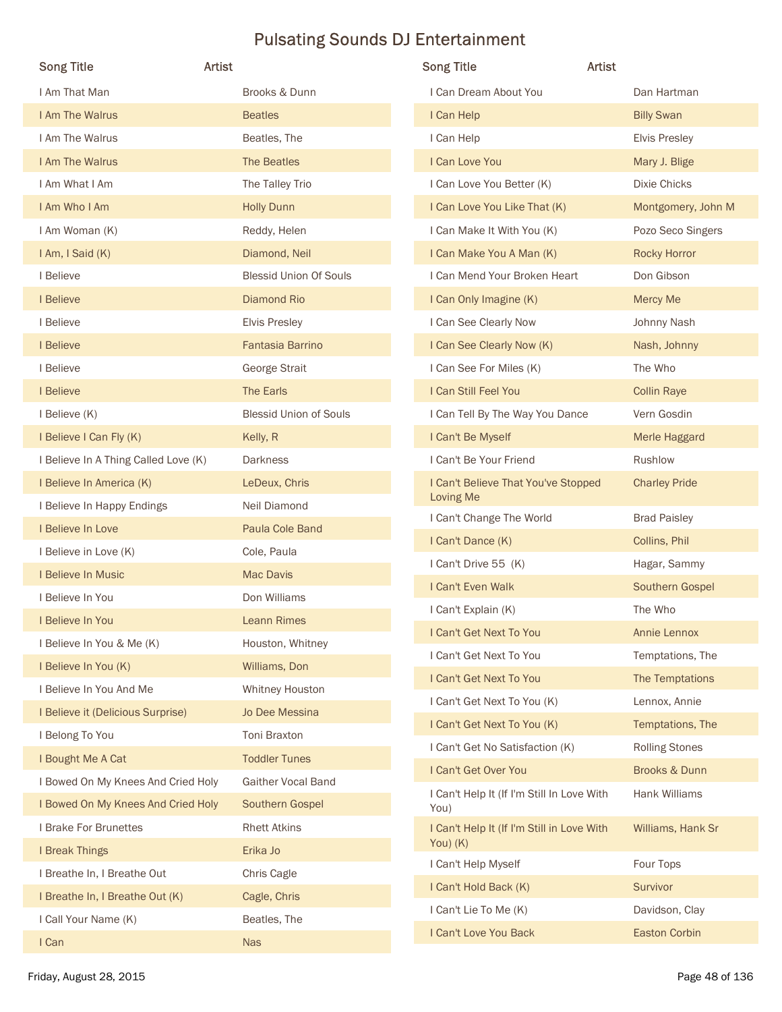| <b>Song Title</b><br>Artist          |                               | <b>Song Title</b><br>Artist                   |                                      |
|--------------------------------------|-------------------------------|-----------------------------------------------|--------------------------------------|
| I Am That Man                        | Brooks & Dunn                 | I Can Dream About You                         | Dan Hartman                          |
| I Am The Walrus                      | <b>Beatles</b>                | I Can Help                                    | <b>Billy Swan</b>                    |
| I Am The Walrus                      | Beatles, The                  | I Can Help                                    | <b>Elvis Presley</b>                 |
| I Am The Walrus                      | The Beatles                   | I Can Love You                                | Mary J. Blige                        |
| I Am What I Am                       | The Talley Trio               | I Can Love You Better (K)                     | Dixie Chicks                         |
| I Am Who I Am                        | <b>Holly Dunn</b>             | I Can Love You Like That (K)                  | Montgomery, John M                   |
| I Am Woman (K)                       | Reddy, Helen                  | I Can Make It With You (K)                    | Pozo Seco Singers                    |
| I Am, I Said (K)                     | Diamond, Neil                 | I Can Make You A Man (K)                      | <b>Rocky Horror</b>                  |
| I Believe                            | <b>Blessid Union Of Souls</b> | I Can Mend Your Broken Heart                  | Don Gibson                           |
| I Believe                            | Diamond Rio                   | I Can Only Imagine (K)                        | Mercy Me                             |
| I Believe                            | <b>Elvis Presley</b>          | I Can See Clearly Now                         | Johnny Nash                          |
| I Believe                            | Fantasia Barrino              | I Can See Clearly Now (K)                     | Nash, Johnny                         |
| I Believe                            | George Strait                 | I Can See For Miles (K)                       | The Who                              |
| I Believe                            | The Earls                     | I Can Still Feel You                          | <b>Collin Raye</b>                   |
| I Believe (K)                        | <b>Blessid Union of Souls</b> | I Can Tell By The Way You Dance               | Vern Gosdin                          |
| I Believe I Can Fly (K)              | Kelly, R                      | I Can't Be Myself                             | Merle Haggard                        |
| I Believe In A Thing Called Love (K) | Darkness                      | I Can't Be Your Friend                        | Rushlow                              |
| I Believe In America (K)             | LeDeux, Chris                 | I Can't Believe That You've Stopped           | <b>Charley Pride</b>                 |
| I Believe In Happy Endings           | Neil Diamond                  | Loving Me                                     |                                      |
| I Believe In Love                    | Paula Cole Band               | I Can't Change The World<br>I Can't Dance (K) | <b>Brad Paisley</b><br>Collins, Phil |
| I Believe in Love (K)                | Cole, Paula                   | I Can't Drive 55 (K)                          | Hagar, Sammy                         |
| I Believe In Music                   | Mac Davis                     | I Can't Even Walk                             | Southern Gospel                      |
| I Believe In You                     | Don Williams                  | I Can't Explain (K)                           | The Who                              |
| I Believe In You                     | <b>Leann Rimes</b>            | I Can't Get Next To You                       | Annie Lennox                         |
| I Believe In You & Me (K)            | Houston, Whitney              | I Can't Get Next To You                       | Temptations, The                     |
| I Believe In You (K)                 | Williams, Don                 | I Can't Get Next To You                       | The Temptations                      |
| I Believe In You And Me              | Whitney Houston               | I Can't Get Next To You (K)                   | Lennox, Annie                        |
| I Believe it (Delicious Surprise)    | Jo Dee Messina                | I Can't Get Next To You (K)                   | Temptations, The                     |
| I Belong To You                      | Toni Braxton                  | I Can't Get No Satisfaction (K)               | <b>Rolling Stones</b>                |
| I Bought Me A Cat                    | <b>Toddler Tunes</b>          | I Can't Get Over You                          | Brooks & Dunn                        |
| I Bowed On My Knees And Cried Holy   | Gaither Vocal Band            | I Can't Help It (If I'm Still In Love With    | Hank Williams                        |
| I Bowed On My Knees And Cried Holy   | Southern Gospel               | You)                                          |                                      |
| I Brake For Brunettes                | <b>Rhett Atkins</b>           | I Can't Help It (If I'm Still in Love With    | Williams, Hank Sr                    |
| I Break Things                       | Erika Jo                      | You) (K)<br>I Can't Help Myself               | Four Tops                            |
| I Breathe In, I Breathe Out          | Chris Cagle                   | I Can't Hold Back (K)                         | Survivor                             |
| I Breathe In, I Breathe Out (K)      | Cagle, Chris                  | I Can't Lie To Me (K)                         | Davidson, Clay                       |
|                                      | Beatles, The                  | I Can't Love You Back                         | Easton Corbin                        |
| I Call Your Name (K)                 |                               |                                               |                                      |

| <b>Intertainment</b>                                   |                       |
|--------------------------------------------------------|-----------------------|
| <b>Song Title</b>                                      | Artist                |
| I Can Dream About You                                  | Dan Hartman           |
| I Can Help                                             | <b>Billy Swan</b>     |
| I Can Help                                             | <b>Elvis Presley</b>  |
| I Can Love You                                         | Mary J. Blige         |
| I Can Love You Better (K)                              | Dixie Chicks          |
| I Can Love You Like That (K)                           | Montgomery, John M    |
| I Can Make It With You (K)                             | Pozo Seco Singers     |
| I Can Make You A Man (K)                               | Rocky Horror          |
| I Can Mend Your Broken Heart                           | Don Gibson            |
| I Can Only Imagine (K)                                 | Mercy Me              |
| I Can See Clearly Now                                  | Johnny Nash           |
| I Can See Clearly Now (K)                              | Nash, Johnny          |
| I Can See For Miles (K)                                | The Who               |
| I Can Still Feel You                                   | <b>Collin Raye</b>    |
| I Can Tell By The Way You Dance                        | Vern Gosdin           |
| I Can't Be Myself                                      | Merle Haggard         |
| I Can't Be Your Friend                                 | Rushlow               |
| I Can't Believe That You've Stopped<br>Loving Me       | <b>Charley Pride</b>  |
| I Can't Change The World                               | <b>Brad Paisley</b>   |
| I Can't Dance (K)                                      | Collins, Phil         |
| I Can't Drive 55 (K)                                   | Hagar, Sammy          |
| I Can't Even Walk                                      | Southern Gospel       |
| I Can't Explain (K)                                    | The Who               |
| I Can't Get Next To You                                | Annie Lennox          |
| I Can't Get Next To You                                | Temptations, The      |
| I Can't Get Next To You                                | The Temptations       |
| I Can't Get Next To You (K)                            | Lennox, Annie         |
| I Can't Get Next To You (K)                            | Temptations, The      |
| I Can't Get No Satisfaction (K)                        | <b>Rolling Stones</b> |
| I Can't Get Over You                                   | Brooks & Dunn         |
| I Can't Help It (If I'm Still In Love With<br>You)     | Hank Williams         |
| I Can't Help It (If I'm Still in Love With<br>You) (K) | Williams, Hank Sr     |
| I Can't Help Myself                                    | Four Tops             |
| I Can't Hold Back (K)                                  | Survivor              |
| I Can't Lie To Me (K)                                  | Davidson, Clay        |
| I Can't Love You Back                                  | <b>Easton Corbin</b>  |
|                                                        |                       |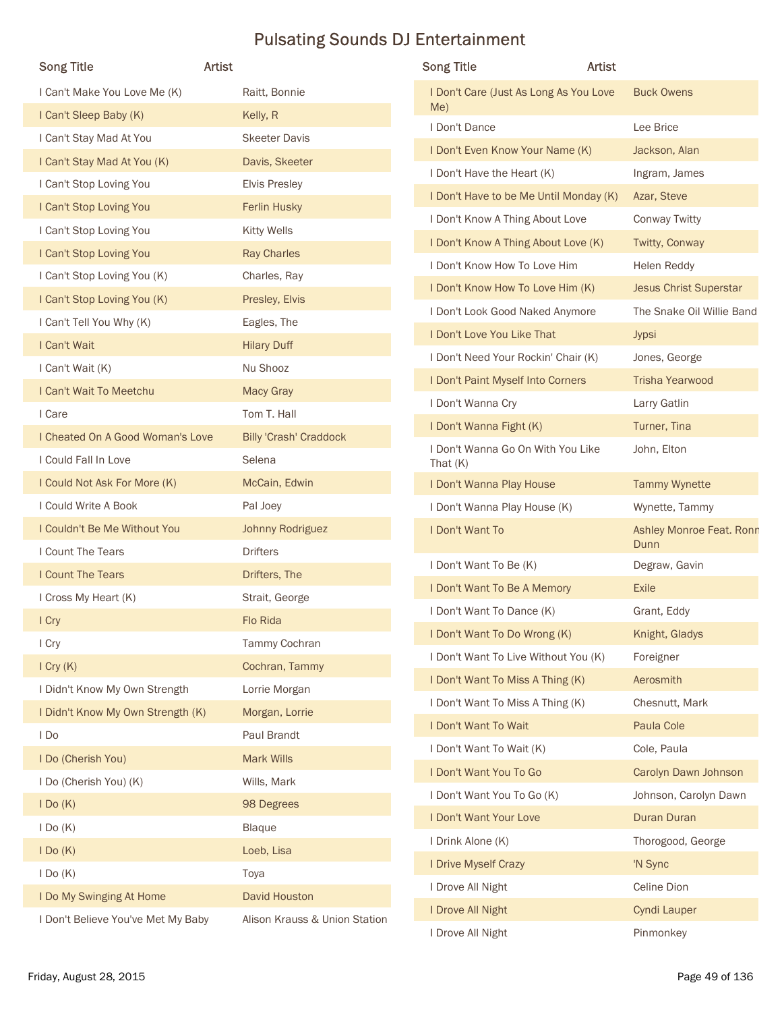| <b>Song Title</b><br>Artist        |                               | <b>Song Title</b><br>Artist                                         |                                              |
|------------------------------------|-------------------------------|---------------------------------------------------------------------|----------------------------------------------|
| I Can't Make You Love Me (K)       | Raitt, Bonnie                 | I Don't Care (Just As Long As You Love                              | <b>Buck Owens</b>                            |
| I Can't Sleep Baby (K)             | Kelly, R                      | Me)                                                                 |                                              |
| I Can't Stay Mad At You            | <b>Skeeter Davis</b>          | I Don't Dance                                                       | Lee Brice                                    |
| I Can't Stay Mad At You (K)        | Davis, Skeeter                | I Don't Even Know Your Name (K)                                     | Jackson, Alan                                |
| I Can't Stop Loving You            | <b>Elvis Presley</b>          | I Don't Have the Heart (K)                                          | Ingram, James                                |
| I Can't Stop Loving You            | Ferlin Husky                  | I Don't Have to be Me Until Monday (K)                              | Azar, Steve                                  |
| I Can't Stop Loving You            | <b>Kitty Wells</b>            | I Don't Know A Thing About Love                                     | Conway Twitty                                |
| I Can't Stop Loving You            | <b>Ray Charles</b>            | I Don't Know A Thing About Love (K)                                 | Twitty, Conway                               |
| I Can't Stop Loving You (K)        | Charles, Ray                  | I Don't Know How To Love Him                                        | Helen Reddy<br><b>Jesus Christ Superstar</b> |
| I Can't Stop Loving You (K)        | Presley, Elvis                | I Don't Know How To Love Him (K)<br>I Don't Look Good Naked Anymore | The Snake Oil Willie Band                    |
| I Can't Tell You Why (K)           | Eagles, The                   | I Don't Love You Like That                                          | Jypsi                                        |
| I Can't Wait                       | <b>Hilary Duff</b>            | I Don't Need Your Rockin' Chair (K)                                 | Jones, George                                |
| I Can't Wait (K)                   | Nu Shooz                      | I Don't Paint Myself Into Corners                                   | Trisha Yearwood                              |
| I Can't Wait To Meetchu            | <b>Macy Gray</b>              | I Don't Wanna Cry                                                   | Larry Gatlin                                 |
| I Care                             | Tom T. Hall                   | I Don't Wanna Fight (K)                                             | Turner, Tina                                 |
| I Cheated On A Good Woman's Love   | <b>Billy 'Crash' Craddock</b> | I Don't Wanna Go On With You Like                                   | John, Elton                                  |
| I Could Fall In Love               | Selena                        | That $(K)$                                                          |                                              |
| I Could Not Ask For More (K)       | McCain, Edwin                 | I Don't Wanna Play House                                            | <b>Tammy Wynette</b>                         |
| I Could Write A Book               | Pal Joey                      | I Don't Wanna Play House (K)                                        | Wynette, Tammy                               |
| I Couldn't Be Me Without You       | Johnny Rodriguez              | I Don't Want To                                                     | Ashley Monroe Feat. Ronr<br>Dunn             |
| I Count The Tears                  | <b>Drifters</b>               | I Don't Want To Be (K)                                              | Degraw, Gavin                                |
| I Count The Tears                  | Drifters, The                 | I Don't Want To Be A Memory                                         | Exile                                        |
| I Cross My Heart (K)               | Strait, George                | I Don't Want To Dance (K)                                           | Grant, Eddy                                  |
| I Cry                              | Flo Rida                      | I Don't Want To Do Wrong (K)                                        | Knight, Gladys                               |
| I Cry                              | Tammy Cochran                 | I Don't Want To Live Without You (K)                                | Foreigner                                    |
| I Cry (K)                          | Cochran, Tammy                | I Don't Want To Miss A Thing (K)                                    | Aerosmith                                    |
| I Didn't Know My Own Strength      | Lorrie Morgan                 | I Don't Want To Miss A Thing (K)                                    | Chesnutt, Mark                               |
| I Didn't Know My Own Strength (K)  | Morgan, Lorrie                | I Don't Want To Wait                                                | Paula Cole                                   |
| l Do                               | Paul Brandt                   | I Don't Want To Wait (K)                                            | Cole, Paula                                  |
| I Do (Cherish You)                 | Mark Wills                    | I Don't Want You To Go                                              | Carolyn Dawn Johnson                         |
| I Do (Cherish You) (K)             | Wills, Mark                   | I Don't Want You To Go (K)                                          | Johnson, Carolyn Dawn                        |
| IDo(K)                             | 98 Degrees                    | I Don't Want Your Love                                              | Duran Duran                                  |
| $I$ Do $(K)$                       | Blaque                        | I Drink Alone (K)                                                   | Thorogood, George                            |
| IDo(K)                             | Loeb, Lisa                    | I Drive Myself Crazy                                                | 'N Sync                                      |
| IOo(K)<br>I Do My Swinging At Home | Toya<br>David Houston         | I Drove All Night                                                   | Celine Dion                                  |
| I Don't Believe You've Met My Baby | Alison Krauss & Union Station | I Drove All Night                                                   | Cyndi Lauper                                 |
|                                    |                               | I Drove All Night                                                   | Pinmonkey                                    |
|                                    |                               |                                                                     | Page 49 of 136                               |

| Entertainment                                   |                                  |  |
|-------------------------------------------------|----------------------------------|--|
| <b>Song Title</b>                               | <b>Artist</b>                    |  |
| I Don't Care (Just As Long As You Love<br>Me)   | <b>Buck Owens</b>                |  |
| I Don't Dance                                   | Lee Brice                        |  |
| I Don't Even Know Your Name (K)                 | Jackson, Alan                    |  |
| I Don't Have the Heart (K)                      | Ingram, James                    |  |
| I Don't Have to be Me Until Monday (K)          | Azar, Steve                      |  |
| I Don't Know A Thing About Love                 | Conway Twitty                    |  |
| I Don't Know A Thing About Love (K)             | Twitty, Conway                   |  |
| I Don't Know How To Love Him                    | Helen Reddy                      |  |
| I Don't Know How To Love Him (K)                | <b>Jesus Christ Superstar</b>    |  |
| I Don't Look Good Naked Anymore                 | The Snake Oil Willie Band        |  |
| I Don't Love You Like That                      | <b>Jypsi</b>                     |  |
| I Don't Need Your Rockin' Chair (K)             | Jones, George                    |  |
| I Don't Paint Myself Into Corners               | <b>Trisha Yearwood</b>           |  |
| I Don't Wanna Cry                               | Larry Gatlin                     |  |
| I Don't Wanna Fight (K)                         | Turner, Tina                     |  |
| I Don't Wanna Go On With You Like<br>That $(K)$ | John, Elton                      |  |
| I Don't Wanna Play House                        | <b>Tammy Wynette</b>             |  |
| I Don't Wanna Play House (K)                    | Wynette, Tammy                   |  |
| I Don't Want To                                 | Ashley Monroe Feat. Ronn<br>Dunn |  |
| I Don't Want To Be (K)                          | Degraw, Gavin                    |  |
| I Don't Want To Be A Memory                     | Exile                            |  |
| I Don't Want To Dance (K)                       | Grant, Eddy                      |  |
| I Don't Want To Do Wrong (K)                    | Knight, Gladys                   |  |
| I Don't Want To Live Without You (K)            | Foreigner                        |  |
| I Don't Want To Miss A Thing (K)                | Aerosmith                        |  |
| I Don't Want To Miss A Thing (K)                | Chesnutt, Mark                   |  |
| I Don't Want To Wait                            | Paula Cole                       |  |
| I Don't Want To Wait (K)                        | Cole, Paula                      |  |
| I Don't Want You To Go                          | Carolyn Dawn Johnson             |  |
| I Don't Want You To Go (K)                      | Johnson, Carolyn Dawn            |  |
| I Don't Want Your Love                          | <b>Duran Duran</b>               |  |
| I Drink Alone (K)                               | Thorogood, George                |  |
| I Drive Myself Crazy                            | 'N Sync                          |  |
| I Drove All Night                               | Celine Dion                      |  |
| I Drove All Night                               | Cyndi Lauper                     |  |
| I Drove All Night                               | Pinmonkey                        |  |
|                                                 |                                  |  |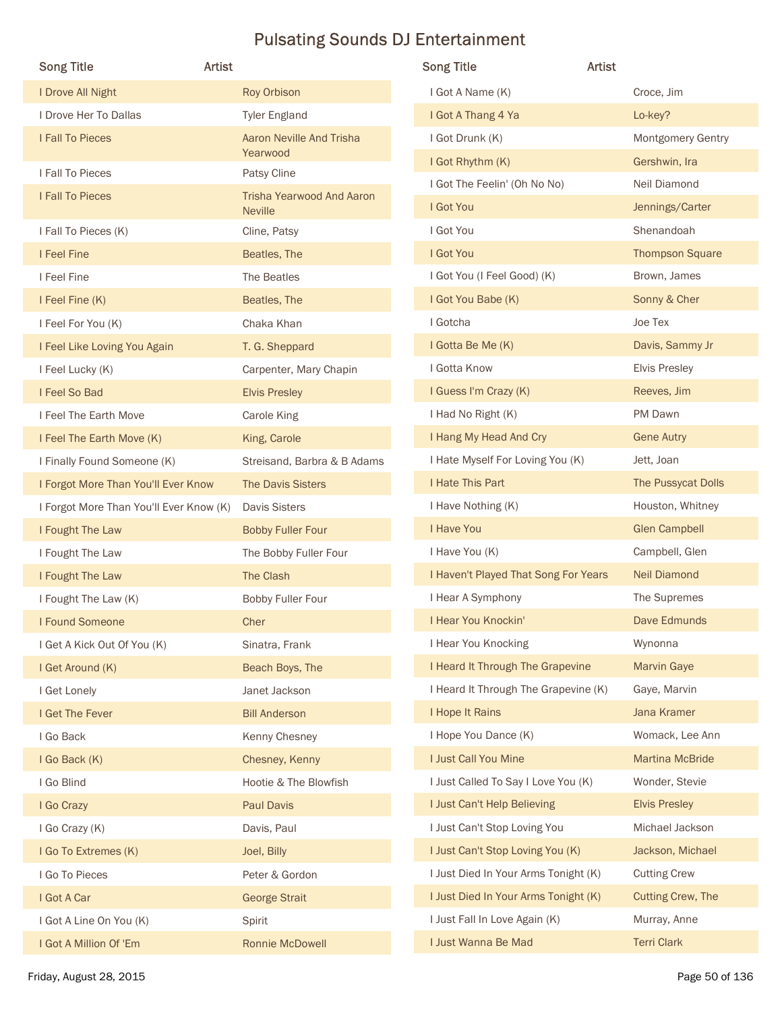| <b>Song Title</b><br>Artist             |                                      |                                                  |                               |
|-----------------------------------------|--------------------------------------|--------------------------------------------------|-------------------------------|
|                                         |                                      | Artist<br><b>Song Title</b>                      |                               |
| I Drove All Night                       | Roy Orbison                          | I Got A Name (K)                                 | Croce, Jim                    |
| I Drove Her To Dallas                   | <b>Tyler England</b>                 | I Got A Thang 4 Ya                               | Lo-key?                       |
| I Fall To Pieces                        | Aaron Neville And Trisha<br>Yearwood | I Got Drunk (K)                                  | Montgomery Gentry             |
| I Fall To Pieces                        | Patsy Cline                          | I Got Rhythm (K)<br>I Got The Feelin' (Oh No No) | Gershwin, Ira<br>Neil Diamond |
| I Fall To Pieces                        | <b>Trisha Yearwood And Aaron</b>     | I Got You                                        | Jennings/Carter               |
|                                         | <b>Neville</b>                       | I Got You                                        | Shenandoah                    |
| I Fall To Pieces (K)<br>I Feel Fine     | Cline, Patsy<br>Beatles, The         | I Got You                                        | <b>Thompson Square</b>        |
| I Feel Fine                             | The Beatles                          | I Got You (I Feel Good) (K)                      | Brown, James                  |
| I Feel Fine (K)                         | Beatles, The                         | I Got You Babe (K)                               | Sonny & Cher                  |
| I Feel For You (K)                      | Chaka Khan                           | I Gotcha                                         | Joe Tex                       |
| I Feel Like Loving You Again            | T. G. Sheppard                       | I Gotta Be Me (K)                                | Davis, Sammy Jr               |
| I Feel Lucky (K)                        | Carpenter, Mary Chapin               | I Gotta Know                                     | <b>Elvis Presley</b>          |
| I Feel So Bad                           | <b>Elvis Presley</b>                 | I Guess I'm Crazy (K)                            | Reeves, Jim                   |
| I Feel The Earth Move                   | Carole King                          | I Had No Right (K)                               | PM Dawn                       |
| I Feel The Earth Move (K)               | King, Carole                         | I Hang My Head And Cry                           | <b>Gene Autry</b>             |
| I Finally Found Someone (K)             | Streisand, Barbra & B Adams          | I Hate Myself For Loving You (K)                 | Jett, Joan                    |
| I Forgot More Than You'll Ever Know     | The Davis Sisters                    | I Hate This Part                                 | The Pussycat Dolls            |
| I Forgot More Than You'll Ever Know (K) | <b>Davis Sisters</b>                 | I Have Nothing (K)                               | Houston, Whitney              |
| I Fought The Law                        | <b>Bobby Fuller Four</b>             | I Have You                                       | <b>Glen Campbell</b>          |
| I Fought The Law                        | The Bobby Fuller Four                | I Have You (K)                                   | Campbell, Glen                |
| I Fought The Law                        | The Clash                            | I Haven't Played That Song For Years             | <b>Neil Diamond</b>           |
| I Fought The Law (K)                    | <b>Bobby Fuller Four</b>             | I Hear A Symphony                                | The Supremes                  |
| I Found Someone                         | Cher                                 | I Hear You Knockin'                              | Dave Edmunds                  |
| I Get A Kick Out Of You (K)             | Sinatra, Frank                       | I Hear You Knocking                              | Wynonna                       |
| I Get Around (K)                        | Beach Boys, The                      | I Heard It Through The Grapevine                 | <b>Marvin Gaye</b>            |
| I Get Lonely                            | Janet Jackson                        | I Heard It Through The Grapevine (K)             | Gaye, Marvin                  |
| I Get The Fever                         | <b>Bill Anderson</b>                 | I Hope It Rains                                  | Jana Kramer                   |
| I Go Back                               | Kenny Chesney                        | I Hope You Dance (K)                             | Womack, Lee Ann               |
| I Go Back (K)                           | Chesney, Kenny                       | I Just Call You Mine                             | <b>Martina McBride</b>        |
| I Go Blind                              | Hootie & The Blowfish                | I Just Called To Say I Love You (K)              | Wonder, Stevie                |
| I Go Crazy                              | Paul Davis                           | I Just Can't Help Believing                      | <b>Elvis Presley</b>          |
| I Go Crazy (K)                          | Davis, Paul                          | I Just Can't Stop Loving You                     | Michael Jackson               |
| I Go To Extremes (K)                    | Joel, Billy                          | I Just Can't Stop Loving You (K)                 | Jackson, Michael              |
| I Go To Pieces                          | Peter & Gordon                       | I Just Died In Your Arms Tonight (K)             | <b>Cutting Crew</b>           |
| I Got A Car                             | <b>George Strait</b>                 | I Just Died In Your Arms Tonight (K)             | <b>Cutting Crew, The</b>      |
|                                         | Spirit                               | I Just Fall In Love Again (K)                    | Murray, Anne                  |
| I Got A Line On You (K)                 |                                      |                                                  |                               |

| <b>Entertainment</b>                                   |                                |
|--------------------------------------------------------|--------------------------------|
| <b>Song Title</b><br>Artist                            |                                |
| I Got A Name (K)                                       | Croce, Jim                     |
| I Got A Thang 4 Ya                                     | Lo-key?                        |
| I Got Drunk (K)                                        | <b>Montgomery Gentry</b>       |
| I Got Rhythm (K)                                       | Gershwin, Ira                  |
| I Got The Feelin' (Oh No No)                           | Neil Diamond                   |
| I Got You                                              | Jennings/Carter                |
| I Got You                                              | Shenandoah                     |
| I Got You                                              | <b>Thompson Square</b>         |
| I Got You (I Feel Good) (K)                            | Brown, James                   |
| I Got You Babe (K)                                     | Sonny & Cher                   |
| I Gotcha                                               | Joe Tex                        |
| I Gotta Be Me (K)                                      | Davis, Sammy Jr                |
| I Gotta Know                                           | Elvis Presley                  |
| I Guess I'm Crazy (K)                                  | Reeves, Jim                    |
| I Had No Right (K)                                     | PM Dawn                        |
| I Hang My Head And Cry                                 | <b>Gene Autry</b>              |
| I Hate Myself For Loving You (K)                       | Jett, Joan                     |
| I Hate This Part                                       | The Pussycat Dolls             |
| I Have Nothing (K)                                     | Houston, Whitney               |
| I Have You                                             | <b>Glen Campbell</b>           |
| I Have You (K)<br>I Haven't Played That Song For Years | Campbell, Glen<br>Neil Diamond |
| I Hear A Symphony                                      | The Supremes                   |
| I Hear You Knockin'                                    | Dave Edmunds                   |
| I Hear You Knocking                                    | Wynonna                        |
| I Heard It Through The Grapevine                       | Marvin Gaye                    |
| I Heard It Through The Grapevine (K)                   | Gaye, Marvin                   |
| I Hope It Rains                                        | Jana Kramer                    |
| I Hope You Dance (K)                                   | Womack, Lee Ann                |
| I Just Call You Mine                                   | <b>Martina McBride</b>         |
| I Just Called To Say I Love You (K)                    | Wonder, Stevie                 |
| I Just Can't Help Believing                            | <b>Elvis Presley</b>           |
| I Just Can't Stop Loving You                           | Michael Jackson                |
| I Just Can't Stop Loving You (K)                       | Jackson, Michael               |
| I Just Died In Your Arms Tonight (K)                   | <b>Cutting Crew</b>            |
| I Just Died In Your Arms Tonight (K)                   | <b>Cutting Crew, The</b>       |
| I Just Fall In Love Again (K)                          | Murray, Anne                   |
| I Just Wanna Be Mad                                    | <b>Terri Clark</b>             |
|                                                        | Page 50 of 136                 |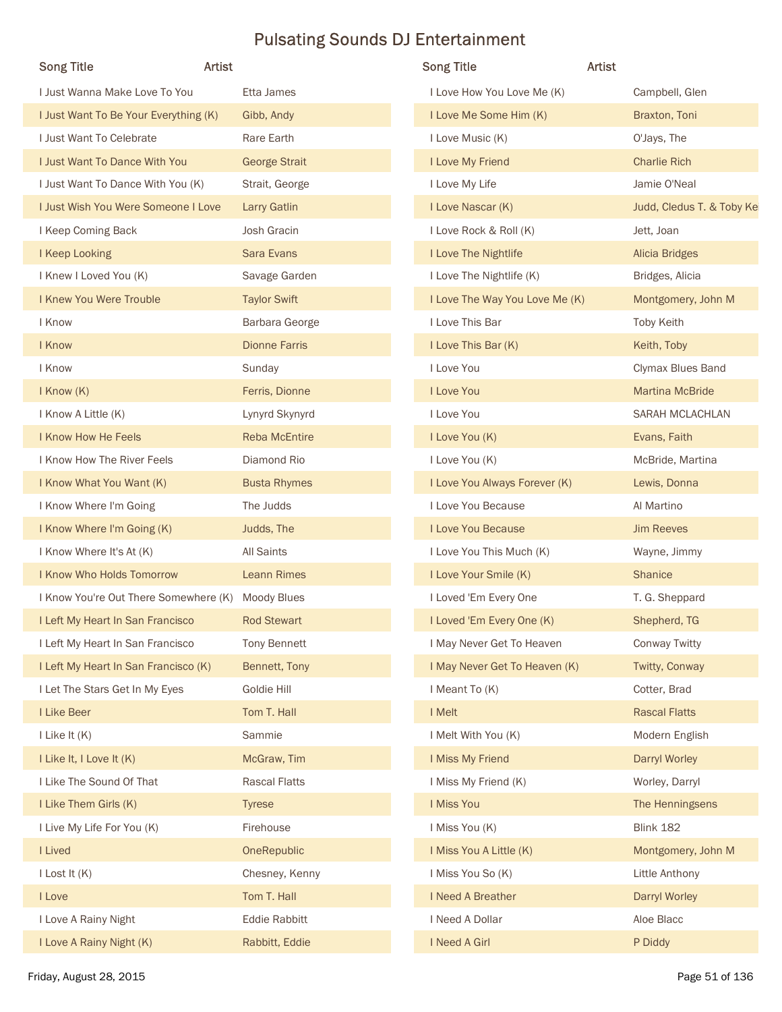| <b>Song Title</b><br>Artist           |                      | <b>Song Title</b><br>Artist    |                           |
|---------------------------------------|----------------------|--------------------------------|---------------------------|
| I Just Wanna Make Love To You         | Etta James           | I Love How You Love Me (K)     | Campbell, Glen            |
| I Just Want To Be Your Everything (K) | Gibb, Andy           | I Love Me Some Him (K)         | Braxton, Toni             |
| I Just Want To Celebrate              | Rare Earth           | I Love Music (K)               | O'Jays, The               |
| I Just Want To Dance With You         | <b>George Strait</b> | I Love My Friend               | <b>Charlie Rich</b>       |
| I Just Want To Dance With You (K)     | Strait, George       | I Love My Life                 | Jamie O'Neal              |
| I Just Wish You Were Someone I Love   | <b>Larry Gatlin</b>  | I Love Nascar (K)              | Judd, Cledus T. & Toby Ke |
| I Keep Coming Back                    | Josh Gracin          | I Love Rock & Roll (K)         | Jett, Joan                |
| I Keep Looking                        | Sara Evans           | I Love The Nightlife           | Alicia Bridges            |
| I Knew I Loved You (K)                | Savage Garden        | I Love The Nightlife (K)       | Bridges, Alicia           |
| I Knew You Were Trouble               | <b>Taylor Swift</b>  | I Love The Way You Love Me (K) | Montgomery, John M        |
| I Know                                | Barbara George       | I Love This Bar                | Toby Keith                |
| I Know                                | <b>Dionne Farris</b> | I Love This Bar (K)            | Keith, Toby               |
| I Know                                | Sunday               | I Love You                     | Clymax Blues Band         |
| I Know (K)                            | Ferris, Dionne       | I Love You                     | <b>Martina McBride</b>    |
| I Know A Little (K)                   | Lynyrd Skynyrd       | I Love You                     | SARAH MCLACHLAN           |
| I Know How He Feels                   | Reba McEntire        | I Love You (K)                 | Evans, Faith              |
| I Know How The River Feels            | Diamond Rio          | I Love You (K)                 | McBride, Martina          |
| I Know What You Want (K)              | <b>Busta Rhymes</b>  | I Love You Always Forever (K)  | Lewis, Donna              |
| I Know Where I'm Going                | The Judds            | I Love You Because             | Al Martino                |
| I Know Where I'm Going (K)            | Judds, The           | I Love You Because             | <b>Jim Reeves</b>         |
| I Know Where It's At (K)              | All Saints           | I Love You This Much (K)       | Wayne, Jimmy              |
| I Know Who Holds Tomorrow             | <b>Leann Rimes</b>   | I Love Your Smile (K)          | Shanice                   |
| I Know You're Out There Somewhere (K) | <b>Moody Blues</b>   | I Loved 'Em Every One          | T. G. Sheppard            |
| I Left My Heart In San Francisco      | <b>Rod Stewart</b>   | I Loved 'Em Every One (K)      | Shepherd, TG              |
| I Left My Heart In San Francisco      | Tony Bennett         | I May Never Get To Heaven      | <b>Conway Twitty</b>      |
| I Left My Heart In San Francisco (K)  | Bennett, Tony        | I May Never Get To Heaven (K)  | Twitty, Conway            |
| I Let The Stars Get In My Eyes        | Goldie Hill          | I Meant To (K)                 | Cotter, Brad              |
| I Like Beer                           | Tom T. Hall          | I Melt                         | <b>Rascal Flatts</b>      |
| I Like It (K)                         | Sammie               | I Melt With You (K)            | Modern English            |
| I Like It, I Love It (K)              | McGraw, Tim          | I Miss My Friend               | Darryl Worley             |
| I Like The Sound Of That              | Rascal Flatts        | I Miss My Friend (K)           | Worley, Darryl            |
| I Like Them Girls (K)                 | <b>Tyrese</b>        | I Miss You                     | The Henningsens           |
| I Live My Life For You (K)            | Firehouse            | I Miss You (K)                 | Blink 182                 |
| I Lived                               | OneRepublic          | I Miss You A Little (K)        | Montgomery, John M        |
| I Lost It (K)                         | Chesney, Kenny       | I Miss You So (K)              | Little Anthony            |
| I Love                                | Tom T. Hall          | I Need A Breather              | <b>Darryl Worley</b>      |
| I Love A Rainy Night                  | <b>Eddie Rabbitt</b> | I Need A Dollar                | Aloe Blacc                |
| I Love A Rainy Night (K)              | Rabbitt, Eddie       | I Need A Girl                  | P Diddy                   |

| <b>Entertainment</b>                               |                                |
|----------------------------------------------------|--------------------------------|
| <b>Song Title</b>                                  | Artist                         |
| I Love How You Love Me (K)                         | Campbell, Glen                 |
| I Love Me Some Him (K)                             | Braxton, Toni                  |
| I Love Music (K)                                   | O'Jays, The                    |
| I Love My Friend                                   | <b>Charlie Rich</b>            |
| I Love My Life                                     | Jamie O'Neal                   |
| I Love Nascar (K)                                  | Judd, Cledus T. & Toby Ke      |
| I Love Rock & Roll (K)                             | Jett, Joan                     |
| I Love The Nightlife                               | <b>Alicia Bridges</b>          |
| I Love The Nightlife (K)                           | Bridges, Alicia                |
| I Love The Way You Love Me (K)                     | Montgomery, John M             |
| I Love This Bar                                    | Toby Keith                     |
| I Love This Bar (K)                                | Keith, Toby                    |
| I Love You                                         | Clymax Blues Band              |
| I Love You                                         | Martina McBride                |
| I Love You                                         | SARAH MCLACHLAN                |
| I Love You (K)                                     | Evans, Faith                   |
| I Love You (K)                                     | McBride, Martina               |
| I Love You Always Forever (K)                      | Lewis, Donna                   |
| I Love You Because                                 | Al Martino                     |
| I Love You Because                                 | <b>Jim Reeves</b>              |
| I Love You This Much (K)                           | Wayne, Jimmy                   |
| I Love Your Smile (K)                              | Shanice                        |
| I Loved 'Em Every One<br>I Loved 'Em Every One (K) | T. G. Sheppard<br>Shepherd, TG |
| I May Never Get To Heaven                          | Conway Twitty                  |
| I May Never Get To Heaven (K)                      | Twitty, Conway                 |
| I Meant To (K)                                     | Cotter, Brad                   |
| I Melt                                             | <b>Rascal Flatts</b>           |
| I Melt With You (K)                                | Modern English                 |
| I Miss My Friend                                   | Darryl Worley                  |
| I Miss My Friend (K)                               | Worley, Darryl                 |
| I Miss You                                         | The Henningsens                |
| I Miss You (K)                                     | Blink 182                      |
| I Miss You A Little (K)                            | Montgomery, John M             |
| I Miss You So (K)                                  | Little Anthony                 |
| I Need A Breather                                  | Darryl Worley                  |
| I Need A Dollar                                    | Aloe Blacc                     |
| I Need A Girl                                      | P Diddy                        |
|                                                    | Page 51 of 136                 |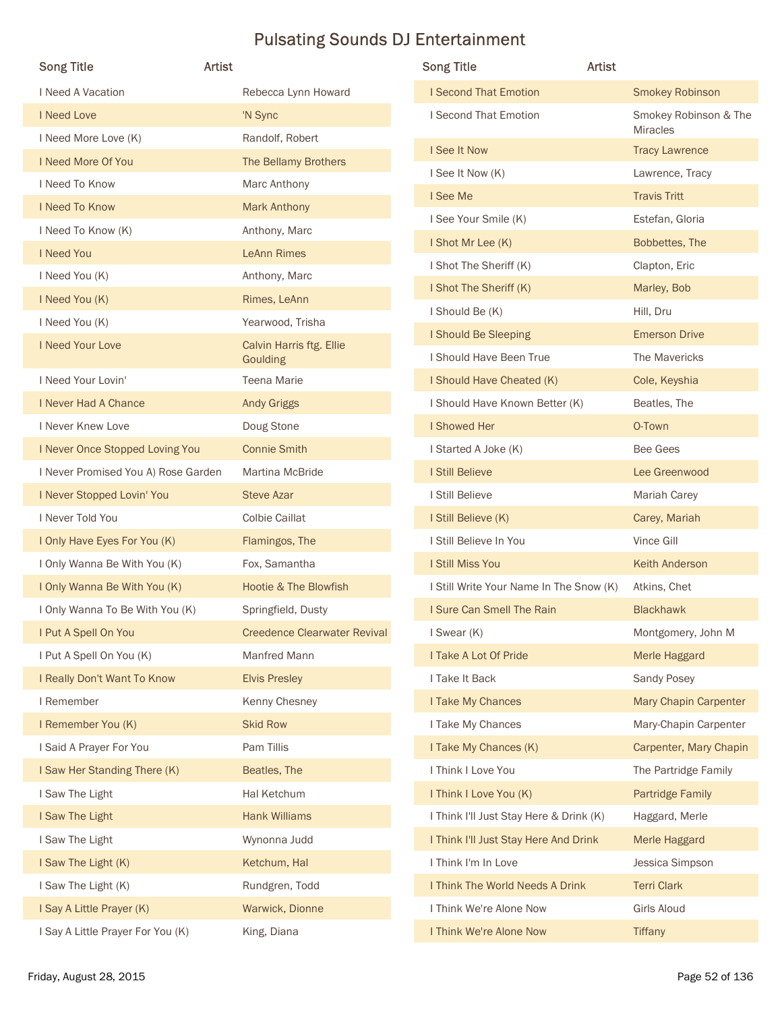| <b>Song Title</b><br>Artist         |                                     | <b>Song Title</b><br>Artist             |                                        |
|-------------------------------------|-------------------------------------|-----------------------------------------|----------------------------------------|
| I Need A Vacation                   | Rebecca Lynn Howard                 | <b>I Second That Emotion</b>            | Smokey Robinson                        |
| I Need Love                         | 'N Sync                             | I Second That Emotion                   | Smokey Robinson & The                  |
| I Need More Love (K)                | Randolf, Robert                     |                                         | Miracles                               |
| I Need More Of You                  | The Bellamy Brothers                | I See It Now                            | <b>Tracy Lawrence</b>                  |
| I Need To Know                      | Marc Anthony                        | I See It Now (K)<br>I See Me            | Lawrence, Tracy<br><b>Travis Tritt</b> |
| I Need To Know                      | <b>Mark Anthony</b>                 | I See Your Smile (K)                    | Estefan, Gloria                        |
| I Need To Know (K)                  | Anthony, Marc                       | I Shot Mr Lee (K)                       | Bobbettes, The                         |
| I Need You                          | <b>LeAnn Rimes</b>                  | I Shot The Sheriff (K)                  | Clapton, Eric                          |
| I Need You (K)                      | Anthony, Marc                       | I Shot The Sheriff (K)                  | Marley, Bob                            |
| I Need You (K)                      | Rimes, LeAnn                        | I Should Be (K)                         | Hill, Dru                              |
| I Need You (K)                      | Yearwood, Trisha                    | I Should Be Sleeping                    | <b>Emerson Drive</b>                   |
| I Need Your Love                    | Calvin Harris ftg. Ellie            | I Should Have Been True                 | The Mavericks                          |
| I Need Your Lovin'                  | Goulding<br>Teena Marie             | I Should Have Cheated (K)               | Cole, Keyshia                          |
| I Never Had A Chance                | <b>Andy Griggs</b>                  | I Should Have Known Better (K)          | Beatles, The                           |
| I Never Knew Love                   | Doug Stone                          | I Showed Her                            | O-Town                                 |
| I Never Once Stopped Loving You     | <b>Connie Smith</b>                 | I Started A Joke (K)                    | Bee Gees                               |
| I Never Promised You A) Rose Garden | Martina McBride                     | I Still Believe                         | Lee Greenwood                          |
| I Never Stopped Lovin' You          | <b>Steve Azar</b>                   | I Still Believe                         | Mariah Carey                           |
| I Never Told You                    | <b>Colbie Caillat</b>               | I Still Believe (K)                     | Carey, Mariah                          |
|                                     |                                     |                                         | Vince Gill                             |
| I Only Have Eyes For You (K)        | Flamingos, The                      | I Still Believe In You                  |                                        |
| I Only Wanna Be With You (K)        | Fox, Samantha                       | I Still Miss You                        | Keith Anderson                         |
| I Only Wanna Be With You (K)        | Hootie & The Blowfish               | I Still Write Your Name In The Snow (K) | Atkins, Chet                           |
| I Only Wanna To Be With You (K)     | Springfield, Dusty                  | I Sure Can Smell The Rain               | <b>Blackhawk</b>                       |
| I Put A Spell On You                | <b>Creedence Clearwater Revival</b> | I Swear (K)                             | Montgomery, John M                     |
| I Put A Spell On You (K)            | Manfred Mann                        | I Take A Lot Of Pride                   | Merle Haggard                          |
| I Really Don't Want To Know         | <b>Elvis Presley</b>                | I Take It Back                          | Sandy Posey                            |
| I Remember                          | Kenny Chesney                       | I Take My Chances                       | Mary Chapin Carpenter                  |
| I Remember You (K)                  | <b>Skid Row</b>                     | I Take My Chances                       | Mary-Chapin Carpenter                  |
| I Said A Prayer For You             | Pam Tillis                          | I Take My Chances (K)                   | Carpenter, Mary Chapin                 |
| I Saw Her Standing There (K)        | Beatles, The                        | I Think I Love You                      | The Partridge Family                   |
| I Saw The Light                     | Hal Ketchum                         | I Think I Love You (K)                  | <b>Partridge Family</b>                |
| I Saw The Light                     | <b>Hank Williams</b>                | I Think I'll Just Stay Here & Drink (K) | Haggard, Merle                         |
| I Saw The Light                     | Wynonna Judd                        | I Think I'll Just Stay Here And Drink   | Merle Haggard                          |
| I Saw The Light (K)                 | Ketchum, Hal                        | I Think I'm In Love                     | Jessica Simpson                        |
| I Saw The Light (K)                 | Rundgren, Todd                      | I Think The World Needs A Drink         | <b>Terri Clark</b>                     |
| I Say A Little Prayer (K)           | Warwick, Dionne                     | I Think We're Alone Now                 | Girls Aloud                            |
| I Say A Little Prayer For You (K)   | King, Diana                         | I Think We're Alone Now                 | Tiffany                                |

| Artist |                                                                                                                                                                                                  |
|--------|--------------------------------------------------------------------------------------------------------------------------------------------------------------------------------------------------|
|        |                                                                                                                                                                                                  |
|        | Smokey Robinson                                                                                                                                                                                  |
|        | Smokey Robinson & The<br><b>Miracles</b>                                                                                                                                                         |
|        | <b>Tracy Lawrence</b>                                                                                                                                                                            |
|        | Lawrence, Tracy                                                                                                                                                                                  |
|        | <b>Travis Tritt</b>                                                                                                                                                                              |
|        | Estefan, Gloria                                                                                                                                                                                  |
|        | Bobbettes, The                                                                                                                                                                                   |
|        | Clapton, Eric                                                                                                                                                                                    |
|        | Marley, Bob                                                                                                                                                                                      |
|        | Hill, Dru                                                                                                                                                                                        |
|        | <b>Emerson Drive</b>                                                                                                                                                                             |
|        | The Mavericks                                                                                                                                                                                    |
|        | Cole, Keyshia                                                                                                                                                                                    |
|        | Beatles, The                                                                                                                                                                                     |
|        | O-Town                                                                                                                                                                                           |
|        | <b>Bee Gees</b>                                                                                                                                                                                  |
|        | Lee Greenwood                                                                                                                                                                                    |
|        | Mariah Carey                                                                                                                                                                                     |
|        | Carey, Mariah                                                                                                                                                                                    |
|        | Vince Gill                                                                                                                                                                                       |
|        | Keith Anderson                                                                                                                                                                                   |
|        | Atkins, Chet                                                                                                                                                                                     |
|        | <b>Blackhawk</b>                                                                                                                                                                                 |
|        | Montgomery, John M                                                                                                                                                                               |
|        | Merle Haggard                                                                                                                                                                                    |
|        | Sandy Posey                                                                                                                                                                                      |
|        | Mary Chapin Carpenter                                                                                                                                                                            |
|        | Mary-Chapin Carpenter                                                                                                                                                                            |
|        | Carpenter, Mary Chapin                                                                                                                                                                           |
|        | The Partridge Family                                                                                                                                                                             |
|        | <b>Partridge Family</b>                                                                                                                                                                          |
|        | Haggard, Merle                                                                                                                                                                                   |
|        | Merle Haggard                                                                                                                                                                                    |
|        | Jessica Simpson                                                                                                                                                                                  |
|        | <b>Terri Clark</b>                                                                                                                                                                               |
|        | Girls Aloud                                                                                                                                                                                      |
|        |                                                                                                                                                                                                  |
|        | <b>Tiffany</b>                                                                                                                                                                                   |
|        |                                                                                                                                                                                                  |
|        | Page 52 of 136                                                                                                                                                                                   |
|        | I Should Have Known Better (K)<br>I Still Write Your Name In The Snow (K)<br>I Think I'll Just Stay Here & Drink (K)<br>I Think I'll Just Stay Here And Drink<br>I Think The World Needs A Drink |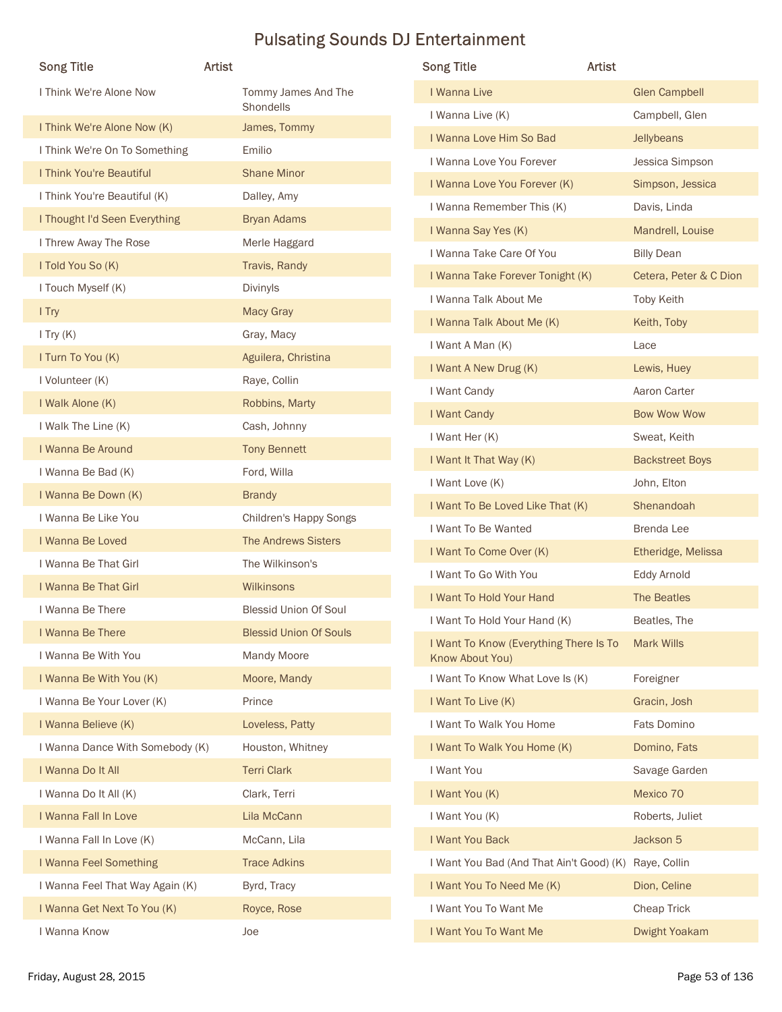|                                 | Artist                        | <b>Song Title</b><br>Artist                               |                        |
|---------------------------------|-------------------------------|-----------------------------------------------------------|------------------------|
| I Think We're Alone Now         | Tommy James And The           | I Wanna Live                                              | <b>Glen Campbell</b>   |
| I Think We're Alone Now (K)     | Shondells<br>James, Tommy     | I Wanna Live (K)                                          | Campbell, Glen         |
| I Think We're On To Something   | Emilio                        | I Wanna Love Him So Bad                                   | Jellybeans             |
| I Think You're Beautiful        | <b>Shane Minor</b>            | I Wanna Love You Forever                                  | Jessica Simpson        |
| I Think You're Beautiful (K)    | Dalley, Amy                   | I Wanna Love You Forever (K)                              | Simpson, Jessica       |
| I Thought I'd Seen Everything   | <b>Bryan Adams</b>            | I Wanna Remember This (K)                                 | Davis, Linda           |
| I Threw Away The Rose           | Merle Haggard                 | I Wanna Say Yes (K)                                       | Mandrell, Louise       |
| I Told You So (K)               | Travis, Randy                 | I Wanna Take Care Of You                                  | <b>Billy Dean</b>      |
| I Touch Myself (K)              | Divinyls                      | I Wanna Take Forever Tonight (K)                          | Cetera, Peter & C Dion |
| I Try                           | Macy Gray                     | I Wanna Talk About Me                                     | Toby Keith             |
| $I$ Try $(K)$                   | Gray, Macy                    | I Wanna Talk About Me (K)                                 | Keith, Toby            |
| I Turn To You (K)               | Aguilera, Christina           | I Want A Man (K)                                          | Lace                   |
| I Volunteer (K)                 | Raye, Collin                  | I Want A New Drug (K)                                     | Lewis, Huey            |
| I Walk Alone (K)                | Robbins, Marty                | I Want Candy                                              | Aaron Carter           |
| I Walk The Line (K)             | Cash, Johnny                  | I Want Candy                                              | <b>Bow Wow Wow</b>     |
| I Wanna Be Around               | <b>Tony Bennett</b>           | I Want Her (K)                                            | Sweat, Keith           |
| I Wanna Be Bad (K)              | Ford, Willa                   | I Want It That Way (K)                                    | <b>Backstreet Boys</b> |
| I Wanna Be Down (K)             | <b>Brandy</b>                 | I Want Love (K)                                           | John, Elton            |
| I Wanna Be Like You             | Children's Happy Songs        | I Want To Be Loved Like That (K)                          | Shenandoah             |
| I Wanna Be Loved                | The Andrews Sisters           | I Want To Be Wanted                                       | Brenda Lee             |
| I Wanna Be That Girl            | The Wilkinson's               | I Want To Come Over (K)                                   | Etheridge, Melissa     |
| I Wanna Be That Girl            | Wilkinsons                    | I Want To Go With You                                     | Eddy Arnold            |
| I Wanna Be There                | Blessid Union Of Soul         | I Want To Hold Your Hand                                  | The Beatles            |
| I Wanna Be There                | <b>Blessid Union Of Souls</b> | I Want To Hold Your Hand (K)                              | Beatles, The           |
| I Wanna Be With You             | <b>Mandy Moore</b>            | I Want To Know (Everything There Is To<br>Know About You) | Mark Wills             |
| I Wanna Be With You (K)         | Moore, Mandy                  | I Want To Know What Love Is (K)                           | Foreigner              |
| I Wanna Be Your Lover (K)       | Prince                        | I Want To Live (K)                                        | Gracin, Josh           |
| I Wanna Believe (K)             | Loveless, Patty               | I Want To Walk You Home                                   | Fats Domino            |
| I Wanna Dance With Somebody (K) | Houston, Whitney              | I Want To Walk You Home (K)                               | Domino, Fats           |
| I Wanna Do It All               | <b>Terri Clark</b>            | I Want You                                                | Savage Garden          |
| I Wanna Do It All (K)           | Clark, Terri                  | I Want You (K)                                            | Mexico 70              |
| I Wanna Fall In Love            | Lila McCann                   | I Want You (K)                                            | Roberts, Juliet        |
| I Wanna Fall In Love (K)        | McCann, Lila                  | I Want You Back                                           | Jackson 5              |
| I Wanna Feel Something          | <b>Trace Adkins</b>           | I Want You Bad (And That Ain't Good) (K) Raye, Collin     |                        |
| I Wanna Feel That Way Again (K) | Byrd, Tracy                   | I Want You To Need Me (K)                                 | Dion, Celine           |
| I Wanna Get Next To You (K)     | Royce, Rose                   | I Want You To Want Me                                     | Cheap Trick            |
|                                 |                               |                                                           |                        |

| <b>Entertainment</b>   |                                                       |                        |
|------------------------|-------------------------------------------------------|------------------------|
| <b>Song Title</b>      | Artist                                                |                        |
| I Wanna Live           |                                                       | <b>Glen Campbell</b>   |
| I Wanna Live (K)       |                                                       | Campbell, Glen         |
|                        | I Wanna Love Him So Bad                               | Jellybeans             |
|                        | I Wanna Love You Forever                              | Jessica Simpson        |
|                        | I Wanna Love You Forever (K)                          | Simpson, Jessica       |
|                        | I Wanna Remember This (K)                             | Davis, Linda           |
| I Wanna Say Yes (K)    |                                                       | Mandrell, Louise       |
|                        | I Wanna Take Care Of You                              | <b>Billy Dean</b>      |
|                        | I Wanna Take Forever Tonight (K)                      | Cetera, Peter & C Dion |
| I Wanna Talk About Me  |                                                       | Toby Keith             |
|                        | I Wanna Talk About Me (K)                             | Keith, Toby            |
| I Want A Man (K)       |                                                       | Lace                   |
| I Want A New Drug (K)  |                                                       | Lewis, Huey            |
| I Want Candy           |                                                       | Aaron Carter           |
| I Want Candy           |                                                       | <b>Bow Wow Wow</b>     |
| I Want Her (K)         |                                                       | Sweat, Keith           |
| I Want It That Way (K) |                                                       | <b>Backstreet Boys</b> |
| I Want Love (K)        |                                                       | John, Elton            |
|                        | I Want To Be Loved Like That (K)                      | Shenandoah             |
| I Want To Be Wanted    |                                                       | Brenda Lee             |
|                        | I Want To Come Over (K)                               | Etheridge, Melissa     |
| I Want To Go With You  |                                                       | Eddy Arnold            |
|                        | I Want To Hold Your Hand                              | The Beatles            |
|                        | I Want To Hold Your Hand (K)                          | Beatles, The           |
| Know About You)        | I Want To Know (Everything There Is To                | <b>Mark Wills</b>      |
|                        | I Want To Know What Love Is (K)                       | Foreigner              |
| I Want To Live (K)     |                                                       | Gracin, Josh           |
|                        | I Want To Walk You Home                               | Fats Domino            |
|                        | I Want To Walk You Home (K)                           | Domino, Fats           |
| I Want You             |                                                       | Savage Garden          |
| I Want You (K)         |                                                       | Mexico 70              |
| I Want You (K)         |                                                       | Roberts, Juliet        |
| I Want You Back        |                                                       | Jackson 5              |
|                        | I Want You Bad (And That Ain't Good) (K) Raye, Collin |                        |
|                        | I Want You To Need Me (K)                             | Dion, Celine           |
| I Want You To Want Me  |                                                       | Cheap Trick            |
|                        |                                                       | Dwight Yoakam          |
| I Want You To Want Me  |                                                       |                        |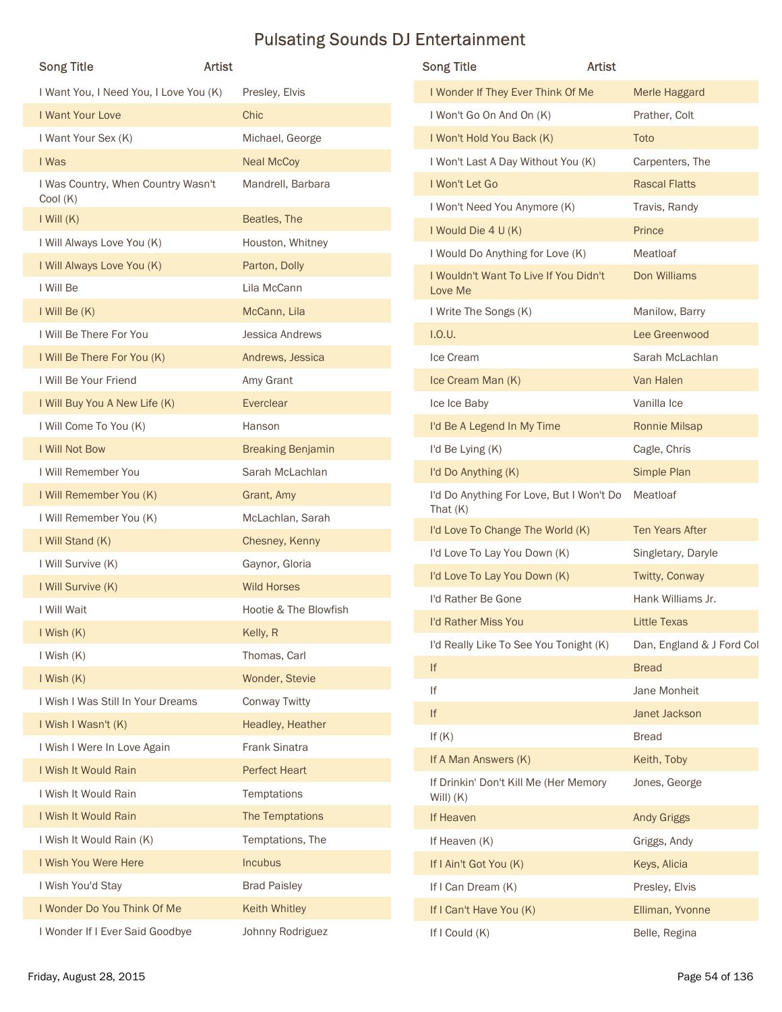| <b>Song Title</b><br>Artist                                | <b>Pulsating Sounds DJ Entertainment</b> | <b>Song Title</b><br>Artist                                     |                                |
|------------------------------------------------------------|------------------------------------------|-----------------------------------------------------------------|--------------------------------|
|                                                            | Presley, Elvis                           | I Wonder If They Ever Think Of Me                               |                                |
| I Want You, I Need You, I Love You (K)<br>I Want Your Love | Chic                                     | I Won't Go On And On (K)                                        | Merle Haggard<br>Prather, Colt |
| I Want Your Sex (K)                                        | Michael, George                          | I Won't Hold You Back (K)                                       | Toto                           |
| I Was                                                      | <b>Neal McCoy</b>                        | I Won't Last A Day Without You (K)                              | Carpenters, The                |
| I Was Country, When Country Wasn't                         | Mandrell, Barbara                        | I Won't Let Go                                                  | <b>Rascal Flatts</b>           |
| Cool (K)                                                   |                                          | I Won't Need You Anymore (K)                                    | Travis, Randy                  |
| I Will (K)                                                 | Beatles, The                             | I Would Die 4 U (K)                                             | Prince                         |
| I Will Always Love You (K)                                 | Houston, Whitney                         | I Would Do Anything for Love (K)                                | Meatloaf                       |
| I Will Always Love You (K)                                 | Parton, Dolly                            | I Wouldn't Want To Live If You Didn't                           | Don Williams                   |
| I Will Be                                                  | Lila McCann                              | Love Me                                                         |                                |
| I Will Be (K)                                              | McCann, Lila                             | I Write The Songs (K)                                           | Manilow, Barry                 |
| I Will Be There For You                                    | Jessica Andrews                          | I.0.U.                                                          | Lee Greenwood                  |
| I Will Be There For You (K)                                | Andrews, Jessica                         | Ice Cream                                                       | Sarah McLachlan                |
| I Will Be Your Friend                                      | Amy Grant                                | Ice Cream Man (K)                                               | Van Halen                      |
| I Will Buy You A New Life (K)                              | Everclear                                | Ice Ice Baby                                                    | Vanilla Ice                    |
| I Will Come To You (K)                                     | Hanson                                   | I'd Be A Legend In My Time                                      | Ronnie Milsap                  |
| I Will Not Bow                                             | <b>Breaking Benjamin</b>                 | I'd Be Lying (K)                                                | Cagle, Chris                   |
| I Will Remember You                                        | Sarah McLachlan                          | I'd Do Anything (K)                                             | Simple Plan                    |
| I Will Remember You (K)                                    | Grant, Amy                               | I'd Do Anything For Love, But I Won't Do Meatloaf<br>That $(K)$ |                                |
| I Will Remember You (K)                                    | McLachlan, Sarah                         | I'd Love To Change The World (K)                                | Ten Years After                |
| I Will Stand (K)                                           | Chesney, Kenny                           | I'd Love To Lay You Down (K)                                    | Singletary, Daryle             |
| I Will Survive (K)                                         | Gaynor, Gloria                           | I'd Love To Lay You Down (K)                                    | Twitty, Conway                 |
| I Will Survive (K)                                         | <b>Wild Horses</b>                       | I'd Rather Be Gone                                              | Hank Williams Jr.              |
| I Will Wait                                                | Hootie & The Blowfish                    | I'd Rather Miss You                                             | <b>Little Texas</b>            |
| I Wish (K)                                                 | Kelly, R<br>Thomas, Carl                 | I'd Really Like To See You Tonight (K)                          | Dan, England & J Ford Col      |
| I Wish (K)<br>I Wish (K)                                   | Wonder, Stevie                           | f                                                               | <b>Bread</b>                   |
| I Wish I Was Still In Your Dreams                          | Conway Twitty                            | If                                                              | Jane Monheit                   |
| I Wish I Wasn't (K)                                        | Headley, Heather                         | f                                                               | Janet Jackson                  |
| I Wish I Were In Love Again                                | Frank Sinatra                            | If $(K)$                                                        | <b>Bread</b>                   |
| I Wish It Would Rain                                       | Perfect Heart                            | If A Man Answers (K)                                            | Keith, Toby                    |
| I Wish It Would Rain                                       | Temptations                              | If Drinkin' Don't Kill Me (Her Memory<br>Will $)$ (K)           | Jones, George                  |
| I Wish It Would Rain                                       | The Temptations                          | If Heaven                                                       | <b>Andy Griggs</b>             |
| I Wish It Would Rain (K)                                   | Temptations, The                         | If Heaven (K)                                                   | Griggs, Andy                   |
| I Wish You Were Here                                       | Incubus                                  | If I Ain't Got You (K)                                          | Keys, Alicia                   |
| I Wish You'd Stay                                          | <b>Brad Paisley</b>                      | If I Can Dream (K)                                              | Presley, Elvis                 |
| I Wonder Do You Think Of Me                                | Keith Whitley                            | If I Can't Have You (K)                                         | Elliman, Yvonne                |
| I Wonder If I Ever Said Goodbye                            | Johnny Rodriguez                         | If I Could (K)                                                  | Belle, Regina                  |
| riday, August 28, 2015                                     |                                          |                                                                 | Page 54 of 136                 |

| Artist<br><b>Song Title</b>                                |                          | Artist<br><b>Song Title</b>                                     |                           |
|------------------------------------------------------------|--------------------------|-----------------------------------------------------------------|---------------------------|
|                                                            |                          |                                                                 |                           |
| I Want You, I Need You, I Love You (K)<br>I Want Your Love | Presley, Elvis           | I Wonder If They Ever Think Of Me                               | Merle Haggard             |
| I Want Your Sex (K)                                        | Chic<br>Michael, George  | I Won't Go On And On (K)<br>I Won't Hold You Back (K)           | Prather, Colt<br>Toto     |
| I Was                                                      | Neal McCoy               | I Won't Last A Day Without You (K)                              | Carpenters, The           |
| I Was Country, When Country Wasn't                         | Mandrell, Barbara        | I Won't Let Go                                                  | <b>Rascal Flatts</b>      |
| Cool (K)                                                   |                          | I Won't Need You Anymore (K)                                    | Travis, Randy             |
| $I$ Will $(K)$                                             | Beatles, The             | I Would Die 4 U (K)                                             | Prince                    |
| I Will Always Love You (K)                                 | Houston, Whitney         | I Would Do Anything for Love (K)                                | Meatloaf                  |
| I Will Always Love You (K)                                 | Parton, Dolly            | I Wouldn't Want To Live If You Didn't                           | Don Williams              |
| I Will Be                                                  | Lila McCann              | Love Me                                                         |                           |
| I Will Be (K)                                              | McCann, Lila             | I Write The Songs (K)                                           | Manilow, Barry            |
| I Will Be There For You                                    | Jessica Andrews          | 1.0.0.                                                          | Lee Greenwood             |
| I Will Be There For You (K)                                | Andrews, Jessica         | Ice Cream                                                       | Sarah McLachlan           |
| I Will Be Your Friend                                      | Amy Grant                | Ice Cream Man (K)                                               | Van Halen                 |
| I Will Buy You A New Life (K)                              | Everclear                | Ice Ice Baby                                                    | Vanilla Ice               |
| I Will Come To You (K)                                     | Hanson                   | I'd Be A Legend In My Time                                      | Ronnie Milsap             |
| I Will Not Bow                                             | <b>Breaking Benjamin</b> | I'd Be Lying (K)                                                | Cagle, Chris              |
| I Will Remember You                                        | Sarah McLachlan          | I'd Do Anything (K)                                             | Simple Plan               |
| I Will Remember You (K)                                    | Grant, Amy               | I'd Do Anything For Love, But I Won't Do Meatloaf<br>That $(K)$ |                           |
| I Will Remember You (K)                                    | McLachlan, Sarah         | I'd Love To Change The World (K)                                | Ten Years After           |
| I Will Stand (K)                                           | Chesney, Kenny           | I'd Love To Lay You Down (K)                                    | Singletary, Daryle        |
| I Will Survive (K)                                         | Gaynor, Gloria           | I'd Love To Lay You Down (K)                                    | Twitty, Conway            |
| I Will Survive (K)                                         | <b>Wild Horses</b>       | I'd Rather Be Gone                                              | Hank Williams Jr.         |
| I Will Wait                                                | Hootie & The Blowfish    | I'd Rather Miss You                                             | Little Texas              |
| I Wish (K)                                                 | Kelly, R                 | I'd Really Like To See You Tonight (K)                          | Dan, England & J Ford Col |
| I Wish (K)                                                 | Thomas, Carl             | If                                                              | <b>Bread</b>              |
| I Wish (K)                                                 | Wonder, Stevie           | lf                                                              | Jane Monheit              |
| I Wish I Was Still In Your Dreams                          | <b>Conway Twitty</b>     | f                                                               | Janet Jackson             |
| I Wish I Wasn't (K)                                        | Headley, Heather         | If $(K)$                                                        | <b>Bread</b>              |
| I Wish I Were In Love Again                                | Frank Sinatra            | If A Man Answers (K)                                            | Keith, Toby               |
| I Wish It Would Rain                                       | <b>Perfect Heart</b>     | If Drinkin' Don't Kill Me (Her Memory                           | Jones, George             |
| I Wish It Would Rain                                       | Temptations              | Will $)$ (K)                                                    |                           |
| I Wish It Would Rain                                       | The Temptations          | If Heaven                                                       | Andy Griggs               |
| I Wish It Would Rain (K)                                   | Temptations, The         | If Heaven (K)                                                   | Griggs, Andy              |
| I Wish You Were Here                                       | Incubus                  | If I Ain't Got You (K)                                          | Keys, Alicia              |
| I Wish You'd Stay                                          | <b>Brad Paisley</b>      | If I Can Dream (K)                                              | Presley, Elvis            |
| I Wonder Do You Think Of Me                                | Keith Whitley            | If I Can't Have You (K)                                         | Elliman, Yvonne           |
| I Wonder If I Ever Said Goodbye                            | Johnny Rodriguez         | If I Could (K)                                                  | Belle, Regina             |
|                                                            |                          |                                                                 |                           |
| Friday, August 28, 2015                                    |                          |                                                                 | Page 54 of 136            |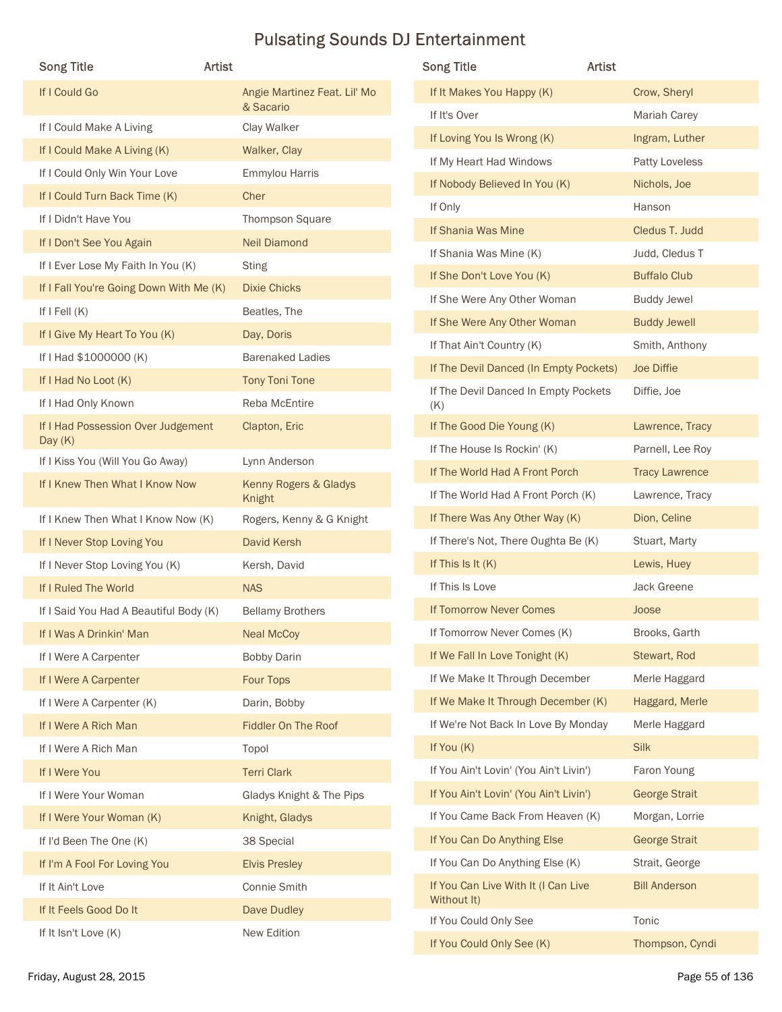|                                         | Artist                          | <b>Song Title</b><br>Artist                 |                       |
|-----------------------------------------|---------------------------------|---------------------------------------------|-----------------------|
| If I Could Go                           | Angie Martinez Feat. Lil' Mo    | If It Makes You Happy (K)                   | Crow, Sheryl          |
| If I Could Make A Living                | & Sacario<br>Clay Walker        | If It's Over                                | Mariah Carey          |
| If I Could Make A Living (K)            | Walker, Clay                    | If Loving You Is Wrong (K)                  | Ingram, Luther        |
| If I Could Only Win Your Love           | Emmylou Harris                  | If My Heart Had Windows                     | Patty Loveless        |
| If I Could Turn Back Time (K)           | Cher                            | If Nobody Believed In You (K)               | Nichols, Joe          |
| If I Didn't Have You                    | Thompson Square                 | If Only                                     | Hanson                |
| If I Don't See You Again                | <b>Neil Diamond</b>             | If Shania Was Mine                          | Cledus T. Judd        |
| If I Ever Lose My Faith In You (K)      | <b>Sting</b>                    | If Shania Was Mine (K)                      | Judd, Cledus T        |
| If I Fall You're Going Down With Me (K) | <b>Dixie Chicks</b>             | If She Don't Love You (K)                   | <b>Buffalo Club</b>   |
| If $I$ Fell $(K)$                       | Beatles, The                    | If She Were Any Other Woman                 | <b>Buddy Jewel</b>    |
| If I Give My Heart To You (K)           | Day, Doris                      | If She Were Any Other Woman                 | <b>Buddy Jewell</b>   |
| If I Had \$1000000 (K)                  | <b>Barenaked Ladies</b>         | If That Ain't Country (K)                   | Smith, Anthony        |
| If I Had No Loot (K)                    | <b>Tony Toni Tone</b>           | If The Devil Danced (In Empty Pockets)      | Joe Diffie            |
| If I Had Only Known                     | Reba McEntire                   | If The Devil Danced In Empty Pockets<br>(K) | Diffie, Joe           |
| If I Had Possession Over Judgement      | Clapton, Eric                   | If The Good Die Young (K)                   | Lawrence, Tracy       |
| Day $(K)$                               |                                 | If The House Is Rockin' (K)                 | Parnell, Lee Roy      |
| If I Kiss You (Will You Go Away)        | Lynn Anderson                   | If The World Had A Front Porch              | <b>Tracy Lawrence</b> |
| If I Knew Then What I Know Now          | Kenny Rogers & Gladys<br>Knight | If The World Had A Front Porch (K)          | Lawrence, Tracy       |
| If I Knew Then What I Know Now (K)      | Rogers, Kenny & G Knight        | If There Was Any Other Way (K)              | Dion, Celine          |
| If I Never Stop Loving You              | David Kersh                     | If There's Not, There Oughta Be (K)         | Stuart, Marty         |
| If I Never Stop Loving You (K)          | Kersh, David                    | If This Is It $(K)$                         | Lewis, Huey           |
| If I Ruled The World                    | <b>NAS</b>                      | If This Is Love                             | Jack Greene           |
| If I Said You Had A Beautiful Body (K)  | <b>Bellamy Brothers</b>         | If Tomorrow Never Comes                     | Joose                 |
| If I Was A Drinkin' Man                 | <b>Neal McCoy</b>               | If Tomorrow Never Comes (K)                 | Brooks, Garth         |
| If I Were A Carpenter                   | <b>Bobby Darin</b>              | If We Fall In Love Tonight (K)              | Stewart, Rod          |
| If I Were A Carpenter                   | Four Tops                       | If We Make It Through December              | Merle Haggard         |
| If I Were A Carpenter (K)               | Darin, Bobby                    | If We Make It Through December (K)          | Haggard, Merle        |
| If I Were A Rich Man                    | Fiddler On The Roof             | If We're Not Back In Love By Monday         | Merle Haggard         |
| If I Were A Rich Man                    | Topol                           | If You (K)                                  | Silk                  |
| If I Were You                           | <b>Terri Clark</b>              | If You Ain't Lovin' (You Ain't Livin')      | Faron Young           |
| If I Were Your Woman                    | Gladys Knight & The Pips        | If You Ain't Lovin' (You Ain't Livin')      | <b>George Strait</b>  |
| If I Were Your Woman (K)                | Knight, Gladys                  | If You Came Back From Heaven (K)            | Morgan, Lorrie        |
| If I'd Been The One (K)                 | 38 Special                      | If You Can Do Anything Else                 | <b>George Strait</b>  |
| If I'm A Fool For Loving You            | <b>Elvis Presley</b>            | If You Can Do Anything Else (K)             | Strait, George        |
| If It Ain't Love                        | Connie Smith                    | If You Can Live With It (I Can Live         | <b>Bill Anderson</b>  |
| If It Feels Good Do It                  | Dave Dudley                     | Without It)<br>If You Could Only See        | Tonic                 |
|                                         |                                 |                                             |                       |

| <b>Entertainment</b>                                          |                                   |
|---------------------------------------------------------------|-----------------------------------|
| <b>Song Title</b><br>Artist                                   |                                   |
| If It Makes You Happy (K)                                     | Crow, Sheryl                      |
| If It's Over                                                  | Mariah Carey                      |
| If Loving You Is Wrong (K)                                    | Ingram, Luther                    |
| If My Heart Had Windows                                       | Patty Loveless                    |
| If Nobody Believed In You (K)                                 | Nichols, Joe                      |
| If Only                                                       | Hanson                            |
| If Shania Was Mine                                            | Cledus T. Judd                    |
| If Shania Was Mine (K)                                        | Judd, Cledus T                    |
| If She Don't Love You (K)                                     | <b>Buffalo Club</b>               |
| If She Were Any Other Woman                                   | <b>Buddy Jewel</b>                |
| If She Were Any Other Woman                                   | <b>Buddy Jewell</b>               |
| If That Ain't Country (K)                                     | Smith, Anthony                    |
| If The Devil Danced (In Empty Pockets)                        | Joe Diffie                        |
| If The Devil Danced In Empty Pockets<br>(K)                   | Diffie, Joe                       |
| If The Good Die Young (K)                                     | Lawrence, Tracy                   |
| If The House Is Rockin' (K)                                   | Parnell, Lee Roy                  |
| If The World Had A Front Porch                                | <b>Tracy Lawrence</b>             |
| If The World Had A Front Porch (K)                            | Lawrence, Tracy                   |
| If There Was Any Other Way (K)                                | Dion, Celine                      |
| If There's Not, There Oughta Be (K)                           | Stuart, Marty                     |
| If This Is It $(K)$                                           | Lewis, Huey                       |
| If This Is Love                                               | Jack Greene                       |
| If Tomorrow Never Comes                                       | Joose                             |
| If Tomorrow Never Comes (K)<br>If We Fall In Love Tonight (K) | Brooks, Garth<br>Stewart, Rod     |
| If We Make It Through December                                | Merle Haggard                     |
| If We Make It Through December (K)                            | Haggard, Merle                    |
| If We're Not Back In Love By Monday                           | Merle Haggard                     |
| If You (K)                                                    | <b>Silk</b>                       |
| If You Ain't Lovin' (You Ain't Livin')                        | Faron Young                       |
| If You Ain't Lovin' (You Ain't Livin')                        | <b>George Strait</b>              |
| If You Came Back From Heaven (K)                              | Morgan, Lorrie                    |
| If You Can Do Anything Else                                   | <b>George Strait</b>              |
| If You Can Do Anything Else (K)                               | Strait, George                    |
| If You Can Live With It (I Can Live<br>Without It)            | <b>Bill Anderson</b>              |
| If You Could Only See                                         | Tonic                             |
| If You Could Only See (K)                                     | Thompson, Cyndi<br>Page 55 of 136 |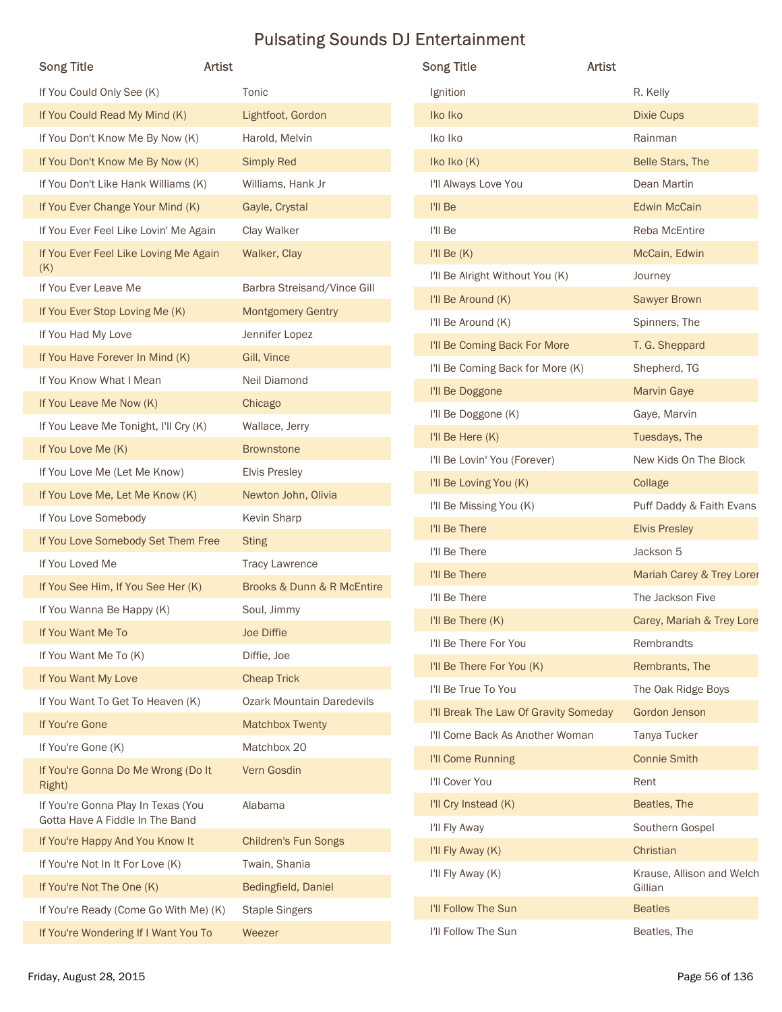| <b>Song Title</b><br>Artist                                           |                                  | <b>Pulsating Sounds DJ Entertainment</b> |                                               |
|-----------------------------------------------------------------------|----------------------------------|------------------------------------------|-----------------------------------------------|
|                                                                       |                                  | <b>Song Title</b><br>Artist              |                                               |
| If You Could Only See (K)                                             | Tonic                            | Ignition                                 | R. Kelly                                      |
| If You Could Read My Mind (K)                                         | Lightfoot, Gordon                | Iko Iko                                  | <b>Dixie Cups</b>                             |
| If You Don't Know Me By Now (K)                                       | Harold, Melvin                   | Iko Iko                                  | Rainman                                       |
| If You Don't Know Me By Now (K)                                       | Simply Red                       | Iko Iko (K)                              | Belle Stars, The                              |
| If You Don't Like Hank Williams (K)                                   | Williams, Hank Jr                | I'll Always Love You                     | Dean Martin                                   |
| If You Ever Change Your Mind (K)                                      | Gayle, Crystal                   | I'll Be                                  | <b>Edwin McCain</b>                           |
| If You Ever Feel Like Lovin' Me Again                                 | Clay Walker                      | I'll Be                                  | Reba McEntire                                 |
| If You Ever Feel Like Loving Me Again<br>(K)                          | Walker, Clay                     | I'll Be $(K)$                            | McCain, Edwin                                 |
| If You Ever Leave Me                                                  | Barbra Streisand/Vince Gill      | I'll Be Alright Without You (K)          | Journey                                       |
| If You Ever Stop Loving Me (K)                                        | <b>Montgomery Gentry</b>         | I'll Be Around (K)                       | Sawyer Brown                                  |
| If You Had My Love                                                    | Jennifer Lopez                   | I'll Be Around (K)                       | Spinners, The                                 |
| If You Have Forever In Mind (K)                                       | Gill, Vince                      | I'll Be Coming Back For More             | T. G. Sheppard                                |
| If You Know What I Mean                                               | Neil Diamond                     | I'll Be Coming Back for More (K)         | Shepherd, TG                                  |
| If You Leave Me Now (K)                                               | Chicago                          | I'll Be Doggone                          | <b>Marvin Gaye</b>                            |
| If You Leave Me Tonight, I'll Cry (K)                                 | Wallace, Jerry                   | I'll Be Doggone (K)                      | Gaye, Marvin                                  |
| If You Love Me (K)                                                    | <b>Brownstone</b>                | I'll Be Here (K)                         | Tuesdays, The                                 |
| If You Love Me (Let Me Know)                                          | Elvis Presley                    | I'll Be Lovin' You (Forever)             | New Kids On The Block                         |
| If You Love Me, Let Me Know (K)                                       | Newton John, Olivia              | I'll Be Loving You (K)                   | Collage                                       |
| If You Love Somebody                                                  | Kevin Sharp                      | I'll Be Missing You (K)                  | Puff Daddy & Faith Evans                      |
| If You Love Somebody Set Them Free                                    | <b>Sting</b>                     | I'll Be There                            | <b>Elvis Presley</b>                          |
| If You Loved Me                                                       | <b>Tracy Lawrence</b>            | I'll Be There                            | Jackson 5                                     |
| If You See Him, If You See Her (K)                                    | Brooks & Dunn & R McEntire       | I'll Be There<br>I'll Be There           | Mariah Carey & Trey Lorer<br>The Jackson Five |
| If You Wanna Be Happy (K)                                             | Soul, Jimmy                      | I'll Be There (K)                        |                                               |
| If You Want Me To                                                     | Joe Diffie                       | I'll Be There For You                    | Carey, Mariah & Trey Lore<br>Rembrandts       |
| If You Want Me To (K)                                                 | Diffie, Joe                      | I'll Be There For You (K)                | Rembrants, The                                |
| If You Want My Love                                                   | <b>Cheap Trick</b>               | I'll Be True To You                      | The Oak Ridge Boys                            |
| If You Want To Get To Heaven (K)                                      | <b>Ozark Mountain Daredevils</b> | I'll Break The Law Of Gravity Someday    | Gordon Jenson                                 |
| If You're Gone                                                        | <b>Matchbox Twenty</b>           | I'll Come Back As Another Woman          | Tanya Tucker                                  |
| If You're Gone (K)                                                    | Matchbox 20                      | I'll Come Running                        | <b>Connie Smith</b>                           |
| If You're Gonna Do Me Wrong (Do It<br>Right)                          | Vern Gosdin                      | I'll Cover You                           | Rent                                          |
| If You're Gonna Play In Texas (You<br>Gotta Have A Fiddle In The Band | Alabama                          | I'll Cry Instead (K)<br>I'll Fly Away    | Beatles, The<br>Southern Gospel               |
| If You're Happy And You Know It                                       | Children's Fun Songs             |                                          |                                               |
| If You're Not In It For Love (K)                                      | Twain, Shania                    | I'll Fly Away (K)                        | Christian                                     |
| If You're Not The One (K)                                             | Bedingfield, Daniel              | I'll Fly Away (K)                        | Krause, Allison and Welch<br>Gillian          |
| If You're Ready (Come Go With Me) (K)                                 | <b>Staple Singers</b>            | I'll Follow The Sun                      | <b>Beatles</b>                                |
| If You're Wondering If I Want You To                                  | Weezer                           | I'll Follow The Sun                      | Beatles, The                                  |

| <b>Intertainment</b><br><b>Song Title</b> | Artist            |                           |
|-------------------------------------------|-------------------|---------------------------|
| Ignition                                  | R. Kelly          |                           |
| Iko Iko                                   | <b>Dixie Cups</b> |                           |
| Iko Iko                                   | Rainman           |                           |
| Iko Iko (K)                               |                   | Belle Stars, The          |
| I'll Always Love You                      |                   | Dean Martin               |
| I'll Be                                   |                   | <b>Edwin McCain</b>       |
| I'll Be                                   |                   | Reba McEntire             |
| I'll Be $(K)$                             |                   | McCain, Edwin             |
| I'll Be Alright Without You (K)           | Journey           |                           |
| I'll Be Around (K)                        |                   | Sawyer Brown              |
| I'll Be Around (K)                        |                   | Spinners, The             |
| I'll Be Coming Back For More              |                   | T. G. Sheppard            |
| I'll Be Coming Back for More (K)          |                   | Shepherd, TG              |
| I'll Be Doggone                           |                   | Marvin Gaye               |
| I'll Be Doggone (K)                       |                   | Gaye, Marvin              |
| I'll Be Here (K)                          |                   | Tuesdays, The             |
| I'll Be Lovin' You (Forever)              |                   | New Kids On The Block     |
| I'll Be Loving You (K)                    | Collage           |                           |
| I'll Be Missing You (K)                   |                   | Puff Daddy & Faith Evans  |
| I'll Be There                             |                   | <b>Elvis Presley</b>      |
| I'll Be There                             | Jackson 5         |                           |
| I'll Be There                             |                   | Mariah Carey & Trey Lorer |
| I'll Be There                             |                   | The Jackson Five          |
| I'll Be There (K)                         |                   | Carey, Mariah & Trey Lore |
| I'll Be There For You                     |                   | Rembrandts                |
| I'll Be There For You (K)                 |                   | Rembrants, The            |
| I'll Be True To You                       |                   | The Oak Ridge Boys        |
| I'll Break The Law Of Gravity Someday     |                   | <b>Gordon Jenson</b>      |
| I'll Come Back As Another Woman           |                   | Tanya Tucker              |
| I'll Come Running                         |                   | <b>Connie Smith</b>       |
| I'll Cover You                            | Rent              |                           |
| I'll Cry Instead (K)                      |                   | Beatles, The              |
| I'll Fly Away                             |                   | Southern Gospel           |
| I'll Fly Away (K)<br>I'll Fly Away (K)    | Christian         | Krause, Allison and Welch |
|                                           | Gillian           |                           |
| I'll Follow The Sun                       | <b>Beatles</b>    |                           |
| I'll Follow The Sun                       |                   | Beatles, The              |
|                                           |                   | Page 56 of 136            |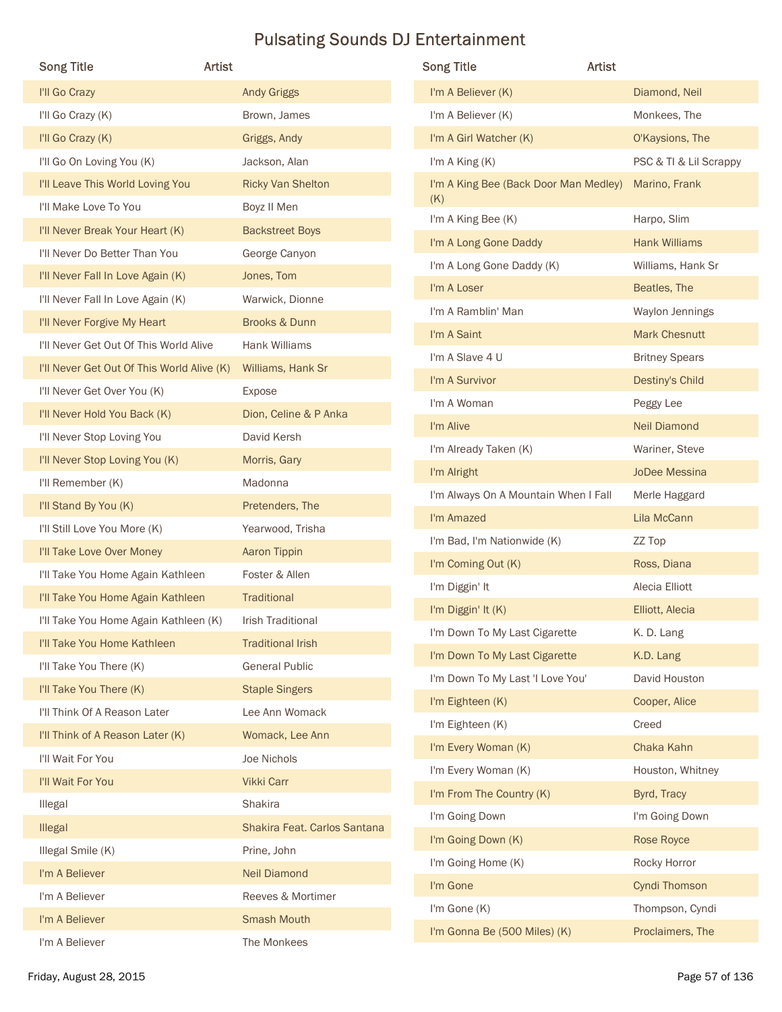|                                            | Artist                       | <b>Song Title</b><br>Artist              |                                     |
|--------------------------------------------|------------------------------|------------------------------------------|-------------------------------------|
| I'll Go Crazy                              | <b>Andy Griggs</b>           | I'm A Believer (K)                       | Diamond, Neil                       |
| I'll Go Crazy (K)                          | Brown, James                 | I'm A Believer (K)                       | Monkees, The                        |
| I'll Go Crazy (K)                          | Griggs, Andy                 | I'm A Girl Watcher (K)                   | O'Kaysions, The                     |
| I'll Go On Loving You (K)                  | Jackson, Alan                | I'm A King (K)                           | PSC & TI & Lil Scrappy              |
| I'll Leave This World Loving You           | <b>Ricky Van Shelton</b>     | I'm A King Bee (Back Door Man Medley)    | Marino, Frank                       |
| I'll Make Love To You                      | Boyz II Men                  | (K)                                      |                                     |
| I'll Never Break Your Heart (K)            | <b>Backstreet Boys</b>       | I'm A King Bee (K)                       | Harpo, Slim<br><b>Hank Williams</b> |
| I'll Never Do Better Than You              | George Canyon                | I'm A Long Gone Daddy                    | Williams, Hank Sr                   |
| I'll Never Fall In Love Again (K)          | Jones, Tom                   | I'm A Long Gone Daddy (K)<br>I'm A Loser | Beatles, The                        |
| I'll Never Fall In Love Again (K)          | Warwick, Dionne              | I'm A Ramblin' Man                       | Waylon Jennings                     |
| I'll Never Forgive My Heart                | Brooks & Dunn                | I'm A Saint                              | <b>Mark Chesnutt</b>                |
| I'll Never Get Out Of This World Alive     | Hank Williams                |                                          |                                     |
| I'll Never Get Out Of This World Alive (K) | Williams, Hank Sr            | I'm A Slave 4 U                          | <b>Britney Spears</b>               |
| I'll Never Get Over You (K)                | Expose                       | I'm A Survivor                           | Destiny's Child                     |
| I'll Never Hold You Back (K)               | Dion, Celine & P Anka        | I'm A Woman                              | Peggy Lee                           |
| I'll Never Stop Loving You                 | David Kersh                  | I'm Alive                                | Neil Diamond                        |
| I'll Never Stop Loving You (K)             | Morris, Gary                 | I'm Already Taken (K)                    | Wariner, Steve                      |
| I'll Remember (K)                          | Madonna                      | I'm Alright                              | <b>JoDee Messina</b>                |
| I'll Stand By You (K)                      | Pretenders, The              | I'm Always On A Mountain When I Fall     | Merle Haggard                       |
| I'll Still Love You More (K)               | Yearwood, Trisha             | I'm Amazed                               | Lila McCann                         |
| I'll Take Love Over Money                  | Aaron Tippin                 | I'm Bad, I'm Nationwide (K)              | ZZ Top                              |
| I'll Take You Home Again Kathleen          | Foster & Allen               | I'm Coming Out (K)                       | Ross, Diana                         |
| I'll Take You Home Again Kathleen          | Traditional                  | I'm Diggin' It                           | Alecia Elliott                      |
| I'll Take You Home Again Kathleen (K)      | <b>Irish Traditional</b>     | I'm Diggin' It (K)                       | Elliott, Alecia                     |
| I'll Take You Home Kathleen                | <b>Traditional Irish</b>     | I'm Down To My Last Cigarette            | K. D. Lang                          |
| I'll Take You There (K)                    | <b>General Public</b>        | I'm Down To My Last Cigarette            | K.D. Lang                           |
| I'll Take You There (K)                    | <b>Staple Singers</b>        | I'm Down To My Last 'I Love You'         | David Houston                       |
| I'll Think Of A Reason Later               | Lee Ann Womack               | I'm Eighteen (K)                         | Cooper, Alice                       |
| I'll Think of A Reason Later (K)           | Womack, Lee Ann              | I'm Eighteen (K)                         | Creed                               |
| I'll Wait For You                          | Joe Nichols                  | I'm Every Woman (K)                      | Chaka Kahn                          |
| I'll Wait For You                          | Vikki Carr                   | I'm Every Woman (K)                      | Houston, Whitney                    |
| Illegal                                    | Shakira                      | I'm From The Country (K)                 | Byrd, Tracy                         |
| Illegal                                    | Shakira Feat. Carlos Santana | I'm Going Down                           | I'm Going Down                      |
| Illegal Smile (K)                          | Prine, John                  | I'm Going Down (K)                       | Rose Royce                          |
| I'm A Believer                             | <b>Neil Diamond</b>          | I'm Going Home (K)                       | Rocky Horror                        |
| I'm A Believer                             | Reeves & Mortimer            | I'm Gone                                 | Cyndi Thomson                       |
| I'm A Believer                             | Smash Mouth                  | I'm Gone (K)                             | Thompson, Cyndi                     |
| I'm A Believer                             |                              | I'm Gonna Be (500 Miles) (K)             | Proclaimers, The                    |
|                                            | The Monkees                  |                                          |                                     |

| <b>Song Title</b>                            | Artist                     |
|----------------------------------------------|----------------------------|
| I'm A Believer (K)                           | Diamond, Neil              |
| I'm A Believer (K)                           | Monkees, The               |
| I'm A Girl Watcher (K)                       | O'Kaysions, The            |
| I'm A King (K)                               | PSC & TI & Lil Scrappy     |
| I'm A King Bee (Back Door Man Medley)<br>(K) | Marino, Frank              |
| I'm A King Bee (K)                           | Harpo, Slim                |
| I'm A Long Gone Daddy                        | <b>Hank Williams</b>       |
| I'm A Long Gone Daddy (K)                    | Williams, Hank Sr          |
| I'm A Loser                                  | Beatles, The               |
| I'm A Ramblin' Man                           | Waylon Jennings            |
| I'm A Saint                                  | Mark Chesnutt              |
| I'm A Slave 4 U                              | <b>Britney Spears</b>      |
| I'm A Survivor                               | Destiny's Child            |
| I'm A Woman                                  | Peggy Lee                  |
| I'm Alive                                    | <b>Neil Diamond</b>        |
| I'm Already Taken (K)                        | Wariner, Steve             |
| I'm Alright                                  | JoDee Messina              |
| I'm Always On A Mountain When I Fall         | Merle Haggard              |
| I'm Amazed                                   | Lila McCann                |
| I'm Bad, I'm Nationwide (K)                  | ZZ Top                     |
| I'm Coming Out (K)                           | Ross, Diana                |
| I'm Diggin' It                               | Alecia Elliott             |
| I'm Diggin' It (K)                           | Elliott, Alecia            |
| I'm Down To My Last Cigarette                | K. D. Lang                 |
| I'm Down To My Last Cigarette                | K.D. Lang                  |
| I'm Down To My Last 'I Love You'             | David Houston              |
| I'm Eighteen (K)                             | Cooper, Alice              |
| I'm Eighteen (K)                             | Creed                      |
| I'm Every Woman (K)                          | Chaka Kahn                 |
| I'm Every Woman (K)                          | Houston, Whitney           |
| I'm From The Country (K)                     | Byrd, Tracy                |
| I'm Going Down                               | I'm Going Down             |
| I'm Going Down (K)                           | Rose Royce<br>Rocky Horror |
| I'm Going Home (K)<br>I'm Gone               | Cyndi Thomson              |
| I'm Gone (K)                                 | Thompson, Cyndi            |
|                                              |                            |
| I'm Gonna Be (500 Miles) (K)                 | Proclaimers, The           |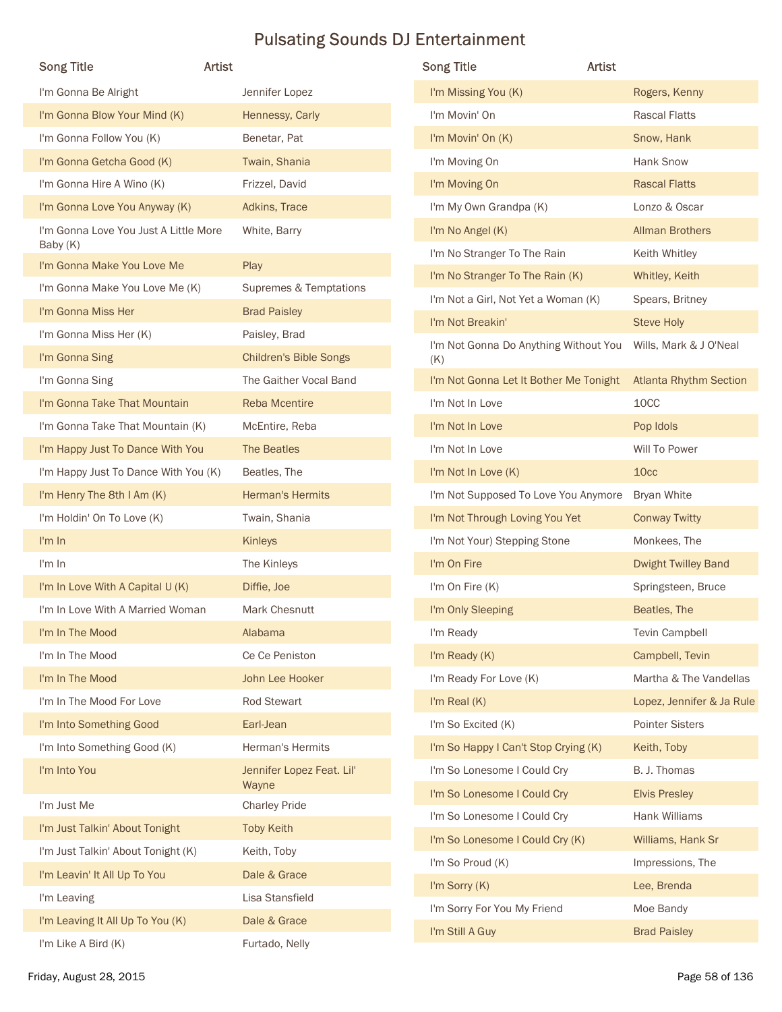|                                                   | Artist                        | <b>Song Title</b><br>Artist                                         |                               |
|---------------------------------------------------|-------------------------------|---------------------------------------------------------------------|-------------------------------|
| I'm Gonna Be Alright                              | Jennifer Lopez                | I'm Missing You (K)                                                 | Rogers, Kenny                 |
| I'm Gonna Blow Your Mind (K)                      | Hennessy, Carly               | I'm Movin' On                                                       | <b>Rascal Flatts</b>          |
| I'm Gonna Follow You (K)                          | Benetar, Pat                  | I'm Movin' On (K)                                                   | Snow, Hank                    |
| I'm Gonna Getcha Good (K)                         | Twain, Shania                 | I'm Moving On                                                       | Hank Snow                     |
| I'm Gonna Hire A Wino (K)                         | Frizzel, David                | I'm Moving On                                                       | <b>Rascal Flatts</b>          |
| I'm Gonna Love You Anyway (K)                     | Adkins, Trace                 | I'm My Own Grandpa (K)                                              | Lonzo & Oscar                 |
| I'm Gonna Love You Just A Little More<br>Baby (K) | White, Barry                  | I'm No Angel (K)                                                    | <b>Allman Brothers</b>        |
| I'm Gonna Make You Love Me                        | Play                          | I'm No Stranger To The Rain                                         | Keith Whitley                 |
| I'm Gonna Make You Love Me (K)                    | Supremes & Temptations        | I'm No Stranger To The Rain (K)                                     | Whitley, Keith                |
| I'm Gonna Miss Her                                | <b>Brad Paisley</b>           | I'm Not a Girl, Not Yet a Woman (K)                                 | Spears, Britney               |
| I'm Gonna Miss Her (K)                            | Paisley, Brad                 | I'm Not Breakin'                                                    | <b>Steve Holy</b>             |
| I'm Gonna Sing                                    | <b>Children's Bible Songs</b> | I'm Not Gonna Do Anything Without You Wills, Mark & J O'Neal<br>(K) |                               |
| I'm Gonna Sing                                    | The Gaither Vocal Band        | I'm Not Gonna Let It Bother Me Tonight                              | <b>Atlanta Rhythm Section</b> |
| I'm Gonna Take That Mountain                      | Reba Mcentire                 | I'm Not In Love                                                     | $10\mathrm{CC}$               |
| I'm Gonna Take That Mountain (K)                  | McEntire, Reba                | I'm Not In Love                                                     | Pop Idols                     |
| I'm Happy Just To Dance With You                  | The Beatles                   | I'm Not In Love                                                     | Will To Power                 |
| I'm Happy Just To Dance With You (K)              | Beatles, The                  | I'm Not In Love (K)                                                 | 10 <sub>cc</sub>              |
| I'm Henry The 8th I Am (K)                        | <b>Herman's Hermits</b>       | I'm Not Supposed To Love You Anymore                                | <b>Bryan White</b>            |
| I'm Holdin' On To Love (K)                        | Twain, Shania                 | I'm Not Through Loving You Yet                                      | <b>Conway Twitty</b>          |
| $\mathsf{I}'\mathsf{m}$ $\mathsf{In}$             | Kinleys                       | I'm Not Your) Stepping Stone                                        | Monkees, The                  |
| I'm In                                            | The Kinleys                   | I'm On Fire                                                         | <b>Dwight Twilley Band</b>    |
| I'm In Love With A Capital U (K)                  | Diffie, Joe                   | I'm On Fire (K)                                                     | Springsteen, Bruce            |
| I'm In Love With A Married Woman                  | Mark Chesnutt                 | I'm Only Sleeping                                                   | Beatles, The                  |
| I'm In The Mood                                   | Alabama                       | I'm Ready                                                           | <b>Tevin Campbell</b>         |
| I'm In The Mood                                   | Ce Ce Peniston                | I'm Ready (K)                                                       | Campbell, Tevin               |
| I'm In The Mood                                   | John Lee Hooker               | I'm Ready For Love (K)                                              | Martha & The Vandellas        |
| I'm In The Mood For Love                          | Rod Stewart                   | I'm Real (K)                                                        | Lopez, Jennifer & Ja Rule     |
| I'm Into Something Good                           | Earl-Jean                     | I'm So Excited (K)                                                  | <b>Pointer Sisters</b>        |
| I'm Into Something Good (K)                       | Herman's Hermits              | I'm So Happy I Can't Stop Crying (K)                                | Keith, Toby                   |
| I'm Into You                                      | Jennifer Lopez Feat. Lil'     | I'm So Lonesome I Could Cry                                         | B. J. Thomas                  |
| I'm Just Me                                       | Wayne<br><b>Charley Pride</b> | I'm So Lonesome I Could Cry                                         | <b>Elvis Presley</b>          |
| I'm Just Talkin' About Tonight                    | <b>Toby Keith</b>             | I'm So Lonesome I Could Cry                                         | Hank Williams                 |
| I'm Just Talkin' About Tonight (K)                | Keith, Toby                   | I'm So Lonesome I Could Cry (K)                                     | Williams, Hank Sr             |
| I'm Leavin' It All Up To You                      | Dale & Grace                  | I'm So Proud (K)                                                    | Impressions, The              |
| I'm Leaving                                       | Lisa Stansfield               | I'm Sorry (K)                                                       | Lee, Brenda                   |
|                                                   |                               | I'm Sorry For You My Friend                                         | Moe Bandy                     |
| I'm Leaving It All Up To You (K)                  | Dale & Grace                  |                                                                     |                               |

| <b>Entertainment</b><br><b>Song Title</b><br>Artist<br>I'm Missing You (K)<br>Rogers, Kenny<br>I'm Movin' On<br><b>Rascal Flatts</b><br>Snow, Hank<br>I'm Movin' On (K)<br>Hank Snow<br>I'm Moving On<br><b>Rascal Flatts</b><br>I'm Moving On<br>Lonzo & Oscar<br>I'm My Own Grandpa (K)<br><b>Allman Brothers</b><br>I'm No Angel (K)<br>I'm No Stranger To The Rain<br>Keith Whitley<br>I'm No Stranger To The Rain (K)<br>Whitley, Keith<br>I'm Not a Girl, Not Yet a Woman (K)<br>Spears, Britney<br>I'm Not Breakin'<br><b>Steve Holy</b><br>I'm Not Gonna Do Anything Without You Wills, Mark & J O'Neal<br>(K)<br>I'm Not Gonna Let It Bother Me Tonight<br><b>Atlanta Rhythm Section</b><br>I'm Not In Love<br>10CC<br>I'm Not In Love<br>Pop Idols<br>Will To Power<br>I'm Not In Love |
|--------------------------------------------------------------------------------------------------------------------------------------------------------------------------------------------------------------------------------------------------------------------------------------------------------------------------------------------------------------------------------------------------------------------------------------------------------------------------------------------------------------------------------------------------------------------------------------------------------------------------------------------------------------------------------------------------------------------------------------------------------------------------------------------------|
|                                                                                                                                                                                                                                                                                                                                                                                                                                                                                                                                                                                                                                                                                                                                                                                                  |
|                                                                                                                                                                                                                                                                                                                                                                                                                                                                                                                                                                                                                                                                                                                                                                                                  |
|                                                                                                                                                                                                                                                                                                                                                                                                                                                                                                                                                                                                                                                                                                                                                                                                  |
|                                                                                                                                                                                                                                                                                                                                                                                                                                                                                                                                                                                                                                                                                                                                                                                                  |
|                                                                                                                                                                                                                                                                                                                                                                                                                                                                                                                                                                                                                                                                                                                                                                                                  |
|                                                                                                                                                                                                                                                                                                                                                                                                                                                                                                                                                                                                                                                                                                                                                                                                  |
|                                                                                                                                                                                                                                                                                                                                                                                                                                                                                                                                                                                                                                                                                                                                                                                                  |
|                                                                                                                                                                                                                                                                                                                                                                                                                                                                                                                                                                                                                                                                                                                                                                                                  |
|                                                                                                                                                                                                                                                                                                                                                                                                                                                                                                                                                                                                                                                                                                                                                                                                  |
|                                                                                                                                                                                                                                                                                                                                                                                                                                                                                                                                                                                                                                                                                                                                                                                                  |
|                                                                                                                                                                                                                                                                                                                                                                                                                                                                                                                                                                                                                                                                                                                                                                                                  |
|                                                                                                                                                                                                                                                                                                                                                                                                                                                                                                                                                                                                                                                                                                                                                                                                  |
|                                                                                                                                                                                                                                                                                                                                                                                                                                                                                                                                                                                                                                                                                                                                                                                                  |
|                                                                                                                                                                                                                                                                                                                                                                                                                                                                                                                                                                                                                                                                                                                                                                                                  |
|                                                                                                                                                                                                                                                                                                                                                                                                                                                                                                                                                                                                                                                                                                                                                                                                  |
|                                                                                                                                                                                                                                                                                                                                                                                                                                                                                                                                                                                                                                                                                                                                                                                                  |
|                                                                                                                                                                                                                                                                                                                                                                                                                                                                                                                                                                                                                                                                                                                                                                                                  |
|                                                                                                                                                                                                                                                                                                                                                                                                                                                                                                                                                                                                                                                                                                                                                                                                  |
|                                                                                                                                                                                                                                                                                                                                                                                                                                                                                                                                                                                                                                                                                                                                                                                                  |
|                                                                                                                                                                                                                                                                                                                                                                                                                                                                                                                                                                                                                                                                                                                                                                                                  |
|                                                                                                                                                                                                                                                                                                                                                                                                                                                                                                                                                                                                                                                                                                                                                                                                  |
|                                                                                                                                                                                                                                                                                                                                                                                                                                                                                                                                                                                                                                                                                                                                                                                                  |
|                                                                                                                                                                                                                                                                                                                                                                                                                                                                                                                                                                                                                                                                                                                                                                                                  |
| I'm Not In Love (K)<br>10cc                                                                                                                                                                                                                                                                                                                                                                                                                                                                                                                                                                                                                                                                                                                                                                      |
| I'm Not Supposed To Love You Anymore<br><b>Bryan White</b>                                                                                                                                                                                                                                                                                                                                                                                                                                                                                                                                                                                                                                                                                                                                       |
| I'm Not Through Loving You Yet<br><b>Conway Twitty</b>                                                                                                                                                                                                                                                                                                                                                                                                                                                                                                                                                                                                                                                                                                                                           |
| I'm Not Your) Stepping Stone<br>Monkees, The                                                                                                                                                                                                                                                                                                                                                                                                                                                                                                                                                                                                                                                                                                                                                     |
| I'm On Fire<br>Dwight Twilley Band                                                                                                                                                                                                                                                                                                                                                                                                                                                                                                                                                                                                                                                                                                                                                               |
| I'm On Fire (K)<br>Springsteen, Bruce                                                                                                                                                                                                                                                                                                                                                                                                                                                                                                                                                                                                                                                                                                                                                            |
| I'm Only Sleeping<br>Beatles, The                                                                                                                                                                                                                                                                                                                                                                                                                                                                                                                                                                                                                                                                                                                                                                |
| I'm Ready<br><b>Tevin Campbell</b>                                                                                                                                                                                                                                                                                                                                                                                                                                                                                                                                                                                                                                                                                                                                                               |
| Campbell, Tevin<br>I'm Ready (K)                                                                                                                                                                                                                                                                                                                                                                                                                                                                                                                                                                                                                                                                                                                                                                 |
| Martha & The Vandellas<br>I'm Ready For Love (K)                                                                                                                                                                                                                                                                                                                                                                                                                                                                                                                                                                                                                                                                                                                                                 |
| Lopez, Jennifer & Ja Rule<br>I'm Real (K)                                                                                                                                                                                                                                                                                                                                                                                                                                                                                                                                                                                                                                                                                                                                                        |
| I'm So Excited (K)<br><b>Pointer Sisters</b>                                                                                                                                                                                                                                                                                                                                                                                                                                                                                                                                                                                                                                                                                                                                                     |
| I'm So Happy I Can't Stop Crying (K)<br>Keith, Toby                                                                                                                                                                                                                                                                                                                                                                                                                                                                                                                                                                                                                                                                                                                                              |
| I'm So Lonesome I Could Cry<br>B. J. Thomas                                                                                                                                                                                                                                                                                                                                                                                                                                                                                                                                                                                                                                                                                                                                                      |
| I'm So Lonesome I Could Cry<br><b>Elvis Presley</b>                                                                                                                                                                                                                                                                                                                                                                                                                                                                                                                                                                                                                                                                                                                                              |
| I'm So Lonesome I Could Cry<br>Hank Williams                                                                                                                                                                                                                                                                                                                                                                                                                                                                                                                                                                                                                                                                                                                                                     |
| I'm So Lonesome I Could Cry (K)<br>Williams, Hank Sr                                                                                                                                                                                                                                                                                                                                                                                                                                                                                                                                                                                                                                                                                                                                             |
| I'm So Proud (K)<br>Impressions, The                                                                                                                                                                                                                                                                                                                                                                                                                                                                                                                                                                                                                                                                                                                                                             |
| I'm Sorry (K)<br>Lee, Brenda                                                                                                                                                                                                                                                                                                                                                                                                                                                                                                                                                                                                                                                                                                                                                                     |
| I'm Sorry For You My Friend<br>Moe Bandy                                                                                                                                                                                                                                                                                                                                                                                                                                                                                                                                                                                                                                                                                                                                                         |
| I'm Still A Guy<br><b>Brad Paisley</b>                                                                                                                                                                                                                                                                                                                                                                                                                                                                                                                                                                                                                                                                                                                                                           |
| Page 58 of 136                                                                                                                                                                                                                                                                                                                                                                                                                                                                                                                                                                                                                                                                                                                                                                                   |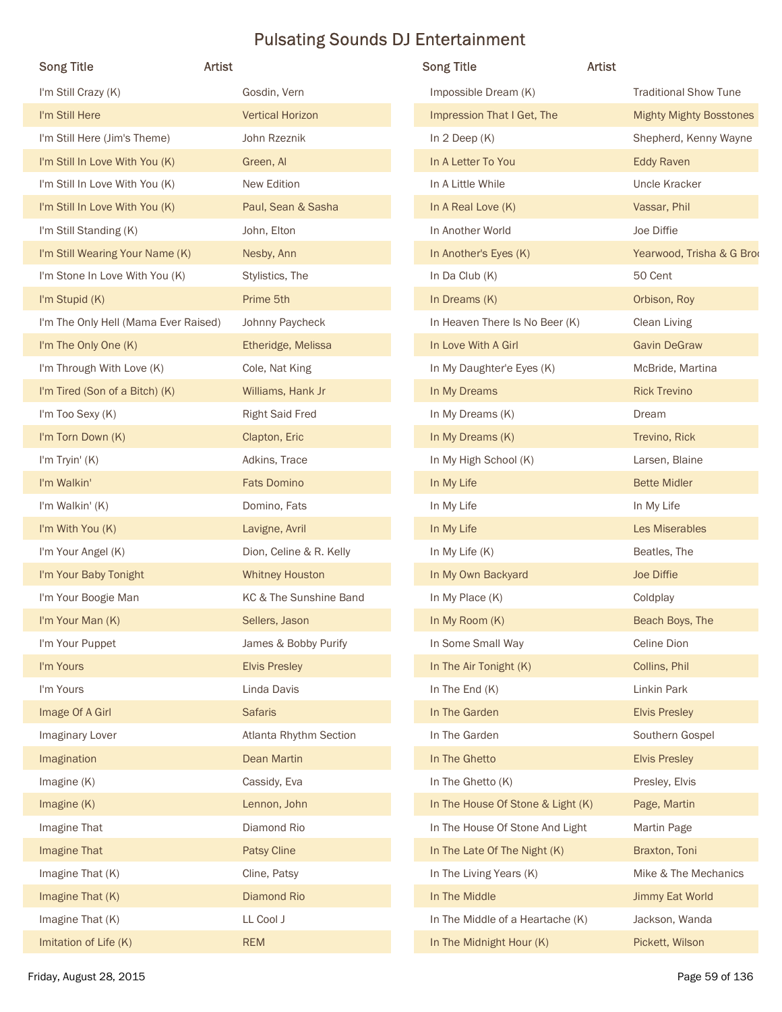|                                      | Artist                  | <b>Song Title</b><br>Artist       |                                |
|--------------------------------------|-------------------------|-----------------------------------|--------------------------------|
| I'm Still Crazy (K)                  | Gosdin, Vern            | Impossible Dream (K)              | <b>Traditional Show Tune</b>   |
| I'm Still Here                       | <b>Vertical Horizon</b> | Impression That I Get, The        | <b>Mighty Mighty Bosstones</b> |
| I'm Still Here (Jim's Theme)         | John Rzeznik            | In $2$ Deep $(K)$                 | Shepherd, Kenny Wayne          |
| I'm Still In Love With You (K)       | Green, Al               | In A Letter To You                | <b>Eddy Raven</b>              |
| I'm Still In Love With You (K)       | New Edition             | In A Little While                 | Uncle Kracker                  |
| I'm Still In Love With You (K)       | Paul, Sean & Sasha      | In A Real Love (K)                | Vassar, Phil                   |
| I'm Still Standing (K)               | John, Elton             | In Another World                  | Joe Diffie                     |
| I'm Still Wearing Your Name (K)      | Nesby, Ann              | In Another's Eyes (K)             | Yearwood, Trisha & G Brod      |
| I'm Stone In Love With You (K)       | Stylistics, The         | In Da Club (K)                    | 50 Cent                        |
| I'm Stupid (K)                       | Prime 5th               | In Dreams (K)                     | Orbison, Roy                   |
| I'm The Only Hell (Mama Ever Raised) | Johnny Paycheck         | In Heaven There Is No Beer (K)    | Clean Living                   |
| I'm The Only One (K)                 | Etheridge, Melissa      | In Love With A Girl               | <b>Gavin DeGraw</b>            |
| I'm Through With Love (K)            | Cole, Nat King          | In My Daughter'e Eyes (K)         | McBride, Martina               |
| I'm Tired (Son of a Bitch) (K)       | Williams, Hank Jr       | In My Dreams                      | <b>Rick Trevino</b>            |
| I'm Too Sexy (K)                     | <b>Right Said Fred</b>  | In My Dreams (K)                  | Dream                          |
| I'm Torn Down (K)                    | Clapton, Eric           | In My Dreams (K)                  | Trevino, Rick                  |
| I'm Tryin' (K)                       | Adkins, Trace           | In My High School (K)             | Larsen, Blaine                 |
| I'm Walkin'                          | <b>Fats Domino</b>      | In My Life                        | <b>Bette Midler</b>            |
| I'm Walkin' (K)                      | Domino, Fats            | In My Life                        | In My Life                     |
| I'm With You (K)                     | Lavigne, Avril          | In My Life                        | Les Miserables                 |
| I'm Your Angel (K)                   | Dion, Celine & R. Kelly | In My Life (K)                    | Beatles, The                   |
| I'm Your Baby Tonight                | <b>Whitney Houston</b>  | In My Own Backyard                | Joe Diffie                     |
| I'm Your Boogie Man                  | KC & The Sunshine Band  | In My Place (K)                   | Coldplay                       |
| I'm Your Man (K)                     | Sellers, Jason          | In My Room (K)                    | Beach Boys, The                |
| I'm Your Puppet                      | James & Bobby Purify    | In Some Small Way                 | Celine Dion                    |
| I'm Yours                            | <b>Elvis Presley</b>    | In The Air Tonight (K)            | Collins, Phil                  |
| I'm Yours                            | Linda Davis             | In The End (K)                    | Linkin Park                    |
| Image Of A Girl                      | <b>Safaris</b>          | In The Garden                     | <b>Elvis Presley</b>           |
| Imaginary Lover                      | Atlanta Rhythm Section  | In The Garden                     | Southern Gospel                |
| Imagination                          | Dean Martin             | In The Ghetto                     | <b>Elvis Presley</b>           |
| Imagine (K)                          | Cassidy, Eva            | In The Ghetto (K)                 | Presley, Elvis                 |
| Imagine (K)                          | Lennon, John            | In The House Of Stone & Light (K) | Page, Martin                   |
| Imagine That                         | Diamond Rio             | In The House Of Stone And Light   | Martin Page                    |
| Imagine That                         | Patsy Cline             | In The Late Of The Night (K)      | Braxton, Toni                  |
| Imagine That (K)                     | Cline, Patsy            | In The Living Years (K)           | Mike & The Mechanics           |
| Imagine That (K)                     | Diamond Rio             | In The Middle                     | <b>Jimmy Eat World</b>         |
| Imagine That (K)                     | LL Cool J               | In The Middle of a Heartache (K)  | Jackson, Wanda                 |
| Imitation of Life (K)                | <b>REM</b>              | In The Midnight Hour (K)          | Pickett, Wilson                |

| <b>Intertainment</b>                                   |                                         |  |
|--------------------------------------------------------|-----------------------------------------|--|
| <b>Song Title</b>                                      | Artist                                  |  |
| Impossible Dream (K)                                   | <b>Traditional Show Tune</b>            |  |
| Impression That I Get, The                             | <b>Mighty Mighty Bosstones</b>          |  |
| In $2$ Deep $(K)$                                      | Shepherd, Kenny Wayne                   |  |
| In A Letter To You                                     | <b>Eddy Raven</b>                       |  |
| In A Little While                                      | Uncle Kracker                           |  |
| In A Real Love (K)                                     | Vassar, Phil                            |  |
| In Another World<br>In Another's Eyes (K)              | Joe Diffie<br>Yearwood, Trisha & G Brod |  |
| In Da Club (K)                                         | 50 Cent                                 |  |
| In Dreams (K)                                          | Orbison, Roy                            |  |
| In Heaven There Is No Beer (K)                         | Clean Living                            |  |
| In Love With A Girl                                    | <b>Gavin DeGraw</b>                     |  |
| In My Daughter'e Eyes (K)                              | McBride, Martina                        |  |
| In My Dreams                                           | <b>Rick Trevino</b>                     |  |
| In My Dreams (K)                                       | Dream                                   |  |
| In My Dreams (K)                                       | Trevino, Rick                           |  |
| In My High School (K)                                  | Larsen, Blaine                          |  |
| In My Life                                             | <b>Bette Midler</b>                     |  |
| In My Life                                             | In My Life                              |  |
| In My Life                                             | Les Miserables                          |  |
| In My Life (K)                                         | Beatles, The                            |  |
| In My Own Backyard                                     | Joe Diffie                              |  |
| In My Place (K)                                        | Coldplay                                |  |
| In My Room (K)                                         | Beach Boys, The                         |  |
| In Some Small Way                                      | Celine Dion                             |  |
| In The Air Tonight (K)                                 | Collins, Phil                           |  |
| In The End (K)                                         | Linkin Park                             |  |
| In The Garden                                          | <b>Elvis Presley</b>                    |  |
| In The Garden                                          | Southern Gospel                         |  |
| In The Ghetto                                          | <b>Elvis Presley</b>                    |  |
| In The Ghetto (K)<br>In The House Of Stone & Light (K) | Presley, Elvis<br>Page, Martin          |  |
| In The House Of Stone And Light                        | Martin Page                             |  |
| In The Late Of The Night (K)                           | Braxton, Toni                           |  |
| In The Living Years (K)                                | Mike & The Mechanics                    |  |
| In The Middle                                          | <b>Jimmy Eat World</b>                  |  |
| In The Middle of a Heartache (K)                       | Jackson, Wanda                          |  |
| In The Midnight Hour (K)                               | Pickett, Wilson                         |  |
|                                                        | Page 59 of 136                          |  |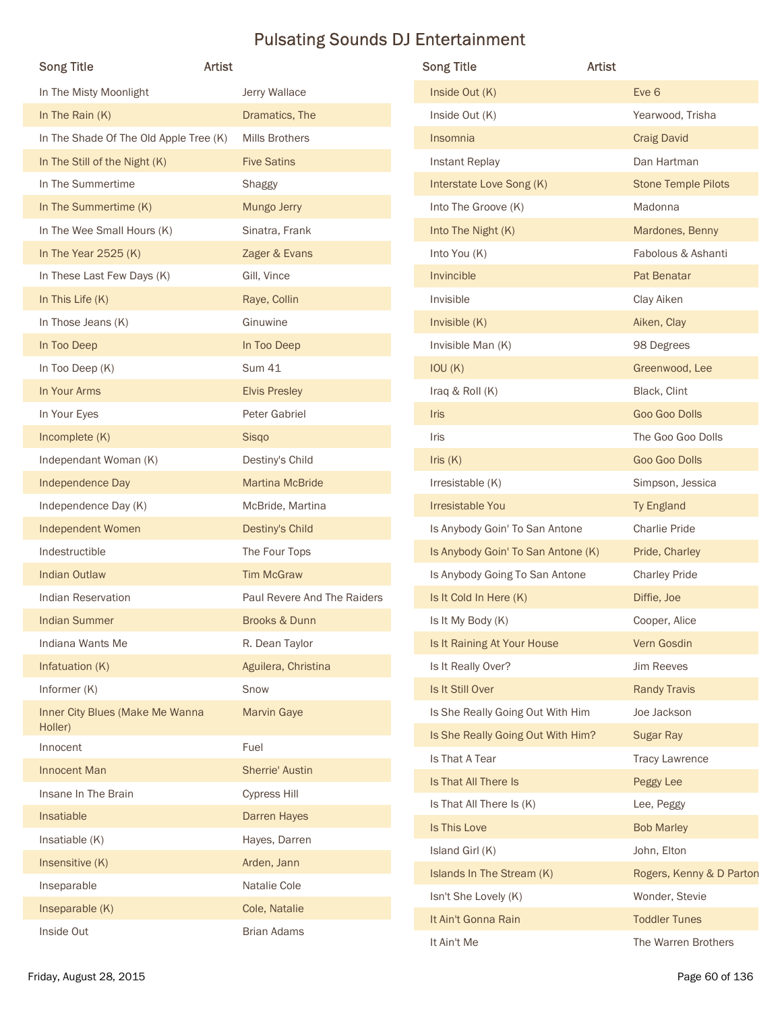| <b>Song Title</b><br>Artist                |                             | <b>Song Title</b><br>Artist        |                            |
|--------------------------------------------|-----------------------------|------------------------------------|----------------------------|
| In The Misty Moonlight                     | Jerry Wallace               | Inside Out (K)                     | Eve 6                      |
| In The Rain (K)                            | Dramatics, The              | Inside Out (K)                     | Yearwood, Trisha           |
| In The Shade Of The Old Apple Tree (K)     | <b>Mills Brothers</b>       | Insomnia                           | <b>Craig David</b>         |
| In The Still of the Night (K)              | <b>Five Satins</b>          | Instant Replay                     | Dan Hartman                |
| In The Summertime                          | Shaggy                      | Interstate Love Song (K)           | <b>Stone Temple Pilots</b> |
| In The Summertime (K)                      | Mungo Jerry                 | Into The Groove (K)                | Madonna                    |
| In The Wee Small Hours (K)                 | Sinatra, Frank              | Into The Night (K)                 | Mardones, Benny            |
| In The Year 2525 (K)                       | Zager & Evans               | Into You (K)                       | Fabolous & Ashanti         |
| In These Last Few Days (K)                 | Gill, Vince                 | Invincible                         | Pat Benatar                |
| In This Life (K)                           | Raye, Collin                | Invisible                          | Clay Aiken                 |
| In Those Jeans (K)                         | Ginuwine                    | Invisible (K)                      | Aiken, Clay                |
| In Too Deep                                | In Too Deep                 | Invisible Man (K)                  | 98 Degrees                 |
| In Too Deep (K)                            | <b>Sum 41</b>               | IOU(K)                             | Greenwood, Lee             |
| In Your Arms                               | <b>Elvis Presley</b>        | Iraq & Roll (K)                    | Black, Clint               |
| In Your Eyes                               | Peter Gabriel               | Iris                               | Goo Goo Dolls              |
| Incomplete (K)                             | Sisqo                       | Iris                               | The Goo Goo Dolls          |
| Independant Woman (K)                      | Destiny's Child             | Iris $(K)$                         | Goo Goo Dolls              |
| Independence Day                           | <b>Martina McBride</b>      | Irresistable (K)                   | Simpson, Jessica           |
| Independence Day (K)                       | McBride, Martina            | Irresistable You                   | Ty England                 |
| Independent Women                          | Destiny's Child             | Is Anybody Goin' To San Antone     | <b>Charlie Pride</b>       |
| Indestructible                             | The Four Tops               | Is Anybody Goin' To San Antone (K) | Pride, Charley             |
| <b>Indian Outlaw</b>                       | <b>Tim McGraw</b>           | Is Anybody Going To San Antone     | <b>Charley Pride</b>       |
| Indian Reservation                         | Paul Revere And The Raiders | Is It Cold In Here (K)             | Diffie, Joe                |
| <b>Indian Summer</b>                       | Brooks & Dunn               | Is It My Body (K)                  | Cooper, Alice              |
| Indiana Wants Me                           | R. Dean Taylor              | Is It Raining At Your House        | Vern Gosdin                |
| Infatuation (K)                            | Aguilera, Christina         | Is It Really Over?                 | Jim Reeves                 |
| Informer (K)                               | Snow                        | Is It Still Over                   | <b>Randy Travis</b>        |
| Inner City Blues (Make Me Wanna<br>Holler) | <b>Marvin Gaye</b>          | Is She Really Going Out With Him   | Joe Jackson                |
| Innocent                                   | Fuel                        | Is She Really Going Out With Him?  | Sugar Ray                  |
| Innocent Man                               | Sherrie' Austin             | Is That A Tear                     | <b>Tracy Lawrence</b>      |
| Insane In The Brain                        | Cypress Hill                | Is That All There Is               | Peggy Lee                  |
| Insatiable                                 | Darren Hayes                | Is That All There Is (K)           | Lee, Peggy                 |
| Insatiable (K)                             | Hayes, Darren               | Is This Love                       | <b>Bob Marley</b>          |
| Insensitive (K)                            | Arden, Jann                 | Island Girl (K)                    | John, Elton                |
| Inseparable                                | Natalie Cole                | Islands In The Stream (K)          | Rogers, Kenny & D Parton   |
| Inseparable (K)                            | Cole, Natalie               | Isn't She Lovely (K)               | Wonder, Stevie             |
| Inside Out                                 | <b>Brian Adams</b>          | It Ain't Gonna Rain                | <b>Toddler Tunes</b>       |
|                                            |                             | It Ain't Me                        | The Warren Brothers        |
| Friday, August 28, 2015                    |                             |                                    | Page 60 of 136             |

| <b>Entertainment</b>                                     |                                     |
|----------------------------------------------------------|-------------------------------------|
| <b>Song Title</b>                                        | Artist                              |
| Inside Out (K)                                           | Eve 6                               |
| Inside Out (K)                                           | Yearwood, Trisha                    |
| Insomnia                                                 | <b>Craig David</b>                  |
| Instant Replay                                           | Dan Hartman                         |
| Interstate Love Song (K)                                 | <b>Stone Temple Pilots</b>          |
| Into The Groove (K)                                      | Madonna                             |
| Into The Night (K)                                       | Mardones, Benny                     |
| Into You (K)                                             | Fabolous & Ashanti                  |
| Invincible                                               | Pat Benatar                         |
| Invisible                                                | Clay Aiken                          |
| Invisible (K)                                            | Aiken, Clay                         |
| Invisible Man (K)                                        | 98 Degrees                          |
| IOU(K)                                                   | Greenwood, Lee                      |
| Iraq & Roll (K)                                          | Black, Clint                        |
| Iris                                                     | Goo Goo Dolls                       |
| Iris                                                     | The Goo Goo Dolls                   |
| Iris $(K)$                                               | Goo Goo Dolls                       |
| Irresistable (K)                                         | Simpson, Jessica                    |
| Irresistable You                                         | Ty England                          |
| Is Anybody Goin' To San Antone                           | <b>Charlie Pride</b>                |
| Is Anybody Goin' To San Antone (K)                       | Pride, Charley                      |
| Is Anybody Going To San Antone<br>Is It Cold In Here (K) | <b>Charley Pride</b><br>Diffie, Joe |
| Is It My Body (K)                                        | Cooper, Alice                       |
| Is It Raining At Your House                              | Vern Gosdin                         |
| Is It Really Over?                                       | <b>Jim Reeves</b>                   |
| Is It Still Over                                         | <b>Randy Travis</b>                 |
| Is She Really Going Out With Him                         | Joe Jackson                         |
| Is She Really Going Out With Him?                        | Sugar Ray                           |
| Is That A Tear                                           | <b>Tracy Lawrence</b>               |
| Is That All There Is                                     | Peggy Lee                           |
| Is That All There Is (K)                                 | Lee, Peggy                          |
| Is This Love                                             | <b>Bob Marley</b>                   |
| Island Girl (K)                                          | John, Elton                         |
| Islands In The Stream (K)                                | Rogers, Kenny & D Parton            |
| Isn't She Lovely (K)                                     | Wonder, Stevie                      |
| It Ain't Gonna Rain                                      | <b>Toddler Tunes</b>                |
| It Ain't Me                                              | The Warren Brothers                 |
|                                                          | Page 60 of 136                      |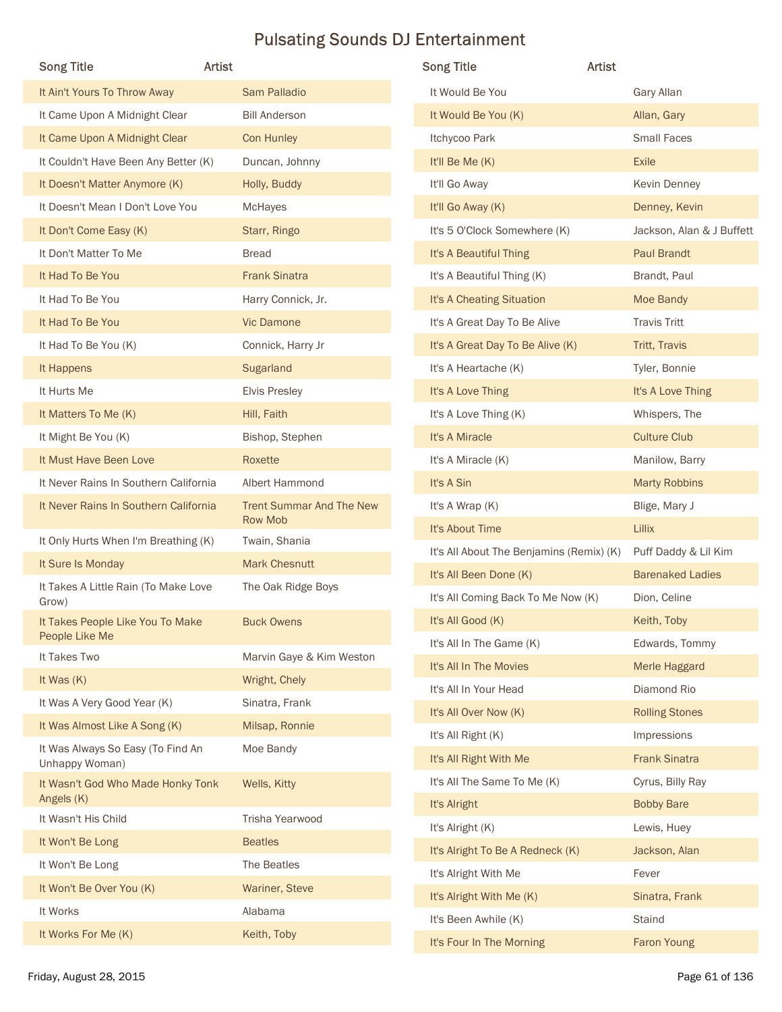|                                                     | Artist                                     | <b>Song Title</b><br>Artist                        |                                 |
|-----------------------------------------------------|--------------------------------------------|----------------------------------------------------|---------------------------------|
| It Ain't Yours To Throw Away                        | Sam Palladio                               | It Would Be You                                    | Gary Allan                      |
| It Came Upon A Midnight Clear                       | <b>Bill Anderson</b>                       | It Would Be You (K)                                | Allan, Gary                     |
| It Came Upon A Midnight Clear                       | Con Hunley                                 | Itchycoo Park                                      | Small Faces                     |
| It Couldn't Have Been Any Better (K)                | Duncan, Johnny                             | It'll Be Me (K)                                    | Exile                           |
| It Doesn't Matter Anymore (K)                       | Holly, Buddy                               | It'll Go Away                                      | Kevin Denney                    |
| It Doesn't Mean I Don't Love You                    | <b>McHayes</b>                             | It'll Go Away (K)                                  | Denney, Kevin                   |
| It Don't Come Easy (K)                              | Starr, Ringo                               | It's 5 O'Clock Somewhere (K)                       | Jackson, Alan & J Buffett       |
| It Don't Matter To Me                               | <b>Bread</b>                               | It's A Beautiful Thing                             | <b>Paul Brandt</b>              |
| It Had To Be You                                    | <b>Frank Sinatra</b>                       | It's A Beautiful Thing (K)                         | Brandt, Paul                    |
| It Had To Be You                                    | Harry Connick, Jr.                         | <b>It's A Cheating Situation</b>                   | Moe Bandy                       |
| It Had To Be You                                    | Vic Damone                                 | It's A Great Day To Be Alive                       | <b>Travis Tritt</b>             |
| It Had To Be You (K)                                | Connick, Harry Jr                          | It's A Great Day To Be Alive (K)                   | Tritt, Travis                   |
| It Happens                                          | Sugarland                                  | It's A Heartache (K)                               | Tyler, Bonnie                   |
| It Hurts Me                                         | <b>Elvis Presley</b>                       | It's A Love Thing                                  | It's A Love Thing               |
| It Matters To Me (K)                                | Hill, Faith                                | It's A Love Thing (K)                              | Whispers, The                   |
| It Might Be You (K)                                 | Bishop, Stephen                            | It's A Miracle                                     | <b>Culture Club</b>             |
| It Must Have Been Love                              | Roxette                                    | It's A Miracle (K)                                 | Manilow, Barry                  |
| It Never Rains In Southern California               | Albert Hammond                             | It's A Sin                                         | <b>Marty Robbins</b>            |
| It Never Rains In Southern California               | <b>Trent Summar And The New</b><br>Row Mob | It's A Wrap (K)                                    | Blige, Mary J                   |
| It Only Hurts When I'm Breathing (K)                | Twain, Shania                              | It's About Time                                    | Lillix                          |
| It Sure Is Monday                                   | <b>Mark Chesnutt</b>                       | It's All About The Benjamins (Remix) (K)           | Puff Daddy & Lil Kim            |
| It Takes A Little Rain (To Make Love                | The Oak Ridge Boys                         | It's All Been Done (K)                             | <b>Barenaked Ladies</b>         |
| Grow)                                               |                                            | It's All Coming Back To Me Now (K)                 | Dion, Celine                    |
| It Takes People Like You To Make<br>People Like Me  | <b>Buck Owens</b>                          | It's All Good (K)                                  | Keith, Toby                     |
| It Takes Two                                        | Marvin Gaye & Kim Weston                   | It's All In The Game (K)<br>It's All In The Movies | Edwards, Tommy<br>Merle Haggard |
| It Was (K)                                          | Wright, Chely                              | It's All In Your Head                              | Diamond Rio                     |
| It Was A Very Good Year (K)                         | Sinatra, Frank                             | It's All Over Now (K)                              | <b>Rolling Stones</b>           |
| It Was Almost Like A Song (K)                       | Milsap, Ronnie                             | It's All Right (K)                                 | Impressions                     |
| It Was Always So Easy (To Find An                   | Moe Bandy                                  | It's All Right With Me                             | <b>Frank Sinatra</b>            |
| Unhappy Woman)<br>It Wasn't God Who Made Honky Tonk | Wells, Kitty                               | It's All The Same To Me (K)                        | Cyrus, Billy Ray                |
| Angels (K)                                          |                                            | It's Alright                                       | <b>Bobby Bare</b>               |
| It Wasn't His Child                                 | Trisha Yearwood                            | It's Alright (K)                                   | Lewis, Huey                     |
| It Won't Be Long                                    | <b>Beatles</b>                             | It's Alright To Be A Redneck (K)                   | Jackson, Alan                   |
| It Won't Be Long                                    | The Beatles                                | It's Alright With Me                               | Fever                           |
| It Won't Be Over You (K)                            | Wariner, Steve                             | It's Alright With Me (K)                           | Sinatra, Frank                  |
| It Works                                            | Alabama                                    | It's Been Awhile (K)                               | Staind                          |
| It Works For Me (K)                                 | Keith, Toby                                | It's Four In The Morning                           | Faron Young                     |

| <b>Entertainment</b>                                   |                                                 |
|--------------------------------------------------------|-------------------------------------------------|
|                                                        | Artist                                          |
| <b>Song Title</b>                                      |                                                 |
| It Would Be You                                        | Gary Allan                                      |
| It Would Be You (K)                                    | Allan, Gary                                     |
| Itchycoo Park                                          | <b>Small Faces</b>                              |
| It'll Be Me (K)                                        | Exile                                           |
| It'll Go Away                                          | Kevin Denney                                    |
| It'll Go Away (K)                                      | Denney, Kevin                                   |
| It's 5 O'Clock Somewhere (K)<br>It's A Beautiful Thing | Jackson, Alan & J Buffett<br><b>Paul Brandt</b> |
| It's A Beautiful Thing (K)                             | Brandt, Paul                                    |
| It's A Cheating Situation                              | Moe Bandy                                       |
| It's A Great Day To Be Alive                           | <b>Travis Tritt</b>                             |
| It's A Great Day To Be Alive (K)                       | Tritt, Travis                                   |
| It's A Heartache (K)                                   | Tyler, Bonnie                                   |
| It's A Love Thing                                      | It's A Love Thing                               |
| It's A Love Thing (K)                                  | Whispers, The                                   |
| It's A Miracle                                         | <b>Culture Club</b>                             |
| It's A Miracle (K)                                     | Manilow, Barry                                  |
| It's A Sin                                             | <b>Marty Robbins</b>                            |
| It's A Wrap (K)                                        | Blige, Mary J                                   |
| It's About Time                                        | Lillix                                          |
| It's All About The Benjamins (Remix) (K)               | Puff Daddy & Lil Kim                            |
| It's All Been Done (K)                                 | <b>Barenaked Ladies</b>                         |
| It's All Coming Back To Me Now (K)                     | Dion, Celine                                    |
| It's All Good (K)                                      | Keith, Toby                                     |
| It's All In The Game (K)                               | Edwards, Tommy                                  |
| It's All In The Movies                                 | Merle Haggard                                   |
| It's All In Your Head                                  | Diamond Rio                                     |
| It's All Over Now (K)                                  | <b>Rolling Stones</b>                           |
| It's All Right (K)                                     | Impressions                                     |
| It's All Right With Me                                 | <b>Frank Sinatra</b>                            |
| It's All The Same To Me (K)                            | Cyrus, Billy Ray                                |
| It's Alright                                           | <b>Bobby Bare</b>                               |
| It's Alright (K)                                       | Lewis, Huey                                     |
| It's Alright To Be A Redneck (K)                       | Jackson, Alan                                   |
| It's Alright With Me                                   | Fever                                           |
| It's Alright With Me (K)                               | Sinatra, Frank                                  |
| It's Been Awhile (K)                                   | Staind                                          |
| It's Four In The Morning                               | <b>Faron Young</b>                              |
|                                                        | Page 61 of 136                                  |
|                                                        |                                                 |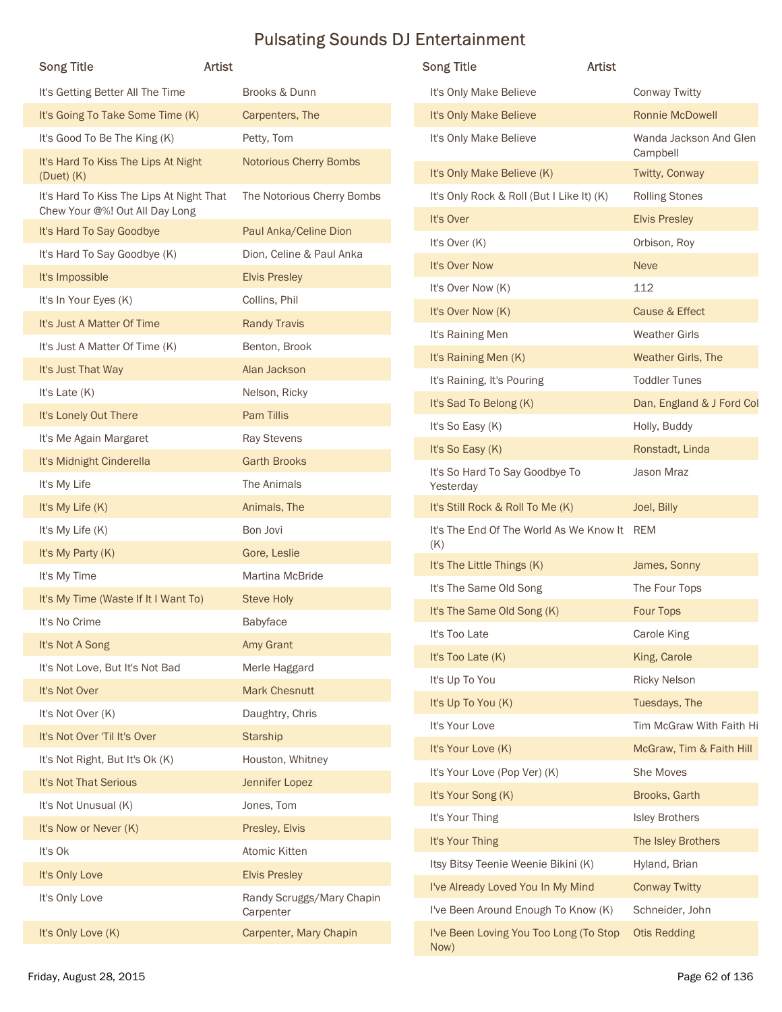| <b>Song Title</b><br>Artist<br>Artist<br>Brooks & Dunn<br>It's Only Make Believe<br><b>Conway Twitty</b><br>It's Only Make Believe<br>Ronnie McDowell<br>Carpenters, The<br>Petty, Tom<br>It's Only Make Believe<br>Wanda Jackson And Glen<br>Campbell<br><b>Notorious Cherry Bombs</b><br>It's Only Make Believe (K)<br>Twitty, Conway<br>$(Duet)$ $(K)$<br>It's Hard To Kiss The Lips At Night That<br>The Notorious Cherry Bombs<br>It's Only Rock & Roll (But I Like It) (K)<br><b>Rolling Stones</b><br>It's Over<br><b>Elvis Presley</b><br>Paul Anka/Celine Dion<br>It's Over (K)<br>Orbison, Roy<br>Dion, Celine & Paul Anka<br>It's Over Now<br><b>Neve</b><br><b>Elvis Presley</b><br>112<br>It's Over Now (K)<br>Collins, Phil<br>It's Over Now (K)<br>Cause & Effect<br><b>Randy Travis</b><br>Weather Girls<br>It's Raining Men<br>Benton, Brook<br>It's Raining Men (K)<br>Weather Girls, The<br>Alan Jackson<br><b>Toddler Tunes</b><br>It's Raining, It's Pouring<br>Nelson, Ricky<br>It's Sad To Belong (K)<br>Dan, England & J Ford Col<br>Pam Tillis<br>It's So Easy (K)<br>Holly, Buddy<br>Ray Stevens<br>It's So Easy (K)<br>Ronstadt, Linda<br><b>Garth Brooks</b><br>It's So Hard To Say Goodbye To<br>Jason Mraz<br>The Animals<br>Yesterday<br>Animals, The<br>It's Still Rock & Roll To Me (K)<br>Joel, Billy<br>Bon Jovi<br>It's The End Of The World As We Know It REM<br>(K)<br>Gore, Leslie<br>It's The Little Things (K)<br>James, Sonny<br>Martina McBride<br>It's The Same Old Song<br>The Four Tops<br><b>Steve Holy</b><br>It's The Same Old Song (K)<br>Four Tops<br>Babyface<br>It's Too Late<br>Carole King<br>Amy Grant<br>It's Too Late (K)<br>King, Carole<br>Merle Haggard<br>It's Up To You<br><b>Ricky Nelson</b><br><b>Mark Chesnutt</b><br>It's Up To You (K)<br>Tuesdays, The<br>Daughtry, Chris<br>Tim McGraw With Faith Hi<br>It's Your Love<br>Starship<br>It's Your Love (K)<br>McGraw, Tim & Faith Hill<br>Houston, Whitney<br>It's Your Love (Pop Ver) (K)<br>She Moves<br>Jennifer Lopez<br>It's Your Song (K)<br>Brooks, Garth<br>Jones, Tom<br>It's Your Thing<br><b>Isley Brothers</b><br>Presley, Elvis<br>It's Your Thing<br>The Isley Brothers<br>Atomic Kitten<br>Itsy Bitsy Teenie Weenie Bikini (K)<br>Hyland, Brian<br><b>Elvis Presley</b><br>I've Already Loved You In My Mind<br><b>Conway Twitty</b><br>Randy Scruggs/Mary Chapin<br>I've Been Around Enough To Know (K)<br>Schneider, John<br>Carpenter<br>Carpenter, Mary Chapin<br>I've Been Loving You Too Long (To Stop<br>It's Only Love (K)<br><b>Otis Redding</b><br>Now)<br>Page 62 of 136 |                                      | <b>Pulsating Sounds DJ Entertainment</b> |  |
|-------------------------------------------------------------------------------------------------------------------------------------------------------------------------------------------------------------------------------------------------------------------------------------------------------------------------------------------------------------------------------------------------------------------------------------------------------------------------------------------------------------------------------------------------------------------------------------------------------------------------------------------------------------------------------------------------------------------------------------------------------------------------------------------------------------------------------------------------------------------------------------------------------------------------------------------------------------------------------------------------------------------------------------------------------------------------------------------------------------------------------------------------------------------------------------------------------------------------------------------------------------------------------------------------------------------------------------------------------------------------------------------------------------------------------------------------------------------------------------------------------------------------------------------------------------------------------------------------------------------------------------------------------------------------------------------------------------------------------------------------------------------------------------------------------------------------------------------------------------------------------------------------------------------------------------------------------------------------------------------------------------------------------------------------------------------------------------------------------------------------------------------------------------------------------------------------------------------------------------------------------------------------------------------------------------------------------------------------------------------------------------------------------------------------------------------------------------------------------------------------------------------------------------------------------------------------------------------------------------------------|--------------------------------------|------------------------------------------|--|
|                                                                                                                                                                                                                                                                                                                                                                                                                                                                                                                                                                                                                                                                                                                                                                                                                                                                                                                                                                                                                                                                                                                                                                                                                                                                                                                                                                                                                                                                                                                                                                                                                                                                                                                                                                                                                                                                                                                                                                                                                                                                                                                                                                                                                                                                                                                                                                                                                                                                                                                                                                                                                         | <b>Song Title</b>                    |                                          |  |
|                                                                                                                                                                                                                                                                                                                                                                                                                                                                                                                                                                                                                                                                                                                                                                                                                                                                                                                                                                                                                                                                                                                                                                                                                                                                                                                                                                                                                                                                                                                                                                                                                                                                                                                                                                                                                                                                                                                                                                                                                                                                                                                                                                                                                                                                                                                                                                                                                                                                                                                                                                                                                         | It's Getting Better All The Time     |                                          |  |
|                                                                                                                                                                                                                                                                                                                                                                                                                                                                                                                                                                                                                                                                                                                                                                                                                                                                                                                                                                                                                                                                                                                                                                                                                                                                                                                                                                                                                                                                                                                                                                                                                                                                                                                                                                                                                                                                                                                                                                                                                                                                                                                                                                                                                                                                                                                                                                                                                                                                                                                                                                                                                         | It's Going To Take Some Time (K)     |                                          |  |
|                                                                                                                                                                                                                                                                                                                                                                                                                                                                                                                                                                                                                                                                                                                                                                                                                                                                                                                                                                                                                                                                                                                                                                                                                                                                                                                                                                                                                                                                                                                                                                                                                                                                                                                                                                                                                                                                                                                                                                                                                                                                                                                                                                                                                                                                                                                                                                                                                                                                                                                                                                                                                         | It's Good To Be The King (K)         |                                          |  |
|                                                                                                                                                                                                                                                                                                                                                                                                                                                                                                                                                                                                                                                                                                                                                                                                                                                                                                                                                                                                                                                                                                                                                                                                                                                                                                                                                                                                                                                                                                                                                                                                                                                                                                                                                                                                                                                                                                                                                                                                                                                                                                                                                                                                                                                                                                                                                                                                                                                                                                                                                                                                                         | It's Hard To Kiss The Lips At Night  |                                          |  |
|                                                                                                                                                                                                                                                                                                                                                                                                                                                                                                                                                                                                                                                                                                                                                                                                                                                                                                                                                                                                                                                                                                                                                                                                                                                                                                                                                                                                                                                                                                                                                                                                                                                                                                                                                                                                                                                                                                                                                                                                                                                                                                                                                                                                                                                                                                                                                                                                                                                                                                                                                                                                                         |                                      |                                          |  |
|                                                                                                                                                                                                                                                                                                                                                                                                                                                                                                                                                                                                                                                                                                                                                                                                                                                                                                                                                                                                                                                                                                                                                                                                                                                                                                                                                                                                                                                                                                                                                                                                                                                                                                                                                                                                                                                                                                                                                                                                                                                                                                                                                                                                                                                                                                                                                                                                                                                                                                                                                                                                                         | Chew Your @%! Out All Day Long       |                                          |  |
|                                                                                                                                                                                                                                                                                                                                                                                                                                                                                                                                                                                                                                                                                                                                                                                                                                                                                                                                                                                                                                                                                                                                                                                                                                                                                                                                                                                                                                                                                                                                                                                                                                                                                                                                                                                                                                                                                                                                                                                                                                                                                                                                                                                                                                                                                                                                                                                                                                                                                                                                                                                                                         | It's Hard To Say Goodbye             |                                          |  |
|                                                                                                                                                                                                                                                                                                                                                                                                                                                                                                                                                                                                                                                                                                                                                                                                                                                                                                                                                                                                                                                                                                                                                                                                                                                                                                                                                                                                                                                                                                                                                                                                                                                                                                                                                                                                                                                                                                                                                                                                                                                                                                                                                                                                                                                                                                                                                                                                                                                                                                                                                                                                                         | It's Hard To Say Goodbye (K)         |                                          |  |
|                                                                                                                                                                                                                                                                                                                                                                                                                                                                                                                                                                                                                                                                                                                                                                                                                                                                                                                                                                                                                                                                                                                                                                                                                                                                                                                                                                                                                                                                                                                                                                                                                                                                                                                                                                                                                                                                                                                                                                                                                                                                                                                                                                                                                                                                                                                                                                                                                                                                                                                                                                                                                         | It's Impossible                      |                                          |  |
|                                                                                                                                                                                                                                                                                                                                                                                                                                                                                                                                                                                                                                                                                                                                                                                                                                                                                                                                                                                                                                                                                                                                                                                                                                                                                                                                                                                                                                                                                                                                                                                                                                                                                                                                                                                                                                                                                                                                                                                                                                                                                                                                                                                                                                                                                                                                                                                                                                                                                                                                                                                                                         | It's In Your Eyes (K)                |                                          |  |
|                                                                                                                                                                                                                                                                                                                                                                                                                                                                                                                                                                                                                                                                                                                                                                                                                                                                                                                                                                                                                                                                                                                                                                                                                                                                                                                                                                                                                                                                                                                                                                                                                                                                                                                                                                                                                                                                                                                                                                                                                                                                                                                                                                                                                                                                                                                                                                                                                                                                                                                                                                                                                         | It's Just A Matter Of Time           |                                          |  |
|                                                                                                                                                                                                                                                                                                                                                                                                                                                                                                                                                                                                                                                                                                                                                                                                                                                                                                                                                                                                                                                                                                                                                                                                                                                                                                                                                                                                                                                                                                                                                                                                                                                                                                                                                                                                                                                                                                                                                                                                                                                                                                                                                                                                                                                                                                                                                                                                                                                                                                                                                                                                                         | It's Just A Matter Of Time (K)       |                                          |  |
|                                                                                                                                                                                                                                                                                                                                                                                                                                                                                                                                                                                                                                                                                                                                                                                                                                                                                                                                                                                                                                                                                                                                                                                                                                                                                                                                                                                                                                                                                                                                                                                                                                                                                                                                                                                                                                                                                                                                                                                                                                                                                                                                                                                                                                                                                                                                                                                                                                                                                                                                                                                                                         | It's Just That Way                   |                                          |  |
|                                                                                                                                                                                                                                                                                                                                                                                                                                                                                                                                                                                                                                                                                                                                                                                                                                                                                                                                                                                                                                                                                                                                                                                                                                                                                                                                                                                                                                                                                                                                                                                                                                                                                                                                                                                                                                                                                                                                                                                                                                                                                                                                                                                                                                                                                                                                                                                                                                                                                                                                                                                                                         | It's Late (K)                        |                                          |  |
|                                                                                                                                                                                                                                                                                                                                                                                                                                                                                                                                                                                                                                                                                                                                                                                                                                                                                                                                                                                                                                                                                                                                                                                                                                                                                                                                                                                                                                                                                                                                                                                                                                                                                                                                                                                                                                                                                                                                                                                                                                                                                                                                                                                                                                                                                                                                                                                                                                                                                                                                                                                                                         | It's Lonely Out There                |                                          |  |
|                                                                                                                                                                                                                                                                                                                                                                                                                                                                                                                                                                                                                                                                                                                                                                                                                                                                                                                                                                                                                                                                                                                                                                                                                                                                                                                                                                                                                                                                                                                                                                                                                                                                                                                                                                                                                                                                                                                                                                                                                                                                                                                                                                                                                                                                                                                                                                                                                                                                                                                                                                                                                         | It's Me Again Margaret               |                                          |  |
|                                                                                                                                                                                                                                                                                                                                                                                                                                                                                                                                                                                                                                                                                                                                                                                                                                                                                                                                                                                                                                                                                                                                                                                                                                                                                                                                                                                                                                                                                                                                                                                                                                                                                                                                                                                                                                                                                                                                                                                                                                                                                                                                                                                                                                                                                                                                                                                                                                                                                                                                                                                                                         | It's Midnight Cinderella             |                                          |  |
|                                                                                                                                                                                                                                                                                                                                                                                                                                                                                                                                                                                                                                                                                                                                                                                                                                                                                                                                                                                                                                                                                                                                                                                                                                                                                                                                                                                                                                                                                                                                                                                                                                                                                                                                                                                                                                                                                                                                                                                                                                                                                                                                                                                                                                                                                                                                                                                                                                                                                                                                                                                                                         | It's My Life                         |                                          |  |
|                                                                                                                                                                                                                                                                                                                                                                                                                                                                                                                                                                                                                                                                                                                                                                                                                                                                                                                                                                                                                                                                                                                                                                                                                                                                                                                                                                                                                                                                                                                                                                                                                                                                                                                                                                                                                                                                                                                                                                                                                                                                                                                                                                                                                                                                                                                                                                                                                                                                                                                                                                                                                         | It's My Life (K)                     |                                          |  |
|                                                                                                                                                                                                                                                                                                                                                                                                                                                                                                                                                                                                                                                                                                                                                                                                                                                                                                                                                                                                                                                                                                                                                                                                                                                                                                                                                                                                                                                                                                                                                                                                                                                                                                                                                                                                                                                                                                                                                                                                                                                                                                                                                                                                                                                                                                                                                                                                                                                                                                                                                                                                                         | It's My Life (K)                     |                                          |  |
|                                                                                                                                                                                                                                                                                                                                                                                                                                                                                                                                                                                                                                                                                                                                                                                                                                                                                                                                                                                                                                                                                                                                                                                                                                                                                                                                                                                                                                                                                                                                                                                                                                                                                                                                                                                                                                                                                                                                                                                                                                                                                                                                                                                                                                                                                                                                                                                                                                                                                                                                                                                                                         | It's My Party (K)                    |                                          |  |
|                                                                                                                                                                                                                                                                                                                                                                                                                                                                                                                                                                                                                                                                                                                                                                                                                                                                                                                                                                                                                                                                                                                                                                                                                                                                                                                                                                                                                                                                                                                                                                                                                                                                                                                                                                                                                                                                                                                                                                                                                                                                                                                                                                                                                                                                                                                                                                                                                                                                                                                                                                                                                         | It's My Time                         |                                          |  |
|                                                                                                                                                                                                                                                                                                                                                                                                                                                                                                                                                                                                                                                                                                                                                                                                                                                                                                                                                                                                                                                                                                                                                                                                                                                                                                                                                                                                                                                                                                                                                                                                                                                                                                                                                                                                                                                                                                                                                                                                                                                                                                                                                                                                                                                                                                                                                                                                                                                                                                                                                                                                                         | It's My Time (Waste If It I Want To) |                                          |  |
|                                                                                                                                                                                                                                                                                                                                                                                                                                                                                                                                                                                                                                                                                                                                                                                                                                                                                                                                                                                                                                                                                                                                                                                                                                                                                                                                                                                                                                                                                                                                                                                                                                                                                                                                                                                                                                                                                                                                                                                                                                                                                                                                                                                                                                                                                                                                                                                                                                                                                                                                                                                                                         | It's No Crime                        |                                          |  |
|                                                                                                                                                                                                                                                                                                                                                                                                                                                                                                                                                                                                                                                                                                                                                                                                                                                                                                                                                                                                                                                                                                                                                                                                                                                                                                                                                                                                                                                                                                                                                                                                                                                                                                                                                                                                                                                                                                                                                                                                                                                                                                                                                                                                                                                                                                                                                                                                                                                                                                                                                                                                                         | It's Not A Song                      |                                          |  |
|                                                                                                                                                                                                                                                                                                                                                                                                                                                                                                                                                                                                                                                                                                                                                                                                                                                                                                                                                                                                                                                                                                                                                                                                                                                                                                                                                                                                                                                                                                                                                                                                                                                                                                                                                                                                                                                                                                                                                                                                                                                                                                                                                                                                                                                                                                                                                                                                                                                                                                                                                                                                                         | It's Not Love, But It's Not Bad      |                                          |  |
|                                                                                                                                                                                                                                                                                                                                                                                                                                                                                                                                                                                                                                                                                                                                                                                                                                                                                                                                                                                                                                                                                                                                                                                                                                                                                                                                                                                                                                                                                                                                                                                                                                                                                                                                                                                                                                                                                                                                                                                                                                                                                                                                                                                                                                                                                                                                                                                                                                                                                                                                                                                                                         | It's Not Over                        |                                          |  |
|                                                                                                                                                                                                                                                                                                                                                                                                                                                                                                                                                                                                                                                                                                                                                                                                                                                                                                                                                                                                                                                                                                                                                                                                                                                                                                                                                                                                                                                                                                                                                                                                                                                                                                                                                                                                                                                                                                                                                                                                                                                                                                                                                                                                                                                                                                                                                                                                                                                                                                                                                                                                                         | It's Not Over (K)                    |                                          |  |
|                                                                                                                                                                                                                                                                                                                                                                                                                                                                                                                                                                                                                                                                                                                                                                                                                                                                                                                                                                                                                                                                                                                                                                                                                                                                                                                                                                                                                                                                                                                                                                                                                                                                                                                                                                                                                                                                                                                                                                                                                                                                                                                                                                                                                                                                                                                                                                                                                                                                                                                                                                                                                         | It's Not Over 'Til It's Over         |                                          |  |
|                                                                                                                                                                                                                                                                                                                                                                                                                                                                                                                                                                                                                                                                                                                                                                                                                                                                                                                                                                                                                                                                                                                                                                                                                                                                                                                                                                                                                                                                                                                                                                                                                                                                                                                                                                                                                                                                                                                                                                                                                                                                                                                                                                                                                                                                                                                                                                                                                                                                                                                                                                                                                         | It's Not Right, But It's Ok (K)      |                                          |  |
|                                                                                                                                                                                                                                                                                                                                                                                                                                                                                                                                                                                                                                                                                                                                                                                                                                                                                                                                                                                                                                                                                                                                                                                                                                                                                                                                                                                                                                                                                                                                                                                                                                                                                                                                                                                                                                                                                                                                                                                                                                                                                                                                                                                                                                                                                                                                                                                                                                                                                                                                                                                                                         | It's Not That Serious                |                                          |  |
|                                                                                                                                                                                                                                                                                                                                                                                                                                                                                                                                                                                                                                                                                                                                                                                                                                                                                                                                                                                                                                                                                                                                                                                                                                                                                                                                                                                                                                                                                                                                                                                                                                                                                                                                                                                                                                                                                                                                                                                                                                                                                                                                                                                                                                                                                                                                                                                                                                                                                                                                                                                                                         | It's Not Unusual (K)                 |                                          |  |
|                                                                                                                                                                                                                                                                                                                                                                                                                                                                                                                                                                                                                                                                                                                                                                                                                                                                                                                                                                                                                                                                                                                                                                                                                                                                                                                                                                                                                                                                                                                                                                                                                                                                                                                                                                                                                                                                                                                                                                                                                                                                                                                                                                                                                                                                                                                                                                                                                                                                                                                                                                                                                         | It's Now or Never (K)                |                                          |  |
|                                                                                                                                                                                                                                                                                                                                                                                                                                                                                                                                                                                                                                                                                                                                                                                                                                                                                                                                                                                                                                                                                                                                                                                                                                                                                                                                                                                                                                                                                                                                                                                                                                                                                                                                                                                                                                                                                                                                                                                                                                                                                                                                                                                                                                                                                                                                                                                                                                                                                                                                                                                                                         | It's Ok                              |                                          |  |
|                                                                                                                                                                                                                                                                                                                                                                                                                                                                                                                                                                                                                                                                                                                                                                                                                                                                                                                                                                                                                                                                                                                                                                                                                                                                                                                                                                                                                                                                                                                                                                                                                                                                                                                                                                                                                                                                                                                                                                                                                                                                                                                                                                                                                                                                                                                                                                                                                                                                                                                                                                                                                         | It's Only Love                       |                                          |  |
|                                                                                                                                                                                                                                                                                                                                                                                                                                                                                                                                                                                                                                                                                                                                                                                                                                                                                                                                                                                                                                                                                                                                                                                                                                                                                                                                                                                                                                                                                                                                                                                                                                                                                                                                                                                                                                                                                                                                                                                                                                                                                                                                                                                                                                                                                                                                                                                                                                                                                                                                                                                                                         | It's Only Love                       |                                          |  |
|                                                                                                                                                                                                                                                                                                                                                                                                                                                                                                                                                                                                                                                                                                                                                                                                                                                                                                                                                                                                                                                                                                                                                                                                                                                                                                                                                                                                                                                                                                                                                                                                                                                                                                                                                                                                                                                                                                                                                                                                                                                                                                                                                                                                                                                                                                                                                                                                                                                                                                                                                                                                                         |                                      |                                          |  |
|                                                                                                                                                                                                                                                                                                                                                                                                                                                                                                                                                                                                                                                                                                                                                                                                                                                                                                                                                                                                                                                                                                                                                                                                                                                                                                                                                                                                                                                                                                                                                                                                                                                                                                                                                                                                                                                                                                                                                                                                                                                                                                                                                                                                                                                                                                                                                                                                                                                                                                                                                                                                                         |                                      |                                          |  |
|                                                                                                                                                                                                                                                                                                                                                                                                                                                                                                                                                                                                                                                                                                                                                                                                                                                                                                                                                                                                                                                                                                                                                                                                                                                                                                                                                                                                                                                                                                                                                                                                                                                                                                                                                                                                                                                                                                                                                                                                                                                                                                                                                                                                                                                                                                                                                                                                                                                                                                                                                                                                                         | riday, August 28, 2015               |                                          |  |
|                                                                                                                                                                                                                                                                                                                                                                                                                                                                                                                                                                                                                                                                                                                                                                                                                                                                                                                                                                                                                                                                                                                                                                                                                                                                                                                                                                                                                                                                                                                                                                                                                                                                                                                                                                                                                                                                                                                                                                                                                                                                                                                                                                                                                                                                                                                                                                                                                                                                                                                                                                                                                         |                                      |                                          |  |

| Artist<br><b>Song Title</b>                                                                     |                                                                                      | Artist<br><b>Song Title</b>                                             |                                         |
|-------------------------------------------------------------------------------------------------|--------------------------------------------------------------------------------------|-------------------------------------------------------------------------|-----------------------------------------|
| It's Getting Better All The Time                                                                | Brooks & Dunn                                                                        | It's Only Make Believe                                                  | <b>Conway Twitty</b>                    |
| It's Going To Take Some Time (K)                                                                | Carpenters, The                                                                      | It's Only Make Believe                                                  | <b>Ronnie McDowell</b>                  |
| It's Good To Be The King (K)                                                                    | Petty, Tom                                                                           | It's Only Make Believe                                                  | Wanda Jackson And Glen                  |
| It's Hard To Kiss The Lips At Night                                                             | <b>Notorious Cherry Bombs</b>                                                        |                                                                         | Campbell                                |
| $(Duet)$ (K)<br>It's Hard To Kiss The Lips At Night That                                        | The Notorious Cherry Bombs                                                           | It's Only Make Believe (K)<br>It's Only Rock & Roll (But I Like It) (K) | Twitty, Conway<br><b>Rolling Stones</b> |
| Chew Your @%! Out All Day Long                                                                  |                                                                                      | It's Over                                                               | <b>Elvis Presley</b>                    |
| It's Hard To Say Goodbye                                                                        | Paul Anka/Celine Dion                                                                | It's Over (K)                                                           | Orbison, Roy                            |
| It's Hard To Say Goodbye (K)                                                                    | Dion, Celine & Paul Anka                                                             | It's Over Now                                                           | <b>Neve</b>                             |
| It's Impossible                                                                                 | <b>Elvis Presley</b>                                                                 | It's Over Now (K)                                                       | 112                                     |
| It's In Your Eyes (K)                                                                           | Collins, Phil                                                                        | It's Over Now (K)                                                       | Cause & Effect                          |
| It's Just A Matter Of Time                                                                      | <b>Randy Travis</b>                                                                  | It's Raining Men                                                        | <b>Weather Girls</b>                    |
| It's Just A Matter Of Time (K)                                                                  | Benton, Brook                                                                        | It's Raining Men (K)                                                    | Weather Girls, The                      |
| It's Just That Way                                                                              | Alan Jackson                                                                         | It's Raining, It's Pouring                                              | <b>Toddler Tunes</b>                    |
| It's Late (K)                                                                                   | Nelson, Ricky                                                                        | It's Sad To Belong (K)                                                  | Dan, England & J Ford Col               |
| It's Lonely Out There                                                                           | Pam Tillis                                                                           | It's So Easy (K)                                                        | Holly, Buddy                            |
| It's Me Again Margaret                                                                          | Ray Stevens                                                                          | It's So Easy (K)                                                        | Ronstadt, Linda                         |
| It's Midnight Cinderella                                                                        | <b>Garth Brooks</b>                                                                  | It's So Hard To Say Goodbye To                                          | Jason Mraz                              |
| It's My Life                                                                                    | The Animals                                                                          | Yesterday                                                               |                                         |
| It's My Life (K)                                                                                | Animals, The                                                                         | It's Still Rock & Roll To Me (K)                                        | Joel, Billy                             |
| It's My Life (K)                                                                                | Bon Jovi                                                                             | It's The End Of The World As We Know It REM<br>(K)                      |                                         |
| It's My Party (K)                                                                               | Gore, Leslie                                                                         | It's The Little Things (K)                                              | James, Sonny                            |
| It's My Time                                                                                    | Martina McBride                                                                      | It's The Same Old Song                                                  | The Four Tops                           |
| It's My Time (Waste If It I Want To)                                                            | <b>Steve Holy</b>                                                                    | It's The Same Old Song (K)                                              | Four Tops                               |
| It's No Crime                                                                                   | Babyface                                                                             | It's Too Late                                                           | Carole King                             |
| It's Not A Song                                                                                 | Amy Grant                                                                            | It's Too Late (K)                                                       | King, Carole                            |
| It's Not Love, But It's Not Bad                                                                 | Merle Haggard                                                                        | It's Up To You                                                          | Ricky Nelson                            |
| It's Not Over                                                                                   | <b>Mark Chesnutt</b>                                                                 | It's Up To You (K)                                                      | Tuesdays, The                           |
| It's Not Over (K)                                                                               | Daughtry, Chris                                                                      | It's Your Love                                                          | Tim McGraw With Faith Hi                |
| It's Not Over 'Til It's Over                                                                    | Starship                                                                             | It's Your Love (K)                                                      | McGraw, Tim & Faith Hill                |
| It's Not Right, But It's Ok (K)                                                                 | Houston, Whitney                                                                     | It's Your Love (Pop Ver) (K)                                            | She Moves                               |
| It's Not That Serious                                                                           | Jennifer Lopez                                                                       | It's Your Song (K)                                                      | Brooks, Garth                           |
| It's Not Unusual (K)                                                                            | Jones, Tom                                                                           | It's Your Thing                                                         | <b>Isley Brothers</b>                   |
|                                                                                                 |                                                                                      | It's Your Thing                                                         | The Isley Brothers                      |
|                                                                                                 |                                                                                      | Itsy Bitsy Teenie Weenie Bikini (K)                                     | Hyland, Brian                           |
|                                                                                                 |                                                                                      | I've Already Loved You In My Mind                                       | <b>Conway Twitty</b>                    |
|                                                                                                 | Carpenter                                                                            | I've Been Around Enough To Know (K)                                     | Schneider, John                         |
| It's Only Love (K)                                                                              | Carpenter, Mary Chapin                                                               | I've Been Loving You Too Long (To Stop                                  | <b>Otis Redding</b>                     |
| It's Now or Never (K)<br>It's Ok<br>It's Only Love<br>It's Only Love<br>Friday, August 28, 2015 | Presley, Elvis<br>Atomic Kitten<br><b>Elvis Presley</b><br>Randy Scruggs/Mary Chapin | Now)                                                                    | Page 62 of 136                          |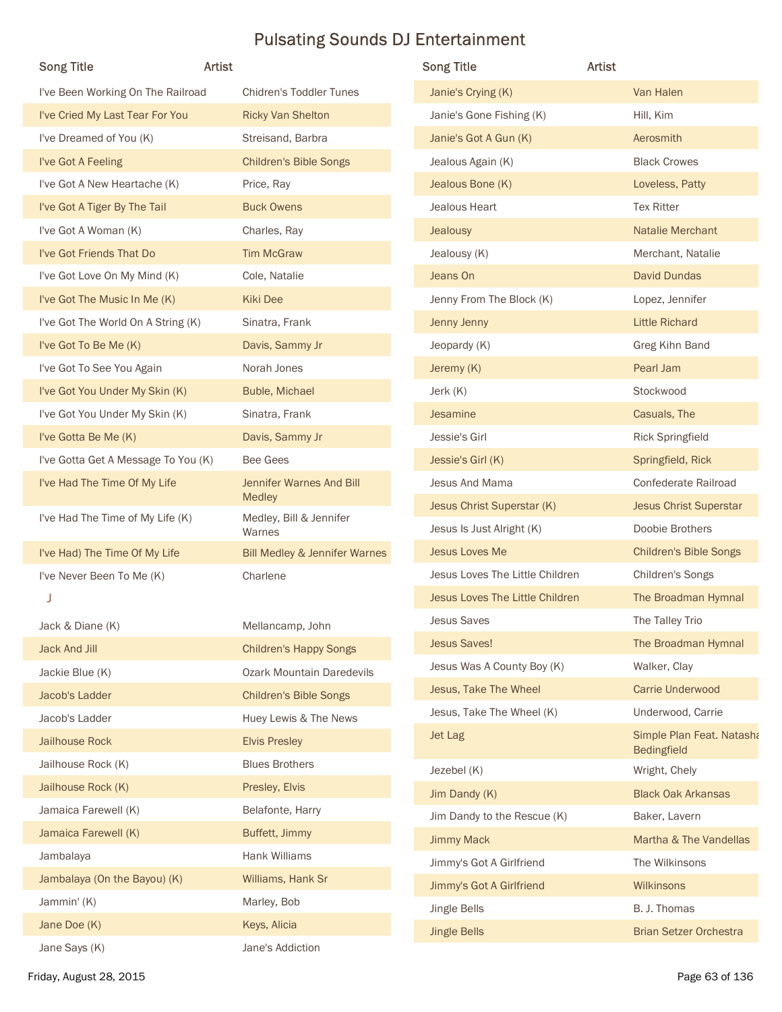|                                     | Artist                             | <b>Song Title</b><br>Artist     |                                                 |
|-------------------------------------|------------------------------------|---------------------------------|-------------------------------------------------|
| I've Been Working On The Railroad   | Chidren's Toddler Tunes            | Janie's Crying (K)              | Van Halen                                       |
| I've Cried My Last Tear For You     | <b>Ricky Van Shelton</b>           | Janie's Gone Fishing (K)        | Hill, Kim                                       |
| I've Dreamed of You (K)             | Streisand, Barbra                  | Janie's Got A Gun (K)           | Aerosmith                                       |
| I've Got A Feeling                  | <b>Children's Bible Songs</b>      | Jealous Again (K)               | <b>Black Crowes</b>                             |
| I've Got A New Heartache (K)        | Price, Ray                         | Jealous Bone (K)                | Loveless, Patty                                 |
| I've Got A Tiger By The Tail        | <b>Buck Owens</b>                  | Jealous Heart                   | <b>Tex Ritter</b>                               |
| I've Got A Woman (K)                | Charles, Ray                       | Jealousy                        | <b>Natalie Merchant</b>                         |
| I've Got Friends That Do            | <b>Tim McGraw</b>                  | Jealousy (K)                    | Merchant, Natalie                               |
| I've Got Love On My Mind (K)        | Cole, Natalie                      | Jeans On                        | David Dundas                                    |
| I've Got The Music In Me (K)        | Kiki Dee                           | Jenny From The Block (K)        | Lopez, Jennifer                                 |
| I've Got The World On A String (K)  | Sinatra, Frank                     | Jenny Jenny                     | <b>Little Richard</b>                           |
| I've Got To Be Me (K)               | Davis, Sammy Jr                    | Jeopardy (K)                    | Greg Kihn Band                                  |
| I've Got To See You Again           | Norah Jones                        | Jeremy (K)                      | Pearl Jam                                       |
| I've Got You Under My Skin (K)      | Buble, Michael                     | Jerk (K)                        | Stockwood                                       |
| I've Got You Under My Skin (K)      | Sinatra, Frank                     | Jesamine                        | Casuals, The                                    |
| I've Gotta Be Me (K)                | Davis, Sammy Jr                    | Jessie's Girl                   | <b>Rick Springfield</b>                         |
| I've Gotta Get A Message To You (K) | Bee Gees                           | Jessie's Girl (K)               | Springfield, Rick                               |
| I've Had The Time Of My Life        | Jennifer Warnes And Bill<br>Medley | Jesus And Mama                  | Confederate Railroad                            |
| I've Had The Time of My Life (K)    | Medley, Bill & Jennifer            | Jesus Christ Superstar (K)      | Jesus Christ Superstar                          |
|                                     | Warnes                             | Jesus Is Just Alright (K)       | Doobie Brothers                                 |
| I've Had) The Time Of My Life       | Bill Medley & Jennifer Warnes      | Jesus Loves Me                  | <b>Children's Bible Songs</b>                   |
| I've Never Been To Me (K)           | Charlene                           | Jesus Loves The Little Children | Children's Songs                                |
|                                     |                                    | Jesus Loves The Little Children | The Broadman Hymnal                             |
| Jack & Diane (K)                    | Mellancamp, John                   | <b>Jesus Saves</b>              | The Talley Trio                                 |
| Jack And Jill                       | <b>Children's Happy Songs</b>      | <b>Jesus Saves!</b>             | The Broadman Hymnal                             |
| Jackie Blue (K)                     | <b>Ozark Mountain Daredevils</b>   | Jesus Was A County Boy (K)      | Walker, Clay                                    |
| Jacob's Ladder                      | <b>Children's Bible Songs</b>      | Jesus, Take The Wheel           | Carrie Underwood                                |
| Jacob's Ladder                      | Huey Lewis & The News              | Jesus, Take The Wheel (K)       | Underwood, Carrie                               |
| Jailhouse Rock                      | <b>Elvis Presley</b>               | Jet Lag                         | Simple Plan Feat. Natasha<br><b>Bedingfield</b> |
| Jailhouse Rock (K)                  | <b>Blues Brothers</b>              | Jezebel (K)                     | Wright, Chely                                   |
| Jailhouse Rock (K)                  | Presley, Elvis                     | Jim Dandy (K)                   | <b>Black Oak Arkansas</b>                       |
| Jamaica Farewell (K)                | Belafonte, Harry                   | Jim Dandy to the Rescue (K)     | Baker, Lavern                                   |
| Jamaica Farewell (K)                | Buffett, Jimmy                     | <b>Jimmy Mack</b>               | Martha & The Vandellas                          |
| Jambalaya                           | Hank Williams                      | Jimmy's Got A Girlfriend        | The Wilkinsons                                  |
| Jambalaya (On the Bayou) (K)        | Williams, Hank Sr                  | Jimmy's Got A Girlfriend        | Wilkinsons                                      |
| Jammin' (K)                         | Marley, Bob                        | Jingle Bells                    | B. J. Thomas                                    |
| Jane Doe (K)                        | Keys, Alicia                       | <b>Jingle Bells</b>             | <b>Brian Setzer Orchestra</b>                   |
|                                     | Jane's Addiction                   |                                 |                                                 |

| <b>Entertainment</b>            |        |                                                 |
|---------------------------------|--------|-------------------------------------------------|
| <b>Song Title</b>               | Artist |                                                 |
| Janie's Crying (K)              |        | Van Halen                                       |
| Janie's Gone Fishing (K)        |        | Hill, Kim                                       |
| Janie's Got A Gun (K)           |        | Aerosmith                                       |
| Jealous Again (K)               |        | <b>Black Crowes</b>                             |
| Jealous Bone (K)                |        | Loveless, Patty                                 |
| Jealous Heart                   |        | <b>Tex Ritter</b>                               |
| Jealousy                        |        | <b>Natalie Merchant</b>                         |
| Jealousy (K)                    |        | Merchant, Natalie                               |
| Jeans On                        |        | <b>David Dundas</b>                             |
| Jenny From The Block (K)        |        | Lopez, Jennifer                                 |
| Jenny Jenny                     |        | <b>Little Richard</b>                           |
| Jeopardy (K)                    |        | Greg Kihn Band                                  |
| Jeremy (K)                      |        | Pearl Jam                                       |
| Jerk (K)                        |        | Stockwood                                       |
| Jesamine                        |        | Casuals, The                                    |
| Jessie's Girl                   |        | <b>Rick Springfield</b>                         |
| Jessie's Girl (K)               |        | Springfield, Rick                               |
| Jesus And Mama                  |        | Confederate Railroad                            |
| Jesus Christ Superstar (K)      |        | <b>Jesus Christ Superstar</b>                   |
| Jesus Is Just Alright (K)       |        | Doobie Brothers                                 |
| Jesus Loves Me                  |        | <b>Children's Bible Songs</b>                   |
| Jesus Loves The Little Children |        | Children's Songs                                |
| Jesus Loves The Little Children |        | The Broadman Hymnal                             |
| <b>Jesus Saves</b>              |        | The Talley Trio                                 |
| <b>Jesus Saves!</b>             |        | The Broadman Hymnal                             |
| Jesus Was A County Boy (K)      |        | Walker, Clay                                    |
| Jesus, Take The Wheel           |        | <b>Carrie Underwood</b>                         |
| Jesus, Take The Wheel (K)       |        | Underwood, Carrie                               |
| Jet Lag                         |        | Simple Plan Feat. Natasha<br><b>Bedingfield</b> |
| Jezebel (K)                     |        | Wright, Chely                                   |
| Jim Dandy (K)                   |        | <b>Black Oak Arkansas</b>                       |
| Jim Dandy to the Rescue (K)     |        | Baker, Lavern                                   |
| <b>Jimmy Mack</b>               |        | Martha & The Vandellas                          |
| Jimmy's Got A Girlfriend        |        | The Wilkinsons                                  |
| Jimmy's Got A Girlfriend        |        | Wilkinsons                                      |
| Jingle Bells                    |        | B. J. Thomas                                    |
| <b>Jingle Bells</b>             |        | <b>Brian Setzer Orchestra</b>                   |
|                                 |        |                                                 |
|                                 |        | Page 63 of 136                                  |
|                                 |        |                                                 |
|                                 |        |                                                 |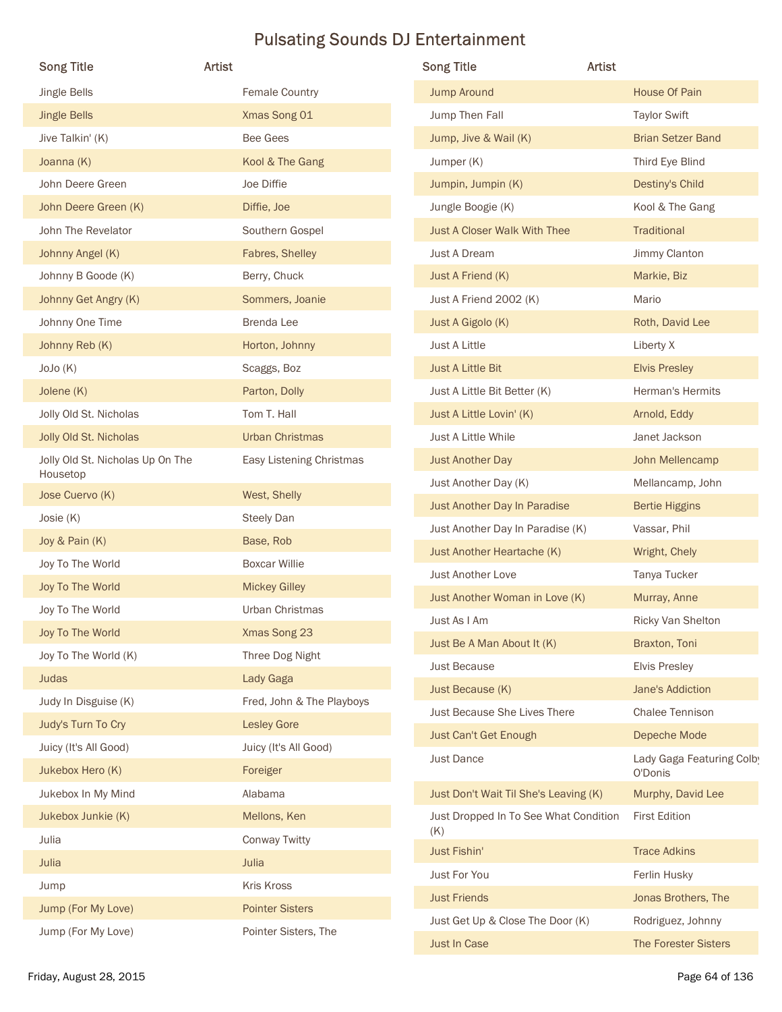|                                  | Artist                    | <b>Song Title</b><br>Artist           |                                      |
|----------------------------------|---------------------------|---------------------------------------|--------------------------------------|
| Jingle Bells                     | Female Country            | <b>Jump Around</b>                    | House Of Pain                        |
| <b>Jingle Bells</b>              | Xmas Song 01              | Jump Then Fall                        | <b>Taylor Swift</b>                  |
| Jive Talkin' (K)                 | Bee Gees                  | Jump, Jive & Wail (K)                 | <b>Brian Setzer Band</b>             |
| Joanna (K)                       | Kool & The Gang           | Jumper (K)                            | Third Eye Blind                      |
| John Deere Green                 | Joe Diffie                | Jumpin, Jumpin (K)                    | Destiny's Child                      |
| John Deere Green (K)             | Diffie, Joe               | Jungle Boogie (K)                     | Kool & The Gang                      |
| John The Revelator               | Southern Gospel           | Just A Closer Walk With Thee          | Traditional                          |
| Johnny Angel (K)                 | Fabres, Shelley           | Just A Dream                          | Jimmy Clanton                        |
| Johnny B Goode (K)               | Berry, Chuck              | Just A Friend (K)                     | Markie, Biz                          |
| Johnny Get Angry (K)             | Sommers, Joanie           | Just A Friend 2002 (K)                | Mario                                |
| Johnny One Time                  | Brenda Lee                | Just A Gigolo (K)                     | Roth, David Lee                      |
| Johnny Reb (K)                   | Horton, Johnny            | Just A Little                         | Liberty X                            |
| JoJo (K)                         | Scaggs, Boz               | Just A Little Bit                     | <b>Elvis Presley</b>                 |
| Jolene (K)                       | Parton, Dolly             | Just A Little Bit Better (K)          | Herman's Hermits                     |
| Jolly Old St. Nicholas           | Tom T. Hall               | Just A Little Lovin' (K)              | Arnold, Eddy                         |
| Jolly Old St. Nicholas           | <b>Urban Christmas</b>    | Just A Little While                   | Janet Jackson                        |
| Jolly Old St. Nicholas Up On The | Easy Listening Christmas  | Just Another Day                      | John Mellencamp                      |
| Housetop<br>Jose Cuervo (K)      | West, Shelly              | Just Another Day (K)                  | Mellancamp, John                     |
| Josie (K)                        | Steely Dan                | Just Another Day In Paradise          | <b>Bertie Higgins</b>                |
| Joy & Pain (K)                   | Base, Rob                 | Just Another Day In Paradise (K)      | Vassar, Phil                         |
| Joy To The World                 | <b>Boxcar Willie</b>      | Just Another Heartache (K)            | Wright, Chely                        |
| Joy To The World                 | <b>Mickey Gilley</b>      | Just Another Love                     | Tanya Tucker                         |
| Joy To The World                 | Urban Christmas           | Just Another Woman in Love (K)        | Murray, Anne                         |
| Joy To The World                 | Xmas Song 23              | Just As I Am                          | Ricky Van Shelton                    |
| Joy To The World (K)             | Three Dog Night           | Just Be A Man About It (K)            | Braxton, Toni                        |
| Judas                            | Lady Gaga                 | Just Because                          | <b>Elvis Presley</b>                 |
| Judy In Disguise (K)             | Fred, John & The Playboys | Just Because (K)                      | Jane's Addiction                     |
| Judy's Turn To Cry               | <b>Lesley Gore</b>        | Just Because She Lives There          | Chalee Tennison                      |
| Juicy (It's All Good)            | Juicy (It's All Good)     | Just Can't Get Enough                 | Depeche Mode                         |
| Jukebox Hero (K)                 | Foreiger                  | Just Dance                            | Lady Gaga Featuring Colby<br>O'Donis |
| Jukebox In My Mind               | Alabama                   | Just Don't Wait Til She's Leaving (K) | Murphy, David Lee                    |
| Jukebox Junkie (K)               | Mellons, Ken              | Just Dropped In To See What Condition | <b>First Edition</b>                 |
| Julia                            | <b>Conway Twitty</b>      | (K)                                   |                                      |
| Julia                            | Julia                     | Just Fishin'                          | <b>Trace Adkins</b>                  |
| Jump                             | Kris Kross                | Just For You                          | Ferlin Husky                         |
| Jump (For My Love)               | <b>Pointer Sisters</b>    | <b>Just Friends</b>                   | Jonas Brothers, The                  |
| Jump (For My Love)               | Pointer Sisters, The      | Just Get Up & Close The Door (K)      | Rodriguez, Johnny                    |
|                                  |                           | Just In Case                          | The Forester Sisters                 |

| <b>Entertainment</b>                         |                                                     |
|----------------------------------------------|-----------------------------------------------------|
| <b>Song Title</b><br><b>Artist</b>           |                                                     |
| <b>Jump Around</b>                           | House Of Pain                                       |
| Jump Then Fall                               | <b>Taylor Swift</b>                                 |
| Jump, Jive & Wail (K)                        | <b>Brian Setzer Band</b>                            |
| Jumper (K)                                   | Third Eye Blind                                     |
| Jumpin, Jumpin (K)                           | Destiny's Child                                     |
| Jungle Boogie (K)                            | Kool & The Gang                                     |
| Just A Closer Walk With Thee                 | Traditional                                         |
| Just A Dream                                 | Jimmy Clanton                                       |
| Just A Friend (K)                            | Markie, Biz                                         |
| Just A Friend 2002 (K)                       | Mario                                               |
| Just A Gigolo (K)                            | Roth, David Lee                                     |
| Just A Little                                | Liberty X                                           |
| <b>Just A Little Bit</b>                     | <b>Elvis Presley</b>                                |
| Just A Little Bit Better (K)                 | Herman's Hermits                                    |
| Just A Little Lovin' (K)                     | Arnold, Eddy                                        |
| Just A Little While                          | Janet Jackson                                       |
| Just Another Day                             | John Mellencamp                                     |
| Just Another Day (K)                         | Mellancamp, John                                    |
| Just Another Day In Paradise                 | <b>Bertie Higgins</b>                               |
| Just Another Day In Paradise (K)             | Vassar, Phil                                        |
| Just Another Heartache (K)                   | Wright, Chely                                       |
| Just Another Love                            | Tanya Tucker                                        |
| Just Another Woman in Love (K)               | Murray, Anne                                        |
| Just As I Am                                 | Ricky Van Shelton                                   |
| Just Be A Man About It (K)                   | Braxton, Toni                                       |
| <b>Just Because</b>                          | <b>Elvis Presley</b>                                |
| Just Because (K)                             | <b>Jane's Addiction</b>                             |
| Just Because She Lives There                 | Chalee Tennison                                     |
| Just Can't Get Enough<br><b>Just Dance</b>   | Depeche Mode<br>Lady Gaga Featuring Colb<br>O'Donis |
| Just Don't Wait Til She's Leaving (K)        | Murphy, David Lee                                   |
| Just Dropped In To See What Condition<br>(K) | <b>First Edition</b>                                |
| Just Fishin'                                 | <b>Trace Adkins</b>                                 |
| Just For You                                 | Ferlin Husky                                        |
| <b>Just Friends</b>                          | Jonas Brothers, The                                 |
| Just Get Up & Close The Door (K)             | Rodriguez, Johnny                                   |
| <b>Just In Case</b>                          | The Forester Sisters<br>Page 64 of 136              |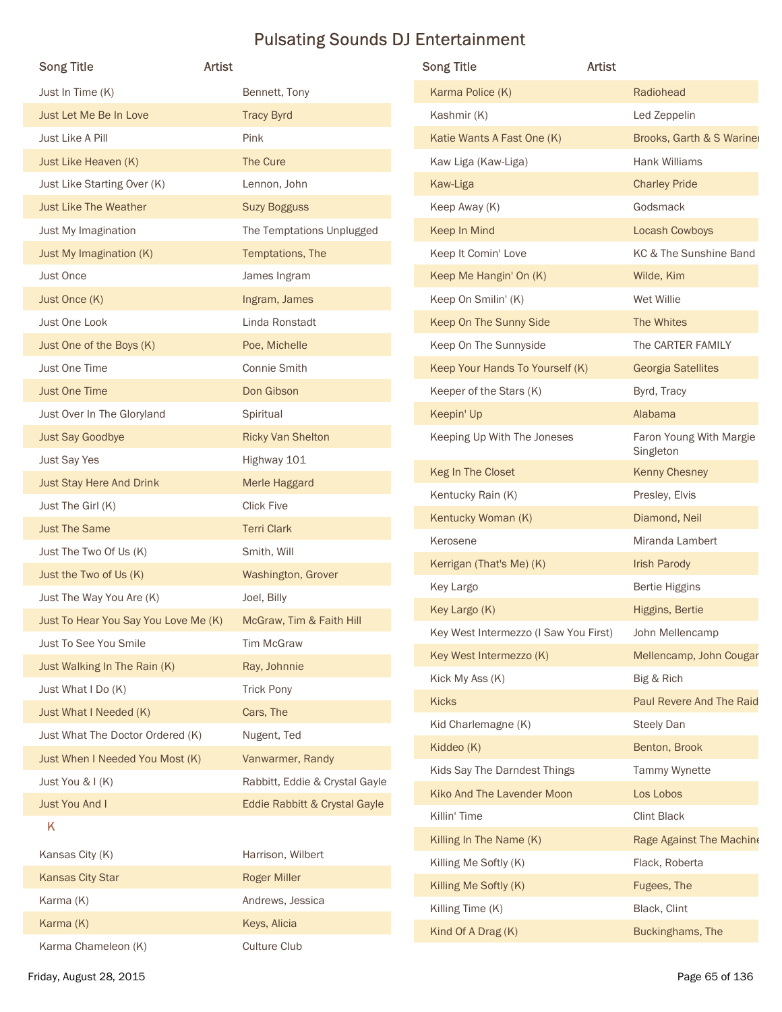| <b>Song Title</b><br><b>Artist</b>               | <b>Pulsating Sounds DJ Entertainment</b> | <b>Song Title</b><br>Artist             |                                         |
|--------------------------------------------------|------------------------------------------|-----------------------------------------|-----------------------------------------|
| Just In Time (K)                                 | Bennett, Tony                            | Karma Police (K)                        | Radiohead                               |
| Just Let Me Be In Love                           | <b>Tracy Byrd</b>                        | Kashmir (K)                             | Led Zeppelin                            |
| Just Like A Pill                                 | Pink                                     | Katie Wants A Fast One (K)              | Brooks, Garth & S Wariner               |
| Just Like Heaven (K)                             | The Cure                                 | Kaw Liga (Kaw-Liga)                     | Hank Williams                           |
| Just Like Starting Over (K)                      | Lennon, John                             | Kaw-Liga                                | <b>Charley Pride</b>                    |
| <b>Just Like The Weather</b>                     | <b>Suzy Bogguss</b>                      | Keep Away (K)                           | Godsmack                                |
| Just My Imagination                              | The Temptations Unplugged                | Keep In Mind                            | Locash Cowboys                          |
| Just My Imagination (K)                          | Temptations, The                         | Keep It Comin' Love                     | KC & The Sunshine Band                  |
| Just Once                                        | James Ingram                             | Keep Me Hangin' On (K)                  | Wilde, Kim                              |
| Just Once (K)                                    | Ingram, James                            | Keep On Smilin' (K)                     | Wet Willie                              |
| Just One Look                                    | Linda Ronstadt                           | Keep On The Sunny Side                  | The Whites                              |
| Just One of the Boys (K)                         | Poe, Michelle                            | Keep On The Sunnyside                   | The CARTER FAMILY                       |
| Just One Time                                    | Connie Smith                             | Keep Your Hands To Yourself (K)         | <b>Georgia Satellites</b>               |
| Just One Time                                    | Don Gibson                               | Keeper of the Stars (K)                 | Byrd, Tracy                             |
| Just Over In The Gloryland                       | Spiritual                                | Keepin' Up                              | Alabama                                 |
| <b>Just Say Goodbye</b>                          | <b>Ricky Van Shelton</b>                 | Keeping Up With The Joneses             | Faron Young With Margie<br>Singleton    |
| Just Say Yes                                     | Highway 101                              | Keg In The Closet                       | Kenny Chesney                           |
| Just Stay Here And Drink                         | Merle Haggard                            | Kentucky Rain (K)                       | Presley, Elvis                          |
| Just The Girl (K)                                | <b>Click Five</b>                        | Kentucky Woman (K)                      | Diamond, Neil                           |
| <b>Just The Same</b>                             | <b>Terri Clark</b><br>Smith, Will        | Kerosene                                | Miranda Lambert                         |
| Just The Two Of Us (K)<br>Just the Two of Us (K) | Washington, Grover                       | Kerrigan (That's Me) (K)                | <b>Irish Parody</b>                     |
| Just The Way You Are (K)                         | Joel, Billy                              | Key Largo                               | <b>Bertie Higgins</b>                   |
| Just To Hear You Say You Love Me (K)             | McGraw, Tim & Faith Hill                 | Key Largo (K)                           | Higgins, Bertie                         |
| Just To See You Smile                            | Tim McGraw                               | Key West Intermezzo (I Saw You First)   | John Mellencamp                         |
| Just Walking In The Rain (K)                     | Ray, Johnnie                             | Key West Intermezzo (K)                 | Mellencamp, John Cougar                 |
| Just What I Do (K)                               | <b>Trick Pony</b>                        | Kick My Ass (K)                         | Big & Rich                              |
| Just What I Needed (K)                           | Cars, The                                | Kicks                                   | Paul Revere And The Raid                |
| Just What The Doctor Ordered (K)                 | Nugent, Ted                              | Kid Charlemagne (K)                     | Steely Dan                              |
| Just When I Needed You Most (K)                  | Vanwarmer, Randy                         | Kiddeo (K)                              | Benton, Brook                           |
| Just You & I (K)                                 | Rabbitt, Eddie & Crystal Gayle           | Kids Say The Darndest Things            | Tammy Wynette                           |
| Just You And I                                   | Eddie Rabbitt & Crystal Gayle            | Kiko And The Lavender Moon              | Los Lobos                               |
| Κ                                                |                                          | Killin' Time<br>Killing In The Name (K) | Clint Black<br>Rage Against The Machine |
| Kansas City (K)                                  | Harrison, Wilbert                        | Killing Me Softly (K)                   | Flack, Roberta                          |
| Kansas City Star                                 | Roger Miller                             | Killing Me Softly (K)                   | Fugees, The                             |
| Karma (K)                                        | Andrews, Jessica                         | Killing Time (K)                        | Black, Clint                            |
|                                                  |                                          |                                         |                                         |

| Artist<br><b>Song Title</b>                |                                | Artist<br><b>Song Title</b>               |                                          |
|--------------------------------------------|--------------------------------|-------------------------------------------|------------------------------------------|
| Just In Time (K)                           | Bennett, Tony                  | Karma Police (K)                          | Radiohead                                |
|                                            |                                |                                           |                                          |
| Just Let Me Be In Love<br>Just Like A Pill | <b>Tracy Byrd</b><br>Pink      | Kashmir (K)<br>Katie Wants A Fast One (K) | Led Zeppelin<br>Brooks, Garth & S Warine |
| Just Like Heaven (K)                       | The Cure                       | Kaw Liga (Kaw-Liga)                       | Hank Williams                            |
| Just Like Starting Over (K)                | Lennon, John                   | Kaw-Liga                                  | <b>Charley Pride</b>                     |
| <b>Just Like The Weather</b>               | <b>Suzy Bogguss</b>            | Keep Away (K)                             | Godsmack                                 |
| Just My Imagination                        | The Temptations Unplugged      | Keep In Mind                              | Locash Cowboys                           |
| Just My Imagination (K)                    | Temptations, The               | Keep It Comin' Love                       | KC & The Sunshine Band                   |
| Just Once                                  | James Ingram                   | Keep Me Hangin' On (K)                    | Wilde, Kim                               |
| Just Once (K)                              | Ingram, James                  | Keep On Smilin' (K)                       | Wet Willie                               |
| Just One Look                              | Linda Ronstadt                 | Keep On The Sunny Side                    | The Whites                               |
| Just One of the Boys (K)                   | Poe, Michelle                  | Keep On The Sunnyside                     | The CARTER FAMILY                        |
| Just One Time                              | Connie Smith                   | Keep Your Hands To Yourself (K)           | <b>Georgia Satellites</b>                |
| Just One Time                              | Don Gibson                     | Keeper of the Stars (K)                   | Byrd, Tracy                              |
| Just Over In The Gloryland                 | Spiritual                      | Keepin' Up                                | Alabama                                  |
| Just Say Goodbye                           | <b>Ricky Van Shelton</b>       | Keeping Up With The Joneses               | Faron Young With Margie                  |
| Just Say Yes                               | Highway 101                    | Keg In The Closet                         | Singleton<br><b>Kenny Chesney</b>        |
| <b>Just Stay Here And Drink</b>            | Merle Haggard                  | Kentucky Rain (K)                         | Presley, Elvis                           |
| Just The Girl (K)                          | <b>Click Five</b>              | Kentucky Woman (K)                        | Diamond, Neil                            |
| <b>Just The Same</b>                       | <b>Terri Clark</b>             | Kerosene                                  | Miranda Lambert                          |
| Just The Two Of Us (K)                     | Smith, Will                    | Kerrigan (That's Me) (K)                  | <b>Irish Parody</b>                      |
| Just the Two of Us (K)                     | Washington, Grover             | Key Largo                                 | <b>Bertie Higgins</b>                    |
| Just The Way You Are (K)                   | Joel, Billy                    | Key Largo (K)                             | Higgins, Bertie                          |
| Just To Hear You Say You Love Me (K)       | McGraw, Tim & Faith Hill       | Key West Intermezzo (I Saw You First)     | John Mellencamp                          |
| Just To See You Smile                      | Tim McGraw                     | Key West Intermezzo (K)                   | Mellencamp, John Cougar                  |
| Just Walking In The Rain (K)               | Ray, Johnnie                   | Kick My Ass (K)                           | Big & Rich                               |
| Just What I Do (K)                         | <b>Trick Pony</b>              | <b>Kicks</b>                              | Paul Revere And The Raid                 |
| Just What I Needed (K)                     | Cars, The                      | Kid Charlemagne (K)                       | Steely Dan                               |
| Just What The Doctor Ordered (K)           | Nugent, Ted                    | Kiddeo (K)                                | Benton, Brook                            |
| Just When I Needed You Most (K)            | Vanwarmer, Randy               | Kids Say The Darndest Things              | Tammy Wynette                            |
| Just You & I (K)                           | Rabbitt, Eddie & Crystal Gayle | Kiko And The Lavender Moon                | Los Lobos                                |
| Just You And I                             | Eddie Rabbitt & Crystal Gayle  | Killin' Time                              | Clint Black                              |
| K                                          |                                | Killing In The Name (K)                   | Rage Against The Machine                 |
| Kansas City (K)                            | Harrison, Wilbert              | Killing Me Softly (K)                     | Flack, Roberta                           |
| Kansas City Star                           | <b>Roger Miller</b>            | Killing Me Softly (K)                     | Fugees, The                              |
| Karma (K)                                  | Andrews, Jessica               | Killing Time (K)                          | Black, Clint                             |
| Karma (K)                                  | Keys, Alicia                   | Kind Of A Drag (K)                        | Buckinghams, The                         |
| Karma Chameleon (K)                        | Culture Club                   |                                           |                                          |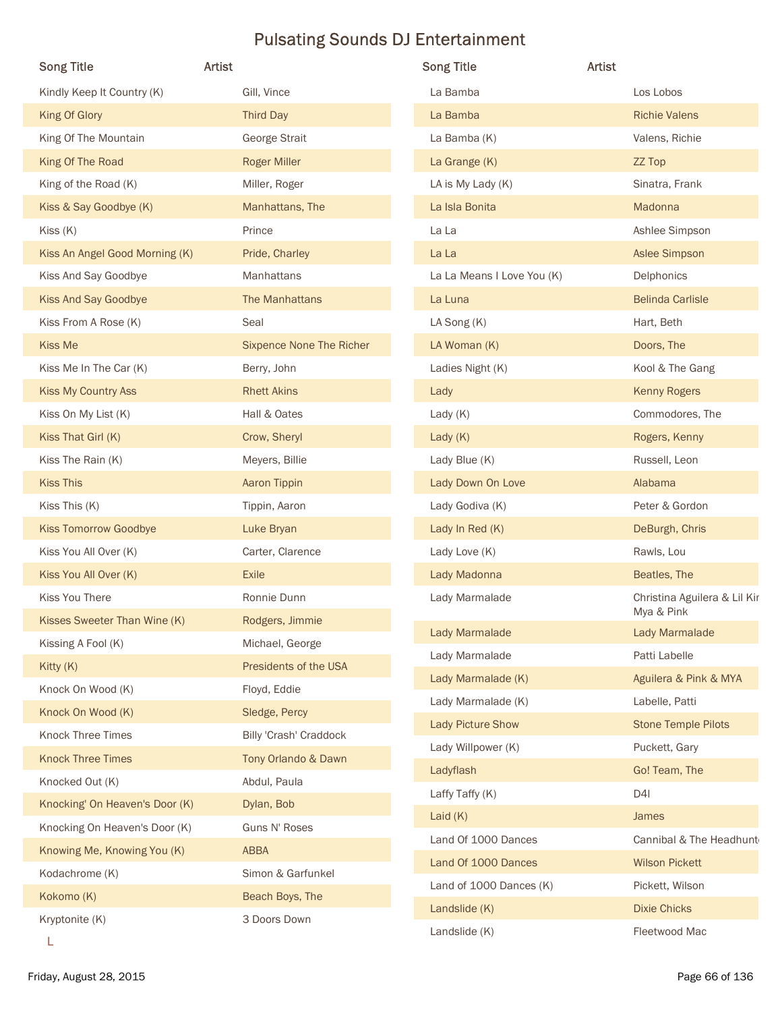|                                             | <b>Pulsating Sounds DJ Entertainment</b> |                             |                                            |
|---------------------------------------------|------------------------------------------|-----------------------------|--------------------------------------------|
| <b>Song Title</b><br>Artist                 |                                          | Artist<br><b>Song Title</b> |                                            |
| Kindly Keep It Country (K)                  | Gill, Vince                              | La Bamba                    | Los Lobos                                  |
| King Of Glory                               | Third Day                                | La Bamba                    | <b>Richie Valens</b>                       |
| King Of The Mountain                        | George Strait                            | La Bamba (K)                | Valens, Richie                             |
| King Of The Road                            | Roger Miller                             | La Grange (K)               | ZZ Top                                     |
| King of the Road (K)                        | Miller, Roger                            | LA is My Lady (K)           | Sinatra, Frank                             |
| Kiss & Say Goodbye (K)                      | Manhattans, The                          | La Isla Bonita              | Madonna                                    |
| Kiss (K)                                    | Prince                                   | La La                       | Ashlee Simpson                             |
| Kiss An Angel Good Morning (K)              | Pride, Charley                           | La La                       | Aslee Simpson                              |
| Kiss And Say Goodbye                        | Manhattans                               | La La Means I Love You (K)  | Delphonics                                 |
| Kiss And Say Goodbye                        | The Manhattans                           | La Luna                     | <b>Belinda Carlisle</b>                    |
| Kiss From A Rose (K)                        | Seal                                     | LA Song (K)                 | Hart, Beth                                 |
| Kiss Me                                     | <b>Sixpence None The Richer</b>          | LA Woman (K)                | Doors, The                                 |
| Kiss Me In The Car (K)                      | Berry, John                              | Ladies Night (K)            | Kool & The Gang                            |
| Kiss My Country Ass                         | <b>Rhett Akins</b>                       | Lady                        | <b>Kenny Rogers</b>                        |
| Kiss On My List (K)                         | Hall & Oates                             | Lady (K)                    | Commodores, The                            |
| Kiss That Girl (K)                          | Crow, Sheryl                             | Lady (K)                    | Rogers, Kenny                              |
| Kiss The Rain (K)                           | Meyers, Billie                           | Lady Blue (K)               | Russell, Leon                              |
| <b>Kiss This</b>                            | Aaron Tippin                             | Lady Down On Love           | Alabama                                    |
| Kiss This (K)                               | Tippin, Aaron                            | Lady Godiva (K)             | Peter & Gordon                             |
| <b>Kiss Tomorrow Goodbye</b>                | Luke Bryan                               | Lady In Red (K)             | DeBurgh, Chris                             |
| Kiss You All Over (K)                       | Carter, Clarence                         | Lady Love (K)               | Rawls, Lou                                 |
| Kiss You All Over (K)                       | Exile                                    | Lady Madonna                | Beatles, The                               |
| Kiss You There                              | Ronnie Dunn                              | Lady Marmalade              | Christina Aguilera & Lil Kir<br>Mya & Pink |
| Kisses Sweeter Than Wine (K)                | Rodgers, Jimmie                          | Lady Marmalade              | Lady Marmalade                             |
| Kissing A Fool (K)                          | Michael, George                          | Lady Marmalade              | Patti Labelle                              |
| Kitty (K)                                   | Presidents of the USA                    | Lady Marmalade (K)          | Aguilera & Pink & MYA                      |
| Knock On Wood (K)                           | Floyd, Eddie                             | Lady Marmalade (K)          | Labelle, Patti                             |
| Knock On Wood (K)<br>Knock Three Times      | Sledge, Percy                            | <b>Lady Picture Show</b>    | <b>Stone Temple Pilots</b>                 |
|                                             | Billy 'Crash' Craddock                   | Lady Willpower (K)          | Puckett, Gary                              |
| <b>Knock Three Times</b><br>Knocked Out (K) | Tony Orlando & Dawn<br>Abdul, Paula      | Ladyflash                   | Go! Team, The                              |
| Knocking' On Heaven's Door (K)              | Dylan, Bob                               | Laffy Taffy (K)             | D4I                                        |
| Knocking On Heaven's Door (K)               | Guns N' Roses                            | Laid $(K)$                  | James                                      |
| Knowing Me, Knowing You (K)                 | ABBA                                     | Land Of 1000 Dances         | Cannibal & The Headhunt                    |
| Kodachrome (K)                              | Simon & Garfunkel                        | Land Of 1000 Dances         | <b>Wilson Pickett</b>                      |
| Kokomo (K)                                  | Beach Boys, The                          | Land of 1000 Dances (K)     | Pickett, Wilson                            |
| Kryptonite (K)                              | 3 Doors Down                             | Landslide (K)               | <b>Dixie Chicks</b>                        |
| L                                           |                                          | Landslide (K)               | Fleetwood Mac                              |
| Friday, August 28, 2015                     |                                          |                             | Page 66 of 136                             |

| ntertainment               |                            |                              |
|----------------------------|----------------------------|------------------------------|
| Song Title                 | Artist                     |                              |
| La Bamba                   | Los Lobos                  |                              |
| La Bamba                   | <b>Richie Valens</b>       |                              |
| La Bamba (K)               | Valens, Richie             |                              |
| La Grange (K)              | <b>ZZ Top</b>              |                              |
| LA is My Lady (K)          | Sinatra, Frank             |                              |
| La Isla Bonita             | Madonna                    |                              |
| La La                      | Ashlee Simpson             |                              |
| La La                      | Aslee Simpson              |                              |
| La La Means I Love You (K) | Delphonics                 |                              |
| La Luna                    | <b>Belinda Carlisle</b>    |                              |
| LA Song (K)                | Hart, Beth                 |                              |
| LA Woman (K)               | Doors, The                 |                              |
| Ladies Night (K)           | Kool & The Gang            |                              |
| Lady                       | <b>Kenny Rogers</b>        |                              |
| Lady (K)                   | Commodores, The            |                              |
| Lady (K)                   | Rogers, Kenny              |                              |
| Lady Blue (K)              | Russell, Leon              |                              |
| Lady Down On Love          | Alabama                    |                              |
| Lady Godiva (K)            | Peter & Gordon             |                              |
| Lady In Red (K)            | DeBurgh, Chris             |                              |
| Lady Love (K)              | Rawls, Lou                 |                              |
| Lady Madonna               | Beatles, The               |                              |
| Lady Marmalade             | Mya & Pink                 | Christina Aguilera & Lil Kir |
| Lady Marmalade             | Lady Marmalade             |                              |
| Lady Marmalade             | Patti Labelle              |                              |
| Lady Marmalade (K)         | Aguilera & Pink & MYA      |                              |
| Lady Marmalade (K)         | Labelle, Patti             |                              |
| Lady Picture Show          | <b>Stone Temple Pilots</b> |                              |
| Lady Willpower (K)         | Puckett, Gary              |                              |
| Ladyflash                  | Go! Team, The              |                              |
| Laffy Taffy (K)            | D4I                        |                              |
| Laid $(K)$                 | James                      |                              |
| Land Of 1000 Dances        |                            | Cannibal & The Headhunt      |
| Land Of 1000 Dances        | <b>Wilson Pickett</b>      |                              |
| Land of 1000 Dances (K)    | Pickett, Wilson            |                              |
| Landslide (K)              | Dixie Chicks               |                              |
| Landslide (K)              | Fleetwood Mac              |                              |
|                            |                            | Page 66 of 136               |
|                            |                            |                              |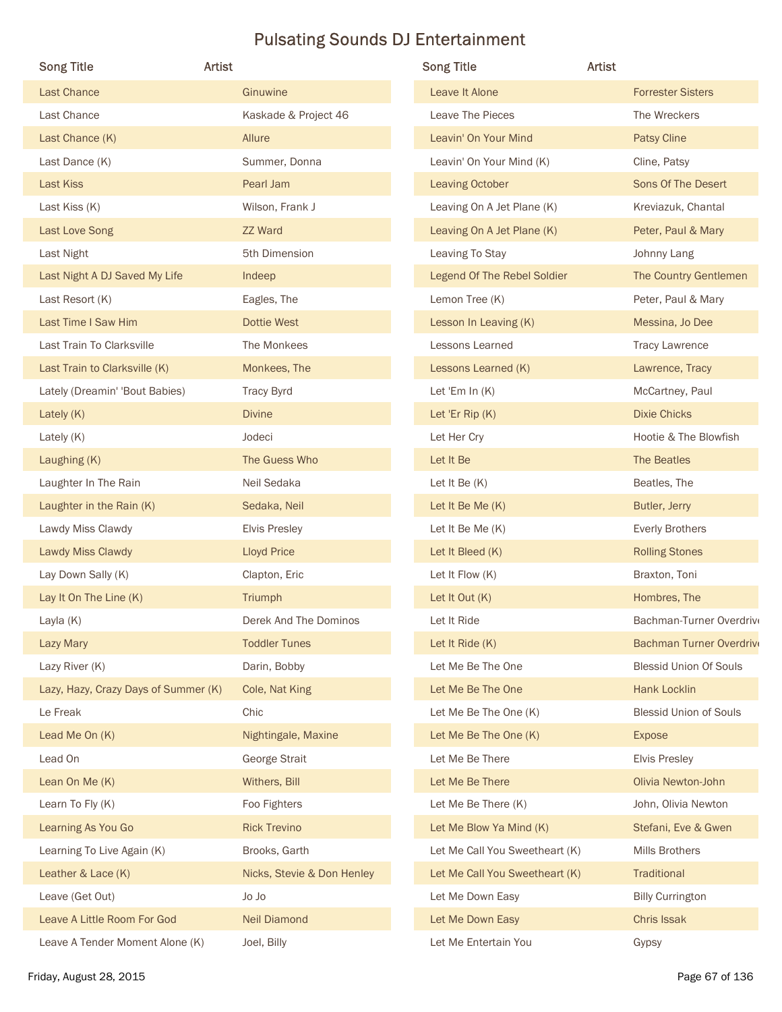|                                                                | Artist                     | <b>Song Title</b>              | Artist                        |
|----------------------------------------------------------------|----------------------------|--------------------------------|-------------------------------|
| <b>Last Chance</b>                                             | Ginuwine                   | Leave It Alone                 | <b>Forrester Sisters</b>      |
| Last Chance                                                    | Kaskade & Project 46       | Leave The Pieces               | The Wreckers                  |
| Last Chance (K)                                                | Allure                     | Leavin' On Your Mind           | <b>Patsy Cline</b>            |
| Last Dance (K)                                                 | Summer, Donna              | Leavin' On Your Mind (K)       | Cline, Patsy                  |
| <b>Last Kiss</b>                                               | Pearl Jam                  | <b>Leaving October</b>         | Sons Of The Desert            |
| Last Kiss (K)                                                  | Wilson, Frank J            | Leaving On A Jet Plane (K)     | Kreviazuk, Chantal            |
| <b>Last Love Song</b>                                          | <b>ZZ Ward</b>             | Leaving On A Jet Plane (K)     | Peter, Paul & Mary            |
| Last Night                                                     | 5th Dimension              | Leaving To Stay                | Johnny Lang                   |
| Last Night A DJ Saved My Life                                  | Indeep                     | Legend Of The Rebel Soldier    | The Country Gentlemen         |
| Last Resort (K)                                                | Eagles, The                | Lemon Tree (K)                 | Peter, Paul & Mary            |
| Last Time I Saw Him                                            | Dottie West                | Lesson In Leaving (K)          | Messina, Jo Dee               |
| Last Train To Clarksville                                      | The Monkees                | Lessons Learned                | <b>Tracy Lawrence</b>         |
| Last Train to Clarksville (K)                                  | Monkees, The               | Lessons Learned (K)            | Lawrence, Tracy               |
| Lately (Dreamin' 'Bout Babies)                                 | <b>Tracy Byrd</b>          | Let 'Em In (K)                 | McCartney, Paul               |
| Lately (K)                                                     | <b>Divine</b>              | Let 'Er Rip (K)                | <b>Dixie Chicks</b>           |
| Lately (K)                                                     | Jodeci                     | Let Her Cry                    | Hootie & The Blowfish         |
| Laughing (K)                                                   | The Guess Who              | Let It Be                      | The Beatles                   |
| Laughter In The Rain                                           | Neil Sedaka                | Let It Be (K)                  | Beatles, The                  |
| Laughter in the Rain (K)                                       | Sedaka, Neil               | Let It Be Me (K)               | Butler, Jerry                 |
| Lawdy Miss Clawdy                                              | Elvis Presley              | Let It Be Me (K)               | Everly Brothers               |
| Lawdy Miss Clawdy                                              | <b>Lloyd Price</b>         | Let It Bleed (K)               | <b>Rolling Stones</b>         |
| Lay Down Sally (K)                                             | Clapton, Eric              | Let It Flow (K)                | Braxton, Toni                 |
| Lay It On The Line (K)                                         | Triumph                    | Let It Out (K)                 | Hombres, The                  |
| Layla (K)                                                      | Derek And The Dominos      | Let It Ride                    | Bachman-Turner Overdrivo      |
| Lazy Mary                                                      | <b>Toddler Tunes</b>       | Let It Ride (K)                | Bachman Turner Overdriv       |
| Lazy River (K)                                                 | Darin, Bobby               | Let Me Be The One              | <b>Blessid Union Of Souls</b> |
| Lazy, Hazy, Crazy Days of Summer (K)                           | Cole, Nat King             | Let Me Be The One              | <b>Hank Locklin</b>           |
| Le Freak                                                       | Chic                       | Let Me Be The One (K)          | <b>Blessid Union of Souls</b> |
| Lead Me On (K)                                                 | Nightingale, Maxine        | Let Me Be The One (K)          | <b>Expose</b>                 |
| Lead On                                                        | George Strait              | Let Me Be There                | <b>Elvis Presley</b>          |
| Lean On Me (K)                                                 | Withers, Bill              | Let Me Be There                | Olivia Newton-John            |
| Learn To Fly (K)                                               | Foo Fighters               | Let Me Be There (K)            | John, Olivia Newton           |
| Learning As You Go                                             | <b>Rick Trevino</b>        | Let Me Blow Ya Mind (K)        | Stefani, Eve & Gwen           |
| Learning To Live Again (K)                                     | Brooks, Garth              | Let Me Call You Sweetheart (K) | Mills Brothers                |
| Leather & Lace (K)                                             | Nicks, Stevie & Don Henley | Let Me Call You Sweetheart (K) | Traditional                   |
| Leave (Get Out)                                                | Jo Jo                      | Let Me Down Easy               | <b>Billy Currington</b>       |
|                                                                | <b>Neil Diamond</b>        | Let Me Down Easy               | Chris Issak                   |
| Leave A Little Room For God<br>Leave A Tender Moment Alone (K) | Joel, Billy                | Let Me Entertain You           | Gypsy                         |

|                    | <b>Entertainment</b>                     |               |                                    |
|--------------------|------------------------------------------|---------------|------------------------------------|
| <b>Song Title</b>  |                                          | <b>Artist</b> |                                    |
| Leave It Alone     |                                          |               | <b>Forrester Sisters</b>           |
|                    | Leave The Pieces                         |               | The Wreckers                       |
|                    | Leavin' On Your Mind                     |               | Patsy Cline                        |
|                    | Leavin' On Your Mind (K)                 |               | Cline, Patsy                       |
|                    | <b>Leaving October</b>                   |               | Sons Of The Desert                 |
|                    | Leaving On A Jet Plane (K)               |               | Kreviazuk, Chantal                 |
|                    | Leaving On A Jet Plane (K)               |               | Peter, Paul & Mary                 |
|                    | Leaving To Stay                          |               | Johnny Lang                        |
|                    | Legend Of The Rebel Soldier              |               | The Country Gentlemen              |
|                    | Lemon Tree (K)                           |               | Peter, Paul & Mary                 |
|                    | Lesson In Leaving (K)<br>Lessons Learned |               | Messina, Jo Dee                    |
|                    | Lessons Learned (K)                      |               | <b>Tracy Lawrence</b>              |
| Let 'Em In (K)     |                                          |               | Lawrence, Tracy<br>McCartney, Paul |
| Let 'Er Rip (K)    |                                          |               | <b>Dixie Chicks</b>                |
| Let Her Cry        |                                          |               | Hootie & The Blowfish              |
| Let It Be          |                                          |               | The Beatles                        |
| Let $It$ Be $(K)$  |                                          |               | Beatles, The                       |
|                    | Let It Be Me (K)                         |               | Butler, Jerry                      |
|                    | Let It Be Me (K)                         |               | <b>Everly Brothers</b>             |
|                    | Let It Bleed (K)                         |               | <b>Rolling Stones</b>              |
| Let It Flow (K)    |                                          |               | Braxton, Toni                      |
| Let $It$ Out $(K)$ |                                          |               | Hombres, The                       |
| Let It Ride        |                                          |               | Bachman-Turner Overdrive           |
| Let It Ride (K)    |                                          |               | <b>Bachman Turner Overdrive</b>    |
|                    | Let Me Be The One                        |               | <b>Blessid Union Of Souls</b>      |
|                    | Let Me Be The One                        |               | <b>Hank Locklin</b>                |
|                    | Let Me Be The One (K)                    |               | <b>Blessid Union of Souls</b>      |
|                    | Let Me Be The One (K)                    | <b>Expose</b> |                                    |
|                    | Let Me Be There                          |               | <b>Elvis Presley</b>               |
|                    | Let Me Be There                          |               | Olivia Newton-John                 |
|                    | Let Me Be There (K)                      |               | John, Olivia Newton                |
|                    | Let Me Blow Ya Mind (K)                  |               | Stefani, Eve & Gwen                |
|                    | Let Me Call You Sweetheart (K)           |               | Mills Brothers                     |
|                    | Let Me Call You Sweetheart (K)           |               | Traditional                        |
|                    | Let Me Down Easy                         |               | <b>Billy Currington</b>            |
|                    | Let Me Down Easy                         |               | Chris Issak                        |
|                    | Let Me Entertain You                     | Gypsy         |                                    |
|                    |                                          |               | Page 67 of 136                     |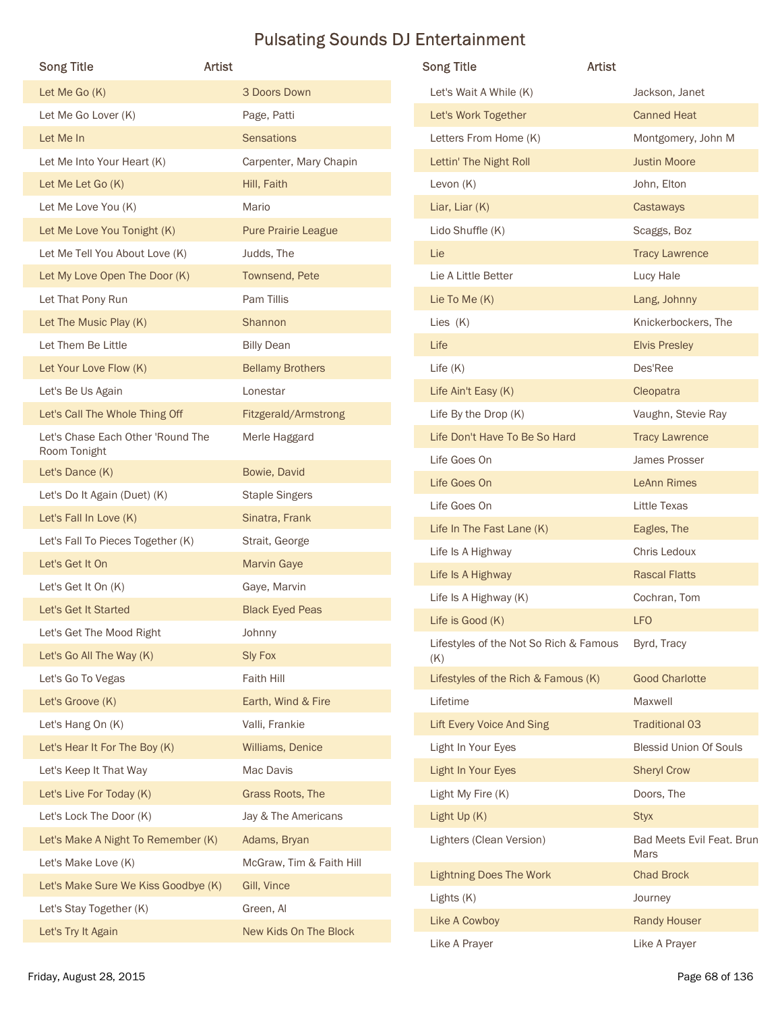| <b>Song Title</b><br>Artist                       | <b>Pulsating Sounds DJ Entertainment</b> | <b>Song Title</b><br>Artist                   |                                |
|---------------------------------------------------|------------------------------------------|-----------------------------------------------|--------------------------------|
| Let Me Go (K)                                     | 3 Doors Down                             | Let's Wait A While (K)                        | Jackson, Janet                 |
| Let Me Go Lover (K)                               | Page, Patti                              | Let's Work Together                           | <b>Canned Heat</b>             |
| Let Me In                                         | <b>Sensations</b>                        | Letters From Home (K)                         | Montgomery, John M             |
| Let Me Into Your Heart (K)                        | Carpenter, Mary Chapin                   | Lettin' The Night Roll                        | <b>Justin Moore</b>            |
| Let Me Let Go (K)                                 | Hill, Faith                              | Levon (K)                                     | John, Elton                    |
| Let Me Love You (K)                               | Mario                                    | Liar, Liar (K)                                | Castaways                      |
| Let Me Love You Tonight (K)                       | <b>Pure Prairie League</b>               | Lido Shuffle (K)                              | Scaggs, Boz                    |
| Let Me Tell You About Love (K)                    | Judds, The                               | Lie                                           | <b>Tracy Lawrence</b>          |
| Let My Love Open The Door (K)                     | Townsend, Pete                           | Lie A Little Better                           | Lucy Hale                      |
| Let That Pony Run                                 | Pam Tillis                               | Lie To Me (K)                                 | Lang, Johnny                   |
| Let The Music Play (K)                            | Shannon                                  | Lies (K)                                      | Knickerbockers, The            |
| Let Them Be Little                                | <b>Billy Dean</b>                        | Life                                          | <b>Elvis Presley</b>           |
| Let Your Love Flow (K)                            | <b>Bellamy Brothers</b>                  | Life (K)                                      | Des'Ree                        |
| Let's Be Us Again                                 | Lonestar                                 | Life Ain't Easy (K)                           | Cleopatra                      |
| Let's Call The Whole Thing Off                    | Fitzgerald/Armstrong                     | Life By the Drop (K)                          | Vaughn, Stevie Ray             |
| Let's Chase Each Other 'Round The<br>Room Tonight | Merle Haggard                            | Life Don't Have To Be So Hard                 | <b>Tracy Lawrence</b>          |
| Let's Dance (K)                                   | Bowie, David                             | Life Goes On                                  | James Prosser                  |
| Let's Do It Again (Duet) (K)                      | <b>Staple Singers</b>                    | Life Goes On                                  | <b>LeAnn Rimes</b>             |
| Let's Fall In Love (K)                            | Sinatra, Frank                           | Life Goes On                                  | Little Texas                   |
| Let's Fall To Pieces Together (K)                 | Strait, George                           | Life In The Fast Lane (K)                     | Eagles, The                    |
| Let's Get It On                                   | <b>Marvin Gaye</b>                       | Life Is A Highway                             | Chris Ledoux                   |
| Let's Get It On (K)                               | Gaye, Marvin                             | Life Is A Highway                             | <b>Rascal Flatts</b>           |
| Let's Get It Started                              | <b>Black Eyed Peas</b>                   | Life Is A Highway (K)                         | Cochran, Tom                   |
| Let's Get The Mood Right                          | Johnny                                   | Life is Good (K)                              | <b>LFO</b>                     |
| Let's Go All The Way (K)                          | Sly Fox                                  | Lifestyles of the Not So Rich & Famous<br>(K) | Byrd, Tracy                    |
| Let's Go To Vegas                                 | Faith Hill                               | Lifestyles of the Rich & Famous (K)           | <b>Good Charlotte</b>          |
| Let's Groove (K)                                  | Earth, Wind & Fire                       | Lifetime                                      | Maxwell                        |
| Let's Hang On (K)                                 | Valli, Frankie                           | Lift Every Voice And Sing                     | <b>Traditional 03</b>          |
| Let's Hear It For The Boy (K)                     | Williams, Denice                         | Light In Your Eyes                            | <b>Blessid Union Of Souls</b>  |
| Let's Keep It That Way                            | Mac Davis                                | Light In Your Eyes                            | <b>Sheryl Crow</b>             |
| Let's Live For Today (K)                          | Grass Roots, The                         | Light My Fire (K)                             | Doors, The                     |
| Let's Lock The Door (K)                           | Jay & The Americans                      | Light Up (K)                                  | <b>Styx</b>                    |
|                                                   | Adams, Bryan                             | Lighters (Clean Version)                      | Bad Meets Evil Feat. Brun      |
| Let's Make A Night To Remember (K)                |                                          |                                               | Mars                           |
| Let's Make Love (K)                               | McGraw, Tim & Faith Hill                 |                                               |                                |
| Let's Make Sure We Kiss Goodbye (K)               | Gill, Vince                              | <b>Lightning Does The Work</b>                | <b>Chad Brock</b>              |
| Let's Stay Together (K)                           | Green, Al                                | Lights (K)<br>Like A Cowboy                   | Journey<br><b>Randy Houser</b> |

| <b>Intertainment</b>                          |                                   |                |
|-----------------------------------------------|-----------------------------------|----------------|
| <b>Song Title</b>                             | Artist                            |                |
| Let's Wait A While (K)                        | Jackson, Janet                    |                |
| Let's Work Together                           | <b>Canned Heat</b>                |                |
| Letters From Home (K)                         | Montgomery, John M                |                |
| Lettin' The Night Roll                        | <b>Justin Moore</b>               |                |
| Levon (K)                                     | John, Elton                       |                |
| Liar, Liar (K)                                | Castaways                         |                |
| Lido Shuffle (K)                              | Scaggs, Boz                       |                |
| Lie<br>Lie A Little Better                    | <b>Tracy Lawrence</b>             |                |
| Lie To Me (K)                                 | Lucy Hale<br>Lang, Johnny         |                |
| Lies (K)                                      | Knickerbockers, The               |                |
| Life                                          | <b>Elvis Presley</b>              |                |
| Life (K)                                      | Des'Ree                           |                |
| Life Ain't Easy (K)                           | Cleopatra                         |                |
| Life By the Drop (K)                          | Vaughn, Stevie Ray                |                |
| Life Don't Have To Be So Hard                 | <b>Tracy Lawrence</b>             |                |
| Life Goes On                                  | James Prosser                     |                |
| Life Goes On                                  | <b>LeAnn Rimes</b>                |                |
| Life Goes On                                  | Little Texas                      |                |
| Life In The Fast Lane (K)                     | Eagles, The                       |                |
| Life Is A Highway                             | Chris Ledoux                      |                |
| Life Is A Highway                             | <b>Rascal Flatts</b>              |                |
| Life Is A Highway (K)                         | Cochran, Tom                      |                |
| Life is Good (K)                              | <b>LFO</b>                        |                |
| Lifestyles of the Not So Rich & Famous<br>(K) | Byrd, Tracy                       |                |
| Lifestyles of the Rich & Famous (K)           | <b>Good Charlotte</b>             |                |
| Lifetime                                      | Maxwell                           |                |
| Lift Every Voice And Sing                     | <b>Traditional 03</b>             |                |
| Light In Your Eyes                            | <b>Blessid Union Of Souls</b>     |                |
| <b>Light In Your Eyes</b>                     | <b>Sheryl Crow</b>                |                |
| Light My Fire (K)                             | Doors, The                        |                |
| Light Up (K)                                  | <b>Styx</b>                       |                |
| Lighters (Clean Version)                      | Bad Meets Evil Feat. Brun<br>Mars |                |
| <b>Lightning Does The Work</b>                | <b>Chad Brock</b>                 |                |
| Lights (K)                                    | Journey                           |                |
| Like A Cowboy                                 | <b>Randy Houser</b>               |                |
| Like A Prayer                                 | Like A Prayer                     |                |
|                                               |                                   | Page 68 of 136 |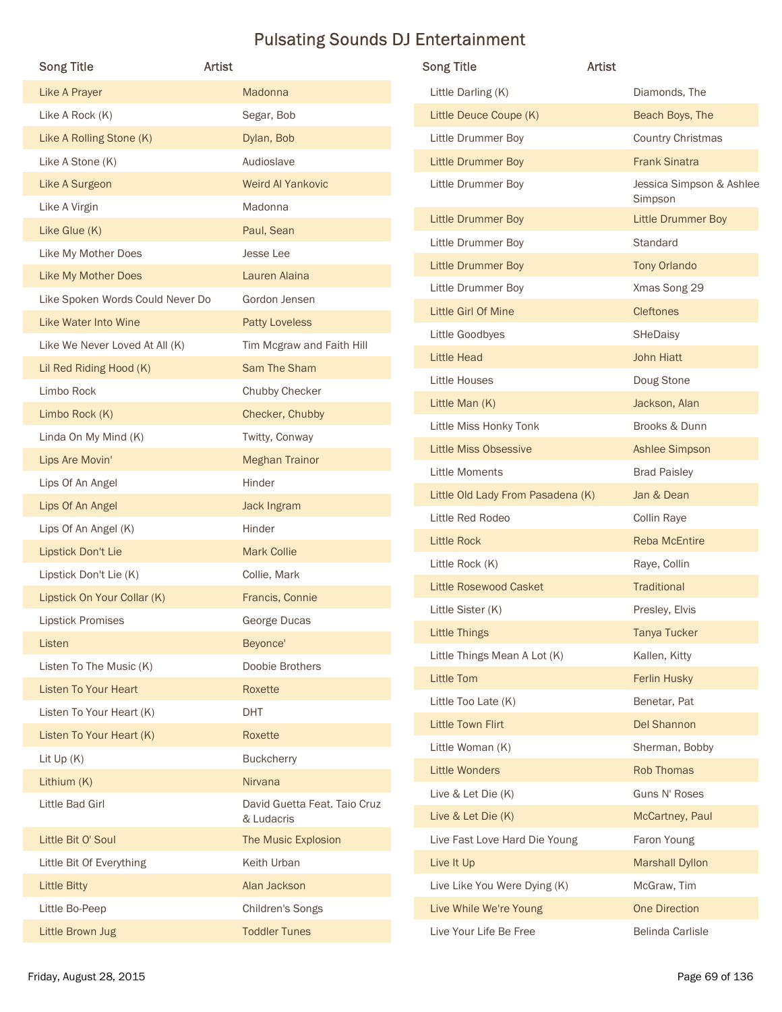| <b>Song Title</b>                | Artist                                     | Artist<br><b>Song Title</b>             |                                       |
|----------------------------------|--------------------------------------------|-----------------------------------------|---------------------------------------|
| <b>Like A Prayer</b>             | Madonna                                    | Little Darling (K)                      | Diamonds, The                         |
| Like A Rock (K)                  | Segar, Bob                                 | Little Deuce Coupe (K)                  | Beach Boys, The                       |
| Like A Rolling Stone (K)         | Dylan, Bob                                 | Little Drummer Boy                      | <b>Country Christmas</b>              |
| Like A Stone (K)                 | Audioslave                                 | Little Drummer Boy                      | <b>Frank Sinatra</b>                  |
| Like A Surgeon                   | Weird Al Yankovic                          | Little Drummer Boy                      | Jessica Simpson & Ashlee              |
| Like A Virgin                    | Madonna                                    |                                         | Simpson                               |
| Like Glue (K)                    | Paul, Sean                                 | Little Drummer Boy                      | <b>Little Drummer Boy</b>             |
| Like My Mother Does              | Jesse Lee                                  | Little Drummer Boy                      | Standard                              |
| Like My Mother Does              | Lauren Alaina                              | Little Drummer Boy                      | <b>Tony Orlando</b>                   |
| Like Spoken Words Could Never Do | Gordon Jensen                              | Little Drummer Boy                      | Xmas Song 29                          |
| Like Water Into Wine             | <b>Patty Loveless</b>                      | Little Girl Of Mine                     | <b>Cleftones</b>                      |
| Like We Never Loved At All (K)   | Tim Mcgraw and Faith Hill                  | Little Goodbyes                         | SHeDaisy                              |
| Lil Red Riding Hood (K)          | Sam The Sham                               | Little Head                             | John Hiatt                            |
| Limbo Rock                       | Chubby Checker                             | Little Houses                           | Doug Stone                            |
| Limbo Rock (K)                   | Checker, Chubby                            | Little Man (K)                          | Jackson, Alan                         |
| Linda On My Mind (K)             | Twitty, Conway                             | Little Miss Honky Tonk                  | Brooks & Dunn                         |
| Lips Are Movin'                  | <b>Meghan Trainor</b>                      | Little Miss Obsessive<br>Little Moments | Ashlee Simpson<br><b>Brad Paisley</b> |
| Lips Of An Angel                 | Hinder                                     | Little Old Lady From Pasadena (K)       | Jan & Dean                            |
| Lips Of An Angel                 | Jack Ingram                                | Little Red Rodeo                        | Collin Raye                           |
| Lips Of An Angel (K)             | Hinder                                     | Little Rock                             | <b>Reba McEntire</b>                  |
| Lipstick Don't Lie               | Mark Collie                                | Little Rock (K)                         | Raye, Collin                          |
| Lipstick Don't Lie (K)           | Collie, Mark                               | Little Rosewood Casket                  | Traditional                           |
| Lipstick On Your Collar (K)      | Francis, Connie                            | Little Sister (K)                       | Presley, Elvis                        |
| <b>Lipstick Promises</b>         | George Ducas                               | <b>Little Things</b>                    | Tanya Tucker                          |
| Listen                           | Beyonce'                                   | Little Things Mean A Lot (K)            | Kallen, Kitty                         |
| Listen To The Music (K)          | Doobie Brothers                            | Little Tom                              | Ferlin Husky                          |
| Listen To Your Heart             | Roxette                                    | Little Too Late (K)                     | Benetar, Pat                          |
| Listen To Your Heart (K)         | DHT                                        | Little Town Flirt                       | Del Shannon                           |
| Listen To Your Heart (K)         | Roxette                                    | Little Woman (K)                        | Sherman, Bobby                        |
| Lit Up (K)                       | <b>Buckcherry</b>                          | Little Wonders                          | Rob Thomas                            |
| Lithium (K)                      | Nirvana                                    | Live & Let Die (K)                      | Guns N' Roses                         |
| Little Bad Girl                  | David Guetta Feat. Taio Cruz<br>& Ludacris | Live & Let Die (K)                      | McCartney, Paul                       |
| Little Bit O' Soul               | The Music Explosion                        | Live Fast Love Hard Die Young           | Faron Young                           |
| Little Bit Of Everything         | Keith Urban                                | Live It Up                              | <b>Marshall Dyllon</b>                |
| <b>Little Bitty</b>              | Alan Jackson                               | Live Like You Were Dying (K)            | McGraw, Tim                           |
|                                  | Children's Songs                           | Live While We're Young                  | One Direction                         |
| Little Bo-Peep                   |                                            |                                         |                                       |

| <b>Entertainment</b>              |        |                                     |
|-----------------------------------|--------|-------------------------------------|
| <b>Song Title</b>                 | Artist |                                     |
|                                   |        |                                     |
| Little Darling (K)                |        | Diamonds, The                       |
| Little Deuce Coupe (K)            |        | Beach Boys, The                     |
| Little Drummer Boy                |        | <b>Country Christmas</b>            |
| Little Drummer Boy                |        | <b>Frank Sinatra</b>                |
| Little Drummer Boy                |        | Jessica Simpson & Ashlee<br>Simpson |
| Little Drummer Boy                |        | <b>Little Drummer Boy</b>           |
| Little Drummer Boy                |        | Standard                            |
| Little Drummer Boy                |        | Tony Orlando                        |
| Little Drummer Boy                |        | Xmas Song 29                        |
| Little Girl Of Mine               |        | <b>Cleftones</b>                    |
| Little Goodbyes                   |        | SHeDaisy                            |
| <b>Little Head</b>                |        | <b>John Hiatt</b>                   |
| Little Houses                     |        | Doug Stone                          |
| Little Man (K)                    |        | Jackson, Alan                       |
| Little Miss Honky Tonk            |        | Brooks & Dunn                       |
| Little Miss Obsessive             |        | Ashlee Simpson                      |
| Little Moments                    |        | <b>Brad Paisley</b>                 |
| Little Old Lady From Pasadena (K) |        | Jan & Dean                          |
| Little Red Rodeo                  |        | Collin Raye                         |
| Little Rock                       |        | <b>Reba McEntire</b>                |
| Little Rock (K)                   |        | Raye, Collin                        |
| Little Rosewood Casket            |        | Traditional                         |
| Little Sister (K)                 |        | Presley, Elvis                      |
| <b>Little Things</b>              |        | Tanya Tucker                        |
| Little Things Mean A Lot (K)      |        | Kallen, Kitty                       |
| Little Tom                        |        | Ferlin Husky                        |
| Little Too Late (K)               |        | Benetar, Pat                        |
| Little Town Flirt                 |        | Del Shannon                         |
| Little Woman (K)                  |        | Sherman, Bobby                      |
| Little Wonders                    |        | Rob Thomas                          |
| Live & Let Die (K)                |        | Guns N' Roses                       |
| Live & Let Die (K)                |        | McCartney, Paul                     |
| Live Fast Love Hard Die Young     |        | Faron Young                         |
| Live It Up                        |        | <b>Marshall Dyllon</b>              |
| Live Like You Were Dying (K)      |        | McGraw, Tim                         |
| Live While We're Young            |        | One Direction                       |
| Live Your Life Be Free            |        | Belinda Carlisle                    |
|                                   |        |                                     |
|                                   |        | Page 69 of 136                      |
|                                   |        |                                     |
|                                   |        |                                     |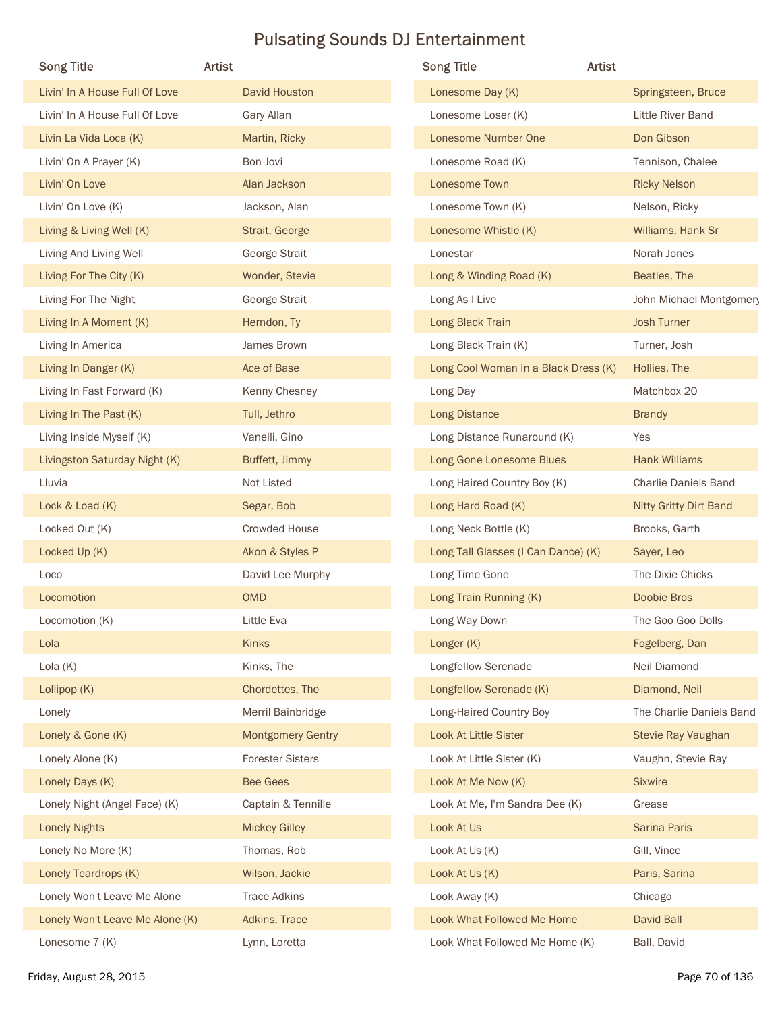|                                 | Artist                   | <b>Song Title</b><br>Artist          |                             |
|---------------------------------|--------------------------|--------------------------------------|-----------------------------|
| Livin' In A House Full Of Love  | David Houston            | Lonesome Day (K)                     | Springsteen, Bruce          |
| Livin' In A House Full Of Love  | Gary Allan               | Lonesome Loser (K)                   | Little River Band           |
| Livin La Vida Loca (K)          | Martin, Ricky            | Lonesome Number One                  | Don Gibson                  |
| Livin' On A Prayer (K)          | Bon Jovi                 | Lonesome Road (K)                    | Tennison, Chalee            |
| Livin' On Love                  | Alan Jackson             | Lonesome Town                        | <b>Ricky Nelson</b>         |
| Livin' On Love (K)              | Jackson, Alan            | Lonesome Town (K)                    | Nelson, Ricky               |
| Living & Living Well (K)        | Strait, George           | Lonesome Whistle (K)                 | Williams, Hank Sr           |
| Living And Living Well          | George Strait            | Lonestar                             | Norah Jones                 |
| Living For The City (K)         | Wonder, Stevie           | Long & Winding Road (K)              | Beatles, The                |
| Living For The Night            | George Strait            | Long As I Live                       | John Michael Montgomery     |
| Living In A Moment (K)          | Herndon, Ty              | Long Black Train                     | <b>Josh Turner</b>          |
| Living In America               | James Brown              | Long Black Train (K)                 | Turner, Josh                |
| Living In Danger (K)            | Ace of Base              | Long Cool Woman in a Black Dress (K) | Hollies, The                |
| Living In Fast Forward (K)      | Kenny Chesney            | Long Day                             | Matchbox 20                 |
| Living In The Past (K)          | Tull, Jethro             | Long Distance                        | <b>Brandy</b>               |
| Living Inside Myself (K)        | Vanelli, Gino            | Long Distance Runaround (K)          | Yes                         |
| Livingston Saturday Night (K)   | Buffett, Jimmy           | Long Gone Lonesome Blues             | <b>Hank Williams</b>        |
| Lluvia                          | Not Listed               | Long Haired Country Boy (K)          | <b>Charlie Daniels Band</b> |
| Lock & Load (K)                 | Segar, Bob               | Long Hard Road (K)                   | Nitty Gritty Dirt Band      |
| Locked Out (K)                  | Crowded House            | Long Neck Bottle (K)                 | Brooks, Garth               |
| Locked Up (K)                   | Akon & Styles P          | Long Tall Glasses (I Can Dance) (K)  | Sayer, Leo                  |
| Loco                            | David Lee Murphy         | Long Time Gone                       | The Dixie Chicks            |
| Locomotion                      | OMD                      | Long Train Running (K)               | Doobie Bros                 |
| Locomotion (K)                  | Little Eva               | Long Way Down                        | The Goo Goo Dolls           |
| Lola                            | Kinks                    | Longer (K)                           | Fogelberg, Dan              |
| Lola (K)                        | Kinks, The               | Longfellow Serenade                  | Neil Diamond                |
| Lollipop (K)                    | Chordettes, The          | Longfellow Serenade (K)              | Diamond, Neil               |
| Lonely                          | Merril Bainbridge        | Long-Haired Country Boy              | The Charlie Daniels Band    |
| Lonely & Gone (K)               | <b>Montgomery Gentry</b> | Look At Little Sister                | Stevie Ray Vaughan          |
| Lonely Alone (K)                | <b>Forester Sisters</b>  | Look At Little Sister (K)            | Vaughn, Stevie Ray          |
| Lonely Days (K)                 | <b>Bee Gees</b>          | Look At Me Now (K)                   | Sixwire                     |
| Lonely Night (Angel Face) (K)   | Captain & Tennille       | Look At Me, I'm Sandra Dee (K)       | Grease                      |
| <b>Lonely Nights</b>            | <b>Mickey Gilley</b>     | Look At Us                           | Sarina Paris                |
| Lonely No More (K)              | Thomas, Rob              | Look At Us (K)                       | Gill, Vince                 |
| Lonely Teardrops (K)            | Wilson, Jackie           | Look At Us (K)                       | Paris, Sarina               |
| Lonely Won't Leave Me Alone     | <b>Trace Adkins</b>      | Look Away (K)                        | Chicago                     |
| Lonely Won't Leave Me Alone (K) | Adkins, Trace            | Look What Followed Me Home           | David Ball                  |
| Lonesome 7 (K)                  | Lynn, Loretta            | Look What Followed Me Home (K)       | Ball, David                 |

| <b>Intertainment</b>                 |                             |
|--------------------------------------|-----------------------------|
| <b>Song Title</b>                    | Artist                      |
| Lonesome Day (K)                     | Springsteen, Bruce          |
| Lonesome Loser (K)                   | Little River Band           |
| <b>Lonesome Number One</b>           | Don Gibson                  |
| Lonesome Road (K)                    | Tennison, Chalee            |
| Lonesome Town                        | <b>Ricky Nelson</b>         |
| Lonesome Town (K)                    | Nelson, Ricky               |
| Lonesome Whistle (K)                 | Williams, Hank Sr           |
| Lonestar                             | Norah Jones                 |
| Long & Winding Road (K)              | Beatles, The                |
| Long As I Live                       | John Michael Montgomery     |
| Long Black Train                     | <b>Josh Turner</b>          |
| Long Black Train (K)                 | Turner, Josh                |
| Long Cool Woman in a Black Dress (K) | Hollies, The                |
| Long Day                             | Matchbox 20                 |
| <b>Long Distance</b>                 | <b>Brandy</b>               |
| Long Distance Runaround (K)          | Yes                         |
| Long Gone Lonesome Blues             | <b>Hank Williams</b>        |
| Long Haired Country Boy (K)          | <b>Charlie Daniels Band</b> |
| Long Hard Road (K)                   | Nitty Gritty Dirt Band      |
| Long Neck Bottle (K)                 | Brooks, Garth               |
| Long Tall Glasses (I Can Dance) (K)  | Sayer, Leo                  |
| Long Time Gone                       | The Dixie Chicks            |
| Long Train Running (K)               | Doobie Bros                 |
| Long Way Down                        | The Goo Goo Dolls           |
| Longer (K)                           | Fogelberg, Dan              |
| Longfellow Serenade                  | Neil Diamond                |
| Longfellow Serenade (K)              | Diamond, Neil               |
| Long-Haired Country Boy              | The Charlie Daniels Band    |
| Look At Little Sister                | Stevie Ray Vaughan          |
| Look At Little Sister (K)            | Vaughn, Stevie Ray          |
| Look At Me Now (K)                   | <b>Sixwire</b>              |
| Look At Me, I'm Sandra Dee (K)       | Grease                      |
| Look At Us                           | Sarina Paris                |
| Look At Us (K)                       | Gill, Vince                 |
| Look At Us (K)                       | Paris, Sarina               |
| Look Away (K)                        | Chicago                     |
| Look What Followed Me Home           | <b>David Ball</b>           |
| Look What Followed Me Home (K)       | Ball, David                 |
|                                      | Page 70 of 136              |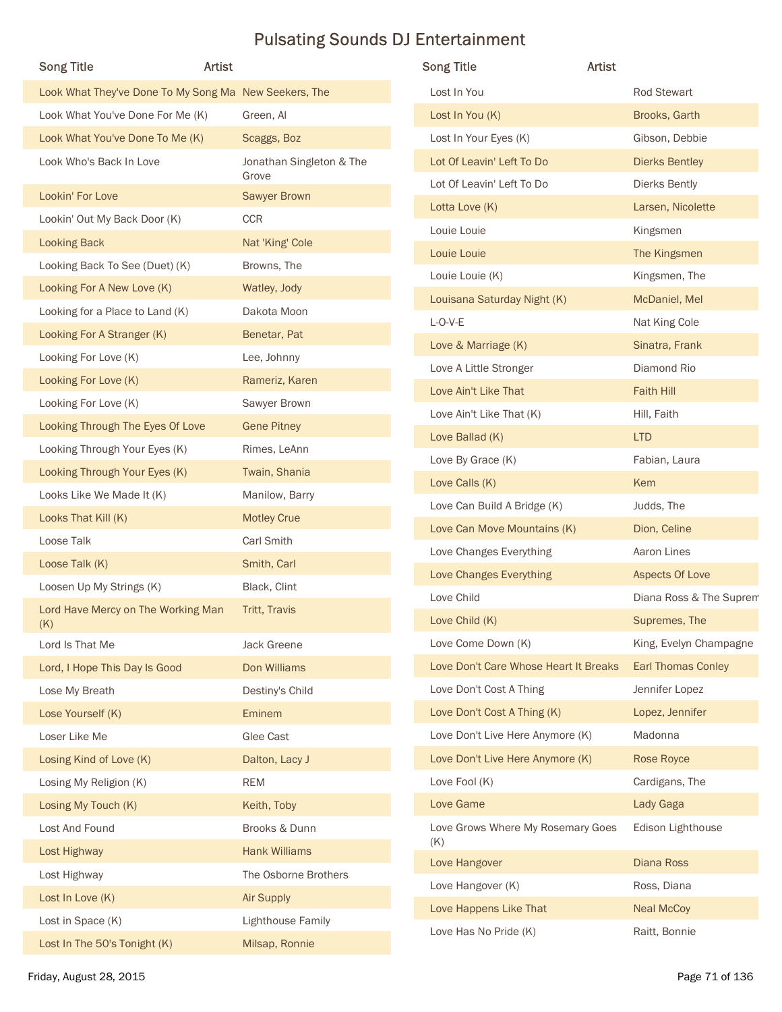| <b>Song Title</b>                                     | Artist                   | <b>Song Title</b><br>Artist           |                           |
|-------------------------------------------------------|--------------------------|---------------------------------------|---------------------------|
| Look What They've Done To My Song Ma New Seekers, The |                          | Lost In You                           | Rod Stewart               |
| Look What You've Done For Me (K)                      | Green, Al                | Lost In You (K)                       | Brooks, Garth             |
| Look What You've Done To Me (K)                       | Scaggs, Boz              | Lost In Your Eyes (K)                 | Gibson, Debbie            |
| Look Who's Back In Love                               | Jonathan Singleton & The | Lot Of Leavin' Left To Do             | <b>Dierks Bentley</b>     |
|                                                       | Grove                    | Lot Of Leavin' Left To Do             | Dierks Bently             |
| Lookin' For Love                                      | Sawyer Brown             | Lotta Love (K)                        | Larsen, Nicolette         |
| Lookin' Out My Back Door (K)                          | CCR                      | Louie Louie                           | Kingsmen                  |
| <b>Looking Back</b>                                   | Nat 'King' Cole          | Louie Louie                           | The Kingsmen              |
| Looking Back To See (Duet) (K)                        | Browns, The              | Louie Louie (K)                       | Kingsmen, The             |
| Looking For A New Love (K)                            | Watley, Jody             | Louisana Saturday Night (K)           | McDaniel, Mel             |
| Looking for a Place to Land (K)                       | Dakota Moon              | $L-O-V-E$                             | Nat King Cole             |
| Looking For A Stranger (K)                            | Benetar, Pat             | Love & Marriage (K)                   | Sinatra, Frank            |
| Looking For Love (K)                                  | Lee, Johnny              | Love A Little Stronger                | Diamond Rio               |
| Looking For Love (K)                                  | Rameriz, Karen           | Love Ain't Like That                  | Faith Hill                |
| Looking For Love (K)                                  | Sawyer Brown             | Love Ain't Like That (K)              | Hill, Faith               |
| Looking Through The Eyes Of Love                      | <b>Gene Pitney</b>       | Love Ballad (K)                       | <b>LTD</b>                |
| Looking Through Your Eyes (K)                         | Rimes, LeAnn             | Love By Grace (K)                     | Fabian, Laura             |
| Looking Through Your Eyes (K)                         | Twain, Shania            | Love Calls (K)                        | Kem                       |
| Looks Like We Made It (K)                             | Manilow, Barry           | Love Can Build A Bridge (K)           | Judds, The                |
| Looks That Kill (K)                                   | <b>Motley Crue</b>       | Love Can Move Mountains (K)           | Dion, Celine              |
| Loose Talk                                            | Carl Smith               | Love Changes Everything               | Aaron Lines               |
| Loose Talk (K)                                        | Smith, Carl              | Love Changes Everything               | Aspects Of Love           |
| Loosen Up My Strings (K)                              | Black, Clint             | Love Child                            | Diana Ross & The Suprem   |
| Lord Have Mercy on The Working Man<br>(K)             | Tritt, Travis            | Love Child (K)                        | Supremes, The             |
| Lord Is That Me                                       | Jack Greene              | Love Come Down (K)                    | King, Evelyn Champagne    |
| Lord, I Hope This Day Is Good                         | Don Williams             | Love Don't Care Whose Heart It Breaks | <b>Earl Thomas Conley</b> |
| Lose My Breath                                        | Destiny's Child          | Love Don't Cost A Thing               | Jennifer Lopez            |
| Lose Yourself (K)                                     | Eminem                   | Love Don't Cost A Thing (K)           | Lopez, Jennifer           |
| Loser Like Me                                         | Glee Cast                | Love Don't Live Here Anymore (K)      | Madonna                   |
| Losing Kind of Love (K)                               | Dalton, Lacy J           | Love Don't Live Here Anymore (K)      | Rose Royce                |
| Losing My Religion (K)                                | <b>REM</b>               | Love Fool (K)                         | Cardigans, The            |
| Losing My Touch (K)                                   | Keith, Toby              | Love Game                             | Lady Gaga                 |
| Lost And Found                                        | Brooks & Dunn            | Love Grows Where My Rosemary Goes     | Edison Lighthouse         |
| Lost Highway                                          | <b>Hank Williams</b>     | (K)                                   |                           |
| Lost Highway                                          | The Osborne Brothers     | Love Hangover                         | Diana Ross                |
| Lost In Love (K)                                      | Air Supply               | Love Hangover (K)                     | Ross, Diana               |
| Lost in Space (K)                                     | Lighthouse Family        | Love Happens Like That                | Neal McCoy                |
| Lost In The 50's Tonight (K)                          |                          | Love Has No Pride (K)                 | Raitt, Bonnie             |
|                                                       | Milsap, Ronnie           |                                       |                           |

| <b>Entertainment</b>                     |                         |
|------------------------------------------|-------------------------|
| <b>Song Title</b><br>Artist              |                         |
| Lost In You                              | Rod Stewart             |
| Lost In You (K)                          | Brooks, Garth           |
| Lost In Your Eyes (K)                    | Gibson, Debbie          |
| Lot Of Leavin' Left To Do                | <b>Dierks Bentley</b>   |
| Lot Of Leavin' Left To Do                | Dierks Bently           |
| Lotta Love (K)                           | Larsen, Nicolette       |
| Louie Louie                              | Kingsmen                |
| Louie Louie                              | The Kingsmen            |
| Louie Louie (K)                          | Kingsmen, The           |
| Louisana Saturday Night (K)              | McDaniel, Mel           |
| $L-O-V-E$                                | Nat King Cole           |
| Love & Marriage (K)                      | Sinatra, Frank          |
| Love A Little Stronger                   | Diamond Rio             |
| Love Ain't Like That                     | Faith Hill              |
| Love Ain't Like That (K)                 | Hill, Faith             |
| Love Ballad (K)                          | <b>LTD</b>              |
| Love By Grace (K)                        | Fabian, Laura           |
| Love Calls (K)                           | Kem                     |
| Love Can Build A Bridge (K)              | Judds, The              |
| Love Can Move Mountains (K)              | Dion, Celine            |
| Love Changes Everything                  | Aaron Lines             |
| Love Changes Everything                  | Aspects Of Love         |
| Love Child                               | Diana Ross & The Suprem |
| Love Child (K)                           | Supremes, The           |
| Love Come Down (K)                       | King, Evelyn Champagne  |
| Love Don't Care Whose Heart It Breaks    | Earl Thomas Conley      |
| Love Don't Cost A Thing                  | Jennifer Lopez          |
| Love Don't Cost A Thing (K)              | Lopez, Jennifer         |
| Love Don't Live Here Anymore (K)         | Madonna                 |
| Love Don't Live Here Anymore (K)         | Rose Royce              |
| Love Fool (K)                            | Cardigans, The          |
| Love Game                                | Lady Gaga               |
| Love Grows Where My Rosemary Goes<br>(K) | Edison Lighthouse       |
| Love Hangover                            | Diana Ross              |
| Love Hangover (K)                        | Ross, Diana             |
| Love Happens Like That                   | Neal McCoy              |
| Love Has No Pride (K)                    | Raitt, Bonnie           |
|                                          |                         |
|                                          | Page 71 of 136          |
|                                          |                         |
|                                          |                         |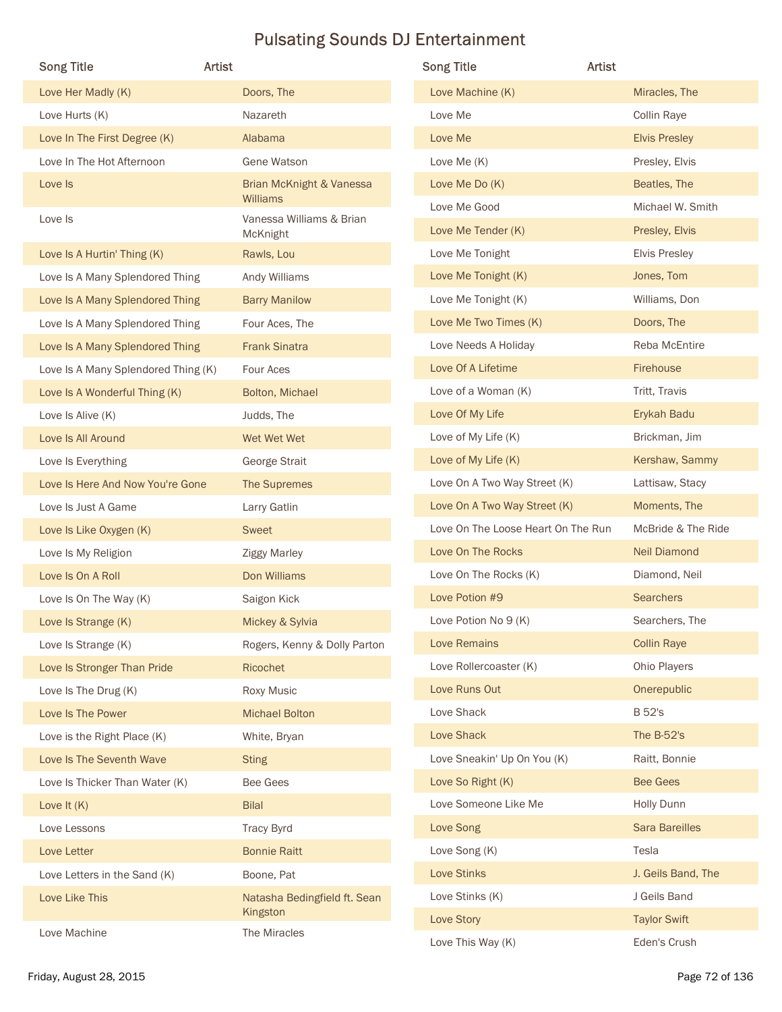|                                     |                                          | <b>Song Title</b><br>Artist        |                                     |
|-------------------------------------|------------------------------------------|------------------------------------|-------------------------------------|
| Love Her Madly (K)                  | Doors, The                               | Love Machine (K)                   | Miracles, The                       |
| Love Hurts (K)                      | Nazareth                                 | Love Me                            | Collin Raye                         |
| Love In The First Degree (K)        | Alabama                                  | Love Me                            | <b>Elvis Presley</b>                |
| Love In The Hot Afternoon           | Gene Watson                              | Love Me (K)                        | Presley, Elvis                      |
| Love Is                             | Brian McKnight & Vanessa                 | Love Me Do (K)                     | Beatles, The                        |
| Love Is                             | Williams<br>Vanessa Williams & Brian     | Love Me Good                       | Michael W. Smith                    |
|                                     | McKnight                                 | Love Me Tender (K)                 | Presley, Elvis                      |
| Love Is A Hurtin' Thing (K)         | Rawls, Lou                               | Love Me Tonight                    | <b>Elvis Presley</b>                |
| Love Is A Many Splendored Thing     | Andy Williams                            | Love Me Tonight (K)                | Jones, Tom                          |
| Love Is A Many Splendored Thing     | <b>Barry Manilow</b>                     | Love Me Tonight (K)                | Williams, Don                       |
| Love Is A Many Splendored Thing     | Four Aces, The                           | Love Me Two Times (K)              | Doors, The                          |
| Love Is A Many Splendored Thing     | <b>Frank Sinatra</b>                     | Love Needs A Holiday               | Reba McEntire                       |
| Love Is A Many Splendored Thing (K) | Four Aces                                | Love Of A Lifetime                 | Firehouse                           |
| Love Is A Wonderful Thing (K)       | Bolton, Michael                          | Love of a Woman (K)                | Tritt, Travis                       |
| Love Is Alive (K)                   | Judds, The                               | Love Of My Life                    | Erykah Badu                         |
| Love Is All Around                  | Wet Wet Wet                              | Love of My Life (K)                | Brickman, Jim                       |
| Love Is Everything                  | George Strait                            | Love of My Life (K)                | Kershaw, Sammy                      |
| Love Is Here And Now You're Gone    | The Supremes                             | Love On A Two Way Street (K)       | Lattisaw, Stacy                     |
| Love Is Just A Game                 | Larry Gatlin                             | Love On A Two Way Street (K)       | Moments, The                        |
| Love Is Like Oxygen (K)             | Sweet                                    | Love On The Loose Heart On The Run | McBride & The Ride                  |
| Love Is My Religion                 | <b>Ziggy Marley</b>                      | Love On The Rocks                  | Neil Diamond                        |
| Love Is On A Roll                   | Don Williams                             | Love On The Rocks (K)              | Diamond, Neil                       |
| Love Is On The Way (K)              | Saigon Kick                              | Love Potion #9                     | Searchers                           |
| Love Is Strange (K)                 | Mickey & Sylvia                          | Love Potion No 9 (K)               | Searchers, The                      |
| Love Is Strange (K)                 | Rogers, Kenny & Dolly Parton             | Love Remains                       | <b>Collin Raye</b>                  |
| Love Is Stronger Than Pride         | Ricochet                                 | Love Rollercoaster (K)             | Ohio Players                        |
| Love Is The Drug (K)                | Roxy Music                               | Love Runs Out                      | Onerepublic                         |
| Love Is The Power                   | <b>Michael Bolton</b>                    | Love Shack                         | <b>B</b> 52's                       |
| Love is the Right Place (K)         | White, Bryan                             | Love Shack                         | The B-52's                          |
| Love Is The Seventh Wave            | <b>Sting</b>                             | Love Sneakin' Up On You (K)        | Raitt, Bonnie                       |
| Love Is Thicker Than Water (K)      | Bee Gees                                 | Love So Right (K)                  | <b>Bee Gees</b>                     |
| Love It $(K)$                       | <b>Bilal</b>                             | Love Someone Like Me               | <b>Holly Dunn</b>                   |
| Love Lessons                        | <b>Tracy Byrd</b>                        | Love Song                          | Sara Bareilles                      |
| Love Letter                         | <b>Bonnie Raitt</b>                      | Love Song (K)                      | Tesla                               |
| Love Letters in the Sand (K)        | Boone, Pat                               | Love Stinks                        | J. Geils Band, The                  |
| Love Like This                      | Natasha Bedingfield ft. Sean<br>Kingston | Love Stinks (K)                    | J Geils Band                        |
|                                     | The Miracles                             | Love Story                         | <b>Taylor Swift</b><br>Eden's Crush |
| Love Machine                        |                                          | Love This Way (K)                  |                                     |

| <b>Intertainment</b>               |                                     |
|------------------------------------|-------------------------------------|
| <b>Song Title</b>                  | Artist                              |
| Love Machine (K)                   | Miracles, The                       |
| Love Me                            | Collin Raye                         |
| Love Me                            | <b>Elvis Presley</b>                |
| Love Me (K)                        | Presley, Elvis                      |
| Love Me Do (K)                     | Beatles, The                        |
| Love Me Good                       | Michael W. Smith                    |
| Love Me Tender (K)                 | Presley, Elvis                      |
| Love Me Tonight                    | Elvis Presley                       |
| Love Me Tonight (K)                | Jones, Tom                          |
| Love Me Tonight (K)                | Williams, Don                       |
| Love Me Two Times (K)              | Doors, The                          |
| Love Needs A Holiday               | Reba McEntire                       |
| Love Of A Lifetime                 | Firehouse                           |
| Love of a Woman (K)                | Tritt, Travis                       |
| Love Of My Life                    | Erykah Badu                         |
| Love of My Life (K)                | Brickman, Jim                       |
| Love of My Life (K)                | Kershaw, Sammy                      |
| Love On A Two Way Street (K)       | Lattisaw, Stacy                     |
| Love On A Two Way Street (K)       | Moments, The                        |
| Love On The Loose Heart On The Run | McBride & The Ride                  |
| Love On The Rocks                  | <b>Neil Diamond</b>                 |
| Love On The Rocks (K)              | Diamond, Neil                       |
| Love Potion #9                     | <b>Searchers</b>                    |
| Love Potion No 9 (K)               | Searchers, The                      |
| <b>Love Remains</b>                | <b>Collin Raye</b>                  |
| Love Rollercoaster (K)             | Ohio Players                        |
| Love Runs Out                      | Onerepublic                         |
| Love Shack                         | <b>B</b> 52's                       |
| Love Shack                         | The B-52's                          |
| Love Sneakin' Up On You (K)        | Raitt, Bonnie                       |
| Love So Right (K)                  | <b>Bee Gees</b>                     |
| Love Someone Like Me<br>Love Song  | Holly Dunn<br><b>Sara Bareilles</b> |
| Love Song (K)                      | Tesla                               |
| Love Stinks                        | J. Geils Band, The                  |
| Love Stinks (K)                    | J Geils Band                        |
| Love Story                         | <b>Taylor Swift</b>                 |
| Love This Way (K)                  | Eden's Crush                        |
|                                    | Page 72 of 136                      |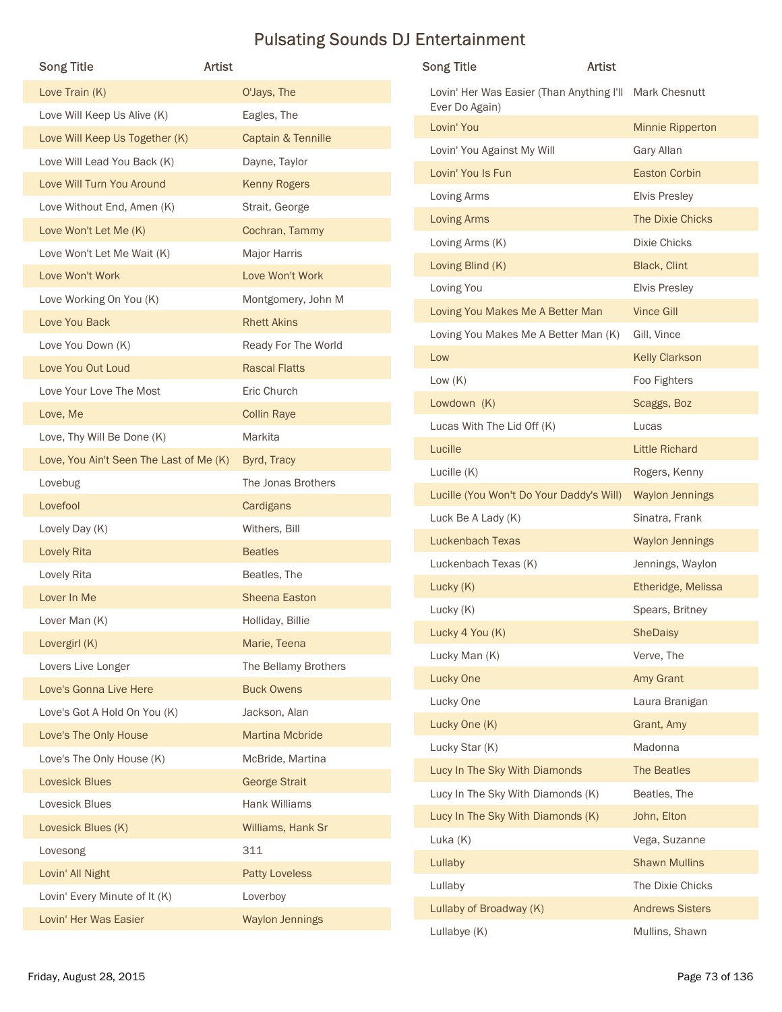| <b>Song Title</b><br><b>Artist</b>                  |                        | <b>Song Title</b><br>Artist                             |                        |
|-----------------------------------------------------|------------------------|---------------------------------------------------------|------------------------|
| Love Train (K)                                      | O'Jays, The            | Lovin' Her Was Easier (Than Anything I'll Mark Chesnutt |                        |
| Love Will Keep Us Alive (K)                         | Eagles, The            | Ever Do Again)                                          |                        |
| Love Will Keep Us Together (K)                      | Captain & Tennille     | Lovin' You                                              | Minnie Ripperton       |
| Love Will Lead You Back (K)                         | Dayne, Taylor          | Lovin' You Against My Will                              | Gary Allan             |
| Love Will Turn You Around                           | Kenny Rogers           | Lovin' You Is Fun                                       | Easton Corbin          |
| Love Without End, Amen (K)                          | Strait, George         | Loving Arms                                             | <b>Elvis Presley</b>   |
|                                                     | Cochran, Tammy         | <b>Loving Arms</b>                                      | The Dixie Chicks       |
| Love Won't Let Me (K)<br>Love Won't Let Me Wait (K) | Major Harris           | Loving Arms (K)                                         | Dixie Chicks           |
| Love Won't Work                                     | Love Won't Work        | Loving Blind (K)                                        | Black, Clint           |
| Love Working On You (K)                             | Montgomery, John M     | Loving You                                              | <b>Elvis Presley</b>   |
| Love You Back                                       | <b>Rhett Akins</b>     | Loving You Makes Me A Better Man                        | <b>Vince Gill</b>      |
| Love You Down (K)                                   | Ready For The World    | Loving You Makes Me A Better Man (K)                    | Gill, Vince            |
| Love You Out Loud                                   | <b>Rascal Flatts</b>   | Low                                                     | <b>Kelly Clarkson</b>  |
| Love Your Love The Most                             | Eric Church            | Low (K)                                                 | Foo Fighters           |
| Love, Me                                            | <b>Collin Raye</b>     | Lowdown (K)                                             | Scaggs, Boz            |
| Love, Thy Will Be Done (K)                          | Markita                | Lucas With The Lid Off (K)                              | Lucas                  |
| Love, You Ain't Seen The Last of Me (K)             | Byrd, Tracy            | Lucille                                                 | <b>Little Richard</b>  |
|                                                     |                        | Lucille (K)                                             | Rogers, Kenny          |
| Lovebug                                             | The Jonas Brothers     | Lucille (You Won't Do Your Daddy's Will)                | <b>Waylon Jennings</b> |
| Lovefool                                            | Cardigans              | Luck Be A Lady (K)                                      | Sinatra, Frank         |
| Lovely Day (K)                                      | Withers, Bill          | Luckenbach Texas                                        | <b>Waylon Jennings</b> |
| Lovely Rita                                         | <b>Beatles</b>         | Luckenbach Texas (K)                                    | Jennings, Waylon       |
| Lovely Rita                                         | Beatles, The           | Lucky (K)                                               | Etheridge, Melissa     |
| Lover In Me                                         | Sheena Easton          | Lucky (K)                                               | Spears, Britney        |
| Lover Man (K)                                       | Holliday, Billie       | Lucky 4 You (K)                                         | SheDaisy               |
| Lovergirl (K)                                       | Marie, Teena           | Lucky Man (K)                                           | Verve, The             |
| Lovers Live Longer                                  | The Bellamy Brothers   | Lucky One                                               | Amy Grant              |
| Love's Gonna Live Here                              | <b>Buck Owens</b>      | Lucky One                                               | Laura Branigan         |
| Love's Got A Hold On You (K)                        | Jackson, Alan          | Lucky One (K)                                           | Grant, Amy             |
| Love's The Only House                               | Martina Mcbride        | Lucky Star (K)                                          | Madonna                |
| Love's The Only House (K)                           | McBride, Martina       | Lucy In The Sky With Diamonds                           | The Beatles            |
| Lovesick Blues                                      | <b>George Strait</b>   | Lucy In The Sky With Diamonds (K)                       | Beatles, The           |
| Lovesick Blues                                      | Hank Williams          | Lucy In The Sky With Diamonds (K)                       | John, Elton            |
| Lovesick Blues (K)                                  | Williams, Hank Sr      | Luka (K)                                                | Vega, Suzanne          |
| Lovesong                                            | 311                    | Lullaby                                                 | <b>Shawn Mullins</b>   |
| Lovin' All Night                                    | <b>Patty Loveless</b>  | Lullaby                                                 | The Dixie Chicks       |
| Lovin' Every Minute of It (K)                       | Loverboy               | Lullaby of Broadway (K)                                 | <b>Andrews Sisters</b> |
| Lovin' Her Was Easier                               | <b>Waylon Jennings</b> | Lullabye (K)                                            | Mullins, Shawn         |

| <b>Song Title</b><br>Artist             |                        | <b>Song Title</b><br>Artist                             |                        |
|-----------------------------------------|------------------------|---------------------------------------------------------|------------------------|
| Love Train (K)                          | O'Jays, The            | Lovin' Her Was Easier (Than Anything I'll Mark Chesnutt |                        |
| Love Will Keep Us Alive (K)             | Eagles, The            | Ever Do Again)                                          |                        |
| Love Will Keep Us Together (K)          | Captain & Tennille     | Lovin' You                                              | Minnie Ripperton       |
| Love Will Lead You Back (K)             | Dayne, Taylor          | Lovin' You Against My Will                              | Gary Allan             |
| Love Will Turn You Around               | <b>Kenny Rogers</b>    | Lovin' You Is Fun                                       | Easton Corbin          |
| Love Without End, Amen (K)              | Strait, George         | Loving Arms                                             | <b>Elvis Presley</b>   |
| Love Won't Let Me (K)                   | Cochran, Tammy         | <b>Loving Arms</b>                                      | The Dixie Chicks       |
| Love Won't Let Me Wait (K)              | <b>Major Harris</b>    | Loving Arms (K)                                         | Dixie Chicks           |
| Love Won't Work                         | Love Won't Work        | Loving Blind (K)                                        | Black, Clint           |
| Love Working On You (K)                 | Montgomery, John M     | Loving You                                              | Elvis Presley          |
| Love You Back                           | <b>Rhett Akins</b>     | Loving You Makes Me A Better Man                        | <b>Vince Gill</b>      |
| Love You Down (K)                       | Ready For The World    | Loving You Makes Me A Better Man (K)                    | Gill, Vince            |
| Love You Out Loud                       | <b>Rascal Flatts</b>   | Low                                                     | <b>Kelly Clarkson</b>  |
| Love Your Love The Most                 | Eric Church            | Low $(K)$                                               | Foo Fighters           |
| Love, Me                                | <b>Collin Raye</b>     | Lowdown (K)                                             | Scaggs, Boz            |
| Love, Thy Will Be Done (K)              | Markita                | Lucas With The Lid Off (K)                              | Lucas                  |
| Love, You Ain't Seen The Last of Me (K) | Byrd, Tracy            | Lucille                                                 | <b>Little Richard</b>  |
| Lovebug                                 | The Jonas Brothers     | Lucille (K)                                             | Rogers, Kenny          |
| Lovefool                                | Cardigans              | Lucille (You Won't Do Your Daddy's Will)                | <b>Waylon Jennings</b> |
| Lovely Day (K)                          | Withers, Bill          | Luck Be A Lady (K)                                      | Sinatra, Frank         |
| Lovely Rita                             | <b>Beatles</b>         | Luckenbach Texas                                        | <b>Waylon Jennings</b> |
| Lovely Rita                             | Beatles, The           | Luckenbach Texas (K)                                    | Jennings, Waylon       |
| Lover In Me                             | Sheena Easton          | Lucky (K)                                               | Etheridge, Melissa     |
|                                         | Holliday, Billie       | Lucky (K)                                               | Spears, Britney        |
| Lover Man (K)<br>Lovergirl (K)          | Marie, Teena           | Lucky 4 You (K)                                         | SheDaisy               |
| Lovers Live Longer                      | The Bellamy Brothers   | Lucky Man (K)                                           | Verve, The             |
| Love's Gonna Live Here                  | <b>Buck Owens</b>      | Lucky One                                               | Amy Grant              |
| Love's Got A Hold On You (K)            | Jackson, Alan          | Lucky One                                               | Laura Branigan         |
| Love's The Only House                   | <b>Martina Mcbride</b> | Lucky One (K)                                           | Grant, Amy             |
| Love's The Only House (K)               | McBride, Martina       | Lucky Star (K)                                          | Madonna                |
| <b>Lovesick Blues</b>                   |                        | Lucy In The Sky With Diamonds                           | The Beatles            |
|                                         | <b>George Strait</b>   | Lucy In The Sky With Diamonds (K)                       | Beatles, The           |
| Lovesick Blues                          | Hank Williams          | Lucy In The Sky With Diamonds (K)                       | John, Elton            |
| Lovesick Blues (K)                      | Williams, Hank Sr      | Luka (K)                                                | Vega, Suzanne          |
| Lovesong                                | 311                    | Lullaby                                                 | <b>Shawn Mullins</b>   |
| Lovin' All Night                        | <b>Patty Loveless</b>  | Lullaby                                                 | The Dixie Chicks       |
| Lovin' Every Minute of It (K)           | Loverboy               | Lullaby of Broadway (K)                                 | <b>Andrews Sisters</b> |
| Lovin' Her Was Easier                   | <b>Waylon Jennings</b> | Lullabye (K)                                            | Mullins, Shawn         |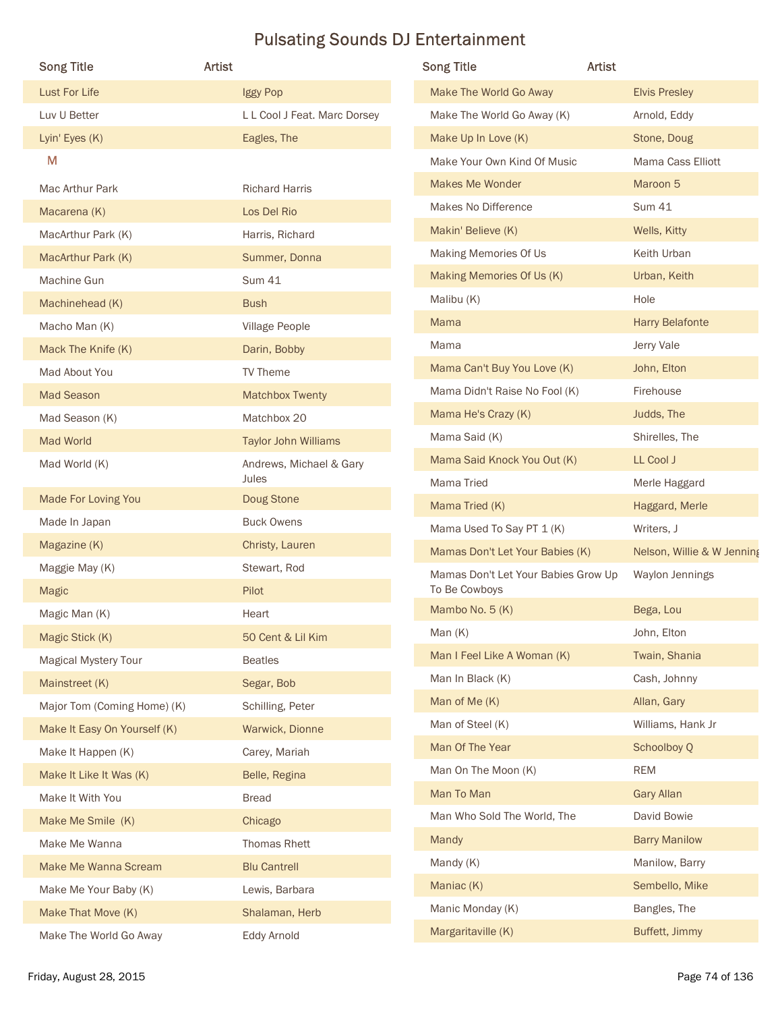|                              | Artist                       | <b>Song Title</b><br>Artist                          |                            |
|------------------------------|------------------------------|------------------------------------------------------|----------------------------|
| Lust For Life                | Iggy Pop                     | Make The World Go Away                               | <b>Elvis Presley</b>       |
| Luv U Better                 | L L Cool J Feat. Marc Dorsey | Make The World Go Away (K)                           | Arnold, Eddy               |
| Lyin' Eyes (K)               | Eagles, The                  | Make Up In Love (K)                                  | Stone, Doug                |
| M                            |                              | Make Your Own Kind Of Music                          | Mama Cass Elliott          |
| Mac Arthur Park              | <b>Richard Harris</b>        | Makes Me Wonder                                      | Maroon 5                   |
| Macarena (K)                 | Los Del Rio                  | Makes No Difference                                  | <b>Sum 41</b>              |
| MacArthur Park (K)           | Harris, Richard              | Makin' Believe (K)                                   | Wells, Kitty               |
| MacArthur Park (K)           | Summer, Donna                | Making Memories Of Us                                | Keith Urban                |
| Machine Gun                  | <b>Sum 41</b>                | Making Memories Of Us (K)                            | Urban, Keith               |
| Machinehead (K)              | <b>Bush</b>                  | Malibu (K)                                           | Hole                       |
| Macho Man (K)                | Village People               | Mama                                                 | <b>Harry Belafonte</b>     |
| Mack The Knife (K)           | Darin, Bobby                 | Mama                                                 | Jerry Vale                 |
| Mad About You                | TV Theme                     | Mama Can't Buy You Love (K)                          | John, Elton                |
| Mad Season                   | <b>Matchbox Twenty</b>       | Mama Didn't Raise No Fool (K)                        | Firehouse                  |
| Mad Season (K)               | Matchbox 20                  | Mama He's Crazy (K)                                  | Judds, The                 |
| Mad World                    | Taylor John Williams         | Mama Said (K)                                        | Shirelles, The             |
| Mad World (K)                | Andrews, Michael & Gary      | Mama Said Knock You Out (K)                          | LL Cool J                  |
| Made For Loving You          | Jules<br>Doug Stone          | Mama Tried                                           | Merle Haggard              |
| Made In Japan                | <b>Buck Owens</b>            | Mama Tried (K)                                       | Haggard, Merle             |
| Magazine (K)                 | Christy, Lauren              | Mama Used To Say PT 1 (K)                            | Writers, J                 |
| Maggie May (K)               | Stewart, Rod                 | Mamas Don't Let Your Babies (K)                      | Nelson, Willie & W Jenning |
| Magic                        | Pilot                        | Mamas Don't Let Your Babies Grow Up<br>To Be Cowboys | Waylon Jennings            |
| Magic Man (K)                | Heart                        | Mambo No. 5 (K)                                      | Bega, Lou                  |
| Magic Stick (K)              | 50 Cent & Lil Kim            | Man (K)                                              | John, Elton                |
| <b>Magical Mystery Tour</b>  | <b>Beatles</b>               | Man I Feel Like A Woman (K)                          | Twain, Shania              |
| Mainstreet (K)               | Segar, Bob                   | Man In Black (K)                                     | Cash, Johnny               |
| Major Tom (Coming Home) (K)  | Schilling, Peter             | Man of Me (K)                                        | Allan, Gary                |
| Make It Easy On Yourself (K) | Warwick, Dionne              | Man of Steel (K)                                     | Williams, Hank Jr          |
| Make It Happen (K)           | Carey, Mariah                | Man Of The Year                                      | Schoolboy Q                |
| Make It Like It Was (K)      | Belle, Regina                | Man On The Moon (K)                                  | <b>REM</b>                 |
| Make It With You             | <b>Bread</b>                 | Man To Man                                           | <b>Gary Allan</b>          |
| Make Me Smile (K)            | Chicago                      | Man Who Sold The World, The                          | David Bowie                |
| Make Me Wanna                | Thomas Rhett                 | Mandy                                                | <b>Barry Manilow</b>       |
| Make Me Wanna Scream         | <b>Blu Cantrell</b>          | Mandy (K)                                            | Manilow, Barry             |
| Make Me Your Baby (K)        | Lewis, Barbara               | Maniac (K)                                           | Sembello, Mike             |
| Make That Move (K)           | Shalaman, Herb               | Manic Monday (K)                                     | Bangles, The               |
|                              |                              |                                                      |                            |

| <b>Entertainment</b>                                 |                            |
|------------------------------------------------------|----------------------------|
| <b>Song Title</b><br><b>Artist</b>                   |                            |
| Make The World Go Away                               | <b>Elvis Presley</b>       |
| Make The World Go Away (K)                           | Arnold, Eddy               |
| Make Up In Love (K)                                  | Stone, Doug                |
| Make Your Own Kind Of Music                          | Mama Cass Elliott          |
| <b>Makes Me Wonder</b>                               | Maroon 5                   |
| Makes No Difference                                  | <b>Sum 41</b>              |
| Makin' Believe (K)                                   | Wells, Kitty               |
| Making Memories Of Us                                | Keith Urban                |
| Making Memories Of Us (K)                            | Urban, Keith               |
| Malibu (K)                                           | Hole                       |
| Mama                                                 | <b>Harry Belafonte</b>     |
| Mama                                                 | Jerry Vale                 |
| Mama Can't Buy You Love (K)                          | John, Elton                |
| Mama Didn't Raise No Fool (K)                        | Firehouse                  |
| Mama He's Crazy (K)                                  | Judds, The                 |
| Mama Said (K)                                        | Shirelles, The             |
| Mama Said Knock You Out (K)                          | LL Cool J                  |
| Mama Tried                                           | Merle Haggard              |
| Mama Tried (K)                                       | Haggard, Merle             |
| Mama Used To Say PT 1 (K)                            | Writers, J                 |
| Mamas Don't Let Your Babies (K)                      | Nelson, Willie & W Jenning |
| Mamas Don't Let Your Babies Grow Up<br>To Be Cowboys | Waylon Jennings            |
| Mambo No. 5 (K)                                      | Bega, Lou                  |
| Man (K)                                              | John, Elton                |
| Man I Feel Like A Woman (K)                          | Twain, Shania              |
| Man In Black (K)                                     | Cash, Johnny               |
| Man of Me (K)                                        | Allan, Gary                |
| Man of Steel (K)                                     | Williams, Hank Jr          |
| Man Of The Year                                      | Schoolboy Q                |
| Man On The Moon (K)                                  | <b>REM</b>                 |
| Man To Man                                           | <b>Gary Allan</b>          |
| Man Who Sold The World, The                          | David Bowie                |
| Mandy                                                | <b>Barry Manilow</b>       |
| Mandy (K)                                            | Manilow, Barry             |
| Maniac (K)                                           | Sembello, Mike             |
| Manic Monday (K)                                     | Bangles, The               |
| Margaritaville (K)                                   | Buffett, Jimmy             |
|                                                      | Page 74 of 136             |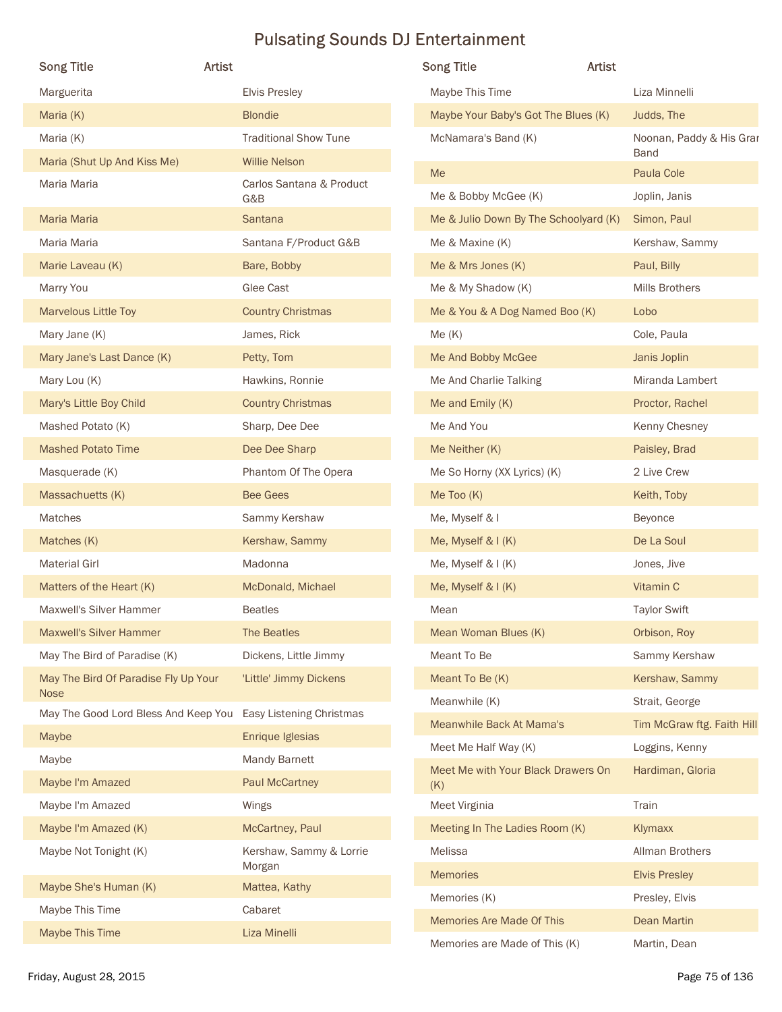| <b>Song Title</b><br><b>Artist</b>                            |                                                | <b>Song Title</b>                     | Artist                                  |
|---------------------------------------------------------------|------------------------------------------------|---------------------------------------|-----------------------------------------|
| Marguerita                                                    | <b>Elvis Presley</b>                           | Maybe This Time                       | Liza Minnelli                           |
| Maria (K)                                                     | <b>Blondie</b><br><b>Traditional Show Tune</b> | Maybe Your Baby's Got The Blues (K)   | Judds, The                              |
| Maria (K)<br>Maria (Shut Up And Kiss Me)                      | <b>Willie Nelson</b>                           | McNamara's Band (K)                   | Noonan, Paddy & His Grar<br><b>Band</b> |
| Maria Maria                                                   | Carlos Santana & Product                       | Me                                    | Paula Cole                              |
|                                                               | G&B                                            | Me & Bobby McGee (K)                  | Joplin, Janis                           |
| <b>Maria Maria</b>                                            | Santana                                        | Me & Julio Down By The Schoolyard (K) | Simon, Paul                             |
| Maria Maria                                                   | Santana F/Product G&B                          | Me & Maxine (K)                       | Kershaw, Sammy                          |
| Marie Laveau (K)                                              | Bare, Bobby                                    | Me & Mrs Jones (K)                    | Paul, Billy                             |
| Marry You                                                     | Glee Cast                                      | Me & My Shadow (K)                    | <b>Mills Brothers</b>                   |
| Marvelous Little Toy                                          | <b>Country Christmas</b>                       | Me & You & A Dog Named Boo (K)        | Lobo                                    |
| Mary Jane (K)                                                 | James, Rick                                    | Me(K)                                 | Cole, Paula                             |
| Mary Jane's Last Dance (K)                                    | Petty, Tom                                     | Me And Bobby McGee                    | Janis Joplin                            |
| Mary Lou (K)                                                  | Hawkins, Ronnie                                | Me And Charlie Talking                | Miranda Lambert                         |
| Mary's Little Boy Child                                       | <b>Country Christmas</b>                       | Me and Emily (K)                      | Proctor, Rachel                         |
| Mashed Potato (K)                                             | Sharp, Dee Dee                                 | Me And You                            | Kenny Chesney                           |
| <b>Mashed Potato Time</b>                                     | Dee Dee Sharp                                  | Me Neither (K)                        | Paisley, Brad                           |
| Masquerade (K)                                                | Phantom Of The Opera                           | Me So Horny (XX Lyrics) (K)           | 2 Live Crew                             |
| Massachuetts (K)                                              | <b>Bee Gees</b>                                | Me Too (K)                            | Keith, Toby                             |
| Matches                                                       | Sammy Kershaw                                  | Me, Myself & I                        | Beyonce                                 |
| Matches (K)                                                   | Kershaw, Sammy                                 | Me, Myself & I (K)                    | De La Soul                              |
| <b>Material Girl</b>                                          | Madonna                                        | Me, Myself & I (K)                    | Jones, Jive                             |
| Matters of the Heart (K)                                      | McDonald, Michael                              | Me, Myself & I (K)                    | Vitamin C                               |
| Maxwell's Silver Hammer                                       | <b>Beatles</b>                                 | Mean                                  | <b>Taylor Swift</b>                     |
| <b>Maxwell's Silver Hammer</b>                                | The Beatles                                    | Mean Woman Blues (K)                  | Orbison, Roy                            |
| May The Bird of Paradise (K)                                  | Dickens, Little Jimmy                          | Meant To Be                           | Sammy Kershaw                           |
| May The Bird Of Paradise Fly Up Your<br><b>Nose</b>           | 'Little' Jimmy Dickens                         | Meant To Be (K)<br>Meanwhile (K)      | Kershaw, Sammy<br>Strait, George        |
| May The Good Lord Bless And Keep You Easy Listening Christmas |                                                | Meanwhile Back At Mama's              | Tim McGraw ftg. Faith Hill              |
| Maybe                                                         | Enrique Iglesias                               | Meet Me Half Way (K)                  | Loggins, Kenny                          |
| Maybe                                                         | Mandy Barnett                                  | Meet Me with Your Black Drawers On    | Hardiman, Gloria                        |
| Maybe I'm Amazed                                              | <b>Paul McCartney</b>                          | (K)                                   |                                         |
| Maybe I'm Amazed                                              | Wings                                          | Meet Virginia                         | Train                                   |
| Maybe I'm Amazed (K)                                          | McCartney, Paul                                | Meeting In The Ladies Room (K)        | Klymaxx                                 |
| Maybe Not Tonight (K)                                         | Kershaw, Sammy & Lorrie<br>Morgan              | Melissa                               | Allman Brothers                         |
|                                                               | Mattea, Kathy                                  | <b>Memories</b>                       | <b>Elvis Presley</b>                    |
| Maybe She's Human (K)                                         |                                                | Memories (K)                          | Presley, Elvis                          |
|                                                               |                                                |                                       |                                         |
| Maybe This Time<br>Maybe This Time                            | Cabaret<br>Liza Minelli                        | Memories Are Made Of This             | Dean Martin                             |
|                                                               |                                                | Memories are Made of This (K)         | Martin, Dean                            |

| Artist<br><b>Song Title</b>                         |                                 |                                       |                            |
|-----------------------------------------------------|---------------------------------|---------------------------------------|----------------------------|
|                                                     |                                 | Artist<br><b>Song Title</b>           |                            |
| Marguerita                                          | Elvis Presley                   | Maybe This Time                       | Liza Minnelli              |
| Maria (K)                                           | <b>Blondie</b>                  | Maybe Your Baby's Got The Blues (K)   | Judds, The                 |
| Maria (K)                                           | <b>Traditional Show Tune</b>    | McNamara's Band (K)                   | Noonan, Paddy & His Grar   |
| Maria (Shut Up And Kiss Me)                         | <b>Willie Nelson</b>            | Me                                    | <b>Band</b><br>Paula Cole  |
| Maria Maria                                         | Carlos Santana & Product<br>G&B | Me & Bobby McGee (K)                  | Joplin, Janis              |
| Maria Maria                                         | Santana                         | Me & Julio Down By The Schoolyard (K) | Simon, Paul                |
| Maria Maria                                         | Santana F/Product G&B           | Me & Maxine (K)                       | Kershaw, Sammy             |
| Marie Laveau (K)                                    | Bare, Bobby                     | Me & Mrs Jones (K)                    | Paul, Billy                |
| Marry You                                           | Glee Cast                       | Me & My Shadow (K)                    | Mills Brothers             |
| Marvelous Little Toy                                | <b>Country Christmas</b>        | Me & You & A Dog Named Boo (K)        | Lobo                       |
| Mary Jane (K)                                       | James, Rick                     | Me(K)                                 | Cole, Paula                |
| Mary Jane's Last Dance (K)                          | Petty, Tom                      | Me And Bobby McGee                    | Janis Joplin               |
| Mary Lou (K)                                        | Hawkins, Ronnie                 | Me And Charlie Talking                | Miranda Lambert            |
| Mary's Little Boy Child                             | <b>Country Christmas</b>        | Me and Emily (K)                      | Proctor, Rachel            |
| Mashed Potato (K)                                   | Sharp, Dee Dee                  | Me And You                            | Kenny Chesney              |
| <b>Mashed Potato Time</b>                           | Dee Dee Sharp                   | Me Neither (K)                        | Paisley, Brad              |
| Masquerade (K)                                      | Phantom Of The Opera            | Me So Horny (XX Lyrics) (K)           | 2 Live Crew                |
| Massachuetts (K)                                    | <b>Bee Gees</b>                 | Me Too (K)                            | Keith, Toby                |
| Matches                                             | Sammy Kershaw                   | Me, Myself & I                        | Beyonce                    |
| Matches (K)                                         | Kershaw, Sammy                  | Me, Myself & I (K)                    | De La Soul                 |
| <b>Material Girl</b>                                | Madonna                         | Me, Myself & I (K)                    | Jones, Jive                |
| Matters of the Heart (K)                            | McDonald, Michael               | Me, Myself & I (K)                    | Vitamin C                  |
| Maxwell's Silver Hammer                             | <b>Beatles</b>                  | Mean                                  | <b>Taylor Swift</b>        |
| <b>Maxwell's Silver Hammer</b>                      | The Beatles                     | Mean Woman Blues (K)                  | Orbison, Roy               |
| May The Bird of Paradise (K)                        | Dickens, Little Jimmy           | Meant To Be                           | Sammy Kershaw              |
| May The Bird Of Paradise Fly Up Your                | 'Little' Jimmy Dickens          | Meant To Be (K)                       | Kershaw, Sammy             |
| <b>Nose</b><br>May The Good Lord Bless And Keep You | <b>Easy Listening Christmas</b> | Meanwhile (K)                         | Strait, George             |
| Maybe                                               | Enrique Iglesias                | Meanwhile Back At Mama's              | Tim McGraw ftg. Faith Hill |
| Maybe                                               | Mandy Barnett                   | Meet Me Half Way (K)                  | Loggins, Kenny             |
| Maybe I'm Amazed                                    | <b>Paul McCartney</b>           | Meet Me with Your Black Drawers On    | Hardiman, Gloria           |
| Maybe I'm Amazed                                    | Wings                           | (K)<br>Meet Virginia                  | Train                      |
| Maybe I'm Amazed (K)                                | McCartney, Paul                 | Meeting In The Ladies Room (K)        | Klymaxx                    |
| Maybe Not Tonight (K)                               | Kershaw, Sammy & Lorrie         | Melissa                               | Allman Brothers            |
|                                                     | Morgan                          | <b>Memories</b>                       | <b>Elvis Presley</b>       |
| Maybe She's Human (K)                               | Mattea, Kathy                   | Memories (K)                          | Presley, Elvis             |
| Maybe This Time                                     | Cabaret                         | Memories Are Made Of This             | Dean Martin                |
| <b>Maybe This Time</b>                              | Liza Minelli                    | Memories are Made of This (K)         | Martin, Dean               |
|                                                     |                                 |                                       |                            |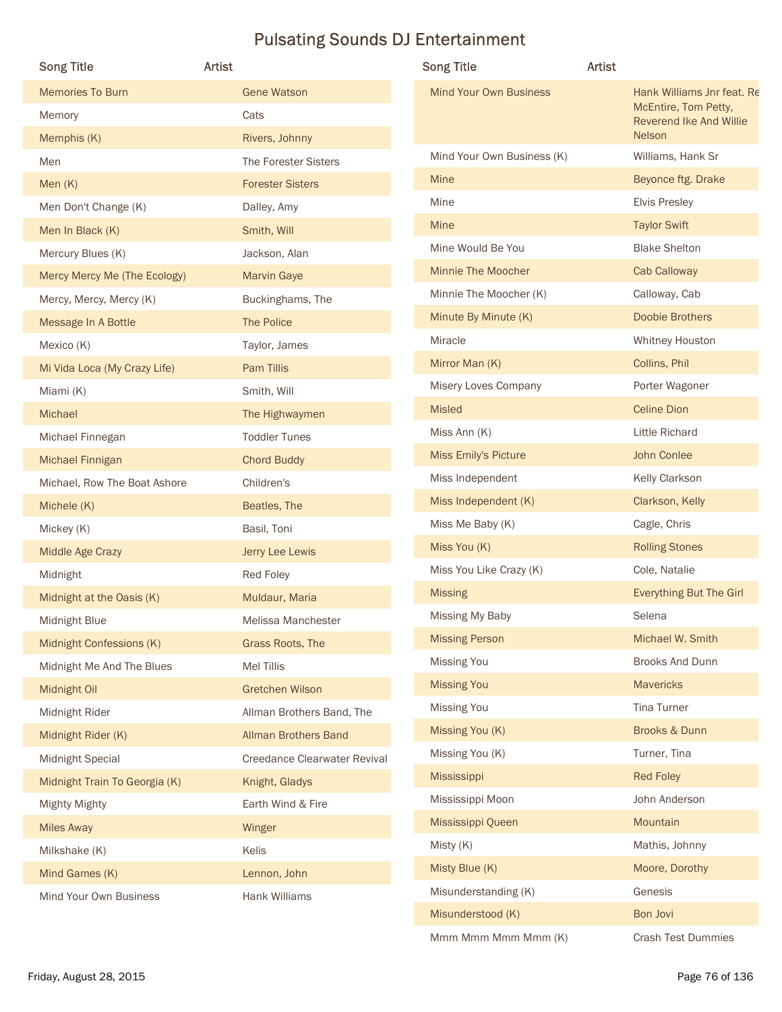|                                            | <b>Pulsating Sounds DJ Entertainment</b> |                            |        |                                                    |
|--------------------------------------------|------------------------------------------|----------------------------|--------|----------------------------------------------------|
| <b>Song Title</b>                          | Artist                                   | <b>Song Title</b>          | Artist |                                                    |
| <b>Memories To Burn</b>                    | <b>Gene Watson</b>                       | Mind Your Own Business     |        | Hank Williams Jnr feat. Re<br>McEntire, Tom Petty, |
| Memory                                     | Cats                                     |                            |        | Reverend Ike And Willie                            |
| Memphis (K)                                | Rivers, Johnny                           |                            |        | Nelson                                             |
| Men                                        | The Forester Sisters                     | Mind Your Own Business (K) |        | Williams, Hank Sr                                  |
| Men $(K)$                                  | <b>Forester Sisters</b>                  | <b>Mine</b>                |        | Beyonce ftg. Drake                                 |
| Men Don't Change (K)                       | Dalley, Amy                              | Mine                       |        | <b>Elvis Presley</b>                               |
| Men In Black (K)                           | Smith, Will                              | Mine<br>Mine Would Be You  |        | <b>Taylor Swift</b><br><b>Blake Shelton</b>        |
| Mercury Blues (K)                          | Jackson, Alan                            | <b>Minnie The Moocher</b>  |        |                                                    |
| Mercy Mercy Me (The Ecology)               | <b>Marvin Gaye</b>                       | Minnie The Moocher (K)     |        | Cab Calloway<br>Calloway, Cab                      |
| Mercy, Mercy, Mercy (K)                    | Buckinghams, The                         | Minute By Minute (K)       |        | <b>Doobie Brothers</b>                             |
| Message In A Bottle                        | The Police                               | Miracle                    |        | Whitney Houston                                    |
| Mexico (K)                                 | Taylor, James                            | Mirror Man (K)             |        | Collins, Phil                                      |
| Mi Vida Loca (My Crazy Life)               | Pam Tillis                               | Misery Loves Company       |        | Porter Wagoner                                     |
| Miami (K)                                  | Smith, Will                              | <b>Misled</b>              |        | Celine Dion                                        |
| Michael                                    | The Highwaymen                           | Miss Ann (K)               |        | Little Richard                                     |
| Michael Finnegan                           | <b>Toddler Tunes</b>                     | Miss Emily's Picture       |        | John Conlee                                        |
| Michael Finnigan                           | <b>Chord Buddy</b>                       | Miss Independent           |        | Kelly Clarkson                                     |
| Michael, Row The Boat Ashore               | Children's                               | Miss Independent (K)       |        | Clarkson, Kelly                                    |
| Michele (K)                                | Beatles, The                             | Miss Me Baby (K)           |        | Cagle, Chris                                       |
| Mickey (K)                                 | Basil, Toni                              | Miss You (K)               |        | <b>Rolling Stones</b>                              |
| Middle Age Crazy                           | Jerry Lee Lewis                          | Miss You Like Crazy (K)    |        | Cole, Natalie                                      |
| Midnight                                   | Red Foley                                | <b>Missing</b>             |        | <b>Everything But The Girl</b>                     |
| Midnight at the Oasis (K)<br>Midnight Blue | Muldaur, Maria<br>Melissa Manchester     | Missing My Baby            |        | Selena                                             |
| Midnight Confessions (K)                   | Grass Roots, The                         | <b>Missing Person</b>      |        | Michael W. Smith                                   |
| Midnight Me And The Blues                  | Mel Tillis                               | <b>Missing You</b>         |        | Brooks And Dunn                                    |
| Midnight Oil                               | <b>Gretchen Wilson</b>                   | <b>Missing You</b>         |        | <b>Mavericks</b>                                   |
| Midnight Rider                             | Allman Brothers Band, The                | <b>Missing You</b>         |        | <b>Tina Turner</b>                                 |
| Midnight Rider (K)                         | Allman Brothers Band                     | Missing You (K)            |        | Brooks & Dunn                                      |
| Midnight Special                           | Creedance Clearwater Revival             | Missing You (K)            |        | Turner, Tina                                       |
| Midnight Train To Georgia (K)              | Knight, Gladys                           | Mississippi                |        | <b>Red Foley</b>                                   |
| <b>Mighty Mighty</b>                       | Earth Wind & Fire                        | Mississippi Moon           |        | John Anderson                                      |
| <b>Miles Away</b>                          | Winger                                   | Mississippi Queen          |        | Mountain                                           |
| Milkshake (K)                              | Kelis                                    | Misty (K)                  |        | Mathis, Johnny                                     |
| Mind Games (K)                             | Lennon, John                             | Misty Blue (K)             |        | Moore, Dorothy                                     |
| Mind Your Own Business                     | Hank Williams                            | Misunderstanding (K)       |        | Genesis                                            |
|                                            |                                          | Misunderstood (K)          |        | Bon Jovi                                           |
|                                            |                                          | Mmm Mmm Mmm Mmm (K)        |        | <b>Crash Test Dummies</b>                          |
|                                            |                                          |                            |        |                                                    |
| ridav. August 28, 2015                     |                                          |                            |        | Page 76 of 136                                     |

|                               |                              | <b>Pulsating Sounds DJ Entertainment</b> |               |                                                    |
|-------------------------------|------------------------------|------------------------------------------|---------------|----------------------------------------------------|
| <b>Song Title</b>             | Artist                       | <b>Song Title</b>                        | Artist        |                                                    |
| <b>Memories To Burn</b>       | <b>Gene Watson</b>           | Mind Your Own Business                   |               | Hank Williams Jnr feat. Re<br>McEntire, Tom Petty, |
| Memory                        | Cats                         |                                          |               | <b>Reverend Ike And Willie</b>                     |
| Memphis (K)                   | Rivers, Johnny               |                                          | <b>Nelson</b> |                                                    |
| Men                           | The Forester Sisters         | Mind Your Own Business (K)               |               | Williams, Hank Sr                                  |
| Men (K)                       | <b>Forester Sisters</b>      | Mine                                     |               | Beyonce ftg. Drake                                 |
| Men Don't Change (K)          | Dalley, Amy                  | Mine                                     |               | Elvis Presley                                      |
| Men In Black (K)              | Smith, Will                  | <b>Mine</b>                              |               | <b>Taylor Swift</b>                                |
| Mercury Blues (K)             | Jackson, Alan                | Mine Would Be You                        |               | <b>Blake Shelton</b>                               |
| Mercy Mercy Me (The Ecology)  | <b>Marvin Gaye</b>           | <b>Minnie The Moocher</b>                |               | Cab Calloway                                       |
| Mercy, Mercy, Mercy (K)       | Buckinghams, The             | Minnie The Moocher (K)                   |               | Calloway, Cab                                      |
| Message In A Bottle           | The Police                   | Minute By Minute (K)                     |               | Doobie Brothers                                    |
| Mexico (K)                    | Taylor, James                | Miracle                                  |               | Whitney Houston                                    |
| Mi Vida Loca (My Crazy Life)  | Pam Tillis                   | Mirror Man (K)                           |               | Collins, Phil                                      |
| Miami (K)                     | Smith, Will                  | Misery Loves Company                     |               | Porter Wagoner                                     |
| Michael                       | The Highwaymen               | <b>Misled</b>                            |               | <b>Celine Dion</b>                                 |
| Michael Finnegan              | <b>Toddler Tunes</b>         | Miss Ann (K)                             |               | Little Richard                                     |
| Michael Finnigan              | <b>Chord Buddy</b>           | Miss Emily's Picture                     |               | John Conlee                                        |
| Michael, Row The Boat Ashore  | Children's                   | Miss Independent                         |               | Kelly Clarkson                                     |
| Michele (K)                   | Beatles, The                 | Miss Independent (K)                     |               | Clarkson, Kelly                                    |
| Mickey (K)                    | Basil, Toni                  | Miss Me Baby (K)                         |               | Cagle, Chris                                       |
| Middle Age Crazy              | Jerry Lee Lewis              | Miss You (K)                             |               | <b>Rolling Stones</b>                              |
| Midnight                      | Red Foley                    | Miss You Like Crazy (K)                  |               | Cole, Natalie                                      |
| Midnight at the Oasis (K)     | Muldaur, Maria               | <b>Missing</b>                           |               | <b>Everything But The Girl</b>                     |
| Midnight Blue                 | Melissa Manchester           | Missing My Baby                          | Selena        | Michael W. Smith                                   |
| Midnight Confessions (K)      | Grass Roots, The             | <b>Missing Person</b>                    |               |                                                    |
| Midnight Me And The Blues     | Mel Tillis                   | <b>Missing You</b>                       |               | Brooks And Dunn                                    |
| Midnight Oil                  | <b>Gretchen Wilson</b>       | <b>Missing You</b>                       |               | <b>Mavericks</b>                                   |
| Midnight Rider                | Allman Brothers Band, The    | <b>Missing You</b>                       |               | Tina Turner                                        |
| Midnight Rider (K)            | Allman Brothers Band         | Missing You (K)                          |               | Brooks & Dunn                                      |
| <b>Midnight Special</b>       | Creedance Clearwater Revival | Missing You (K)                          |               | Turner, Tina                                       |
| Midnight Train To Georgia (K) | Knight, Gladys               | Mississippi                              |               | <b>Red Foley</b>                                   |
| <b>Mighty Mighty</b>          | Earth Wind & Fire            | Mississippi Moon                         |               | John Anderson                                      |
| <b>Miles Away</b>             | Winger                       | Mississippi Queen                        |               | Mountain                                           |
| Milkshake (K)                 | Kelis                        | Misty (K)                                |               | Mathis, Johnny<br>Moore, Dorothy                   |
| Mind Games (K)                | Lennon, John                 | Misty Blue (K)                           |               |                                                    |
| Mind Your Own Business        | Hank Williams                | Misunderstanding (K)                     | Genesis       |                                                    |
|                               |                              | Misunderstood (K)                        | Bon Jovi      |                                                    |
|                               |                              | Mmm Mmm Mmm Mmm (K)                      |               | <b>Crash Test Dummies</b>                          |
| Friday, August 28, 2015       |                              |                                          |               | Page 76 of 136                                     |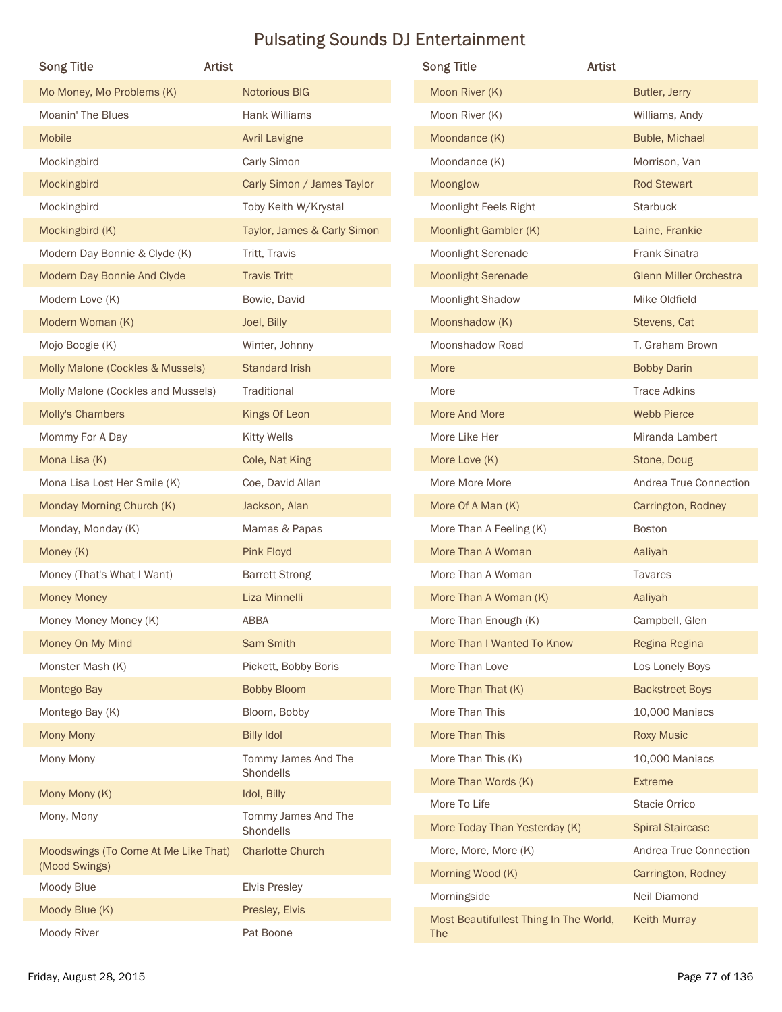|                                      | Artist                           | <b>Song Title</b><br>Artist            |                               |
|--------------------------------------|----------------------------------|----------------------------------------|-------------------------------|
| Mo Money, Mo Problems (K)            | <b>Notorious BIG</b>             | Moon River (K)                         | Butler, Jerry                 |
| Moanin' The Blues                    | Hank Williams                    | Moon River (K)                         | Williams, Andy                |
| Mobile                               | <b>Avril Lavigne</b>             | Moondance (K)                          | Buble, Michael                |
| Mockingbird                          | Carly Simon                      | Moondance (K)                          | Morrison, Van                 |
| Mockingbird                          | Carly Simon / James Taylor       | Moonglow                               | <b>Rod Stewart</b>            |
| Mockingbird                          | Toby Keith W/Krystal             | Moonlight Feels Right                  | Starbuck                      |
| Mockingbird (K)                      | Taylor, James & Carly Simon      | Moonlight Gambler (K)                  | Laine, Frankie                |
| Modern Day Bonnie & Clyde (K)        | Tritt, Travis                    | Moonlight Serenade                     | Frank Sinatra                 |
| Modern Day Bonnie And Clyde          | <b>Travis Tritt</b>              | <b>Moonlight Serenade</b>              | <b>Glenn Miller Orchestra</b> |
| Modern Love (K)                      | Bowie, David                     | Moonlight Shadow                       | Mike Oldfield                 |
| Modern Woman (K)                     | Joel, Billy                      | Moonshadow (K)                         | Stevens, Cat                  |
| Mojo Boogie (K)                      | Winter, Johnny                   | Moonshadow Road                        | T. Graham Brown               |
| Molly Malone (Cockles & Mussels)     | <b>Standard Irish</b>            | More                                   | <b>Bobby Darin</b>            |
| Molly Malone (Cockles and Mussels)   | Traditional                      | More                                   | <b>Trace Adkins</b>           |
| Molly's Chambers                     | Kings Of Leon                    | More And More                          | <b>Webb Pierce</b>            |
| Mommy For A Day                      | <b>Kitty Wells</b>               | More Like Her                          | Miranda Lambert               |
| Mona Lisa (K)                        | Cole, Nat King                   | More Love (K)                          | Stone, Doug                   |
| Mona Lisa Lost Her Smile (K)         | Coe, David Allan                 | More More More                         | Andrea True Connection        |
| Monday Morning Church (K)            | Jackson, Alan                    | More Of A Man (K)                      | Carrington, Rodney            |
| Monday, Monday (K)                   | Mamas & Papas                    | More Than A Feeling (K)                | Boston                        |
| Money (K)                            | Pink Floyd                       | More Than A Woman                      | Aaliyah                       |
| Money (That's What I Want)           | <b>Barrett Strong</b>            | More Than A Woman                      | <b>Tavares</b>                |
| <b>Money Money</b>                   | Liza Minnelli                    | More Than A Woman (K)                  | Aaliyah                       |
| Money Money Money (K)                | ABBA                             | More Than Enough (K)                   | Campbell, Glen                |
| Money On My Mind                     | Sam Smith                        | More Than I Wanted To Know             | Regina Regina                 |
| Monster Mash (K)                     | Pickett, Bobby Boris             | More Than Love                         | Los Lonely Boys               |
| Montego Bay                          | <b>Bobby Bloom</b>               | More Than That (K)                     | <b>Backstreet Boys</b>        |
| Montego Bay (K)                      | Bloom, Bobby                     | More Than This                         | 10,000 Maniacs                |
| <b>Mony Mony</b>                     | <b>Billy Idol</b>                | More Than This                         | <b>Roxy Music</b>             |
| Mony Mony                            | Tommy James And The              | More Than This (K)                     | 10,000 Maniacs                |
|                                      | Shondells                        | More Than Words (K)                    | Extreme                       |
| Mony Mony (K)                        | Idol, Billy                      | More To Life                           | Stacie Orrico                 |
| Mony, Mony                           | Tommy James And The<br>Shondells | More Today Than Yesterday (K)          | <b>Spiral Staircase</b>       |
| Moodswings (To Come At Me Like That) | <b>Charlotte Church</b>          | More, More, More (K)                   | Andrea True Connection        |
| (Mood Swings)                        |                                  | Morning Wood (K)                       | Carrington, Rodney            |
| Moody Blue                           | <b>Elvis Presley</b>             | Morningside                            | Neil Diamond                  |
| Moody Blue (K)                       | Presley, Elvis                   | Most Beautifullest Thing In The World, | <b>Keith Murray</b>           |
|                                      |                                  |                                        |                               |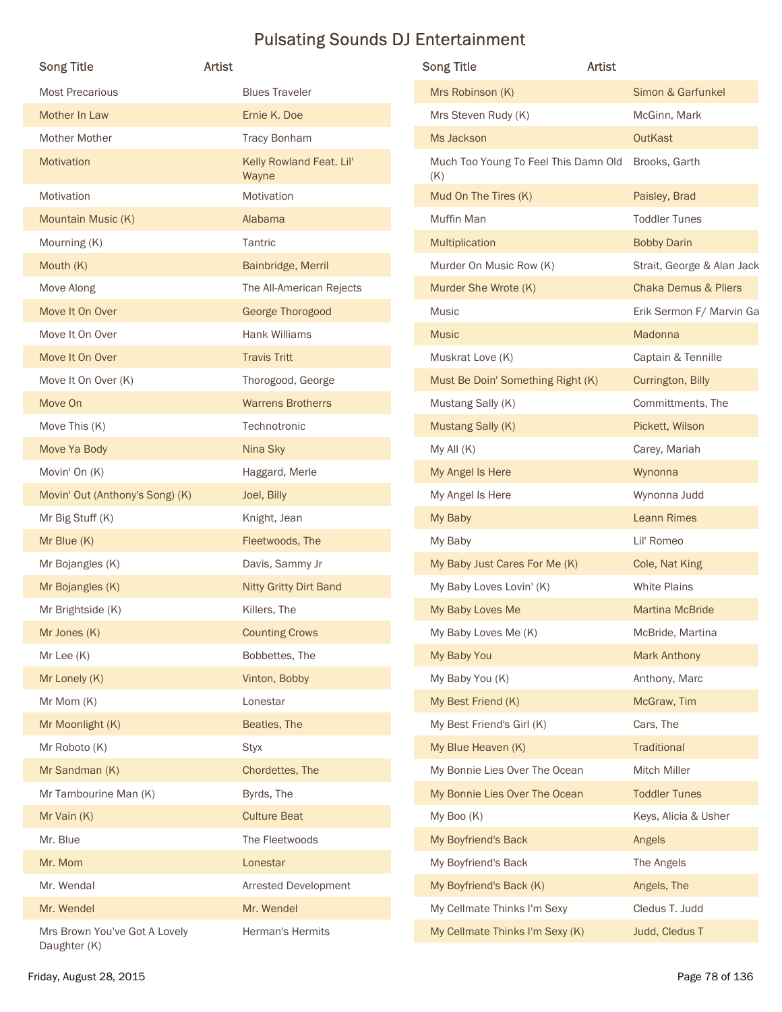| <b>Song Title</b><br>Artist     | <b>Pulsating Sounds DJ Entertainment</b> | <b>Song Title</b><br>Artist          |                                      |
|---------------------------------|------------------------------------------|--------------------------------------|--------------------------------------|
| <b>Most Precarious</b>          | <b>Blues Traveler</b>                    | Mrs Robinson (K)                     | Simon & Garfunkel                    |
| Mother In Law                   | Ernie K. Doe                             | Mrs Steven Rudy (K)                  | McGinn, Mark                         |
| Mother Mother                   | Tracy Bonham                             | Ms Jackson                           | OutKast                              |
| Motivation                      | Kelly Rowland Feat. Lil'                 | Much Too Young To Feel This Damn Old | Brooks, Garth                        |
| Motivation                      | Wayne<br>Motivation                      | (K)<br>Mud On The Tires (K)          | Paisley, Brad                        |
| Mountain Music (K)              | Alabama                                  | Muffin Man                           | <b>Toddler Tunes</b>                 |
| Mourning (K)                    | Tantric                                  | Multiplication                       | <b>Bobby Darin</b>                   |
| Mouth (K)                       | Bainbridge, Merril                       | Murder On Music Row (K)              | Strait, George & Alan Jack           |
| Move Along                      | The All-American Rejects                 | Murder She Wrote (K)                 | Chaka Demus & Pliers                 |
| Move It On Over                 | George Thorogood                         | Music                                | Erik Sermon F/ Marvin Ga             |
| Move It On Over                 | Hank Williams                            | Music                                | Madonna                              |
| Move It On Over                 | <b>Travis Tritt</b>                      | Muskrat Love (K)                     | Captain & Tennille                   |
| Move It On Over (K)             | Thorogood, George                        | Must Be Doin' Something Right (K)    | Currington, Billy                    |
| Move On                         | <b>Warrens Brotherrs</b>                 | Mustang Sally (K)                    | Committments, The                    |
| Move This (K)                   | Technotronic                             | Mustang Sally (K)                    | Pickett, Wilson                      |
| Move Ya Body                    | Nina Sky                                 | My All (K)                           | Carey, Mariah                        |
| Movin' On (K)                   | Haggard, Merle                           | My Angel Is Here                     | Wynonna                              |
| Movin' Out (Anthony's Song) (K) | Joel, Billy                              | My Angel Is Here                     | Wynonna Judd                         |
| Mr Big Stuff (K)                | Knight, Jean                             | My Baby                              | <b>Leann Rimes</b>                   |
| Mr Blue (K)                     | Fleetwoods, The                          | My Baby                              | Lil' Romeo                           |
| Mr Bojangles (K)                | Davis, Sammy Jr                          | My Baby Just Cares For Me (K)        | Cole, Nat King                       |
| Mr Bojangles (K)                | Nitty Gritty Dirt Band                   | My Baby Loves Lovin' (K)             | White Plains                         |
| Mr Brightside (K)               | Killers, The                             | My Baby Loves Me                     | Martina McBride                      |
| Mr Jones (K)                    | <b>Counting Crows</b>                    | My Baby Loves Me (K)                 | McBride, Martina                     |
| Mr Lee (K)<br>Mr Lonely (K)     | Bobbettes, The<br>Vinton, Bobby          | My Baby You<br>My Baby You (K)       | <b>Mark Anthony</b><br>Anthony, Marc |
| Mr Mom (K)                      | Lonestar                                 | My Best Friend (K)                   | McGraw, Tim                          |
| Mr Moonlight (K)                | Beatles, The                             | My Best Friend's Girl (K)            | Cars, The                            |
| Mr Roboto (K)                   | Styx                                     | My Blue Heaven (K)                   | Traditional                          |
| Mr Sandman (K)                  | Chordettes, The                          | My Bonnie Lies Over The Ocean        | Mitch Miller                         |
| Mr Tambourine Man (K)           | Byrds, The                               | My Bonnie Lies Over The Ocean        | <b>Toddler Tunes</b>                 |
| Mr Vain (K)                     | <b>Culture Beat</b>                      | My Boo (K)                           | Keys, Alicia & Usher                 |
| Mr. Blue                        | The Fleetwoods                           | My Boyfriend's Back                  | Angels                               |
| Mr. Mom                         | Lonestar                                 | My Boyfriend's Back                  | The Angels                           |
| Mr. Wendal                      | <b>Arrested Development</b>              | My Boyfriend's Back (K)              | Angels, The                          |
| Mr. Wendel                      | Mr. Wendel                               | My Cellmate Thinks I'm Sexy          | Cledus T. Judd                       |
| Mrs Brown You've Got A Lovely   | Herman's Hermits                         | My Cellmate Thinks I'm Sexy (K)      | Judd, Cledus T                       |

| Mrs Robinson (K)                                    | Artist                     |
|-----------------------------------------------------|----------------------------|
|                                                     | Simon & Garfunkel          |
| Mrs Steven Rudy (K)                                 | McGinn, Mark               |
| Ms Jackson                                          | OutKast                    |
| Much Too Young To Feel This Damn Old<br>(K)         | Brooks, Garth              |
| Mud On The Tires (K)                                | Paisley, Brad              |
| Muffin Man                                          | <b>Toddler Tunes</b>       |
| Multiplication                                      | <b>Bobby Darin</b>         |
| Murder On Music Row (K)                             | Strait, George & Alan Jack |
| Murder She Wrote (K)                                | Chaka Demus & Pliers       |
| Music                                               | Erik Sermon F/ Marvin Ga   |
| <b>Music</b>                                        | Madonna                    |
| Muskrat Love (K)                                    | Captain & Tennille         |
| Must Be Doin' Something Right (K)                   | Currington, Billy          |
| Mustang Sally (K)                                   | Committments, The          |
| Mustang Sally (K)                                   | Pickett, Wilson            |
| My All (K)                                          | Carey, Mariah              |
| My Angel Is Here                                    | Wynonna                    |
| My Angel Is Here                                    | Wynonna Judd               |
| My Baby                                             | <b>Leann Rimes</b>         |
| My Baby                                             | Lil' Romeo                 |
| My Baby Just Cares For Me (K)                       | Cole, Nat King             |
| My Baby Loves Lovin' (K)                            | White Plains               |
| My Baby Loves Me                                    | <b>Martina McBride</b>     |
| My Baby Loves Me (K)                                | McBride, Martina           |
| My Baby You                                         | <b>Mark Anthony</b>        |
| My Baby You (K)                                     | Anthony, Marc              |
| My Best Friend (K)                                  | McGraw, Tim                |
| My Best Friend's Girl (K)                           | Cars, The<br>Traditional   |
| My Blue Heaven (K)<br>My Bonnie Lies Over The Ocean | Mitch Miller               |
| My Bonnie Lies Over The Ocean                       | <b>Toddler Tunes</b>       |
| My Boo (K)                                          | Keys, Alicia & Usher       |
| My Boyfriend's Back                                 | Angels                     |
| My Boyfriend's Back                                 | The Angels                 |
| My Boyfriend's Back (K)                             | Angels, The                |
| My Cellmate Thinks I'm Sexy                         | Cledus T. Judd             |
|                                                     |                            |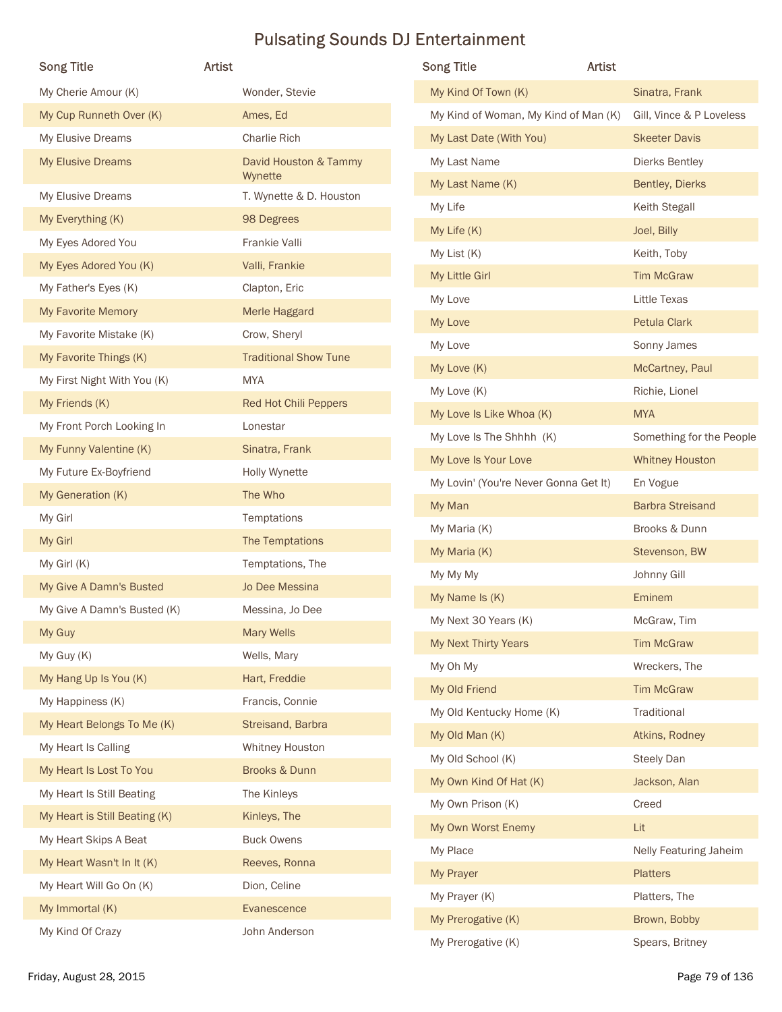| <b>Song Title</b><br>Artist<br>My Cherie Amour (K)<br>My Cup Runneth Over (K) |                                  | <b>Song Title</b><br>Artist            |                          |
|-------------------------------------------------------------------------------|----------------------------------|----------------------------------------|--------------------------|
|                                                                               | Wonder, Stevie                   | My Kind Of Town (K)                    | Sinatra, Frank           |
|                                                                               | Ames, Ed                         | My Kind of Woman, My Kind of Man (K)   | Gill, Vince & P Loveless |
| My Elusive Dreams                                                             | Charlie Rich                     | My Last Date (With You)                | <b>Skeeter Davis</b>     |
| My Elusive Dreams                                                             | David Houston & Tammy<br>Wynette | My Last Name                           | Dierks Bentley           |
| My Elusive Dreams                                                             | T. Wynette & D. Houston          | My Last Name (K)                       | Bentley, Dierks          |
| My Everything (K)                                                             | 98 Degrees                       | My Life                                | Keith Stegall            |
| My Eyes Adored You                                                            | Frankie Valli                    | My Life (K)                            | Joel, Billy              |
| My Eyes Adored You (K)                                                        | Valli, Frankie                   | My List (K)                            | Keith, Toby              |
| My Father's Eyes (K)                                                          | Clapton, Eric                    | My Little Girl                         | <b>Tim McGraw</b>        |
| My Favorite Memory                                                            | Merle Haggard                    | My Love                                | Little Texas             |
| My Favorite Mistake (K)                                                       | Crow, Sheryl                     | My Love                                | Petula Clark             |
| My Favorite Things (K)                                                        | <b>Traditional Show Tune</b>     | My Love                                | Sonny James              |
| My First Night With You (K)                                                   | <b>MYA</b>                       | My Love (K)                            | McCartney, Paul          |
| My Friends (K)                                                                | Red Hot Chili Peppers            | My Love (K)                            | Richie, Lionel           |
| My Front Porch Looking In                                                     | Lonestar                         | My Love Is Like Whoa (K)               | <b>MYA</b>               |
| My Funny Valentine (K)                                                        | Sinatra, Frank                   | My Love Is The Shhhh (K)               | Something for the People |
| My Future Ex-Boyfriend                                                        | Holly Wynette                    | My Love Is Your Love                   | <b>Whitney Houston</b>   |
| My Generation (K)                                                             | The Who                          | My Lovin' (You're Never Gonna Get It)  | En Vogue                 |
| My Girl                                                                       | Temptations                      | My Man                                 | <b>Barbra Streisand</b>  |
| My Girl                                                                       | The Temptations                  | My Maria (K)                           | Brooks & Dunn            |
| My Girl (K)                                                                   | Temptations, The                 | My Maria (K)                           | Stevenson, BW            |
| My Give A Damn's Busted                                                       | Jo Dee Messina                   | My My My                               | Johnny Gill<br>Eminem    |
| My Give A Damn's Busted (K)                                                   | Messina, Jo Dee                  | My Name Is (K)<br>My Next 30 Years (K) | McGraw, Tim              |
| My Guy                                                                        | <b>Mary Wells</b>                | My Next Thirty Years                   | <b>Tim McGraw</b>        |
| My Guy (K)                                                                    | Wells, Mary                      | My Oh My                               | Wreckers, The            |
| My Hang Up Is You (K)                                                         | Hart, Freddie                    | My Old Friend                          | <b>Tim McGraw</b>        |
| My Happiness (K)                                                              | Francis, Connie                  | My Old Kentucky Home (K)               | Traditional              |
| My Heart Belongs To Me (K)                                                    | Streisand, Barbra                | My Old Man (K)                         | Atkins, Rodney           |
| My Heart Is Calling                                                           | Whitney Houston                  | My Old School (K)                      | <b>Steely Dan</b>        |
| My Heart Is Lost To You                                                       | Brooks & Dunn                    | My Own Kind Of Hat (K)                 | Jackson, Alan            |
| My Heart Is Still Beating                                                     | The Kinleys                      | My Own Prison (K)                      | Creed                    |
| My Heart is Still Beating (K)                                                 | Kinleys, The                     | My Own Worst Enemy                     | Lit                      |
| My Heart Skips A Beat                                                         | <b>Buck Owens</b>                | My Place                               | Nelly Featuring Jaheim   |
| My Heart Wasn't In It (K)                                                     | Reeves, Ronna                    | My Prayer                              | Platters                 |
| My Heart Will Go On (K)                                                       | Dion, Celine                     | My Prayer (K)                          | Platters, The            |
|                                                                               | Evanescence                      | My Prerogative (K)                     | Brown, Bobby             |
| My Immortal (K)                                                               |                                  |                                        |                          |
| My Kind Of Crazy                                                              | John Anderson                    | My Prerogative (K)                     | Spears, Britney          |

| <b>Song Title</b>             | Artist                       | Artist<br><b>Song Title</b>           |                          |
|-------------------------------|------------------------------|---------------------------------------|--------------------------|
| My Cherie Amour (K)           | Wonder, Stevie               | My Kind Of Town (K)                   | Sinatra, Frank           |
| My Cup Runneth Over (K)       | Ames, Ed                     | My Kind of Woman, My Kind of Man (K)  | Gill, Vince & P Loveless |
| My Elusive Dreams             | Charlie Rich                 | My Last Date (With You)               | <b>Skeeter Davis</b>     |
| My Elusive Dreams             | David Houston & Tammy        | My Last Name                          | Dierks Bentley           |
|                               | Wynette                      | My Last Name (K)                      | Bentley, Dierks          |
| My Elusive Dreams             | T. Wynette & D. Houston      | My Life                               | Keith Stegall            |
| My Everything (K)             | 98 Degrees                   | My Life (K)                           | Joel, Billy              |
| My Eyes Adored You            | Frankie Valli                | My List (K)                           | Keith, Toby              |
| My Eyes Adored You (K)        | Valli, Frankie               | My Little Girl                        | <b>Tim McGraw</b>        |
| My Father's Eyes (K)          | Clapton, Eric                | My Love                               | Little Texas             |
| My Favorite Memory            | Merle Haggard                | My Love                               | Petula Clark             |
| My Favorite Mistake (K)       | Crow, Sheryl                 | My Love                               | Sonny James              |
| My Favorite Things (K)        | <b>Traditional Show Tune</b> | My Love (K)                           | McCartney, Paul          |
| My First Night With You (K)   | <b>MYA</b>                   | My Love (K)                           | Richie, Lionel           |
| My Friends (K)                | Red Hot Chili Peppers        | My Love Is Like Whoa (K)              | <b>MYA</b>               |
| My Front Porch Looking In     | Lonestar                     | My Love Is The Shhhh (K)              | Something for the People |
| My Funny Valentine (K)        | Sinatra, Frank               | My Love Is Your Love                  | Whitney Houston          |
| My Future Ex-Boyfriend        | Holly Wynette                | My Lovin' (You're Never Gonna Get It) | En Vogue                 |
| My Generation (K)             | The Who                      | My Man                                | <b>Barbra Streisand</b>  |
| My Girl                       | Temptations                  | My Maria (K)                          | Brooks & Dunn            |
| My Girl                       | The Temptations              | My Maria (K)                          | Stevenson, BW            |
| My Girl (K)                   | Temptations, The             | My My My                              | Johnny Gill              |
| My Give A Damn's Busted       | Jo Dee Messina               | My Name Is (K)                        | Eminem                   |
| My Give A Damn's Busted (K)   | Messina, Jo Dee              | My Next 30 Years (K)                  | McGraw, Tim              |
| My Guy                        | <b>Mary Wells</b>            | My Next Thirty Years                  | Tim McGraw               |
| My Guy (K)                    | Wells, Mary                  | My Oh My                              | Wreckers, The            |
| My Hang Up Is You (K)         | Hart, Freddie                | My Old Friend                         | Tim McGraw               |
| My Happiness (K)              | Francis, Connie              | My Old Kentucky Home (K)              | Traditional              |
| My Heart Belongs To Me (K)    | Streisand, Barbra            | My Old Man (K)                        | Atkins, Rodney           |
| My Heart Is Calling           | Whitney Houston              | My Old School (K)                     | Steely Dan               |
| My Heart Is Lost To You       | Brooks & Dunn                | My Own Kind Of Hat (K)                | Jackson, Alan            |
| My Heart Is Still Beating     | The Kinleys                  | My Own Prison (K)                     | Creed                    |
| My Heart is Still Beating (K) | Kinleys, The                 | My Own Worst Enemy                    | Lit                      |
| My Heart Skips A Beat         | <b>Buck Owens</b>            | My Place                              | Nelly Featuring Jaheim   |
| My Heart Wasn't In It (K)     | Reeves, Ronna                | My Prayer                             | Platters                 |
| My Heart Will Go On (K)       | Dion, Celine                 | My Prayer (K)                         | Platters, The            |
| My Immortal (K)               | Evanescence                  | My Prerogative (K)                    | Brown, Bobby             |
| My Kind Of Crazy              | John Anderson                | My Prerogative (K)                    | Spears, Britney          |
|                               |                              |                                       |                          |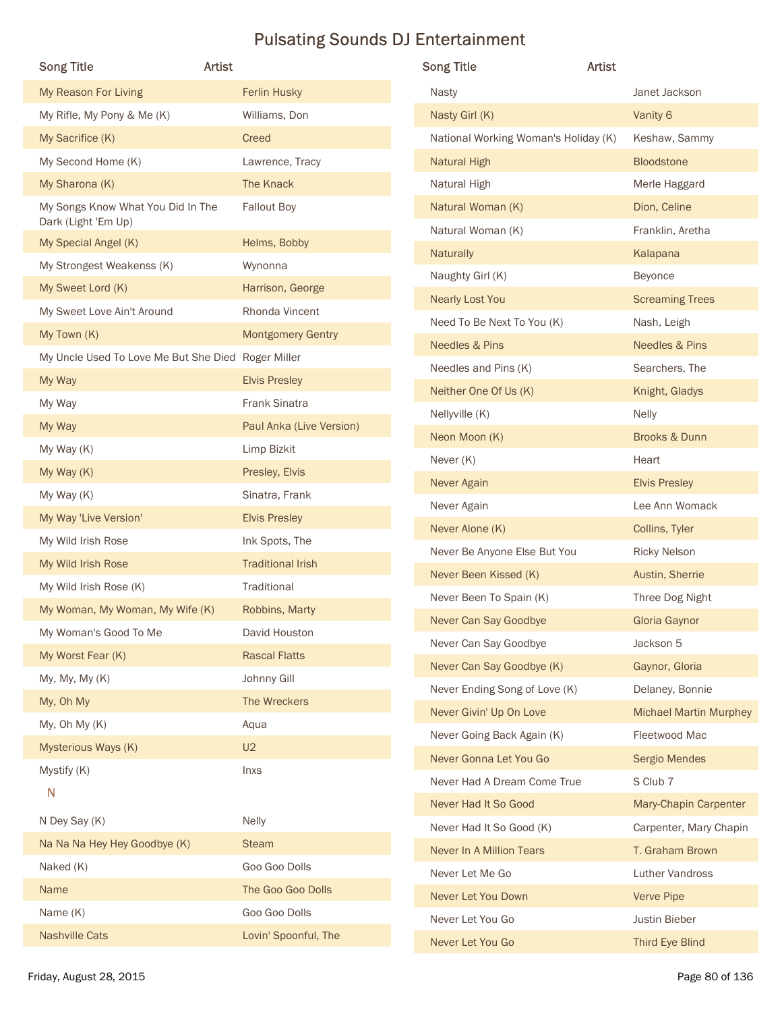|                                                    | Artist                   | <b>Song Title</b><br>Artist                      |                                  |
|----------------------------------------------------|--------------------------|--------------------------------------------------|----------------------------------|
| My Reason For Living                               | Ferlin Husky             | Nasty                                            | Janet Jackson                    |
| My Rifle, My Pony & Me (K)                         | Williams, Don            | Nasty Girl (K)                                   | Vanity 6                         |
| My Sacrifice (K)                                   | Creed                    | National Working Woman's Holiday (K)             | Keshaw, Sammy                    |
| My Second Home (K)                                 | Lawrence, Tracy          | <b>Natural High</b>                              | Bloodstone                       |
| My Sharona (K)                                     | The Knack                | Natural High                                     | Merle Haggard                    |
| My Songs Know What You Did In The                  | <b>Fallout Boy</b>       | Natural Woman (K)                                | Dion, Celine                     |
| Dark (Light 'Em Up)<br>My Special Angel (K)        | Helms, Bobby             | Natural Woman (K)                                | Franklin, Aretha                 |
| My Strongest Weakenss (K)                          | Wynonna                  | Naturally                                        | Kalapana                         |
| My Sweet Lord (K)                                  | Harrison, George         | Naughty Girl (K)                                 | Beyonce                          |
| My Sweet Love Ain't Around                         | Rhonda Vincent           | Nearly Lost You                                  | <b>Screaming Trees</b>           |
| My Town (K)                                        | <b>Montgomery Gentry</b> | Need To Be Next To You (K)                       | Nash, Leigh                      |
| My Uncle Used To Love Me But She Died Roger Miller |                          | Needles & Pins                                   | <b>Needles &amp; Pins</b>        |
| My Way                                             | <b>Elvis Presley</b>     | Needles and Pins (K)                             | Searchers, The                   |
| My Way                                             | Frank Sinatra            | Neither One Of Us (K)                            | Knight, Gladys                   |
| My Way                                             | Paul Anka (Live Version) | Nellyville (K)                                   | Nelly                            |
| My Way (K)                                         | Limp Bizkit              | Neon Moon (K)                                    | Brooks & Dunn                    |
| My Way (K)                                         | Presley, Elvis           | Never (K)                                        | Heart                            |
| My Way (K)                                         | Sinatra, Frank           | Never Again                                      | <b>Elvis Presley</b>             |
| My Way 'Live Version'                              | <b>Elvis Presley</b>     | Never Again                                      | Lee Ann Womack                   |
| My Wild Irish Rose                                 | Ink Spots, The           | Never Alone (K)                                  | Collins, Tyler                   |
| My Wild Irish Rose                                 | <b>Traditional Irish</b> | Never Be Anyone Else But You                     | <b>Ricky Nelson</b>              |
| My Wild Irish Rose (K)                             | Traditional              | Never Been Kissed (K)                            | Austin, Sherrie                  |
| My Woman, My Woman, My Wife (K)                    | Robbins, Marty           | Never Been To Spain (K)<br>Never Can Say Goodbye | Three Dog Night<br>Gloria Gaynor |
| My Woman's Good To Me                              | David Houston            | Never Can Say Goodbye                            | Jackson 5                        |
| My Worst Fear (K)                                  | <b>Rascal Flatts</b>     | Never Can Say Goodbye (K)                        | Gaynor, Gloria                   |
| My, My, My (K)                                     | Johnny Gill              | Never Ending Song of Love (K)                    | Delaney, Bonnie                  |
| My, Oh My                                          | The Wreckers             | Never Givin' Up On Love                          | <b>Michael Martin Murphey</b>    |
| My, Oh My (K)                                      | Aqua                     | Never Going Back Again (K)                       | Fleetwood Mac                    |
| Mysterious Ways (K)                                | U2                       | Never Gonna Let You Go                           | Sergio Mendes                    |
| Mystify (K)                                        | Inxs                     | Never Had A Dream Come True                      | S Club 7                         |
| N                                                  |                          | Never Had It So Good                             | Mary-Chapin Carpenter            |
| N Dey Say (K)                                      | Nelly                    | Never Had It So Good (K)                         | Carpenter, Mary Chapin           |
| Na Na Na Hey Hey Goodbye (K)                       | <b>Steam</b>             | Never In A Million Tears                         | T. Graham Brown                  |
| Naked (K)                                          | Goo Goo Dolls            | Never Let Me Go                                  | Luther Vandross                  |
| Name                                               | The Goo Goo Dolls        | Never Let You Down                               | <b>Verve Pipe</b>                |
| Name (K)                                           | Goo Goo Dolls            | Never Let You Go                                 | Justin Bieber                    |
|                                                    | Lovin' Spoonful, The     |                                                  |                                  |

| <b>Entertainment</b>                                  |                                  |                |
|-------------------------------------------------------|----------------------------------|----------------|
| <b>Song Title</b>                                     | Artist                           |                |
| <b>Nasty</b>                                          | Janet Jackson                    |                |
| Nasty Girl (K)                                        | Vanity 6                         |                |
| National Working Woman's Holiday (K)                  | Keshaw, Sammy                    |                |
| Natural High                                          | <b>Bloodstone</b>                |                |
| Natural High                                          | Merle Haggard                    |                |
| Natural Woman (K)                                     | Dion, Celine                     |                |
| Natural Woman (K)                                     | Franklin, Aretha                 |                |
| Naturally                                             | Kalapana                         |                |
| Naughty Girl (K)                                      | Beyonce                          |                |
| Nearly Lost You                                       | <b>Screaming Trees</b>           |                |
| Need To Be Next To You (K)                            | Nash, Leigh                      |                |
| <b>Needles &amp; Pins</b>                             | <b>Needles &amp; Pins</b>        |                |
| Needles and Pins (K)                                  | Searchers, The                   |                |
| Neither One Of Us (K)                                 | Knight, Gladys                   |                |
| Nellyville (K)                                        | <b>Nelly</b>                     |                |
| Neon Moon (K)                                         | <b>Brooks &amp; Dunn</b>         |                |
| Never (K)                                             | Heart                            |                |
| Never Again                                           | <b>Elvis Presley</b>             |                |
| Never Again                                           | Lee Ann Womack                   |                |
| Never Alone (K)                                       | Collins, Tyler                   |                |
| Never Be Anyone Else But You                          | Ricky Nelson                     |                |
| Never Been Kissed (K)                                 | Austin, Sherrie                  |                |
| Never Been To Spain (K)                               | Three Dog Night                  |                |
| Never Can Say Goodbye                                 | Gloria Gaynor                    |                |
| Never Can Say Goodbye                                 | Jackson 5                        |                |
| Never Can Say Goodbye (K)                             | Gaynor, Gloria                   |                |
| Never Ending Song of Love (K)                         | Delaney, Bonnie                  |                |
| Never Givin' Up On Love                               | <b>Michael Martin Murphey</b>    |                |
| Never Going Back Again (K)                            | Fleetwood Mac                    |                |
| Never Gonna Let You Go<br>Never Had A Dream Come True | <b>Sergio Mendes</b><br>S Club 7 |                |
| Never Had It So Good                                  | Mary-Chapin Carpenter            |                |
| Never Had It So Good (K)                              | Carpenter, Mary Chapin           |                |
| Never In A Million Tears                              | T. Graham Brown                  |                |
| Never Let Me Go                                       | Luther Vandross                  |                |
| Never Let You Down                                    | Verve Pipe                       |                |
| Never Let You Go                                      | Justin Bieber                    |                |
| Never Let You Go                                      | <b>Third Eye Blind</b>           |                |
|                                                       |                                  | Page 80 of 136 |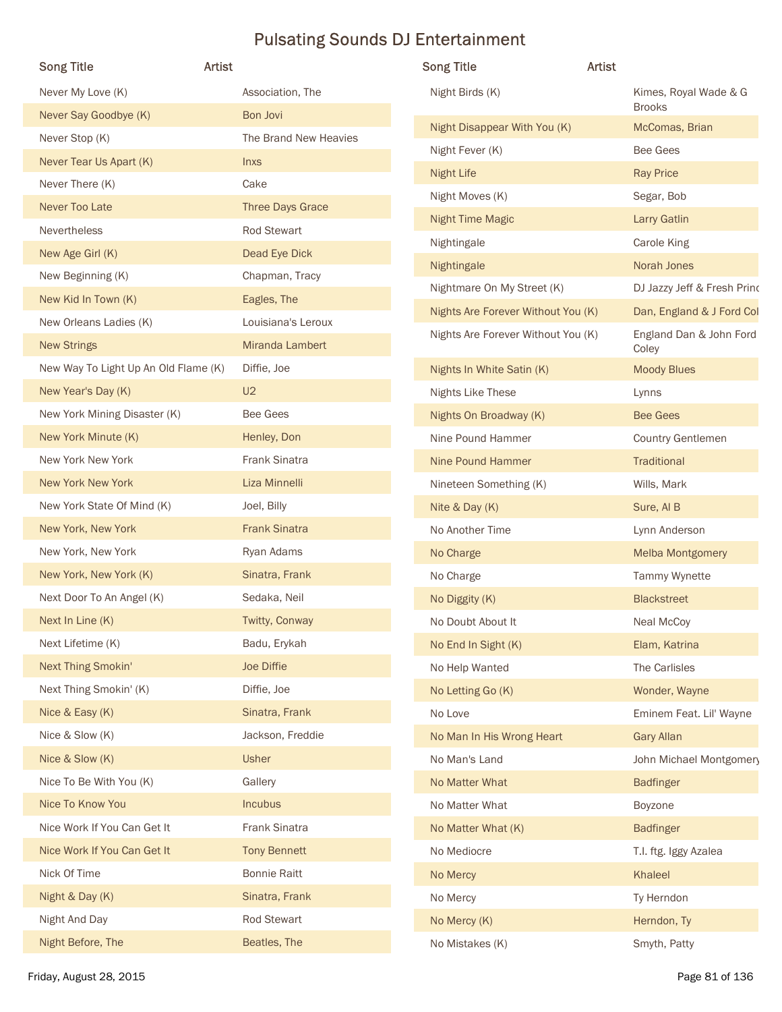|                                      | Artist                | Artist<br><b>Song Title</b>        |                             |
|--------------------------------------|-----------------------|------------------------------------|-----------------------------|
| Never My Love (K)                    | Association, The      | Night Birds (K)                    | Kimes, Royal Wade & G       |
| Never Say Goodbye (K)                | Bon Jovi              |                                    | <b>Brooks</b>               |
| Never Stop (K)                       | The Brand New Heavies | Night Disappear With You (K)       | McComas, Brian              |
| Never Tear Us Apart (K)              | Inxs                  | Night Fever (K)                    | <b>Bee Gees</b>             |
| Never There (K)                      | Cake                  | <b>Night Life</b>                  | <b>Ray Price</b>            |
| Never Too Late                       | Three Days Grace      | Night Moves (K)                    | Segar, Bob                  |
| Nevertheless                         | Rod Stewart           | <b>Night Time Magic</b>            | Larry Gatlin                |
| New Age Girl (K)                     | Dead Eye Dick         | Nightingale<br>Nightingale         | Carole King<br>Norah Jones  |
| New Beginning (K)                    | Chapman, Tracy        | Nightmare On My Street (K)         | DJ Jazzy Jeff & Fresh Princ |
| New Kid In Town (K)                  | Eagles, The           | Nights Are Forever Without You (K) | Dan, England & J Ford Col   |
| New Orleans Ladies (K)               | Louisiana's Leroux    | Nights Are Forever Without You (K) | England Dan & John Ford     |
| <b>New Strings</b>                   | Miranda Lambert       |                                    | Coley                       |
| New Way To Light Up An Old Flame (K) | Diffie, Joe           | Nights In White Satin (K)          | <b>Moody Blues</b>          |
| New Year's Day (K)                   | U2                    | Nights Like These                  | Lynns                       |
| New York Mining Disaster (K)         | Bee Gees              | Nights On Broadway (K)             | <b>Bee Gees</b>             |
| New York Minute (K)                  | Henley, Don           | Nine Pound Hammer                  | Country Gentlemen           |
| New York New York                    | Frank Sinatra         | Nine Pound Hammer                  | Traditional                 |
| New York New York                    | Liza Minnelli         | Nineteen Something (K)             | Wills, Mark                 |
| New York State Of Mind (K)           | Joel, Billy           | Nite & Day (K)                     | Sure, Al B                  |
| New York, New York                   | <b>Frank Sinatra</b>  | No Another Time                    | Lynn Anderson               |
| New York, New York                   | Ryan Adams            | No Charge                          | <b>Melba Montgomery</b>     |
| New York, New York (K)               | Sinatra, Frank        | No Charge                          | Tammy Wynette               |
| Next Door To An Angel (K)            | Sedaka, Neil          | No Diggity (K)                     | <b>Blackstreet</b>          |
| Next In Line (K)                     | Twitty, Conway        | No Doubt About It                  | Neal McCoy                  |
| Next Lifetime (K)                    | Badu, Erykah          | No End In Sight (K)                | Elam, Katrina               |
| Next Thing Smokin'                   | Joe Diffie            | No Help Wanted                     | The Carlisles               |
| Next Thing Smokin' (K)               | Diffie, Joe           | No Letting Go (K)                  | Wonder, Wayne               |
| Nice & Easy (K)                      | Sinatra, Frank        | No Love                            | Eminem Feat. Lil' Wayne     |
| Nice & Slow (K)                      | Jackson, Freddie      | No Man In His Wrong Heart          | Gary Allan                  |
| Nice & Slow (K)                      | <b>Usher</b>          | No Man's Land                      | John Michael Montgomery     |
| Nice To Be With You (K)              | Gallery               | No Matter What                     | <b>Badfinger</b>            |
| Nice To Know You                     | Incubus               | No Matter What                     | Boyzone                     |
| Nice Work If You Can Get It          | Frank Sinatra         | No Matter What (K)                 | <b>Badfinger</b>            |
| Nice Work If You Can Get It          | <b>Tony Bennett</b>   | No Mediocre                        | T.I. ftg. Iggy Azalea       |
| Nick Of Time                         | <b>Bonnie Raitt</b>   | No Mercy                           | Khaleel                     |
| Night & Day (K)                      | Sinatra, Frank        | No Mercy                           | Ty Herndon                  |
| Night And Day                        | Rod Stewart           | No Mercy (K)                       | Herndon, Ty                 |
|                                      | Beatles, The          | No Mistakes (K)                    | Smyth, Patty                |

| <b>Entertainment</b>                |                                        |
|-------------------------------------|----------------------------------------|
| <b>Song Title</b>                   | Artist                                 |
| Night Birds (K)                     | Kimes, Royal Wade & G<br><b>Brooks</b> |
| Night Disappear With You (K)        | McComas, Brian                         |
| Night Fever (K)                     | <b>Bee Gees</b>                        |
| Night Life                          | <b>Ray Price</b>                       |
| Night Moves (K)                     | Segar, Bob                             |
| <b>Night Time Magic</b>             | Larry Gatlin                           |
| Nightingale                         | Carole King                            |
| Nightingale                         | Norah Jones                            |
| Nightmare On My Street (K)          | DJ Jazzy Jeff & Fresh Princ            |
| Nights Are Forever Without You (K)  | Dan, England & J Ford Col              |
| Nights Are Forever Without You (K)  | England Dan & John Ford<br>Coley       |
| Nights In White Satin (K)           | <b>Moody Blues</b>                     |
| <b>Nights Like These</b>            | Lynns                                  |
| Nights On Broadway (K)              | <b>Bee Gees</b>                        |
| Nine Pound Hammer                   | Country Gentlemen                      |
| Nine Pound Hammer                   | Traditional                            |
| Nineteen Something (K)              | Wills, Mark                            |
| Nite & Day (K)                      | Sure, AI B                             |
| No Another Time                     | Lynn Anderson                          |
| No Charge                           | Melba Montgomery                       |
| No Charge                           | Tammy Wynette                          |
| No Diggity (K)                      | <b>Blackstreet</b>                     |
| No Doubt About It                   | Neal McCoy                             |
| No End In Sight (K)                 | Elam, Katrina<br>The Carlisles         |
| No Help Wanted<br>No Letting Go (K) | Wonder, Wayne                          |
| No Love                             | Eminem Feat. Lil' Wayne                |
| No Man In His Wrong Heart           | <b>Gary Allan</b>                      |
| No Man's Land                       | John Michael Montgomery                |
| No Matter What                      | <b>Badfinger</b>                       |
| No Matter What                      | Boyzone                                |
| No Matter What (K)                  | <b>Badfinger</b>                       |
| No Mediocre                         | T.I. ftg. Iggy Azalea                  |
| No Mercy                            | Khaleel                                |
| No Mercy                            | Ty Herndon                             |
| No Mercy (K)                        | Herndon, Ty                            |
| No Mistakes (K)                     | Smyth, Patty                           |
|                                     | Page 81 of 136                         |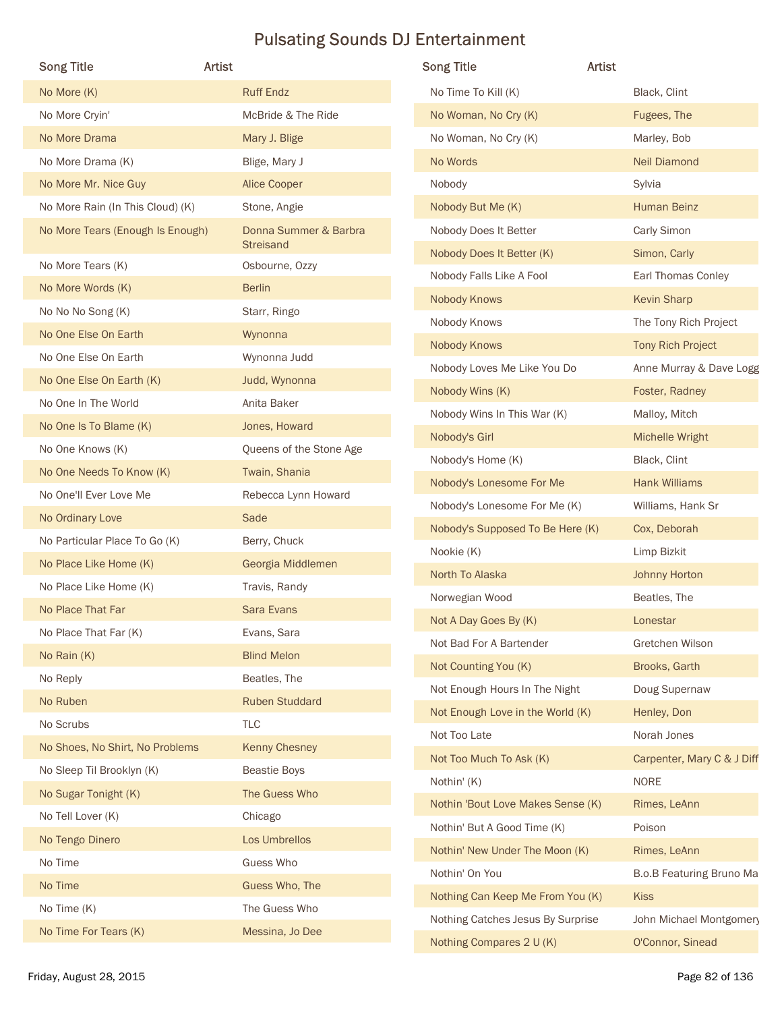|                                  | Artist                      | <b>Song Title</b><br>Artist       |                            |
|----------------------------------|-----------------------------|-----------------------------------|----------------------------|
| No More (K)                      | <b>Ruff Endz</b>            | No Time To Kill (K)               | Black, Clint               |
| No More Cryin'                   | McBride & The Ride          | No Woman, No Cry (K)              | Fugees, The                |
| No More Drama                    | Mary J. Blige               | No Woman, No Cry (K)              | Marley, Bob                |
| No More Drama (K)                | Blige, Mary J               | No Words                          | Neil Diamond               |
| No More Mr. Nice Guy             | Alice Cooper                | Nobody                            | Sylvia                     |
| No More Rain (In This Cloud) (K) | Stone, Angie                | Nobody But Me (K)                 | Human Beinz                |
| No More Tears (Enough Is Enough) | Donna Summer & Barbra       | Nobody Does It Better             | Carly Simon                |
| No More Tears (K)                | Streisand<br>Osbourne, Ozzy | Nobody Does It Better (K)         | Simon, Carly               |
| No More Words (K)                | <b>Berlin</b>               | Nobody Falls Like A Fool          | Earl Thomas Conley         |
| No No No Song (K)                | Starr, Ringo                | Nobody Knows                      | <b>Kevin Sharp</b>         |
| No One Else On Earth             | Wynonna                     | Nobody Knows                      | The Tony Rich Project      |
| No One Else On Earth             | Wynonna Judd                | Nobody Knows                      | Tony Rich Project          |
| No One Else On Earth (K)         | Judd, Wynonna               | Nobody Loves Me Like You Do       | Anne Murray & Dave Logg    |
| No One In The World              | Anita Baker                 | Nobody Wins (K)                   | Foster, Radney             |
| No One Is To Blame (K)           | Jones, Howard               | Nobody Wins In This War (K)       | Malloy, Mitch              |
| No One Knows (K)                 | Queens of the Stone Age     | Nobody's Girl                     | Michelle Wright            |
| No One Needs To Know (K)         | Twain, Shania               | Nobody's Home (K)                 | Black, Clint               |
| No One'll Ever Love Me           | Rebecca Lynn Howard         | Nobody's Lonesome For Me          | <b>Hank Williams</b>       |
| No Ordinary Love                 | Sade                        | Nobody's Lonesome For Me (K)      | Williams, Hank Sr          |
| No Particular Place To Go (K)    | Berry, Chuck                | Nobody's Supposed To Be Here (K)  | Cox, Deborah               |
| No Place Like Home (K)           | Georgia Middlemen           | Nookie (K)                        | Limp Bizkit                |
| No Place Like Home (K)           | Travis, Randy               | North To Alaska                   | Johnny Horton              |
| No Place That Far                | Sara Evans                  | Norwegian Wood                    | Beatles, The               |
| No Place That Far (K)            | Evans, Sara                 | Not A Day Goes By (K)             | Lonestar                   |
| No Rain (K)                      | <b>Blind Melon</b>          | Not Bad For A Bartender           | Gretchen Wilson            |
| No Reply                         | Beatles, The                | Not Counting You (K)              | Brooks, Garth              |
| No Ruben                         | <b>Ruben Studdard</b>       | Not Enough Hours In The Night     | Doug Supernaw              |
| No Scrubs                        | TLC                         | Not Enough Love in the World (K)  | Henley, Don                |
| No Shoes, No Shirt, No Problems  | <b>Kenny Chesney</b>        | Not Too Late                      | Norah Jones                |
| No Sleep Til Brooklyn (K)        | Beastie Boys                | Not Too Much To Ask (K)           | Carpenter, Mary C & J Diff |
| No Sugar Tonight (K)             | The Guess Who               | Nothin' (K)                       | NORE                       |
| No Tell Lover (K)                | Chicago                     | Nothin 'Bout Love Makes Sense (K) | Rimes, LeAnn               |
| No Tengo Dinero                  | Los Umbrellos               | Nothin' But A Good Time (K)       | Poison                     |
| No Time                          | Guess Who                   | Nothin' New Under The Moon (K)    | Rimes, LeAnn               |
| No Time                          | Guess Who, The              | Nothin' On You                    | B.o.B Featuring Bruno Ma   |
| No Time (K)                      | The Guess Who               | Nothing Can Keep Me From You (K)  | Kiss                       |
| No Time For Tears (K)            | Messina, Jo Dee             | Nothing Catches Jesus By Surprise | John Michael Montgomery    |
|                                  |                             | Nothing Compares 2 U (K)          | O'Connor, Sinead           |

| <b>Entertainment</b>                               |                                           |
|----------------------------------------------------|-------------------------------------------|
| <b>Song Title</b>                                  | Artist                                    |
| No Time To Kill (K)                                | Black, Clint                              |
| No Woman, No Cry (K)                               | Fugees, The                               |
| No Woman, No Cry (K)                               | Marley, Bob                               |
| No Words                                           | <b>Neil Diamond</b>                       |
| Nobody                                             | Sylvia                                    |
| Nobody But Me (K)                                  | <b>Human Beinz</b>                        |
| Nobody Does It Better<br>Nobody Does It Better (K) | Carly Simon<br>Simon, Carly               |
| Nobody Falls Like A Fool                           | Earl Thomas Conley                        |
| Nobody Knows                                       | <b>Kevin Sharp</b>                        |
| Nobody Knows                                       | The Tony Rich Project                     |
| Nobody Knows                                       | Tony Rich Project                         |
| Nobody Loves Me Like You Do                        | Anne Murray & Dave Logg                   |
| Nobody Wins (K)                                    | Foster, Radney                            |
| Nobody Wins In This War (K)                        | Malloy, Mitch                             |
| Nobody's Girl                                      | Michelle Wright                           |
| Nobody's Home (K)                                  | Black, Clint                              |
| Nobody's Lonesome For Me                           | <b>Hank Williams</b>                      |
| Nobody's Lonesome For Me (K)                       | Williams, Hank Sr                         |
| Nobody's Supposed To Be Here (K)                   | Cox, Deborah                              |
| Nookie (K)                                         | Limp Bizkit                               |
| North To Alaska                                    | Johnny Horton                             |
| Norwegian Wood                                     | Beatles, The                              |
| Not A Day Goes By (K)                              | Lonestar                                  |
| Not Bad For A Bartender                            | Gretchen Wilson                           |
| Not Counting You (K)                               | Brooks, Garth                             |
| Not Enough Hours In The Night                      | Doug Supernaw                             |
| Not Enough Love in the World (K)                   | Henley, Don                               |
| Not Too Late                                       | Norah Jones                               |
| Not Too Much To Ask (K)<br>Nothin' (K)             | Carpenter, Mary C & J Diff<br><b>NORE</b> |
| Nothin 'Bout Love Makes Sense (K)                  | Rimes, LeAnn                              |
| Nothin' But A Good Time (K)                        | Poison                                    |
| Nothin' New Under The Moon (K)                     | Rimes, LeAnn                              |
| Nothin' On You                                     | B.o.B Featuring Bruno Ma                  |
| Nothing Can Keep Me From You (K)                   | <b>Kiss</b>                               |
| Nothing Catches Jesus By Surprise                  | John Michael Montgomery                   |
| Nothing Compares 2 U (K)                           | O'Connor, Sinead                          |
|                                                    | Page 82 of 136                            |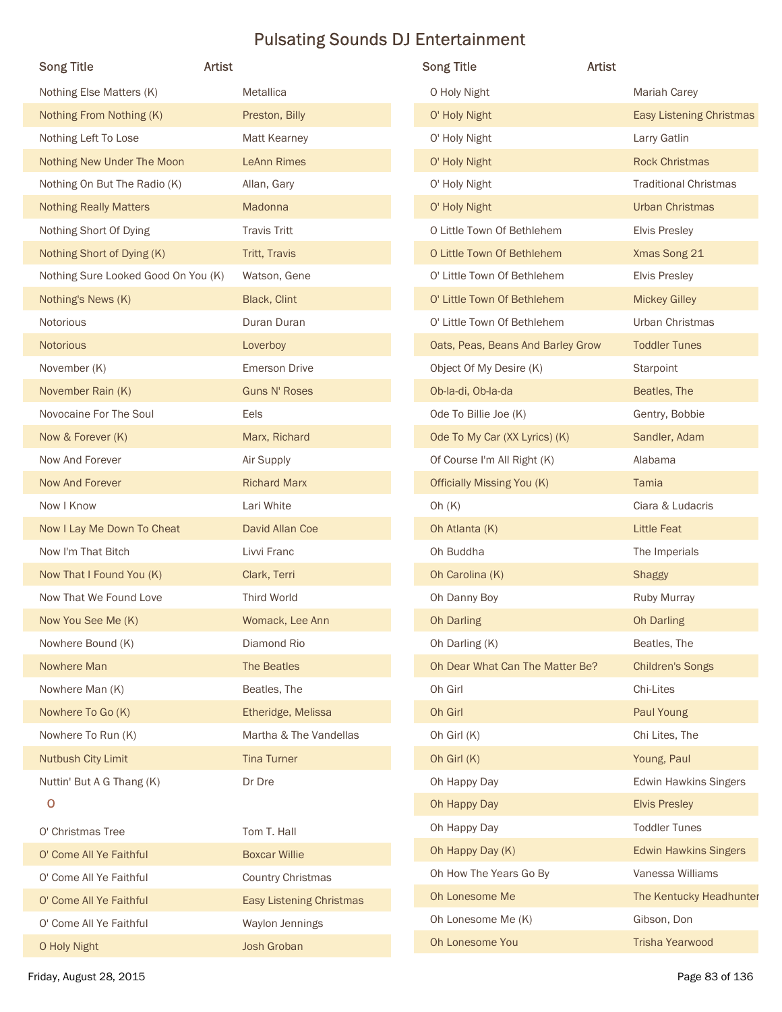| <b>Song Title</b><br>Artist                          |                                 | <b>Song Title</b><br>Artist       |                                                 |
|------------------------------------------------------|---------------------------------|-----------------------------------|-------------------------------------------------|
|                                                      |                                 |                                   |                                                 |
| Nothing Else Matters (K)<br>Nothing From Nothing (K) | Metallica<br>Preston, Billy     | O Holy Night<br>O' Holy Night     | Mariah Carey<br><b>Easy Listening Christmas</b> |
| Nothing Left To Lose                                 | <b>Matt Kearney</b>             | O' Holy Night                     | Larry Gatlin                                    |
| Nothing New Under The Moon                           | <b>LeAnn Rimes</b>              | O' Holy Night                     | <b>Rock Christmas</b>                           |
| Nothing On But The Radio (K)                         | Allan, Gary                     | O' Holy Night                     | <b>Traditional Christmas</b>                    |
| <b>Nothing Really Matters</b>                        | Madonna                         | O' Holy Night                     | <b>Urban Christmas</b>                          |
| Nothing Short Of Dying                               | <b>Travis Tritt</b>             | O Little Town Of Bethlehem        | <b>Elvis Presley</b>                            |
| Nothing Short of Dying (K)                           | Tritt, Travis                   | O Little Town Of Bethlehem        | Xmas Song 21                                    |
| Nothing Sure Looked Good On You (K)                  | Watson, Gene                    | O' Little Town Of Bethlehem       | <b>Elvis Presley</b>                            |
| Nothing's News (K)                                   | Black, Clint                    | O' Little Town Of Bethlehem       | <b>Mickey Gilley</b>                            |
| Notorious                                            | Duran Duran                     | O' Little Town Of Bethlehem       | Urban Christmas                                 |
| Notorious                                            | Loverboy                        | Oats, Peas, Beans And Barley Grow | <b>Toddler Tunes</b>                            |
| November (K)                                         | <b>Emerson Drive</b>            | Object Of My Desire (K)           | Starpoint                                       |
| November Rain (K)                                    | <b>Guns N' Roses</b>            | Ob-la-di, Ob-la-da                | Beatles, The                                    |
| Novocaine For The Soul                               | Eels                            | Ode To Billie Joe (K)             | Gentry, Bobbie                                  |
| Now & Forever (K)                                    | Marx, Richard                   | Ode To My Car (XX Lyrics) (K)     | Sandler, Adam                                   |
| Now And Forever                                      | Air Supply                      | Of Course I'm All Right (K)       | Alabama                                         |
| Now And Forever                                      | <b>Richard Marx</b>             | Officially Missing You (K)        | Tamia                                           |
| Now I Know                                           | Lari White                      | Oh $(K)$                          | Ciara & Ludacris                                |
| Now I Lay Me Down To Cheat                           | David Allan Coe                 | Oh Atlanta (K)                    | <b>Little Feat</b>                              |
| Now I'm That Bitch                                   | Livvi Franc                     | Oh Buddha                         | The Imperials                                   |
| Now That I Found You (K)                             | Clark, Terri                    | Oh Carolina (K)                   | <b>Shaggy</b>                                   |
| Now That We Found Love                               | Third World                     | Oh Danny Boy                      | Ruby Murray                                     |
| Now You See Me (K)                                   | Womack, Lee Ann                 | Oh Darling                        | Oh Darling                                      |
| Nowhere Bound (K)                                    | Diamond Rio                     | Oh Darling (K)                    | Beatles, The                                    |
| Nowhere Man                                          | The Beatles                     | Oh Dear What Can The Matter Be?   | <b>Children's Songs</b>                         |
| Nowhere Man (K)                                      | Beatles, The                    | Oh Girl                           | Chi-Lites                                       |
| Nowhere To Go (K)                                    | Etheridge, Melissa              | Oh Girl                           | Paul Young                                      |
| Nowhere To Run (K)                                   | Martha & The Vandellas          | Oh Girl (K)                       | Chi Lites, The                                  |
| Nutbush City Limit                                   | <b>Tina Turner</b>              | Oh Girl (K)                       | Young, Paul                                     |
| Nuttin' But A G Thang (K)                            | Dr Dre                          | Oh Happy Day                      | <b>Edwin Hawkins Singers</b>                    |
| $\mathbf{o}$                                         |                                 | Oh Happy Day                      | <b>Elvis Presley</b>                            |
| O' Christmas Tree                                    | Tom T. Hall                     | Oh Happy Day                      | <b>Toddler Tunes</b>                            |
| O' Come All Ye Faithful                              | <b>Boxcar Willie</b>            | Oh Happy Day (K)                  | <b>Edwin Hawkins Singers</b>                    |
| O' Come All Ye Faithful                              | <b>Country Christmas</b>        | Oh How The Years Go By            | Vanessa Williams                                |
| O' Come All Ye Faithful                              | <b>Easy Listening Christmas</b> | Oh Lonesome Me                    | The Kentucky Headhunter                         |
|                                                      | Waylon Jennings                 | Oh Lonesome Me (K)                | Gibson, Don                                     |
| O' Come All Ye Faithful                              |                                 |                                   |                                                 |

| <b>Intertainment</b>              |                                 |
|-----------------------------------|---------------------------------|
| <b>Song Title</b>                 | Artist                          |
| O Holy Night                      | Mariah Carey                    |
| O' Holy Night                     | <b>Easy Listening Christmas</b> |
| O' Holy Night                     | Larry Gatlin                    |
| O' Holy Night                     | <b>Rock Christmas</b>           |
| O' Holy Night                     | <b>Traditional Christmas</b>    |
| O' Holy Night                     | <b>Urban Christmas</b>          |
| O Little Town Of Bethlehem        | <b>Elvis Presley</b>            |
| O Little Town Of Bethlehem        | Xmas Song 21                    |
| O' Little Town Of Bethlehem       | <b>Elvis Presley</b>            |
| O' Little Town Of Bethlehem       | <b>Mickey Gilley</b>            |
| O' Little Town Of Bethlehem       | Urban Christmas                 |
| Oats, Peas, Beans And Barley Grow | <b>Toddler Tunes</b>            |
| Object Of My Desire (K)           | Starpoint                       |
| Ob-la-di, Ob-la-da                | Beatles, The                    |
| Ode To Billie Joe (K)             | Gentry, Bobbie                  |
| Ode To My Car (XX Lyrics) (K)     | Sandler, Adam                   |
| Of Course I'm All Right (K)       | Alabama                         |
| Officially Missing You (K)        | Tamia                           |
| Oh $(K)$                          | Ciara & Ludacris                |
| Oh Atlanta (K)                    | <b>Little Feat</b>              |
| Oh Buddha                         | The Imperials                   |
| Oh Carolina (K)                   | Shaggy                          |
| Oh Danny Boy                      | Ruby Murray                     |
| Oh Darling                        | Oh Darling                      |
| Oh Darling (K)                    | Beatles, The                    |
| Oh Dear What Can The Matter Be?   | <b>Children's Songs</b>         |
| Oh Girl                           | Chi-Lites                       |
| Oh Girl                           | Paul Young                      |
| Oh Girl (K)<br>Oh Girl (K)        | Chi Lites, The<br>Young, Paul   |
| Oh Happy Day                      | <b>Edwin Hawkins Singers</b>    |
| Oh Happy Day                      | <b>Elvis Presley</b>            |
| Oh Happy Day                      | <b>Toddler Tunes</b>            |
| Oh Happy Day (K)                  | <b>Edwin Hawkins Singers</b>    |
| Oh How The Years Go By            | Vanessa Williams                |
| Oh Lonesome Me                    | The Kentucky Headhunter         |
| Oh Lonesome Me (K)                | Gibson, Don                     |
| Oh Lonesome You                   | <b>Trisha Yearwood</b>          |
|                                   | Page 83 of 136                  |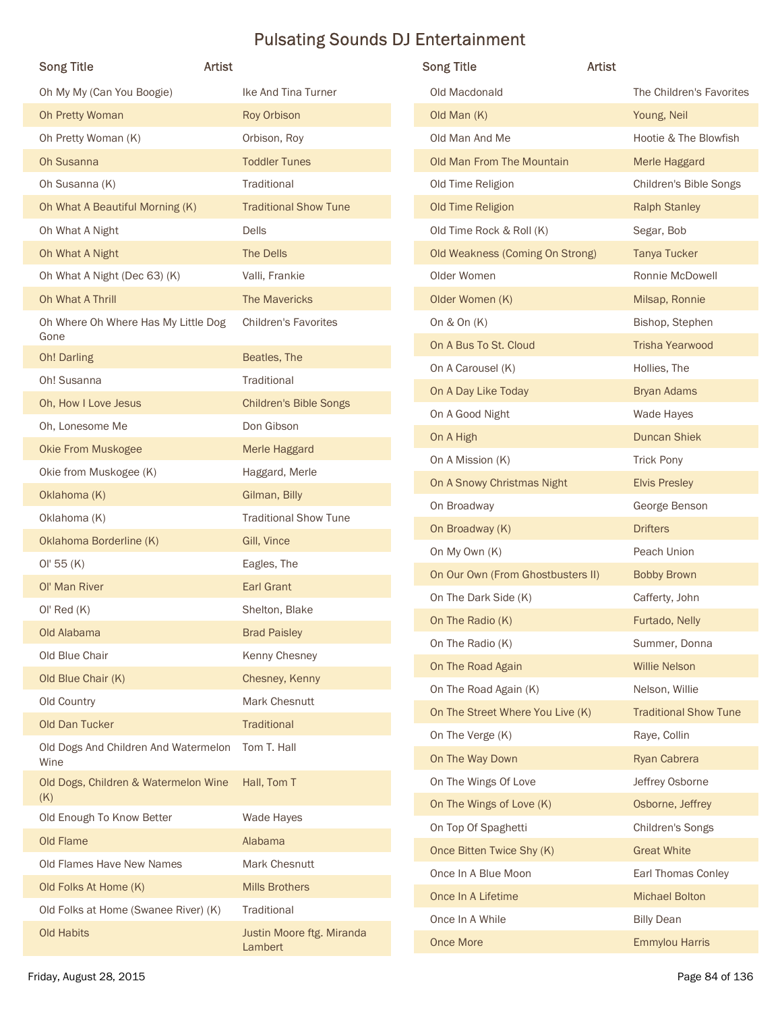| Artist                                         |                                      | <b>Song Title</b><br>Artist       |                              |
|------------------------------------------------|--------------------------------------|-----------------------------------|------------------------------|
| <b>Song Title</b><br>Oh My My (Can You Boogie) | Ike And Tina Turner                  | Old Macdonald                     | The Children's Favorites     |
| Oh Pretty Woman                                | Roy Orbison                          | Old Man (K)                       | Young, Neil                  |
| Oh Pretty Woman (K)                            | Orbison, Roy                         | Old Man And Me                    | Hootie & The Blowfish        |
| Oh Susanna                                     | <b>Toddler Tunes</b>                 | Old Man From The Mountain         | Merle Haggard                |
| Oh Susanna (K)                                 | Traditional                          | Old Time Religion                 | Children's Bible Songs       |
| Oh What A Beautiful Morning (K)                | <b>Traditional Show Tune</b>         | Old Time Religion                 | <b>Ralph Stanley</b>         |
| Oh What A Night                                | Dells                                | Old Time Rock & Roll (K)          | Segar, Bob                   |
| Oh What A Night                                | The Dells                            | Old Weakness (Coming On Strong)   | Tanya Tucker                 |
| Oh What A Night (Dec 63) (K)                   | Valli, Frankie                       | Older Women                       | Ronnie McDowell              |
| Oh What A Thrill                               | The Mavericks                        | Older Women (K)                   | Milsap, Ronnie               |
| Oh Where Oh Where Has My Little Dog            | <b>Children's Favorites</b>          | On & On (K)                       | Bishop, Stephen              |
| Gone                                           |                                      | On A Bus To St. Cloud             | Trisha Yearwood              |
| Oh! Darling                                    | Beatles, The                         | On A Carousel (K)                 | Hollies, The                 |
| Oh! Susanna                                    | Traditional                          | On A Day Like Today               | <b>Bryan Adams</b>           |
| Oh, How I Love Jesus                           | <b>Children's Bible Songs</b>        | On A Good Night                   | Wade Hayes                   |
| Oh, Lonesome Me                                | Don Gibson                           | On A High                         | <b>Duncan Shiek</b>          |
| Okie From Muskogee                             | Merle Haggard                        | On A Mission (K)                  | <b>Trick Pony</b>            |
| Okie from Muskogee (K)                         | Haggard, Merle                       | On A Snowy Christmas Night        | <b>Elvis Presley</b>         |
| Oklahoma (K)                                   | Gilman, Billy                        | On Broadway                       | George Benson                |
| Oklahoma (K)                                   | <b>Traditional Show Tune</b>         | On Broadway (K)                   | <b>Drifters</b>              |
| Oklahoma Borderline (K)                        | Gill, Vince                          | On My Own (K)                     | Peach Union                  |
| OI' 55 (K)                                     | Eagles, The                          | On Our Own (From Ghostbusters II) | <b>Bobby Brown</b>           |
| Ol' Man River                                  | Earl Grant                           | On The Dark Side (K)              | Cafferty, John               |
| OI' Red (K)                                    | Shelton, Blake                       | On The Radio (K)                  | Furtado, Nelly               |
| Old Alabama<br>Old Blue Chair                  | <b>Brad Paisley</b><br>Kenny Chesney | On The Radio (K)                  | Summer, Donna                |
| Old Blue Chair (K)                             | Chesney, Kenny                       | On The Road Again                 | <b>Willie Nelson</b>         |
| Old Country                                    | Mark Chesnutt                        | On The Road Again (K)             | Nelson, Willie               |
| Old Dan Tucker                                 | Traditional                          | On The Street Where You Live (K)  | <b>Traditional Show Tune</b> |
| Old Dogs And Children And Watermelon           | Tom T. Hall                          | On The Verge (K)                  | Raye, Collin                 |
| Wine                                           |                                      | On The Way Down                   | Ryan Cabrera                 |
| Old Dogs, Children & Watermelon Wine           | Hall, Tom T                          | On The Wings Of Love              | Jeffrey Osborne              |
| (K)<br>Old Enough To Know Better               | Wade Hayes                           | On The Wings of Love (K)          | Osborne, Jeffrey             |
| Old Flame                                      | Alabama                              | On Top Of Spaghetti               | Children's Songs             |
| Old Flames Have New Names                      | Mark Chesnutt                        | Once Bitten Twice Shy (K)         | <b>Great White</b>           |
| Old Folks At Home (K)                          | <b>Mills Brothers</b>                | Once In A Blue Moon               | Earl Thomas Conley           |
| Old Folks at Home (Swanee River) (K)           | Traditional                          | Once In A Lifetime                | <b>Michael Bolton</b>        |
|                                                | Justin Moore ftg. Miranda            | Once In A While                   | <b>Billy Dean</b>            |
| Old Habits                                     |                                      | <b>Once More</b>                  | <b>Emmylou Harris</b>        |

| Entertainment                            |                                  |
|------------------------------------------|----------------------------------|
| <b>Song Title</b>                        | Artist                           |
| Old Macdonald                            | The Children's Favorites         |
| Old Man (K)                              | Young, Neil                      |
| Old Man And Me                           | Hootie & The Blowfish            |
| Old Man From The Mountain                | Merle Haggard                    |
| Old Time Religion                        | Children's Bible Songs           |
| Old Time Religion                        | <b>Ralph Stanley</b>             |
| Old Time Rock & Roll (K)                 | Segar, Bob                       |
| Old Weakness (Coming On Strong)          | Tanya Tucker                     |
| Older Women                              | Ronnie McDowell                  |
| Older Women (K)                          | Milsap, Ronnie                   |
| On & On (K)                              | Bishop, Stephen                  |
| On A Bus To St. Cloud                    | Trisha Yearwood                  |
| On A Carousel (K)                        | Hollies, The                     |
| On A Day Like Today                      | <b>Bryan Adams</b>               |
| On A Good Night                          | Wade Hayes                       |
| On A High                                | <b>Duncan Shiek</b>              |
| On A Mission (K)                         | <b>Trick Pony</b>                |
| On A Snowy Christmas Night               | <b>Elvis Presley</b>             |
| On Broadway                              | George Benson                    |
| On Broadway (K)                          | <b>Drifters</b>                  |
| On My Own (K)                            | Peach Union                      |
| On Our Own (From Ghostbusters II)        | <b>Bobby Brown</b>               |
| On The Dark Side (K)<br>On The Radio (K) | Cafferty, John<br>Furtado, Nelly |
| On The Radio (K)                         | Summer, Donna                    |
| On The Road Again                        | <b>Willie Nelson</b>             |
| On The Road Again (K)                    | Nelson, Willie                   |
| On The Street Where You Live (K)         | <b>Traditional Show Tune</b>     |
| On The Verge (K)                         | Raye, Collin                     |
| On The Way Down                          | Ryan Cabrera                     |
| On The Wings Of Love                     | Jeffrey Osborne                  |
| On The Wings of Love (K)                 | Osborne, Jeffrey                 |
| On Top Of Spaghetti                      | Children's Songs                 |
| Once Bitten Twice Shy (K)                | <b>Great White</b>               |
| Once In A Blue Moon                      | Earl Thomas Conley               |
| Once In A Lifetime                       | <b>Michael Bolton</b>            |
| Once In A While                          | <b>Billy Dean</b>                |
| <b>Once More</b>                         | <b>Emmylou Harris</b>            |
|                                          | Page 84 of 136                   |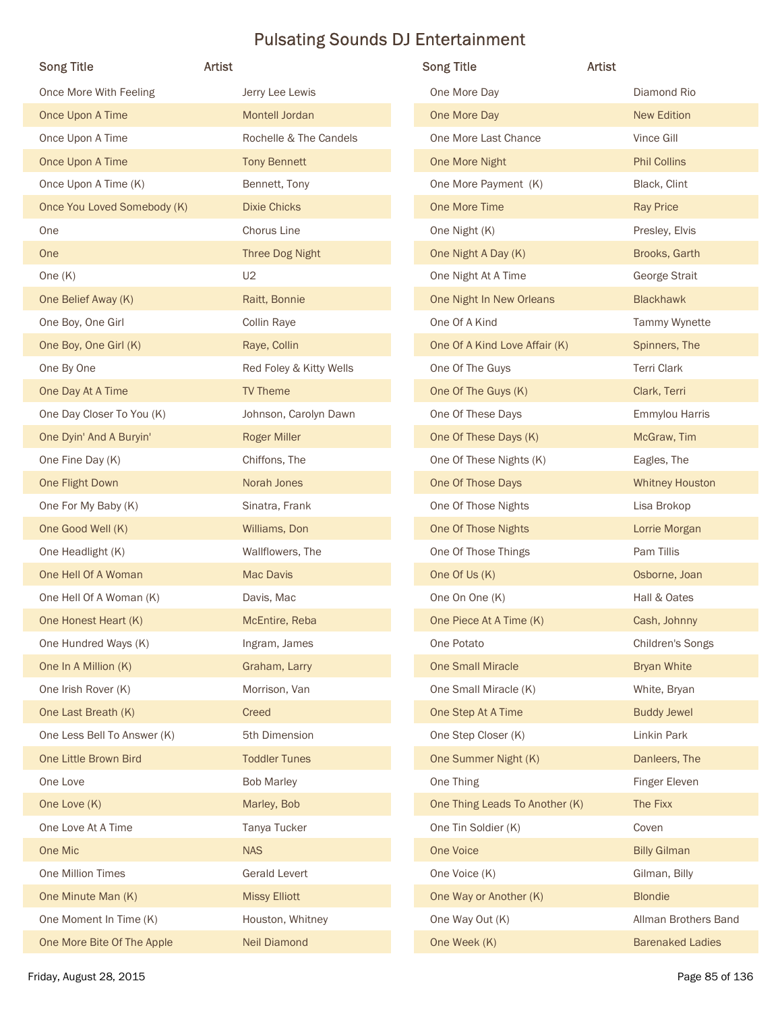| <b>Song Title</b>           | Artist                  | <b>Song Title</b><br>Artist    |                         |
|-----------------------------|-------------------------|--------------------------------|-------------------------|
| Once More With Feeling      | Jerry Lee Lewis         | One More Day                   | Diamond Rio             |
| Once Upon A Time            | Montell Jordan          | One More Day                   | <b>New Edition</b>      |
| Once Upon A Time            | Rochelle & The Candels  | One More Last Chance           | Vince Gill              |
| Once Upon A Time            | <b>Tony Bennett</b>     | One More Night                 | <b>Phil Collins</b>     |
| Once Upon A Time (K)        | Bennett, Tony           | One More Payment (K)           | Black, Clint            |
| Once You Loved Somebody (K) | <b>Dixie Chicks</b>     | One More Time                  | <b>Ray Price</b>        |
| One                         | Chorus Line             | One Night (K)                  | Presley, Elvis          |
| One                         | Three Dog Night         | One Night A Day (K)            | Brooks, Garth           |
| One $(K)$                   | U2                      | One Night At A Time            | George Strait           |
| One Belief Away (K)         | Raitt, Bonnie           | One Night In New Orleans       | <b>Blackhawk</b>        |
| One Boy, One Girl           | <b>Collin Raye</b>      | One Of A Kind                  | Tammy Wynette           |
| One Boy, One Girl (K)       | Raye, Collin            | One Of A Kind Love Affair (K)  | Spinners, The           |
| One By One                  | Red Foley & Kitty Wells | One Of The Guys                | <b>Terri Clark</b>      |
| One Day At A Time           | TV Theme                | One Of The Guys (K)            | Clark, Terri            |
| One Day Closer To You (K)   | Johnson, Carolyn Dawn   | One Of These Days              | Emmylou Harris          |
| One Dyin' And A Buryin'     | Roger Miller            | One Of These Days (K)          | McGraw, Tim             |
| One Fine Day (K)            | Chiffons, The           | One Of These Nights (K)        | Eagles, The             |
| One Flight Down             | Norah Jones             | One Of Those Days              | Whitney Houston         |
| One For My Baby (K)         | Sinatra, Frank          | One Of Those Nights            | Lisa Brokop             |
| One Good Well (K)           | Williams, Don           | One Of Those Nights            | Lorrie Morgan           |
| One Headlight (K)           | Wallflowers, The        | One Of Those Things            | Pam Tillis              |
| One Hell Of A Woman         | Mac Davis               | One Of Us (K)                  | Osborne, Joan           |
| One Hell Of A Woman (K)     | Davis, Mac              | One On One (K)                 | Hall & Oates            |
| One Honest Heart (K)        | McEntire, Reba          | One Piece At A Time (K)        | Cash, Johnny            |
| One Hundred Ways (K)        | Ingram, James           | One Potato                     | Children's Songs        |
| One In A Million (K)        | Graham, Larry           | <b>One Small Miracle</b>       | <b>Bryan White</b>      |
| One Irish Rover (K)         | Morrison, Van           | One Small Miracle (K)          | White, Bryan            |
| One Last Breath (K)         | Creed                   | One Step At A Time             | <b>Buddy Jewel</b>      |
| One Less Bell To Answer (K) | 5th Dimension           | One Step Closer (K)            | Linkin Park             |
| One Little Brown Bird       | <b>Toddler Tunes</b>    | One Summer Night (K)           | Danleers, The           |
| One Love                    | <b>Bob Marley</b>       | One Thing                      | Finger Eleven           |
| One Love (K)                | Marley, Bob             | One Thing Leads To Another (K) | The Fixx                |
| One Love At A Time          | Tanya Tucker            | One Tin Soldier (K)            | Coven                   |
| One Mic                     | <b>NAS</b>              | One Voice                      | <b>Billy Gilman</b>     |
| One Million Times           | <b>Gerald Levert</b>    | One Voice (K)                  | Gilman, Billy           |
| One Minute Man (K)          | <b>Missy Elliott</b>    | One Way or Another (K)         | <b>Blondie</b>          |
| One Moment In Time (K)      | Houston, Whitney        | One Way Out (K)                | Allman Brothers Band    |
|                             | Neil Diamond            | One Week (K)                   | <b>Barenaked Ladies</b> |

| <b>Entertainment</b>                      |                                        |
|-------------------------------------------|----------------------------------------|
| <b>Song Title</b>                         | Artist                                 |
|                                           | Diamond Rio                            |
| One More Day<br>One More Day              | <b>New Edition</b>                     |
| One More Last Chance                      | Vince Gill                             |
| One More Night                            | <b>Phil Collins</b>                    |
| One More Payment (K)                      | Black, Clint                           |
| One More Time                             | <b>Ray Price</b>                       |
| One Night (K)                             | Presley, Elvis                         |
| One Night A Day (K)                       | Brooks, Garth                          |
| One Night At A Time                       | George Strait                          |
| One Night In New Orleans                  | <b>Blackhawk</b>                       |
| One Of A Kind                             | Tammy Wynette                          |
| One Of A Kind Love Affair (K)             | Spinners, The                          |
| One Of The Guys                           | <b>Terri Clark</b>                     |
| One Of The Guys (K)                       | Clark, Terri                           |
| One Of These Days                         | Emmylou Harris                         |
| One Of These Days (K)                     | McGraw, Tim                            |
| One Of These Nights (K)                   | Eagles, The                            |
| One Of Those Days                         | <b>Whitney Houston</b>                 |
| One Of Those Nights                       | Lisa Brokop                            |
| One Of Those Nights                       | Lorrie Morgan                          |
| One Of Those Things                       | Pam Tillis                             |
| One Of Us (K)                             | Osborne, Joan                          |
| One On One (K)                            | Hall & Oates                           |
| One Piece At A Time (K)                   | Cash, Johnny                           |
| One Potato                                | Children's Songs                       |
| <b>One Small Miracle</b>                  | <b>Bryan White</b>                     |
| One Small Miracle (K)                     | White, Bryan                           |
| One Step At A Time                        | <b>Buddy Jewel</b>                     |
| One Step Closer (K)                       | Linkin Park                            |
| One Summer Night (K)                      | Danleers, The                          |
| One Thing                                 | Finger Eleven                          |
| One Thing Leads To Another (K)            | The Fixx                               |
| One Tin Soldier (K)<br>One Voice          | Coven                                  |
|                                           | <b>Billy Gilman</b>                    |
| One Voice (K)                             | Gilman, Billy                          |
| One Way or Another (K)<br>One Way Out (K) | <b>Blondie</b><br>Allman Brothers Band |
| One Week (K)                              | <b>Barenaked Ladies</b>                |
|                                           | Page 85 of 136                         |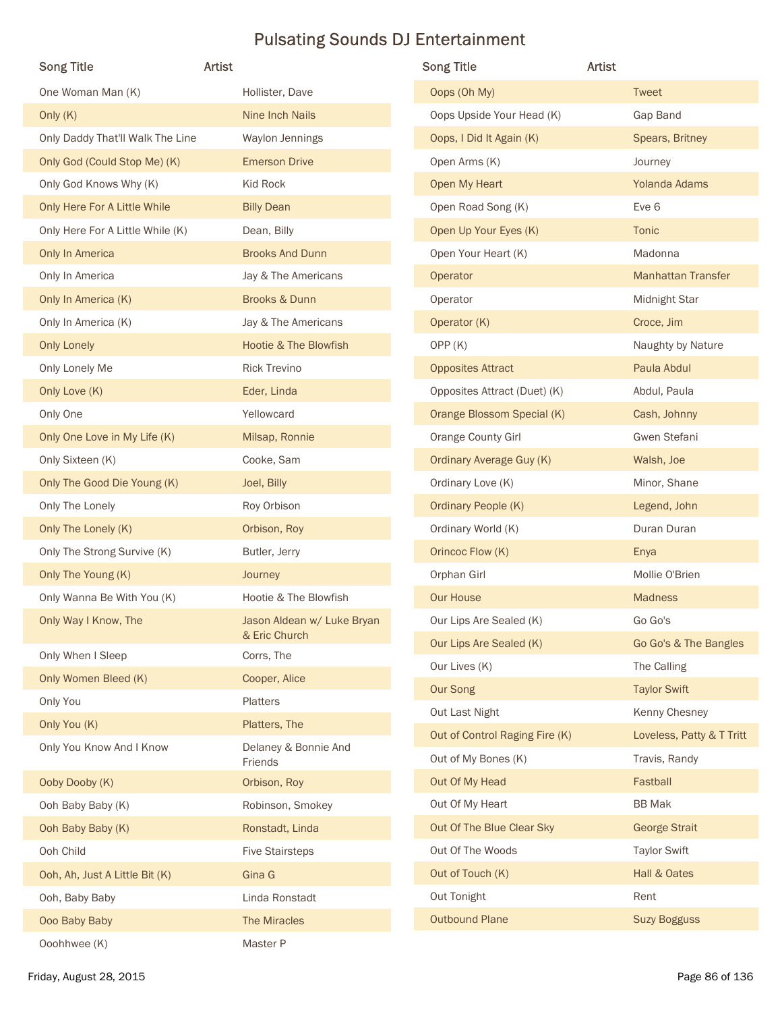|                                  | Artist                                      | <b>Song Title</b>                                     | Artist                                     |
|----------------------------------|---------------------------------------------|-------------------------------------------------------|--------------------------------------------|
| One Woman Man (K)                | Hollister, Dave                             | Oops (Oh My)                                          | Tweet                                      |
| Only (K)                         | Nine Inch Nails                             | Oops Upside Your Head (K)                             | Gap Band                                   |
| Only Daddy That'll Walk The Line | Waylon Jennings                             | Oops, I Did It Again (K)                              | Spears, Britney                            |
| Only God (Could Stop Me) (K)     | <b>Emerson Drive</b>                        | Open Arms (K)                                         | Journey                                    |
| Only God Knows Why (K)           | Kid Rock                                    | Open My Heart                                         | Yolanda Adams                              |
| Only Here For A Little While     | <b>Billy Dean</b>                           | Open Road Song (K)                                    | Eve 6                                      |
| Only Here For A Little While (K) | Dean, Billy                                 | Open Up Your Eyes (K)                                 | Tonic                                      |
| Only In America                  | <b>Brooks And Dunn</b>                      | Open Your Heart (K)                                   | Madonna                                    |
| Only In America                  | Jay & The Americans                         | Operator                                              | <b>Manhattan Transfer</b>                  |
| Only In America (K)              | <b>Brooks &amp; Dunn</b>                    | Operator                                              | Midnight Star                              |
| Only In America (K)              | Jay & The Americans                         | Operator (K)                                          | Croce, Jim                                 |
| <b>Only Lonely</b>               | Hootie & The Blowfish                       | OPP (K)                                               | Naughty by Nature                          |
| Only Lonely Me                   | Rick Trevino                                | <b>Opposites Attract</b>                              | Paula Abdul                                |
| Only Love (K)                    | Eder, Linda                                 | Opposites Attract (Duet) (K)                          | Abdul, Paula                               |
| Only One                         | Yellowcard                                  | Orange Blossom Special (K)                            | Cash, Johnny                               |
| Only One Love in My Life (K)     | Milsap, Ronnie                              | Orange County Girl                                    | Gwen Stefani                               |
| Only Sixteen (K)                 | Cooke, Sam                                  | Ordinary Average Guy (K)                              | Walsh, Joe                                 |
| Only The Good Die Young (K)      | Joel, Billy                                 | Ordinary Love (K)                                     | Minor, Shane                               |
| Only The Lonely                  | Roy Orbison                                 | Ordinary People (K)                                   | Legend, John                               |
| Only The Lonely (K)              | Orbison, Roy                                | Ordinary World (K)                                    | Duran Duran                                |
| Only The Strong Survive (K)      | Butler, Jerry                               | Orincoc Flow (K)                                      | Enya                                       |
| Only The Young (K)               | Journey                                     | Orphan Girl                                           | Mollie O'Brien                             |
| Only Wanna Be With You (K)       | Hootie & The Blowfish                       | Our House                                             | <b>Madness</b>                             |
| Only Way I Know, The             | Jason Aldean w/ Luke Bryan<br>& Eric Church | Our Lips Are Sealed (K)                               | Go Go's                                    |
| Only When I Sleep                | Corrs, The                                  | Our Lips Are Sealed (K)                               | Go Go's & The Bangles                      |
| Only Women Bleed (K)             | Cooper, Alice                               | Our Lives (K)                                         | The Calling                                |
| Only You                         | Platters                                    | Our Song                                              | <b>Taylor Swift</b>                        |
| Only You (K)                     | Platters, The                               | Out Last Night                                        | Kenny Chesney                              |
| Only You Know And I Know         | Delaney & Bonnie And                        | Out of Control Raging Fire (K)<br>Out of My Bones (K) | Loveless, Patty & T Tritt<br>Travis, Randy |
| Ooby Dooby (K)                   | Friends<br>Orbison, Roy                     | Out Of My Head                                        | Fastball                                   |
| Ooh Baby Baby (K)                | Robinson, Smokey                            | Out Of My Heart                                       | <b>BB</b> Mak                              |
| Ooh Baby Baby (K)                | Ronstadt, Linda                             | Out Of The Blue Clear Sky                             | <b>George Strait</b>                       |
| Ooh Child                        | <b>Five Stairsteps</b>                      | Out Of The Woods                                      | <b>Taylor Swift</b>                        |
| Ooh, Ah, Just A Little Bit (K)   | Gina G                                      | Out of Touch (K)                                      | Hall & Oates                               |
| Ooh, Baby Baby                   | Linda Ronstadt                              | Out Tonight                                           | Rent                                       |
|                                  |                                             |                                                       |                                            |
| Ooo Baby Baby                    | The Miracles                                | <b>Outbound Plane</b>                                 | <b>Suzy Bogguss</b>                        |

| <b>Entertainment</b>                             |        |                                            |
|--------------------------------------------------|--------|--------------------------------------------|
| <b>Song Title</b>                                | Artist |                                            |
| Oops (Oh My)                                     |        | <b>Tweet</b>                               |
| Oops Upside Your Head (K)                        |        | Gap Band                                   |
| Oops, I Did It Again (K)                         |        | Spears, Britney                            |
| Open Arms (K)                                    |        | Journey                                    |
| Open My Heart                                    |        | Yolanda Adams                              |
| Open Road Song (K)                               |        | Eve 6                                      |
| Open Up Your Eyes (K)                            |        | Tonic                                      |
| Open Your Heart (K)                              |        | Madonna                                    |
| Operator                                         |        | <b>Manhattan Transfer</b>                  |
| Operator                                         |        | Midnight Star                              |
| Operator (K)                                     |        | Croce, Jim                                 |
| OPP <sub>(K)</sub>                               |        | Naughty by Nature                          |
| <b>Opposites Attract</b>                         |        | Paula Abdul                                |
| Opposites Attract (Duet) (K)                     |        | Abdul, Paula                               |
| Orange Blossom Special (K)                       |        | Cash, Johnny                               |
| Orange County Girl                               |        | Gwen Stefani                               |
| Ordinary Average Guy (K)                         |        | Walsh, Joe                                 |
| Ordinary Love (K)                                |        | Minor, Shane                               |
| Ordinary People (K)                              |        | Legend, John                               |
| Ordinary World (K)                               |        | Duran Duran                                |
| Orincoc Flow (K)                                 |        | Enya                                       |
| Orphan Girl                                      |        | Mollie O'Brien                             |
| <b>Our House</b>                                 |        | <b>Madness</b>                             |
| Our Lips Are Sealed (K)                          |        | Go Go's                                    |
| Our Lips Are Sealed (K)                          |        | Go Go's & The Bangles                      |
| Our Lives (K)                                    |        | The Calling                                |
| Our Song                                         |        | <b>Taylor Swift</b>                        |
| Out Last Night<br>Out of Control Raging Fire (K) |        | Kenny Chesney<br>Loveless, Patty & T Tritt |
| Out of My Bones (K)                              |        | Travis, Randy                              |
| Out Of My Head                                   |        | Fastball                                   |
| Out Of My Heart                                  |        | <b>BB</b> Mak                              |
| Out Of The Blue Clear Sky                        |        | <b>George Strait</b>                       |
| Out Of The Woods                                 |        | <b>Taylor Swift</b>                        |
| Out of Touch (K)                                 |        | Hall & Oates                               |
| Out Tonight                                      |        | Rent                                       |
| <b>Outbound Plane</b>                            |        | <b>Suzy Bogguss</b>                        |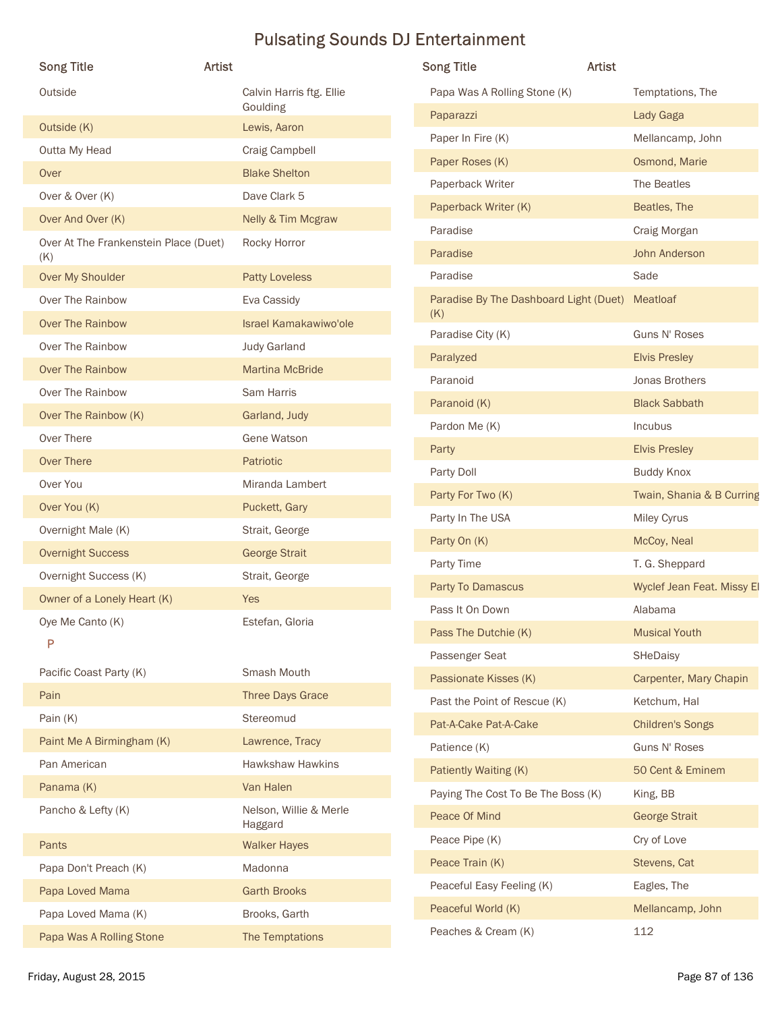| <b>Song Title</b>                            | Artist                            | <b>Song Title</b><br>Artist                     |                            |
|----------------------------------------------|-----------------------------------|-------------------------------------------------|----------------------------|
| Outside                                      | Calvin Harris ftg. Ellie          | Papa Was A Rolling Stone (K)                    | Temptations, The           |
|                                              | Goulding                          | Paparazzi                                       | Lady Gaga                  |
| Outside (K)                                  | Lewis, Aaron                      | Paper In Fire (K)                               | Mellancamp, John           |
| Outta My Head                                | Craig Campbell                    | Paper Roses (K)                                 | Osmond, Marie              |
| Over                                         | <b>Blake Shelton</b>              | Paperback Writer                                | The Beatles                |
| Over & Over (K)                              | Dave Clark 5                      | Paperback Writer (K)                            | Beatles, The               |
| Over And Over (K)                            | Nelly & Tim Mcgraw                | Paradise                                        | Craig Morgan               |
| Over At The Frankenstein Place (Duet)<br>(K) | Rocky Horror                      | Paradise                                        | John Anderson              |
| Over My Shoulder                             | <b>Patty Loveless</b>             | Paradise                                        | Sade                       |
| Over The Rainbow                             | Eva Cassidy                       | Paradise By The Dashboard Light (Duet) Meatloaf |                            |
| Over The Rainbow                             | Israel Kamakawiwo'ole             | (K)                                             |                            |
| Over The Rainbow                             | <b>Judy Garland</b>               | Paradise City (K)                               | Guns N' Roses              |
| Over The Rainbow                             | <b>Martina McBride</b>            | Paralyzed                                       | <b>Elvis Presley</b>       |
| Over The Rainbow                             | Sam Harris                        | Paranoid                                        | Jonas Brothers             |
| Over The Rainbow (K)                         | Garland, Judy                     | Paranoid (K)                                    | <b>Black Sabbath</b>       |
| Over There                                   | Gene Watson                       | Pardon Me (K)                                   | Incubus                    |
| <b>Over There</b>                            | Patriotic                         | Party                                           | <b>Elvis Presley</b>       |
| Over You                                     | Miranda Lambert                   | Party Doll                                      | <b>Buddy Knox</b>          |
| Over You (K)                                 | Puckett, Gary                     | Party For Two (K)                               | Twain, Shania & B Curring  |
| Overnight Male (K)                           | Strait, George                    | Party In The USA                                | Miley Cyrus                |
| <b>Overnight Success</b>                     | <b>George Strait</b>              | Party On (K)                                    | McCoy, Neal                |
| Overnight Success (K)                        | Strait, George                    | Party Time                                      | T. G. Sheppard             |
| Owner of a Lonely Heart (K)                  | Yes                               | Party To Damascus                               | Wyclef Jean Feat. Missy El |
| Oye Me Canto (K)                             | Estefan, Gloria                   | Pass It On Down                                 | Alabama                    |
| P                                            |                                   | Pass The Dutchie (K)                            | <b>Musical Youth</b>       |
|                                              | Smash Mouth                       | Passenger Seat                                  | SHeDaisy                   |
| Pacific Coast Party (K)                      |                                   | Passionate Kisses (K)                           | Carpenter, Mary Chapin     |
| Pain<br>Pain (K)                             | Three Days Grace<br>Stereomud     | Past the Point of Rescue (K)                    | Ketchum, Hal               |
| Paint Me A Birmingham (K)                    | Lawrence, Tracy                   | Pat-A-Cake Pat-A-Cake                           | <b>Children's Songs</b>    |
|                                              |                                   | Patience (K)                                    | Guns N' Roses              |
| Pan American                                 | Hawkshaw Hawkins                  | Patiently Waiting (K)                           | 50 Cent & Eminem           |
| Panama (K)                                   | Van Halen                         | Paying The Cost To Be The Boss (K)              | King, BB                   |
| Pancho & Lefty (K)                           | Nelson, Willie & Merle<br>Haggard | Peace Of Mind                                   | <b>George Strait</b>       |
| Pants                                        | <b>Walker Hayes</b>               | Peace Pipe (K)                                  | Cry of Love                |
| Papa Don't Preach (K)                        | Madonna                           | Peace Train (K)                                 | Stevens, Cat               |
| Papa Loved Mama                              | <b>Garth Brooks</b>               | Peaceful Easy Feeling (K)                       | Eagles, The                |
| Papa Loved Mama (K)                          | Brooks, Garth                     | Peaceful World (K)                              | Mellancamp, John           |
| Papa Was A Rolling Stone                     | The Temptations                   | Peaches & Cream (K)                             | 112                        |
|                                              |                                   |                                                 |                            |

| <b>Entertainment</b>                          |                                          |
|-----------------------------------------------|------------------------------------------|
| <b>Song Title</b><br><b>Artist</b>            |                                          |
| Papa Was A Rolling Stone (K)                  | Temptations, The                         |
| Paparazzi                                     | Lady Gaga                                |
| Paper In Fire (K)                             | Mellancamp, John                         |
| Paper Roses (K)                               | Osmond, Marie                            |
| Paperback Writer                              | The Beatles                              |
| Paperback Writer (K)                          | Beatles, The                             |
| Paradise                                      | Craig Morgan                             |
| Paradise                                      | John Anderson                            |
| Paradise                                      | Sade                                     |
| Paradise By The Dashboard Light (Duet)<br>(K) | Meatloaf                                 |
| Paradise City (K)                             | <b>Guns N' Roses</b>                     |
| Paralyzed                                     | <b>Elvis Presley</b>                     |
| Paranoid                                      | Jonas Brothers                           |
| Paranoid (K)                                  | <b>Black Sabbath</b>                     |
| Pardon Me (K)                                 | Incubus                                  |
| Party                                         | <b>Elvis Presley</b>                     |
| Party Doll                                    | <b>Buddy Knox</b>                        |
| Party For Two (K)                             | Twain, Shania & B Curring                |
| Party In The USA                              | Miley Cyrus                              |
| Party On (K)                                  | McCoy, Neal                              |
| Party Time                                    | T. G. Sheppard                           |
| Party To Damascus                             | Wyclef Jean Feat. Missy El               |
| Pass It On Down                               | Alabama                                  |
| Pass The Dutchie (K)                          | <b>Musical Youth</b>                     |
| Passenger Seat                                | SHeDaisy                                 |
| Passionate Kisses (K)                         | Carpenter, Mary Chapin                   |
| Past the Point of Rescue (K)                  | Ketchum, Hal                             |
| Pat-A-Cake Pat-A-Cake                         | <b>Children's Songs</b><br>Guns N' Roses |
| Patience (K)<br>Patiently Waiting (K)         | 50 Cent & Eminem                         |
| Paying The Cost To Be The Boss (K)            | King, BB                                 |
| Peace Of Mind                                 | <b>George Strait</b>                     |
| Peace Pipe (K)                                | Cry of Love                              |
| Peace Train (K)                               | Stevens, Cat                             |
| Peaceful Easy Feeling (K)                     | Eagles, The                              |
| Peaceful World (K)                            | Mellancamp, John                         |
| Peaches & Cream (K)                           | 112                                      |
|                                               |                                          |
|                                               | Page 87 of 136                           |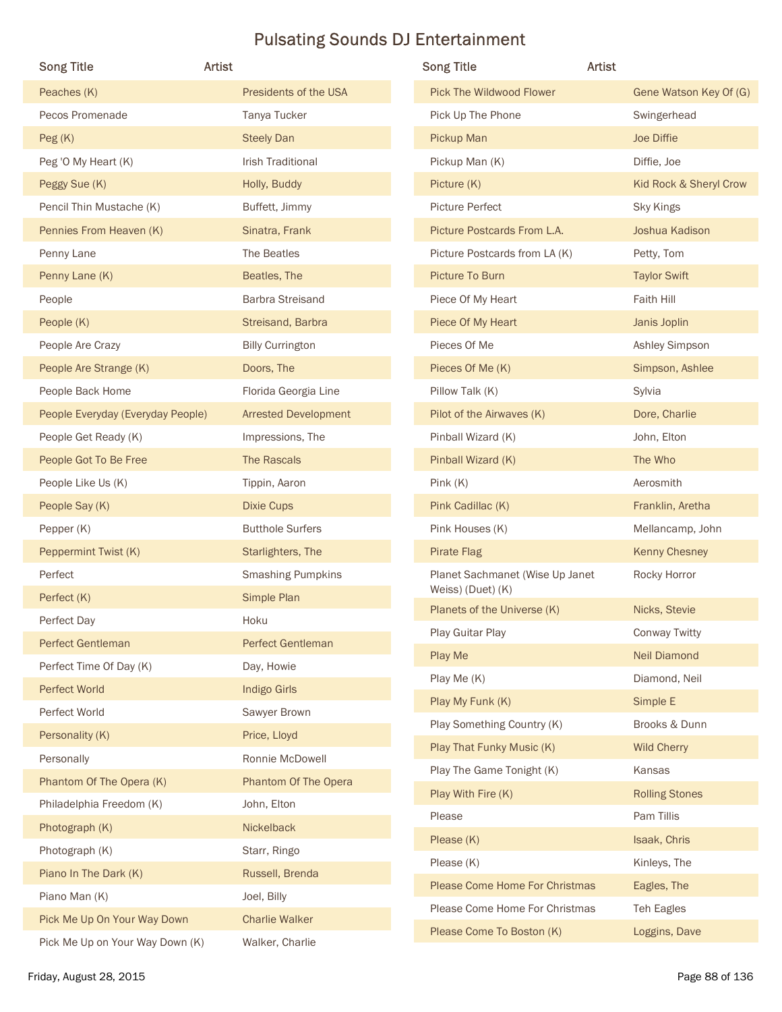| <b>Song Title</b>                                                                         | Artist                                   | <b>Song Title</b><br>Artist     |                        |
|-------------------------------------------------------------------------------------------|------------------------------------------|---------------------------------|------------------------|
| Peaches (K)                                                                               | Presidents of the USA                    | <b>Pick The Wildwood Flower</b> | Gene Watson Key Of (G) |
| Pecos Promenade                                                                           | Tanya Tucker                             | Pick Up The Phone               | Swingerhead            |
| Peg(K)                                                                                    | <b>Steely Dan</b>                        | Pickup Man                      | Joe Diffie             |
| Peg 'O My Heart (K)                                                                       | <b>Irish Traditional</b>                 | Pickup Man (K)                  | Diffie, Joe            |
| Peggy Sue (K)                                                                             | Holly, Buddy                             | Picture (K)                     | Kid Rock & Sheryl Crow |
| Pencil Thin Mustache (K)                                                                  | Buffett, Jimmy                           | Picture Perfect                 | Sky Kings              |
| Pennies From Heaven (K)                                                                   | Sinatra, Frank                           | Picture Postcards From L.A.     | Joshua Kadison         |
| Penny Lane                                                                                | The Beatles                              | Picture Postcards from LA (K)   | Petty, Tom             |
| Penny Lane (K)                                                                            | Beatles, The                             | Picture To Burn                 | <b>Taylor Swift</b>    |
| People                                                                                    | <b>Barbra Streisand</b>                  | Piece Of My Heart               | Faith Hill             |
| People (K)                                                                                | Streisand, Barbra                        | Piece Of My Heart               | Janis Joplin           |
| People Are Crazy                                                                          | <b>Billy Currington</b>                  | Pieces Of Me                    | Ashley Simpson         |
| People Are Strange (K)                                                                    | Doors, The                               | Pieces Of Me (K)                | Simpson, Ashlee        |
| People Back Home                                                                          | Florida Georgia Line                     | Pillow Talk (K)                 | Sylvia                 |
| People Everyday (Everyday People)                                                         | <b>Arrested Development</b>              | Pilot of the Airwaves (K)       | Dore, Charlie          |
| People Get Ready (K)                                                                      | Impressions, The                         | Pinball Wizard (K)              | John, Elton            |
| People Got To Be Free                                                                     | The Rascals                              | Pinball Wizard (K)              | The Who                |
| People Like Us (K)                                                                        | Tippin, Aaron                            | Pink (K)                        | Aerosmith              |
| People Say (K)                                                                            | Dixie Cups                               | Pink Cadillac (K)               | Franklin, Aretha       |
| Pepper (K)                                                                                | <b>Butthole Surfers</b>                  | Pink Houses (K)                 | Mellancamp, John       |
| Peppermint Twist (K)                                                                      | Starlighters, The                        | <b>Pirate Flag</b>              | <b>Kenny Chesney</b>   |
| Perfect                                                                                   | <b>Smashing Pumpkins</b>                 | Planet Sachmanet (Wise Up Janet | Rocky Horror           |
| Perfect (K)                                                                               | Simple Plan                              | Weiss) (Duet) (K)               |                        |
| Perfect Day                                                                               | Hoku                                     | Planets of the Universe (K)     | Nicks, Stevie          |
| <b>Perfect Gentleman</b>                                                                  | <b>Perfect Gentleman</b>                 | Play Guitar Play                | <b>Conway Twitty</b>   |
| Perfect Time Of Day (K)                                                                   | Day, Howie                               | Play Me                         | Neil Diamond           |
| Perfect World                                                                             | <b>Indigo Girls</b>                      | Play Me (K)                     | Diamond, Neil          |
| Perfect World                                                                             | Sawyer Brown                             | Play My Funk (K)                | Simple E               |
| Personality (K)                                                                           | Price, Lloyd                             | Play Something Country (K)      | Brooks & Dunn          |
| Personally                                                                                | Ronnie McDowell                          | Play That Funky Music (K)       | <b>Wild Cherry</b>     |
| Phantom Of The Opera (K)                                                                  | Phantom Of The Opera                     | Play The Game Tonight (K)       | Kansas                 |
| Philadelphia Freedom (K)                                                                  | John, Elton                              | Play With Fire (K)              | <b>Rolling Stones</b>  |
| Photograph (K)                                                                            | Nickelback                               | Please                          | Pam Tillis             |
| Photograph (K)                                                                            | Starr, Ringo                             | Please (K)                      | Isaak, Chris           |
| Piano In The Dark (K)                                                                     | Russell, Brenda                          | Please (K)                      | Kinleys, The           |
| Piano Man (K)                                                                             | Joel, Billy                              | Please Come Home For Christmas  | Eagles, The            |
|                                                                                           |                                          | Please Come Home For Christmas  | <b>Teh Eagles</b>      |
|                                                                                           |                                          | Please Come To Boston (K)       | Loggins, Dave          |
| Pick Me Up On Your Way Down<br>Pick Me Up on Your Way Down (K)<br>Friday, August 28, 2015 | <b>Charlie Walker</b><br>Walker, Charlie |                                 | Page 88 of 136         |

| <b>Intertainment</b><br><b>Song Title</b>            |                                 |
|------------------------------------------------------|---------------------------------|
|                                                      |                                 |
|                                                      |                                 |
|                                                      | <b>Artist</b>                   |
| <b>Pick The Wildwood Flower</b>                      | Gene Watson Key Of (G)          |
| Pick Up The Phone                                    | Swingerhead                     |
| Pickup Man                                           | Joe Diffie                      |
| Pickup Man (K)                                       | Diffie, Joe                     |
| Picture (K)                                          | Kid Rock & Sheryl Crow          |
| Picture Perfect                                      | <b>Sky Kings</b>                |
| Picture Postcards From L.A.                          | Joshua Kadison                  |
| Picture Postcards from LA (K)                        | Petty, Tom                      |
| Picture To Burn                                      | <b>Taylor Swift</b>             |
| Piece Of My Heart                                    | Faith Hill                      |
| Piece Of My Heart                                    | Janis Joplin                    |
| Pieces Of Me                                         | Ashley Simpson                  |
| Pieces Of Me (K)                                     | Simpson, Ashlee                 |
| Pillow Talk (K)                                      | Sylvia                          |
| Pilot of the Airwaves (K)                            | Dore, Charlie                   |
| Pinball Wizard (K)                                   | John, Elton                     |
| Pinball Wizard (K)                                   | The Who                         |
| Pink (K)                                             | Aerosmith                       |
| Pink Cadillac (K)                                    | Franklin, Aretha                |
| Pink Houses (K)                                      | Mellancamp, John                |
| <b>Pirate Flag</b>                                   | <b>Kenny Chesney</b>            |
| Planet Sachmanet (Wise Up Janet<br>Weiss) (Duet) (K) | Rocky Horror                    |
| Planets of the Universe (K)                          | Nicks, Stevie                   |
| Play Guitar Play                                     | Conway Twitty                   |
| Play Me                                              | <b>Neil Diamond</b>             |
| Play Me (K)                                          | Diamond, Neil                   |
| Play My Funk (K)                                     | Simple E                        |
| Play Something Country (K)                           | Brooks & Dunn                   |
| Play That Funky Music (K)                            | <b>Wild Cherry</b>              |
| Play The Game Tonight (K)<br>Play With Fire (K)      | Kansas<br><b>Rolling Stones</b> |
| Please                                               | Pam Tillis                      |
| Please (K)                                           | Isaak, Chris                    |
| Please (K)                                           | Kinleys, The                    |
| Please Come Home For Christmas                       | Eagles, The                     |
| Please Come Home For Christmas                       | <b>Teh Eagles</b>               |
|                                                      |                                 |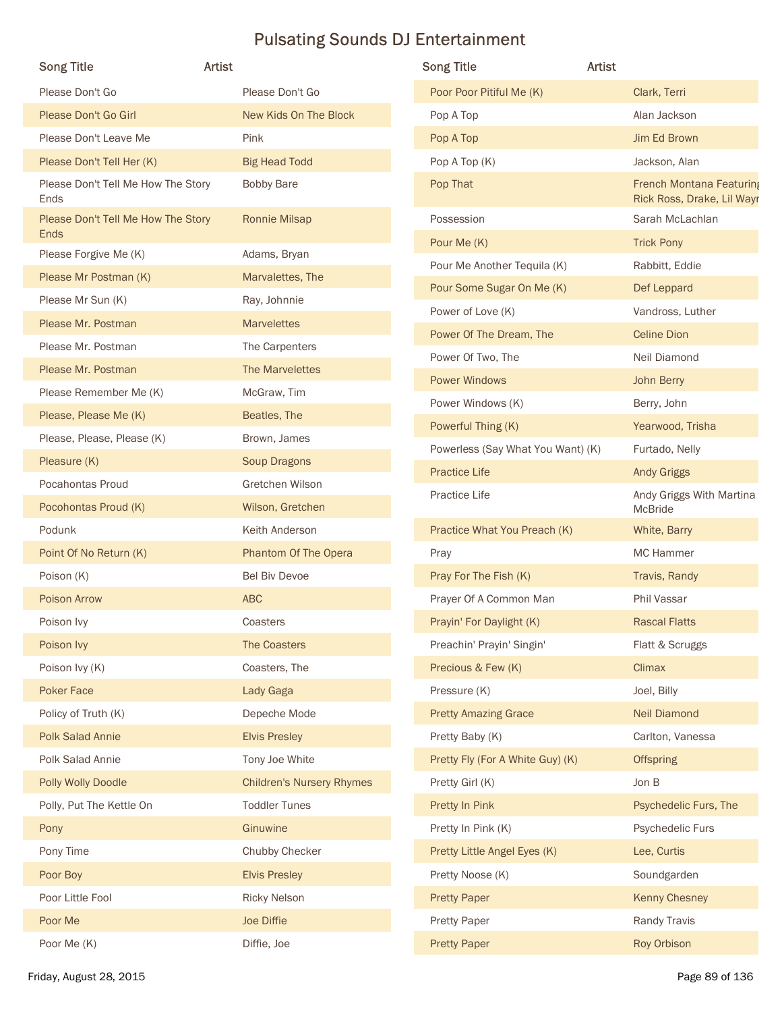|                                            | Artist                           | <b>Song Title</b><br>Artist       |                                                        |
|--------------------------------------------|----------------------------------|-----------------------------------|--------------------------------------------------------|
| Please Don't Go                            | Please Don't Go                  | Poor Poor Pitiful Me (K)          | Clark, Terri                                           |
| Please Don't Go Girl                       | New Kids On The Block            | Pop A Top                         | Alan Jackson                                           |
| Please Don't Leave Me                      | Pink                             | Pop A Top                         | Jim Ed Brown                                           |
| Please Don't Tell Her (K)                  | <b>Big Head Todd</b>             | Pop A Top (K)                     | Jackson, Alan                                          |
| Please Don't Tell Me How The Story<br>Ends | <b>Bobby Bare</b>                | Pop That                          | French Montana Featuring<br>Rick Ross, Drake, Lil Wayr |
| Please Don't Tell Me How The Story         | <b>Ronnie Milsap</b>             | Possession                        | Sarah McLachlan                                        |
| <b>Ends</b><br>Please Forgive Me (K)       | Adams, Bryan                     | Pour Me (K)                       | <b>Trick Pony</b>                                      |
| Please Mr Postman (K)                      | Marvalettes, The                 | Pour Me Another Tequila (K)       | Rabbitt, Eddie                                         |
| Please Mr Sun (K)                          | Ray, Johnnie                     | Pour Some Sugar On Me (K)         | Def Leppard                                            |
| Please Mr. Postman                         | <b>Marvelettes</b>               | Power of Love (K)                 | Vandross, Luther                                       |
| Please Mr. Postman                         | The Carpenters                   | Power Of The Dream, The           | <b>Celine Dion</b>                                     |
| Please Mr. Postman                         | The Marvelettes                  | Power Of Two, The                 | Neil Diamond                                           |
| Please Remember Me (K)                     | McGraw, Tim                      | <b>Power Windows</b>              | John Berry                                             |
| Please, Please Me (K)                      | Beatles, The                     | Power Windows (K)                 | Berry, John                                            |
| Please, Please, Please (K)                 | Brown, James                     | Powerful Thing (K)                | Yearwood, Trisha                                       |
| Pleasure (K)                               | Soup Dragons                     | Powerless (Say What You Want) (K) | Furtado, Nelly                                         |
| Pocahontas Proud                           | Gretchen Wilson                  | <b>Practice Life</b>              | <b>Andy Griggs</b>                                     |
| Pocohontas Proud (K)                       | Wilson, Gretchen                 | Practice Life                     | Andy Griggs With Martina<br>McBride                    |
| Podunk                                     | Keith Anderson                   | Practice What You Preach (K)      | White, Barry                                           |
| Point Of No Return (K)                     | Phantom Of The Opera             | Pray                              | <b>MC</b> Hammer                                       |
| Poison (K)                                 | <b>Bel Biv Devoe</b>             | Pray For The Fish (K)             | Travis, Randy                                          |
| Poison Arrow                               | ABC                              | Prayer Of A Common Man            | Phil Vassar                                            |
| Poison Ivy                                 | Coasters                         | Prayin' For Daylight (K)          | <b>Rascal Flatts</b>                                   |
| Poison Ivy                                 | The Coasters                     | Preachin' Prayin' Singin'         | Flatt & Scruggs                                        |
| Poison Ivy (K)                             | Coasters, The                    | Precious & Few (K)                | Climax                                                 |
| <b>Poker Face</b>                          | Lady Gaga                        | Pressure (K)                      | Joel, Billy                                            |
| Policy of Truth (K)                        | Depeche Mode                     | <b>Pretty Amazing Grace</b>       | Neil Diamond                                           |
| Polk Salad Annie                           | <b>Elvis Presley</b>             | Pretty Baby (K)                   | Carlton, Vanessa                                       |
| Polk Salad Annie                           | Tony Joe White                   | Pretty Fly (For A White Guy) (K)  | <b>Offspring</b>                                       |
| Polly Wolly Doodle                         | <b>Children's Nursery Rhymes</b> | Pretty Girl (K)                   | Jon B                                                  |
| Polly, Put The Kettle On                   | <b>Toddler Tunes</b>             | Pretty In Pink                    | Psychedelic Furs, The                                  |
| Pony                                       | Ginuwine                         | Pretty In Pink (K)                | Psychedelic Furs                                       |
| Pony Time                                  | Chubby Checker                   | Pretty Little Angel Eyes (K)      | Lee, Curtis                                            |
| Poor Boy                                   | <b>Elvis Presley</b>             | Pretty Noose (K)                  | Soundgarden                                            |
| Poor Little Fool                           | <b>Ricky Nelson</b>              | <b>Pretty Paper</b>               | <b>Kenny Chesney</b>                                   |
| Poor Me                                    | Joe Diffie                       | Pretty Paper                      | Randy Travis                                           |
|                                            |                                  |                                   | Roy Orbison                                            |

| <b>Entertainment</b>              |                                                        |
|-----------------------------------|--------------------------------------------------------|
| <b>Song Title</b>                 | Artist                                                 |
| Poor Poor Pitiful Me (K)          | Clark, Terri                                           |
| Pop A Top                         | Alan Jackson                                           |
| Pop A Top                         | Jim Ed Brown                                           |
| Pop A Top (K)                     | Jackson, Alan                                          |
| Pop That                          | French Montana Featuring<br>Rick Ross, Drake, Lil Wayr |
| Possession                        | Sarah McLachlan                                        |
| Pour Me (K)                       | <b>Trick Pony</b>                                      |
| Pour Me Another Tequila (K)       | Rabbitt, Eddie                                         |
| Pour Some Sugar On Me (K)         | Def Leppard                                            |
| Power of Love (K)                 | Vandross, Luther                                       |
| Power Of The Dream, The           | <b>Celine Dion</b>                                     |
| Power Of Two, The                 | Neil Diamond                                           |
| <b>Power Windows</b>              | John Berry                                             |
| Power Windows (K)                 | Berry, John                                            |
| Powerful Thing (K)                | Yearwood, Trisha                                       |
| Powerless (Say What You Want) (K) | Furtado, Nelly                                         |
| <b>Practice Life</b>              | <b>Andy Griggs</b>                                     |
| Practice Life                     | Andy Griggs With Martina<br>McBride                    |
| Practice What You Preach (K)      | White, Barry                                           |
| Pray                              | MC Hammer                                              |
| Pray For The Fish (K)             | Travis, Randy                                          |
| Prayer Of A Common Man            | Phil Vassar                                            |
| Prayin' For Daylight (K)          | <b>Rascal Flatts</b>                                   |
| Preachin' Prayin' Singin'         | Flatt & Scruggs                                        |
| Precious & Few (K)                | Climax                                                 |
| Pressure (K)                      | Joel, Billy                                            |
| <b>Pretty Amazing Grace</b>       | <b>Neil Diamond</b>                                    |
| Pretty Baby (K)                   | Carlton, Vanessa                                       |
| Pretty Fly (For A White Guy) (K)  | <b>Offspring</b>                                       |
| Pretty Girl (K)                   | Jon B                                                  |
| Pretty In Pink                    | Psychedelic Furs, The                                  |
| Pretty In Pink (K)                | Psychedelic Furs                                       |
| Pretty Little Angel Eyes (K)      | Lee, Curtis                                            |
| Pretty Noose (K)                  | Soundgarden                                            |
| <b>Pretty Paper</b>               | Kenny Chesney                                          |
| <b>Pretty Paper</b>               | Randy Travis<br>Roy Orbison                            |
| <b>Pretty Paper</b>               | Page 89 of 136                                         |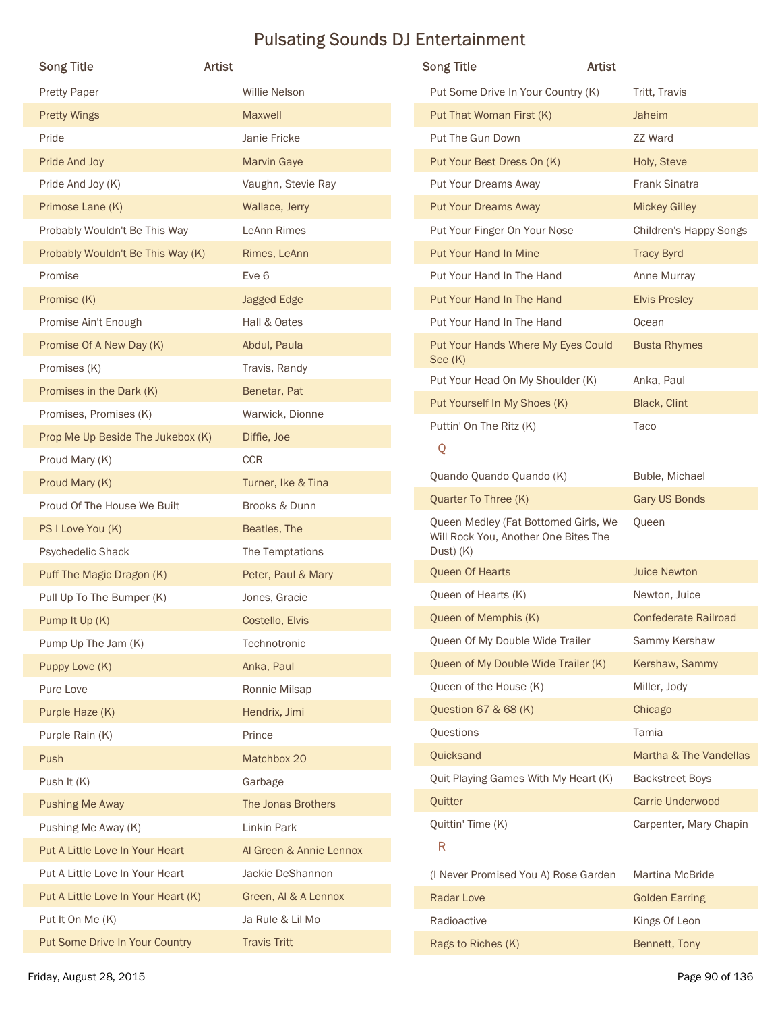| <b>Song Title</b>                   | Artist                  | <b>Song Title</b><br>Artist                                                  |                             |
|-------------------------------------|-------------------------|------------------------------------------------------------------------------|-----------------------------|
| <b>Pretty Paper</b>                 | Willie Nelson           | Put Some Drive In Your Country (K)                                           | Tritt, Travis               |
| <b>Pretty Wings</b>                 | Maxwell                 | Put That Woman First (K)                                                     | Jaheim                      |
| Pride                               | Janie Fricke            | Put The Gun Down                                                             | <b>ZZ Ward</b>              |
| Pride And Joy                       | <b>Marvin Gaye</b>      | Put Your Best Dress On (K)                                                   | Holy, Steve                 |
| Pride And Joy (K)                   | Vaughn, Stevie Ray      | Put Your Dreams Away                                                         | Frank Sinatra               |
| Primose Lane (K)                    | Wallace, Jerry          | <b>Put Your Dreams Away</b>                                                  | <b>Mickey Gilley</b>        |
| Probably Wouldn't Be This Way       | LeAnn Rimes             | Put Your Finger On Your Nose                                                 | Children's Happy Songs      |
| Probably Wouldn't Be This Way (K)   | Rimes, LeAnn            | Put Your Hand In Mine                                                        | <b>Tracy Byrd</b>           |
| Promise                             | Eve 6                   | Put Your Hand In The Hand                                                    | Anne Murray                 |
| Promise (K)                         | Jagged Edge             | Put Your Hand In The Hand                                                    | <b>Elvis Presley</b>        |
| Promise Ain't Enough                | Hall & Oates            | Put Your Hand In The Hand                                                    | Ocean                       |
| Promise Of A New Day (K)            | Abdul, Paula            | Put Your Hands Where My Eyes Could                                           | <b>Busta Rhymes</b>         |
| Promises (K)                        | Travis, Randy           | See (K)                                                                      |                             |
| Promises in the Dark (K)            | Benetar, Pat            | Put Your Head On My Shoulder (K)                                             | Anka, Paul                  |
| Promises, Promises (K)              | Warwick, Dionne         | Put Yourself In My Shoes (K)                                                 | Black, Clint                |
| Prop Me Up Beside The Jukebox (K)   | Diffie, Joe             | Puttin' On The Ritz (K)                                                      | Taco                        |
| Proud Mary (K)                      | CCR                     | Q                                                                            |                             |
| Proud Mary (K)                      | Turner, Ike & Tina      | Quando Quando Quando (K)                                                     | Buble, Michael              |
| Proud Of The House We Built         | Brooks & Dunn           | Quarter To Three (K)                                                         | Gary US Bonds               |
| PS I Love You (K)                   | Beatles, The            | Queen Medley (Fat Bottomed Girls, We<br>Will Rock You, Another One Bites The | Queen                       |
| Psychedelic Shack                   | The Temptations         | Dust) (K)                                                                    |                             |
| Puff The Magic Dragon (K)           | Peter, Paul & Mary      | <b>Queen Of Hearts</b>                                                       | <b>Juice Newton</b>         |
| Pull Up To The Bumper (K)           | Jones, Gracie           | Queen of Hearts (K)                                                          | Newton, Juice               |
| Pump It Up (K)                      | Costello, Elvis         | Queen of Memphis (K)                                                         | <b>Confederate Railroad</b> |
| Pump Up The Jam (K)                 | Technotronic            | Queen Of My Double Wide Trailer                                              | Sammy Kershaw               |
| Puppy Love (K)                      | Anka, Paul              | Queen of My Double Wide Trailer (K)                                          | Kershaw, Sammy              |
| Pure Love                           | Ronnie Milsap           | Queen of the House (K)                                                       | Miller, Jody                |
| Purple Haze (K)                     | Hendrix, Jimi           | Question 67 & 68 (K)                                                         | Chicago                     |
| Purple Rain (K)                     | Prince                  | Questions                                                                    | Tamia                       |
| Push                                | Matchbox 20             | Quicksand                                                                    | Martha & The Vandellas      |
| Push It (K)                         | Garbage                 | Quit Playing Games With My Heart (K)                                         | <b>Backstreet Boys</b>      |
| <b>Pushing Me Away</b>              | The Jonas Brothers      | Quitter                                                                      | Carrie Underwood            |
| Pushing Me Away (K)                 | Linkin Park             | Quittin' Time (K)                                                            | Carpenter, Mary Chapin      |
| Put A Little Love In Your Heart     | Al Green & Annie Lennox | R                                                                            |                             |
| Put A Little Love In Your Heart     | Jackie DeShannon        | (I Never Promised You A) Rose Garden                                         | Martina McBride             |
| Put A Little Love In Your Heart (K) | Green, AI & A Lennox    | Radar Love                                                                   | <b>Golden Earring</b>       |
| Put It On Me (K)                    | Ja Rule & Lil Mo        | Radioactive                                                                  | Kings Of Leon               |
| Put Some Drive In Your Country      | <b>Travis Tritt</b>     | Rags to Riches (K)                                                           | Bennett, Tony               |

| <b>Intertainment</b>                                                                      |                                            |                |
|-------------------------------------------------------------------------------------------|--------------------------------------------|----------------|
| <b>Song Title</b>                                                                         | Artist                                     |                |
| Put Some Drive In Your Country (K)                                                        | Tritt, Travis                              |                |
| Put That Woman First (K)                                                                  | Jaheim                                     |                |
| Put The Gun Down                                                                          | <b>ZZ Ward</b>                             |                |
| Put Your Best Dress On (K)<br>Put Your Dreams Away                                        | Holy, Steve<br><b>Frank Sinatra</b>        |                |
| <b>Put Your Dreams Away</b>                                                               | <b>Mickey Gilley</b>                       |                |
| Put Your Finger On Your Nose                                                              | Children's Happy Songs                     |                |
| Put Your Hand In Mine                                                                     | <b>Tracy Byrd</b>                          |                |
| Put Your Hand In The Hand                                                                 | Anne Murray                                |                |
| Put Your Hand In The Hand                                                                 | <b>Elvis Presley</b>                       |                |
| Put Your Hand In The Hand                                                                 | Ocean                                      |                |
| Put Your Hands Where My Eyes Could<br>See $(K)$                                           | <b>Busta Rhymes</b>                        |                |
| Put Your Head On My Shoulder (K)                                                          | Anka, Paul                                 |                |
| Put Yourself In My Shoes (K)                                                              | Black, Clint                               |                |
| Puttin' On The Ritz (K)<br>Q                                                              | Taco                                       |                |
| Quando Quando Quando (K)                                                                  | Buble, Michael                             |                |
| Quarter To Three (K)                                                                      | Gary US Bonds                              |                |
| Queen Medley (Fat Bottomed Girls, We<br>Will Rock You, Another One Bites The<br>Dust) (K) | Queen                                      |                |
| Queen Of Hearts                                                                           | <b>Juice Newton</b>                        |                |
| Queen of Hearts (K)                                                                       | Newton, Juice                              |                |
| Queen of Memphis (K)                                                                      | <b>Confederate Railroad</b>                |                |
| Queen Of My Double Wide Trailer                                                           | Sammy Kershaw                              |                |
| Queen of My Double Wide Trailer (K)                                                       | Kershaw, Sammy                             |                |
| Queen of the House (K)                                                                    | Miller, Jody                               |                |
| Question 67 & 68 (K)                                                                      | Chicago                                    |                |
| Questions                                                                                 | Tamia                                      |                |
| Quicksand                                                                                 | Martha & The Vandellas                     |                |
| Quit Playing Games With My Heart (K)                                                      | <b>Backstreet Boys</b>                     |                |
| Quitter<br>Quittin' Time (K)                                                              | Carrie Underwood<br>Carpenter, Mary Chapin |                |
| R                                                                                         |                                            |                |
| (I Never Promised You A) Rose Garden                                                      | Martina McBride                            |                |
| <b>Radar Love</b>                                                                         | <b>Golden Earring</b>                      |                |
| Radioactive                                                                               | Kings Of Leon                              |                |
| Rags to Riches (K)                                                                        | Bennett, Tony                              |                |
|                                                                                           |                                            | Page 90 of 136 |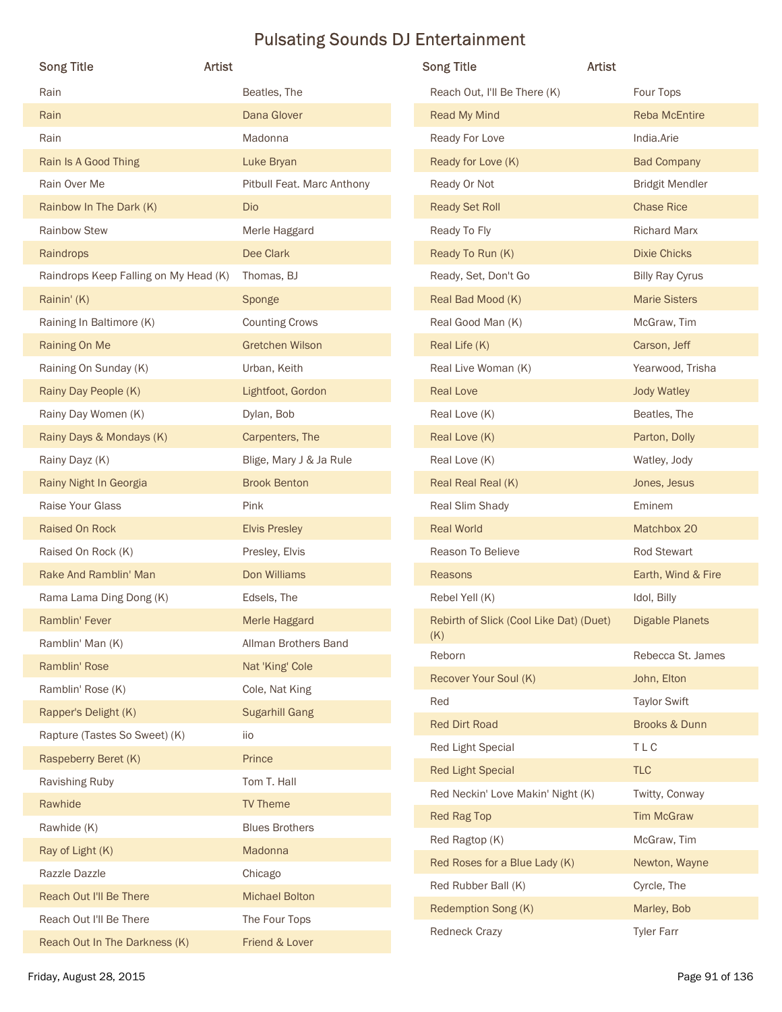| <b>Song Title</b><br>Artist           |                            | <b>Song Title</b><br>Artist             |                        |
|---------------------------------------|----------------------------|-----------------------------------------|------------------------|
| Rain                                  | Beatles, The               | Reach Out, I'll Be There (K)            | Four Tops              |
| Rain                                  | Dana Glover                | Read My Mind                            | <b>Reba McEntire</b>   |
| Rain                                  | Madonna                    | Ready For Love                          | India.Arie             |
| Rain Is A Good Thing                  | Luke Bryan                 | Ready for Love (K)                      | <b>Bad Company</b>     |
| Rain Over Me                          | Pitbull Feat. Marc Anthony | Ready Or Not                            | <b>Bridgit Mendler</b> |
| Rainbow In The Dark (K)               | Dio                        | <b>Ready Set Roll</b>                   | <b>Chase Rice</b>      |
| <b>Rainbow Stew</b>                   | Merle Haggard              | Ready To Fly                            | <b>Richard Marx</b>    |
| Raindrops                             | Dee Clark                  | Ready To Run (K)                        | <b>Dixie Chicks</b>    |
| Raindrops Keep Falling on My Head (K) | Thomas, BJ                 | Ready, Set, Don't Go                    | <b>Billy Ray Cyrus</b> |
| Rainin' (K)                           | Sponge                     | Real Bad Mood (K)                       | <b>Marie Sisters</b>   |
| Raining In Baltimore (K)              | <b>Counting Crows</b>      | Real Good Man (K)                       | McGraw, Tim            |
| Raining On Me                         | <b>Gretchen Wilson</b>     | Real Life (K)                           | Carson, Jeff           |
| Raining On Sunday (K)                 | Urban, Keith               | Real Live Woman (K)                     | Yearwood, Trisha       |
| Rainy Day People (K)                  | Lightfoot, Gordon          | <b>Real Love</b>                        | <b>Jody Watley</b>     |
| Rainy Day Women (K)                   | Dylan, Bob                 | Real Love (K)                           | Beatles, The           |
| Rainy Days & Mondays (K)              | Carpenters, The            | Real Love (K)                           | Parton, Dolly          |
| Rainy Dayz (K)                        | Blige, Mary J & Ja Rule    | Real Love (K)                           | Watley, Jody           |
| Rainy Night In Georgia                | <b>Brook Benton</b>        | Real Real Real (K)                      | Jones, Jesus           |
| Raise Your Glass                      | Pink                       | Real Slim Shady                         | Eminem                 |
| Raised On Rock                        | <b>Elvis Presley</b>       | <b>Real World</b>                       | Matchbox 20            |
| Raised On Rock (K)                    | Presley, Elvis             | Reason To Believe                       | Rod Stewart            |
| Rake And Ramblin' Man                 | Don Williams               | Reasons                                 | Earth, Wind & Fire     |
| Rama Lama Ding Dong (K)               | Edsels, The                | Rebel Yell (K)                          | Idol, Billy            |
| Ramblin' Fever                        | Merle Haggard              | Rebirth of Slick (Cool Like Dat) (Duet) | <b>Digable Planets</b> |
| Ramblin' Man (K)                      | Allman Brothers Band       | (K)<br>Reborn                           | Rebecca St. James      |
| Ramblin' Rose                         | Nat 'King' Cole            | Recover Your Soul (K)                   | John, Elton            |
| Ramblin' Rose (K)                     | Cole, Nat King             | Red                                     | <b>Taylor Swift</b>    |
| Rapper's Delight (K)                  | <b>Sugarhill Gang</b>      | <b>Red Dirt Road</b>                    | Brooks & Dunn          |
| Rapture (Tastes So Sweet) (K)         | iio                        | Red Light Special                       | <b>TLC</b>             |
| Raspeberry Beret (K)                  | Prince                     | <b>Red Light Special</b>                | <b>TLC</b>             |
| Ravishing Ruby                        | Tom T. Hall                | Red Neckin' Love Makin' Night (K)       | Twitty, Conway         |
| Rawhide                               | TV Theme                   | Red Rag Top                             | <b>Tim McGraw</b>      |
| Rawhide (K)                           | <b>Blues Brothers</b>      | Red Ragtop (K)                          | McGraw, Tim            |
| Ray of Light (K)                      | Madonna                    | Red Roses for a Blue Lady (K)           | Newton, Wayne          |
| Razzle Dazzle                         | Chicago                    | Red Rubber Ball (K)                     | Cyrcle, The            |
| Reach Out I'll Be There               | <b>Michael Bolton</b>      | Redemption Song (K)                     | Marley, Bob            |
| Reach Out I'll Be There               | The Four Tops              | Redneck Crazy                           | <b>Tyler Farr</b>      |
|                                       | Friend & Lover             |                                         |                        |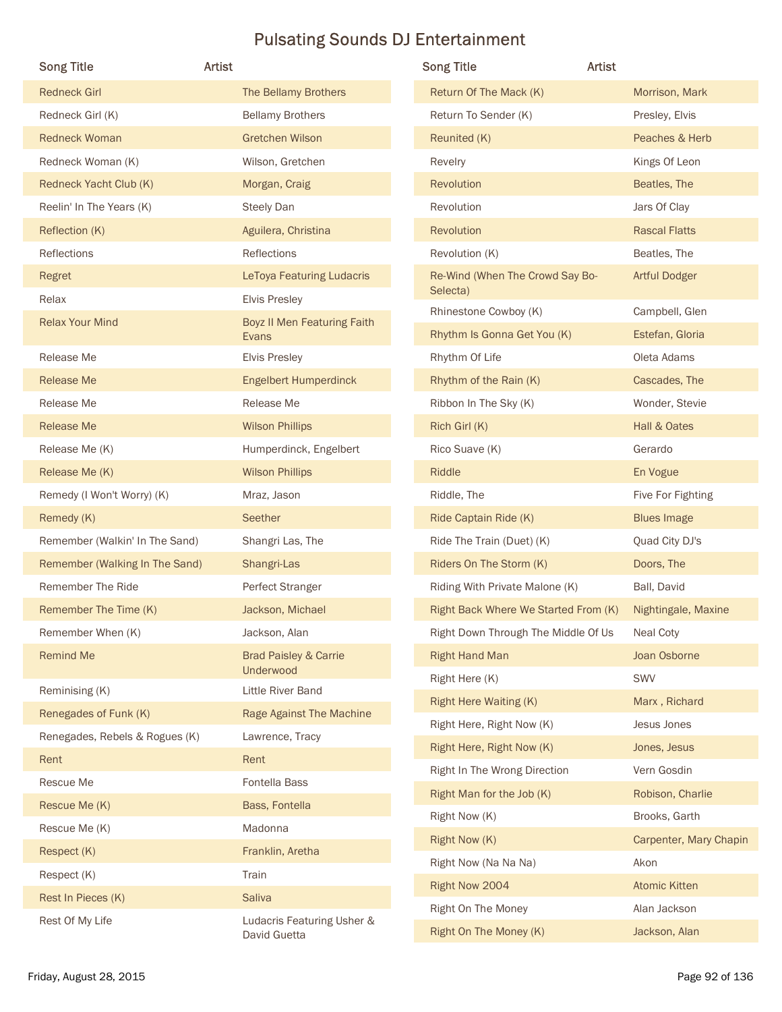|                                       | Artist                                      | <b>Song Title</b><br>Artist          |                        |
|---------------------------------------|---------------------------------------------|--------------------------------------|------------------------|
| <b>Redneck Girl</b>                   | The Bellamy Brothers                        | Return Of The Mack (K)               | Morrison, Mark         |
| Redneck Girl (K)                      | <b>Bellamy Brothers</b>                     | Return To Sender (K)                 | Presley, Elvis         |
| Redneck Woman                         | <b>Gretchen Wilson</b>                      | Reunited (K)                         | Peaches & Herb         |
| Redneck Woman (K)                     | Wilson, Gretchen                            | Revelry                              | Kings Of Leon          |
| Redneck Yacht Club (K)                | Morgan, Craig                               | Revolution                           | Beatles, The           |
| Reelin' In The Years (K)              | <b>Steely Dan</b>                           | Revolution                           | Jars Of Clay           |
| Reflection (K)                        | Aguilera, Christina                         | Revolution                           | <b>Rascal Flatts</b>   |
| Reflections                           | Reflections                                 | Revolution (K)                       | Beatles, The           |
| Regret                                | LeToya Featuring Ludacris                   | Re-Wind (When The Crowd Say Bo-      | <b>Artful Dodger</b>   |
| Relax                                 | <b>Elvis Presley</b>                        | Selecta)<br>Rhinestone Cowboy (K)    | Campbell, Glen         |
| <b>Relax Your Mind</b>                | <b>Boyz II Men Featuring Faith</b><br>Evans | Rhythm Is Gonna Get You (K)          | Estefan, Gloria        |
| Release Me                            | <b>Elvis Presley</b>                        | Rhythm Of Life                       | Oleta Adams            |
| Release Me                            | <b>Engelbert Humperdinck</b>                | Rhythm of the Rain (K)               | Cascades, The          |
| Release Me                            | Release Me                                  | Ribbon In The Sky (K)                | Wonder, Stevie         |
| Release Me                            | <b>Wilson Phillips</b>                      | Rich Girl (K)                        | Hall & Oates           |
| Release Me (K)                        | Humperdinck, Engelbert                      | Rico Suave (K)                       | Gerardo                |
| Release Me (K)                        | <b>Wilson Phillips</b>                      | Riddle                               | En Vogue               |
| Remedy (I Won't Worry) (K)            | Mraz, Jason                                 | Riddle, The                          | Five For Fighting      |
| Remedy (K)                            | Seether                                     | Ride Captain Ride (K)                | <b>Blues Image</b>     |
| Remember (Walkin' In The Sand)        | Shangri Las, The                            | Ride The Train (Duet) (K)            | Quad City DJ's         |
| Remember (Walking In The Sand)        | Shangri-Las                                 | Riders On The Storm (K)              | Doors, The             |
| Remember The Ride                     | Perfect Stranger                            | Riding With Private Malone (K)       | Ball, David            |
| Remember The Time (K)                 | Jackson, Michael                            | Right Back Where We Started From (K) | Nightingale, Maxine    |
| Remember When (K)                     | Jackson, Alan                               | Right Down Through The Middle Of Us  | Neal Coty              |
| Remind Me                             | <b>Brad Paisley &amp; Carrie</b>            | <b>Right Hand Man</b>                | Joan Osborne           |
| Reminising (K)                        | Underwood<br>Little River Band              | Right Here (K)                       | SWV                    |
| Renegades of Funk (K)                 | Rage Against The Machine                    | <b>Right Here Waiting (K)</b>        | Marx, Richard          |
| Renegades, Rebels & Rogues (K)        | Lawrence, Tracy                             | Right Here, Right Now (K)            | Jesus Jones            |
| Rent                                  | Rent                                        | Right Here, Right Now (K)            | Jones, Jesus           |
| Rescue Me                             | Fontella Bass                               | Right In The Wrong Direction         | Vern Gosdin            |
| Rescue Me (K)                         | Bass, Fontella                              | Right Man for the Job (K)            | Robison, Charlie       |
| Rescue Me (K)                         | Madonna                                     | Right Now (K)                        | Brooks, Garth          |
| Respect (K)                           | Franklin, Aretha                            | Right Now (K)                        | Carpenter, Mary Chapin |
| Respect (K)                           | Train                                       | Right Now (Na Na Na)                 | Akon                   |
|                                       | Saliva                                      | Right Now 2004                       | <b>Atomic Kitten</b>   |
|                                       |                                             |                                      | Alan Jackson           |
| Rest In Pieces (K)<br>Rest Of My Life | Ludacris Featuring Usher &                  | Right On The Money                   | Jackson, Alan          |

| <b>Intertainment</b><br><b>Song Title</b><br><b>Artist</b><br>Return Of The Mack (K)<br>Return To Sender (K)<br>Reunited (K)<br>Revelry | Morrison, Mark<br>Presley, Elvis |
|-----------------------------------------------------------------------------------------------------------------------------------------|----------------------------------|
|                                                                                                                                         |                                  |
|                                                                                                                                         |                                  |
|                                                                                                                                         |                                  |
|                                                                                                                                         |                                  |
|                                                                                                                                         | Peaches & Herb                   |
|                                                                                                                                         | Kings Of Leon                    |
| Revolution                                                                                                                              | Beatles, The                     |
| Revolution                                                                                                                              | Jars Of Clay                     |
| Revolution                                                                                                                              | <b>Rascal Flatts</b>             |
| Revolution (K)                                                                                                                          | Beatles, The                     |
| Re-Wind (When The Crowd Say Bo-<br>Selecta)                                                                                             | Artful Dodger                    |
| Rhinestone Cowboy (K)                                                                                                                   | Campbell, Glen                   |
| Rhythm Is Gonna Get You (K)                                                                                                             | Estefan, Gloria                  |
| Rhythm Of Life                                                                                                                          | Oleta Adams                      |
| Rhythm of the Rain (K)                                                                                                                  | Cascades, The                    |
| Ribbon In The Sky (K)                                                                                                                   | Wonder, Stevie                   |
| Rich Girl (K)                                                                                                                           | Hall & Oates                     |
| Rico Suave (K)                                                                                                                          | Gerardo                          |
| Riddle                                                                                                                                  | En Vogue                         |
| Riddle, The                                                                                                                             | Five For Fighting                |
| Ride Captain Ride (K)                                                                                                                   | <b>Blues Image</b>               |
| Ride The Train (Duet) (K)                                                                                                               | Quad City DJ's                   |
| Riders On The Storm (K)                                                                                                                 | Doors, The                       |
| Riding With Private Malone (K)                                                                                                          | Ball, David                      |
| Right Back Where We Started From (K)                                                                                                    | Nightingale, Maxine              |
| Right Down Through The Middle Of Us                                                                                                     | <b>Neal Coty</b>                 |
| <b>Right Hand Man</b>                                                                                                                   | Joan Osborne                     |
| Right Here (K)                                                                                                                          | SWV                              |
| <b>Right Here Waiting (K)</b>                                                                                                           | Marx, Richard                    |
| Right Here, Right Now (K)                                                                                                               | Jesus Jones                      |
| Right Here, Right Now (K)                                                                                                               | Jones, Jesus                     |
| Right In The Wrong Direction                                                                                                            | Vern Gosdin                      |
| Right Man for the Job (K)                                                                                                               | Robison, Charlie                 |
| Right Now (K)                                                                                                                           | Brooks, Garth                    |
| Right Now (K)                                                                                                                           | Carpenter, Mary Chapin           |
| Right Now (Na Na Na)                                                                                                                    | Akon                             |
| Right Now 2004                                                                                                                          | <b>Atomic Kitten</b>             |
| Right On The Money                                                                                                                      | Alan Jackson                     |
| Right On The Money (K)                                                                                                                  | Jackson, Alan                    |
|                                                                                                                                         | Page 92 of 136                   |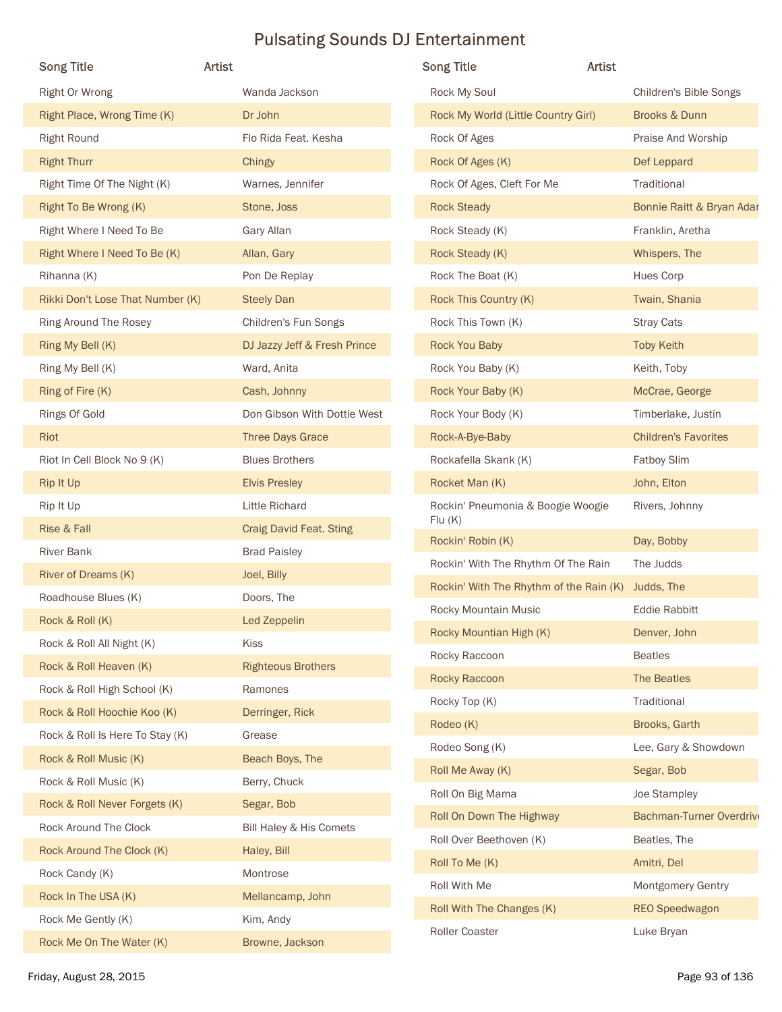| <b>Song Title</b><br>Artist<br><b>Song Title</b><br>Artist<br>Right Or Wrong<br>Wanda Jackson<br>Rock My Soul<br>Children's Bible Songs<br>Right Place, Wrong Time (K)<br>Dr John<br>Rock My World (Little Country Girl)<br>Brooks & Dunn<br>Flo Rida Feat. Kesha<br><b>Right Round</b><br>Rock Of Ages<br>Praise And Worship<br><b>Right Thurr</b><br>Rock Of Ages (K)<br>Chingy<br>Def Leppard<br>Right Time Of The Night (K)<br>Warnes, Jennifer<br>Rock Of Ages, Cleft For Me<br>Traditional<br>Bonnie Raitt & Bryan Adar<br>Stone, Joss<br><b>Rock Steady</b><br>Right To Be Wrong (K)<br>Right Where I Need To Be<br>Gary Allan<br>Rock Steady (K)<br>Franklin, Aretha<br>Right Where I Need To Be (K)<br>Allan, Gary<br>Rock Steady (K)<br>Whispers, The<br>Pon De Replay<br>Rock The Boat (K)<br><b>Hues Corp</b><br>Rihanna (K)<br>Rikki Don't Lose That Number (K)<br><b>Steely Dan</b><br>Rock This Country (K)<br>Twain, Shania<br><b>Stray Cats</b><br>Ring Around The Rosey<br>Children's Fun Songs<br>Rock This Town (K)<br><b>Toby Keith</b><br>Ring My Bell (K)<br>DJ Jazzy Jeff & Fresh Prince<br>Rock You Baby<br>Ward, Anita<br>Ring My Bell (K)<br>Rock You Baby (K)<br>Keith, Toby<br>Ring of Fire (K)<br>Cash, Johnny<br>Rock Your Baby (K)<br>McCrae, George<br>Rings Of Gold<br>Don Gibson With Dottie West<br>Rock Your Body (K)<br>Timberlake, Justin<br>Riot<br>Three Days Grace<br>Rock-A-Bye-Baby<br><b>Children's Favorites</b><br>Riot In Cell Block No 9 (K)<br><b>Blues Brothers</b><br>Rockafella Skank (K)<br><b>Fatboy Slim</b><br>John, Elton<br>Rip It Up<br><b>Elvis Presley</b><br>Rocket Man (K)<br>Little Richard<br>Rockin' Pneumonia & Boogie Woogie<br>Rip It Up<br>Rivers, Johnny<br>Flu (K)<br>Rise & Fall<br><b>Craig David Feat. Sting</b><br>Rockin' Robin (K)<br>Day, Bobby<br><b>River Bank</b><br><b>Brad Paisley</b><br>Rockin' With The Rhythm Of The Rain<br>The Judds<br>River of Dreams (K)<br>Joel, Billy<br>Rockin' With The Rhythm of the Rain (K)<br>Judds, The<br>Roadhouse Blues (K)<br>Doors, The<br>Rocky Mountain Music<br><b>Eddie Rabbitt</b><br>Rock & Roll (K)<br>Led Zeppelin<br>Rocky Mountian High (K)<br>Denver, John<br>Rock & Roll All Night (K)<br>Kiss<br>Rocky Raccoon<br><b>Beatles</b><br>Rock & Roll Heaven (K)<br><b>Righteous Brothers</b><br>Rocky Raccoon<br>The Beatles<br>Rock & Roll High School (K)<br>Ramones<br>Rocky Top (K)<br>Traditional<br>Rock & Roll Hoochie Koo (K)<br>Derringer, Rick<br>Rodeo (K)<br>Brooks, Garth<br>Rock & Roll Is Here To Stay (K)<br>Grease<br>Rodeo Song (K)<br>Lee, Gary & Showdown<br>Rock & Roll Music (K)<br>Beach Boys, The<br>Roll Me Away (K)<br>Segar, Bob<br>Berry, Chuck<br>Rock & Roll Music (K)<br>Roll On Big Mama<br>Joe Stampley<br>Segar, Bob<br>Rock & Roll Never Forgets (K)<br>Roll On Down The Highway<br>Bachman-Turner Overdriv<br>Rock Around The Clock<br>Bill Haley & His Comets<br>Roll Over Beethoven (K)<br>Beatles, The<br>Rock Around The Clock (K)<br>Haley, Bill<br>Roll To Me (K)<br>Amitri, Del<br>Rock Candy (K)<br>Montrose<br>Roll With Me<br>Montgomery Gentry<br>Rock In The USA (K)<br>Mellancamp, John<br>Roll With The Changes (K)<br>REO Speedwagon<br>Rock Me Gently (K)<br>Kim, Andy<br>Roller Coaster<br>Luke Bryan<br>Rock Me On The Water (K)<br>Browne, Jackson<br>Page 93 of 136 |  | <b>Pulsating Sounds DJ Entertainment</b> |  |  |  |
|-----------------------------------------------------------------------------------------------------------------------------------------------------------------------------------------------------------------------------------------------------------------------------------------------------------------------------------------------------------------------------------------------------------------------------------------------------------------------------------------------------------------------------------------------------------------------------------------------------------------------------------------------------------------------------------------------------------------------------------------------------------------------------------------------------------------------------------------------------------------------------------------------------------------------------------------------------------------------------------------------------------------------------------------------------------------------------------------------------------------------------------------------------------------------------------------------------------------------------------------------------------------------------------------------------------------------------------------------------------------------------------------------------------------------------------------------------------------------------------------------------------------------------------------------------------------------------------------------------------------------------------------------------------------------------------------------------------------------------------------------------------------------------------------------------------------------------------------------------------------------------------------------------------------------------------------------------------------------------------------------------------------------------------------------------------------------------------------------------------------------------------------------------------------------------------------------------------------------------------------------------------------------------------------------------------------------------------------------------------------------------------------------------------------------------------------------------------------------------------------------------------------------------------------------------------------------------------------------------------------------------------------------------------------------------------------------------------------------------------------------------------------------------------------------------------------------------------------------------------------------------------------------------------------------------------------------------------------------------------------------------------------------------------------------------------------------------------------------------------------------------------------------------------------------------------------------------------------------------------------------------------------------------------------------------------------------------------------------------------------|--|------------------------------------------|--|--|--|
|                                                                                                                                                                                                                                                                                                                                                                                                                                                                                                                                                                                                                                                                                                                                                                                                                                                                                                                                                                                                                                                                                                                                                                                                                                                                                                                                                                                                                                                                                                                                                                                                                                                                                                                                                                                                                                                                                                                                                                                                                                                                                                                                                                                                                                                                                                                                                                                                                                                                                                                                                                                                                                                                                                                                                                                                                                                                                                                                                                                                                                                                                                                                                                                                                                                                                                                                                                 |  |                                          |  |  |  |
|                                                                                                                                                                                                                                                                                                                                                                                                                                                                                                                                                                                                                                                                                                                                                                                                                                                                                                                                                                                                                                                                                                                                                                                                                                                                                                                                                                                                                                                                                                                                                                                                                                                                                                                                                                                                                                                                                                                                                                                                                                                                                                                                                                                                                                                                                                                                                                                                                                                                                                                                                                                                                                                                                                                                                                                                                                                                                                                                                                                                                                                                                                                                                                                                                                                                                                                                                                 |  |                                          |  |  |  |
|                                                                                                                                                                                                                                                                                                                                                                                                                                                                                                                                                                                                                                                                                                                                                                                                                                                                                                                                                                                                                                                                                                                                                                                                                                                                                                                                                                                                                                                                                                                                                                                                                                                                                                                                                                                                                                                                                                                                                                                                                                                                                                                                                                                                                                                                                                                                                                                                                                                                                                                                                                                                                                                                                                                                                                                                                                                                                                                                                                                                                                                                                                                                                                                                                                                                                                                                                                 |  |                                          |  |  |  |
|                                                                                                                                                                                                                                                                                                                                                                                                                                                                                                                                                                                                                                                                                                                                                                                                                                                                                                                                                                                                                                                                                                                                                                                                                                                                                                                                                                                                                                                                                                                                                                                                                                                                                                                                                                                                                                                                                                                                                                                                                                                                                                                                                                                                                                                                                                                                                                                                                                                                                                                                                                                                                                                                                                                                                                                                                                                                                                                                                                                                                                                                                                                                                                                                                                                                                                                                                                 |  |                                          |  |  |  |
|                                                                                                                                                                                                                                                                                                                                                                                                                                                                                                                                                                                                                                                                                                                                                                                                                                                                                                                                                                                                                                                                                                                                                                                                                                                                                                                                                                                                                                                                                                                                                                                                                                                                                                                                                                                                                                                                                                                                                                                                                                                                                                                                                                                                                                                                                                                                                                                                                                                                                                                                                                                                                                                                                                                                                                                                                                                                                                                                                                                                                                                                                                                                                                                                                                                                                                                                                                 |  |                                          |  |  |  |
|                                                                                                                                                                                                                                                                                                                                                                                                                                                                                                                                                                                                                                                                                                                                                                                                                                                                                                                                                                                                                                                                                                                                                                                                                                                                                                                                                                                                                                                                                                                                                                                                                                                                                                                                                                                                                                                                                                                                                                                                                                                                                                                                                                                                                                                                                                                                                                                                                                                                                                                                                                                                                                                                                                                                                                                                                                                                                                                                                                                                                                                                                                                                                                                                                                                                                                                                                                 |  |                                          |  |  |  |
|                                                                                                                                                                                                                                                                                                                                                                                                                                                                                                                                                                                                                                                                                                                                                                                                                                                                                                                                                                                                                                                                                                                                                                                                                                                                                                                                                                                                                                                                                                                                                                                                                                                                                                                                                                                                                                                                                                                                                                                                                                                                                                                                                                                                                                                                                                                                                                                                                                                                                                                                                                                                                                                                                                                                                                                                                                                                                                                                                                                                                                                                                                                                                                                                                                                                                                                                                                 |  |                                          |  |  |  |
|                                                                                                                                                                                                                                                                                                                                                                                                                                                                                                                                                                                                                                                                                                                                                                                                                                                                                                                                                                                                                                                                                                                                                                                                                                                                                                                                                                                                                                                                                                                                                                                                                                                                                                                                                                                                                                                                                                                                                                                                                                                                                                                                                                                                                                                                                                                                                                                                                                                                                                                                                                                                                                                                                                                                                                                                                                                                                                                                                                                                                                                                                                                                                                                                                                                                                                                                                                 |  |                                          |  |  |  |
|                                                                                                                                                                                                                                                                                                                                                                                                                                                                                                                                                                                                                                                                                                                                                                                                                                                                                                                                                                                                                                                                                                                                                                                                                                                                                                                                                                                                                                                                                                                                                                                                                                                                                                                                                                                                                                                                                                                                                                                                                                                                                                                                                                                                                                                                                                                                                                                                                                                                                                                                                                                                                                                                                                                                                                                                                                                                                                                                                                                                                                                                                                                                                                                                                                                                                                                                                                 |  |                                          |  |  |  |
|                                                                                                                                                                                                                                                                                                                                                                                                                                                                                                                                                                                                                                                                                                                                                                                                                                                                                                                                                                                                                                                                                                                                                                                                                                                                                                                                                                                                                                                                                                                                                                                                                                                                                                                                                                                                                                                                                                                                                                                                                                                                                                                                                                                                                                                                                                                                                                                                                                                                                                                                                                                                                                                                                                                                                                                                                                                                                                                                                                                                                                                                                                                                                                                                                                                                                                                                                                 |  |                                          |  |  |  |
|                                                                                                                                                                                                                                                                                                                                                                                                                                                                                                                                                                                                                                                                                                                                                                                                                                                                                                                                                                                                                                                                                                                                                                                                                                                                                                                                                                                                                                                                                                                                                                                                                                                                                                                                                                                                                                                                                                                                                                                                                                                                                                                                                                                                                                                                                                                                                                                                                                                                                                                                                                                                                                                                                                                                                                                                                                                                                                                                                                                                                                                                                                                                                                                                                                                                                                                                                                 |  |                                          |  |  |  |
| Friday, August 28, 2015                                                                                                                                                                                                                                                                                                                                                                                                                                                                                                                                                                                                                                                                                                                                                                                                                                                                                                                                                                                                                                                                                                                                                                                                                                                                                                                                                                                                                                                                                                                                                                                                                                                                                                                                                                                                                                                                                                                                                                                                                                                                                                                                                                                                                                                                                                                                                                                                                                                                                                                                                                                                                                                                                                                                                                                                                                                                                                                                                                                                                                                                                                                                                                                                                                                                                                                                         |  |                                          |  |  |  |
|                                                                                                                                                                                                                                                                                                                                                                                                                                                                                                                                                                                                                                                                                                                                                                                                                                                                                                                                                                                                                                                                                                                                                                                                                                                                                                                                                                                                                                                                                                                                                                                                                                                                                                                                                                                                                                                                                                                                                                                                                                                                                                                                                                                                                                                                                                                                                                                                                                                                                                                                                                                                                                                                                                                                                                                                                                                                                                                                                                                                                                                                                                                                                                                                                                                                                                                                                                 |  |                                          |  |  |  |
|                                                                                                                                                                                                                                                                                                                                                                                                                                                                                                                                                                                                                                                                                                                                                                                                                                                                                                                                                                                                                                                                                                                                                                                                                                                                                                                                                                                                                                                                                                                                                                                                                                                                                                                                                                                                                                                                                                                                                                                                                                                                                                                                                                                                                                                                                                                                                                                                                                                                                                                                                                                                                                                                                                                                                                                                                                                                                                                                                                                                                                                                                                                                                                                                                                                                                                                                                                 |  |                                          |  |  |  |
|                                                                                                                                                                                                                                                                                                                                                                                                                                                                                                                                                                                                                                                                                                                                                                                                                                                                                                                                                                                                                                                                                                                                                                                                                                                                                                                                                                                                                                                                                                                                                                                                                                                                                                                                                                                                                                                                                                                                                                                                                                                                                                                                                                                                                                                                                                                                                                                                                                                                                                                                                                                                                                                                                                                                                                                                                                                                                                                                                                                                                                                                                                                                                                                                                                                                                                                                                                 |  |                                          |  |  |  |
|                                                                                                                                                                                                                                                                                                                                                                                                                                                                                                                                                                                                                                                                                                                                                                                                                                                                                                                                                                                                                                                                                                                                                                                                                                                                                                                                                                                                                                                                                                                                                                                                                                                                                                                                                                                                                                                                                                                                                                                                                                                                                                                                                                                                                                                                                                                                                                                                                                                                                                                                                                                                                                                                                                                                                                                                                                                                                                                                                                                                                                                                                                                                                                                                                                                                                                                                                                 |  |                                          |  |  |  |
|                                                                                                                                                                                                                                                                                                                                                                                                                                                                                                                                                                                                                                                                                                                                                                                                                                                                                                                                                                                                                                                                                                                                                                                                                                                                                                                                                                                                                                                                                                                                                                                                                                                                                                                                                                                                                                                                                                                                                                                                                                                                                                                                                                                                                                                                                                                                                                                                                                                                                                                                                                                                                                                                                                                                                                                                                                                                                                                                                                                                                                                                                                                                                                                                                                                                                                                                                                 |  |                                          |  |  |  |
|                                                                                                                                                                                                                                                                                                                                                                                                                                                                                                                                                                                                                                                                                                                                                                                                                                                                                                                                                                                                                                                                                                                                                                                                                                                                                                                                                                                                                                                                                                                                                                                                                                                                                                                                                                                                                                                                                                                                                                                                                                                                                                                                                                                                                                                                                                                                                                                                                                                                                                                                                                                                                                                                                                                                                                                                                                                                                                                                                                                                                                                                                                                                                                                                                                                                                                                                                                 |  |                                          |  |  |  |
|                                                                                                                                                                                                                                                                                                                                                                                                                                                                                                                                                                                                                                                                                                                                                                                                                                                                                                                                                                                                                                                                                                                                                                                                                                                                                                                                                                                                                                                                                                                                                                                                                                                                                                                                                                                                                                                                                                                                                                                                                                                                                                                                                                                                                                                                                                                                                                                                                                                                                                                                                                                                                                                                                                                                                                                                                                                                                                                                                                                                                                                                                                                                                                                                                                                                                                                                                                 |  |                                          |  |  |  |
|                                                                                                                                                                                                                                                                                                                                                                                                                                                                                                                                                                                                                                                                                                                                                                                                                                                                                                                                                                                                                                                                                                                                                                                                                                                                                                                                                                                                                                                                                                                                                                                                                                                                                                                                                                                                                                                                                                                                                                                                                                                                                                                                                                                                                                                                                                                                                                                                                                                                                                                                                                                                                                                                                                                                                                                                                                                                                                                                                                                                                                                                                                                                                                                                                                                                                                                                                                 |  |                                          |  |  |  |
|                                                                                                                                                                                                                                                                                                                                                                                                                                                                                                                                                                                                                                                                                                                                                                                                                                                                                                                                                                                                                                                                                                                                                                                                                                                                                                                                                                                                                                                                                                                                                                                                                                                                                                                                                                                                                                                                                                                                                                                                                                                                                                                                                                                                                                                                                                                                                                                                                                                                                                                                                                                                                                                                                                                                                                                                                                                                                                                                                                                                                                                                                                                                                                                                                                                                                                                                                                 |  |                                          |  |  |  |
|                                                                                                                                                                                                                                                                                                                                                                                                                                                                                                                                                                                                                                                                                                                                                                                                                                                                                                                                                                                                                                                                                                                                                                                                                                                                                                                                                                                                                                                                                                                                                                                                                                                                                                                                                                                                                                                                                                                                                                                                                                                                                                                                                                                                                                                                                                                                                                                                                                                                                                                                                                                                                                                                                                                                                                                                                                                                                                                                                                                                                                                                                                                                                                                                                                                                                                                                                                 |  |                                          |  |  |  |
|                                                                                                                                                                                                                                                                                                                                                                                                                                                                                                                                                                                                                                                                                                                                                                                                                                                                                                                                                                                                                                                                                                                                                                                                                                                                                                                                                                                                                                                                                                                                                                                                                                                                                                                                                                                                                                                                                                                                                                                                                                                                                                                                                                                                                                                                                                                                                                                                                                                                                                                                                                                                                                                                                                                                                                                                                                                                                                                                                                                                                                                                                                                                                                                                                                                                                                                                                                 |  |                                          |  |  |  |
|                                                                                                                                                                                                                                                                                                                                                                                                                                                                                                                                                                                                                                                                                                                                                                                                                                                                                                                                                                                                                                                                                                                                                                                                                                                                                                                                                                                                                                                                                                                                                                                                                                                                                                                                                                                                                                                                                                                                                                                                                                                                                                                                                                                                                                                                                                                                                                                                                                                                                                                                                                                                                                                                                                                                                                                                                                                                                                                                                                                                                                                                                                                                                                                                                                                                                                                                                                 |  |                                          |  |  |  |
|                                                                                                                                                                                                                                                                                                                                                                                                                                                                                                                                                                                                                                                                                                                                                                                                                                                                                                                                                                                                                                                                                                                                                                                                                                                                                                                                                                                                                                                                                                                                                                                                                                                                                                                                                                                                                                                                                                                                                                                                                                                                                                                                                                                                                                                                                                                                                                                                                                                                                                                                                                                                                                                                                                                                                                                                                                                                                                                                                                                                                                                                                                                                                                                                                                                                                                                                                                 |  |                                          |  |  |  |
|                                                                                                                                                                                                                                                                                                                                                                                                                                                                                                                                                                                                                                                                                                                                                                                                                                                                                                                                                                                                                                                                                                                                                                                                                                                                                                                                                                                                                                                                                                                                                                                                                                                                                                                                                                                                                                                                                                                                                                                                                                                                                                                                                                                                                                                                                                                                                                                                                                                                                                                                                                                                                                                                                                                                                                                                                                                                                                                                                                                                                                                                                                                                                                                                                                                                                                                                                                 |  |                                          |  |  |  |
|                                                                                                                                                                                                                                                                                                                                                                                                                                                                                                                                                                                                                                                                                                                                                                                                                                                                                                                                                                                                                                                                                                                                                                                                                                                                                                                                                                                                                                                                                                                                                                                                                                                                                                                                                                                                                                                                                                                                                                                                                                                                                                                                                                                                                                                                                                                                                                                                                                                                                                                                                                                                                                                                                                                                                                                                                                                                                                                                                                                                                                                                                                                                                                                                                                                                                                                                                                 |  |                                          |  |  |  |
|                                                                                                                                                                                                                                                                                                                                                                                                                                                                                                                                                                                                                                                                                                                                                                                                                                                                                                                                                                                                                                                                                                                                                                                                                                                                                                                                                                                                                                                                                                                                                                                                                                                                                                                                                                                                                                                                                                                                                                                                                                                                                                                                                                                                                                                                                                                                                                                                                                                                                                                                                                                                                                                                                                                                                                                                                                                                                                                                                                                                                                                                                                                                                                                                                                                                                                                                                                 |  |                                          |  |  |  |
|                                                                                                                                                                                                                                                                                                                                                                                                                                                                                                                                                                                                                                                                                                                                                                                                                                                                                                                                                                                                                                                                                                                                                                                                                                                                                                                                                                                                                                                                                                                                                                                                                                                                                                                                                                                                                                                                                                                                                                                                                                                                                                                                                                                                                                                                                                                                                                                                                                                                                                                                                                                                                                                                                                                                                                                                                                                                                                                                                                                                                                                                                                                                                                                                                                                                                                                                                                 |  |                                          |  |  |  |
|                                                                                                                                                                                                                                                                                                                                                                                                                                                                                                                                                                                                                                                                                                                                                                                                                                                                                                                                                                                                                                                                                                                                                                                                                                                                                                                                                                                                                                                                                                                                                                                                                                                                                                                                                                                                                                                                                                                                                                                                                                                                                                                                                                                                                                                                                                                                                                                                                                                                                                                                                                                                                                                                                                                                                                                                                                                                                                                                                                                                                                                                                                                                                                                                                                                                                                                                                                 |  |                                          |  |  |  |
|                                                                                                                                                                                                                                                                                                                                                                                                                                                                                                                                                                                                                                                                                                                                                                                                                                                                                                                                                                                                                                                                                                                                                                                                                                                                                                                                                                                                                                                                                                                                                                                                                                                                                                                                                                                                                                                                                                                                                                                                                                                                                                                                                                                                                                                                                                                                                                                                                                                                                                                                                                                                                                                                                                                                                                                                                                                                                                                                                                                                                                                                                                                                                                                                                                                                                                                                                                 |  |                                          |  |  |  |
|                                                                                                                                                                                                                                                                                                                                                                                                                                                                                                                                                                                                                                                                                                                                                                                                                                                                                                                                                                                                                                                                                                                                                                                                                                                                                                                                                                                                                                                                                                                                                                                                                                                                                                                                                                                                                                                                                                                                                                                                                                                                                                                                                                                                                                                                                                                                                                                                                                                                                                                                                                                                                                                                                                                                                                                                                                                                                                                                                                                                                                                                                                                                                                                                                                                                                                                                                                 |  |                                          |  |  |  |
|                                                                                                                                                                                                                                                                                                                                                                                                                                                                                                                                                                                                                                                                                                                                                                                                                                                                                                                                                                                                                                                                                                                                                                                                                                                                                                                                                                                                                                                                                                                                                                                                                                                                                                                                                                                                                                                                                                                                                                                                                                                                                                                                                                                                                                                                                                                                                                                                                                                                                                                                                                                                                                                                                                                                                                                                                                                                                                                                                                                                                                                                                                                                                                                                                                                                                                                                                                 |  |                                          |  |  |  |
|                                                                                                                                                                                                                                                                                                                                                                                                                                                                                                                                                                                                                                                                                                                                                                                                                                                                                                                                                                                                                                                                                                                                                                                                                                                                                                                                                                                                                                                                                                                                                                                                                                                                                                                                                                                                                                                                                                                                                                                                                                                                                                                                                                                                                                                                                                                                                                                                                                                                                                                                                                                                                                                                                                                                                                                                                                                                                                                                                                                                                                                                                                                                                                                                                                                                                                                                                                 |  |                                          |  |  |  |
|                                                                                                                                                                                                                                                                                                                                                                                                                                                                                                                                                                                                                                                                                                                                                                                                                                                                                                                                                                                                                                                                                                                                                                                                                                                                                                                                                                                                                                                                                                                                                                                                                                                                                                                                                                                                                                                                                                                                                                                                                                                                                                                                                                                                                                                                                                                                                                                                                                                                                                                                                                                                                                                                                                                                                                                                                                                                                                                                                                                                                                                                                                                                                                                                                                                                                                                                                                 |  |                                          |  |  |  |
|                                                                                                                                                                                                                                                                                                                                                                                                                                                                                                                                                                                                                                                                                                                                                                                                                                                                                                                                                                                                                                                                                                                                                                                                                                                                                                                                                                                                                                                                                                                                                                                                                                                                                                                                                                                                                                                                                                                                                                                                                                                                                                                                                                                                                                                                                                                                                                                                                                                                                                                                                                                                                                                                                                                                                                                                                                                                                                                                                                                                                                                                                                                                                                                                                                                                                                                                                                 |  |                                          |  |  |  |
|                                                                                                                                                                                                                                                                                                                                                                                                                                                                                                                                                                                                                                                                                                                                                                                                                                                                                                                                                                                                                                                                                                                                                                                                                                                                                                                                                                                                                                                                                                                                                                                                                                                                                                                                                                                                                                                                                                                                                                                                                                                                                                                                                                                                                                                                                                                                                                                                                                                                                                                                                                                                                                                                                                                                                                                                                                                                                                                                                                                                                                                                                                                                                                                                                                                                                                                                                                 |  |                                          |  |  |  |
|                                                                                                                                                                                                                                                                                                                                                                                                                                                                                                                                                                                                                                                                                                                                                                                                                                                                                                                                                                                                                                                                                                                                                                                                                                                                                                                                                                                                                                                                                                                                                                                                                                                                                                                                                                                                                                                                                                                                                                                                                                                                                                                                                                                                                                                                                                                                                                                                                                                                                                                                                                                                                                                                                                                                                                                                                                                                                                                                                                                                                                                                                                                                                                                                                                                                                                                                                                 |  |                                          |  |  |  |
|                                                                                                                                                                                                                                                                                                                                                                                                                                                                                                                                                                                                                                                                                                                                                                                                                                                                                                                                                                                                                                                                                                                                                                                                                                                                                                                                                                                                                                                                                                                                                                                                                                                                                                                                                                                                                                                                                                                                                                                                                                                                                                                                                                                                                                                                                                                                                                                                                                                                                                                                                                                                                                                                                                                                                                                                                                                                                                                                                                                                                                                                                                                                                                                                                                                                                                                                                                 |  |                                          |  |  |  |
|                                                                                                                                                                                                                                                                                                                                                                                                                                                                                                                                                                                                                                                                                                                                                                                                                                                                                                                                                                                                                                                                                                                                                                                                                                                                                                                                                                                                                                                                                                                                                                                                                                                                                                                                                                                                                                                                                                                                                                                                                                                                                                                                                                                                                                                                                                                                                                                                                                                                                                                                                                                                                                                                                                                                                                                                                                                                                                                                                                                                                                                                                                                                                                                                                                                                                                                                                                 |  |                                          |  |  |  |

| <b>Intertainment</b>                             |        |                                                 |
|--------------------------------------------------|--------|-------------------------------------------------|
| <b>Song Title</b>                                | Artist |                                                 |
|                                                  |        |                                                 |
| Rock My Soul                                     |        | Children's Bible Songs                          |
| Rock My World (Little Country Girl)              |        | <b>Brooks &amp; Dunn</b>                        |
| Rock Of Ages                                     |        | Praise And Worship                              |
| Rock Of Ages (K)                                 |        | Def Leppard<br>Traditional                      |
| Rock Of Ages, Cleft For Me<br><b>Rock Steady</b> |        | Bonnie Raitt & Bryan Adar                       |
| Rock Steady (K)                                  |        | Franklin, Aretha                                |
| Rock Steady (K)                                  |        | Whispers, The                                   |
| Rock The Boat (K)                                |        | Hues Corp                                       |
| Rock This Country (K)                            |        | Twain, Shania                                   |
| Rock This Town (K)                               |        | <b>Stray Cats</b>                               |
| Rock You Baby                                    |        | <b>Toby Keith</b>                               |
| Rock You Baby (K)                                |        | Keith, Toby                                     |
| Rock Your Baby (K)                               |        | McCrae, George                                  |
| Rock Your Body (K)                               |        | Timberlake, Justin                              |
| Rock-A-Bye-Baby                                  |        | <b>Children's Favorites</b>                     |
| Rockafella Skank (K)                             |        | Fatboy Slim                                     |
| Rocket Man (K)                                   |        | John, Elton                                     |
| Rockin' Pneumonia & Boogie Woogie<br>Flu(K)      |        | Rivers, Johnny                                  |
| Rockin' Robin (K)                                |        | Day, Bobby                                      |
| Rockin' With The Rhythm Of The Rain              |        | The Judds                                       |
| Rockin' With The Rhythm of the Rain (K)          |        | Judds, The                                      |
| Rocky Mountain Music                             |        | <b>Eddie Rabbitt</b>                            |
| Rocky Mountian High (K)                          |        | Denver, John                                    |
| Rocky Raccoon                                    |        | <b>Beatles</b>                                  |
| Rocky Raccoon                                    |        | The Beatles                                     |
| Rocky Top (K)                                    |        | Traditional                                     |
| Rodeo (K)                                        |        | Brooks, Garth                                   |
| Rodeo Song (K)                                   |        | Lee, Gary & Showdown                            |
| Roll Me Away (K)                                 |        | Segar, Bob                                      |
| Roll On Big Mama<br>Roll On Down The Highway     |        | Joe Stampley<br><b>Bachman-Turner Overdrive</b> |
| Roll Over Beethoven (K)                          |        | Beatles, The                                    |
| Roll To Me (K)                                   |        | Amitri, Del                                     |
| Roll With Me                                     |        | Montgomery Gentry                               |
|                                                  |        |                                                 |
|                                                  |        |                                                 |
| Roll With The Changes (K)<br>Roller Coaster      |        | REO Speedwagon<br>Luke Bryan                    |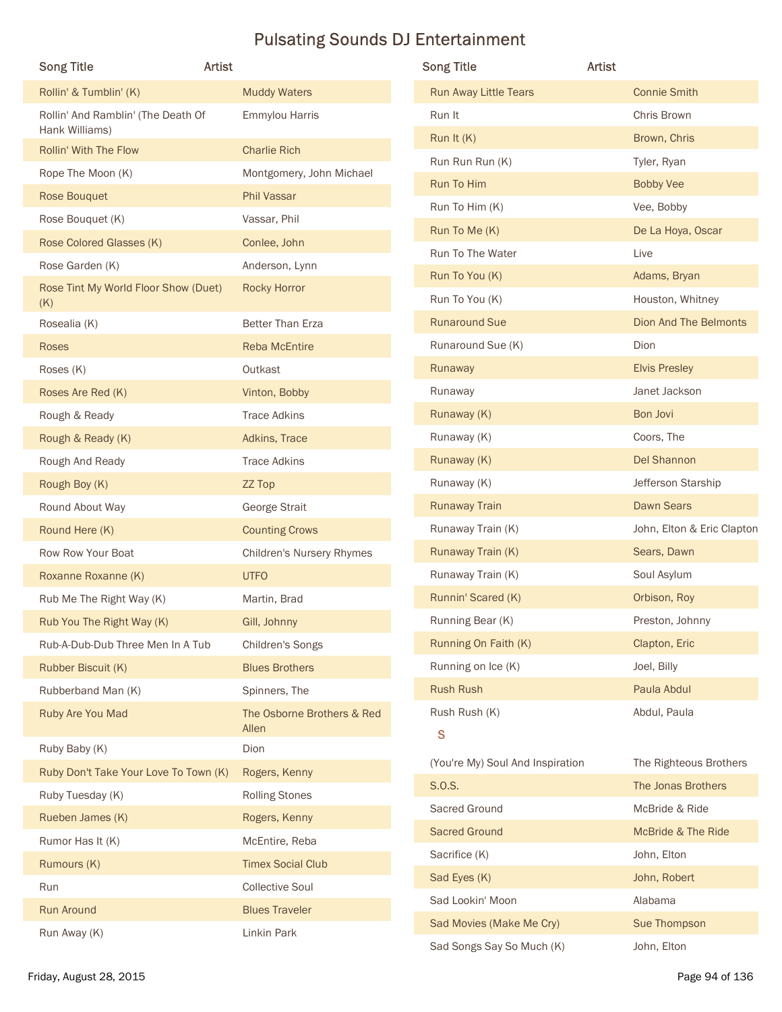| <b>Song Title</b><br>Artist                                  |                                     | <b>Song Title</b><br>Artist      |                                    |
|--------------------------------------------------------------|-------------------------------------|----------------------------------|------------------------------------|
|                                                              |                                     |                                  |                                    |
| Rollin' & Tumblin' (K)<br>Rollin' And Ramblin' (The Death Of | <b>Muddy Waters</b>                 | Run Away Little Tears            | <b>Connie Smith</b><br>Chris Brown |
| Hank Williams)                                               | <b>Emmylou Harris</b>               | Run It                           |                                    |
| Rollin' With The Flow                                        | <b>Charlie Rich</b>                 | Run It (K)                       | Brown, Chris                       |
| Rope The Moon (K)                                            | Montgomery, John Michael            | Run Run Run (K)                  | Tyler, Ryan                        |
| <b>Rose Bouquet</b>                                          | <b>Phil Vassar</b>                  | Run To Him                       | <b>Bobby Vee</b>                   |
| Rose Bouquet (K)                                             | Vassar, Phil                        | Run To Him (K)                   | Vee, Bobby                         |
| Rose Colored Glasses (K)                                     | Conlee, John                        | Run To Me (K)                    | De La Hoya, Oscar                  |
| Rose Garden (K)                                              | Anderson, Lynn                      | Run To The Water                 | Live                               |
| Rose Tint My World Floor Show (Duet)                         | <b>Rocky Horror</b>                 | Run To You (K)                   | Adams, Bryan                       |
| (K)                                                          |                                     | Run To You (K)                   | Houston, Whitney                   |
| Rosealia (K)                                                 | Better Than Erza                    | <b>Runaround Sue</b>             | Dion And The Belmonts              |
| <b>Roses</b>                                                 | <b>Reba McEntire</b>                | Runaround Sue (K)                | Dion                               |
| Roses (K)                                                    | Outkast                             | Runaway                          | <b>Elvis Presley</b>               |
| Roses Are Red (K)                                            | Vinton, Bobby                       | Runaway                          | Janet Jackson                      |
| Rough & Ready                                                | <b>Trace Adkins</b>                 | Runaway (K)                      | Bon Jovi                           |
| Rough & Ready (K)                                            | Adkins, Trace                       | Runaway (K)                      | Coors, The                         |
| Rough And Ready                                              | <b>Trace Adkins</b>                 | Runaway (K)                      | Del Shannon                        |
| Rough Boy (K)                                                | ZZ Top                              | Runaway (K)                      | Jefferson Starship                 |
| Round About Way                                              | George Strait                       | <b>Runaway Train</b>             | Dawn Sears                         |
| Round Here (K)                                               | <b>Counting Crows</b>               | Runaway Train (K)                | John, Elton & Eric Clapton         |
| Row Row Your Boat                                            | Children's Nursery Rhymes           | Runaway Train (K)                | Sears, Dawn                        |
| Roxanne Roxanne (K)                                          | <b>UTFO</b>                         | Runaway Train (K)                | Soul Asylum                        |
| Rub Me The Right Way (K)                                     | Martin, Brad                        | Runnin' Scared (K)               | Orbison, Roy                       |
| Rub You The Right Way (K)                                    | Gill, Johnny                        | Running Bear (K)                 | Preston, Johnny                    |
| Rub-A-Dub-Dub Three Men In A Tub                             | Children's Songs                    | Running On Faith (K)             | Clapton, Eric                      |
| Rubber Biscuit (K)                                           | <b>Blues Brothers</b>               | Running on Ice (K)               | Joel, Billy                        |
| Rubberband Man (K)                                           | Spinners, The                       | Rush Rush                        | Paula Abdul                        |
| Ruby Are You Mad                                             | The Osborne Brothers & Red<br>Allen | Rush Rush (K)<br>S               | Abdul, Paula                       |
| Ruby Baby (K)                                                | Dion                                | (You're My) Soul And Inspiration | The Righteous Brothers             |
| Ruby Don't Take Your Love To Town (K)                        | Rogers, Kenny                       | S.O.S.                           | The Jonas Brothers                 |
| Ruby Tuesday (K)                                             | <b>Rolling Stones</b>               | Sacred Ground                    | McBride & Ride                     |
| Rueben James (K)                                             | Rogers, Kenny                       | <b>Sacred Ground</b>             | McBride & The Ride                 |
| Rumor Has It (K)                                             | McEntire, Reba                      | Sacrifice (K)                    | John, Elton                        |
| Rumours (K)                                                  | <b>Timex Social Club</b>            | Sad Eyes (K)                     | John, Robert                       |
| Run                                                          | <b>Collective Soul</b>              | Sad Lookin' Moon                 | Alabama                            |
| Run Around                                                   | <b>Blues Traveler</b>               | Sad Movies (Make Me Cry)         | Sue Thompson                       |
| Run Away (K)                                                 | Linkin Park                         | Sad Songs Say So Much (K)        | John, Elton                        |
|                                                              |                                     |                                  |                                    |

| <b>Song Title</b><br>Artist                          |                                                      | <b>Song Title</b>                         | Artist                                           |
|------------------------------------------------------|------------------------------------------------------|-------------------------------------------|--------------------------------------------------|
| Rollin' & Tumblin' (K)                               | <b>Muddy Waters</b>                                  | Run Away Little Tears                     | <b>Connie Smith</b>                              |
| Rollin' And Ramblin' (The Death Of<br>Hank Williams) | <b>Emmylou Harris</b>                                | Run It                                    | Chris Brown                                      |
| Rollin' With The Flow                                | <b>Charlie Rich</b>                                  | Run It (K)                                | Brown, Chris                                     |
| Rope The Moon (K)                                    | Montgomery, John Michael                             | Run Run Run (K)                           | Tyler, Ryan                                      |
| <b>Rose Bouquet</b>                                  | <b>Phil Vassar</b>                                   | Run To Him                                | <b>Bobby Vee</b>                                 |
| Rose Bouquet (K)                                     | Vassar, Phil                                         | Run To Him (K)                            | Vee, Bobby                                       |
| Rose Colored Glasses (K)                             | Conlee, John                                         | Run To Me (K)                             | De La Hoya, Oscar                                |
| Rose Garden (K)                                      | Anderson, Lynn                                       | Run To The Water                          | Live                                             |
| Rose Tint My World Floor Show (Duet)                 | <b>Rocky Horror</b>                                  | Run To You (K)                            | Adams, Bryan                                     |
| (K)                                                  |                                                      | Run To You (K)                            | Houston, Whitney<br><b>Dion And The Belmonts</b> |
| Rosealia (K)                                         | Better Than Erza                                     | <b>Runaround Sue</b><br>Runaround Sue (K) |                                                  |
| Roses                                                | Reba McEntire                                        |                                           | Dion<br><b>Elvis Presley</b>                     |
| Roses (K)                                            | Outkast                                              | Runaway                                   | Janet Jackson                                    |
| Roses Are Red (K)                                    | Vinton, Bobby                                        | Runaway<br>Runaway (K)                    | Bon Jovi                                         |
| Rough & Ready                                        | <b>Trace Adkins</b>                                  | Runaway (K)                               | Coors, The                                       |
| Rough & Ready (K)                                    | Adkins, Trace                                        | Runaway (K)                               | Del Shannon                                      |
| Rough And Ready                                      | <b>Trace Adkins</b>                                  | Runaway (K)                               | Jefferson Starship                               |
| Rough Boy (K)                                        | ZZ Top                                               | <b>Runaway Train</b>                      | Dawn Sears                                       |
| Round About Way                                      | George Strait                                        | Runaway Train (K)                         | John, Elton & Eric Clapton                       |
| Round Here (K)                                       | <b>Counting Crows</b>                                | Runaway Train (K)                         | Sears, Dawn                                      |
| Row Row Your Boat                                    | Children's Nursery Rhymes                            | Runaway Train (K)                         | Soul Asylum                                      |
| Roxanne Roxanne (K)                                  | <b>UTFO</b>                                          | Runnin' Scared (K)                        | Orbison, Roy                                     |
| Rub Me The Right Way (K)                             | Martin, Brad                                         | Running Bear (K)                          | Preston, Johnny                                  |
| Rub You The Right Way (K)                            | Gill, Johnny                                         | Running On Faith (K)                      | Clapton, Eric                                    |
| Rub-A-Dub-Dub Three Men In A Tub                     | Children's Songs<br><b>Blues Brothers</b>            | Running on Ice (K)                        | Joel, Billy                                      |
| Rubber Biscuit (K)                                   |                                                      | <b>Rush Rush</b>                          | Paula Abdul                                      |
| Rubberband Man (K)<br>Ruby Are You Mad               | Spinners, The<br>The Osborne Brothers & Red<br>Allen | Rush Rush (K)                             | Abdul, Paula                                     |
| Ruby Baby (K)                                        | Dion                                                 | S                                         |                                                  |
| Ruby Don't Take Your Love To Town (K)                | Rogers, Kenny                                        | (You're My) Soul And Inspiration          | The Righteous Brothers                           |
| Ruby Tuesday (K)                                     | <b>Rolling Stones</b>                                | S.O.S.                                    | The Jonas Brothers                               |
| Rueben James (K)                                     | Rogers, Kenny                                        | Sacred Ground                             | McBride & Ride                                   |
| Rumor Has It (K)                                     | McEntire, Reba                                       | <b>Sacred Ground</b>                      | McBride & The Ride                               |
| Rumours (K)                                          | <b>Timex Social Club</b>                             | Sacrifice (K)                             | John, Elton                                      |
| Run                                                  | <b>Collective Soul</b>                               | Sad Eyes (K)                              | John, Robert                                     |
| Run Around                                           | <b>Blues Traveler</b>                                | Sad Lookin' Moon                          | Alabama                                          |
| Run Away (K)                                         | Linkin Park                                          | Sad Movies (Make Me Cry)                  | Sue Thompson                                     |
|                                                      |                                                      | Sad Songs Say So Much (K)                 | John, Elton                                      |
| Friday, August 28, 2015                              |                                                      |                                           | Page 94 of 136                                   |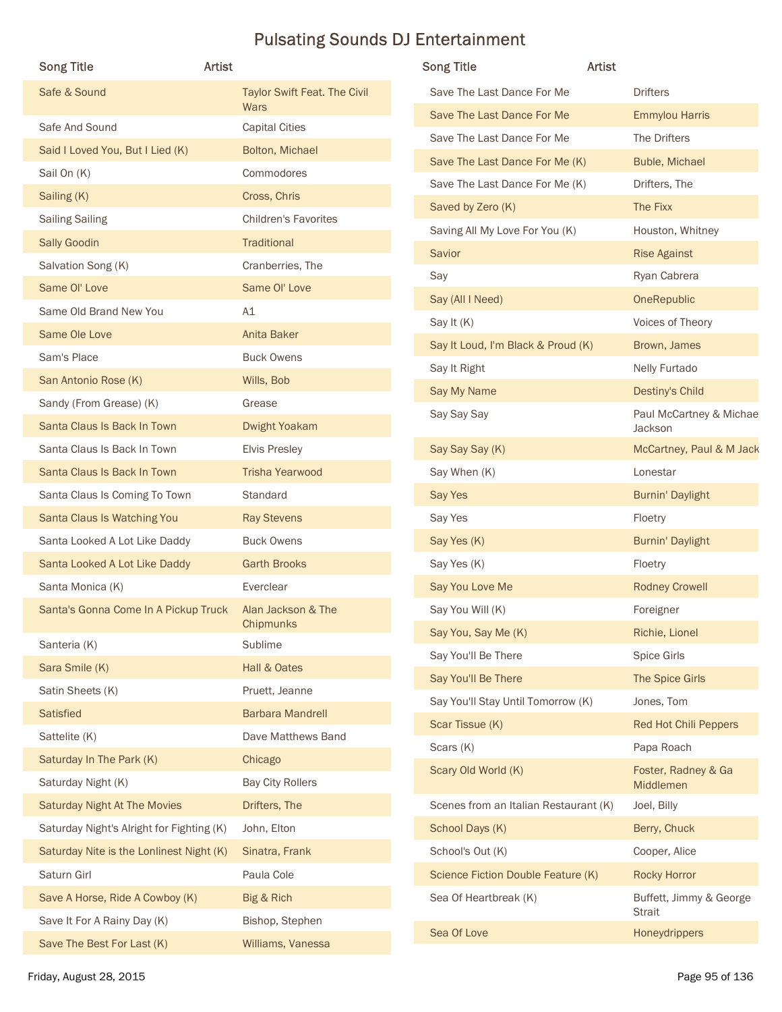|                                           | Artist                                   | <b>Song Title</b><br>Artist           |                                    |
|-------------------------------------------|------------------------------------------|---------------------------------------|------------------------------------|
| Safe & Sound                              | Taylor Swift Feat. The Civil             | Save The Last Dance For Me            | <b>Drifters</b>                    |
| Safe And Sound                            | Wars                                     | Save The Last Dance For Me            | <b>Emmylou Harris</b>              |
| Said I Loved You, But I Lied (K)          | <b>Capital Cities</b><br>Bolton, Michael | Save The Last Dance For Me            | The Drifters                       |
| Sail On (K)                               | Commodores                               | Save The Last Dance For Me (K)        | Buble, Michael                     |
| Sailing (K)                               | Cross, Chris                             | Save The Last Dance For Me (K)        | Drifters, The                      |
| <b>Sailing Sailing</b>                    | Children's Favorites                     | Saved by Zero (K)                     | The Fixx                           |
| Sally Goodin                              | Traditional                              | Saving All My Love For You (K)        | Houston, Whitney                   |
| Salvation Song (K)                        | Cranberries, The                         | Savior                                | <b>Rise Against</b>                |
| Same Ol' Love                             | Same Ol' Love                            | Say                                   | Ryan Cabrera                       |
| Same Old Brand New You                    | A1                                       | Say (All I Need)                      | OneRepublic                        |
| Same Ole Love                             | Anita Baker                              | Say It (K)                            | Voices of Theory                   |
| Sam's Place                               | <b>Buck Owens</b>                        | Say It Loud, I'm Black & Proud (K)    | Brown, James                       |
| San Antonio Rose (K)                      | Wills, Bob                               | Say It Right                          | Nelly Furtado                      |
| Sandy (From Grease) (K)                   | Grease                                   | Say My Name                           | Destiny's Child                    |
| Santa Claus Is Back In Town               | Dwight Yoakam                            | Say Say Say                           | Paul McCartney & Michae<br>Jackson |
| Santa Claus Is Back In Town               | <b>Elvis Presley</b>                     | Say Say Say (K)                       | McCartney, Paul & M Jack           |
| Santa Claus Is Back In Town               | <b>Trisha Yearwood</b>                   | Say When (K)                          | Lonestar                           |
| Santa Claus Is Coming To Town             | Standard                                 | Say Yes                               | <b>Burnin' Daylight</b>            |
| Santa Claus Is Watching You               | <b>Ray Stevens</b>                       | Say Yes                               | Floetry                            |
| Santa Looked A Lot Like Daddy             | <b>Buck Owens</b>                        | Say Yes (K)                           | <b>Burnin' Daylight</b>            |
| Santa Looked A Lot Like Daddy             | <b>Garth Brooks</b>                      | Say Yes (K)                           | Floetry                            |
| Santa Monica (K)                          | Everclear                                | Say You Love Me                       | <b>Rodney Crowell</b>              |
| Santa's Gonna Come In A Pickup Truck      | Alan Jackson & The                       | Say You Will (K)                      | Foreigner                          |
|                                           | Chipmunks                                | Say You, Say Me (K)                   | Richie, Lionel                     |
| Santeria (K)                              | Sublime<br>Hall & Oates                  | Say You'll Be There                   | Spice Girls                        |
| Sara Smile (K)<br>Satin Sheets (K)        | Pruett, Jeanne                           | Say You'll Be There                   | The Spice Girls                    |
| Satisfied                                 | <b>Barbara Mandrell</b>                  | Say You'll Stay Until Tomorrow (K)    | Jones, Tom                         |
| Sattelite (K)                             | Dave Matthews Band                       | Scar Tissue (K)                       | Red Hot Chili Peppers              |
| Saturday In The Park (K)                  | Chicago                                  | Scars (K)                             | Papa Roach                         |
| Saturday Night (K)                        | <b>Bay City Rollers</b>                  | Scary Old World (K)                   | Foster, Radney & Ga<br>Middlemen   |
| <b>Saturday Night At The Movies</b>       | Drifters, The                            | Scenes from an Italian Restaurant (K) | Joel, Billy                        |
| Saturday Night's Alright for Fighting (K) | John, Elton                              | School Days (K)                       | Berry, Chuck                       |
| Saturday Nite is the Lonlinest Night (K)  | Sinatra, Frank                           | School's Out (K)                      | Cooper, Alice                      |
| Saturn Girl                               | Paula Cole                               | Science Fiction Double Feature (K)    | <b>Rocky Horror</b>                |
| Save A Horse, Ride A Cowboy (K)           | Big & Rich                               | Sea Of Heartbreak (K)                 | Buffett, Jimmy & George            |
| Save It For A Rainy Day (K)               | Bishop, Stephen                          |                                       | Strait                             |
|                                           |                                          | Sea Of Love                           | Honeydrippers                      |

| <b>Intertainment</b>                  |                                                       |
|---------------------------------------|-------------------------------------------------------|
| <b>Song Title</b><br>Artist           |                                                       |
| Save The Last Dance For Me            | <b>Drifters</b>                                       |
| Save The Last Dance For Me            | <b>Emmylou Harris</b>                                 |
| Save The Last Dance For Me            | The Drifters                                          |
| Save The Last Dance For Me (K)        | Buble, Michael                                        |
| Save The Last Dance For Me (K)        | Drifters, The                                         |
| Saved by Zero (K)                     | The Fixx                                              |
| Saving All My Love For You (K)        | Houston, Whitney                                      |
| Savior                                | <b>Rise Against</b>                                   |
| Say                                   | Ryan Cabrera                                          |
| Say (All I Need)                      | OneRepublic                                           |
| Say It (K)                            | Voices of Theory                                      |
| Say It Loud, I'm Black & Proud (K)    | Brown, James                                          |
| Say It Right                          | Nelly Furtado                                         |
| Say My Name<br>Say Say Say            | Destiny's Child<br>Paul McCartney & Michae<br>Jackson |
| Say Say Say (K)                       | McCartney, Paul & M Jack                              |
| Say When (K)                          | Lonestar                                              |
| Say Yes                               | <b>Burnin' Daylight</b>                               |
| Say Yes                               | Floetry                                               |
| Say Yes (K)                           | <b>Burnin' Daylight</b>                               |
| Say Yes (K)                           | Floetry                                               |
| Say You Love Me                       | <b>Rodney Crowell</b>                                 |
| Say You Will (K)                      | Foreigner                                             |
| Say You, Say Me (K)                   | Richie, Lionel                                        |
| Say You'll Be There                   | <b>Spice Girls</b>                                    |
| Say You'll Be There                   | The Spice Girls                                       |
| Say You'll Stay Until Tomorrow (K)    | Jones, Tom                                            |
| Scar Tissue (K)                       | Red Hot Chili Peppers                                 |
| Scars (K)                             | Papa Roach                                            |
| Scary Old World (K)                   | Foster, Radney & Ga<br>Middlemen                      |
| Scenes from an Italian Restaurant (K) | Joel, Billy                                           |
| School Days (K)                       | Berry, Chuck                                          |
| School's Out (K)                      | Cooper, Alice                                         |
| Science Fiction Double Feature (K)    | <b>Rocky Horror</b>                                   |
| Sea Of Heartbreak (K)                 | Buffett, Jimmy & George<br><b>Strait</b>              |
| Sea Of Love                           | Honeydrippers                                         |
|                                       | Page 95 of 136                                        |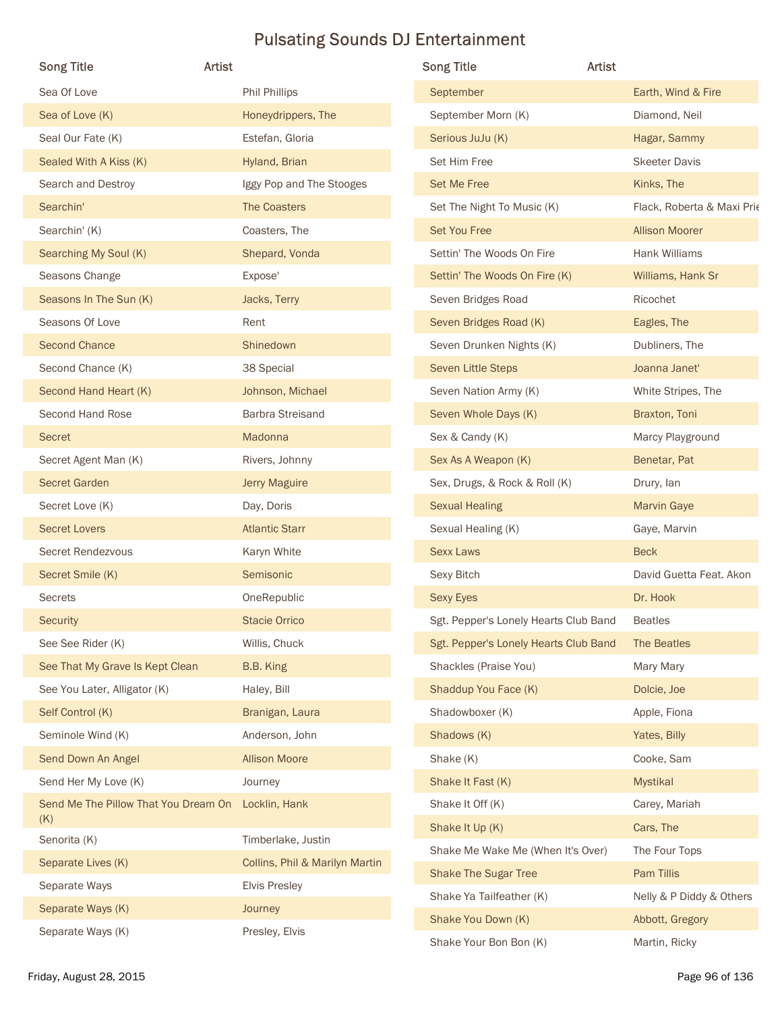| Phil Phillips<br>Honeydrippers, The<br>Estefan, Gloria<br>Hyland, Brian<br>Iggy Pop and The Stooges<br>The Coasters<br>Coasters, The<br>Shepard, Vonda<br>Expose'<br>Jacks, Terry<br>Rent<br>Shinedown<br>38 Special<br>Johnson, Michael<br><b>Barbra Streisand</b><br>Madonna<br>Rivers, Johnny<br><b>Jerry Maguire</b><br>Day, Doris | <b>Song Title</b><br>Artist<br>September<br>September Morn (K)<br>Serious JuJu (K)<br>Set Him Free<br>Set Me Free<br>Set The Night To Music (K)<br>Set You Free<br>Settin' The Woods On Fire<br>Settin' The Woods On Fire (K)<br>Seven Bridges Road<br>Seven Bridges Road (K)<br>Seven Drunken Nights (K)<br>Seven Little Steps<br>Seven Nation Army (K)<br>Seven Whole Days (K)<br>Sex & Candy (K) | Earth, Wind & Fire<br>Diamond, Neil<br>Hagar, Sammy<br><b>Skeeter Davis</b><br>Kinks, The<br>Flack, Roberta & Maxi Pric<br><b>Allison Moorer</b><br>Hank Williams<br>Williams, Hank Sr<br>Ricochet<br>Eagles, The<br>Dubliners, The<br>Joanna Janet'<br>White Stripes, The<br>Braxton, Toni |
|----------------------------------------------------------------------------------------------------------------------------------------------------------------------------------------------------------------------------------------------------------------------------------------------------------------------------------------|-----------------------------------------------------------------------------------------------------------------------------------------------------------------------------------------------------------------------------------------------------------------------------------------------------------------------------------------------------------------------------------------------------|---------------------------------------------------------------------------------------------------------------------------------------------------------------------------------------------------------------------------------------------------------------------------------------------|
|                                                                                                                                                                                                                                                                                                                                        |                                                                                                                                                                                                                                                                                                                                                                                                     |                                                                                                                                                                                                                                                                                             |
|                                                                                                                                                                                                                                                                                                                                        |                                                                                                                                                                                                                                                                                                                                                                                                     |                                                                                                                                                                                                                                                                                             |
|                                                                                                                                                                                                                                                                                                                                        |                                                                                                                                                                                                                                                                                                                                                                                                     |                                                                                                                                                                                                                                                                                             |
|                                                                                                                                                                                                                                                                                                                                        |                                                                                                                                                                                                                                                                                                                                                                                                     |                                                                                                                                                                                                                                                                                             |
|                                                                                                                                                                                                                                                                                                                                        |                                                                                                                                                                                                                                                                                                                                                                                                     |                                                                                                                                                                                                                                                                                             |
|                                                                                                                                                                                                                                                                                                                                        |                                                                                                                                                                                                                                                                                                                                                                                                     |                                                                                                                                                                                                                                                                                             |
|                                                                                                                                                                                                                                                                                                                                        |                                                                                                                                                                                                                                                                                                                                                                                                     |                                                                                                                                                                                                                                                                                             |
|                                                                                                                                                                                                                                                                                                                                        |                                                                                                                                                                                                                                                                                                                                                                                                     |                                                                                                                                                                                                                                                                                             |
|                                                                                                                                                                                                                                                                                                                                        |                                                                                                                                                                                                                                                                                                                                                                                                     |                                                                                                                                                                                                                                                                                             |
|                                                                                                                                                                                                                                                                                                                                        |                                                                                                                                                                                                                                                                                                                                                                                                     |                                                                                                                                                                                                                                                                                             |
|                                                                                                                                                                                                                                                                                                                                        |                                                                                                                                                                                                                                                                                                                                                                                                     |                                                                                                                                                                                                                                                                                             |
|                                                                                                                                                                                                                                                                                                                                        |                                                                                                                                                                                                                                                                                                                                                                                                     |                                                                                                                                                                                                                                                                                             |
|                                                                                                                                                                                                                                                                                                                                        |                                                                                                                                                                                                                                                                                                                                                                                                     |                                                                                                                                                                                                                                                                                             |
|                                                                                                                                                                                                                                                                                                                                        |                                                                                                                                                                                                                                                                                                                                                                                                     |                                                                                                                                                                                                                                                                                             |
|                                                                                                                                                                                                                                                                                                                                        |                                                                                                                                                                                                                                                                                                                                                                                                     |                                                                                                                                                                                                                                                                                             |
|                                                                                                                                                                                                                                                                                                                                        |                                                                                                                                                                                                                                                                                                                                                                                                     | Marcy Playground                                                                                                                                                                                                                                                                            |
|                                                                                                                                                                                                                                                                                                                                        | Sex As A Weapon (K)                                                                                                                                                                                                                                                                                                                                                                                 | Benetar, Pat                                                                                                                                                                                                                                                                                |
|                                                                                                                                                                                                                                                                                                                                        | Sex, Drugs, & Rock & Roll (K)                                                                                                                                                                                                                                                                                                                                                                       | Drury, lan                                                                                                                                                                                                                                                                                  |
|                                                                                                                                                                                                                                                                                                                                        | <b>Sexual Healing</b>                                                                                                                                                                                                                                                                                                                                                                               | <b>Marvin Gaye</b>                                                                                                                                                                                                                                                                          |
| <b>Atlantic Starr</b>                                                                                                                                                                                                                                                                                                                  | Sexual Healing (K)                                                                                                                                                                                                                                                                                                                                                                                  | Gaye, Marvin                                                                                                                                                                                                                                                                                |
| Karyn White                                                                                                                                                                                                                                                                                                                            | <b>Sexx Laws</b>                                                                                                                                                                                                                                                                                                                                                                                    | <b>Beck</b>                                                                                                                                                                                                                                                                                 |
| Semisonic                                                                                                                                                                                                                                                                                                                              | Sexy Bitch                                                                                                                                                                                                                                                                                                                                                                                          | David Guetta Feat. Akon                                                                                                                                                                                                                                                                     |
| OneRepublic                                                                                                                                                                                                                                                                                                                            | Sexy Eyes                                                                                                                                                                                                                                                                                                                                                                                           | Dr. Hook                                                                                                                                                                                                                                                                                    |
| <b>Stacie Orrico</b>                                                                                                                                                                                                                                                                                                                   | Sgt. Pepper's Lonely Hearts Club Band                                                                                                                                                                                                                                                                                                                                                               | <b>Beatles</b>                                                                                                                                                                                                                                                                              |
| Willis, Chuck                                                                                                                                                                                                                                                                                                                          | Sgt. Pepper's Lonely Hearts Club Band                                                                                                                                                                                                                                                                                                                                                               | The Beatles                                                                                                                                                                                                                                                                                 |
| B.B. King                                                                                                                                                                                                                                                                                                                              | Shackles (Praise You)                                                                                                                                                                                                                                                                                                                                                                               | Mary Mary                                                                                                                                                                                                                                                                                   |
| Haley, Bill                                                                                                                                                                                                                                                                                                                            | Shaddup You Face (K)                                                                                                                                                                                                                                                                                                                                                                                | Dolcie, Joe                                                                                                                                                                                                                                                                                 |
| Branigan, Laura                                                                                                                                                                                                                                                                                                                        | Shadowboxer (K)                                                                                                                                                                                                                                                                                                                                                                                     | Apple, Fiona                                                                                                                                                                                                                                                                                |
| Anderson, John                                                                                                                                                                                                                                                                                                                         | Shadows (K)                                                                                                                                                                                                                                                                                                                                                                                         | Yates, Billy                                                                                                                                                                                                                                                                                |
| <b>Allison Moore</b>                                                                                                                                                                                                                                                                                                                   | Shake (K)                                                                                                                                                                                                                                                                                                                                                                                           | Cooke, Sam                                                                                                                                                                                                                                                                                  |
| Journey                                                                                                                                                                                                                                                                                                                                | Shake It Fast (K)                                                                                                                                                                                                                                                                                                                                                                                   | <b>Mystikal</b>                                                                                                                                                                                                                                                                             |
| Locklin, Hank                                                                                                                                                                                                                                                                                                                          | Shake It Off (K)                                                                                                                                                                                                                                                                                                                                                                                    | Carey, Mariah                                                                                                                                                                                                                                                                               |
|                                                                                                                                                                                                                                                                                                                                        | Shake It Up (K)                                                                                                                                                                                                                                                                                                                                                                                     | Cars, The                                                                                                                                                                                                                                                                                   |
|                                                                                                                                                                                                                                                                                                                                        | Shake Me Wake Me (When It's Over)                                                                                                                                                                                                                                                                                                                                                                   | The Four Tops                                                                                                                                                                                                                                                                               |
|                                                                                                                                                                                                                                                                                                                                        | <b>Shake The Sugar Tree</b>                                                                                                                                                                                                                                                                                                                                                                         | Pam Tillis                                                                                                                                                                                                                                                                                  |
|                                                                                                                                                                                                                                                                                                                                        | Shake Ya Tailfeather (K)                                                                                                                                                                                                                                                                                                                                                                            | Nelly & P Diddy & Others                                                                                                                                                                                                                                                                    |
|                                                                                                                                                                                                                                                                                                                                        | Shake You Down (K)                                                                                                                                                                                                                                                                                                                                                                                  | Abbott, Gregory                                                                                                                                                                                                                                                                             |
|                                                                                                                                                                                                                                                                                                                                        | Shake Your Bon Bon (K)                                                                                                                                                                                                                                                                                                                                                                              | Martin, Ricky                                                                                                                                                                                                                                                                               |
|                                                                                                                                                                                                                                                                                                                                        |                                                                                                                                                                                                                                                                                                                                                                                                     | Page 96 of 136                                                                                                                                                                                                                                                                              |
|                                                                                                                                                                                                                                                                                                                                        | Timberlake, Justin<br>Collins, Phil & Marilyn Martin<br><b>Elvis Presley</b><br>Journey<br>Presley, Elvis                                                                                                                                                                                                                                                                                           |                                                                                                                                                                                                                                                                                             |

| <b>Intertainment</b>                         |                                    |
|----------------------------------------------|------------------------------------|
|                                              |                                    |
| <b>Song Title</b>                            | Artist                             |
| September                                    | Earth, Wind & Fire                 |
| September Morn (K)                           | Diamond, Neil                      |
| Serious JuJu (K)                             | Hagar, Sammy                       |
| Set Him Free<br><b>Set Me Free</b>           | <b>Skeeter Davis</b><br>Kinks, The |
| Set The Night To Music (K)                   | Flack, Roberta & Maxi Prie         |
| Set You Free                                 | <b>Allison Moorer</b>              |
| Settin' The Woods On Fire                    | Hank Williams                      |
| Settin' The Woods On Fire (K)                | Williams, Hank Sr                  |
| Seven Bridges Road                           | Ricochet                           |
| Seven Bridges Road (K)                       | Eagles, The                        |
| Seven Drunken Nights (K)                     | Dubliners, The                     |
| Seven Little Steps                           | Joanna Janet'                      |
| Seven Nation Army (K)                        | White Stripes, The                 |
| Seven Whole Days (K)                         | Braxton, Toni                      |
| Sex & Candy (K)                              | Marcy Playground                   |
| Sex As A Weapon (K)                          | Benetar, Pat                       |
| Sex, Drugs, & Rock & Roll (K)                | Drury, lan                         |
| <b>Sexual Healing</b>                        | <b>Marvin Gaye</b>                 |
| Sexual Healing (K)                           | Gaye, Marvin                       |
| <b>Sexx Laws</b>                             | <b>Beck</b>                        |
| Sexy Bitch                                   | David Guetta Feat. Akon            |
| <b>Sexy Eyes</b>                             | Dr. Hook                           |
| Sgt. Pepper's Lonely Hearts Club Band        | <b>Beatles</b>                     |
| Sgt. Pepper's Lonely Hearts Club Band        | The Beatles                        |
| Shackles (Praise You)                        | Mary Mary                          |
| Shaddup You Face (K)                         | Dolcie, Joe                        |
| Shadowboxer (K)                              | Apple, Fiona                       |
| Shadows (K)                                  | Yates, Billy                       |
| Shake (K)                                    | Cooke, Sam                         |
| Shake It Fast (K)                            | <b>Mystikal</b>                    |
| Shake It Off (K)                             | Carey, Mariah                      |
| Shake It Up (K)                              | Cars, The                          |
| Shake Me Wake Me (When It's Over)            | The Four Tops                      |
| <b>Shake The Sugar Tree</b>                  | Pam Tillis                         |
| Shake Ya Tailfeather (K)                     | Nelly & P Diddy & Others           |
| Shake You Down (K)<br>Shake Your Bon Bon (K) | Abbott, Gregory<br>Martin, Ricky   |
|                                              | Page 96 of 136                     |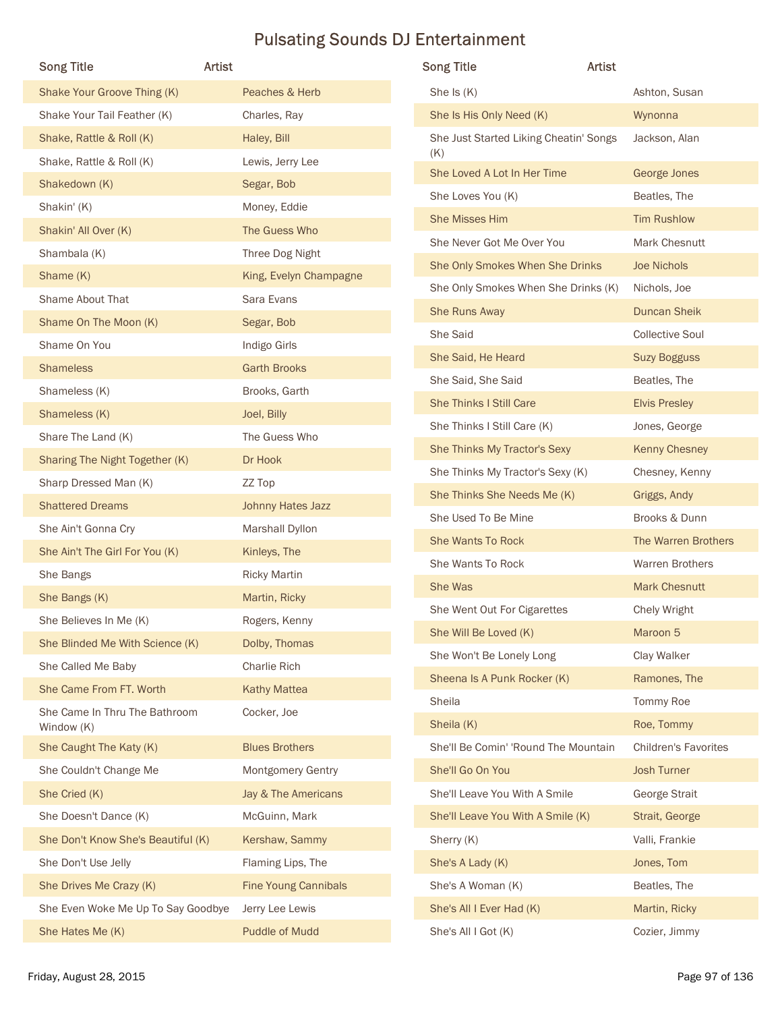| <b>Song Title</b><br>Artist           | <b>Pulsating Sounds DJ Entertainment</b> | <b>Song Title</b><br>Artist              |                                      |
|---------------------------------------|------------------------------------------|------------------------------------------|--------------------------------------|
| Shake Your Groove Thing (K)           | Peaches & Herb                           | She Is (K)                               | Ashton, Susan                        |
| Shake Your Tail Feather (K)           | Charles, Ray                             | She Is His Only Need (K)                 | Wynonna                              |
| Shake, Rattle & Roll (K)              | Haley, Bill                              | She Just Started Liking Cheatin' Songs   | Jackson, Alan                        |
| Shake, Rattle & Roll (K)              | Lewis, Jerry Lee                         | (K)                                      |                                      |
| Shakedown (K)                         | Segar, Bob                               | She Loved A Lot In Her Time              | George Jones                         |
| Shakin' (K)                           | Money, Eddie                             | She Loves You (K)                        | Beatles, The                         |
| Shakin' All Over (K)                  | The Guess Who                            | She Misses Him                           | <b>Tim Rushlow</b>                   |
| Shambala (K)                          | Three Dog Night                          | She Never Got Me Over You                | Mark Chesnutt                        |
| Shame (K)                             | King, Evelyn Champagne                   | She Only Smokes When She Drinks          | Joe Nichols                          |
| Shame About That                      | Sara Evans                               | She Only Smokes When She Drinks (K)      | Nichols, Joe                         |
| Shame On The Moon (K)                 | Segar, Bob                               | She Runs Away                            | <b>Duncan Sheik</b>                  |
| Shame On You                          | Indigo Girls                             | She Said                                 | <b>Collective Soul</b>               |
| <b>Shameless</b>                      | <b>Garth Brooks</b>                      | She Said, He Heard                       | <b>Suzy Bogguss</b>                  |
| Shameless (K)                         | Brooks, Garth                            | She Said, She Said                       | Beatles, The                         |
| Shameless (K)                         | Joel, Billy                              | <b>She Thinks I Still Care</b>           | <b>Elvis Presley</b>                 |
| Share The Land (K)                    | The Guess Who                            | She Thinks I Still Care (K)              | Jones, George                        |
| Sharing The Night Together (K)        | Dr Hook                                  | She Thinks My Tractor's Sexy             | <b>Kenny Chesney</b>                 |
| Sharp Dressed Man (K)                 | ZZ Top                                   | She Thinks My Tractor's Sexy (K)         | Chesney, Kenny                       |
| <b>Shattered Dreams</b>               | Johnny Hates Jazz                        | She Thinks She Needs Me (K)              | Griggs, Andy                         |
| She Ain't Gonna Cry                   | Marshall Dyllon                          | She Used To Be Mine<br>She Wants To Rock | Brooks & Dunn<br>The Warren Brothers |
| She Ain't The Girl For You (K)        | Kinleys, The                             |                                          | Warren Brothers                      |
| She Bangs                             | <b>Ricky Martin</b>                      | She Wants To Rock<br>She Was             | <b>Mark Chesnutt</b>                 |
| She Bangs (K)                         | Martin, Ricky                            | She Went Out For Cigarettes              | Chely Wright                         |
| She Believes In Me (K)                | Rogers, Kenny                            | She Will Be Loved (K)                    | Maroon 5                             |
| She Blinded Me With Science (K)       | Dolby, Thomas                            | She Won't Be Lonely Long                 | Clay Walker                          |
| She Called Me Baby                    | Charlie Rich                             | Sheena Is A Punk Rocker (K)              | Ramones, The                         |
| She Came From FT. Worth               | <b>Kathy Mattea</b>                      | Sheila                                   | Tommy Roe                            |
| She Came In Thru The Bathroom         | Cocker, Joe                              | Sheila (K)                               | Roe, Tommy                           |
| Window (K)<br>She Caught The Katy (K) | <b>Blues Brothers</b>                    | She'll Be Comin' 'Round The Mountain     | Children's Favorites                 |
| She Couldn't Change Me                | Montgomery Gentry                        | She'll Go On You                         | <b>Josh Turner</b>                   |
| She Cried (K)                         | Jay & The Americans                      | She'll Leave You With A Smile            | George Strait                        |
| She Doesn't Dance (K)                 | McGuinn, Mark                            | She'll Leave You With A Smile (K)        | Strait, George                       |
| She Don't Know She's Beautiful (K)    | Kershaw, Sammy                           | Sherry (K)                               | Valli, Frankie                       |
| She Don't Use Jelly                   | Flaming Lips, The                        | She's A Lady (K)                         | Jones, Tom                           |
| She Drives Me Crazy (K)               | <b>Fine Young Cannibals</b>              | She's A Woman (K)                        | Beatles, The                         |
| She Even Woke Me Up To Say Goodbye    | Jerry Lee Lewis                          | She's All I Ever Had (K)                 | Martin, Ricky                        |
| She Hates Me (K)                      | <b>Puddle of Mudd</b>                    | She's All I Got (K)                      | Cozier, Jimmy                        |
|                                       |                                          |                                          |                                      |
| Friday, August 28, 2015               |                                          |                                          | Page 97 of 136                       |

| <b>Song Title</b>                             | Artist                                        |
|-----------------------------------------------|-----------------------------------------------|
|                                               |                                               |
| She Is (K)                                    | Ashton, Susan                                 |
| She Is His Only Need (K)                      | Wynonna                                       |
| She Just Started Liking Cheatin' Songs<br>(K) | Jackson, Alan                                 |
| She Loved A Lot In Her Time                   | George Jones                                  |
| She Loves You (K)                             | Beatles, The                                  |
| She Misses Him                                | <b>Tim Rushlow</b>                            |
| She Never Got Me Over You                     | Mark Chesnutt                                 |
| She Only Smokes When She Drinks               | <b>Joe Nichols</b>                            |
| She Only Smokes When She Drinks (K)           | Nichols, Joe                                  |
| She Runs Away<br>She Said                     | <b>Duncan Sheik</b><br><b>Collective Soul</b> |
|                                               | <b>Suzy Bogguss</b>                           |
| She Said, He Heard<br>She Said, She Said      | Beatles, The                                  |
| <b>She Thinks I Still Care</b>                | <b>Elvis Presley</b>                          |
| She Thinks I Still Care (K)                   | Jones, George                                 |
| She Thinks My Tractor's Sexy                  | <b>Kenny Chesney</b>                          |
| She Thinks My Tractor's Sexy (K)              | Chesney, Kenny                                |
| She Thinks She Needs Me (K)                   | Griggs, Andy                                  |
| She Used To Be Mine                           | Brooks & Dunn                                 |
| She Wants To Rock                             | The Warren Brothers                           |
| She Wants To Rock                             | Warren Brothers                               |
| She Was                                       | <b>Mark Chesnutt</b>                          |
| She Went Out For Cigarettes                   | Chely Wright                                  |
| She Will Be Loved (K)                         | Maroon 5                                      |
| She Won't Be Lonely Long                      | Clay Walker                                   |
| Sheena Is A Punk Rocker (K)                   | Ramones, The                                  |
| Sheila                                        | Tommy Roe                                     |
| Sheila (K)                                    | Roe, Tommy                                    |
| She'll Be Comin' 'Round The Mountain          | <b>Children's Favorites</b>                   |
| She'll Go On You                              | <b>Josh Turner</b>                            |
| She'll Leave You With A Smile                 | George Strait                                 |
| She'll Leave You With A Smile (K)             | Strait, George                                |
| Sherry (K)                                    | Valli, Frankie                                |
| She's A Lady (K)                              | Jones, Tom                                    |
| She's A Woman (K)                             | Beatles, The                                  |
| She's All I Ever Had (K)                      | Martin, Ricky                                 |
|                                               |                                               |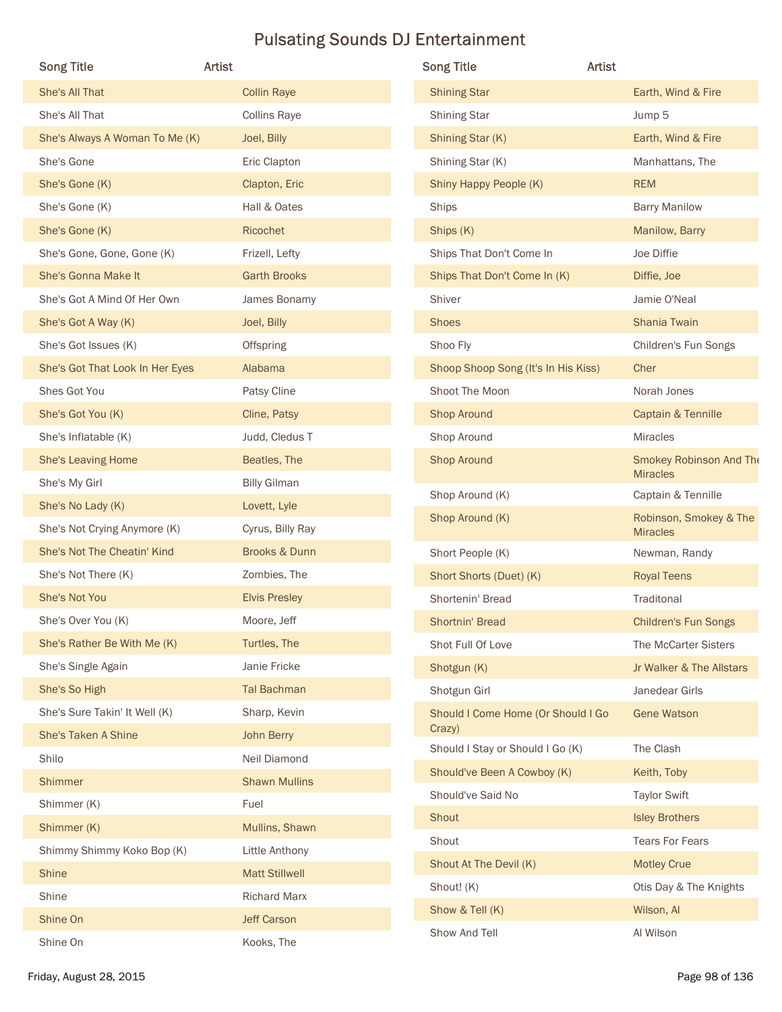|                       | <b>Song Title</b><br>Artist         |                                                                        |
|-----------------------|-------------------------------------|------------------------------------------------------------------------|
| <b>Collin Raye</b>    | <b>Shining Star</b>                 | Earth, Wind & Fire                                                     |
| <b>Collins Raye</b>   | <b>Shining Star</b>                 | Jump 5                                                                 |
| Joel, Billy           | Shining Star (K)                    | Earth, Wind & Fire                                                     |
| Eric Clapton          | Shining Star (K)                    | Manhattans, The                                                        |
| Clapton, Eric         | Shiny Happy People (K)              | <b>REM</b>                                                             |
| Hall & Oates          | Ships                               | <b>Barry Manilow</b>                                                   |
| Ricochet              | Ships (K)                           | Manilow, Barry                                                         |
| Frizell, Lefty        | Ships That Don't Come In            | Joe Diffie                                                             |
| <b>Garth Brooks</b>   | Ships That Don't Come In (K)        | Diffie, Joe                                                            |
| James Bonamy          | Shiver                              | Jamie O'Neal                                                           |
| Joel, Billy           | <b>Shoes</b>                        | Shania Twain                                                           |
| Offspring             | Shoo Fly                            | Children's Fun Songs                                                   |
| Alabama               | Shoop Shoop Song (It's In His Kiss) | Cher                                                                   |
| Patsy Cline           | Shoot The Moon                      | Norah Jones                                                            |
| Cline, Patsy          | Shop Around                         | Captain & Tennille                                                     |
| Judd, Cledus T        | Shop Around                         | <b>Miracles</b>                                                        |
| Beatles, The          | Shop Around                         | Smokey Robinson And The                                                |
| <b>Billy Gilman</b>   |                                     | <b>Miracles</b>                                                        |
| Lovett, Lyle          |                                     | Captain & Tennille                                                     |
| Cyrus, Billy Ray      |                                     | Robinson, Smokey & The<br><b>Miracles</b>                              |
| Brooks & Dunn         | Short People (K)                    | Newman, Randy                                                          |
| Zombies, The          | Short Shorts (Duet) (K)             | <b>Royal Teens</b>                                                     |
| <b>Elvis Presley</b>  | Shortenin' Bread                    | Traditonal                                                             |
| Moore, Jeff           | Shortnin' Bread                     | Children's Fun Songs                                                   |
| Turtles, The          | Shot Full Of Love                   | The McCarter Sisters                                                   |
| Janie Fricke          | Shotgun (K)                         | Jr Walker & The Allstars                                               |
| <b>Tal Bachman</b>    | Shotgun Girl                        | Janedear Girls                                                         |
| Sharp, Kevin          | Should I Come Home (Or Should I Go  | <b>Gene Watson</b>                                                     |
| John Berry            | Crazy)                              |                                                                        |
| Neil Diamond          |                                     | The Clash                                                              |
| <b>Shawn Mullins</b>  | Should've Been A Cowboy (K)         | Keith, Toby                                                            |
| Fuel                  | Should've Said No                   | <b>Taylor Swift</b>                                                    |
| Mullins, Shawn        | Shout                               | <b>Isley Brothers</b>                                                  |
| Little Anthony        | Shout                               | <b>Tears For Fears</b>                                                 |
| <b>Matt Stillwell</b> | Shout At The Devil (K)              | <b>Motley Crue</b>                                                     |
| <b>Richard Marx</b>   | Shout! (K)                          | Otis Day & The Knights                                                 |
| Jeff Carson           | Show & Tell (K)                     | Wilson, Al                                                             |
| Kooks, The            | Show And Tell                       | Al Wilson                                                              |
|                       |                                     | Shop Around (K)<br>Shop Around (K)<br>Should I Stay or Should I Go (K) |

| <b>Intertainment</b>                               |                                            |
|----------------------------------------------------|--------------------------------------------|
| <b>Song Title</b>                                  | Artist                                     |
| <b>Shining Star</b>                                | Earth, Wind & Fire                         |
| <b>Shining Star</b>                                | Jump 5                                     |
| Shining Star (K)                                   | Earth, Wind & Fire                         |
| Shining Star (K)                                   | Manhattans, The                            |
| Shiny Happy People (K)<br>Ships                    | <b>REM</b><br><b>Barry Manilow</b>         |
| Ships (K)                                          | Manilow, Barry                             |
| Ships That Don't Come In                           | Joe Diffie                                 |
| Ships That Don't Come In (K)                       | Diffie, Joe                                |
| Shiver                                             | Jamie O'Neal                               |
| <b>Shoes</b>                                       | Shania Twain                               |
| Shoo Fly                                           | Children's Fun Songs                       |
| Shoop Shoop Song (It's In His Kiss)                | Cher                                       |
| Shoot The Moon                                     | Norah Jones                                |
| <b>Shop Around</b>                                 | Captain & Tennille                         |
| Shop Around                                        | Miracles                                   |
| <b>Shop Around</b>                                 | Smokey Robinson And The<br><b>Miracles</b> |
| Shop Around (K)                                    | Captain & Tennille                         |
| Shop Around (K)                                    | Robinson, Smokey & The<br><b>Miracles</b>  |
| Short People (K)                                   | Newman, Randy                              |
| Short Shorts (Duet) (K)                            | <b>Royal Teens</b>                         |
| Shortenin' Bread                                   | Traditonal                                 |
| Shortnin' Bread                                    | Children's Fun Songs                       |
| Shot Full Of Love                                  | The McCarter Sisters                       |
| Shotgun (K)                                        | Jr Walker & The Allstars                   |
| Shotgun Girl<br>Should I Come Home (Or Should I Go | Janedear Girls<br><b>Gene Watson</b>       |
| Crazy)<br>Should I Stay or Should I Go (K)         | The Clash                                  |
| Should've Been A Cowboy (K)                        | Keith, Toby                                |
| Should've Said No                                  | <b>Taylor Swift</b>                        |
| Shout                                              | <b>Isley Brothers</b>                      |
| Shout                                              | <b>Tears For Fears</b>                     |
| Shout At The Devil (K)                             | <b>Motley Crue</b>                         |
| Shout! (K)                                         | Otis Day & The Knights                     |
| Show & Tell (K)                                    | Wilson, Al                                 |
| Show And Tell                                      | Al Wilson                                  |
|                                                    | Page 98 of 136                             |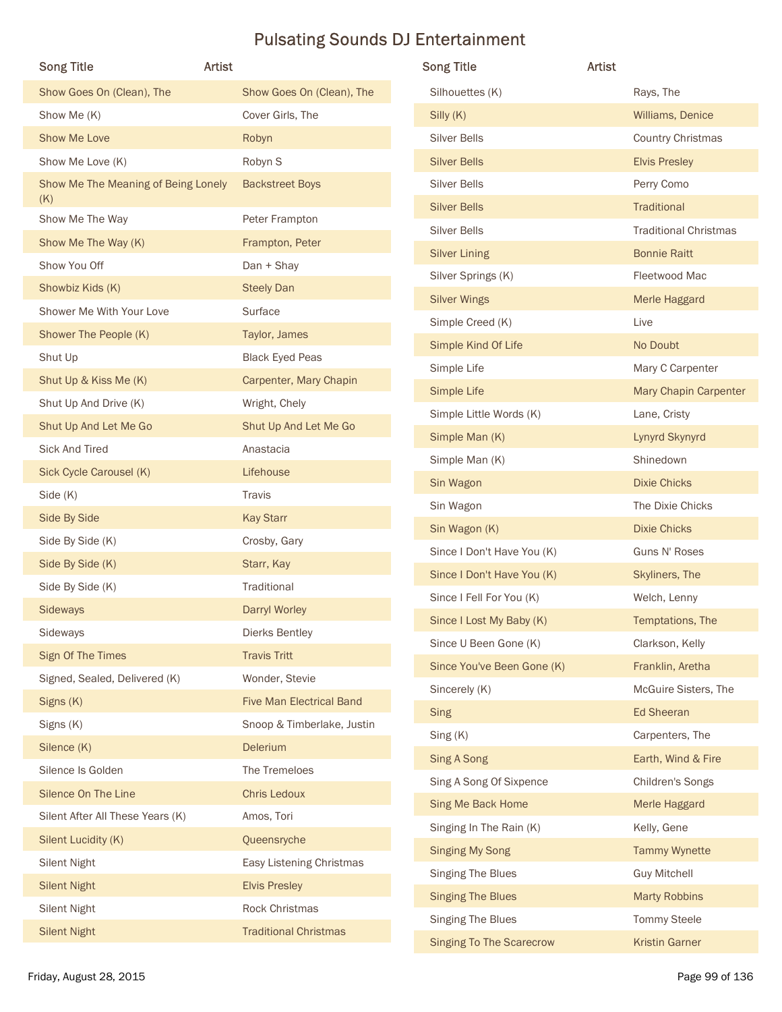| <b>Song Title</b><br>Artist              | <b>Pulsating Sounds DJ Entertainment</b> | <b>Song Title</b>               | Artist |                              |
|------------------------------------------|------------------------------------------|---------------------------------|--------|------------------------------|
| Show Goes On (Clean), The                | Show Goes On (Clean), The                | Silhouettes (K)                 |        | Rays, The                    |
| Show Me (K)                              | Cover Girls, The                         | Silly (K)                       |        | Williams, Denice             |
| Show Me Love                             | Robyn                                    | Silver Bells                    |        | <b>Country Christmas</b>     |
| Show Me Love (K)                         | Robyn S                                  | <b>Silver Bells</b>             |        | <b>Elvis Presley</b>         |
| Show Me The Meaning of Being Lonely      | <b>Backstreet Boys</b>                   | Silver Bells                    |        | Perry Como                   |
| (K)                                      |                                          | <b>Silver Bells</b>             |        | Traditional                  |
| Show Me The Way                          | Peter Frampton                           | Silver Bells                    |        | <b>Traditional Christmas</b> |
| Show Me The Way (K)                      | Frampton, Peter                          | <b>Silver Lining</b>            |        | <b>Bonnie Raitt</b>          |
| Show You Off                             | Dan + Shay                               | Silver Springs (K)              |        | Fleetwood Mac                |
| Showbiz Kids (K)                         | <b>Steely Dan</b>                        | <b>Silver Wings</b>             |        | Merle Haggard                |
| Shower Me With Your Love                 | Surface                                  | Simple Creed (K)                | Live   |                              |
| Shower The People (K)                    | Taylor, James                            | Simple Kind Of Life             |        | No Doubt                     |
| Shut Up                                  | <b>Black Eyed Peas</b>                   | Simple Life                     |        | Mary C Carpenter             |
| Shut Up & Kiss Me (K)                    | Carpenter, Mary Chapin                   | Simple Life                     |        | Mary Chapin Carpenter        |
| Shut Up And Drive (K)                    | Wright, Chely                            | Simple Little Words (K)         |        | Lane, Cristy                 |
| Shut Up And Let Me Go                    | Shut Up And Let Me Go                    | Simple Man (K)                  |        | Lynyrd Skynyrd               |
| Sick And Tired                           | Anastacia                                | Simple Man (K)                  |        | Shinedown                    |
| Sick Cycle Carousel (K)                  | Lifehouse                                | Sin Wagon                       |        | <b>Dixie Chicks</b>          |
| Side (K)                                 | Travis                                   | Sin Wagon                       |        | The Dixie Chicks             |
| Side By Side                             | <b>Kay Starr</b>                         | Sin Wagon (K)                   |        | <b>Dixie Chicks</b>          |
| Side By Side (K)                         | Crosby, Gary                             | Since I Don't Have You (K)      |        | Guns N' Roses                |
| Side By Side (K)                         | Starr, Kay                               | Since I Don't Have You (K)      |        | Skyliners, The               |
| Side By Side (K)                         | Traditional                              | Since I Fell For You (K)        |        | Welch, Lenny                 |
| Sideways                                 | Darryl Worley                            | Since I Lost My Baby (K)        |        | Temptations, The             |
| Sideways                                 | Dierks Bentley                           | Since U Been Gone (K)           |        | Clarkson, Kelly              |
| Sign Of The Times                        | <b>Travis Tritt</b>                      | Since You've Been Gone (K)      |        | Franklin, Aretha             |
| Signed, Sealed, Delivered (K)            | Wonder, Stevie                           | Sincerely (K)                   |        | McGuire Sisters, The         |
| Signs (K)                                | <b>Five Man Electrical Band</b>          | Sing                            |        | Ed Sheeran                   |
| Signs (K)                                | Snoop & Timberlake, Justin               | Sing (K)                        |        | Carpenters, The              |
| Silence (K)                              | Delerium<br>The Tremeloes                | Sing A Song                     |        | Earth, Wind & Fire           |
| Silence Is Golden<br>Silence On The Line | <b>Chris Ledoux</b>                      | Sing A Song Of Sixpence         |        | Children's Songs             |
|                                          | Amos, Tori                               | Sing Me Back Home               |        | Merle Haggard                |
| Silent After All These Years (K)         |                                          | Singing In The Rain (K)         |        | Kelly, Gene                  |
| Silent Lucidity (K)                      | Queensryche                              | <b>Singing My Song</b>          |        | <b>Tammy Wynette</b>         |
| Silent Night                             | Easy Listening Christmas                 | <b>Singing The Blues</b>        |        | <b>Guy Mitchell</b>          |
| <b>Silent Night</b><br>Silent Night      | <b>Elvis Presley</b><br>Rock Christmas   | <b>Singing The Blues</b>        |        | <b>Marty Robbins</b>         |
|                                          | <b>Traditional Christmas</b>             | Singing The Blues               |        | <b>Tommy Steele</b>          |
| <b>Silent Night</b>                      |                                          | <b>Singing To The Scarecrow</b> |        | <b>Kristin Garner</b>        |
| riday, August 28, 2015                   |                                          |                                 |        | Page 99 of 136               |

|                                     |                              | <b>Pulsating Sounds DJ Entertainment</b> |                                         |
|-------------------------------------|------------------------------|------------------------------------------|-----------------------------------------|
| Artist<br><b>Song Title</b>         |                              | <b>Song Title</b>                        | Artist                                  |
| Show Goes On (Clean), The           | Show Goes On (Clean), The    | Silhouettes (K)                          | Rays, The                               |
| Show Me (K)                         | Cover Girls, The             | Silly (K)                                | Williams, Denice                        |
| Show Me Love                        | Robyn                        | Silver Bells                             | Country Christmas                       |
| Show Me Love (K)                    | Robyn S                      | <b>Silver Bells</b>                      | <b>Elvis Presley</b>                    |
| Show Me The Meaning of Being Lonely | <b>Backstreet Boys</b>       | Silver Bells                             | Perry Como                              |
| (K)                                 |                              | <b>Silver Bells</b>                      | Traditional                             |
| Show Me The Way                     | Peter Frampton               | Silver Bells                             | <b>Traditional Christmas</b>            |
| Show Me The Way (K)                 | Frampton, Peter              | <b>Silver Lining</b>                     | <b>Bonnie Raitt</b>                     |
| Show You Off                        | Dan + Shay                   | Silver Springs (K)                       | Fleetwood Mac                           |
| Showbiz Kids (K)                    | <b>Steely Dan</b>            | <b>Silver Wings</b>                      | Merle Haggard                           |
| Shower Me With Your Love            | Surface                      | Simple Creed (K)                         | Live                                    |
| Shower The People (K)               | Taylor, James                | Simple Kind Of Life                      | No Doubt                                |
| Shut Up                             | <b>Black Eyed Peas</b>       | Simple Life                              | Mary C Carpenter                        |
| Shut Up & Kiss Me (K)               | Carpenter, Mary Chapin       | Simple Life                              | Mary Chapin Carpenter                   |
| Shut Up And Drive (K)               | Wright, Chely                | Simple Little Words (K)                  | Lane, Cristy                            |
| Shut Up And Let Me Go               | Shut Up And Let Me Go        | Simple Man (K)                           | Lynyrd Skynyrd                          |
| Sick And Tired                      | Anastacia                    | Simple Man (K)                           | Shinedown                               |
| Sick Cycle Carousel (K)             | Lifehouse                    | Sin Wagon                                | <b>Dixie Chicks</b>                     |
| Side (K)                            | Travis                       | Sin Wagon                                | The Dixie Chicks                        |
| Side By Side                        | <b>Kay Starr</b>             | Sin Wagon (K)                            | <b>Dixie Chicks</b>                     |
| Side By Side (K)                    | Crosby, Gary                 | Since I Don't Have You (K)               | Guns N' Roses                           |
| Side By Side (K)                    | Starr, Kay                   | Since I Don't Have You (K)               | Skyliners, The                          |
| Side By Side (K)                    | Traditional                  | Since I Fell For You (K)                 | Welch, Lenny                            |
| Sideways                            | Darryl Worley                | Since I Lost My Baby (K)                 | Temptations, The                        |
| Sideways                            | Dierks Bentley               | Since U Been Gone (K)                    | Clarkson, Kelly                         |
| Sign Of The Times                   | <b>Travis Tritt</b>          | Since You've Been Gone (K)               | Franklin, Aretha                        |
| Signed, Sealed, Delivered (K)       | Wonder, Stevie               | Sincerely (K)                            | McGuire Sisters, The                    |
| Signs (K)                           | Five Man Electrical Band     | Sing                                     | <b>Ed Sheeran</b>                       |
| Signs (K)                           | Snoop & Timberlake, Justin   | Sing (K)                                 | Carpenters, The                         |
| Silence (K)                         | Delerium                     | Sing A Song                              | Earth, Wind & Fire                      |
| Silence Is Golden                   | The Tremeloes                | Sing A Song Of Sixpence                  | Children's Songs                        |
| Silence On The Line                 | <b>Chris Ledoux</b>          | Sing Me Back Home                        | Merle Haggard                           |
| Silent After All These Years (K)    | Amos, Tori                   | Singing In The Rain (K)                  | Kelly, Gene                             |
| Silent Lucidity (K)                 | Queensryche                  | <b>Singing My Song</b>                   | <b>Tammy Wynette</b>                    |
| Silent Night                        | Easy Listening Christmas     | Singing The Blues                        | <b>Guy Mitchell</b>                     |
| <b>Silent Night</b>                 | <b>Elvis Presley</b>         | <b>Singing The Blues</b>                 | <b>Marty Robbins</b>                    |
| Silent Night                        | Rock Christmas               | Singing The Blues                        | <b>Tommy Steele</b>                     |
| <b>Silent Night</b>                 | <b>Traditional Christmas</b> |                                          |                                         |
| Friday, August 28, 2015             |                              | <b>Singing To The Scarecrow</b>          | <b>Kristin Garner</b><br>Page 99 of 136 |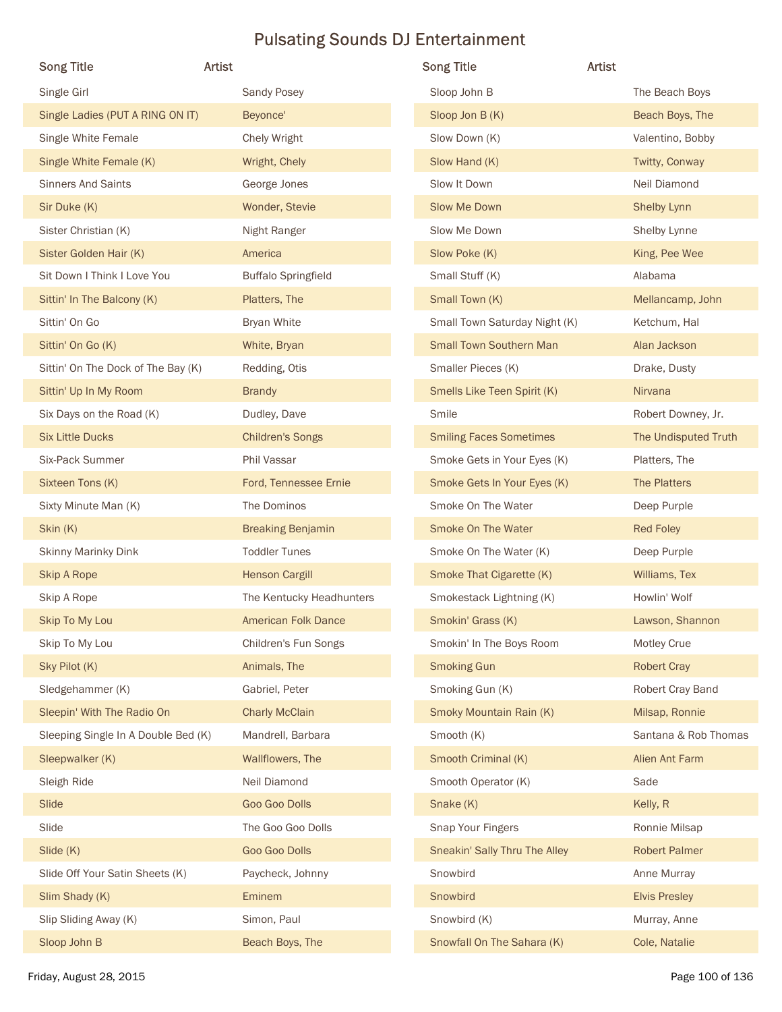| <b>Song Title</b><br>Artist         |                            | <b>Song Title</b><br>Artist    |                      |
|-------------------------------------|----------------------------|--------------------------------|----------------------|
|                                     |                            |                                |                      |
| Single Girl                         | Sandy Posey                | Sloop John B                   | The Beach Boys       |
| Single Ladies (PUT A RING ON IT)    | Beyonce'                   | Sloop Jon B (K)                | Beach Boys, The      |
| Single White Female                 | Chely Wright               | Slow Down (K)                  | Valentino, Bobby     |
| Single White Female (K)             | Wright, Chely              | Slow Hand (K)                  | Twitty, Conway       |
| <b>Sinners And Saints</b>           | George Jones               | Slow It Down                   | Neil Diamond         |
| Sir Duke (K)                        | Wonder, Stevie             | Slow Me Down                   | Shelby Lynn          |
| Sister Christian (K)                | Night Ranger               | Slow Me Down                   | Shelby Lynne         |
| Sister Golden Hair (K)              | America                    | Slow Poke (K)                  | King, Pee Wee        |
| Sit Down I Think I Love You         | <b>Buffalo Springfield</b> | Small Stuff (K)                | Alabama              |
| Sittin' In The Balcony (K)          | Platters, The              | Small Town (K)                 | Mellancamp, John     |
| Sittin' On Go                       | <b>Bryan White</b>         | Small Town Saturday Night (K)  | Ketchum, Hal         |
| Sittin' On Go (K)                   | White, Bryan               | Small Town Southern Man        | Alan Jackson         |
| Sittin' On The Dock of The Bay (K)  | Redding, Otis              | Smaller Pieces (K)             | Drake, Dusty         |
| Sittin' Up In My Room               | <b>Brandy</b>              | Smells Like Teen Spirit (K)    | Nirvana              |
| Six Days on the Road (K)            | Dudley, Dave               | Smile                          | Robert Downey, Jr.   |
| <b>Six Little Ducks</b>             | <b>Children's Songs</b>    | <b>Smiling Faces Sometimes</b> | The Undisputed Truth |
| Six-Pack Summer                     | Phil Vassar                | Smoke Gets in Your Eyes (K)    | Platters, The        |
| Sixteen Tons (K)                    | Ford, Tennessee Ernie      | Smoke Gets In Your Eyes (K)    | The Platters         |
| Sixty Minute Man (K)                | The Dominos                | Smoke On The Water             | Deep Purple          |
| Skin (K)                            | <b>Breaking Benjamin</b>   | Smoke On The Water             | <b>Red Foley</b>     |
| <b>Skinny Marinky Dink</b>          | <b>Toddler Tunes</b>       | Smoke On The Water (K)         | Deep Purple          |
| Skip A Rope                         | <b>Henson Cargill</b>      | Smoke That Cigarette (K)       | Williams, Tex        |
| Skip A Rope                         | The Kentucky Headhunters   | Smokestack Lightning (K)       | Howlin' Wolf         |
| Skip To My Lou                      | American Folk Dance        | Smokin' Grass (K)              | Lawson, Shannon      |
| Skip To My Lou                      | Children's Fun Songs       | Smokin' In The Boys Room       | Motley Crue          |
| Sky Pilot (K)                       | Animals, The               | <b>Smoking Gun</b>             | <b>Robert Cray</b>   |
| Sledgehammer (K)                    | Gabriel, Peter             | Smoking Gun (K)                | Robert Cray Band     |
| Sleepin' With The Radio On          | <b>Charly McClain</b>      | Smoky Mountain Rain (K)        | Milsap, Ronnie       |
| Sleeping Single In A Double Bed (K) | Mandrell, Barbara          | Smooth (K)                     | Santana & Rob Thomas |
| Sleepwalker (K)                     | Wallflowers, The           | Smooth Criminal (K)            | Alien Ant Farm       |
| Sleigh Ride                         | Neil Diamond               | Smooth Operator (K)            | Sade                 |
| Slide                               | Goo Goo Dolls              | Snake (K)                      | Kelly, R             |
| Slide                               | The Goo Goo Dolls          | Snap Your Fingers              | Ronnie Milsap        |
| Slide (K)                           | Goo Goo Dolls              | Sneakin' Sally Thru The Alley  | <b>Robert Palmer</b> |
| Slide Off Your Satin Sheets (K)     | Paycheck, Johnny           | Snowbird                       | Anne Murray          |
| Slim Shady (K)                      | Eminem                     | Snowbird                       | <b>Elvis Presley</b> |
| Slip Sliding Away (K)               | Simon, Paul                | Snowbird (K)                   | Murray, Anne         |
| Sloop John B                        | Beach Boys, The            | Snowfall On The Sahara (K)     | Cole, Natalie        |
|                                     |                            |                                |                      |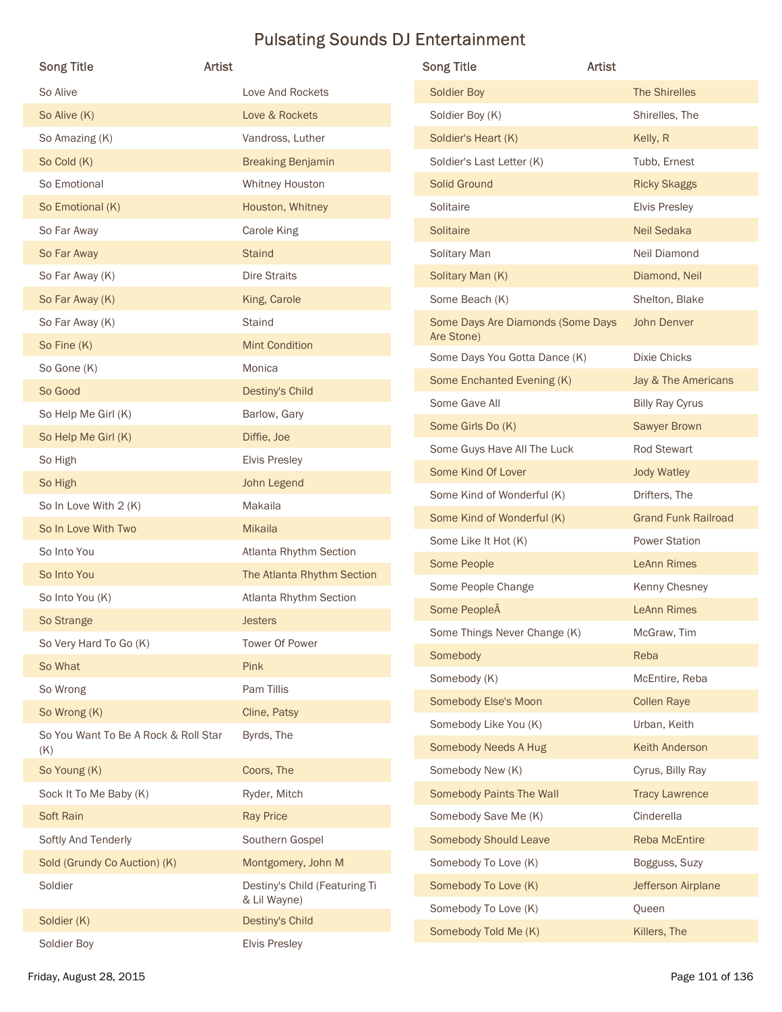| <b>Song Title</b>                    | Artist                                        | <b>Song Title</b><br>Artist       |                            |
|--------------------------------------|-----------------------------------------------|-----------------------------------|----------------------------|
| So Alive                             | Love And Rockets                              | Soldier Boy                       | The Shirelles              |
| So Alive (K)                         | Love & Rockets                                | Soldier Boy (K)                   | Shirelles, The             |
| So Amazing (K)                       | Vandross, Luther                              | Soldier's Heart (K)               | Kelly, R                   |
| So Cold (K)                          | <b>Breaking Benjamin</b>                      | Soldier's Last Letter (K)         | Tubb, Ernest               |
| So Emotional                         | Whitney Houston                               | Solid Ground                      | <b>Ricky Skaggs</b>        |
| So Emotional (K)                     | Houston, Whitney                              | Solitaire                         | <b>Elvis Presley</b>       |
| So Far Away                          | Carole King                                   | Solitaire                         | Neil Sedaka                |
| So Far Away                          | <b>Staind</b>                                 | Solitary Man                      | Neil Diamond               |
| So Far Away (K)                      | <b>Dire Straits</b>                           | Solitary Man (K)                  | Diamond, Neil              |
| So Far Away (K)                      | King, Carole                                  | Some Beach (K)                    | Shelton, Blake             |
| So Far Away (K)                      | Staind                                        | Some Days Are Diamonds (Some Days | John Denver                |
| So Fine (K)                          | <b>Mint Condition</b>                         | Are Stone)                        |                            |
| So Gone (K)                          | Monica                                        | Some Days You Gotta Dance (K)     | Dixie Chicks               |
| So Good                              | Destiny's Child                               | Some Enchanted Evening (K)        | Jay & The Americans        |
| So Help Me Girl (K)                  | Barlow, Gary                                  | Some Gave All                     | <b>Billy Ray Cyrus</b>     |
| So Help Me Girl (K)                  | Diffie, Joe                                   | Some Girls Do (K)                 | Sawyer Brown               |
| So High                              | <b>Elvis Presley</b>                          | Some Guys Have All The Luck       | Rod Stewart                |
| So High                              | John Legend                                   | Some Kind Of Lover                | <b>Jody Watley</b>         |
| So In Love With 2 (K)                | Makaila                                       | Some Kind of Wonderful (K)        | Drifters, The              |
| So In Love With Two                  | Mikaila                                       | Some Kind of Wonderful (K)        | <b>Grand Funk Railroad</b> |
| So Into You                          | Atlanta Rhythm Section                        | Some Like It Hot (K)              | <b>Power Station</b>       |
| So Into You                          | The Atlanta Rhythm Section                    | Some People                       | LeAnn Rimes                |
| So Into You (K)                      | Atlanta Rhythm Section                        | Some People Change                | Kenny Chesney              |
| So Strange                           | <b>Jesters</b>                                | Some PeopleÂ                      | <b>LeAnn Rimes</b>         |
| So Very Hard To Go (K)               | Tower Of Power                                | Some Things Never Change (K)      | McGraw, Tim                |
| So What                              | Pink                                          | Somebody                          | Reba                       |
| So Wrong                             | Pam Tillis                                    | Somebody (K)                      | McEntire, Reba             |
| So Wrong (K)                         | Cline, Patsy                                  | Somebody Else's Moon              | <b>Collen Raye</b>         |
| So You Want To Be A Rock & Roll Star | Byrds, The                                    | Somebody Like You (K)             | Urban, Keith               |
| (K)                                  |                                               | <b>Somebody Needs A Hug</b>       | Keith Anderson             |
| So Young (K)                         | Coors, The                                    | Somebody New (K)                  | Cyrus, Billy Ray           |
| Sock It To Me Baby (K)               | Ryder, Mitch                                  | Somebody Paints The Wall          | <b>Tracy Lawrence</b>      |
| Soft Rain                            | <b>Ray Price</b>                              | Somebody Save Me (K)              | Cinderella                 |
| Softly And Tenderly                  | Southern Gospel                               | <b>Somebody Should Leave</b>      | Reba McEntire              |
| Sold (Grundy Co Auction) (K)         | Montgomery, John M                            | Somebody To Love (K)              | Bogguss, Suzy              |
| Soldier                              | Destiny's Child (Featuring Ti<br>& Lil Wayne) | Somebody To Love (K)              | Jefferson Airplane         |
|                                      | Destiny's Child                               | Somebody To Love (K)              | Queen                      |
| Soldier (K)                          |                                               | Somebody Told Me (K)              | Killers, The               |

| <b>Intertainment</b>                            |                            |
|-------------------------------------------------|----------------------------|
|                                                 |                            |
|                                                 |                            |
|                                                 |                            |
| <b>Song Title</b>                               | Artist                     |
| Soldier Boy                                     | <b>The Shirelles</b>       |
| Soldier Boy (K)                                 | Shirelles, The             |
| Soldier's Heart (K)                             | Kelly, R                   |
| Soldier's Last Letter (K)                       | Tubb, Ernest               |
| <b>Solid Ground</b>                             | <b>Ricky Skaggs</b>        |
| Solitaire                                       | <b>Elvis Presley</b>       |
| Solitaire                                       | Neil Sedaka                |
| Solitary Man                                    | Neil Diamond               |
| Solitary Man (K)                                | Diamond, Neil              |
| Some Beach (K)                                  | Shelton, Blake             |
| Some Days Are Diamonds (Some Days<br>Are Stone) | John Denver                |
| Some Days You Gotta Dance (K)                   | Dixie Chicks               |
| Some Enchanted Evening (K)                      | Jay & The Americans        |
| Some Gave All                                   | <b>Billy Ray Cyrus</b>     |
| Some Girls Do (K)                               | Sawyer Brown               |
| Some Guys Have All The Luck                     | Rod Stewart                |
| Some Kind Of Lover                              | <b>Jody Watley</b>         |
| Some Kind of Wonderful (K)                      | Drifters, The              |
| Some Kind of Wonderful (K)                      | <b>Grand Funk Railroad</b> |
| Some Like It Hot (K)                            | <b>Power Station</b>       |
| Some People                                     | <b>LeAnn Rimes</b>         |
| Some People Change                              | Kenny Chesney              |
| Some PeopleÂ                                    | <b>LeAnn Rimes</b>         |
| Some Things Never Change (K)                    | McGraw, Tim                |
| Somebody                                        | Reba                       |
| Somebody (K)                                    | McEntire, Reba             |
| Somebody Else's Moon                            | <b>Collen Raye</b>         |
| Somebody Like You (K)                           | Urban, Keith               |
| <b>Somebody Needs A Hug</b>                     | <b>Keith Anderson</b>      |
| Somebody New (K)                                | Cyrus, Billy Ray           |
| Somebody Paints The Wall                        | <b>Tracy Lawrence</b>      |
| Somebody Save Me (K)                            | Cinderella                 |
| <b>Somebody Should Leave</b>                    | <b>Reba McEntire</b>       |
| Somebody To Love (K)                            | Bogguss, Suzy              |
| Somebody To Love (K)                            | Jefferson Airplane         |
| Somebody To Love (K)                            | Queen                      |
| Somebody Told Me (K)                            | Killers, The               |
|                                                 |                            |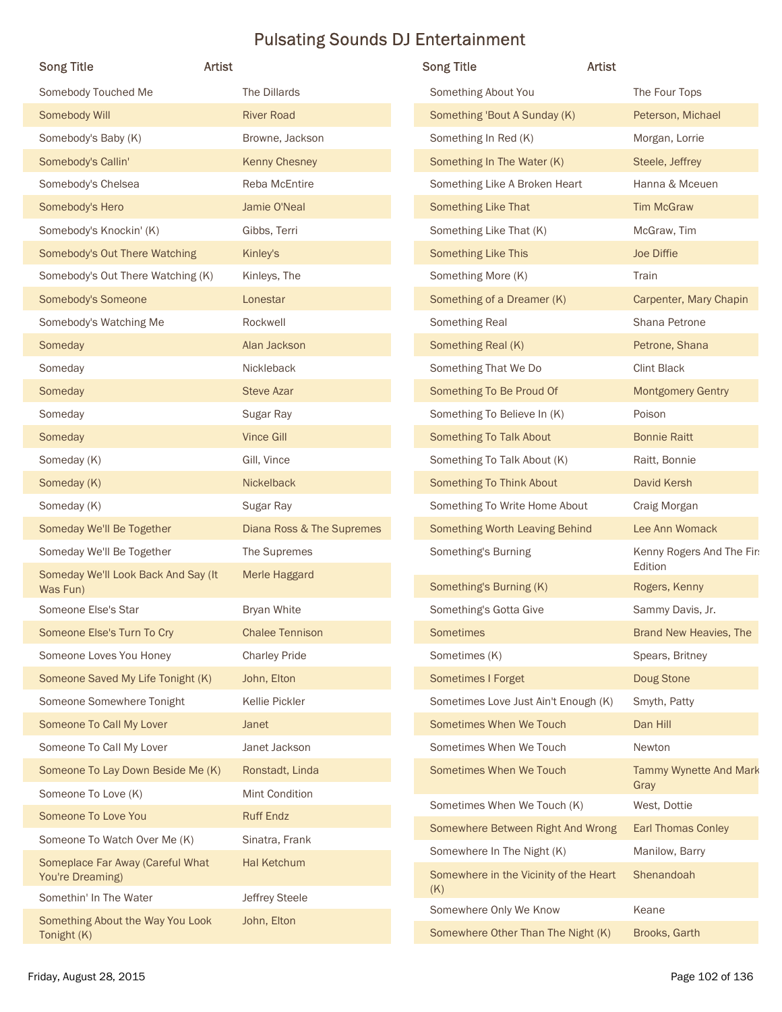|                                                      | <b>Pulsating Sounds DJ Entertainment</b> |                                               |                                       |
|------------------------------------------------------|------------------------------------------|-----------------------------------------------|---------------------------------------|
| <b>Song Title</b><br>Artist                          |                                          | <b>Song Title</b><br>Artist                   |                                       |
| Somebody Touched Me                                  | The Dillards                             | Something About You                           | The Four Tops                         |
| Somebody Will                                        | <b>River Road</b>                        | Something 'Bout A Sunday (K)                  | Peterson, Michael                     |
| Somebody's Baby (K)                                  | Browne, Jackson                          | Something In Red (K)                          | Morgan, Lorrie                        |
| Somebody's Callin'                                   | Kenny Chesney                            | Something In The Water (K)                    | Steele, Jeffrey                       |
| Somebody's Chelsea                                   | Reba McEntire                            | Something Like A Broken Heart                 | Hanna & Mceuen                        |
| Somebody's Hero                                      | Jamie O'Neal                             | Something Like That                           | <b>Tim McGraw</b>                     |
| Somebody's Knockin' (K)                              | Gibbs, Terri                             | Something Like That (K)                       | McGraw, Tim                           |
| Somebody's Out There Watching                        | Kinley's                                 | Something Like This                           | Joe Diffie                            |
| Somebody's Out There Watching (K)                    | Kinleys, The                             | Something More (K)                            | Train                                 |
| Somebody's Someone                                   | Lonestar                                 | Something of a Dreamer (K)                    | Carpenter, Mary Chapin                |
| Somebody's Watching Me                               | Rockwell                                 | Something Real                                | Shana Petrone                         |
| Someday                                              | Alan Jackson                             | Something Real (K)                            | Petrone, Shana                        |
| Someday                                              | Nickleback                               | Something That We Do                          | <b>Clint Black</b>                    |
| Someday                                              | <b>Steve Azar</b>                        | Something To Be Proud Of                      | <b>Montgomery Gentry</b>              |
| Someday                                              | Sugar Ray                                | Something To Believe In (K)                   | Poison                                |
| Someday                                              | <b>Vince Gill</b>                        | Something To Talk About                       | <b>Bonnie Raitt</b>                   |
| Someday (K)                                          | Gill, Vince                              | Something To Talk About (K)                   | Raitt, Bonnie                         |
| Someday (K)                                          | Nickelback                               | Something To Think About                      | David Kersh                           |
| Someday (K)                                          | Sugar Ray                                | Something To Write Home About                 | Craig Morgan                          |
| Someday We'll Be Together                            | Diana Ross & The Supremes                | Something Worth Leaving Behind                | Lee Ann Womack                        |
| Someday We'll Be Together                            | The Supremes                             | Something's Burning                           | Kenny Rogers And The Fir:             |
| Someday We'll Look Back And Say (It                  | Merle Haggard                            |                                               | Edition                               |
| Was Fun)                                             |                                          | Something's Burning (K)                       | Rogers, Kenny                         |
| Someone Else's Star                                  | <b>Bryan White</b>                       | Something's Gotta Give                        | Sammy Davis, Jr.                      |
| Someone Else's Turn To Cry                           | <b>Chalee Tennison</b>                   | <b>Sometimes</b>                              | Brand New Heavies, The                |
| Someone Loves You Honey                              | <b>Charley Pride</b>                     | Sometimes (K)                                 | Spears, Britney                       |
| Someone Saved My Life Tonight (K)                    | John, Elton                              | Sometimes I Forget                            | Doug Stone                            |
| Someone Somewhere Tonight                            | Kellie Pickler                           | Sometimes Love Just Ain't Enough (K)          | Smyth, Patty                          |
| Someone To Call My Lover                             | Janet                                    | Sometimes When We Touch                       | Dan Hill                              |
| Someone To Call My Lover                             | Janet Jackson                            | Sometimes When We Touch                       | Newton                                |
| Someone To Lay Down Beside Me (K)                    | Ronstadt, Linda                          | Sometimes When We Touch                       | <b>Tammy Wynette And Mark</b><br>Gray |
| Someone To Love (K)                                  | Mint Condition                           | Sometimes When We Touch (K)                   | West, Dottie                          |
| Someone To Love You                                  | <b>Ruff Endz</b>                         | Somewhere Between Right And Wrong             | <b>Earl Thomas Conley</b>             |
| Someone To Watch Over Me (K)                         | Sinatra, Frank                           | Somewhere In The Night (K)                    | Manilow, Barry                        |
| Someplace Far Away (Careful What<br>You're Dreaming) | <b>Hal Ketchum</b>                       | Somewhere in the Vicinity of the Heart<br>(K) | Shenandoah                            |
| Somethin' In The Water                               | Jeffrey Steele                           | Somewhere Only We Know                        | Keane                                 |
| Something About the Way You Look<br>Tonight (K)      | John, Elton                              | Somewhere Other Than The Night (K)            | Brooks, Garth                         |
| Friday, August 28, 2015                              |                                          |                                               | Page 102 of 136                       |

| <b>Pulsating Sounds DJ Entertainment</b> |                                               |                                      |
|------------------------------------------|-----------------------------------------------|--------------------------------------|
|                                          |                                               |                                      |
|                                          | <b>Song Title</b>                             | Artist                               |
| The Dillards                             | Something About You                           | The Four Tops                        |
| <b>River Road</b>                        | Something 'Bout A Sunday (K)                  | Peterson, Michael                    |
| Browne, Jackson                          | Something In Red (K)                          | Morgan, Lorrie                       |
| <b>Kenny Chesney</b>                     | Something In The Water (K)                    | Steele, Jeffrey                      |
| Reba McEntire                            | Something Like A Broken Heart                 | Hanna & Mceuen                       |
| Jamie O'Neal                             | Something Like That                           | <b>Tim McGraw</b>                    |
| Gibbs, Terri                             | Something Like That (K)                       | McGraw, Tim                          |
| Kinley's                                 | Something Like This                           | Joe Diffie                           |
| Kinleys, The                             | Something More (K)                            | Train                                |
| Lonestar                                 | Something of a Dreamer (K)                    | Carpenter, Mary Chapin               |
| Rockwell                                 | Something Real                                | Shana Petrone                        |
| Alan Jackson                             | Something Real (K)                            | Petrone, Shana                       |
| Nickleback                               | Something That We Do                          | <b>Clint Black</b>                   |
| <b>Steve Azar</b>                        | Something To Be Proud Of                      | <b>Montgomery Gentry</b>             |
| Sugar Ray                                | Something To Believe In (K)                   | Poison                               |
| <b>Vince Gill</b>                        | Something To Talk About                       | <b>Bonnie Raitt</b>                  |
| Gill, Vince                              | Something To Talk About (K)                   | Raitt, Bonnie                        |
| <b>Nickelback</b>                        | Something To Think About                      | David Kersh                          |
| Sugar Ray                                | Something To Write Home About                 | Craig Morgan                         |
| Diana Ross & The Supremes                | Something Worth Leaving Behind                | Lee Ann Womack                       |
| The Supremes<br>Merle Haggard            | Something's Burning                           | Kenny Rogers And The Fir:<br>Edition |
|                                          | Something's Burning (K)                       | Rogers, Kenny                        |
| <b>Bryan White</b>                       | Something's Gotta Give                        | Sammy Davis, Jr.                     |
| <b>Chalee Tennison</b>                   | <b>Sometimes</b>                              | Brand New Heavies, The               |
| <b>Charley Pride</b>                     | Sometimes (K)                                 | Spears, Britney                      |
| John, Elton                              | Sometimes I Forget                            | Doug Stone                           |
| Kellie Pickler                           | Sometimes Love Just Ain't Enough (K)          | Smyth, Patty                         |
| Janet                                    | Sometimes When We Touch                       | Dan Hill                             |
| Janet Jackson                            | Sometimes When We Touch                       | Newton                               |
| Ronstadt, Linda                          | Sometimes When We Touch                       | <b>Tammy Wynette And Mark</b>        |
| Mint Condition                           |                                               | Gray                                 |
| <b>Ruff Endz</b>                         | Sometimes When We Touch (K)                   | West, Dottie                         |
| Sinatra, Frank                           | Somewhere Between Right And Wrong             | Earl Thomas Conley                   |
| Hal Ketchum                              | Somewhere In The Night (K)                    | Manilow, Barry                       |
| Jeffrey Steele                           | Somewhere in the Vicinity of the Heart<br>(K) | Shenandoah                           |
|                                          | Somewhere Only We Know                        | Keane                                |
| John, Elton                              |                                               |                                      |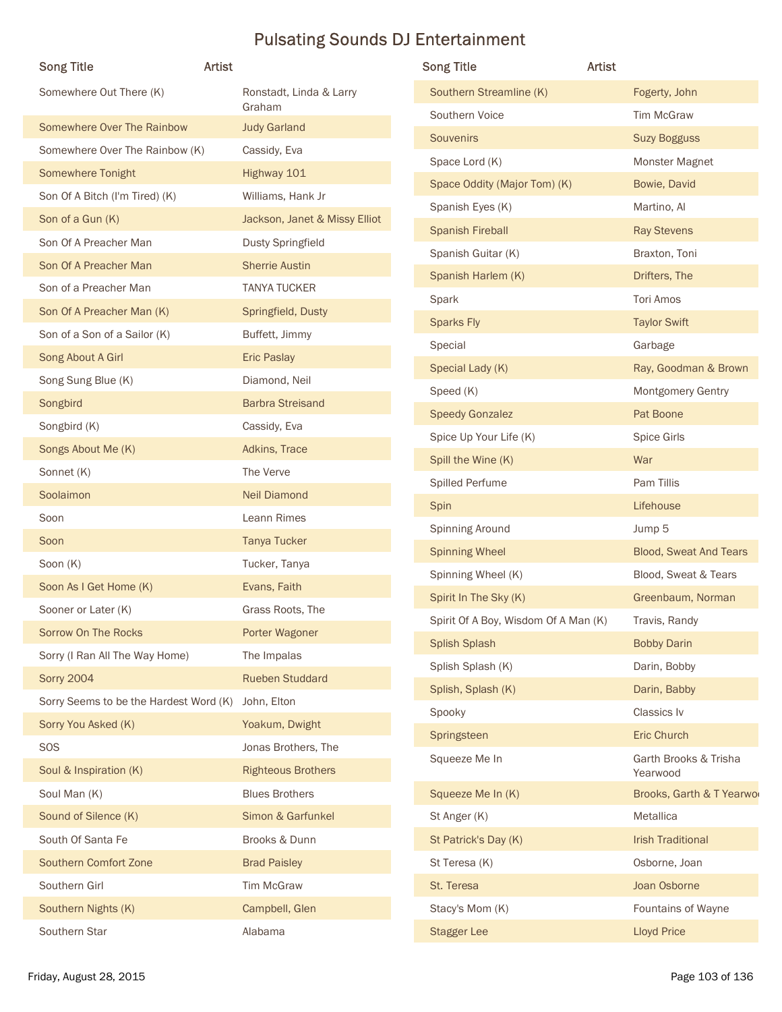|                                        | Artist                              | <b>Song Title</b><br>Artist          |                                   |
|----------------------------------------|-------------------------------------|--------------------------------------|-----------------------------------|
| Somewhere Out There (K)                | Ronstadt, Linda & Larry             | Southern Streamline (K)              | Fogerty, John                     |
| Somewhere Over The Rainbow             | Graham                              | Southern Voice                       | Tim McGraw                        |
| Somewhere Over The Rainbow (K)         | <b>Judy Garland</b><br>Cassidy, Eva | Souvenirs                            | <b>Suzy Bogguss</b>               |
| Somewhere Tonight                      | Highway 101                         | Space Lord (K)                       | Monster Magnet                    |
| Son Of A Bitch (I'm Tired) (K)         | Williams, Hank Jr                   | Space Oddity (Major Tom) (K)         | Bowie, David                      |
| Son of a Gun (K)                       | Jackson, Janet & Missy Elliot       | Spanish Eyes (K)                     | Martino, Al                       |
| Son Of A Preacher Man                  | <b>Dusty Springfield</b>            | <b>Spanish Fireball</b>              | <b>Ray Stevens</b>                |
| Son Of A Preacher Man                  | <b>Sherrie Austin</b>               | Spanish Guitar (K)                   | Braxton, Toni                     |
| Son of a Preacher Man                  | <b>TANYA TUCKER</b>                 | Spanish Harlem (K)                   | Drifters, The                     |
| Son Of A Preacher Man (K)              | Springfield, Dusty                  | Spark                                | Tori Amos                         |
| Son of a Son of a Sailor (K)           | Buffett, Jimmy                      | <b>Sparks Fly</b>                    | <b>Taylor Swift</b>               |
| Song About A Girl                      | Eric Paslay                         | Special                              | Garbage                           |
| Song Sung Blue (K)                     | Diamond, Neil                       | Special Lady (K)                     | Ray, Goodman & Brown              |
| Songbird                               | <b>Barbra Streisand</b>             | Speed (K)                            | Montgomery Gentry                 |
| Songbird (K)                           | Cassidy, Eva                        | <b>Speedy Gonzalez</b>               | Pat Boone                         |
| Songs About Me (K)                     | Adkins, Trace                       | Spice Up Your Life (K)               | <b>Spice Girls</b>                |
| Sonnet (K)                             | The Verve                           | Spill the Wine (K)                   | War                               |
| Soolaimon                              | <b>Neil Diamond</b>                 | Spilled Perfume                      | Pam Tillis                        |
| Soon                                   | Leann Rimes                         | Spin                                 | Lifehouse                         |
| Soon                                   | Tanya Tucker                        | Spinning Around                      | Jump 5                            |
| Soon (K)                               | Tucker, Tanya                       | <b>Spinning Wheel</b>                | <b>Blood, Sweat And Tears</b>     |
| Soon As I Get Home (K)                 | Evans, Faith                        | Spinning Wheel (K)                   | Blood, Sweat & Tears              |
| Sooner or Later (K)                    | Grass Roots, The                    | Spirit In The Sky (K)                | Greenbaum, Norman                 |
| Sorrow On The Rocks                    | Porter Wagoner                      | Spirit Of A Boy, Wisdom Of A Man (K) | Travis, Randy                     |
| Sorry (I Ran All The Way Home)         | The Impalas                         | Splish Splash                        | <b>Bobby Darin</b>                |
| <b>Sorry 2004</b>                      | <b>Rueben Studdard</b>              | Splish Splash (K)                    | Darin, Bobby                      |
| Sorry Seems to be the Hardest Word (K) | John, Elton                         | Splish, Splash (K)                   | Darin, Babby                      |
| Sorry You Asked (K)                    | Yoakum, Dwight                      | Spooky                               | Classics Iv                       |
| SOS                                    | Jonas Brothers, The                 | Springsteen                          | Eric Church                       |
| Soul & Inspiration (K)                 | <b>Righteous Brothers</b>           | Squeeze Me In                        | Garth Brooks & Trisha<br>Yearwood |
| Soul Man (K)                           | <b>Blues Brothers</b>               | Squeeze Me In (K)                    | Brooks, Garth & T Yearwo          |
| Sound of Silence (K)                   | Simon & Garfunkel                   | St Anger (K)                         | Metallica                         |
| South Of Santa Fe                      | Brooks & Dunn                       | St Patrick's Day (K)                 | <b>Irish Traditional</b>          |
| Southern Comfort Zone                  | <b>Brad Paisley</b>                 | St Teresa (K)                        | Osborne, Joan                     |
| Southern Girl                          | Tim McGraw                          | St. Teresa                           | Joan Osborne                      |
| Southern Nights (K)                    | Campbell, Glen                      | Stacy's Mom (K)                      | Fountains of Wayne                |
|                                        |                                     | <b>Stagger Lee</b>                   | <b>Lloyd Price</b>                |

|                               | <b>Song Title</b><br>Artist          |                               |
|-------------------------------|--------------------------------------|-------------------------------|
| Ronstadt, Linda & Larry       | Southern Streamline (K)              | Fogerty, John                 |
| Graham<br><b>Judy Garland</b> | Southern Voice                       | Tim McGraw                    |
| Cassidy, Eva                  | <b>Souvenirs</b>                     | <b>Suzy Bogguss</b>           |
| Highway 101                   | Space Lord (K)                       | Monster Magnet                |
| Williams, Hank Jr             | Space Oddity (Major Tom) (K)         | Bowie, David                  |
| Jackson, Janet & Missy Elliot | Spanish Eyes (K)                     | Martino, Al                   |
| Dusty Springfield             | <b>Spanish Fireball</b>              | <b>Ray Stevens</b>            |
| <b>Sherrie Austin</b>         | Spanish Guitar (K)                   | Braxton, Toni                 |
| <b>TANYA TUCKER</b>           | Spanish Harlem (K)                   | Drifters, The                 |
| Springfield, Dusty            | Spark                                | Tori Amos                     |
| Buffett, Jimmy                | <b>Sparks Fly</b>                    | <b>Taylor Swift</b>           |
| Eric Paslay                   | Special                              | Garbage                       |
| Diamond, Neil                 | Special Lady (K)                     | Ray, Goodman & Brown          |
| <b>Barbra Streisand</b>       | Speed (K)                            | <b>Montgomery Gentry</b>      |
| Cassidy, Eva                  | <b>Speedy Gonzalez</b>               | Pat Boone                     |
|                               | Spice Up Your Life (K)               | <b>Spice Girls</b>            |
| Adkins, Trace<br>The Verve    | Spill the Wine (K)                   | War                           |
|                               | Spilled Perfume                      | Pam Tillis                    |
| <b>Neil Diamond</b>           | Spin                                 | Lifehouse                     |
| Leann Rimes                   | Spinning Around                      | Jump 5                        |
| Tanya Tucker                  | <b>Spinning Wheel</b>                | <b>Blood, Sweat And Tears</b> |
| Tucker, Tanya                 | Spinning Wheel (K)                   | Blood, Sweat & Tears          |
| Evans, Faith                  | Spirit In The Sky (K)                | Greenbaum, Norman             |
| Grass Roots, The              | Spirit Of A Boy, Wisdom Of A Man (K) | Travis, Randy                 |
| Porter Wagoner                | Splish Splash                        | <b>Bobby Darin</b>            |
| The Impalas                   | Splish Splash (K)                    | Darin, Bobby                  |
| <b>Rueben Studdard</b>        | Splish, Splash (K)                   | Darin, Babby                  |
| John, Elton                   | Spooky                               | Classics Iv                   |
| Yoakum, Dwight                | Springsteen                          | Eric Church                   |
| Jonas Brothers, The           | Squeeze Me In                        | Garth Brooks & Trisha         |
| <b>Righteous Brothers</b>     |                                      | Yearwood                      |
| <b>Blues Brothers</b>         | Squeeze Me In (K)                    | Brooks, Garth & T Yearwor     |
| Simon & Garfunkel             | St Anger (K)                         | Metallica                     |
| Brooks & Dunn                 | St Patrick's Day (K)                 | <b>Irish Traditional</b>      |
| <b>Brad Paisley</b>           | St Teresa (K)                        | Osborne, Joan                 |
| Tim McGraw                    | St. Teresa                           | Joan Osborne                  |
| Campbell, Glen                | Stacy's Mom (K)                      | Fountains of Wayne            |
| Alabama                       | <b>Stagger Lee</b>                   | <b>Lloyd Price</b>            |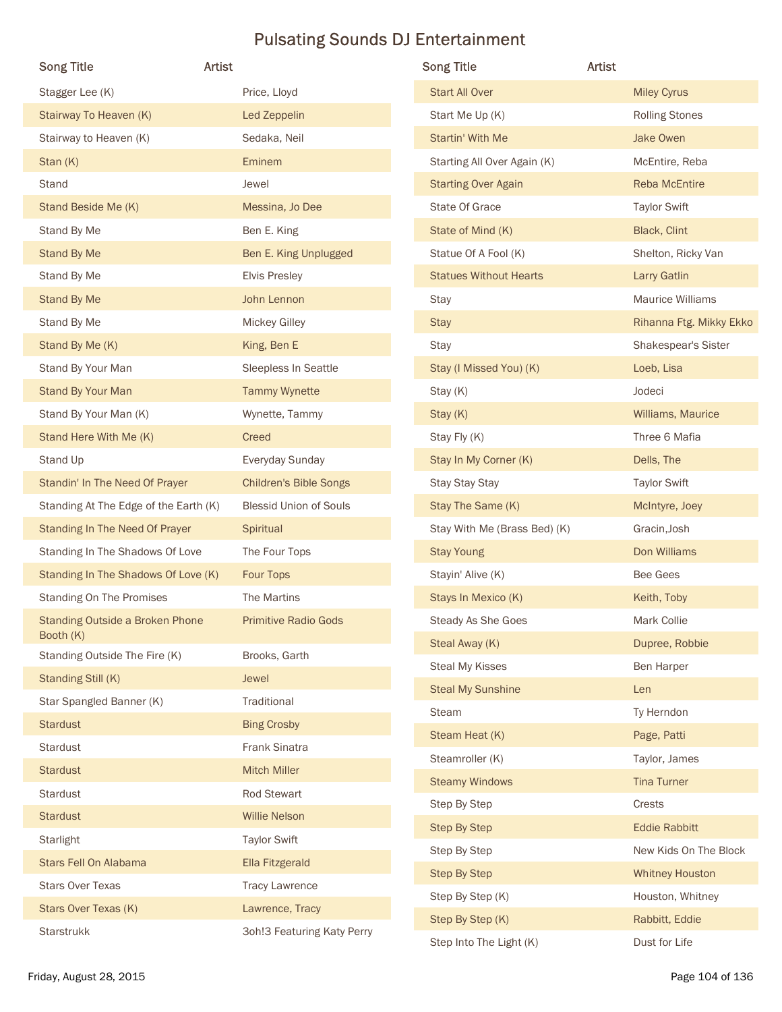| <b>Song Title</b>                            | Artist                        | <b>Song Title</b>             | Artist                  |
|----------------------------------------------|-------------------------------|-------------------------------|-------------------------|
| Stagger Lee (K)                              | Price, Lloyd                  | <b>Start All Over</b>         | <b>Miley Cyrus</b>      |
| Stairway To Heaven (K)                       | Led Zeppelin                  | Start Me Up (K)               | <b>Rolling Stones</b>   |
| Stairway to Heaven (K)                       | Sedaka, Neil                  | Startin' With Me              | Jake Owen               |
| Stan (K)                                     | Eminem                        | Starting All Over Again (K)   | McEntire, Reba          |
| Stand                                        | Jewel                         | <b>Starting Over Again</b>    | <b>Reba McEntire</b>    |
| Stand Beside Me (K)                          | Messina, Jo Dee               | State Of Grace                | <b>Taylor Swift</b>     |
| Stand By Me                                  | Ben E. King                   | State of Mind (K)             | Black, Clint            |
| Stand By Me                                  | Ben E. King Unplugged         | Statue Of A Fool (K)          | Shelton, Ricky Van      |
| Stand By Me                                  | <b>Elvis Presley</b>          | <b>Statues Without Hearts</b> | Larry Gatlin            |
| Stand By Me                                  | John Lennon                   | Stay                          | <b>Maurice Williams</b> |
| Stand By Me                                  | <b>Mickey Gilley</b>          | <b>Stay</b>                   | Rihanna Ftg. Mikky Ekko |
| Stand By Me (K)                              | King, Ben E                   | Stay                          | Shakespear's Sister     |
| Stand By Your Man                            | Sleepless In Seattle          | Stay (I Missed You) (K)       | Loeb, Lisa              |
| Stand By Your Man                            | <b>Tammy Wynette</b>          | Stay (K)                      | Jodeci                  |
| Stand By Your Man (K)                        | Wynette, Tammy                | Stay (K)                      | Williams, Maurice       |
| Stand Here With Me (K)                       | Creed                         | Stay Fly (K)                  | Three 6 Mafia           |
| Stand Up                                     | Everyday Sunday               | Stay In My Corner (K)         | Dells, The              |
| Standin' In The Need Of Prayer               | <b>Children's Bible Songs</b> | Stay Stay Stay                | <b>Taylor Swift</b>     |
| Standing At The Edge of the Earth (K)        | <b>Blessid Union of Souls</b> | Stay The Same (K)             | McIntyre, Joey          |
| Standing In The Need Of Prayer               | Spiritual                     | Stay With Me (Brass Bed) (K)  | Gracin, Josh            |
| Standing In The Shadows Of Love              | The Four Tops                 | <b>Stay Young</b>             | Don Williams            |
| Standing In The Shadows Of Love (K)          | <b>Four Tops</b>              | Stayin' Alive (K)             | Bee Gees                |
| Standing On The Promises                     | The Martins                   | Stays In Mexico (K)           | Keith, Toby             |
| Standing Outside a Broken Phone<br>Booth (K) | <b>Primitive Radio Gods</b>   | Steady As She Goes            | Mark Collie             |
| Standing Outside The Fire (K)                | Brooks, Garth                 | Steal Away (K)                | Dupree, Robbie          |
| <b>Standing Still (K)</b>                    | Jewel                         | <b>Steal My Kisses</b>        | Ben Harper              |
| Star Spangled Banner (K)                     | Traditional                   | <b>Steal My Sunshine</b>      | Len                     |
| <b>Stardust</b>                              | <b>Bing Crosby</b>            | Steam                         | Ty Herndon              |
| Stardust                                     | Frank Sinatra                 | Steam Heat (K)                | Page, Patti             |
| <b>Stardust</b>                              | <b>Mitch Miller</b>           | Steamroller (K)               | Taylor, James           |
| Stardust                                     | Rod Stewart                   | <b>Steamy Windows</b>         | <b>Tina Turner</b>      |
| <b>Stardust</b>                              | <b>Willie Nelson</b>          | Step By Step                  | Crests                  |
| Starlight                                    | Taylor Swift                  | Step By Step                  | <b>Eddie Rabbitt</b>    |
| Stars Fell On Alabama                        | Ella Fitzgerald               | Step By Step                  | New Kids On The Block   |
| <b>Stars Over Texas</b>                      | <b>Tracy Lawrence</b>         | <b>Step By Step</b>           | <b>Whitney Houston</b>  |
| Stars Over Texas (K)                         | Lawrence, Tracy               | Step By Step (K)              | Houston, Whitney        |
|                                              |                               | Step By Step (K)              | Rabbitt, Eddie          |
| Starstrukk                                   | 3oh!3 Featuring Katy Perry    | Step Into The Light (K)       | Dust for Life           |

| <b>Intertainment</b><br><b>Song Title</b><br><b>Start All Over</b><br>Start Me Up (K)<br>Startin' With Me<br>Starting All Over Again (K)<br><b>Starting Over Again</b><br>State Of Grace<br>State of Mind (K)<br>Statue Of A Fool (K)<br><b>Statues Without Hearts</b><br>Stay<br><b>Stay</b><br><b>Stay</b><br>Stay (I Missed You) (K)<br>Stay (K)<br>Stay (K)<br>Stay Fly (K)<br>Stay In My Corner (K)<br><b>Stay Stay Stay</b><br>Stay The Same (K)<br>Stay With Me (Brass Bed) (K)<br><b>Stay Young</b><br>Stayin' Alive (K)<br>Stays In Mexico (K)<br>Steady As She Goes<br>Steal Away (K)<br>Steal My Kisses<br><b>Steal My Sunshine</b><br>Steam<br>Steam Heat (K)<br>Steamroller (K)<br><b>Steamy Windows</b><br>Step By Step<br>Step By Step | Artist | <b>Miley Cyrus</b>                 |
|-------------------------------------------------------------------------------------------------------------------------------------------------------------------------------------------------------------------------------------------------------------------------------------------------------------------------------------------------------------------------------------------------------------------------------------------------------------------------------------------------------------------------------------------------------------------------------------------------------------------------------------------------------------------------------------------------------------------------------------------------------|--------|------------------------------------|
|                                                                                                                                                                                                                                                                                                                                                                                                                                                                                                                                                                                                                                                                                                                                                       |        |                                    |
|                                                                                                                                                                                                                                                                                                                                                                                                                                                                                                                                                                                                                                                                                                                                                       |        |                                    |
|                                                                                                                                                                                                                                                                                                                                                                                                                                                                                                                                                                                                                                                                                                                                                       |        |                                    |
|                                                                                                                                                                                                                                                                                                                                                                                                                                                                                                                                                                                                                                                                                                                                                       |        |                                    |
|                                                                                                                                                                                                                                                                                                                                                                                                                                                                                                                                                                                                                                                                                                                                                       |        |                                    |
|                                                                                                                                                                                                                                                                                                                                                                                                                                                                                                                                                                                                                                                                                                                                                       |        |                                    |
|                                                                                                                                                                                                                                                                                                                                                                                                                                                                                                                                                                                                                                                                                                                                                       |        |                                    |
|                                                                                                                                                                                                                                                                                                                                                                                                                                                                                                                                                                                                                                                                                                                                                       |        |                                    |
|                                                                                                                                                                                                                                                                                                                                                                                                                                                                                                                                                                                                                                                                                                                                                       |        |                                    |
|                                                                                                                                                                                                                                                                                                                                                                                                                                                                                                                                                                                                                                                                                                                                                       |        |                                    |
|                                                                                                                                                                                                                                                                                                                                                                                                                                                                                                                                                                                                                                                                                                                                                       |        |                                    |
|                                                                                                                                                                                                                                                                                                                                                                                                                                                                                                                                                                                                                                                                                                                                                       |        | <b>Rolling Stones</b>              |
|                                                                                                                                                                                                                                                                                                                                                                                                                                                                                                                                                                                                                                                                                                                                                       |        | Jake Owen                          |
|                                                                                                                                                                                                                                                                                                                                                                                                                                                                                                                                                                                                                                                                                                                                                       |        | McEntire, Reba                     |
|                                                                                                                                                                                                                                                                                                                                                                                                                                                                                                                                                                                                                                                                                                                                                       |        | <b>Reba McEntire</b>               |
|                                                                                                                                                                                                                                                                                                                                                                                                                                                                                                                                                                                                                                                                                                                                                       |        | <b>Taylor Swift</b>                |
|                                                                                                                                                                                                                                                                                                                                                                                                                                                                                                                                                                                                                                                                                                                                                       |        | Black, Clint                       |
|                                                                                                                                                                                                                                                                                                                                                                                                                                                                                                                                                                                                                                                                                                                                                       |        | Shelton, Ricky Van                 |
|                                                                                                                                                                                                                                                                                                                                                                                                                                                                                                                                                                                                                                                                                                                                                       |        | Larry Gatlin                       |
|                                                                                                                                                                                                                                                                                                                                                                                                                                                                                                                                                                                                                                                                                                                                                       |        | Maurice Williams                   |
|                                                                                                                                                                                                                                                                                                                                                                                                                                                                                                                                                                                                                                                                                                                                                       |        | Rihanna Ftg. Mikky Ekko            |
|                                                                                                                                                                                                                                                                                                                                                                                                                                                                                                                                                                                                                                                                                                                                                       |        | Shakespear's Sister                |
|                                                                                                                                                                                                                                                                                                                                                                                                                                                                                                                                                                                                                                                                                                                                                       |        | Loeb, Lisa                         |
|                                                                                                                                                                                                                                                                                                                                                                                                                                                                                                                                                                                                                                                                                                                                                       |        | Jodeci                             |
|                                                                                                                                                                                                                                                                                                                                                                                                                                                                                                                                                                                                                                                                                                                                                       |        | Williams, Maurice                  |
|                                                                                                                                                                                                                                                                                                                                                                                                                                                                                                                                                                                                                                                                                                                                                       |        | Three 6 Mafia                      |
|                                                                                                                                                                                                                                                                                                                                                                                                                                                                                                                                                                                                                                                                                                                                                       |        | Dells, The                         |
|                                                                                                                                                                                                                                                                                                                                                                                                                                                                                                                                                                                                                                                                                                                                                       |        | <b>Taylor Swift</b>                |
|                                                                                                                                                                                                                                                                                                                                                                                                                                                                                                                                                                                                                                                                                                                                                       |        | McIntyre, Joey                     |
|                                                                                                                                                                                                                                                                                                                                                                                                                                                                                                                                                                                                                                                                                                                                                       |        | Gracin, Josh                       |
|                                                                                                                                                                                                                                                                                                                                                                                                                                                                                                                                                                                                                                                                                                                                                       |        | Don Williams                       |
|                                                                                                                                                                                                                                                                                                                                                                                                                                                                                                                                                                                                                                                                                                                                                       |        | <b>Bee Gees</b>                    |
|                                                                                                                                                                                                                                                                                                                                                                                                                                                                                                                                                                                                                                                                                                                                                       |        | Keith, Toby                        |
|                                                                                                                                                                                                                                                                                                                                                                                                                                                                                                                                                                                                                                                                                                                                                       |        | Mark Collie                        |
|                                                                                                                                                                                                                                                                                                                                                                                                                                                                                                                                                                                                                                                                                                                                                       |        | Dupree, Robbie                     |
|                                                                                                                                                                                                                                                                                                                                                                                                                                                                                                                                                                                                                                                                                                                                                       |        | Ben Harper                         |
|                                                                                                                                                                                                                                                                                                                                                                                                                                                                                                                                                                                                                                                                                                                                                       |        | Len                                |
|                                                                                                                                                                                                                                                                                                                                                                                                                                                                                                                                                                                                                                                                                                                                                       |        | Ty Herndon                         |
|                                                                                                                                                                                                                                                                                                                                                                                                                                                                                                                                                                                                                                                                                                                                                       |        | Page, Patti                        |
|                                                                                                                                                                                                                                                                                                                                                                                                                                                                                                                                                                                                                                                                                                                                                       |        | Taylor, James                      |
|                                                                                                                                                                                                                                                                                                                                                                                                                                                                                                                                                                                                                                                                                                                                                       |        | <b>Tina Turner</b><br>Crests       |
|                                                                                                                                                                                                                                                                                                                                                                                                                                                                                                                                                                                                                                                                                                                                                       |        | <b>Eddie Rabbitt</b>               |
|                                                                                                                                                                                                                                                                                                                                                                                                                                                                                                                                                                                                                                                                                                                                                       |        | New Kids On The Block              |
| Step By Step                                                                                                                                                                                                                                                                                                                                                                                                                                                                                                                                                                                                                                                                                                                                          |        | <b>Whitney Houston</b>             |
| Step By Step<br>Step By Step (K)                                                                                                                                                                                                                                                                                                                                                                                                                                                                                                                                                                                                                                                                                                                      |        |                                    |
| Step By Step (K)                                                                                                                                                                                                                                                                                                                                                                                                                                                                                                                                                                                                                                                                                                                                      |        | Houston, Whitney<br>Rabbitt, Eddie |
| Step Into The Light (K)                                                                                                                                                                                                                                                                                                                                                                                                                                                                                                                                                                                                                                                                                                                               |        | Dust for Life                      |
|                                                                                                                                                                                                                                                                                                                                                                                                                                                                                                                                                                                                                                                                                                                                                       |        | Page 104 of 136                    |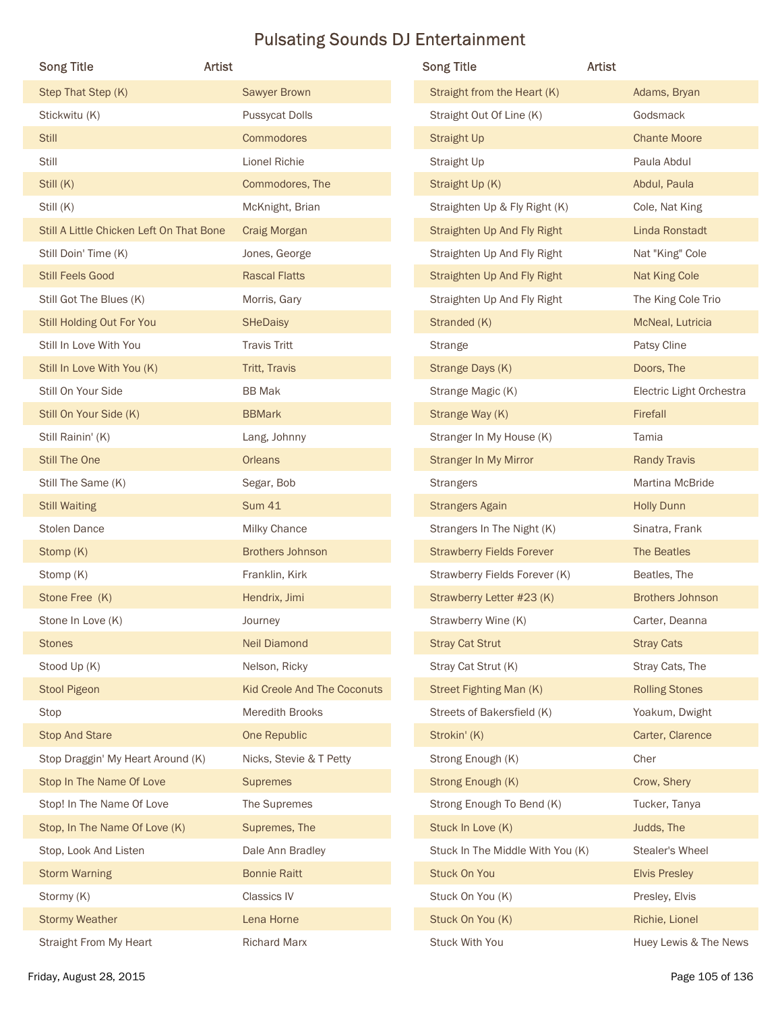| <b>Song Title</b><br>Artist              |                                   | <b>Song Title</b><br>Artist      |                          |
|------------------------------------------|-----------------------------------|----------------------------------|--------------------------|
| Step That Step (K)                       | Sawyer Brown                      | Straight from the Heart (K)      | Adams, Bryan             |
| Stickwitu (K)                            | <b>Pussycat Dolls</b>             | Straight Out Of Line (K)         | Godsmack                 |
| Still                                    | <b>Commodores</b>                 | <b>Straight Up</b>               | <b>Chante Moore</b>      |
| Still                                    | Lionel Richie                     | Straight Up                      | Paula Abdul              |
| Still (K)                                | Commodores, The                   | Straight Up (K)                  | Abdul, Paula             |
| Still (K)                                | McKnight, Brian                   | Straighten Up & Fly Right (K)    | Cole, Nat King           |
| Still A Little Chicken Left On That Bone | <b>Craig Morgan</b>               | Straighten Up And Fly Right      | Linda Ronstadt           |
| Still Doin' Time (K)                     | Jones, George                     | Straighten Up And Fly Right      | Nat "King" Cole          |
| <b>Still Feels Good</b>                  | <b>Rascal Flatts</b>              | Straighten Up And Fly Right      | Nat King Cole            |
| Still Got The Blues (K)                  | Morris, Gary                      | Straighten Up And Fly Right      | The King Cole Trio       |
| Still Holding Out For You                | <b>SHeDaisy</b>                   | Stranded (K)                     | McNeal, Lutricia         |
| Still In Love With You                   | <b>Travis Tritt</b>               | <b>Strange</b>                   | Patsy Cline              |
| Still In Love With You (K)               | Tritt, Travis                     | Strange Days (K)                 | Doors, The               |
| Still On Your Side                       | <b>BB</b> Mak                     | Strange Magic (K)                | Electric Light Orchestra |
| Still On Your Side (K)                   | <b>BBMark</b>                     | Strange Way (K)                  | Firefall                 |
| Still Rainin' (K)                        | Lang, Johnny                      | Stranger In My House (K)         | Tamia                    |
| Still The One                            | Orleans                           | Stranger In My Mirror            | <b>Randy Travis</b>      |
| Still The Same (K)                       | Segar, Bob                        | <b>Strangers</b>                 | Martina McBride          |
| <b>Still Waiting</b>                     | <b>Sum 41</b>                     | <b>Strangers Again</b>           | <b>Holly Dunn</b>        |
| Stolen Dance                             | <b>Milky Chance</b>               | Strangers In The Night (K)       | Sinatra, Frank           |
| Stomp (K)                                | <b>Brothers Johnson</b>           | <b>Strawberry Fields Forever</b> | The Beatles              |
| Stomp (K)                                | Franklin, Kirk                    | Strawberry Fields Forever (K)    | Beatles, The             |
| Stone Free (K)                           | Hendrix, Jimi                     | Strawberry Letter #23 (K)        | <b>Brothers Johnson</b>  |
| Stone In Love (K)                        | Journey                           | Strawberry Wine (K)              | Carter, Deanna           |
| <b>Stones</b>                            | <b>Neil Diamond</b>               | <b>Stray Cat Strut</b>           | <b>Stray Cats</b>        |
| Stood Up (K)                             | Nelson, Ricky                     | Stray Cat Strut (K)              | Stray Cats, The          |
| Stool Pigeon                             | Kid Creole And The Coconuts       | Street Fighting Man (K)          | <b>Rolling Stones</b>    |
| Stop                                     | Meredith Brooks                   | Streets of Bakersfield (K)       | Yoakum, Dwight           |
| <b>Stop And Stare</b>                    | One Republic                      | Strokin' (K)                     | Carter, Clarence         |
| Stop Draggin' My Heart Around (K)        | Nicks, Stevie & T Petty           | Strong Enough (K)                | Cher                     |
| Stop In The Name Of Love                 | Supremes                          | Strong Enough (K)                | Crow, Shery              |
| Stop! In The Name Of Love                | The Supremes                      | Strong Enough To Bend (K)        | Tucker, Tanya            |
| Stop, In The Name Of Love (K)            | Supremes, The                     | Stuck In Love (K)                | Judds, The               |
| Stop, Look And Listen                    | Dale Ann Bradley                  | Stuck In The Middle With You (K) | Stealer's Wheel          |
| <b>Storm Warning</b>                     | <b>Bonnie Raitt</b>               | <b>Stuck On You</b>              | <b>Elvis Presley</b>     |
| Stormy (K)                               | Classics IV                       | Stuck On You (K)                 | Presley, Elvis           |
| <b>Stormy Weather</b>                    | Lena Horne<br><b>Richard Marx</b> | Stuck On You (K)                 | Richie, Lionel           |
| Straight From My Heart                   |                                   | Stuck With You                   | Huey Lewis & The News    |

| <b>Intertainment</b><br><b>Song Title</b><br>Artist<br>Straight from the Heart (K)<br>Adams, Bryan<br>Straight Out Of Line (K)<br>Godsmack<br><b>Chante Moore</b><br><b>Straight Up</b><br>Straight Up<br>Paula Abdul<br>Abdul, Paula<br>Straight Up (K)<br>Straighten Up & Fly Right (K)<br>Cole, Nat King<br>Linda Ronstadt<br>Straighten Up And Fly Right<br>Nat "King" Cole<br>Straighten Up And Fly Right<br>Nat King Cole<br>Straighten Up And Fly Right<br>The King Cole Trio<br>Straighten Up And Fly Right<br>Stranded (K)<br>McNeal, Lutricia<br>Patsy Cline<br><b>Strange</b><br>Doors, The<br>Strange Days (K)<br>Electric Light Orchestra<br>Strange Magic (K)<br>Strange Way (K)<br>Firefall<br>Tamia<br>Stranger In My House (K)<br><b>Stranger In My Mirror</b><br><b>Randy Travis</b><br>Martina McBride<br><b>Strangers</b><br><b>Holly Dunn</b><br><b>Strangers Again</b><br>Strangers In The Night (K)<br>Sinatra, Frank<br>The Beatles<br><b>Strawberry Fields Forever</b><br>Strawberry Fields Forever (K)<br>Beatles, The<br><b>Brothers Johnson</b><br>Strawberry Letter #23 (K)<br>Strawberry Wine (K)<br>Carter, Deanna<br><b>Stray Cat Strut</b><br><b>Stray Cats</b><br>Stray Cat Strut (K)<br>Stray Cats, The<br>Street Fighting Man (K)<br><b>Rolling Stones</b><br>Streets of Bakersfield (K)<br>Yoakum, Dwight<br>Strokin' (K)<br>Carter, Clarence<br>Strong Enough (K)<br>Cher<br>Strong Enough (K)<br>Crow, Shery |
|-----------------------------------------------------------------------------------------------------------------------------------------------------------------------------------------------------------------------------------------------------------------------------------------------------------------------------------------------------------------------------------------------------------------------------------------------------------------------------------------------------------------------------------------------------------------------------------------------------------------------------------------------------------------------------------------------------------------------------------------------------------------------------------------------------------------------------------------------------------------------------------------------------------------------------------------------------------------------------------------------------------------------------------------------------------------------------------------------------------------------------------------------------------------------------------------------------------------------------------------------------------------------------------------------------------------------------------------------------------------------------------------------------------------------------------------------------|
|                                                                                                                                                                                                                                                                                                                                                                                                                                                                                                                                                                                                                                                                                                                                                                                                                                                                                                                                                                                                                                                                                                                                                                                                                                                                                                                                                                                                                                                     |
|                                                                                                                                                                                                                                                                                                                                                                                                                                                                                                                                                                                                                                                                                                                                                                                                                                                                                                                                                                                                                                                                                                                                                                                                                                                                                                                                                                                                                                                     |
|                                                                                                                                                                                                                                                                                                                                                                                                                                                                                                                                                                                                                                                                                                                                                                                                                                                                                                                                                                                                                                                                                                                                                                                                                                                                                                                                                                                                                                                     |
|                                                                                                                                                                                                                                                                                                                                                                                                                                                                                                                                                                                                                                                                                                                                                                                                                                                                                                                                                                                                                                                                                                                                                                                                                                                                                                                                                                                                                                                     |
|                                                                                                                                                                                                                                                                                                                                                                                                                                                                                                                                                                                                                                                                                                                                                                                                                                                                                                                                                                                                                                                                                                                                                                                                                                                                                                                                                                                                                                                     |
|                                                                                                                                                                                                                                                                                                                                                                                                                                                                                                                                                                                                                                                                                                                                                                                                                                                                                                                                                                                                                                                                                                                                                                                                                                                                                                                                                                                                                                                     |
|                                                                                                                                                                                                                                                                                                                                                                                                                                                                                                                                                                                                                                                                                                                                                                                                                                                                                                                                                                                                                                                                                                                                                                                                                                                                                                                                                                                                                                                     |
|                                                                                                                                                                                                                                                                                                                                                                                                                                                                                                                                                                                                                                                                                                                                                                                                                                                                                                                                                                                                                                                                                                                                                                                                                                                                                                                                                                                                                                                     |
|                                                                                                                                                                                                                                                                                                                                                                                                                                                                                                                                                                                                                                                                                                                                                                                                                                                                                                                                                                                                                                                                                                                                                                                                                                                                                                                                                                                                                                                     |
|                                                                                                                                                                                                                                                                                                                                                                                                                                                                                                                                                                                                                                                                                                                                                                                                                                                                                                                                                                                                                                                                                                                                                                                                                                                                                                                                                                                                                                                     |
|                                                                                                                                                                                                                                                                                                                                                                                                                                                                                                                                                                                                                                                                                                                                                                                                                                                                                                                                                                                                                                                                                                                                                                                                                                                                                                                                                                                                                                                     |
|                                                                                                                                                                                                                                                                                                                                                                                                                                                                                                                                                                                                                                                                                                                                                                                                                                                                                                                                                                                                                                                                                                                                                                                                                                                                                                                                                                                                                                                     |
|                                                                                                                                                                                                                                                                                                                                                                                                                                                                                                                                                                                                                                                                                                                                                                                                                                                                                                                                                                                                                                                                                                                                                                                                                                                                                                                                                                                                                                                     |
|                                                                                                                                                                                                                                                                                                                                                                                                                                                                                                                                                                                                                                                                                                                                                                                                                                                                                                                                                                                                                                                                                                                                                                                                                                                                                                                                                                                                                                                     |
|                                                                                                                                                                                                                                                                                                                                                                                                                                                                                                                                                                                                                                                                                                                                                                                                                                                                                                                                                                                                                                                                                                                                                                                                                                                                                                                                                                                                                                                     |
|                                                                                                                                                                                                                                                                                                                                                                                                                                                                                                                                                                                                                                                                                                                                                                                                                                                                                                                                                                                                                                                                                                                                                                                                                                                                                                                                                                                                                                                     |
|                                                                                                                                                                                                                                                                                                                                                                                                                                                                                                                                                                                                                                                                                                                                                                                                                                                                                                                                                                                                                                                                                                                                                                                                                                                                                                                                                                                                                                                     |
|                                                                                                                                                                                                                                                                                                                                                                                                                                                                                                                                                                                                                                                                                                                                                                                                                                                                                                                                                                                                                                                                                                                                                                                                                                                                                                                                                                                                                                                     |
|                                                                                                                                                                                                                                                                                                                                                                                                                                                                                                                                                                                                                                                                                                                                                                                                                                                                                                                                                                                                                                                                                                                                                                                                                                                                                                                                                                                                                                                     |
|                                                                                                                                                                                                                                                                                                                                                                                                                                                                                                                                                                                                                                                                                                                                                                                                                                                                                                                                                                                                                                                                                                                                                                                                                                                                                                                                                                                                                                                     |
|                                                                                                                                                                                                                                                                                                                                                                                                                                                                                                                                                                                                                                                                                                                                                                                                                                                                                                                                                                                                                                                                                                                                                                                                                                                                                                                                                                                                                                                     |
|                                                                                                                                                                                                                                                                                                                                                                                                                                                                                                                                                                                                                                                                                                                                                                                                                                                                                                                                                                                                                                                                                                                                                                                                                                                                                                                                                                                                                                                     |
|                                                                                                                                                                                                                                                                                                                                                                                                                                                                                                                                                                                                                                                                                                                                                                                                                                                                                                                                                                                                                                                                                                                                                                                                                                                                                                                                                                                                                                                     |
|                                                                                                                                                                                                                                                                                                                                                                                                                                                                                                                                                                                                                                                                                                                                                                                                                                                                                                                                                                                                                                                                                                                                                                                                                                                                                                                                                                                                                                                     |
|                                                                                                                                                                                                                                                                                                                                                                                                                                                                                                                                                                                                                                                                                                                                                                                                                                                                                                                                                                                                                                                                                                                                                                                                                                                                                                                                                                                                                                                     |
|                                                                                                                                                                                                                                                                                                                                                                                                                                                                                                                                                                                                                                                                                                                                                                                                                                                                                                                                                                                                                                                                                                                                                                                                                                                                                                                                                                                                                                                     |
|                                                                                                                                                                                                                                                                                                                                                                                                                                                                                                                                                                                                                                                                                                                                                                                                                                                                                                                                                                                                                                                                                                                                                                                                                                                                                                                                                                                                                                                     |
|                                                                                                                                                                                                                                                                                                                                                                                                                                                                                                                                                                                                                                                                                                                                                                                                                                                                                                                                                                                                                                                                                                                                                                                                                                                                                                                                                                                                                                                     |
|                                                                                                                                                                                                                                                                                                                                                                                                                                                                                                                                                                                                                                                                                                                                                                                                                                                                                                                                                                                                                                                                                                                                                                                                                                                                                                                                                                                                                                                     |
|                                                                                                                                                                                                                                                                                                                                                                                                                                                                                                                                                                                                                                                                                                                                                                                                                                                                                                                                                                                                                                                                                                                                                                                                                                                                                                                                                                                                                                                     |
|                                                                                                                                                                                                                                                                                                                                                                                                                                                                                                                                                                                                                                                                                                                                                                                                                                                                                                                                                                                                                                                                                                                                                                                                                                                                                                                                                                                                                                                     |
|                                                                                                                                                                                                                                                                                                                                                                                                                                                                                                                                                                                                                                                                                                                                                                                                                                                                                                                                                                                                                                                                                                                                                                                                                                                                                                                                                                                                                                                     |
|                                                                                                                                                                                                                                                                                                                                                                                                                                                                                                                                                                                                                                                                                                                                                                                                                                                                                                                                                                                                                                                                                                                                                                                                                                                                                                                                                                                                                                                     |
|                                                                                                                                                                                                                                                                                                                                                                                                                                                                                                                                                                                                                                                                                                                                                                                                                                                                                                                                                                                                                                                                                                                                                                                                                                                                                                                                                                                                                                                     |
|                                                                                                                                                                                                                                                                                                                                                                                                                                                                                                                                                                                                                                                                                                                                                                                                                                                                                                                                                                                                                                                                                                                                                                                                                                                                                                                                                                                                                                                     |
|                                                                                                                                                                                                                                                                                                                                                                                                                                                                                                                                                                                                                                                                                                                                                                                                                                                                                                                                                                                                                                                                                                                                                                                                                                                                                                                                                                                                                                                     |
|                                                                                                                                                                                                                                                                                                                                                                                                                                                                                                                                                                                                                                                                                                                                                                                                                                                                                                                                                                                                                                                                                                                                                                                                                                                                                                                                                                                                                                                     |
|                                                                                                                                                                                                                                                                                                                                                                                                                                                                                                                                                                                                                                                                                                                                                                                                                                                                                                                                                                                                                                                                                                                                                                                                                                                                                                                                                                                                                                                     |
|                                                                                                                                                                                                                                                                                                                                                                                                                                                                                                                                                                                                                                                                                                                                                                                                                                                                                                                                                                                                                                                                                                                                                                                                                                                                                                                                                                                                                                                     |
|                                                                                                                                                                                                                                                                                                                                                                                                                                                                                                                                                                                                                                                                                                                                                                                                                                                                                                                                                                                                                                                                                                                                                                                                                                                                                                                                                                                                                                                     |
| Strong Enough To Bend (K)<br>Tucker, Tanya                                                                                                                                                                                                                                                                                                                                                                                                                                                                                                                                                                                                                                                                                                                                                                                                                                                                                                                                                                                                                                                                                                                                                                                                                                                                                                                                                                                                          |
| Stuck In Love (K)<br>Judds, The                                                                                                                                                                                                                                                                                                                                                                                                                                                                                                                                                                                                                                                                                                                                                                                                                                                                                                                                                                                                                                                                                                                                                                                                                                                                                                                                                                                                                     |
| Stuck In The Middle With You (K)<br>Stealer's Wheel                                                                                                                                                                                                                                                                                                                                                                                                                                                                                                                                                                                                                                                                                                                                                                                                                                                                                                                                                                                                                                                                                                                                                                                                                                                                                                                                                                                                 |
| <b>Stuck On You</b><br><b>Elvis Presley</b>                                                                                                                                                                                                                                                                                                                                                                                                                                                                                                                                                                                                                                                                                                                                                                                                                                                                                                                                                                                                                                                                                                                                                                                                                                                                                                                                                                                                         |
| Stuck On You (K)<br>Presley, Elvis                                                                                                                                                                                                                                                                                                                                                                                                                                                                                                                                                                                                                                                                                                                                                                                                                                                                                                                                                                                                                                                                                                                                                                                                                                                                                                                                                                                                                  |
| Stuck On You (K)<br>Richie, Lionel                                                                                                                                                                                                                                                                                                                                                                                                                                                                                                                                                                                                                                                                                                                                                                                                                                                                                                                                                                                                                                                                                                                                                                                                                                                                                                                                                                                                                  |
| Stuck With You<br>Huey Lewis & The News<br>Page 105 of 136                                                                                                                                                                                                                                                                                                                                                                                                                                                                                                                                                                                                                                                                                                                                                                                                                                                                                                                                                                                                                                                                                                                                                                                                                                                                                                                                                                                          |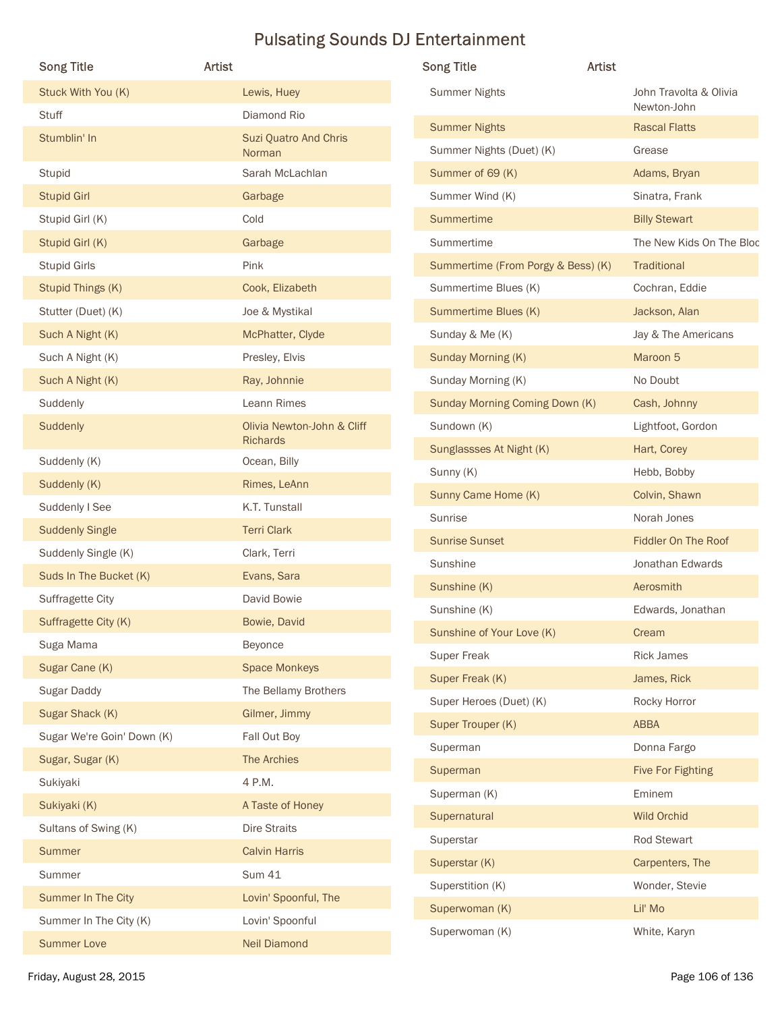| <b>Song Title</b>                            | Artist                             | Artist<br><b>Song Title</b>             |                                      |
|----------------------------------------------|------------------------------------|-----------------------------------------|--------------------------------------|
| Stuck With You (K)                           | Lewis, Huey                        | <b>Summer Nights</b>                    | John Travolta & Olivia               |
| Stuff                                        | Diamond Rio                        |                                         | Newton-John                          |
| Stumblin' In                                 | <b>Suzi Quatro And Chris</b>       | <b>Summer Nights</b>                    | <b>Rascal Flatts</b>                 |
|                                              | Norman                             | Summer Nights (Duet) (K)                | Grease                               |
| Stupid                                       | Sarah McLachlan                    | Summer of 69 (K)                        | Adams, Bryan                         |
| <b>Stupid Girl</b>                           | Garbage                            | Summer Wind (K)                         | Sinatra, Frank                       |
| Stupid Girl (K)                              | Cold                               | Summertime                              | <b>Billy Stewart</b>                 |
| Stupid Girl (K)                              | Garbage                            | Summertime                              | The New Kids On The Bloc             |
| <b>Stupid Girls</b>                          | Pink                               | Summertime (From Porgy & Bess) (K)      | Traditional                          |
| Stupid Things (K)                            | Cook, Elizabeth                    | Summertime Blues (K)                    | Cochran, Eddie                       |
| Stutter (Duet) (K)<br>Such A Night (K)       | Joe & Mystikal<br>McPhatter, Clyde | Summertime Blues (K)<br>Sunday & Me (K) | Jackson, Alan<br>Jay & The Americans |
| Such A Night (K)                             | Presley, Elvis                     | Sunday Morning (K)                      | Maroon 5                             |
| Such A Night (K)                             | Ray, Johnnie                       | Sunday Morning (K)                      | No Doubt                             |
| Suddenly                                     | Leann Rimes                        | Sunday Morning Coming Down (K)          | Cash, Johnny                         |
| Suddenly                                     | Olivia Newton-John & Cliff         | Sundown (K)                             | Lightfoot, Gordon                    |
|                                              | Richards                           | Sunglassses At Night (K)                | Hart, Corey                          |
| Suddenly (K)                                 | Ocean, Billy                       | Sunny (K)                               | Hebb, Bobby                          |
| Suddenly (K)                                 | Rimes, LeAnn                       | Sunny Came Home (K)                     | Colvin, Shawn                        |
| Suddenly I See                               | K.T. Tunstall                      | Sunrise                                 | Norah Jones                          |
| <b>Suddenly Single</b>                       | <b>Terri Clark</b>                 | <b>Sunrise Sunset</b>                   | Fiddler On The Roof                  |
| Suddenly Single (K)                          | Clark, Terri                       | Sunshine                                | Jonathan Edwards                     |
| Suds In The Bucket (K)                       | Evans, Sara                        | Sunshine (K)                            | Aerosmith                            |
| Suffragette City                             | David Bowie                        | Sunshine (K)                            | Edwards, Jonathan                    |
| Suffragette City (K)                         | Bowie, David                       | Sunshine of Your Love (K)               | Cream                                |
| Suga Mama                                    | Beyonce                            | Super Freak                             | Rick James                           |
| Sugar Cane (K)                               | <b>Space Monkeys</b>               | Super Freak (K)                         | James, Rick                          |
| Sugar Daddy                                  | The Bellamy Brothers               | Super Heroes (Duet) (K)                 | Rocky Horror                         |
| Sugar Shack (K)                              | Gilmer, Jimmy                      | Super Trouper (K)                       | ABBA                                 |
| Sugar We're Goin' Down (K)                   | Fall Out Boy                       | Superman                                | Donna Fargo                          |
| Sugar, Sugar (K)                             | The Archies                        | Superman                                | Five For Fighting                    |
| Sukiyaki                                     | 4 P.M.                             | Superman (K)                            | Eminem                               |
| Sukiyaki (K)                                 | A Taste of Honey                   | Supernatural                            | <b>Wild Orchid</b>                   |
| Sultans of Swing (K)                         | Dire Straits                       | Superstar                               | Rod Stewart                          |
| Summer                                       | <b>Calvin Harris</b>               | Superstar (K)                           | Carpenters, The                      |
| Summer                                       | <b>Sum 41</b>                      | Superstition (K)                        | Wonder, Stevie                       |
| Summer In The City                           | Lovin' Spoonful, The               | Superwoman (K)                          | Lil' Mo                              |
| Summer In The City (K)<br><b>Summer Love</b> | Lovin' Spoonful                    | Superwoman (K)                          | White, Karyn                         |
|                                              | <b>Neil Diamond</b>                |                                         |                                      |

| John Travolta & Olivia                                                                                                                                                                                           |
|------------------------------------------------------------------------------------------------------------------------------------------------------------------------------------------------------------------|
| Newton-John                                                                                                                                                                                                      |
| <b>Rascal Flatts</b>                                                                                                                                                                                             |
| Grease                                                                                                                                                                                                           |
| Adams, Bryan                                                                                                                                                                                                     |
| Sinatra, Frank<br><b>Billy Stewart</b>                                                                                                                                                                           |
| The New Kids On The Bloc                                                                                                                                                                                         |
| Traditional                                                                                                                                                                                                      |
| Cochran, Eddie                                                                                                                                                                                                   |
| Jackson, Alan                                                                                                                                                                                                    |
| Jay & The Americans                                                                                                                                                                                              |
| Maroon 5                                                                                                                                                                                                         |
| No Doubt                                                                                                                                                                                                         |
| Cash, Johnny                                                                                                                                                                                                     |
| Lightfoot, Gordon                                                                                                                                                                                                |
| Hart, Corey                                                                                                                                                                                                      |
| Hebb, Bobby                                                                                                                                                                                                      |
| Colvin, Shawn                                                                                                                                                                                                    |
| Norah Jones                                                                                                                                                                                                      |
| Fiddler On The Roof                                                                                                                                                                                              |
| Jonathan Edwards                                                                                                                                                                                                 |
| Aerosmith                                                                                                                                                                                                        |
| Edwards, Jonathan                                                                                                                                                                                                |
|                                                                                                                                                                                                                  |
| <b>Rick James</b>                                                                                                                                                                                                |
| James, Rick                                                                                                                                                                                                      |
| Rocky Horror                                                                                                                                                                                                     |
|                                                                                                                                                                                                                  |
| Donna Fargo                                                                                                                                                                                                      |
| <b>Five For Fighting</b>                                                                                                                                                                                         |
|                                                                                                                                                                                                                  |
| <b>Wild Orchid</b><br>Rod Stewart                                                                                                                                                                                |
| Carpenters, The                                                                                                                                                                                                  |
| Wonder, Stevie                                                                                                                                                                                                   |
|                                                                                                                                                                                                                  |
| White, Karyn                                                                                                                                                                                                     |
|                                                                                                                                                                                                                  |
|                                                                                                                                                                                                                  |
| <b>Artist</b><br>Summer Nights (Duet) (K)<br>Summertime (From Porgy & Bess) (K)<br>Sunday Morning Coming Down (K)<br>Sunglassses At Night (K)<br>Sunshine of Your Love (K)<br>Cream<br>ABBA<br>Eminem<br>Lil' Mo |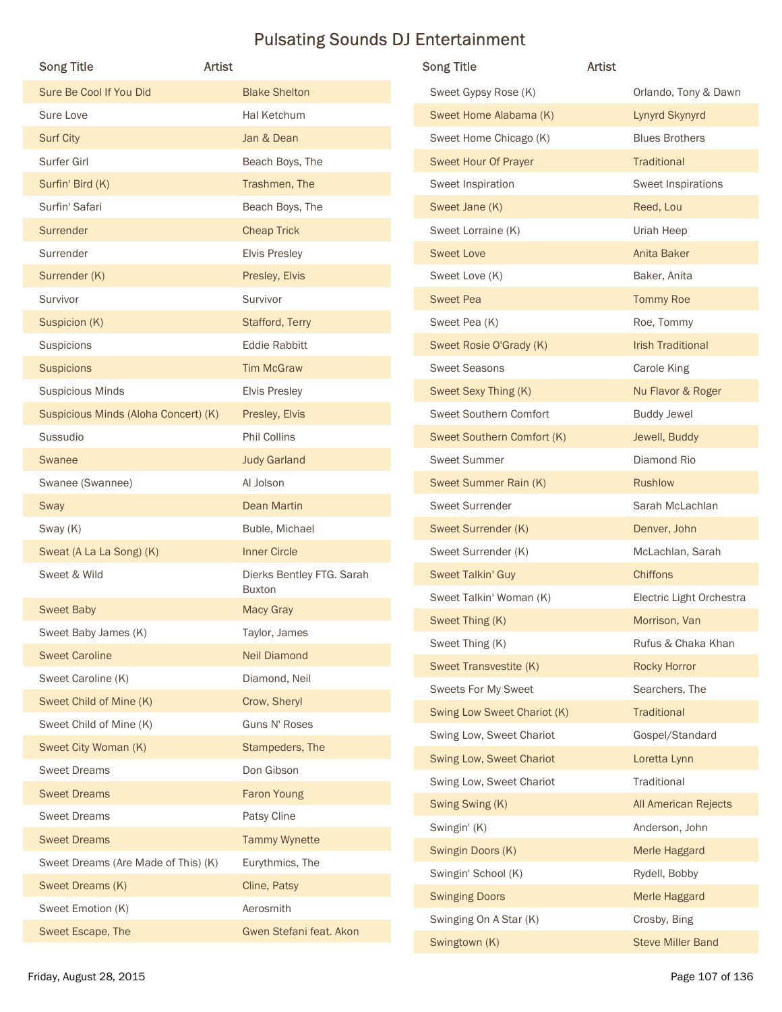| <b>Song Title</b><br>Artist          |                                            | <b>Song Title</b>                             | Artist                                |
|--------------------------------------|--------------------------------------------|-----------------------------------------------|---------------------------------------|
| Sure Be Cool If You Did              | <b>Blake Shelton</b>                       | Sweet Gypsy Rose (K)                          | Orlando, Tony & Dawn                  |
| Sure Love                            | Hal Ketchum                                | Sweet Home Alabama (K)                        | Lynyrd Skynyrd                        |
| <b>Surf City</b>                     | Jan & Dean                                 | Sweet Home Chicago (K)                        | <b>Blues Brothers</b>                 |
| Surfer Girl                          | Beach Boys, The                            | Sweet Hour Of Prayer                          | Traditional                           |
| Surfin' Bird (K)                     | Trashmen, The                              | Sweet Inspiration                             | Sweet Inspirations                    |
| Surfin' Safari                       | Beach Boys, The                            | Sweet Jane (K)                                | Reed, Lou                             |
| Surrender                            | <b>Cheap Trick</b>                         | Sweet Lorraine (K)                            | Uriah Heep                            |
| Surrender                            | <b>Elvis Presley</b>                       | <b>Sweet Love</b>                             | Anita Baker                           |
| Surrender (K)                        | Presley, Elvis                             | Sweet Love (K)                                | Baker, Anita                          |
| Survivor                             | Survivor                                   | <b>Sweet Pea</b>                              | <b>Tommy Roe</b>                      |
| Suspicion (K)                        | Stafford, Terry                            | Sweet Pea (K)                                 | Roe, Tommy                            |
| Suspicions                           | Eddie Rabbitt                              | Sweet Rosie O'Grady (K)                       | <b>Irish Traditional</b>              |
| Suspicions                           | <b>Tim McGraw</b>                          | <b>Sweet Seasons</b>                          | Carole King                           |
| <b>Suspicious Minds</b>              | Elvis Presley                              | Sweet Sexy Thing (K)                          | Nu Flavor & Roger                     |
| Suspicious Minds (Aloha Concert) (K) | Presley, Elvis                             | Sweet Southern Comfort                        | <b>Buddy Jewel</b>                    |
| Sussudio                             | Phil Collins                               | Sweet Southern Comfort (K)                    | Jewell, Buddy                         |
| Swanee                               | <b>Judy Garland</b>                        | <b>Sweet Summer</b>                           | Diamond Rio                           |
| Swanee (Swannee)                     | Al Jolson                                  | Sweet Summer Rain (K)                         | Rushlow                               |
| Sway                                 | Dean Martin                                | Sweet Surrender                               | Sarah McLachlan                       |
| Sway (K)                             | Buble, Michael                             | Sweet Surrender (K)                           | Denver, John                          |
| Sweat (A La La Song) (K)             | <b>Inner Circle</b>                        | Sweet Surrender (K)                           | McLachlan, Sarah                      |
| Sweet & Wild                         | Dierks Bentley FTG. Sarah<br><b>Buxton</b> | Sweet Talkin' Guy                             | Chiffons                              |
| <b>Sweet Baby</b>                    | Macy Gray                                  | Sweet Talkin' Woman (K)                       | Electric Light Orchestra              |
| Sweet Baby James (K)                 | Taylor, James                              | Sweet Thing (K)                               | Morrison, Van<br>Rufus & Chaka Khan   |
| <b>Sweet Caroline</b>                | <b>Neil Diamond</b>                        | Sweet Thing (K)                               |                                       |
| Sweet Caroline (K)                   | Diamond, Neil                              | Sweet Transvestite (K)<br>Sweets For My Sweet | <b>Rocky Horror</b><br>Searchers, The |
| Sweet Child of Mine (K)              | Crow, Sheryl                               | Swing Low Sweet Chariot (K)                   | Traditional                           |
| Sweet Child of Mine (K)              | Guns N' Roses                              | Swing Low, Sweet Chariot                      | Gospel/Standard                       |
| Sweet City Woman (K)                 | Stampeders, The                            |                                               |                                       |
| <b>Sweet Dreams</b>                  | Don Gibson                                 | Swing Low, Sweet Chariot                      | Loretta Lynn                          |
| <b>Sweet Dreams</b>                  | Faron Young                                | Swing Low, Sweet Chariot                      | Traditional                           |
| <b>Sweet Dreams</b>                  | Patsy Cline                                | Swing Swing (K)                               | All American Rejects                  |
| <b>Sweet Dreams</b>                  | <b>Tammy Wynette</b>                       | Swingin' (K)                                  | Anderson, John                        |
| Sweet Dreams (Are Made of This) (K)  | Eurythmics, The                            | Swingin Doors (K)                             | Merle Haggard                         |
| Sweet Dreams (K)                     | Cline, Patsy                               | Swingin' School (K)                           | Rydell, Bobby                         |
| Sweet Emotion (K)                    | Aerosmith                                  | <b>Swinging Doors</b>                         | Merle Haggard                         |
| Sweet Escape, The                    | Gwen Stefani feat. Akon                    | Swinging On A Star (K)                        | Crosby, Bing                          |
|                                      |                                            | Swingtown (K)                                 | <b>Steve Miller Band</b>              |

| <b>Intertainment</b>                              |                                          |
|---------------------------------------------------|------------------------------------------|
| <b>Song Title</b>                                 | Artist                                   |
| Sweet Gypsy Rose (K)                              | Orlando, Tony & Dawn                     |
| Sweet Home Alabama (K)                            | Lynyrd Skynyrd                           |
| Sweet Home Chicago (K)                            | <b>Blues Brothers</b>                    |
| Sweet Hour Of Prayer                              | Traditional                              |
| Sweet Inspiration                                 | Sweet Inspirations                       |
| Sweet Jane (K)                                    | Reed, Lou                                |
| Sweet Lorraine (K)                                | Uriah Heep                               |
| <b>Sweet Love</b>                                 | Anita Baker                              |
| Sweet Love (K)                                    | Baker, Anita                             |
| <b>Sweet Pea</b>                                  | <b>Tommy Roe</b>                         |
| Sweet Pea (K)                                     | Roe, Tommy                               |
| Sweet Rosie O'Grady (K)                           | <b>Irish Traditional</b>                 |
| <b>Sweet Seasons</b>                              | Carole King                              |
| Sweet Sexy Thing (K)                              | Nu Flavor & Roger                        |
| Sweet Southern Comfort                            | <b>Buddy Jewel</b>                       |
| Sweet Southern Comfort (K)<br><b>Sweet Summer</b> | Jewell, Buddy<br>Diamond Rio             |
| Sweet Summer Rain (K)                             | Rushlow                                  |
| Sweet Surrender                                   | Sarah McLachlan                          |
| Sweet Surrender (K)                               | Denver, John                             |
| Sweet Surrender (K)                               | McLachlan, Sarah                         |
| Sweet Talkin' Guy                                 | <b>Chiffons</b>                          |
| Sweet Talkin' Woman (K)                           | Electric Light Orchestra                 |
| Sweet Thing (K)                                   | Morrison, Van                            |
| Sweet Thing (K)                                   | Rufus & Chaka Khan                       |
| Sweet Transvestite (K)                            | Rocky Horror                             |
| Sweets For My Sweet                               | Searchers, The                           |
| Swing Low Sweet Chariot (K)                       | Traditional                              |
| Swing Low, Sweet Chariot                          | Gospel/Standard                          |
| Swing Low, Sweet Chariot                          | Loretta Lynn                             |
| Swing Low, Sweet Chariot                          | Traditional                              |
| Swing Swing (K)                                   | All American Rejects                     |
| Swingin' (K)                                      | Anderson, John                           |
| Swingin Doors (K)                                 | Merle Haggard                            |
| Swingin' School (K)                               | Rydell, Bobby                            |
| <b>Swinging Doors</b>                             | Merle Haggard                            |
| Swinging On A Star (K)                            | Crosby, Bing<br><b>Steve Miller Band</b> |
| Swingtown (K)                                     | Page 107 of 136                          |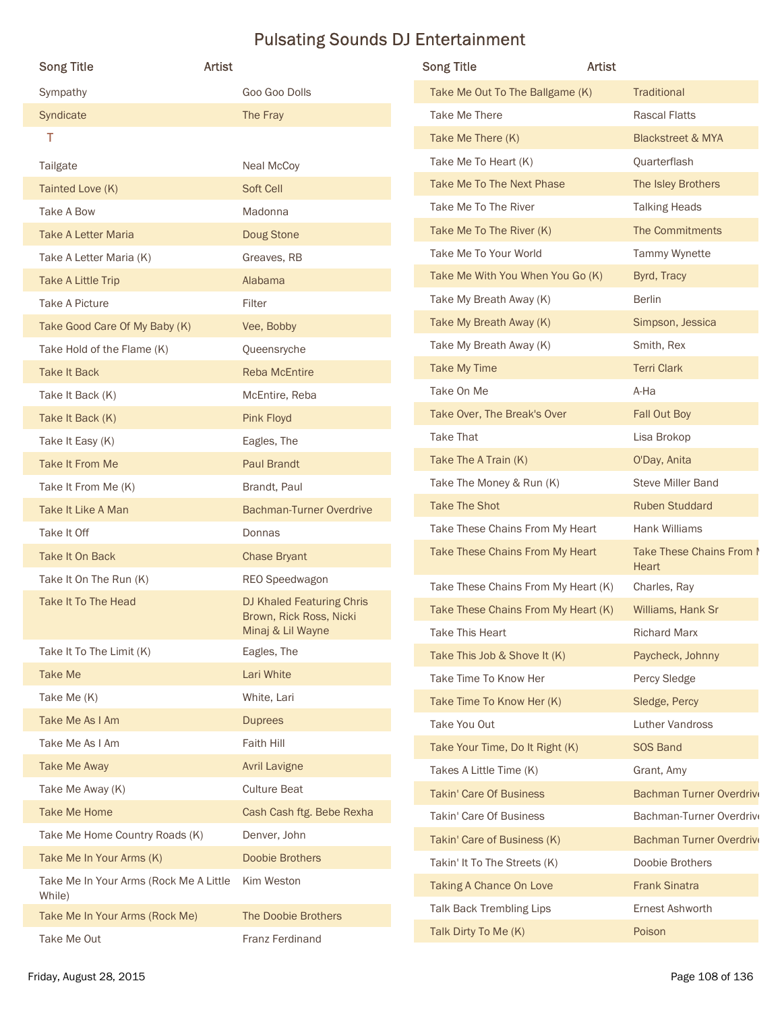| <b>Song Title</b><br>Artist                       |                                              | <b>Song Title</b><br>Artist                                                |                                   |
|---------------------------------------------------|----------------------------------------------|----------------------------------------------------------------------------|-----------------------------------|
| Sympathy                                          | Goo Goo Dolls                                | Take Me Out To The Ballgame (K)                                            | Traditional                       |
| Syndicate                                         | The Fray                                     | Take Me There                                                              | Rascal Flatts                     |
| T.                                                |                                              | Take Me There (K)                                                          | <b>Blackstreet &amp; MYA</b>      |
|                                                   | Neal McCoy                                   | Take Me To Heart (K)                                                       | Quarterflash                      |
| Tailgate<br>Tainted Love (K)                      | Soft Cell                                    | Take Me To The Next Phase                                                  | The Isley Brothers                |
| Take A Bow                                        | Madonna                                      | Take Me To The River                                                       | <b>Talking Heads</b>              |
| <b>Take A Letter Maria</b>                        | Doug Stone                                   | Take Me To The River (K)                                                   | The Commitments                   |
| Take A Letter Maria (K)                           | Greaves, RB                                  | Take Me To Your World                                                      | Tammy Wynette                     |
| Take A Little Trip                                | Alabama                                      | Take Me With You When You Go (K)                                           | Byrd, Tracy                       |
| <b>Take A Picture</b>                             | Filter                                       | Take My Breath Away (K)                                                    | <b>Berlin</b>                     |
| Take Good Care Of My Baby (K)                     | Vee, Bobby                                   | Take My Breath Away (K)                                                    | Simpson, Jessica                  |
| Take Hold of the Flame (K)                        | Queensryche                                  | Take My Breath Away (K)                                                    | Smith, Rex                        |
| <b>Take It Back</b>                               | <b>Reba McEntire</b>                         | <b>Take My Time</b>                                                        | <b>Terri Clark</b>                |
| Take It Back (K)                                  | McEntire, Reba                               | Take On Me                                                                 | A-Ha                              |
| Take It Back (K)                                  | Pink Floyd                                   | Take Over, The Break's Over                                                | Fall Out Boy                      |
| Take It Easy (K)                                  | Eagles, The                                  | Take That                                                                  | Lisa Brokop                       |
| Take It From Me                                   | <b>Paul Brandt</b>                           | Take The A Train (K)                                                       | O'Day, Anita                      |
| Take It From Me (K)                               | Brandt, Paul                                 | Take The Money & Run (K)                                                   | Steve Miller Band                 |
| Take It Like A Man                                | Bachman-Turner Overdrive                     | <b>Take The Shot</b>                                                       | <b>Ruben Studdard</b>             |
| Take It Off                                       | Donnas                                       | Take These Chains From My Heart                                            | Hank Williams                     |
| Take It On Back                                   | <b>Chase Bryant</b>                          | Take These Chains From My Heart                                            | Take These Chains From I          |
| Take It On The Run (K)                            | REO Speedwagon                               |                                                                            | Heart                             |
| Take It To The Head                               | DJ Khaled Featuring Chris                    | Take These Chains From My Heart (K)<br>Take These Chains From My Heart (K) | Charles, Ray<br>Williams, Hank Sr |
|                                                   | Brown, Rick Ross, Nicki<br>Minaj & Lil Wayne | Take This Heart                                                            | <b>Richard Marx</b>               |
| Take It To The Limit (K)                          | Eagles, The                                  | Take This Job & Shove It (K)                                               | Paycheck, Johnny                  |
| Take Me                                           | Lari White                                   | Take Time To Know Her                                                      | Percy Sledge                      |
| Take Me (K)                                       | White, Lari                                  | Take Time To Know Her (K)                                                  | Sledge, Percy                     |
| Take Me As I Am                                   | <b>Duprees</b>                               | Take You Out                                                               | Luther Vandross                   |
| Take Me As I Am                                   | Faith Hill                                   | Take Your Time, Do It Right (K)                                            | SOS Band                          |
| Take Me Away                                      | <b>Avril Lavigne</b>                         | Takes A Little Time (K)                                                    | Grant, Amy                        |
| Take Me Away (K)                                  | <b>Culture Beat</b>                          | <b>Takin' Care Of Business</b>                                             | <b>Bachman Turner Overdrive</b>   |
| <b>Take Me Home</b>                               | Cash Cash ftg. Bebe Rexha                    | Takin' Care Of Business                                                    | Bachman-Turner Overdrivo          |
| Take Me Home Country Roads (K)                    | Denver, John                                 | Takin' Care of Business (K)                                                | <b>Bachman Turner Overdrive</b>   |
| Take Me In Your Arms (K)                          | <b>Doobie Brothers</b>                       | Takin' It To The Streets (K)                                               | Doobie Brothers                   |
| Take Me In Your Arms (Rock Me A Little Kim Weston |                                              | <b>Taking A Chance On Love</b>                                             | <b>Frank Sinatra</b>              |
|                                                   |                                              | <b>Talk Back Trembling Lips</b>                                            | Ernest Ashworth                   |
| While)<br>Take Me In Your Arms (Rock Me)          | The Doobie Brothers                          |                                                                            |                                   |

| Entertainment                                             |                      |                                 |
|-----------------------------------------------------------|----------------------|---------------------------------|
| <b>Song Title</b>                                         | Artist               |                                 |
| Take Me Out To The Ballgame (K)                           | Traditional          |                                 |
| Take Me There                                             | <b>Rascal Flatts</b> |                                 |
| Take Me There (K)                                         |                      | <b>Blackstreet &amp; MYA</b>    |
| Take Me To Heart (K)                                      | Quarterflash         |                                 |
| Take Me To The Next Phase                                 |                      | The Isley Brothers              |
| Take Me To The River                                      | <b>Talking Heads</b> |                                 |
| Take Me To The River (K)                                  |                      | The Commitments                 |
| Take Me To Your World                                     |                      | Tammy Wynette                   |
| Take Me With You When You Go (K)                          | Byrd, Tracy          |                                 |
| Take My Breath Away (K)                                   | <b>Berlin</b>        |                                 |
| Take My Breath Away (K)                                   |                      | Simpson, Jessica                |
| Take My Breath Away (K)                                   | Smith, Rex           |                                 |
| <b>Take My Time</b>                                       | <b>Terri Clark</b>   |                                 |
| Take On Me                                                | A-Ha                 |                                 |
| Take Over, The Break's Over                               | Fall Out Boy         |                                 |
| <b>Take That</b>                                          | Lisa Brokop          |                                 |
| Take The A Train (K)                                      | O'Day, Anita         |                                 |
| Take The Money & Run (K)                                  |                      | <b>Steve Miller Band</b>        |
| <b>Take The Shot</b>                                      |                      | <b>Ruben Studdard</b>           |
| Take These Chains From My Heart                           | Hank Williams        |                                 |
| Take These Chains From My Heart                           | Heart                | Take These Chains From I        |
| Take These Chains From My Heart (K)                       | Charles, Ray         |                                 |
| Take These Chains From My Heart (K)                       |                      | Williams, Hank Sr               |
| <b>Take This Heart</b>                                    | <b>Richard Marx</b>  |                                 |
| Take This Job & Shove It (K)                              |                      | Paycheck, Johnny                |
| Take Time To Know Her                                     | Percy Sledge         |                                 |
| Take Time To Know Her (K)                                 | Sledge, Percy        |                                 |
| Take You Out                                              |                      | Luther Vandross                 |
| Take Your Time, Do It Right (K)                           | <b>SOS Band</b>      |                                 |
| Takes A Little Time (K)                                   | Grant, Amy           | <b>Bachman Turner Overdrive</b> |
| <b>Takin' Care Of Business</b><br>Takin' Care Of Business |                      | Bachman-Turner Overdrive        |
| Takin' Care of Business (K)                               |                      | <b>Bachman Turner Overdrive</b> |
| Takin' It To The Streets (K)                              |                      | Doobie Brothers                 |
| Taking A Chance On Love                                   | <b>Frank Sinatra</b> |                                 |
| Talk Back Trembling Lips                                  |                      | Ernest Ashworth                 |
| Talk Dirty To Me (K)                                      | Poison               |                                 |
|                                                           |                      |                                 |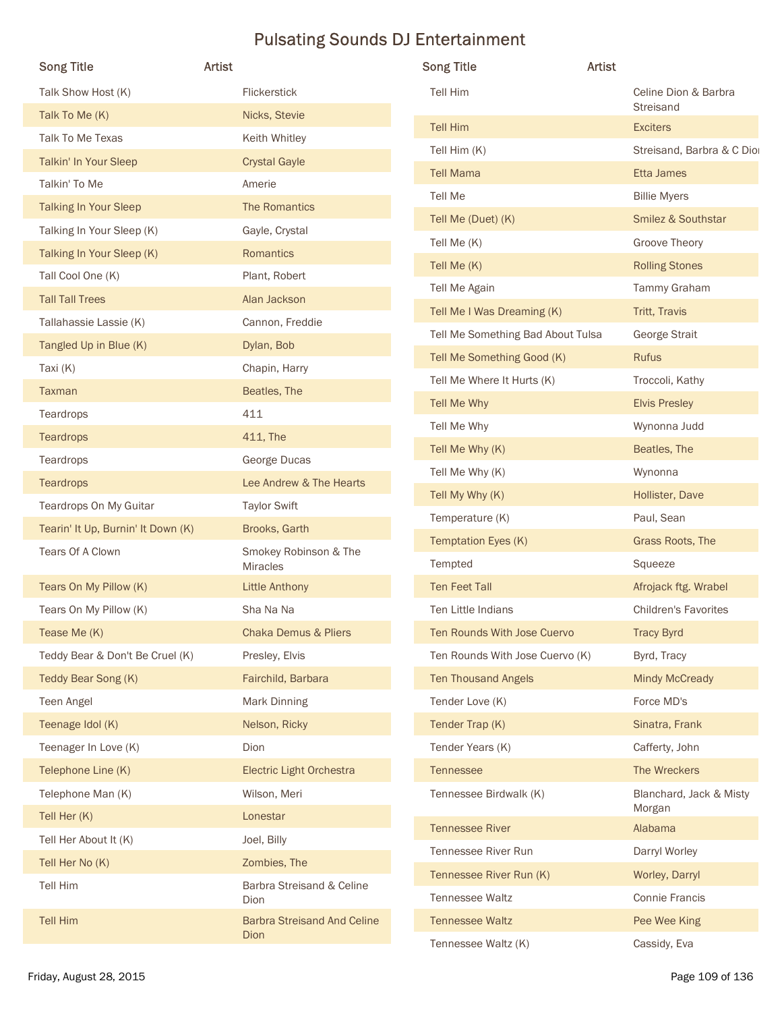| <b>Song Title</b>                                         | Artist                                     | Artist<br><b>Song Title</b>                   |                                   |
|-----------------------------------------------------------|--------------------------------------------|-----------------------------------------------|-----------------------------------|
| Talk Show Host (K)                                        | Flickerstick                               | Tell Him                                      | Celine Dion & Barbra<br>Streisand |
| Talk To Me (K)                                            | Nicks, Stevie                              | Tell Him                                      | <b>Exciters</b>                   |
| Talk To Me Texas                                          | Keith Whitley                              | Tell Him (K)                                  | Streisand, Barbra & C Dior        |
| Talkin' In Your Sleep<br>Talkin' To Me                    | <b>Crystal Gayle</b><br>Amerie             | <b>Tell Mama</b>                              | Etta James                        |
|                                                           | The Romantics                              | Tell Me                                       | <b>Billie Myers</b>               |
| <b>Talking In Your Sleep</b><br>Talking In Your Sleep (K) | Gayle, Crystal                             | Tell Me (Duet) (K)                            | Smilez & Southstar                |
| Talking In Your Sleep (K)                                 | Romantics                                  | Tell Me (K)                                   | <b>Groove Theory</b>              |
| Tall Cool One (K)                                         | Plant, Robert                              | Tell Me (K)                                   | <b>Rolling Stones</b>             |
| <b>Tall Tall Trees</b>                                    | Alan Jackson                               | Tell Me Again                                 | Tammy Graham                      |
| Tallahassie Lassie (K)                                    | Cannon, Freddie                            | Tell Me I Was Dreaming (K)                    | Tritt, Travis                     |
| Tangled Up in Blue (K)                                    | Dylan, Bob                                 | Tell Me Something Bad About Tulsa             | George Strait                     |
| Taxi (K)                                                  | Chapin, Harry                              | Tell Me Something Good (K)                    | Rufus                             |
| Taxman                                                    | Beatles, The                               | Tell Me Where It Hurts (K)                    | Troccoli, Kathy                   |
| Teardrops                                                 | 411                                        | Tell Me Why                                   | <b>Elvis Presley</b>              |
| Teardrops                                                 | 411, The                                   | Tell Me Why                                   | Wynonna Judd                      |
| Teardrops                                                 | George Ducas                               | Tell Me Why (K)                               | Beatles, The                      |
| Teardrops                                                 | Lee Andrew & The Hearts                    | Tell Me Why (K)                               | Wynonna                           |
| Teardrops On My Guitar                                    | <b>Taylor Swift</b>                        | Tell My Why (K)                               | Hollister, Dave                   |
| Tearin' It Up, Burnin' It Down (K)                        | Brooks, Garth                              | Temperature (K)                               | Paul, Sean                        |
| Tears Of A Clown                                          | Smokey Robinson & The                      | Temptation Eyes (K)                           | Grass Roots, The                  |
|                                                           | <b>Miracles</b>                            | Tempted                                       | Squeeze                           |
| Tears On My Pillow (K)                                    | Little Anthony                             | Ten Feet Tall                                 | Afrojack ftg. Wrabel              |
| Tears On My Pillow (K)                                    | Sha Na Na                                  | Ten Little Indians                            | Children's Favorites              |
| Tease Me (K)                                              | <b>Chaka Demus &amp; Pliers</b>            | Ten Rounds With Jose Cuervo                   | <b>Tracy Byrd</b>                 |
| Teddy Bear & Don't Be Cruel (K)                           | Presley, Elvis                             | Ten Rounds With Jose Cuervo (K)               | Byrd, Tracy                       |
| Teddy Bear Song (K)                                       | Fairchild, Barbara                         | <b>Ten Thousand Angels</b>                    | Mindy McCready                    |
| Teen Angel                                                | Mark Dinning                               | Tender Love (K)                               | Force MD's                        |
| Teenage Idol (K)                                          | Nelson, Ricky                              | Tender Trap (K)                               | Sinatra, Frank                    |
| Teenager In Love (K)                                      | Dion                                       | Tender Years (K)                              | Cafferty, John                    |
| Telephone Line (K)                                        | Electric Light Orchestra                   | Tennessee                                     | The Wreckers                      |
| Telephone Man (K)                                         | Wilson, Meri                               | Tennessee Birdwalk (K)                        | Blanchard, Jack & Misty<br>Morgan |
| Tell Her (K)                                              | Lonestar                                   | <b>Tennessee River</b>                        | Alabama                           |
| Tell Her About It (K)                                     | Joel, Billy                                | Tennessee River Run                           | Darryl Worley                     |
| Tell Her No (K)<br>Tell Him                               | Zombies, The<br>Barbra Streisand & Celine  | Tennessee River Run (K)                       | Worley, Darryl                    |
|                                                           | Dion                                       | Tennessee Waltz                               | <b>Connie Francis</b>             |
| Tell Him                                                  | <b>Barbra Streisand And Celine</b><br>Dion | <b>Tennessee Waltz</b><br>Tennessee Waltz (K) | Pee Wee King<br>Cassidy, Eva      |
|                                                           |                                            |                                               |                                   |

| <b>Entertainment</b>                        |                                                   |
|---------------------------------------------|---------------------------------------------------|
| <b>Song Title</b><br>Artist                 |                                                   |
| <b>Tell Him</b>                             | Celine Dion & Barbra<br>Streisand                 |
| <b>Tell Him</b>                             | <b>Exciters</b>                                   |
| Tell Him (K)                                | Streisand, Barbra & C Dior                        |
| <b>Tell Mama</b>                            | Etta James                                        |
| <b>Tell Me</b>                              | <b>Billie Myers</b>                               |
| Tell Me (Duet) (K)                          | <b>Smilez &amp; Southstar</b>                     |
| Tell Me (K)                                 | Groove Theory                                     |
| Tell Me (K)                                 | <b>Rolling Stones</b>                             |
| Tell Me Again<br>Tell Me I Was Dreaming (K) | Tammy Graham<br>Tritt, Travis                     |
| Tell Me Something Bad About Tulsa           | George Strait                                     |
| Tell Me Something Good (K)                  | <b>Rufus</b>                                      |
| Tell Me Where It Hurts (K)                  | Troccoli, Kathy                                   |
| Tell Me Why                                 | <b>Elvis Presley</b>                              |
| Tell Me Why                                 | Wynonna Judd                                      |
| Tell Me Why (K)                             | Beatles, The                                      |
| Tell Me Why (K)                             | Wynonna                                           |
| Tell My Why (K)                             | Hollister, Dave                                   |
| Temperature (K)                             | Paul, Sean                                        |
| Temptation Eyes (K)                         | Grass Roots, The                                  |
| Tempted                                     | Squeeze                                           |
| <b>Ten Feet Tall</b>                        | Afrojack ftg. Wrabel                              |
| Ten Little Indians                          | <b>Children's Favorites</b>                       |
| Ten Rounds With Jose Cuervo                 | <b>Tracy Byrd</b>                                 |
| Ten Rounds With Jose Cuervo (K)             | Byrd, Tracy                                       |
| <b>Ten Thousand Angels</b>                  | <b>Mindy McCready</b>                             |
| Tender Love (K)                             | Force MD's                                        |
| Tender Trap (K)                             | Sinatra, Frank                                    |
| Tender Years (K)                            | Cafferty, John                                    |
| Tennessee<br>Tennessee Birdwalk (K)         | The Wreckers<br>Blanchard, Jack & Misty<br>Morgan |
| <b>Tennessee River</b>                      | Alabama                                           |
| Tennessee River Run                         | Darryl Worley                                     |
| Tennessee River Run (K)                     | Worley, Darryl                                    |
| <b>Tennessee Waltz</b>                      | <b>Connie Francis</b>                             |
| <b>Tennessee Waltz</b>                      | Pee Wee King                                      |
| Tennessee Waltz (K)                         | Cassidy, Eva                                      |
|                                             | Page 109 of 136                                   |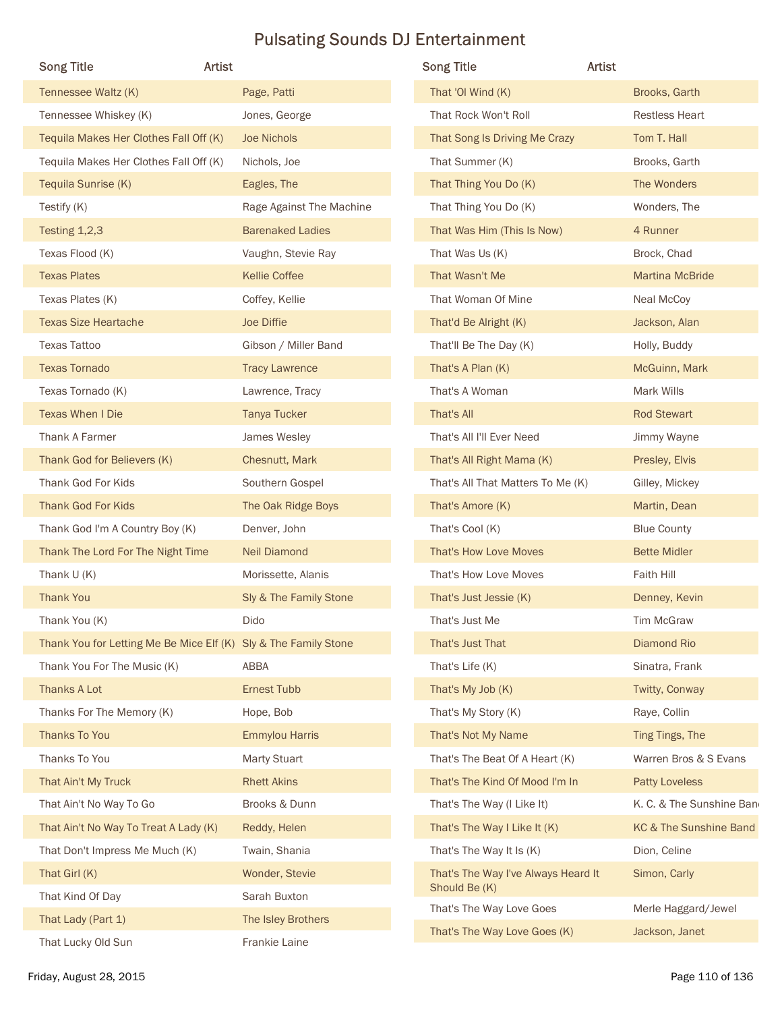|                                                                 | Artist                   | <b>Song Title</b><br>Artist                          |                          |
|-----------------------------------------------------------------|--------------------------|------------------------------------------------------|--------------------------|
| Tennessee Waltz (K)                                             | Page, Patti              | That 'OI Wind (K)                                    | Brooks, Garth            |
| Tennessee Whiskey (K)                                           | Jones, George            | That Rock Won't Roll                                 | <b>Restless Heart</b>    |
| Tequila Makes Her Clothes Fall Off (K)                          | <b>Joe Nichols</b>       | That Song Is Driving Me Crazy                        | Tom T. Hall              |
| Tequila Makes Her Clothes Fall Off (K)                          | Nichols, Joe             | That Summer (K)                                      | Brooks, Garth            |
| Tequila Sunrise (K)                                             | Eagles, The              | That Thing You Do (K)                                | The Wonders              |
| Testify (K)                                                     | Rage Against The Machine | That Thing You Do (K)                                | Wonders, The             |
| Testing 1,2,3                                                   | <b>Barenaked Ladies</b>  | That Was Him (This Is Now)                           | 4 Runner                 |
| Texas Flood (K)                                                 | Vaughn, Stevie Ray       | That Was Us (K)                                      | Brock, Chad              |
| <b>Texas Plates</b>                                             | <b>Kellie Coffee</b>     | That Wasn't Me                                       | <b>Martina McBride</b>   |
| Texas Plates (K)                                                | Coffey, Kellie           | That Woman Of Mine                                   | Neal McCoy               |
| <b>Texas Size Heartache</b>                                     | Joe Diffie               | That'd Be Alright (K)                                | Jackson, Alan            |
| Texas Tattoo                                                    | Gibson / Miller Band     | That'll Be The Day (K)                               | Holly, Buddy             |
| <b>Texas Tornado</b>                                            | <b>Tracy Lawrence</b>    | That's A Plan (K)                                    | McGuinn, Mark            |
| Texas Tornado (K)                                               | Lawrence, Tracy          | That's A Woman                                       | Mark Wills               |
| Texas When I Die                                                | <b>Tanya Tucker</b>      | That's All                                           | <b>Rod Stewart</b>       |
| Thank A Farmer                                                  | James Wesley             | That's All I'll Ever Need                            | Jimmy Wayne              |
| Thank God for Believers (K)                                     | Chesnutt, Mark           | That's All Right Mama (K)                            | Presley, Elvis           |
| Thank God For Kids                                              | Southern Gospel          | That's All That Matters To Me (K)                    | Gilley, Mickey           |
| Thank God For Kids                                              | The Oak Ridge Boys       | That's Amore (K)                                     | Martin, Dean             |
| Thank God I'm A Country Boy (K)                                 | Denver, John             | That's Cool (K)                                      | <b>Blue County</b>       |
| Thank The Lord For The Night Time                               | <b>Neil Diamond</b>      | That's How Love Moves                                | <b>Bette Midler</b>      |
| Thank $U(K)$                                                    | Morissette, Alanis       | That's How Love Moves                                | Faith Hill               |
| <b>Thank You</b>                                                | Sly & The Family Stone   | That's Just Jessie (K)                               | Denney, Kevin            |
| Thank You (K)                                                   | Dido                     | That's Just Me                                       | <b>Tim McGraw</b>        |
| Thank You for Letting Me Be Mice Elf (K) Sly & The Family Stone |                          | That's Just That                                     | Diamond Rio              |
| Thank You For The Music (K)                                     | <b>ABBA</b>              | That's Life (K)                                      | Sinatra, Frank           |
| Thanks A Lot                                                    | <b>Ernest Tubb</b>       | That's My Job (K)                                    | Twitty, Conway           |
| Thanks For The Memory (K)                                       | Hope, Bob                | That's My Story (K)                                  | Raye, Collin             |
| Thanks To You                                                   | <b>Emmylou Harris</b>    | That's Not My Name                                   | Ting Tings, The          |
| Thanks To You                                                   | <b>Marty Stuart</b>      | That's The Beat Of A Heart (K)                       | Warren Bros & S Evans    |
| That Ain't My Truck                                             | <b>Rhett Akins</b>       | That's The Kind Of Mood I'm In                       | <b>Patty Loveless</b>    |
| That Ain't No Way To Go                                         | Brooks & Dunn            | That's The Way (I Like It)                           | K. C. & The Sunshine Ban |
|                                                                 |                          | That's The Way I Like It (K)                         | KC & The Sunshine Band   |
| That Ain't No Way To Treat A Lady (K)                           | Reddy, Helen             |                                                      |                          |
| That Don't Impress Me Much (K)                                  | Twain, Shania            | That's The Way It Is (K)                             | Dion, Celine             |
| That Girl (K)                                                   | Wonder, Stevie           | That's The Way I've Always Heard It<br>Should Be (K) | Simon, Carly             |
| That Kind Of Day                                                | Sarah Buxton             | That's The Way Love Goes                             | Merle Haggard/Jewel      |
| That Lady (Part 1)                                              | The Isley Brothers       | That's The Way Love Goes (K)                         | Jackson, Janet           |
| That Lucky Old Sun                                              | Frankie Laine            |                                                      |                          |

| ntertainment                                                 |                                                   |
|--------------------------------------------------------------|---------------------------------------------------|
| <b>Song Title</b>                                            | Artist                                            |
| That 'OI Wind (K)                                            | Brooks, Garth                                     |
| That Rock Won't Roll                                         | <b>Restless Heart</b>                             |
| That Song Is Driving Me Crazy                                | Tom T. Hall                                       |
| That Summer (K)                                              | Brooks, Garth                                     |
| That Thing You Do (K)                                        | The Wonders                                       |
| That Thing You Do (K)                                        | Wonders, The                                      |
| That Was Him (This Is Now)                                   | 4 Runner                                          |
| That Was Us (K)                                              | Brock, Chad                                       |
| That Wasn't Me                                               | <b>Martina McBride</b>                            |
| That Woman Of Mine                                           | Neal McCoy                                        |
| That'd Be Alright (K)                                        | Jackson, Alan                                     |
| That'll Be The Day (K)                                       | Holly, Buddy                                      |
| That's A Plan (K)                                            | McGuinn, Mark                                     |
| That's A Woman                                               | Mark Wills                                        |
| That's All                                                   | <b>Rod Stewart</b>                                |
| That's All I'll Ever Need                                    | Jimmy Wayne                                       |
| That's All Right Mama (K)                                    | Presley, Elvis                                    |
| That's All That Matters To Me (K)                            | Gilley, Mickey                                    |
| That's Amore (K)                                             | Martin, Dean                                      |
| That's Cool (K)                                              | <b>Blue County</b>                                |
| That's How Love Moves                                        | <b>Bette Midler</b>                               |
| That's How Love Moves                                        | Faith Hill                                        |
| That's Just Jessie (K)                                       | Denney, Kevin                                     |
| That's Just Me                                               | Tim McGraw                                        |
| That's Just That                                             | <b>Diamond Rio</b>                                |
| That's Life (K)                                              | Sinatra, Frank                                    |
| That's My Job (K)                                            | Twitty, Conway                                    |
| That's My Story (K)                                          | Raye, Collin                                      |
| That's Not My Name                                           | Ting Tings, The                                   |
| That's The Beat Of A Heart (K)                               | Warren Bros & S Evans                             |
| That's The Kind Of Mood I'm In<br>That's The Way (I Like It) | <b>Patty Loveless</b><br>K. C. & The Sunshine Ban |
| That's The Way I Like It (K)                                 | KC & The Sunshine Band                            |
| That's The Way It Is (K)                                     | Dion, Celine                                      |
| That's The Way I've Always Heard It<br>Should Be (K)         | Simon, Carly                                      |
| That's The Way Love Goes                                     | Merle Haggard/Jewel                               |
|                                                              |                                                   |
| That's The Way Love Goes (K)                                 | Jackson, Janet<br>Page 110 of 136                 |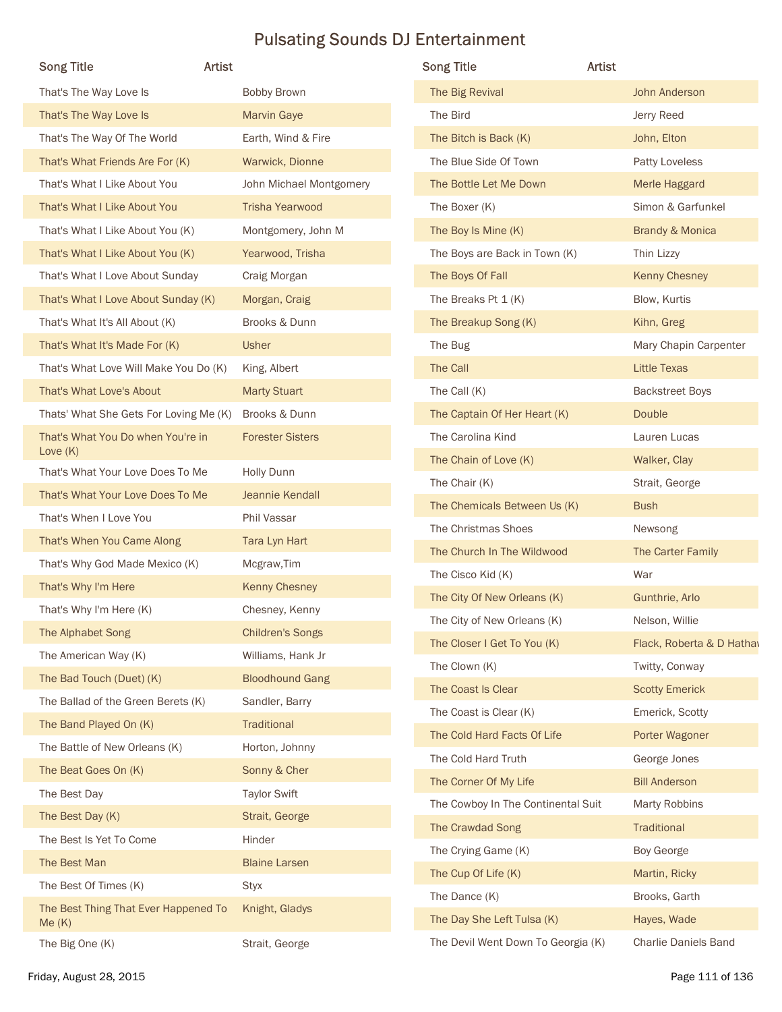|                                                | Artist                  | <b>Song Title</b><br>Artist        |                             |
|------------------------------------------------|-------------------------|------------------------------------|-----------------------------|
| That's The Way Love Is                         | Bobby Brown             | The Big Revival                    | John Anderson               |
| That's The Way Love Is                         | Marvin Gaye             | The Bird                           | Jerry Reed                  |
| That's The Way Of The World                    | Earth, Wind & Fire      | The Bitch is Back (K)              | John, Elton                 |
| That's What Friends Are For (K)                | Warwick, Dionne         | The Blue Side Of Town              | Patty Loveless              |
| That's What I Like About You                   | John Michael Montgomery | The Bottle Let Me Down             | Merle Haggard               |
| That's What I Like About You                   | Trisha Yearwood         | The Boxer (K)                      | Simon & Garfunkel           |
| That's What I Like About You (K)               | Montgomery, John M      | The Boy Is Mine (K)                | <b>Brandy &amp; Monica</b>  |
| That's What I Like About You (K)               | Yearwood, Trisha        | The Boys are Back in Town (K)      | Thin Lizzy                  |
| That's What I Love About Sunday                | Craig Morgan            | The Boys Of Fall                   | <b>Kenny Chesney</b>        |
| That's What I Love About Sunday (K)            | Morgan, Craig           | The Breaks Pt 1 (K)                | Blow, Kurtis                |
| That's What It's All About (K)                 | Brooks & Dunn           | The Breakup Song (K)               | Kihn, Greg                  |
| That's What It's Made For (K)                  | <b>Usher</b>            | The Bug                            | Mary Chapin Carpenter       |
| That's What Love Will Make You Do (K)          | King, Albert            | The Call                           | Little Texas                |
| That's What Love's About                       | <b>Marty Stuart</b>     | The Call (K)                       | <b>Backstreet Boys</b>      |
| Thats' What She Gets For Loving Me (K)         | Brooks & Dunn           | The Captain Of Her Heart (K)       | Double                      |
| That's What You Do when You're in              | <b>Forester Sisters</b> | The Carolina Kind                  | Lauren Lucas                |
| Love $(K)$<br>That's What Your Love Does To Me | <b>Holly Dunn</b>       | The Chain of Love (K)              | Walker, Clay                |
| That's What Your Love Does To Me               | Jeannie Kendall         | The Chair (K)                      | Strait, George              |
| That's When I Love You                         | Phil Vassar             | The Chemicals Between Us (K)       | <b>Bush</b>                 |
| That's When You Came Along                     | Tara Lyn Hart           | The Christmas Shoes                | Newsong                     |
| That's Why God Made Mexico (K)                 | Mcgraw, Tim             | The Church In The Wildwood         | The Carter Family           |
| That's Why I'm Here                            | Kenny Chesney           | The Cisco Kid (K)                  | War                         |
|                                                | Chesney, Kenny          | The City Of New Orleans (K)        | Gunthrie, Arlo              |
| That's Why I'm Here (K)                        |                         | The City of New Orleans (K)        | Nelson, Willie              |
| The Alphabet Song                              | <b>Children's Songs</b> | The Closer I Get To You (K)        | Flack, Roberta & D Hathay   |
| The American Way (K)                           | Williams, Hank Jr       | The Clown (K)                      | Twitty, Conway              |
| The Bad Touch (Duet) (K)                       | <b>Bloodhound Gang</b>  | The Coast Is Clear                 | <b>Scotty Emerick</b>       |
| The Ballad of the Green Berets (K)             | Sandler, Barry          | The Coast is Clear (K)             | Emerick, Scotty             |
| The Band Played On (K)                         | Traditional             | The Cold Hard Facts Of Life        | Porter Wagoner              |
| The Battle of New Orleans (K)                  | Horton, Johnny          | The Cold Hard Truth                | George Jones                |
| The Beat Goes On (K)                           | Sonny & Cher            | The Corner Of My Life              | <b>Bill Anderson</b>        |
| The Best Day                                   | <b>Taylor Swift</b>     | The Cowboy In The Continental Suit | <b>Marty Robbins</b>        |
| The Best Day (K)                               | Strait, George          | The Crawdad Song                   | Traditional                 |
| The Best Is Yet To Come                        | Hinder                  | The Crying Game (K)                | <b>Boy George</b>           |
| The Best Man                                   | <b>Blaine Larsen</b>    | The Cup Of Life (K)                | Martin, Ricky               |
| The Best Of Times (K)                          | Styx                    | The Dance (K)                      | Brooks, Garth               |
| The Best Thing That Ever Happened To<br>Me(K)  | Knight, Gladys          | The Day She Left Tulsa (K)         | Hayes, Wade                 |
| The Big One (K)                                | Strait, George          | The Devil Went Down To Georgia (K) | <b>Charlie Daniels Band</b> |
|                                                |                         |                                    |                             |

| <b>Entertainment</b>                         |                                             |
|----------------------------------------------|---------------------------------------------|
| <b>Song Title</b>                            | Artist                                      |
| The Big Revival                              | John Anderson                               |
| The Bird                                     | Jerry Reed                                  |
| The Bitch is Back (K)                        | John, Elton                                 |
| The Blue Side Of Town                        | Patty Loveless                              |
| The Bottle Let Me Down                       | Merle Haggard                               |
| The Boxer (K)                                | Simon & Garfunkel                           |
| The Boy Is Mine (K)                          | Brandy & Monica                             |
| The Boys are Back in Town (K)                | Thin Lizzy                                  |
| The Boys Of Fall                             | Kenny Chesney                               |
| The Breaks Pt 1 (K)                          | Blow, Kurtis                                |
| The Breakup Song (K)                         | Kihn, Greg                                  |
| The Bug                                      | Mary Chapin Carpenter                       |
| The Call                                     | <b>Little Texas</b>                         |
| The Call (K)                                 | <b>Backstreet Boys</b>                      |
| The Captain Of Her Heart (K)                 | Double                                      |
| The Carolina Kind                            | Lauren Lucas                                |
| The Chain of Love (K)                        | Walker, Clay                                |
| The Chair (K)                                | Strait, George                              |
| The Chemicals Between Us (K)                 | <b>Bush</b>                                 |
| The Christmas Shoes                          | Newsong                                     |
| The Church In The Wildwood                   | The Carter Family                           |
| The Cisco Kid (K)                            | War                                         |
| The City Of New Orleans (K)                  | Gunthrie, Arlo                              |
| The City of New Orleans (K)                  | Nelson, Willie                              |
| The Closer I Get To You (K)<br>The Clown (K) | Flack, Roberta & D Hathay<br>Twitty, Conway |
| The Coast Is Clear                           | <b>Scotty Emerick</b>                       |
| The Coast is Clear (K)                       | Emerick, Scotty                             |
| The Cold Hard Facts Of Life                  | Porter Wagoner                              |
| The Cold Hard Truth                          | George Jones                                |
| The Corner Of My Life                        | <b>Bill Anderson</b>                        |
| The Cowboy In The Continental Suit           | Marty Robbins                               |
| The Crawdad Song                             | Traditional                                 |
| The Crying Game (K)                          | Boy George                                  |
| The Cup Of Life (K)                          | Martin, Ricky                               |
| The Dance (K)                                | Brooks, Garth                               |
| The Day She Left Tulsa (K)                   | Hayes, Wade                                 |
| The Devil Went Down To Georgia (K)           | Charlie Daniels Band                        |
|                                              | Page 111 of 136                             |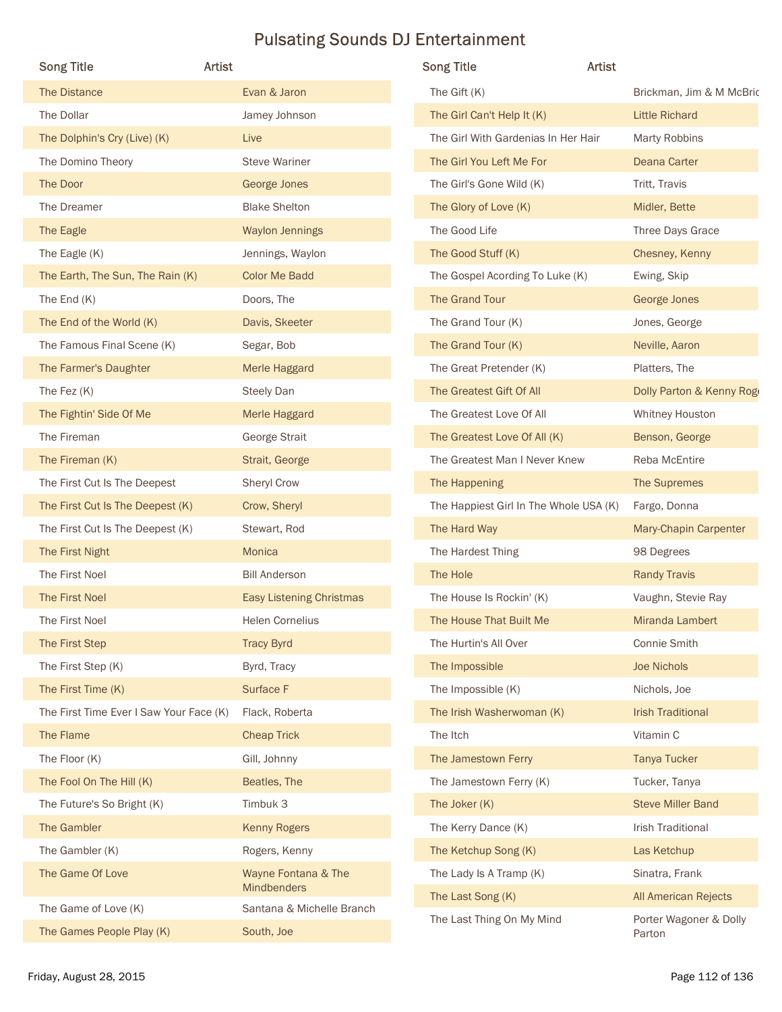| Evan & Jaron<br>Jamey Johnson<br>Live<br><b>Steve Wariner</b><br>George Jones<br><b>Blake Shelton</b><br><b>Waylon Jennings</b><br>Jennings, Waylon<br><b>Color Me Badd</b><br>Doors, The<br>Davis, Skeeter<br>Segar, Bob<br>Merle Haggard | <b>Song Title</b><br>Artist<br>The Gift (K)<br>The Girl Can't Help It (K)<br>The Girl With Gardenias In Her Hair<br>The Girl You Left Me For<br>The Girl's Gone Wild (K)<br>The Glory of Love (K)<br>The Good Life<br>The Good Stuff (K)<br>The Gospel Acording To Luke (K)<br>The Grand Tour | Brickman, Jim & M McBric<br><b>Little Richard</b><br><b>Marty Robbins</b><br>Deana Carter<br>Tritt, Travis<br>Midler, Bette<br>Three Days Grace |
|--------------------------------------------------------------------------------------------------------------------------------------------------------------------------------------------------------------------------------------------|-----------------------------------------------------------------------------------------------------------------------------------------------------------------------------------------------------------------------------------------------------------------------------------------------|-------------------------------------------------------------------------------------------------------------------------------------------------|
|                                                                                                                                                                                                                                            |                                                                                                                                                                                                                                                                                               |                                                                                                                                                 |
|                                                                                                                                                                                                                                            |                                                                                                                                                                                                                                                                                               |                                                                                                                                                 |
|                                                                                                                                                                                                                                            |                                                                                                                                                                                                                                                                                               |                                                                                                                                                 |
|                                                                                                                                                                                                                                            |                                                                                                                                                                                                                                                                                               |                                                                                                                                                 |
|                                                                                                                                                                                                                                            |                                                                                                                                                                                                                                                                                               |                                                                                                                                                 |
|                                                                                                                                                                                                                                            |                                                                                                                                                                                                                                                                                               |                                                                                                                                                 |
|                                                                                                                                                                                                                                            |                                                                                                                                                                                                                                                                                               |                                                                                                                                                 |
|                                                                                                                                                                                                                                            |                                                                                                                                                                                                                                                                                               | Chesney, Kenny                                                                                                                                  |
|                                                                                                                                                                                                                                            |                                                                                                                                                                                                                                                                                               | Ewing, Skip                                                                                                                                     |
|                                                                                                                                                                                                                                            |                                                                                                                                                                                                                                                                                               | George Jones                                                                                                                                    |
|                                                                                                                                                                                                                                            | The Grand Tour (K)                                                                                                                                                                                                                                                                            | Jones, George                                                                                                                                   |
|                                                                                                                                                                                                                                            | The Grand Tour (K)                                                                                                                                                                                                                                                                            | Neville, Aaron                                                                                                                                  |
|                                                                                                                                                                                                                                            | The Great Pretender (K)                                                                                                                                                                                                                                                                       | Platters, The                                                                                                                                   |
| Steely Dan                                                                                                                                                                                                                                 | The Greatest Gift Of All                                                                                                                                                                                                                                                                      | Dolly Parton & Kenny Rog                                                                                                                        |
| Merle Haggard                                                                                                                                                                                                                              | The Greatest Love Of All                                                                                                                                                                                                                                                                      | Whitney Houston                                                                                                                                 |
| George Strait                                                                                                                                                                                                                              | The Greatest Love Of All (K)                                                                                                                                                                                                                                                                  | Benson, George                                                                                                                                  |
| Strait, George                                                                                                                                                                                                                             | The Greatest Man I Never Knew                                                                                                                                                                                                                                                                 | Reba McEntire                                                                                                                                   |
| Sheryl Crow                                                                                                                                                                                                                                | The Happening                                                                                                                                                                                                                                                                                 | The Supremes                                                                                                                                    |
| Crow, Sheryl                                                                                                                                                                                                                               | The Happiest Girl In The Whole USA (K)                                                                                                                                                                                                                                                        | Fargo, Donna                                                                                                                                    |
| Stewart, Rod                                                                                                                                                                                                                               | The Hard Way                                                                                                                                                                                                                                                                                  | Mary-Chapin Carpenter                                                                                                                           |
| Monica                                                                                                                                                                                                                                     | The Hardest Thing                                                                                                                                                                                                                                                                             | 98 Degrees                                                                                                                                      |
| <b>Bill Anderson</b>                                                                                                                                                                                                                       | The Hole                                                                                                                                                                                                                                                                                      | <b>Randy Travis</b>                                                                                                                             |
| <b>Easy Listening Christmas</b>                                                                                                                                                                                                            | The House Is Rockin' (K)                                                                                                                                                                                                                                                                      | Vaughn, Stevie Ray                                                                                                                              |
| <b>Helen Cornelius</b>                                                                                                                                                                                                                     | The House That Built Me                                                                                                                                                                                                                                                                       | Miranda Lambert                                                                                                                                 |
| <b>Tracy Byrd</b>                                                                                                                                                                                                                          | The Hurtin's All Over                                                                                                                                                                                                                                                                         | Connie Smith                                                                                                                                    |
| Byrd, Tracy                                                                                                                                                                                                                                | The Impossible                                                                                                                                                                                                                                                                                | <b>Joe Nichols</b>                                                                                                                              |
| Surface F                                                                                                                                                                                                                                  | The Impossible (K)                                                                                                                                                                                                                                                                            | Nichols, Joe                                                                                                                                    |
| Flack, Roberta                                                                                                                                                                                                                             | The Irish Washerwoman (K)                                                                                                                                                                                                                                                                     | <b>Irish Traditional</b>                                                                                                                        |
| <b>Cheap Trick</b>                                                                                                                                                                                                                         | The Itch                                                                                                                                                                                                                                                                                      | Vitamin C                                                                                                                                       |
| Gill, Johnny                                                                                                                                                                                                                               | The Jamestown Ferry                                                                                                                                                                                                                                                                           | Tanya Tucker                                                                                                                                    |
| Beatles, The                                                                                                                                                                                                                               | The Jamestown Ferry (K)                                                                                                                                                                                                                                                                       | Tucker, Tanya                                                                                                                                   |
| Timbuk 3                                                                                                                                                                                                                                   | The Joker (K)                                                                                                                                                                                                                                                                                 | <b>Steve Miller Band</b>                                                                                                                        |
| <b>Kenny Rogers</b>                                                                                                                                                                                                                        | The Kerry Dance (K)                                                                                                                                                                                                                                                                           | Irish Traditional                                                                                                                               |
| Rogers, Kenny                                                                                                                                                                                                                              | The Ketchup Song (K)                                                                                                                                                                                                                                                                          | Las Ketchup                                                                                                                                     |
| Wayne Fontana & The                                                                                                                                                                                                                        | The Lady Is A Tramp (K)                                                                                                                                                                                                                                                                       | Sinatra, Frank                                                                                                                                  |
|                                                                                                                                                                                                                                            | The Last Song (K)                                                                                                                                                                                                                                                                             | All American Rejects                                                                                                                            |
|                                                                                                                                                                                                                                            | The Last Thing On My Mind                                                                                                                                                                                                                                                                     | Porter Wagoner & Dolly                                                                                                                          |
|                                                                                                                                                                                                                                            |                                                                                                                                                                                                                                                                                               | Parton                                                                                                                                          |
|                                                                                                                                                                                                                                            | Mindbenders<br>Santana & Michelle Branch<br>South, Joe                                                                                                                                                                                                                                        |                                                                                                                                                 |

| Entertainment                          |        |                                  |
|----------------------------------------|--------|----------------------------------|
| <b>Song Title</b>                      | Artist |                                  |
| The Gift (K)                           |        | Brickman, Jim & M McBric         |
| The Girl Can't Help It (K)             |        | <b>Little Richard</b>            |
| The Girl With Gardenias In Her Hair    |        | Marty Robbins                    |
| The Girl You Left Me For               |        | Deana Carter                     |
| The Girl's Gone Wild (K)               |        | Tritt, Travis                    |
| The Glory of Love (K)                  |        | Midler, Bette                    |
| The Good Life                          |        | Three Days Grace                 |
| The Good Stuff (K)                     |        | Chesney, Kenny                   |
| The Gospel Acording To Luke (K)        |        | Ewing, Skip                      |
| The Grand Tour                         |        | George Jones                     |
| The Grand Tour (K)                     |        | Jones, George                    |
| The Grand Tour (K)                     |        | Neville, Aaron                   |
| The Great Pretender (K)                |        | Platters, The                    |
| The Greatest Gift Of All               |        | Dolly Parton & Kenny Rog         |
| The Greatest Love Of All               |        | Whitney Houston                  |
| The Greatest Love Of All (K)           |        | Benson, George                   |
| The Greatest Man I Never Knew          |        | Reba McEntire                    |
| The Happening                          |        | The Supremes                     |
| The Happiest Girl In The Whole USA (K) |        | Fargo, Donna                     |
| The Hard Way                           |        | Mary-Chapin Carpenter            |
| The Hardest Thing                      |        | 98 Degrees                       |
| The Hole                               |        | <b>Randy Travis</b>              |
| The House Is Rockin' (K)               |        | Vaughn, Stevie Ray               |
| The House That Built Me                |        | Miranda Lambert                  |
| The Hurtin's All Over                  |        | Connie Smith                     |
| The Impossible                         |        | <b>Joe Nichols</b>               |
| The Impossible (K)                     |        | Nichols, Joe                     |
| The Irish Washerwoman (K)              |        | <b>Irish Traditional</b>         |
| The Itch                               |        | Vitamin C                        |
| The Jamestown Ferry                    |        | Tanya Tucker                     |
| The Jamestown Ferry (K)                |        | Tucker, Tanya                    |
| The Joker (K)                          |        | <b>Steve Miller Band</b>         |
| The Kerry Dance (K)                    |        | Irish Traditional                |
| The Ketchup Song (K)                   |        | Las Ketchup                      |
| The Lady Is A Tramp (K)                |        | Sinatra, Frank                   |
| The Last Song (K)                      |        | All American Rejects             |
| The Last Thing On My Mind              |        | Porter Wagoner & Dolly<br>Parton |
|                                        |        |                                  |
|                                        |        | Page 112 of 136                  |
|                                        |        |                                  |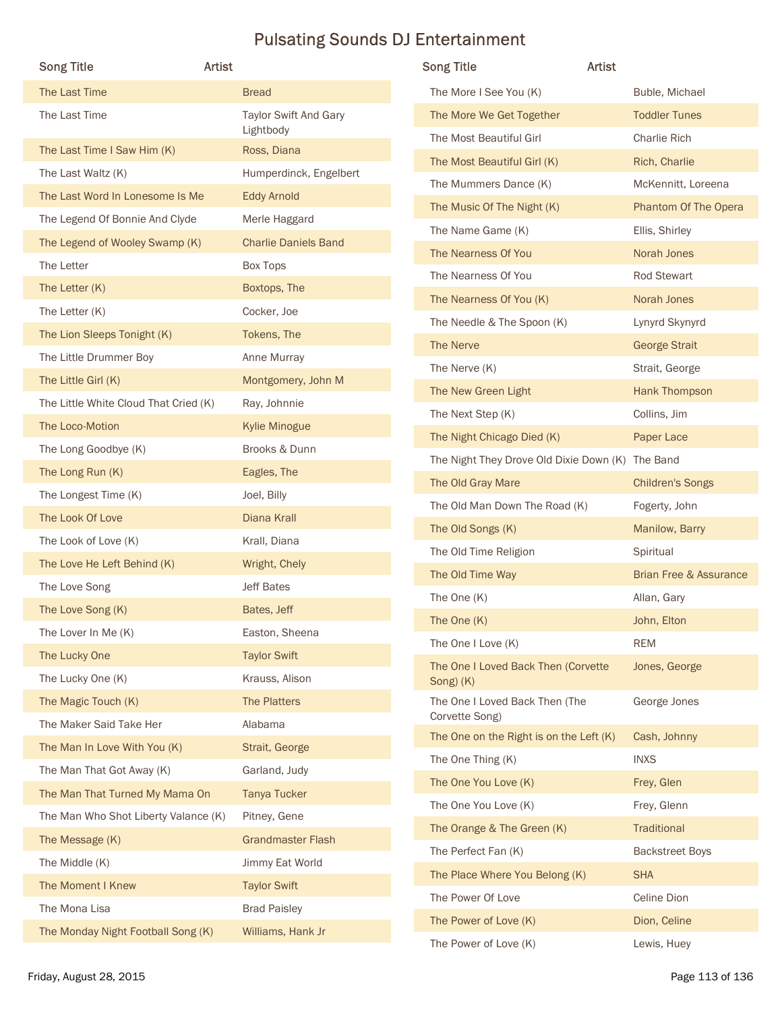| The Last Time<br><b>Bread</b><br>The More I See You (K)<br>Buble, Michael<br>Taylor Swift And Gary<br>The More We Get Together<br><b>Toddler Tunes</b><br>Lightbody<br>The Most Beautiful Girl<br>Charlie Rich<br>Ross, Diana<br>The Most Beautiful Girl (K)<br>Rich, Charlie<br>Humperdinck, Engelbert<br>The Mummers Dance (K)<br>McKennitt, Loreena<br><b>Eddy Arnold</b><br>The Music Of The Night (K)<br>Phantom Of The Opera<br>Merle Haggard<br>The Name Game (K)<br>Ellis, Shirley<br><b>Charlie Daniels Band</b><br>The Nearness Of You<br>Norah Jones<br>Box Tops<br>The Nearness Of You<br>Rod Stewart<br>Boxtops, The<br>The Nearness Of You (K)<br>Norah Jones<br>Cocker, Joe<br>The Needle & The Spoon (K)<br>Lynyrd Skynyrd<br>Tokens, The<br>The Nerve<br><b>George Strait</b><br>Anne Murray<br>The Nerve (K)<br>Strait, George<br>Montgomery, John M<br>The New Green Light<br>Hank Thompson<br>Ray, Johnnie<br>The Next Step (K)<br>Collins, Jim<br><b>Kylie Minogue</b><br>Paper Lace<br>The Night Chicago Died (K)<br>Brooks & Dunn<br>The Night They Drove Old Dixie Down (K) The Band<br>Eagles, The<br>The Old Gray Mare<br><b>Children's Songs</b><br>Joel, Billy<br>The Old Man Down The Road (K)<br>Fogerty, John<br>Diana Krall<br>The Old Songs (K)<br>Manilow, Barry<br>Krall, Diana<br>The Old Time Religion<br>Spiritual<br>Wright, Chely<br><b>Brian Free &amp; Assurance</b><br>The Old Time Way<br><b>Jeff Bates</b><br>The One (K)<br>Allan, Gary<br>Bates, Jeff<br>The One (K)<br>John, Elton<br>Easton, Sheena<br><b>REM</b><br>The One I Love (K)<br><b>Taylor Swift</b><br>The One I Loved Back Then (Corvette<br>Jones, George<br>Krauss, Alison<br>Song) (K)<br>The Platters<br>The One I Loved Back Then (The<br>George Jones<br>Corvette Song)<br>Alabama<br>The One on the Right is on the Left (K)<br>Cash, Johnny<br>Strait, George<br>The One Thing (K)<br><b>INXS</b><br>Garland, Judy<br>The One You Love (K)<br>Frey, Glen<br><b>Tanya Tucker</b><br>The One You Love (K)<br>Frey, Glenn<br>Pitney, Gene<br>The Orange & The Green (K)<br>Traditional<br><b>Grandmaster Flash</b><br>The Perfect Fan (K)<br><b>Backstreet Boys</b><br>Jimmy Eat World<br>The Place Where You Belong (K)<br><b>SHA</b><br><b>Taylor Swift</b><br>The Power Of Love<br>Celine Dion<br><b>Brad Paisley</b><br>The Power of Love (K)<br>Dion, Celine<br>Williams, Hank Jr<br>The Power of Love (K)<br>Lewis, Huey<br>Page 113 of 136 |                                       | <b>Pulsating Sounds DJ Entertainment</b> |                             |  |
|---------------------------------------------------------------------------------------------------------------------------------------------------------------------------------------------------------------------------------------------------------------------------------------------------------------------------------------------------------------------------------------------------------------------------------------------------------------------------------------------------------------------------------------------------------------------------------------------------------------------------------------------------------------------------------------------------------------------------------------------------------------------------------------------------------------------------------------------------------------------------------------------------------------------------------------------------------------------------------------------------------------------------------------------------------------------------------------------------------------------------------------------------------------------------------------------------------------------------------------------------------------------------------------------------------------------------------------------------------------------------------------------------------------------------------------------------------------------------------------------------------------------------------------------------------------------------------------------------------------------------------------------------------------------------------------------------------------------------------------------------------------------------------------------------------------------------------------------------------------------------------------------------------------------------------------------------------------------------------------------------------------------------------------------------------------------------------------------------------------------------------------------------------------------------------------------------------------------------------------------------------------------------------------------------------------------------------------------------------------------------------------------------------------------------------------------------------------------|---------------------------------------|------------------------------------------|-----------------------------|--|
| The Last Time                                                                                                                                                                                                                                                                                                                                                                                                                                                                                                                                                                                                                                                                                                                                                                                                                                                                                                                                                                                                                                                                                                                                                                                                                                                                                                                                                                                                                                                                                                                                                                                                                                                                                                                                                                                                                                                                                                                                                                                                                                                                                                                                                                                                                                                                                                                                                                                                                                                       | <b>Song Title</b><br>Artist           |                                          | <b>Song Title</b><br>Artist |  |
|                                                                                                                                                                                                                                                                                                                                                                                                                                                                                                                                                                                                                                                                                                                                                                                                                                                                                                                                                                                                                                                                                                                                                                                                                                                                                                                                                                                                                                                                                                                                                                                                                                                                                                                                                                                                                                                                                                                                                                                                                                                                                                                                                                                                                                                                                                                                                                                                                                                                     |                                       |                                          |                             |  |
|                                                                                                                                                                                                                                                                                                                                                                                                                                                                                                                                                                                                                                                                                                                                                                                                                                                                                                                                                                                                                                                                                                                                                                                                                                                                                                                                                                                                                                                                                                                                                                                                                                                                                                                                                                                                                                                                                                                                                                                                                                                                                                                                                                                                                                                                                                                                                                                                                                                                     |                                       |                                          |                             |  |
|                                                                                                                                                                                                                                                                                                                                                                                                                                                                                                                                                                                                                                                                                                                                                                                                                                                                                                                                                                                                                                                                                                                                                                                                                                                                                                                                                                                                                                                                                                                                                                                                                                                                                                                                                                                                                                                                                                                                                                                                                                                                                                                                                                                                                                                                                                                                                                                                                                                                     | The Last Time I Saw Him (K)           |                                          |                             |  |
|                                                                                                                                                                                                                                                                                                                                                                                                                                                                                                                                                                                                                                                                                                                                                                                                                                                                                                                                                                                                                                                                                                                                                                                                                                                                                                                                                                                                                                                                                                                                                                                                                                                                                                                                                                                                                                                                                                                                                                                                                                                                                                                                                                                                                                                                                                                                                                                                                                                                     | The Last Waltz (K)                    |                                          |                             |  |
|                                                                                                                                                                                                                                                                                                                                                                                                                                                                                                                                                                                                                                                                                                                                                                                                                                                                                                                                                                                                                                                                                                                                                                                                                                                                                                                                                                                                                                                                                                                                                                                                                                                                                                                                                                                                                                                                                                                                                                                                                                                                                                                                                                                                                                                                                                                                                                                                                                                                     | The Last Word In Lonesome Is Me       |                                          |                             |  |
|                                                                                                                                                                                                                                                                                                                                                                                                                                                                                                                                                                                                                                                                                                                                                                                                                                                                                                                                                                                                                                                                                                                                                                                                                                                                                                                                                                                                                                                                                                                                                                                                                                                                                                                                                                                                                                                                                                                                                                                                                                                                                                                                                                                                                                                                                                                                                                                                                                                                     | The Legend Of Bonnie And Clyde        |                                          |                             |  |
|                                                                                                                                                                                                                                                                                                                                                                                                                                                                                                                                                                                                                                                                                                                                                                                                                                                                                                                                                                                                                                                                                                                                                                                                                                                                                                                                                                                                                                                                                                                                                                                                                                                                                                                                                                                                                                                                                                                                                                                                                                                                                                                                                                                                                                                                                                                                                                                                                                                                     | The Legend of Wooley Swamp (K)        |                                          |                             |  |
|                                                                                                                                                                                                                                                                                                                                                                                                                                                                                                                                                                                                                                                                                                                                                                                                                                                                                                                                                                                                                                                                                                                                                                                                                                                                                                                                                                                                                                                                                                                                                                                                                                                                                                                                                                                                                                                                                                                                                                                                                                                                                                                                                                                                                                                                                                                                                                                                                                                                     | The Letter                            |                                          |                             |  |
|                                                                                                                                                                                                                                                                                                                                                                                                                                                                                                                                                                                                                                                                                                                                                                                                                                                                                                                                                                                                                                                                                                                                                                                                                                                                                                                                                                                                                                                                                                                                                                                                                                                                                                                                                                                                                                                                                                                                                                                                                                                                                                                                                                                                                                                                                                                                                                                                                                                                     | The Letter (K)                        |                                          |                             |  |
|                                                                                                                                                                                                                                                                                                                                                                                                                                                                                                                                                                                                                                                                                                                                                                                                                                                                                                                                                                                                                                                                                                                                                                                                                                                                                                                                                                                                                                                                                                                                                                                                                                                                                                                                                                                                                                                                                                                                                                                                                                                                                                                                                                                                                                                                                                                                                                                                                                                                     | The Letter (K)                        |                                          |                             |  |
|                                                                                                                                                                                                                                                                                                                                                                                                                                                                                                                                                                                                                                                                                                                                                                                                                                                                                                                                                                                                                                                                                                                                                                                                                                                                                                                                                                                                                                                                                                                                                                                                                                                                                                                                                                                                                                                                                                                                                                                                                                                                                                                                                                                                                                                                                                                                                                                                                                                                     | The Lion Sleeps Tonight (K)           |                                          |                             |  |
|                                                                                                                                                                                                                                                                                                                                                                                                                                                                                                                                                                                                                                                                                                                                                                                                                                                                                                                                                                                                                                                                                                                                                                                                                                                                                                                                                                                                                                                                                                                                                                                                                                                                                                                                                                                                                                                                                                                                                                                                                                                                                                                                                                                                                                                                                                                                                                                                                                                                     | The Little Drummer Boy                |                                          |                             |  |
|                                                                                                                                                                                                                                                                                                                                                                                                                                                                                                                                                                                                                                                                                                                                                                                                                                                                                                                                                                                                                                                                                                                                                                                                                                                                                                                                                                                                                                                                                                                                                                                                                                                                                                                                                                                                                                                                                                                                                                                                                                                                                                                                                                                                                                                                                                                                                                                                                                                                     | The Little Girl (K)                   |                                          |                             |  |
|                                                                                                                                                                                                                                                                                                                                                                                                                                                                                                                                                                                                                                                                                                                                                                                                                                                                                                                                                                                                                                                                                                                                                                                                                                                                                                                                                                                                                                                                                                                                                                                                                                                                                                                                                                                                                                                                                                                                                                                                                                                                                                                                                                                                                                                                                                                                                                                                                                                                     | The Little White Cloud That Cried (K) |                                          |                             |  |
|                                                                                                                                                                                                                                                                                                                                                                                                                                                                                                                                                                                                                                                                                                                                                                                                                                                                                                                                                                                                                                                                                                                                                                                                                                                                                                                                                                                                                                                                                                                                                                                                                                                                                                                                                                                                                                                                                                                                                                                                                                                                                                                                                                                                                                                                                                                                                                                                                                                                     | The Loco-Motion                       |                                          |                             |  |
|                                                                                                                                                                                                                                                                                                                                                                                                                                                                                                                                                                                                                                                                                                                                                                                                                                                                                                                                                                                                                                                                                                                                                                                                                                                                                                                                                                                                                                                                                                                                                                                                                                                                                                                                                                                                                                                                                                                                                                                                                                                                                                                                                                                                                                                                                                                                                                                                                                                                     | The Long Goodbye (K)                  |                                          |                             |  |
|                                                                                                                                                                                                                                                                                                                                                                                                                                                                                                                                                                                                                                                                                                                                                                                                                                                                                                                                                                                                                                                                                                                                                                                                                                                                                                                                                                                                                                                                                                                                                                                                                                                                                                                                                                                                                                                                                                                                                                                                                                                                                                                                                                                                                                                                                                                                                                                                                                                                     | The Long Run (K)                      |                                          |                             |  |
|                                                                                                                                                                                                                                                                                                                                                                                                                                                                                                                                                                                                                                                                                                                                                                                                                                                                                                                                                                                                                                                                                                                                                                                                                                                                                                                                                                                                                                                                                                                                                                                                                                                                                                                                                                                                                                                                                                                                                                                                                                                                                                                                                                                                                                                                                                                                                                                                                                                                     | The Longest Time (K)                  |                                          |                             |  |
|                                                                                                                                                                                                                                                                                                                                                                                                                                                                                                                                                                                                                                                                                                                                                                                                                                                                                                                                                                                                                                                                                                                                                                                                                                                                                                                                                                                                                                                                                                                                                                                                                                                                                                                                                                                                                                                                                                                                                                                                                                                                                                                                                                                                                                                                                                                                                                                                                                                                     | The Look Of Love                      |                                          |                             |  |
|                                                                                                                                                                                                                                                                                                                                                                                                                                                                                                                                                                                                                                                                                                                                                                                                                                                                                                                                                                                                                                                                                                                                                                                                                                                                                                                                                                                                                                                                                                                                                                                                                                                                                                                                                                                                                                                                                                                                                                                                                                                                                                                                                                                                                                                                                                                                                                                                                                                                     | The Look of Love (K)                  |                                          |                             |  |
|                                                                                                                                                                                                                                                                                                                                                                                                                                                                                                                                                                                                                                                                                                                                                                                                                                                                                                                                                                                                                                                                                                                                                                                                                                                                                                                                                                                                                                                                                                                                                                                                                                                                                                                                                                                                                                                                                                                                                                                                                                                                                                                                                                                                                                                                                                                                                                                                                                                                     | The Love He Left Behind (K)           |                                          |                             |  |
|                                                                                                                                                                                                                                                                                                                                                                                                                                                                                                                                                                                                                                                                                                                                                                                                                                                                                                                                                                                                                                                                                                                                                                                                                                                                                                                                                                                                                                                                                                                                                                                                                                                                                                                                                                                                                                                                                                                                                                                                                                                                                                                                                                                                                                                                                                                                                                                                                                                                     | The Love Song                         |                                          |                             |  |
|                                                                                                                                                                                                                                                                                                                                                                                                                                                                                                                                                                                                                                                                                                                                                                                                                                                                                                                                                                                                                                                                                                                                                                                                                                                                                                                                                                                                                                                                                                                                                                                                                                                                                                                                                                                                                                                                                                                                                                                                                                                                                                                                                                                                                                                                                                                                                                                                                                                                     | The Love Song (K)                     |                                          |                             |  |
|                                                                                                                                                                                                                                                                                                                                                                                                                                                                                                                                                                                                                                                                                                                                                                                                                                                                                                                                                                                                                                                                                                                                                                                                                                                                                                                                                                                                                                                                                                                                                                                                                                                                                                                                                                                                                                                                                                                                                                                                                                                                                                                                                                                                                                                                                                                                                                                                                                                                     | The Lover In Me (K)                   |                                          |                             |  |
|                                                                                                                                                                                                                                                                                                                                                                                                                                                                                                                                                                                                                                                                                                                                                                                                                                                                                                                                                                                                                                                                                                                                                                                                                                                                                                                                                                                                                                                                                                                                                                                                                                                                                                                                                                                                                                                                                                                                                                                                                                                                                                                                                                                                                                                                                                                                                                                                                                                                     | The Lucky One                         |                                          |                             |  |
|                                                                                                                                                                                                                                                                                                                                                                                                                                                                                                                                                                                                                                                                                                                                                                                                                                                                                                                                                                                                                                                                                                                                                                                                                                                                                                                                                                                                                                                                                                                                                                                                                                                                                                                                                                                                                                                                                                                                                                                                                                                                                                                                                                                                                                                                                                                                                                                                                                                                     | The Lucky One (K)                     |                                          |                             |  |
|                                                                                                                                                                                                                                                                                                                                                                                                                                                                                                                                                                                                                                                                                                                                                                                                                                                                                                                                                                                                                                                                                                                                                                                                                                                                                                                                                                                                                                                                                                                                                                                                                                                                                                                                                                                                                                                                                                                                                                                                                                                                                                                                                                                                                                                                                                                                                                                                                                                                     | The Magic Touch (K)                   |                                          |                             |  |
|                                                                                                                                                                                                                                                                                                                                                                                                                                                                                                                                                                                                                                                                                                                                                                                                                                                                                                                                                                                                                                                                                                                                                                                                                                                                                                                                                                                                                                                                                                                                                                                                                                                                                                                                                                                                                                                                                                                                                                                                                                                                                                                                                                                                                                                                                                                                                                                                                                                                     | The Maker Said Take Her               |                                          |                             |  |
|                                                                                                                                                                                                                                                                                                                                                                                                                                                                                                                                                                                                                                                                                                                                                                                                                                                                                                                                                                                                                                                                                                                                                                                                                                                                                                                                                                                                                                                                                                                                                                                                                                                                                                                                                                                                                                                                                                                                                                                                                                                                                                                                                                                                                                                                                                                                                                                                                                                                     | The Man In Love With You (K)          |                                          |                             |  |
|                                                                                                                                                                                                                                                                                                                                                                                                                                                                                                                                                                                                                                                                                                                                                                                                                                                                                                                                                                                                                                                                                                                                                                                                                                                                                                                                                                                                                                                                                                                                                                                                                                                                                                                                                                                                                                                                                                                                                                                                                                                                                                                                                                                                                                                                                                                                                                                                                                                                     | The Man That Got Away (K)             |                                          |                             |  |
|                                                                                                                                                                                                                                                                                                                                                                                                                                                                                                                                                                                                                                                                                                                                                                                                                                                                                                                                                                                                                                                                                                                                                                                                                                                                                                                                                                                                                                                                                                                                                                                                                                                                                                                                                                                                                                                                                                                                                                                                                                                                                                                                                                                                                                                                                                                                                                                                                                                                     | The Man That Turned My Mama On        |                                          |                             |  |
|                                                                                                                                                                                                                                                                                                                                                                                                                                                                                                                                                                                                                                                                                                                                                                                                                                                                                                                                                                                                                                                                                                                                                                                                                                                                                                                                                                                                                                                                                                                                                                                                                                                                                                                                                                                                                                                                                                                                                                                                                                                                                                                                                                                                                                                                                                                                                                                                                                                                     | The Man Who Shot Liberty Valance (K)  |                                          |                             |  |
|                                                                                                                                                                                                                                                                                                                                                                                                                                                                                                                                                                                                                                                                                                                                                                                                                                                                                                                                                                                                                                                                                                                                                                                                                                                                                                                                                                                                                                                                                                                                                                                                                                                                                                                                                                                                                                                                                                                                                                                                                                                                                                                                                                                                                                                                                                                                                                                                                                                                     | The Message (K)                       |                                          |                             |  |
|                                                                                                                                                                                                                                                                                                                                                                                                                                                                                                                                                                                                                                                                                                                                                                                                                                                                                                                                                                                                                                                                                                                                                                                                                                                                                                                                                                                                                                                                                                                                                                                                                                                                                                                                                                                                                                                                                                                                                                                                                                                                                                                                                                                                                                                                                                                                                                                                                                                                     | The Middle (K)                        |                                          |                             |  |
|                                                                                                                                                                                                                                                                                                                                                                                                                                                                                                                                                                                                                                                                                                                                                                                                                                                                                                                                                                                                                                                                                                                                                                                                                                                                                                                                                                                                                                                                                                                                                                                                                                                                                                                                                                                                                                                                                                                                                                                                                                                                                                                                                                                                                                                                                                                                                                                                                                                                     | The Moment I Knew                     |                                          |                             |  |
|                                                                                                                                                                                                                                                                                                                                                                                                                                                                                                                                                                                                                                                                                                                                                                                                                                                                                                                                                                                                                                                                                                                                                                                                                                                                                                                                                                                                                                                                                                                                                                                                                                                                                                                                                                                                                                                                                                                                                                                                                                                                                                                                                                                                                                                                                                                                                                                                                                                                     | The Mona Lisa                         |                                          |                             |  |
|                                                                                                                                                                                                                                                                                                                                                                                                                                                                                                                                                                                                                                                                                                                                                                                                                                                                                                                                                                                                                                                                                                                                                                                                                                                                                                                                                                                                                                                                                                                                                                                                                                                                                                                                                                                                                                                                                                                                                                                                                                                                                                                                                                                                                                                                                                                                                                                                                                                                     | The Monday Night Football Song (K)    |                                          |                             |  |
|                                                                                                                                                                                                                                                                                                                                                                                                                                                                                                                                                                                                                                                                                                                                                                                                                                                                                                                                                                                                                                                                                                                                                                                                                                                                                                                                                                                                                                                                                                                                                                                                                                                                                                                                                                                                                                                                                                                                                                                                                                                                                                                                                                                                                                                                                                                                                                                                                                                                     |                                       |                                          |                             |  |
|                                                                                                                                                                                                                                                                                                                                                                                                                                                                                                                                                                                                                                                                                                                                                                                                                                                                                                                                                                                                                                                                                                                                                                                                                                                                                                                                                                                                                                                                                                                                                                                                                                                                                                                                                                                                                                                                                                                                                                                                                                                                                                                                                                                                                                                                                                                                                                                                                                                                     | riday, August 28, 2015                |                                          |                             |  |

| <b>Song Title</b><br>Artist           |                             | <b>Song Title</b>                                | Artist                            |
|---------------------------------------|-----------------------------|--------------------------------------------------|-----------------------------------|
| The Last Time                         | <b>Bread</b>                | The More I See You (K)                           | Buble, Michael                    |
| The Last Time                         | Taylor Swift And Gary       | The More We Get Together                         | <b>Toddler Tunes</b>              |
|                                       | Lightbody                   | The Most Beautiful Girl                          | Charlie Rich                      |
| The Last Time I Saw Him (K)           | Ross, Diana                 | The Most Beautiful Girl (K)                      | Rich, Charlie                     |
| The Last Waltz (K)                    | Humperdinck, Engelbert      | The Mummers Dance (K)                            | McKennitt, Loreena                |
| The Last Word In Lonesome Is Me       | <b>Eddy Arnold</b>          | The Music Of The Night (K)                       | Phantom Of The Opera              |
| The Legend Of Bonnie And Clyde        | Merle Haggard               | The Name Game (K)                                | Ellis, Shirley                    |
| The Legend of Wooley Swamp (K)        | <b>Charlie Daniels Band</b> | The Nearness Of You                              | Norah Jones                       |
| The Letter                            | Box Tops                    | The Nearness Of You                              | Rod Stewart                       |
| The Letter (K)                        | Boxtops, The                | The Nearness Of You (K)                          | Norah Jones                       |
| The Letter (K)                        | Cocker, Joe                 | The Needle & The Spoon (K)                       | Lynyrd Skynyrd                    |
| The Lion Sleeps Tonight (K)           | Tokens, The                 | The Nerve                                        | <b>George Strait</b>              |
| The Little Drummer Boy                | Anne Murray                 | The Nerve (K)                                    | Strait, George                    |
| The Little Girl (K)                   | Montgomery, John M          | The New Green Light                              | Hank Thompson                     |
| The Little White Cloud That Cried (K) | Ray, Johnnie                | The Next Step (K)                                | Collins, Jim                      |
| The Loco-Motion                       | <b>Kylie Minogue</b>        | The Night Chicago Died (K)                       | Paper Lace                        |
| The Long Goodbye (K)                  | Brooks & Dunn               | The Night They Drove Old Dixie Down (K) The Band |                                   |
| The Long Run (K)                      | Eagles, The                 | The Old Gray Mare                                | <b>Children's Songs</b>           |
| The Longest Time (K)                  | Joel, Billy                 | The Old Man Down The Road (K)                    | Fogerty, John                     |
| The Look Of Love                      | Diana Krall                 | The Old Songs (K)                                | Manilow, Barry                    |
| The Look of Love (K)                  | Krall, Diana                | The Old Time Religion                            | Spiritual                         |
| The Love He Left Behind (K)           | Wright, Chely               | The Old Time Way                                 | <b>Brian Free &amp; Assurance</b> |
| The Love Song                         | Jeff Bates                  | The One (K)                                      | Allan, Gary                       |
| The Love Song (K)                     | Bates, Jeff                 | The One (K)                                      | John, Elton                       |
| The Lover In Me (K)                   | Easton, Sheena              | The One I Love (K)                               | REM                               |
| The Lucky One                         | <b>Taylor Swift</b>         | The One I Loved Back Then (Corvette              | Jones, George                     |
| The Lucky One (K)                     | Krauss, Alison              | Song) (K)                                        |                                   |
| The Magic Touch (K)                   | The Platters                | The One I Loved Back Then (The                   | George Jones                      |
| The Maker Said Take Her               | Alabama                     | Corvette Song)                                   |                                   |
| The Man In Love With You (K)          | Strait, George              | The One on the Right is on the Left (K)          | Cash, Johnny                      |
| The Man That Got Away (K)             | Garland, Judy               | The One Thing (K)                                | <b>INXS</b>                       |
| The Man That Turned My Mama On        | Tanya Tucker                | The One You Love (K)                             | Frey, Glen                        |
| The Man Who Shot Liberty Valance (K)  | Pitney, Gene                | The One You Love (K)                             | Frey, Glenn                       |
| The Message (K)                       | <b>Grandmaster Flash</b>    | The Orange & The Green (K)                       | Traditional                       |
| The Middle (K)                        | Jimmy Eat World             | The Perfect Fan (K)                              | <b>Backstreet Boys</b>            |
| The Moment I Knew                     | <b>Taylor Swift</b>         | The Place Where You Belong (K)                   | <b>SHA</b>                        |
| The Mona Lisa                         | <b>Brad Paisley</b>         | The Power Of Love                                | Celine Dion                       |
|                                       | Williams, Hank Jr           | The Power of Love (K)<br>The Power of Love (K)   | Dion, Celine<br>Lewis, Huey       |
| The Monday Night Football Song (K)    |                             |                                                  |                                   |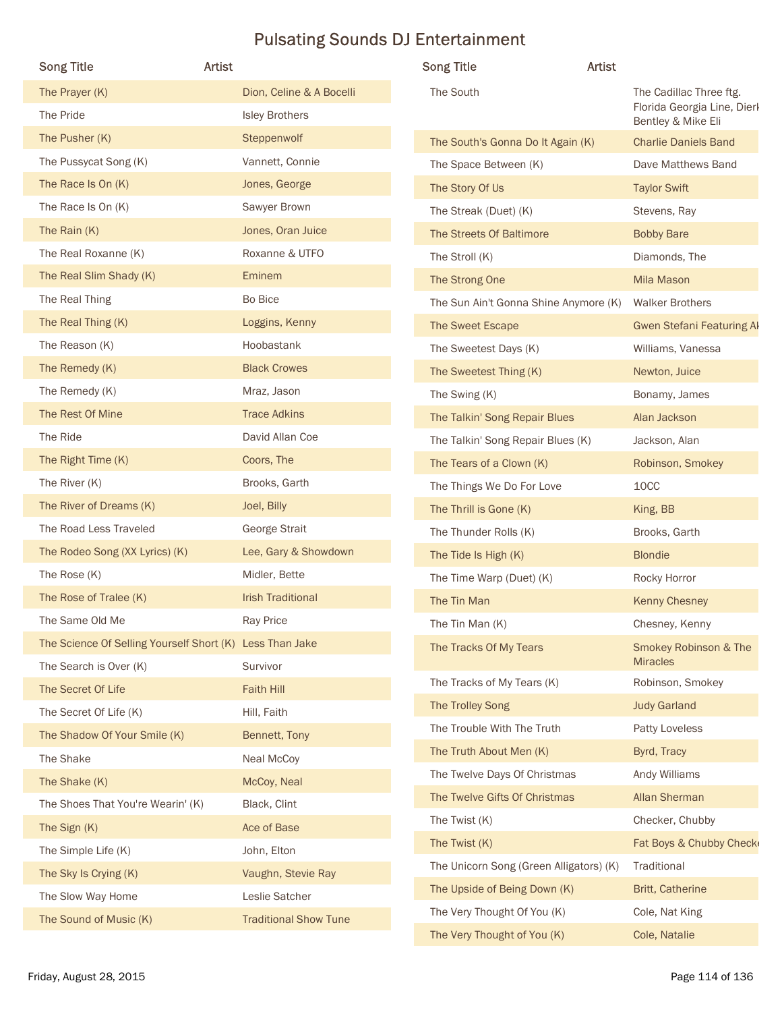| <b>Song Title</b><br>Artist                              | <b>Pulsating Sounds DJ Entertainment</b> | <b>Song Title</b><br>Artist                                             |                                                   |
|----------------------------------------------------------|------------------------------------------|-------------------------------------------------------------------------|---------------------------------------------------|
| The Prayer (K)                                           | Dion, Celine & A Bocelli                 | The South                                                               | The Cadillac Three ftg.                           |
| The Pride                                                | <b>Isley Brothers</b>                    |                                                                         | Florida Georgia Line, Dierl<br>Bentley & Mike Eli |
| The Pusher (K)                                           | Steppenwolf                              | The South's Gonna Do It Again (K)                                       | <b>Charlie Daniels Band</b>                       |
| The Pussycat Song (K)                                    | Vannett, Connie                          | The Space Between (K)                                                   | Dave Matthews Band                                |
| The Race Is On (K)                                       | Jones, George                            | The Story Of Us                                                         | <b>Taylor Swift</b>                               |
| The Race Is On (K)                                       | Sawyer Brown                             | The Streak (Duet) (K)                                                   | Stevens, Ray                                      |
| The Rain (K)                                             | Jones, Oran Juice                        | The Streets Of Baltimore                                                | <b>Bobby Bare</b>                                 |
| The Real Roxanne (K)                                     | Roxanne & UTFO                           | The Stroll (K)                                                          | Diamonds, The                                     |
| The Real Slim Shady (K)                                  | Eminem                                   | The Strong One                                                          | Mila Mason                                        |
| The Real Thing                                           | Bo Bice                                  | The Sun Ain't Gonna Shine Anymore (K)                                   | <b>Walker Brothers</b>                            |
| The Real Thing (K)                                       | Loggins, Kenny                           | The Sweet Escape                                                        | <b>Gwen Stefani Featuring Al</b>                  |
| The Reason (K)                                           | Hoobastank                               | The Sweetest Days (K)                                                   | Williams, Vanessa                                 |
| The Remedy (K)                                           | <b>Black Crowes</b>                      | The Sweetest Thing (K)                                                  | Newton, Juice                                     |
| The Remedy (K)                                           | Mraz, Jason                              | The Swing (K)                                                           | Bonamy, James                                     |
| The Rest Of Mine                                         | <b>Trace Adkins</b>                      | The Talkin' Song Repair Blues                                           | Alan Jackson                                      |
| The Ride                                                 | David Allan Coe                          | The Talkin' Song Repair Blues (K)                                       | Jackson, Alan                                     |
| The Right Time (K)                                       | Coors, The                               | The Tears of a Clown (K)                                                | Robinson, Smokey                                  |
| The River (K)                                            | Brooks, Garth                            | The Things We Do For Love                                               | 10CC                                              |
| The River of Dreams (K)                                  | Joel, Billy                              | The Thrill is Gone (K)                                                  | King, BB                                          |
| The Road Less Traveled                                   | George Strait                            | The Thunder Rolls (K)                                                   | Brooks, Garth                                     |
| The Rodeo Song (XX Lyrics) (K)                           | Lee, Gary & Showdown                     | The Tide Is High (K)                                                    | <b>Blondie</b>                                    |
| The Rose (K)                                             | Midler, Bette                            | The Time Warp (Duet) (K)                                                | Rocky Horror                                      |
| The Rose of Tralee (K)                                   | <b>Irish Traditional</b>                 | The Tin Man                                                             | <b>Kenny Chesney</b>                              |
| The Same Old Me                                          | Ray Price                                | The Tin Man (K)                                                         | Chesney, Kenny                                    |
| The Science Of Selling Yourself Short (K) Less Than Jake |                                          | The Tracks Of My Tears                                                  | Smokey Robinson & The                             |
| The Search is Over (K)                                   | Survivor                                 | The Tracks of My Tears (K)                                              | <b>Miracles</b><br>Robinson, Smokey               |
| The Secret Of Life                                       | Faith Hill                               | The Trolley Song                                                        | <b>Judy Garland</b>                               |
| The Secret Of Life (K)                                   | Hill, Faith                              | The Trouble With The Truth                                              | Patty Loveless                                    |
| The Shadow Of Your Smile (K)                             | Bennett, Tony                            |                                                                         |                                                   |
| The Shake                                                | Neal McCoy                               | The Truth About Men (K)                                                 | Byrd, Tracy                                       |
| The Shake (K)                                            | McCoy, Neal                              | The Twelve Days Of Christmas<br>The Twelve Gifts Of Christmas           | Andy Williams<br>Allan Sherman                    |
| The Shoes That You're Wearin' (K)                        | Black, Clint                             |                                                                         |                                                   |
| The Sign (K)                                             | Ace of Base                              | The Twist (K)                                                           | Checker, Chubby                                   |
| The Simple Life (K)                                      | John, Elton                              | The Twist (K)                                                           | Fat Boys & Chubby Check                           |
| The Sky Is Crying (K)                                    | Vaughn, Stevie Ray                       | The Unicorn Song (Green Alligators) (K)<br>The Upside of Being Down (K) | Traditional<br><b>Britt, Catherine</b>            |
| The Slow Way Home                                        | Leslie Satcher                           | The Very Thought Of You (K)                                             | Cole, Nat King                                    |
| The Sound of Music (K)                                   | <b>Traditional Show Tune</b>             |                                                                         |                                                   |
|                                                          |                                          | The Very Thought of You (K)                                             | Cole, Natalie                                     |

| <b>Intertainment</b>                                     |                                                                              |
|----------------------------------------------------------|------------------------------------------------------------------------------|
| <b>Song Title</b><br><b>Artist</b>                       |                                                                              |
| The South                                                | The Cadillac Three ftg.<br>Florida Georgia Line, Dierl<br>Bentley & Mike Eli |
| The South's Gonna Do It Again (K)                        | <b>Charlie Daniels Band</b>                                                  |
| The Space Between (K)                                    | Dave Matthews Band                                                           |
| The Story Of Us                                          | <b>Taylor Swift</b>                                                          |
| The Streak (Duet) (K)                                    | Stevens, Ray                                                                 |
| The Streets Of Baltimore                                 | <b>Bobby Bare</b>                                                            |
| The Stroll (K)                                           | Diamonds, The                                                                |
| The Strong One                                           | Mila Mason                                                                   |
| The Sun Ain't Gonna Shine Anymore (K)                    | <b>Walker Brothers</b>                                                       |
| <b>The Sweet Escape</b>                                  | <b>Gwen Stefani Featuring Al</b>                                             |
| The Sweetest Days (K)                                    | Williams, Vanessa                                                            |
| The Sweetest Thing (K)                                   | Newton, Juice                                                                |
| The Swing (K)                                            | Bonamy, James                                                                |
| The Talkin' Song Repair Blues                            | Alan Jackson                                                                 |
| The Talkin' Song Repair Blues (K)                        | Jackson, Alan                                                                |
| The Tears of a Clown (K)                                 | Robinson, Smokey                                                             |
| The Things We Do For Love                                | 10CC                                                                         |
| The Thrill is Gone (K)                                   | King, BB                                                                     |
| The Thunder Rolls (K)                                    | Brooks, Garth                                                                |
| The Tide Is High (K)                                     | <b>Blondie</b>                                                               |
| The Time Warp (Duet) (K)                                 | Rocky Horror                                                                 |
| The Tin Man<br>The Tin Man (K)                           | Kenny Chesney<br>Chesney, Kenny                                              |
| The Tracks Of My Tears                                   | Smokey Robinson & The<br><b>Miracles</b>                                     |
| The Tracks of My Tears (K)                               | Robinson, Smokey                                                             |
| The Trolley Song                                         | <b>Judy Garland</b>                                                          |
| The Trouble With The Truth                               | Patty Loveless                                                               |
| The Truth About Men (K)                                  | Byrd, Tracy                                                                  |
| The Twelve Days Of Christmas                             | Andy Williams                                                                |
| The Twelve Gifts Of Christmas                            | <b>Allan Sherman</b>                                                         |
| The Twist (K)                                            | Checker, Chubby                                                              |
| The Twist (K)<br>The Unicorn Song (Green Alligators) (K) | Fat Boys & Chubby Check<br>Traditional                                       |
| The Upside of Being Down (K)                             | <b>Britt, Catherine</b>                                                      |
| The Very Thought Of You (K)                              | Cole, Nat King                                                               |
| The Very Thought of You (K)                              | Cole, Natalie                                                                |
|                                                          | Page 114 of 136                                                              |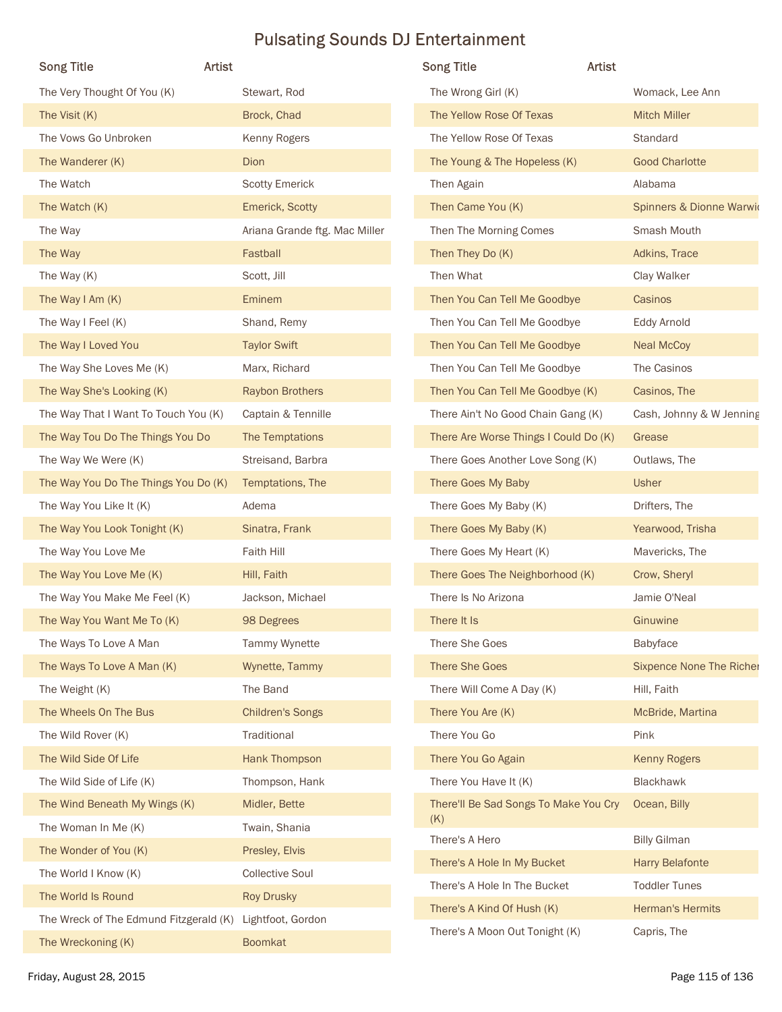|                                        | <b>Pulsating Sounds DJ Entertainment</b> |                                       |                                 |  |  |
|----------------------------------------|------------------------------------------|---------------------------------------|---------------------------------|--|--|
| <b>Song Title</b><br>Artist            |                                          | <b>Song Title</b><br>Artist           |                                 |  |  |
| The Very Thought Of You (K)            | Stewart, Rod                             | The Wrong Girl (K)                    | Womack, Lee Ann                 |  |  |
| The Visit (K)                          | Brock, Chad                              | The Yellow Rose Of Texas              | <b>Mitch Miller</b>             |  |  |
| The Vows Go Unbroken                   | Kenny Rogers                             | The Yellow Rose Of Texas              | Standard                        |  |  |
| The Wanderer (K)                       | Dion                                     | The Young & The Hopeless (K)          | <b>Good Charlotte</b>           |  |  |
| The Watch                              | <b>Scotty Emerick</b>                    | Then Again                            | Alabama                         |  |  |
| The Watch (K)                          | Emerick, Scotty                          | Then Came You (K)                     | Spinners & Dionne Warwid        |  |  |
| The Way                                | Ariana Grande ftg. Mac Miller            | Then The Morning Comes                | Smash Mouth                     |  |  |
| The Way                                | Fastball                                 | Then They Do (K)                      | Adkins, Trace                   |  |  |
| The Way $(K)$                          | Scott, Jill                              | Then What                             | Clay Walker                     |  |  |
| The Way I Am (K)                       | Eminem                                   | Then You Can Tell Me Goodbye          | Casinos                         |  |  |
| The Way I Feel (K)                     | Shand, Remy                              | Then You Can Tell Me Goodbye          | <b>Eddy Arnold</b>              |  |  |
| The Way I Loved You                    | <b>Taylor Swift</b>                      | Then You Can Tell Me Goodbye          | <b>Neal McCoy</b>               |  |  |
| The Way She Loves Me (K)               | Marx, Richard                            | Then You Can Tell Me Goodbye          | The Casinos                     |  |  |
| The Way She's Looking (K)              | <b>Raybon Brothers</b>                   | Then You Can Tell Me Goodbye (K)      | Casinos, The                    |  |  |
| The Way That I Want To Touch You (K)   | Captain & Tennille                       | There Ain't No Good Chain Gang (K)    | Cash, Johnny & W Jenning        |  |  |
| The Way Tou Do The Things You Do       | The Temptations                          | There Are Worse Things I Could Do (K) | Grease                          |  |  |
| The Way We Were (K)                    | Streisand, Barbra                        | There Goes Another Love Song (K)      | Outlaws, The                    |  |  |
| The Way You Do The Things You Do (K)   | Temptations, The                         | There Goes My Baby                    | Usher                           |  |  |
| The Way You Like It (K)                | Adema                                    | There Goes My Baby (K)                | Drifters, The                   |  |  |
| The Way You Look Tonight (K)           | Sinatra, Frank                           | There Goes My Baby (K)                | Yearwood, Trisha                |  |  |
| The Way You Love Me                    | Faith Hill                               | There Goes My Heart (K)               | Mavericks, The                  |  |  |
| The Way You Love Me (K)                | Hill, Faith                              | There Goes The Neighborhood (K)       | Crow, Sheryl                    |  |  |
| The Way You Make Me Feel (K)           | Jackson, Michael                         | There Is No Arizona                   | Jamie O'Neal                    |  |  |
| The Way You Want Me To (K)             | 98 Degrees                               | There It Is                           | Ginuwine                        |  |  |
| The Ways To Love A Man                 | Tammy Wynette                            | There She Goes                        | Babyface                        |  |  |
| The Ways To Love A Man (K)             | Wynette, Tammy                           | There She Goes                        | <b>Sixpence None The Richer</b> |  |  |
| The Weight (K)                         | The Band                                 | There Will Come A Day (K)             | Hill, Faith                     |  |  |
| The Wheels On The Bus                  | <b>Children's Songs</b>                  | There You Are (K)                     | McBride, Martina                |  |  |
| The Wild Rover (K)                     | Traditional                              | There You Go                          | Pink                            |  |  |
| The Wild Side Of Life                  | <b>Hank Thompson</b>                     | There You Go Again                    | <b>Kenny Rogers</b>             |  |  |
| The Wild Side of Life (K)              | Thompson, Hank                           | There You Have It (K)                 | Blackhawk                       |  |  |
| The Wind Beneath My Wings (K)          | Midler, Bette                            | There'll Be Sad Songs To Make You Cry | Ocean, Billy                    |  |  |
| The Woman In Me (K)                    | Twain, Shania                            | (K)                                   |                                 |  |  |
| The Wonder of You (K)                  | Presley, Elvis                           | There's A Hero                        | <b>Billy Gilman</b>             |  |  |
| The World I Know (K)                   | <b>Collective Soul</b>                   | There's A Hole In My Bucket           | <b>Harry Belafonte</b>          |  |  |
| The World Is Round                     | <b>Roy Drusky</b>                        | There's A Hole In The Bucket          | <b>Toddler Tunes</b>            |  |  |
| The Wreck of The Edmund Fitzgerald (K) | Lightfoot, Gordon                        | There's A Kind Of Hush (K)            | <b>Herman's Hermits</b>         |  |  |
| The Wreckoning (K)                     | <b>Boomkat</b>                           | There's A Moon Out Tonight (K)        | Capris, The                     |  |  |
|                                        |                                          |                                       |                                 |  |  |

| <b>Entertainment</b>                                           |                                 |
|----------------------------------------------------------------|---------------------------------|
| <b>Song Title</b>                                              | Artist                          |
| The Wrong Girl (K)                                             | Womack, Lee Ann                 |
| The Yellow Rose Of Texas                                       | <b>Mitch Miller</b>             |
| The Yellow Rose Of Texas                                       | Standard                        |
| The Young & The Hopeless (K)                                   | <b>Good Charlotte</b>           |
| Then Again                                                     | Alabama                         |
| Then Came You (K)                                              | Spinners & Dionne Warwid        |
| Then The Morning Comes                                         | Smash Mouth                     |
| Then They Do (K)                                               | Adkins, Trace                   |
| Then What                                                      | Clay Walker                     |
| Then You Can Tell Me Goodbye                                   | Casinos                         |
| Then You Can Tell Me Goodbye                                   | Eddy Arnold                     |
| Then You Can Tell Me Goodbye                                   | <b>Neal McCoy</b>               |
| Then You Can Tell Me Goodbye                                   | The Casinos                     |
| Then You Can Tell Me Goodbye (K)                               | Casinos, The                    |
| There Ain't No Good Chain Gang (K)                             | Cash, Johnny & W Jenning        |
| There Are Worse Things I Could Do (K)                          | Grease                          |
| There Goes Another Love Song (K)                               | Outlaws, The                    |
| There Goes My Baby                                             | <b>Usher</b>                    |
| There Goes My Baby (K)                                         | Drifters, The                   |
| There Goes My Baby (K)                                         | Yearwood, Trisha                |
| There Goes My Heart (K)                                        | Mavericks, The                  |
| There Goes The Neighborhood (K)                                | Crow, Sheryl                    |
| There Is No Arizona                                            | Jamie O'Neal                    |
| There It Is                                                    | Ginuwine                        |
| There She Goes                                                 | Babyface                        |
| <b>There She Goes</b>                                          | <b>Sixpence None The Richer</b> |
| There Will Come A Day (K)                                      | Hill, Faith                     |
| There You Are (K)                                              | McBride, Martina                |
| There You Go                                                   | Pink                            |
| There You Go Again                                             | <b>Kenny Rogers</b>             |
| There You Have It (K)<br>There'll Be Sad Songs To Make You Cry | Blackhawk<br>Ocean, Billy       |
| (K)                                                            |                                 |
| There's A Hero                                                 | <b>Billy Gilman</b>             |
| There's A Hole In My Bucket                                    | <b>Harry Belafonte</b>          |
| There's A Hole In The Bucket                                   | <b>Toddler Tunes</b>            |
| There's A Kind Of Hush (K)                                     | <b>Herman's Hermits</b>         |
| There's A Moon Out Tonight (K)                                 | Capris, The                     |
|                                                                | Page 115 of 136                 |
|                                                                |                                 |
|                                                                |                                 |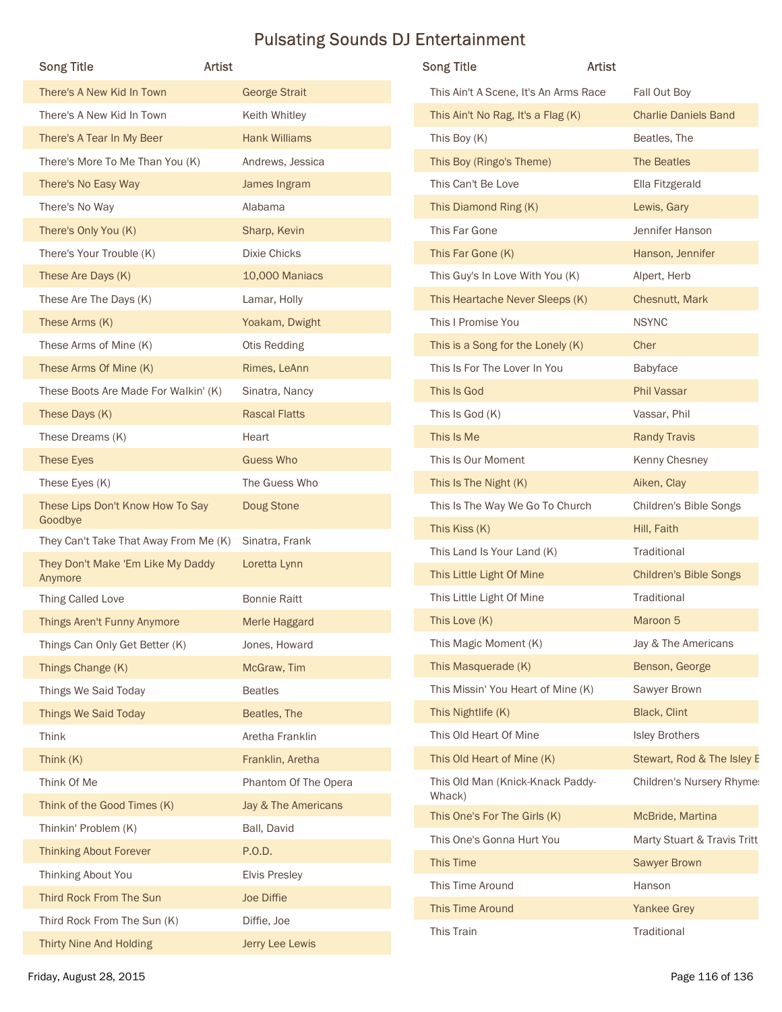| <b>Song Title</b><br>Artist                      |                      | <b>Pulsating Sounds DJ Entertainment</b><br><b>Song Title</b><br>Artist |                               |  |
|--------------------------------------------------|----------------------|-------------------------------------------------------------------------|-------------------------------|--|
| There's A New Kid In Town                        | <b>George Strait</b> | This Ain't A Scene, It's An Arms Race                                   | Fall Out Boy                  |  |
| There's A New Kid In Town                        | Keith Whitley        | This Ain't No Rag, It's a Flag (K)                                      | <b>Charlie Daniels Band</b>   |  |
| There's A Tear In My Beer                        | <b>Hank Williams</b> | This Boy (K)                                                            | Beatles, The                  |  |
| There's More To Me Than You (K)                  | Andrews, Jessica     | This Boy (Ringo's Theme)                                                | The Beatles                   |  |
| There's No Easy Way                              | James Ingram         | This Can't Be Love                                                      | Ella Fitzgerald               |  |
| There's No Way                                   | Alabama              | This Diamond Ring (K)                                                   | Lewis, Gary                   |  |
| There's Only You (K)                             | Sharp, Kevin         | This Far Gone                                                           | Jennifer Hanson               |  |
| There's Your Trouble (K)                         | Dixie Chicks         | This Far Gone (K)                                                       | Hanson, Jennifer              |  |
| These Are Days (K)                               | 10,000 Maniacs       | This Guy's In Love With You (K)                                         | Alpert, Herb                  |  |
| These Are The Days (K)                           | Lamar, Holly         | This Heartache Never Sleeps (K)                                         | Chesnutt, Mark                |  |
| These Arms (K)                                   | Yoakam, Dwight       | This I Promise You                                                      | <b>NSYNC</b>                  |  |
| These Arms of Mine (K)                           | Otis Redding         | This is a Song for the Lonely (K)                                       | Cher                          |  |
| These Arms Of Mine (K)                           | Rimes, LeAnn         | This Is For The Lover In You                                            | Babyface                      |  |
| These Boots Are Made For Walkin' (K)             | Sinatra, Nancy       | This Is God                                                             | <b>Phil Vassar</b>            |  |
| These Days (K)                                   | <b>Rascal Flatts</b> | This Is God (K)                                                         | Vassar, Phil                  |  |
| These Dreams (K)                                 | Heart                | This Is Me                                                              | <b>Randy Travis</b>           |  |
| These Eyes                                       | <b>Guess Who</b>     | This Is Our Moment                                                      | Kenny Chesney                 |  |
| These Eyes (K)                                   | The Guess Who        | This Is The Night (K)                                                   | Aiken, Clay                   |  |
| These Lips Don't Know How To Say                 | Doug Stone           | This Is The Way We Go To Church                                         | Children's Bible Songs        |  |
| Goodbye<br>They Can't Take That Away From Me (K) | Sinatra, Frank       | This Kiss (K)                                                           | Hill, Faith                   |  |
| They Don't Make 'Em Like My Daddy                | Loretta Lynn         | This Land Is Your Land (K)                                              | Traditional                   |  |
| Anymore                                          |                      | This Little Light Of Mine                                               | <b>Children's Bible Songs</b> |  |
| Thing Called Love                                | <b>Bonnie Raitt</b>  | This Little Light Of Mine                                               | Traditional                   |  |
| Things Aren't Funny Anymore                      | Merle Haggard        | This Love (K)                                                           | Maroon 5                      |  |
| Things Can Only Get Better (K)                   | Jones, Howard        | This Magic Moment (K)                                                   | Jay & The Americans           |  |
| Things Change (K)                                | McGraw, Tim          | This Masquerade (K)                                                     | Benson, George                |  |
| Things We Said Today                             | <b>Beatles</b>       | This Missin' You Heart of Mine (K)                                      | Sawyer Brown                  |  |
| Things We Said Today                             | Beatles, The         | This Nightlife (K)                                                      | Black, Clint                  |  |
| Think                                            | Aretha Franklin      | This Old Heart Of Mine                                                  | <b>Isley Brothers</b>         |  |
| Think (K)                                        | Franklin, Aretha     | This Old Heart of Mine (K)                                              | Stewart, Rod & The Isley E    |  |
| Think Of Me                                      | Phantom Of The Opera | This Old Man (Knick-Knack Paddy-<br>Whack)                              | Children's Nursery Rhyme:     |  |
| Think of the Good Times (K)                      | Jay & The Americans  | This One's For The Girls (K)                                            | McBride, Martina              |  |
| Thinkin' Problem (K)                             | Ball, David          | This One's Gonna Hurt You                                               | Marty Stuart & Travis Tritt   |  |
| <b>Thinking About Forever</b>                    | P.O.D.               | This Time                                                               | Sawyer Brown                  |  |
| Thinking About You                               | <b>Elvis Presley</b> | This Time Around                                                        | Hanson                        |  |
| Third Rock From The Sun                          | Joe Diffie           | This Time Around                                                        | Yankee Grey                   |  |
| Third Rock From The Sun (K)                      | Diffie, Joe          | This Train                                                              | Traditional                   |  |
| Thirty Nine And Holding                          | Jerry Lee Lewis      |                                                                         |                               |  |

| <b>Entertainment</b>                                                     |                                                         |
|--------------------------------------------------------------------------|---------------------------------------------------------|
| <b>Song Title</b>                                                        | Artist                                                  |
| This Ain't A Scene, It's An Arms Race                                    | Fall Out Boy                                            |
| This Ain't No Rag, It's a Flag (K)                                       | <b>Charlie Daniels Band</b>                             |
| This Boy (K)                                                             | Beatles, The                                            |
| This Boy (Ringo's Theme)                                                 | The Beatles                                             |
| This Can't Be Love                                                       | Ella Fitzgerald                                         |
| This Diamond Ring (K)                                                    | Lewis, Gary                                             |
| This Far Gone                                                            | Jennifer Hanson                                         |
| This Far Gone (K)                                                        | Hanson, Jennifer                                        |
| This Guy's In Love With You (K)                                          | Alpert, Herb                                            |
| This Heartache Never Sleeps (K)                                          | Chesnutt, Mark                                          |
| This I Promise You                                                       | <b>NSYNC</b>                                            |
| This is a Song for the Lonely (K)                                        | Cher                                                    |
| This Is For The Lover In You                                             | Babyface                                                |
| This Is God                                                              | Phil Vassar                                             |
| This Is God (K)                                                          | Vassar, Phil                                            |
| This Is Me                                                               | <b>Randy Travis</b>                                     |
| This Is Our Moment                                                       | Kenny Chesney                                           |
| This Is The Night (K)                                                    | Aiken, Clay                                             |
| This Is The Way We Go To Church                                          | Children's Bible Songs                                  |
| This Kiss (K)                                                            | Hill, Faith                                             |
| This Land Is Your Land (K)                                               | Traditional                                             |
| This Little Light Of Mine                                                | <b>Children's Bible Songs</b>                           |
| This Little Light Of Mine                                                | Traditional                                             |
| This Love (K)                                                            | Maroon 5                                                |
| This Magic Moment (K)                                                    | Jay & The Americans                                     |
| This Masquerade (K)                                                      | Benson, George                                          |
| This Missin' You Heart of Mine (K)                                       | Sawyer Brown                                            |
| This Nightlife (K)                                                       | Black, Clint                                            |
| This Old Heart Of Mine                                                   | <b>Isley Brothers</b>                                   |
| This Old Heart of Mine (K)<br>This Old Man (Knick-Knack Paddy-<br>Whack) | Stewart, Rod & The Isley E<br>Children's Nursery Rhyme: |
| This One's For The Girls (K)                                             | McBride, Martina                                        |
| This One's Gonna Hurt You                                                | Marty Stuart & Travis Tritt                             |
| This Time                                                                | Sawyer Brown                                            |
| This Time Around                                                         | Hanson                                                  |
| This Time Around                                                         | Yankee Grey                                             |
| This Train                                                               | Traditional                                             |
|                                                                          | Page 116 of 136                                         |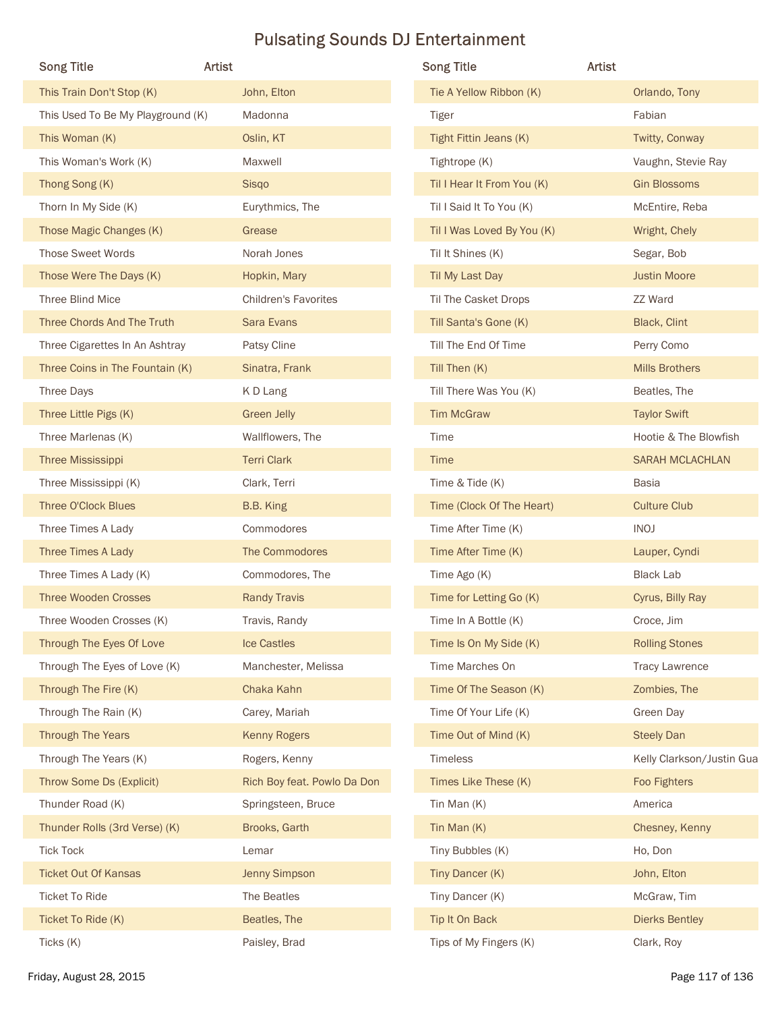| <b>Song Title</b><br>Artist       |                             | <b>Pulsating Sounds DJ Entertainment</b><br><b>Song Title</b><br>Artist |                           |  |
|-----------------------------------|-----------------------------|-------------------------------------------------------------------------|---------------------------|--|
| This Train Don't Stop (K)         | John, Elton                 | Tie A Yellow Ribbon (K)                                                 | Orlando, Tony             |  |
| This Used To Be My Playground (K) | Madonna                     | Tiger                                                                   | Fabian                    |  |
| This Woman (K)                    | Oslin, KT                   | Tight Fittin Jeans (K)                                                  | Twitty, Conway            |  |
| This Woman's Work (K)             | Maxwell                     | Tightrope (K)                                                           | Vaughn, Stevie Ray        |  |
| Thong Song (K)                    | Sisqo                       | Til I Hear It From You (K)                                              | <b>Gin Blossoms</b>       |  |
| Thorn In My Side (K)              | Eurythmics, The             | Til I Said It To You (K)                                                | McEntire, Reba            |  |
| Those Magic Changes (K)           | Grease                      | Til I Was Loved By You (K)                                              | Wright, Chely             |  |
| Those Sweet Words                 | Norah Jones                 | Til It Shines (K)                                                       | Segar, Bob                |  |
| Those Were The Days (K)           | Hopkin, Mary                | Til My Last Day                                                         | <b>Justin Moore</b>       |  |
| Three Blind Mice                  | <b>Children's Favorites</b> | Til The Casket Drops                                                    | <b>ZZ Ward</b>            |  |
| Three Chords And The Truth        | Sara Evans                  | Till Santa's Gone (K)                                                   | Black, Clint              |  |
| Three Cigarettes In An Ashtray    | Patsy Cline                 | Till The End Of Time                                                    | Perry Como                |  |
| Three Coins in The Fountain (K)   | Sinatra, Frank              | Till Then (K)                                                           | <b>Mills Brothers</b>     |  |
| Three Days                        | K D Lang                    | Till There Was You (K)                                                  | Beatles, The              |  |
| Three Little Pigs (K)             | <b>Green Jelly</b>          | <b>Tim McGraw</b>                                                       | <b>Taylor Swift</b>       |  |
| Three Marlenas (K)                | Wallflowers, The            | Time                                                                    | Hootie & The Blowfish     |  |
| Three Mississippi                 | <b>Terri Clark</b>          | Time                                                                    | SARAH MCLACHLAN           |  |
| Three Mississippi (K)             | Clark, Terri                | Time & Tide (K)                                                         | <b>Basia</b>              |  |
| Three O'Clock Blues               | B.B. King                   | Time (Clock Of The Heart)                                               | <b>Culture Club</b>       |  |
| Three Times A Lady                | Commodores                  | Time After Time (K)                                                     | INOJ                      |  |
| Three Times A Lady                | The Commodores              | Time After Time (K)                                                     | Lauper, Cyndi             |  |
| Three Times A Lady (K)            | Commodores, The             | Time Ago (K)                                                            | <b>Black Lab</b>          |  |
| <b>Three Wooden Crosses</b>       | <b>Randy Travis</b>         | Time for Letting Go (K)                                                 | Cyrus, Billy Ray          |  |
| Three Wooden Crosses (K)          | Travis, Randy               | Time In A Bottle (K)                                                    | Croce, Jim                |  |
| Through The Eyes Of Love          | <b>Ice Castles</b>          | Time Is On My Side (K)                                                  | <b>Rolling Stones</b>     |  |
| Through The Eyes of Love (K)      | Manchester, Melissa         | Time Marches On                                                         | <b>Tracy Lawrence</b>     |  |
| Through The Fire (K)              | Chaka Kahn                  | Time Of The Season (K)                                                  | Zombies, The              |  |
| Through The Rain (K)              | Carey, Mariah               | Time Of Your Life (K)                                                   | Green Day                 |  |
| Through The Years                 | <b>Kenny Rogers</b>         | Time Out of Mind (K)                                                    | <b>Steely Dan</b>         |  |
| Through The Years (K)             | Rogers, Kenny               | Timeless                                                                | Kelly Clarkson/Justin Gua |  |
| Throw Some Ds (Explicit)          | Rich Boy feat. Powlo Da Don | Times Like These (K)                                                    | Foo Fighters              |  |
| Thunder Road (K)                  | Springsteen, Bruce          | Tin Man (K)                                                             | America                   |  |
| Thunder Rolls (3rd Verse) (K)     | Brooks, Garth               | Tin Man (K)                                                             | Chesney, Kenny            |  |
| <b>Tick Tock</b>                  | Lemar                       | Tiny Bubbles (K)                                                        | Ho, Don                   |  |
| <b>Ticket Out Of Kansas</b>       | <b>Jenny Simpson</b>        | Tiny Dancer (K)                                                         | John, Elton               |  |
| Ticket To Ride                    | The Beatles                 | Tiny Dancer (K)                                                         | McGraw, Tim               |  |
| Ticket To Ride (K)                | Beatles, The                | Tip It On Back                                                          | <b>Dierks Bentley</b>     |  |
| Ticks (K)                         | Paisley, Brad               | Tips of My Fingers (K)                                                  | Clark, Roy                |  |

| <b>Entertainment</b>                    |                                      |                 |
|-----------------------------------------|--------------------------------------|-----------------|
| <b>Song Title</b>                       | Artist                               |                 |
| Tie A Yellow Ribbon (K)                 | Orlando, Tony                        |                 |
| <b>Tiger</b>                            | Fabian                               |                 |
| Tight Fittin Jeans (K)                  | Twitty, Conway                       |                 |
| Tightrope (K)                           | Vaughn, Stevie Ray                   |                 |
| Til I Hear It From You (K)              | <b>Gin Blossoms</b>                  |                 |
| Til I Said It To You (K)                | McEntire, Reba                       |                 |
| Til I Was Loved By You (K)              | Wright, Chely                        |                 |
| Til It Shines (K)                       | Segar, Bob                           |                 |
| Til My Last Day                         | <b>Justin Moore</b>                  |                 |
| Til The Casket Drops                    | <b>ZZ Ward</b>                       |                 |
| Till Santa's Gone (K)                   | Black, Clint                         |                 |
| Till The End Of Time                    | Perry Como                           |                 |
| Till Then (K)                           | <b>Mills Brothers</b>                |                 |
| Till There Was You (K)                  | Beatles, The                         |                 |
| <b>Tim McGraw</b>                       | <b>Taylor Swift</b>                  |                 |
| Time                                    | Hootie & The Blowfish                |                 |
| <b>Time</b>                             | SARAH MCLACHLAN                      |                 |
| Time & Tide (K)                         | <b>Basia</b>                         |                 |
| Time (Clock Of The Heart)               | <b>Culture Club</b>                  |                 |
| Time After Time (K)                     | INOJ                                 |                 |
| Time After Time (K)                     | Lauper, Cyndi                        |                 |
| Time Ago (K)<br>Time for Letting Go (K) | <b>Black Lab</b><br>Cyrus, Billy Ray |                 |
| Time In A Bottle (K)                    | Croce, Jim                           |                 |
| Time Is On My Side (K)                  | <b>Rolling Stones</b>                |                 |
| Time Marches On                         | <b>Tracy Lawrence</b>                |                 |
| Time Of The Season (K)                  | Zombies, The                         |                 |
| Time Of Your Life (K)                   | Green Day                            |                 |
| Time Out of Mind (K)                    | <b>Steely Dan</b>                    |                 |
| Timeless                                | Kelly Clarkson/Justin Gua            |                 |
| Times Like These (K)                    | Foo Fighters                         |                 |
| Tin Man (K)                             | America                              |                 |
| Tin Man (K)                             | Chesney, Kenny                       |                 |
| Tiny Bubbles (K)                        | Ho, Don                              |                 |
| Tiny Dancer (K)                         | John, Elton                          |                 |
| Tiny Dancer (K)                         | McGraw, Tim                          |                 |
| Tip It On Back                          | <b>Dierks Bentley</b>                |                 |
| Tips of My Fingers (K)                  | Clark, Roy                           |                 |
|                                         |                                      | Page 117 of 136 |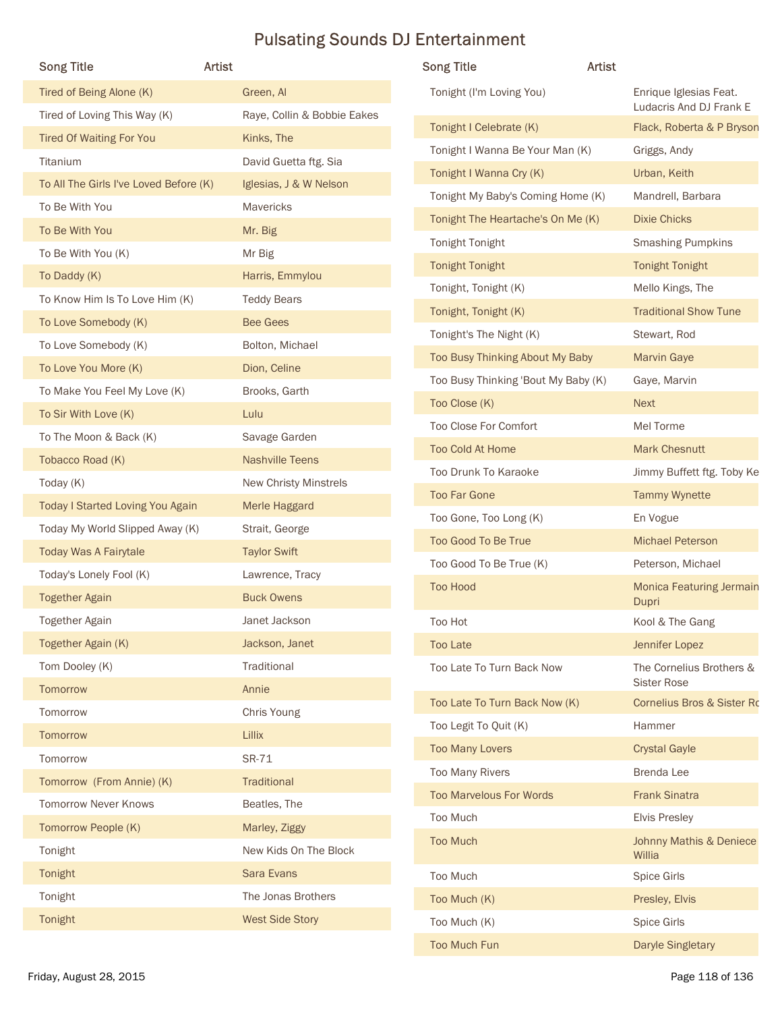|                                         |                             | <b>Pulsating Sounds DJ Entertainment</b> |                                                   |
|-----------------------------------------|-----------------------------|------------------------------------------|---------------------------------------------------|
| <b>Song Title</b><br>Artist             |                             | <b>Song Title</b><br>Artist              |                                                   |
| Tired of Being Alone (K)                | Green, Al                   | Tonight (I'm Loving You)                 | Enrique Iglesias Feat.<br>Ludacris And DJ Frank E |
| Tired of Loving This Way (K)            | Raye, Collin & Bobbie Eakes | Tonight I Celebrate (K)                  | Flack, Roberta & P Bryson                         |
| <b>Tired Of Waiting For You</b>         | Kinks, The                  | Tonight I Wanna Be Your Man (K)          | Griggs, Andy                                      |
| Titanium                                | David Guetta ftg. Sia       | Tonight I Wanna Cry (K)                  | Urban, Keith                                      |
| To All The Girls I've Loved Before (K)  | Iglesias, J & W Nelson      | Tonight My Baby's Coming Home (K)        | Mandrell, Barbara                                 |
| To Be With You                          | Mavericks                   | Tonight The Heartache's On Me (K)        | <b>Dixie Chicks</b>                               |
| To Be With You                          | Mr. Big                     | Tonight Tonight                          | <b>Smashing Pumpkins</b>                          |
| To Be With You (K)                      | Mr Big                      | <b>Tonight Tonight</b>                   | <b>Tonight Tonight</b>                            |
| To Daddy (K)                            | Harris, Emmylou             | Tonight, Tonight (K)                     | Mello Kings, The                                  |
| To Know Him Is To Love Him (K)          | <b>Teddy Bears</b>          | Tonight, Tonight (K)                     | <b>Traditional Show Tune</b>                      |
| To Love Somebody (K)                    | <b>Bee Gees</b>             | Tonight's The Night (K)                  | Stewart, Rod                                      |
| To Love Somebody (K)                    | Bolton, Michael             | Too Busy Thinking About My Baby          | <b>Marvin Gaye</b>                                |
| To Love You More (K)                    | Dion, Celine                | Too Busy Thinking 'Bout My Baby (K)      | Gaye, Marvin                                      |
| To Make You Feel My Love (K)            | Brooks, Garth               | Too Close (K)                            | Next                                              |
| To Sir With Love (K)                    | Lulu                        | Too Close For Comfort                    | Mel Torme                                         |
| To The Moon & Back (K)                  | Savage Garden               | Too Cold At Home                         | Mark Chesnutt                                     |
| Tobacco Road (K)                        | <b>Nashville Teens</b>      | Too Drunk To Karaoke                     | Jimmy Buffett ftg. Toby Ke                        |
| Today (K)                               | New Christy Minstrels       | <b>Too Far Gone</b>                      | <b>Tammy Wynette</b>                              |
| <b>Today I Started Loving You Again</b> | Merle Haggard               | Too Gone, Too Long (K)                   | En Vogue                                          |
| Today My World Slipped Away (K)         | Strait, George              | Too Good To Be True                      | <b>Michael Peterson</b>                           |
| Today Was A Fairytale                   | <b>Taylor Swift</b>         | Too Good To Be True (K)                  | Peterson, Michael                                 |
| Today's Lonely Fool (K)                 | Lawrence, Tracy             | <b>Too Hood</b>                          | <b>Monica Featuring Jermain</b>                   |
| <b>Together Again</b>                   | <b>Buck Owens</b>           |                                          | Dupri                                             |
| <b>Together Again</b>                   | Janet Jackson               | Too Hot                                  | Kool & The Gang                                   |
| Together Again (K)                      | Jackson, Janet              | <b>Too Late</b>                          | Jennifer Lopez                                    |
| Tom Dooley (K)                          | Traditional<br>Annie        | Too Late To Turn Back Now                | The Cornelius Brothers &<br><b>Sister Rose</b>    |
| Tomorrow                                |                             | Too Late To Turn Back Now (K)            | <b>Cornelius Bros &amp; Sister Ro</b>             |
| Tomorrow                                | Chris Young<br>Lillix       | Too Legit To Quit (K)                    | Hammer                                            |
| Tomorrow                                | SR-71                       | <b>Too Many Lovers</b>                   | <b>Crystal Gayle</b>                              |
| Tomorrow                                |                             | <b>Too Many Rivers</b>                   | Brenda Lee                                        |
| Tomorrow (From Annie) (K)               | Traditional                 | <b>Too Marvelous For Words</b>           | <b>Frank Sinatra</b>                              |
| Tomorrow Never Knows                    | Beatles, The                | Too Much                                 | <b>Elvis Presley</b>                              |
| Tomorrow People (K)                     | Marley, Ziggy               | <b>Too Much</b>                          | Johnny Mathis & Deniece                           |
| Tonight                                 | New Kids On The Block       |                                          | Willia                                            |
| Tonight                                 | Sara Evans                  | Too Much                                 | <b>Spice Girls</b>                                |
| Tonight                                 | The Jonas Brothers          | Too Much (K)                             | Presley, Elvis                                    |
| Tonight                                 | <b>West Side Story</b>      | Too Much (K)                             | <b>Spice Girls</b>                                |
|                                         |                             | Too Much Fun                             | <b>Daryle Singletary</b>                          |

| <b>Song Title</b>                      | Artist                      | <b>Song Title</b>                   | Artist                                            |
|----------------------------------------|-----------------------------|-------------------------------------|---------------------------------------------------|
| Tired of Being Alone (K)               | Green, Al                   | Tonight (I'm Loving You)            | Enrique Iglesias Feat.<br>Ludacris And DJ Frank E |
| Tired of Loving This Way (K)           | Raye, Collin & Bobbie Eakes | Tonight I Celebrate (K)             | Flack, Roberta & P Bryson                         |
| <b>Tired Of Waiting For You</b>        | Kinks, The                  | Tonight I Wanna Be Your Man (K)     | Griggs, Andy                                      |
| Titanium                               | David Guetta ftg. Sia       | Tonight I Wanna Cry (K)             | Urban, Keith                                      |
| To All The Girls I've Loved Before (K) | Iglesias, J & W Nelson      | Tonight My Baby's Coming Home (K)   | Mandrell, Barbara                                 |
| To Be With You                         | Mavericks                   | Tonight The Heartache's On Me (K)   | <b>Dixie Chicks</b>                               |
| To Be With You                         | Mr. Big                     | Tonight Tonight                     | <b>Smashing Pumpkins</b>                          |
| To Be With You (K)                     | Mr Big                      | <b>Tonight Tonight</b>              | <b>Tonight Tonight</b>                            |
| To Daddy (K)                           | Harris, Emmylou             | Tonight, Tonight (K)                | Mello Kings, The                                  |
| To Know Him Is To Love Him (K)         | <b>Teddy Bears</b>          | Tonight, Tonight (K)                | <b>Traditional Show Tune</b>                      |
| To Love Somebody (K)                   | <b>Bee Gees</b>             | Tonight's The Night (K)             | Stewart, Rod                                      |
| To Love Somebody (K)                   | Bolton, Michael             | Too Busy Thinking About My Baby     | <b>Marvin Gaye</b>                                |
| To Love You More (K)                   | Dion, Celine                | Too Busy Thinking 'Bout My Baby (K) | Gaye, Marvin                                      |
| To Make You Feel My Love (K)           | Brooks, Garth               | Too Close (K)                       | Next                                              |
| To Sir With Love (K)                   | Lulu                        | Too Close For Comfort               | Mel Torme                                         |
| To The Moon & Back (K)                 | Savage Garden               | Too Cold At Home                    | <b>Mark Chesnutt</b>                              |
| Tobacco Road (K)                       | Nashville Teens             | Too Drunk To Karaoke                | Jimmy Buffett ftg. Toby Ke                        |
| Today (K)                              | New Christy Minstrels       | <b>Too Far Gone</b>                 | <b>Tammy Wynette</b>                              |
| Today I Started Loving You Again       | Merle Haggard               | Too Gone, Too Long (K)              | En Vogue                                          |
| Today My World Slipped Away (K)        | Strait, George              | Too Good To Be True                 | Michael Peterson                                  |
| <b>Today Was A Fairytale</b>           | <b>Taylor Swift</b>         | Too Good To Be True (K)             | Peterson, Michael                                 |
| Today's Lonely Fool (K)                | Lawrence, Tracy             | <b>Too Hood</b>                     | <b>Monica Featuring Jermain</b>                   |
| <b>Together Again</b>                  | <b>Buck Owens</b>           |                                     | Dupri                                             |
| <b>Together Again</b>                  | Janet Jackson               | Too Hot                             | Kool & The Gang                                   |
| Together Again (K)                     | Jackson, Janet              | <b>Too Late</b>                     | Jennifer Lopez                                    |
| Tom Dooley (K)                         | Traditional                 | Too Late To Turn Back Now           | The Cornelius Brothers &                          |
| Tomorrow                               | Annie                       | Too Late To Turn Back Now (K)       | <b>Sister Rose</b><br>Cornelius Bros & Sister Ro  |
| Tomorrow                               | Chris Young                 | Too Legit To Quit (K)               | Hammer                                            |
| Tomorrow                               | Lillix                      | <b>Too Many Lovers</b>              | <b>Crystal Gayle</b>                              |
| Tomorrow                               | SR-71                       | Too Many Rivers                     | Brenda Lee                                        |
| Tomorrow (From Annie) (K)              | Traditional                 | <b>Too Marvelous For Words</b>      | <b>Frank Sinatra</b>                              |
| <b>Tomorrow Never Knows</b>            | Beatles, The                | Too Much                            | <b>Elvis Presley</b>                              |
| Tomorrow People (K)                    | Marley, Ziggy               | Too Much                            | Johnny Mathis & Deniece                           |
| Tonight                                | New Kids On The Block       |                                     | Willia                                            |
| Tonight                                | Sara Evans                  | Too Much                            | <b>Spice Girls</b>                                |
| Tonight                                | The Jonas Brothers          | Too Much (K)                        | Presley, Elvis                                    |
| Tonight                                | <b>West Side Story</b>      | Too Much (K)                        | <b>Spice Girls</b>                                |
|                                        |                             | Too Much Fun                        | <b>Daryle Singletary</b>                          |
| Friday, August 28, 2015                |                             |                                     | Page 118 of 136                                   |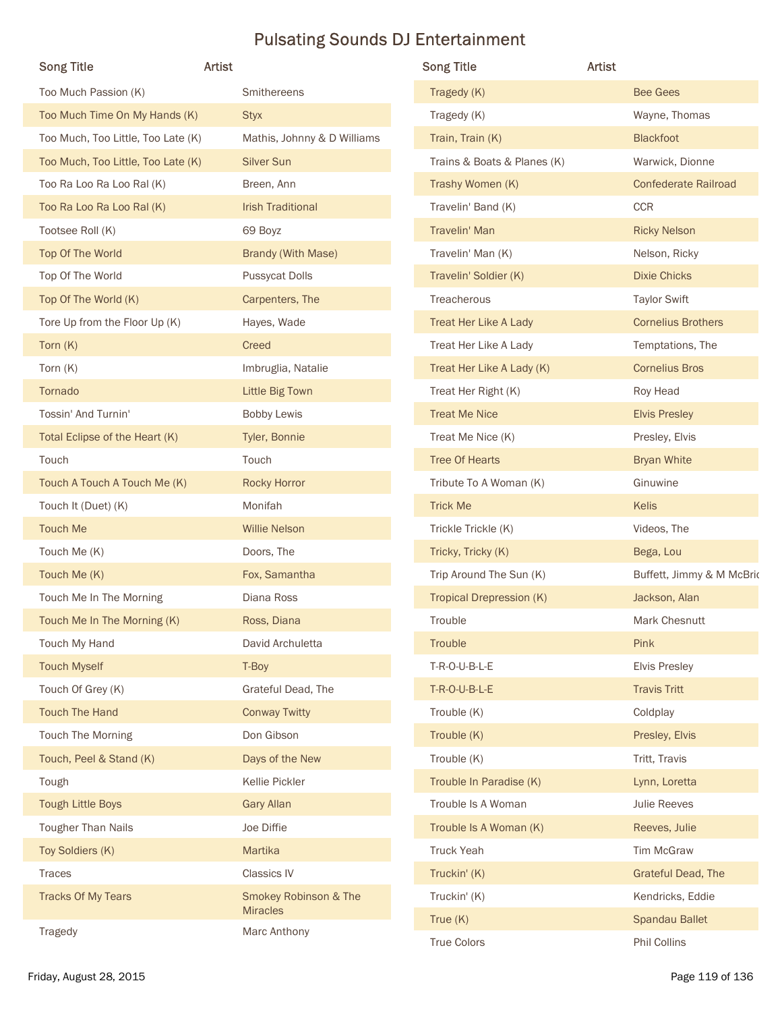| Smithereens<br><b>Styx</b><br>Mathis, Johnny & D Williams<br>Silver Sun<br>Breen, Ann<br><b>Irish Traditional</b><br>69 Boyz<br>Brandy (With Mase)<br><b>Pussycat Dolls</b><br>Carpenters, The<br>Hayes, Wade<br>Creed<br>Imbruglia, Natalie<br>Little Big Town<br><b>Bobby Lewis</b><br>Tyler, Bonnie | <b>Song Title</b><br>Tragedy (K)<br>Tragedy (K)<br>Train, Train (K)<br>Trains & Boats & Planes (K)<br>Trashy Women (K)<br>Travelin' Band (K)<br><b>Travelin' Man</b><br>Travelin' Man (K)<br>Travelin' Soldier (K)<br>Treacherous<br><b>Treat Her Like A Lady</b><br>Treat Her Like A Lady<br>Treat Her Like A Lady (K)<br>Treat Her Right (K) | <b>Bee Gees</b><br>Wayne, Thomas<br><b>Blackfoot</b><br>Warwick, Dionne<br><b>Confederate Railroad</b><br>CCR<br><b>Ricky Nelson</b><br>Nelson, Ricky<br><b>Dixie Chicks</b><br><b>Taylor Swift</b><br><b>Cornelius Brothers</b><br>Temptations, The<br><b>Cornelius Bros</b> |
|--------------------------------------------------------------------------------------------------------------------------------------------------------------------------------------------------------------------------------------------------------------------------------------------------------|------------------------------------------------------------------------------------------------------------------------------------------------------------------------------------------------------------------------------------------------------------------------------------------------------------------------------------------------|-------------------------------------------------------------------------------------------------------------------------------------------------------------------------------------------------------------------------------------------------------------------------------|
|                                                                                                                                                                                                                                                                                                        |                                                                                                                                                                                                                                                                                                                                                |                                                                                                                                                                                                                                                                               |
|                                                                                                                                                                                                                                                                                                        |                                                                                                                                                                                                                                                                                                                                                |                                                                                                                                                                                                                                                                               |
|                                                                                                                                                                                                                                                                                                        |                                                                                                                                                                                                                                                                                                                                                |                                                                                                                                                                                                                                                                               |
|                                                                                                                                                                                                                                                                                                        |                                                                                                                                                                                                                                                                                                                                                |                                                                                                                                                                                                                                                                               |
|                                                                                                                                                                                                                                                                                                        |                                                                                                                                                                                                                                                                                                                                                |                                                                                                                                                                                                                                                                               |
|                                                                                                                                                                                                                                                                                                        |                                                                                                                                                                                                                                                                                                                                                |                                                                                                                                                                                                                                                                               |
|                                                                                                                                                                                                                                                                                                        |                                                                                                                                                                                                                                                                                                                                                |                                                                                                                                                                                                                                                                               |
|                                                                                                                                                                                                                                                                                                        |                                                                                                                                                                                                                                                                                                                                                |                                                                                                                                                                                                                                                                               |
|                                                                                                                                                                                                                                                                                                        |                                                                                                                                                                                                                                                                                                                                                |                                                                                                                                                                                                                                                                               |
|                                                                                                                                                                                                                                                                                                        |                                                                                                                                                                                                                                                                                                                                                |                                                                                                                                                                                                                                                                               |
|                                                                                                                                                                                                                                                                                                        |                                                                                                                                                                                                                                                                                                                                                |                                                                                                                                                                                                                                                                               |
|                                                                                                                                                                                                                                                                                                        |                                                                                                                                                                                                                                                                                                                                                |                                                                                                                                                                                                                                                                               |
|                                                                                                                                                                                                                                                                                                        |                                                                                                                                                                                                                                                                                                                                                |                                                                                                                                                                                                                                                                               |
|                                                                                                                                                                                                                                                                                                        |                                                                                                                                                                                                                                                                                                                                                | Roy Head                                                                                                                                                                                                                                                                      |
|                                                                                                                                                                                                                                                                                                        | <b>Treat Me Nice</b>                                                                                                                                                                                                                                                                                                                           | <b>Elvis Presley</b>                                                                                                                                                                                                                                                          |
|                                                                                                                                                                                                                                                                                                        | Treat Me Nice (K)                                                                                                                                                                                                                                                                                                                              | Presley, Elvis                                                                                                                                                                                                                                                                |
| Touch                                                                                                                                                                                                                                                                                                  | <b>Tree Of Hearts</b>                                                                                                                                                                                                                                                                                                                          | <b>Bryan White</b>                                                                                                                                                                                                                                                            |
| <b>Rocky Horror</b>                                                                                                                                                                                                                                                                                    | Tribute To A Woman (K)                                                                                                                                                                                                                                                                                                                         | Ginuwine                                                                                                                                                                                                                                                                      |
| Monifah                                                                                                                                                                                                                                                                                                | <b>Trick Me</b>                                                                                                                                                                                                                                                                                                                                | Kelis                                                                                                                                                                                                                                                                         |
| <b>Willie Nelson</b>                                                                                                                                                                                                                                                                                   | Trickle Trickle (K)                                                                                                                                                                                                                                                                                                                            | Videos, The                                                                                                                                                                                                                                                                   |
| Doors, The                                                                                                                                                                                                                                                                                             | Tricky, Tricky (K)                                                                                                                                                                                                                                                                                                                             | Bega, Lou                                                                                                                                                                                                                                                                     |
| Fox, Samantha                                                                                                                                                                                                                                                                                          | Trip Around The Sun (K)                                                                                                                                                                                                                                                                                                                        | Buffett, Jimmy & M McBric                                                                                                                                                                                                                                                     |
| Diana Ross                                                                                                                                                                                                                                                                                             |                                                                                                                                                                                                                                                                                                                                                | Jackson, Alan                                                                                                                                                                                                                                                                 |
| Ross, Diana                                                                                                                                                                                                                                                                                            | Trouble                                                                                                                                                                                                                                                                                                                                        | Mark Chesnutt                                                                                                                                                                                                                                                                 |
| David Archuletta                                                                                                                                                                                                                                                                                       |                                                                                                                                                                                                                                                                                                                                                | Pink                                                                                                                                                                                                                                                                          |
| T-Boy                                                                                                                                                                                                                                                                                                  |                                                                                                                                                                                                                                                                                                                                                | <b>Elvis Presley</b>                                                                                                                                                                                                                                                          |
| Grateful Dead, The                                                                                                                                                                                                                                                                                     |                                                                                                                                                                                                                                                                                                                                                | <b>Travis Tritt</b>                                                                                                                                                                                                                                                           |
| <b>Conway Twitty</b>                                                                                                                                                                                                                                                                                   |                                                                                                                                                                                                                                                                                                                                                | Coldplay                                                                                                                                                                                                                                                                      |
| Don Gibson                                                                                                                                                                                                                                                                                             |                                                                                                                                                                                                                                                                                                                                                | Presley, Elvis                                                                                                                                                                                                                                                                |
| Days of the New                                                                                                                                                                                                                                                                                        |                                                                                                                                                                                                                                                                                                                                                | Tritt, Travis                                                                                                                                                                                                                                                                 |
| Kellie Pickler                                                                                                                                                                                                                                                                                         |                                                                                                                                                                                                                                                                                                                                                | Lynn, Loretta                                                                                                                                                                                                                                                                 |
| <b>Gary Allan</b>                                                                                                                                                                                                                                                                                      | Trouble Is A Woman                                                                                                                                                                                                                                                                                                                             | Julie Reeves                                                                                                                                                                                                                                                                  |
| Joe Diffie                                                                                                                                                                                                                                                                                             |                                                                                                                                                                                                                                                                                                                                                | Reeves, Julie                                                                                                                                                                                                                                                                 |
| Martika                                                                                                                                                                                                                                                                                                | <b>Truck Yeah</b>                                                                                                                                                                                                                                                                                                                              | <b>Tim McGraw</b>                                                                                                                                                                                                                                                             |
| Classics IV                                                                                                                                                                                                                                                                                            |                                                                                                                                                                                                                                                                                                                                                | <b>Grateful Dead, The</b>                                                                                                                                                                                                                                                     |
| Smokey Robinson & The                                                                                                                                                                                                                                                                                  |                                                                                                                                                                                                                                                                                                                                                | Kendricks, Eddie                                                                                                                                                                                                                                                              |
|                                                                                                                                                                                                                                                                                                        | True $(K)$                                                                                                                                                                                                                                                                                                                                     | Spandau Ballet                                                                                                                                                                                                                                                                |
|                                                                                                                                                                                                                                                                                                        | <b>True Colors</b>                                                                                                                                                                                                                                                                                                                             | Phil Collins                                                                                                                                                                                                                                                                  |
|                                                                                                                                                                                                                                                                                                        | <b>Miracles</b><br>Marc Anthony                                                                                                                                                                                                                                                                                                                | <b>Tropical Drepression (K)</b><br>Trouble<br>T-R-O-U-B-L-E<br>T-R-O-U-B-L-E<br>Trouble (K)<br>Trouble (K)<br>Trouble (K)<br>Trouble In Paradise (K)<br>Trouble Is A Woman (K)<br>Truckin' (K)<br>Truckin' (K)                                                                |

| <b>Intertainment</b>                               |                                           |
|----------------------------------------------------|-------------------------------------------|
| <b>Song Title</b>                                  | <b>Artist</b>                             |
| Tragedy (K)                                        | <b>Bee Gees</b>                           |
| Tragedy (K)                                        | Wayne, Thomas                             |
| Train, Train (K)                                   | <b>Blackfoot</b>                          |
| Trains & Boats & Planes (K)                        | Warwick, Dionne                           |
| Trashy Women (K)                                   | <b>Confederate Railroad</b>               |
| Travelin' Band (K)                                 | CCR                                       |
| Travelin' Man                                      | <b>Ricky Nelson</b>                       |
| Travelin' Man (K)                                  | Nelson, Ricky                             |
| Travelin' Soldier (K)                              | <b>Dixie Chicks</b>                       |
| Treacherous                                        | <b>Taylor Swift</b>                       |
| Treat Her Like A Lady                              | <b>Cornelius Brothers</b>                 |
| Treat Her Like A Lady<br>Treat Her Like A Lady (K) | Temptations, The<br><b>Cornelius Bros</b> |
| Treat Her Right (K)                                | Roy Head                                  |
| <b>Treat Me Nice</b>                               | <b>Elvis Presley</b>                      |
| Treat Me Nice (K)                                  | Presley, Elvis                            |
| <b>Tree Of Hearts</b>                              | <b>Bryan White</b>                        |
| Tribute To A Woman (K)                             | Ginuwine                                  |
| <b>Trick Me</b>                                    | Kelis                                     |
| Trickle Trickle (K)                                | Videos, The                               |
| Tricky, Tricky (K)                                 | Bega, Lou                                 |
| Trip Around The Sun (K)                            | Buffett, Jimmy & M McBrio                 |
| Tropical Drepression (K)                           | Jackson, Alan                             |
| Trouble                                            | Mark Chesnutt                             |
| Trouble                                            | Pink                                      |
| T-R-O-U-B-L-E                                      | Elvis Presley                             |
| $T-R-O-U-B-L-E$                                    | <b>Travis Tritt</b>                       |
| Trouble (K)                                        | Coldplay                                  |
| Trouble (K)                                        | Presley, Elvis                            |
| Trouble (K)                                        | Tritt, Travis                             |
| Trouble In Paradise (K)                            | Lynn, Loretta                             |
| Trouble Is A Woman                                 | Julie Reeves                              |
| Trouble Is A Woman (K)                             | Reeves, Julie                             |
| <b>Truck Yeah</b>                                  | Tim McGraw                                |
| Truckin' (K)                                       | Grateful Dead, The                        |
| Truckin' (K)                                       | Kendricks, Eddie                          |
| True $(K)$                                         | Spandau Ballet                            |
| <b>True Colors</b>                                 | Phil Collins                              |
|                                                    | Page 119 of 136                           |
|                                                    |                                           |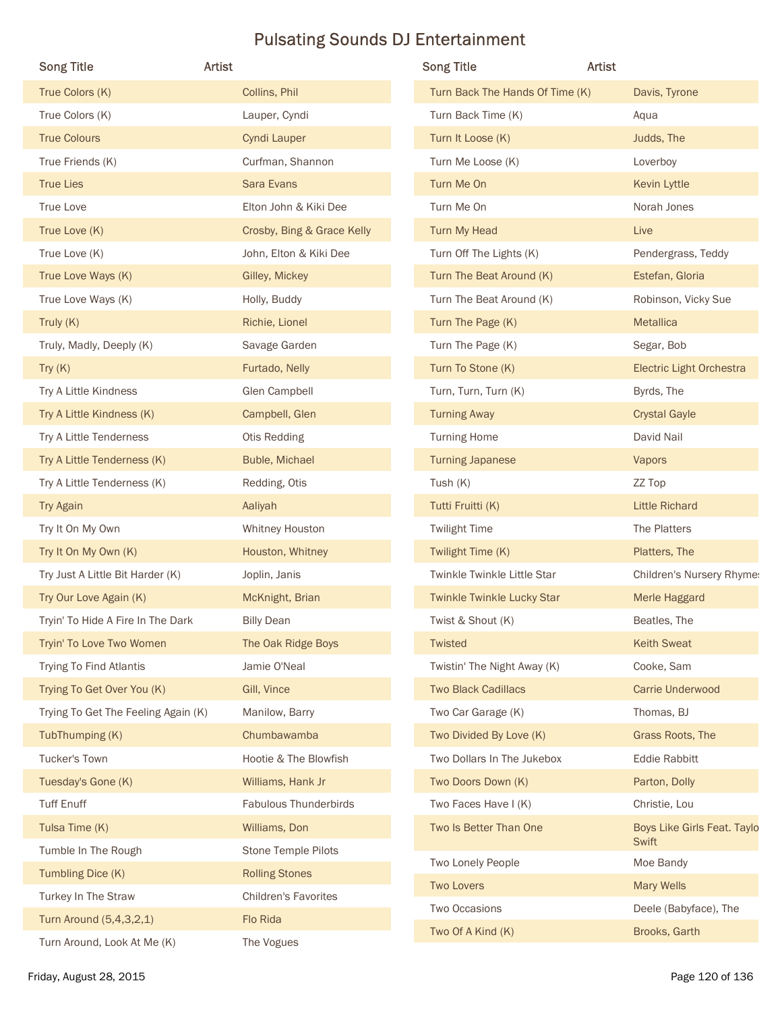| <b>Song Title</b><br>Artist         |                            | <b>Pulsating Sounds DJ Entertainment</b><br><b>Song Title</b><br>Artist |                                    |  |
|-------------------------------------|----------------------------|-------------------------------------------------------------------------|------------------------------------|--|
| True Colors (K)                     | Collins, Phil              | Turn Back The Hands Of Time (K)                                         | Davis, Tyrone                      |  |
| True Colors (K)                     | Lauper, Cyndi              | Turn Back Time (K)                                                      | Aqua                               |  |
| <b>True Colours</b>                 | Cyndi Lauper               | Turn It Loose (K)                                                       | Judds, The                         |  |
| True Friends (K)                    | Curfman, Shannon           | Turn Me Loose (K)                                                       | Loverboy                           |  |
| <b>True Lies</b>                    | Sara Evans                 | Turn Me On                                                              | Kevin Lyttle                       |  |
| True Love                           | Elton John & Kiki Dee      | Turn Me On                                                              | Norah Jones                        |  |
| True Love (K)                       | Crosby, Bing & Grace Kelly | Turn My Head                                                            | Live                               |  |
| True Love (K)                       | John, Elton & Kiki Dee     | Turn Off The Lights (K)                                                 | Pendergrass, Teddy                 |  |
| True Love Ways (K)                  | Gilley, Mickey             | Turn The Beat Around (K)                                                | Estefan, Gloria                    |  |
| True Love Ways (K)                  | Holly, Buddy               | Turn The Beat Around (K)                                                | Robinson, Vicky Sue                |  |
| Truly (K)                           | Richie, Lionel             | Turn The Page (K)                                                       | Metallica                          |  |
| Truly, Madly, Deeply (K)            | Savage Garden              | Turn The Page (K)                                                       | Segar, Bob                         |  |
| Try $(K)$                           | Furtado, Nelly             | Turn To Stone (K)                                                       | <b>Electric Light Orchestra</b>    |  |
| Try A Little Kindness               | Glen Campbell              | Turn, Turn, Turn (K)                                                    | Byrds, The                         |  |
| Try A Little Kindness (K)           | Campbell, Glen             | <b>Turning Away</b>                                                     | <b>Crystal Gayle</b>               |  |
| Try A Little Tenderness             | Otis Redding               | <b>Turning Home</b>                                                     | David Nail                         |  |
| Try A Little Tenderness (K)         | Buble, Michael             | <b>Turning Japanese</b>                                                 | Vapors                             |  |
| Try A Little Tenderness (K)         | Redding, Otis              | Tush (K)                                                                | ZZ Top                             |  |
| Try Again                           | Aaliyah                    | Tutti Fruitti (K)                                                       | <b>Little Richard</b>              |  |
| Try It On My Own                    | Whitney Houston            | <b>Twilight Time</b>                                                    | The Platters                       |  |
| Try It On My Own (K)                | Houston, Whitney           | Twilight Time (K)                                                       | Platters, The                      |  |
| Try Just A Little Bit Harder (K)    | Joplin, Janis              | Twinkle Twinkle Little Star                                             | Children's Nursery Rhyme:          |  |
| Try Our Love Again (K)              | McKnight, Brian            | Twinkle Twinkle Lucky Star                                              | Merle Haggard                      |  |
| Tryin' To Hide A Fire In The Dark   | <b>Billy Dean</b>          | Twist & Shout (K)                                                       | Beatles, The                       |  |
| Tryin' To Love Two Women            | The Oak Ridge Boys         | Twisted                                                                 | <b>Keith Sweat</b>                 |  |
| Trying To Find Atlantis             | Jamie O'Neal               | Twistin' The Night Away (K)                                             | Cooke, Sam                         |  |
| Trying To Get Over You (K)          | Gill, Vince                | <b>Two Black Cadillacs</b>                                              | Carrie Underwood                   |  |
| Trying To Get The Feeling Again (K) | Manilow, Barry             | Two Car Garage (K)                                                      | Thomas, BJ                         |  |
| TubThumping (K)                     | Chumbawamba                | Two Divided By Love (K)                                                 | Grass Roots, The                   |  |
| Tucker's Town                       | Hootie & The Blowfish      | Two Dollars In The Jukebox                                              | <b>Eddie Rabbitt</b>               |  |
| Tuesday's Gone (K)                  | Williams, Hank Jr          | Two Doors Down (K)                                                      | Parton, Dolly                      |  |
| <b>Tuff Enuff</b>                   | Fabulous Thunderbirds      | Two Faces Have I (K)                                                    | Christie, Lou                      |  |
| Tulsa Time (K)                      | Williams, Don              | Two Is Better Than One                                                  | <b>Boys Like Girls Feat. Taylo</b> |  |
| Tumble In The Rough                 | Stone Temple Pilots        |                                                                         | Swift                              |  |
| Tumbling Dice (K)                   | <b>Rolling Stones</b>      | Two Lonely People                                                       | Moe Bandy                          |  |
| Turkey In The Straw                 | Children's Favorites       | <b>Two Lovers</b>                                                       | <b>Mary Wells</b>                  |  |
| Turn Around (5,4,3,2,1)             | Flo Rida                   | Two Occasions                                                           | Deele (Babyface), The              |  |
|                                     |                            | Two Of A Kind (K)                                                       | Brooks, Garth                      |  |

| <b>Entertainment</b>            |                                      |
|---------------------------------|--------------------------------------|
| <b>Song Title</b>               | Artist                               |
| Turn Back The Hands Of Time (K) | Davis, Tyrone                        |
| Turn Back Time (K)              | Aqua                                 |
| Turn It Loose (K)               | Judds, The                           |
| Turn Me Loose (K)               | Loverboy                             |
| Turn Me On                      | Kevin Lyttle                         |
| Turn Me On                      | Norah Jones                          |
| Turn My Head                    | Live                                 |
| Turn Off The Lights (K)         | Pendergrass, Teddy                   |
| Turn The Beat Around (K)        | Estefan, Gloria                      |
| Turn The Beat Around (K)        | Robinson, Vicky Sue                  |
| Turn The Page (K)               | Metallica                            |
| Turn The Page (K)               | Segar, Bob                           |
| Turn To Stone (K)               | Electric Light Orchestra             |
| Turn, Turn, Turn (K)            | Byrds, The                           |
| <b>Turning Away</b>             | <b>Crystal Gayle</b>                 |
| <b>Turning Home</b>             | David Nail                           |
| <b>Turning Japanese</b>         | Vapors                               |
| Tush (K)                        | ZZ Top                               |
| Tutti Fruitti (K)               | <b>Little Richard</b>                |
| <b>Twilight Time</b>            | The Platters                         |
| Twilight Time (K)               | Platters, The                        |
| Twinkle Twinkle Little Star     | Children's Nursery Rhyme:            |
| Twinkle Twinkle Lucky Star      | Merle Haggard                        |
| Twist & Shout (K)               | Beatles, The                         |
| Twisted                         | <b>Keith Sweat</b>                   |
| Twistin' The Night Away (K)     | Cooke, Sam                           |
| <b>Two Black Cadillacs</b>      | Carrie Underwood                     |
| Two Car Garage (K)              | Thomas, BJ                           |
| Two Divided By Love (K)         | Grass Roots, The                     |
| Two Dollars In The Jukebox      | <b>Eddie Rabbitt</b>                 |
| Two Doors Down (K)              | Parton, Dolly                        |
| Two Faces Have I (K)            | Christie, Lou                        |
| Two Is Better Than One          | Boys Like Girls Feat. Taylo<br>Swift |
| Two Lonely People               | Moe Bandy                            |
| <b>Two Lovers</b>               | <b>Mary Wells</b>                    |
| Two Occasions                   | Deele (Babyface), The                |
| Two Of A Kind (K)               | Brooks, Garth                        |
|                                 | Page 120 of 136                      |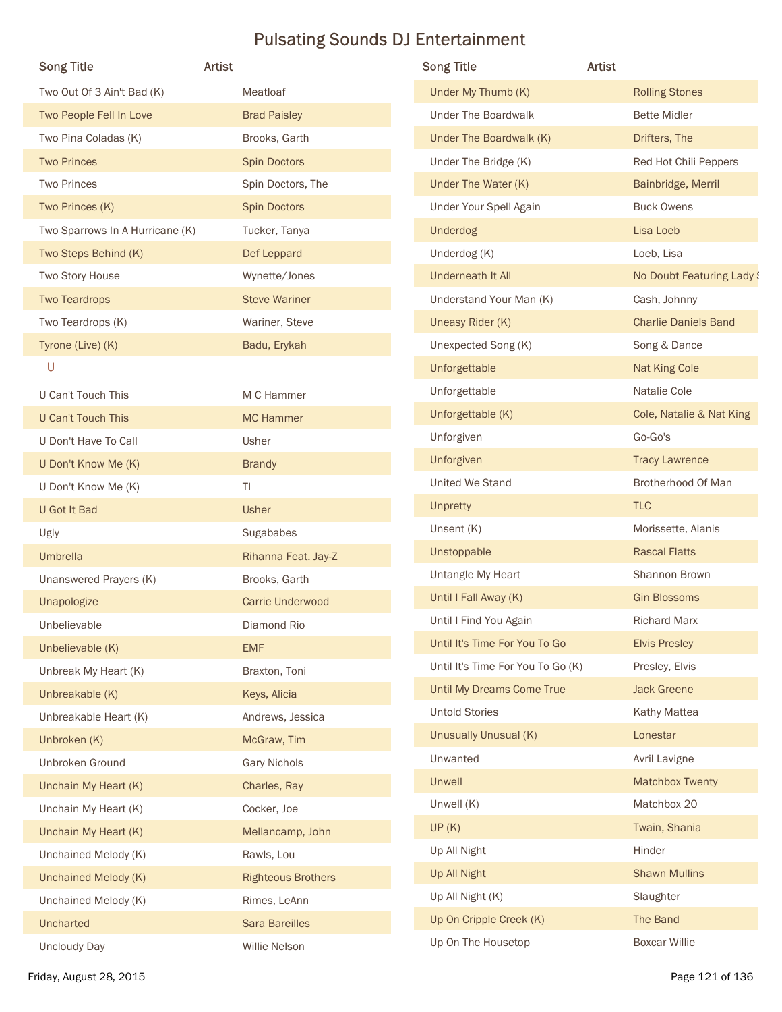| <b>Song Title</b>               | Artist                    | <b>Song Title</b><br>Artist       |                              |
|---------------------------------|---------------------------|-----------------------------------|------------------------------|
| Two Out Of 3 Ain't Bad (K)      | Meatloaf                  | Under My Thumb (K)                | <b>Rolling Stones</b>        |
| Two People Fell In Love         | <b>Brad Paisley</b>       | Under The Boardwalk               | <b>Bette Midler</b>          |
| Two Pina Coladas (K)            | Brooks, Garth             | Under The Boardwalk (K)           | Drifters, The                |
| <b>Two Princes</b>              | <b>Spin Doctors</b>       | Under The Bridge (K)              | Red Hot Chili Peppers        |
| <b>Two Princes</b>              | Spin Doctors, The         | Under The Water (K)               | Bainbridge, Merril           |
| Two Princes (K)                 | <b>Spin Doctors</b>       | Under Your Spell Again            | <b>Buck Owens</b>            |
| Two Sparrows In A Hurricane (K) | Tucker, Tanya             | Underdog                          | Lisa Loeb                    |
| Two Steps Behind (K)            | Def Leppard               | Underdog (K)                      | Loeb, Lisa                   |
| Two Story House                 | Wynette/Jones             | Underneath It All                 | No Doubt Featuring Lady !    |
| <b>Two Teardrops</b>            | <b>Steve Wariner</b>      | Understand Your Man (K)           | Cash, Johnny                 |
| Two Teardrops (K)               | Wariner, Steve            | Uneasy Rider (K)                  | <b>Charlie Daniels Band</b>  |
| Tyrone (Live) (K)               | Badu, Erykah              | Unexpected Song (K)               | Song & Dance                 |
| U                               |                           | Unforgettable                     | Nat King Cole                |
| U Can't Touch This              | M C Hammer                | Unforgettable                     | Natalie Cole                 |
| U Can't Touch This              | <b>MC Hammer</b>          | Unforgettable (K)                 | Cole, Natalie & Nat King     |
| U Don't Have To Call            | Usher                     | Unforgiven                        | Go-Go's                      |
| U Don't Know Me (K)             | <b>Brandy</b>             | Unforgiven                        | <b>Tracy Lawrence</b>        |
| U Don't Know Me (K)             | TI                        | United We Stand                   | Brotherhood Of Man           |
| U Got It Bad                    | <b>Usher</b>              | <b>Unpretty</b>                   | <b>TLC</b>                   |
| Ugly                            | Sugababes                 | Unsent (K)                        | Morissette, Alanis           |
| Umbrella                        | Rihanna Feat. Jay-Z       | Unstoppable                       | <b>Rascal Flatts</b>         |
| Unanswered Prayers (K)          | Brooks, Garth             | Untangle My Heart                 | Shannon Brown                |
| Unapologize                     | Carrie Underwood          | Until I Fall Away (K)             | <b>Gin Blossoms</b>          |
| Unbelievable                    | Diamond Rio               | Until I Find You Again            | <b>Richard Marx</b>          |
| Unbelievable (K)                | <b>EMF</b>                | Until It's Time For You To Go     | <b>Elvis Presley</b>         |
| Unbreak My Heart (K)            | Braxton, Toni             | Until It's Time For You To Go (K) | Presley, Elvis               |
| Unbreakable (K)                 | Keys, Alicia              | Until My Dreams Come True         | <b>Jack Greene</b>           |
| Unbreakable Heart (K)           | Andrews, Jessica          | <b>Untold Stories</b>             | Kathy Mattea                 |
| Unbroken (K)                    | McGraw, Tim               | Unusually Unusual (K)             | Lonestar                     |
| Unbroken Ground                 | <b>Gary Nichols</b>       | Unwanted                          | Avril Lavigne                |
| Unchain My Heart (K)            | Charles, Ray              | Unwell                            | <b>Matchbox Twenty</b>       |
| Unchain My Heart (K)            | Cocker, Joe               | Unwell (K)                        | Matchbox 20<br>Twain, Shania |
| Unchain My Heart (K)            | Mellancamp, John          | UP(K)                             | Hinder                       |
| Unchained Melody (K)            | Rawls, Lou                | Up All Night<br>Up All Night      | <b>Shawn Mullins</b>         |
| Unchained Melody (K)            | <b>Righteous Brothers</b> | Up All Night (K)                  | Slaughter                    |
| Unchained Melody (K)            | Rimes, LeAnn              | Up On Cripple Creek (K)           | The Band                     |
| Uncharted                       | Sara Bareilles            | Up On The Housetop                | <b>Boxcar Willie</b>         |
| <b>Uncloudy Day</b>             | Willie Nelson             |                                   |                              |

| <b>Entertainment</b>               |                                             |                 |
|------------------------------------|---------------------------------------------|-----------------|
| <b>Song Title</b>                  | Artist                                      |                 |
| Under My Thumb (K)                 | <b>Rolling Stones</b>                       |                 |
| <b>Under The Boardwalk</b>         | <b>Bette Midler</b>                         |                 |
| Under The Boardwalk (K)            | Drifters, The                               |                 |
| Under The Bridge (K)               | Red Hot Chili Peppers                       |                 |
| Under The Water (K)                | Bainbridge, Merril                          |                 |
| Under Your Spell Again             | <b>Buck Owens</b>                           |                 |
| Underdog                           | Lisa Loeb                                   |                 |
| Underdog (K)                       | Loeb, Lisa                                  |                 |
| Underneath It All                  | No Doubt Featuring Lady !                   |                 |
| Understand Your Man (K)            | Cash, Johnny<br><b>Charlie Daniels Band</b> |                 |
| Uneasy Rider (K)                   |                                             |                 |
| Unexpected Song (K)                | Song & Dance                                |                 |
| Unforgettable                      | Nat King Cole<br>Natalie Cole               |                 |
| Unforgettable<br>Unforgettable (K) | Cole, Natalie & Nat King                    |                 |
| Unforgiven                         | Go-Go's                                     |                 |
| Unforgiven                         | <b>Tracy Lawrence</b>                       |                 |
| United We Stand                    | Brotherhood Of Man                          |                 |
| <b>Unpretty</b>                    | <b>TLC</b>                                  |                 |
| Unsent (K)                         | Morissette, Alanis                          |                 |
| Unstoppable                        | <b>Rascal Flatts</b>                        |                 |
| Untangle My Heart                  | Shannon Brown                               |                 |
| Until I Fall Away (K)              | <b>Gin Blossoms</b>                         |                 |
| Until I Find You Again             | <b>Richard Marx</b>                         |                 |
| Until It's Time For You To Go      | <b>Elvis Presley</b>                        |                 |
| Until It's Time For You To Go (K)  | Presley, Elvis                              |                 |
| Until My Dreams Come True          | <b>Jack Greene</b>                          |                 |
| <b>Untold Stories</b>              | Kathy Mattea                                |                 |
| Unusually Unusual (K)              | Lonestar                                    |                 |
| Unwanted                           | Avril Lavigne                               |                 |
| Unwell                             | <b>Matchbox Twenty</b>                      |                 |
| Unwell (K)                         | Matchbox 20                                 |                 |
| UP(K)                              | Twain, Shania                               |                 |
| Up All Night                       | Hinder                                      |                 |
| Up All Night                       | <b>Shawn Mullins</b>                        |                 |
| Up All Night (K)                   | Slaughter                                   |                 |
| Up On Cripple Creek (K)            | The Band                                    |                 |
| Up On The Housetop                 | <b>Boxcar Willie</b>                        |                 |
|                                    |                                             | Page 121 of 136 |
|                                    |                                             |                 |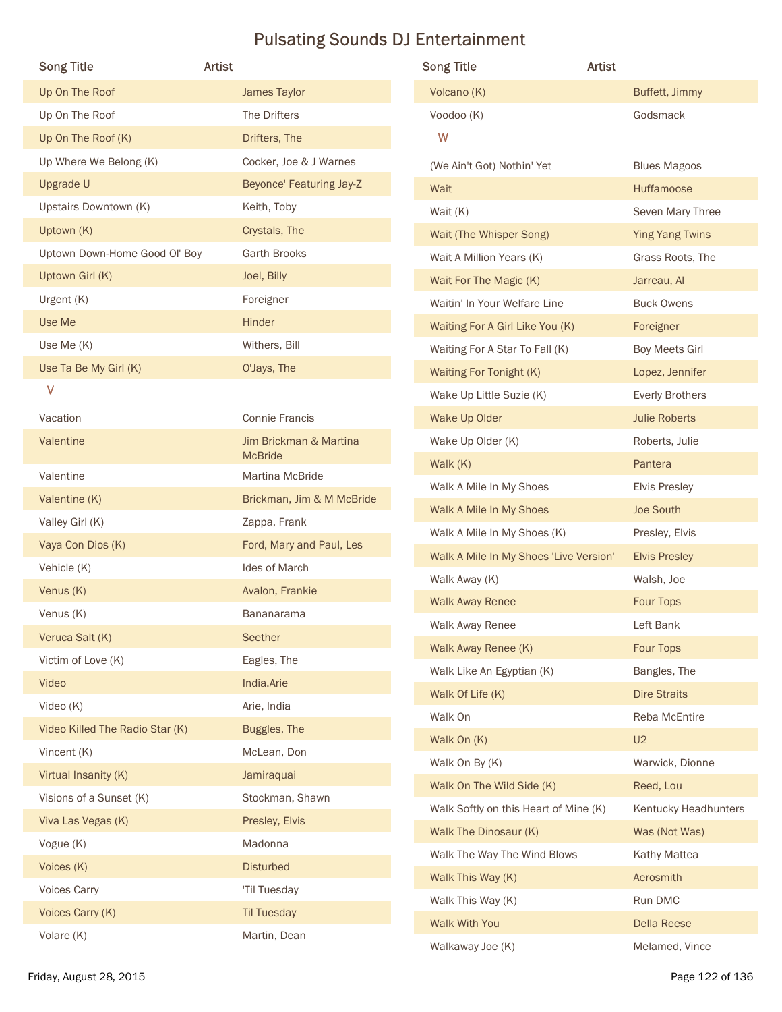| <b>Song Title</b><br>Artist     |                           | <b>Song Title</b><br>Artist            |                        |
|---------------------------------|---------------------------|----------------------------------------|------------------------|
| Up On The Roof                  | James Taylor              | Volcano (K)                            | Buffett, Jimmy         |
| Up On The Roof                  | The Drifters              | Voodoo (K)                             | Godsmack               |
| Up On The Roof (K)              | Drifters, The             | W                                      |                        |
| Up Where We Belong (K)          | Cocker, Joe & J Warnes    | (We Ain't Got) Nothin' Yet             | <b>Blues Magoos</b>    |
| Upgrade U                       | Beyonce' Featuring Jay-Z  | Wait                                   | Huffamoose             |
| Upstairs Downtown (K)           | Keith, Toby               | Wait (K)                               | Seven Mary Three       |
| Uptown (K)                      | Crystals, The             | Wait (The Whisper Song)                | <b>Ying Yang Twins</b> |
| Uptown Down-Home Good Ol' Boy   | Garth Brooks              | Wait A Million Years (K)               | Grass Roots, The       |
| Uptown Girl (K)                 | Joel, Billy               | Wait For The Magic (K)                 | Jarreau, Al            |
| Urgent (K)                      | Foreigner                 | Waitin' In Your Welfare Line           | <b>Buck Owens</b>      |
| Use Me                          | Hinder                    | Waiting For A Girl Like You (K)        | Foreigner              |
| Use Me (K)                      | Withers, Bill             | Waiting For A Star To Fall (K)         | <b>Boy Meets Girl</b>  |
| Use Ta Be My Girl (K)           | O'Jays, The               | Waiting For Tonight (K)                | Lopez, Jennifer        |
| V                               |                           | Wake Up Little Suzie (K)               | <b>Everly Brothers</b> |
| Vacation                        | Connie Francis            | Wake Up Older                          | <b>Julie Roberts</b>   |
| Valentine                       | Jim Brickman & Martina    | Wake Up Older (K)                      | Roberts, Julie         |
|                                 | <b>McBride</b>            | Walk $(K)$                             | Pantera                |
| Valentine                       | Martina McBride           | Walk A Mile In My Shoes                | Elvis Presley          |
| Valentine (K)                   | Brickman, Jim & M McBride | Walk A Mile In My Shoes                | Joe South              |
| Valley Girl (K)                 | Zappa, Frank              | Walk A Mile In My Shoes (K)            | Presley, Elvis         |
| Vaya Con Dios (K)               | Ford, Mary and Paul, Les  | Walk A Mile In My Shoes 'Live Version' | <b>Elvis Presley</b>   |
| Vehicle (K)                     | Ides of March             | Walk Away (K)                          | Walsh, Joe             |
| Venus (K)                       | Avalon, Frankie           | <b>Walk Away Renee</b>                 | Four Tops              |
| Venus (K)                       | <b>Bananarama</b>         | Walk Away Renee                        | Left Bank              |
| Veruca Salt (K)                 | Seether                   | Walk Away Renee (K)                    | Four Tops              |
| Victim of Love (K)              | Eagles, The               | Walk Like An Egyptian (K)              | Bangles, The           |
| Video                           | India.Arie                | Walk Of Life (K)                       | <b>Dire Straits</b>    |
| Video (K)                       | Arie, India               | Walk On                                | Reba McEntire          |
| Video Killed The Radio Star (K) | Buggles, The              | Walk On (K)                            | U2                     |
| Vincent (K)                     | McLean, Don               | Walk On By (K)                         | Warwick, Dionne        |
| Virtual Insanity (K)            | Jamiraquai                | Walk On The Wild Side (K)              | Reed, Lou              |
| Visions of a Sunset (K)         | Stockman, Shawn           | Walk Softly on this Heart of Mine (K)  | Kentucky Headhunters   |
| Viva Las Vegas (K)              | Presley, Elvis            | Walk The Dinosaur (K)                  | Was (Not Was)          |
| Vogue (K)                       | Madonna                   | Walk The Way The Wind Blows            | Kathy Mattea           |
| Voices (K)                      | <b>Disturbed</b>          | Walk This Way (K)                      | Aerosmith              |
| Voices Carry                    | 'Til Tuesday              | Walk This Way (K)                      | Run DMC                |
|                                 |                           |                                        |                        |
| Voices Carry (K)                | <b>Til Tuesday</b>        | Walk With You                          | Della Reese            |

| <b>Entertainment</b>                   |                                   |  |
|----------------------------------------|-----------------------------------|--|
| <b>Song Title</b>                      | <b>Artist</b>                     |  |
|                                        |                                   |  |
| Volcano (K)<br>Voodoo (K)<br>W         | Buffett, Jimmy<br>Godsmack        |  |
| (We Ain't Got) Nothin' Yet             | <b>Blues Magoos</b>               |  |
| Wait                                   | Huffamoose                        |  |
| Wait (K)                               | Seven Mary Three                  |  |
| Wait (The Whisper Song)                | <b>Ying Yang Twins</b>            |  |
| Wait A Million Years (K)               | Grass Roots, The                  |  |
| Wait For The Magic (K)                 | Jarreau, Al                       |  |
| Waitin' In Your Welfare Line           | <b>Buck Owens</b>                 |  |
| Waiting For A Girl Like You (K)        | Foreigner                         |  |
| Waiting For A Star To Fall (K)         | <b>Boy Meets Girl</b>             |  |
| Waiting For Tonight (K)                | Lopez, Jennifer                   |  |
| Wake Up Little Suzie (K)               | <b>Everly Brothers</b>            |  |
| Wake Up Older                          | <b>Julie Roberts</b>              |  |
| Wake Up Older (K)<br>Walk (K)          | Roberts, Julie<br>Pantera         |  |
| Walk A Mile In My Shoes                | Elvis Presley                     |  |
| Walk A Mile In My Shoes                | Joe South                         |  |
| Walk A Mile In My Shoes (K)            | Presley, Elvis                    |  |
| Walk A Mile In My Shoes 'Live Version' | <b>Elvis Presley</b>              |  |
| Walk Away (K)                          | Walsh, Joe                        |  |
| <b>Walk Away Renee</b>                 | Four Tops                         |  |
| Walk Away Renee                        | Left Bank                         |  |
| Walk Away Renee (K)                    | Four Tops                         |  |
| Walk Like An Egyptian (K)              | Bangles, The                      |  |
| Walk Of Life (K)                       | <b>Dire Straits</b>               |  |
| Walk On                                | Reba McEntire                     |  |
| Walk On (K)                            | U2                                |  |
| Walk On By (K)                         | Warwick, Dionne                   |  |
| Walk On The Wild Side (K)              | Reed, Lou                         |  |
| Walk Softly on this Heart of Mine (K)  | Kentucky Headhunters              |  |
| Walk The Dinosaur (K)                  | Was (Not Was)                     |  |
| Walk The Way The Wind Blows            | Kathy Mattea                      |  |
| Walk This Way (K)                      | Aerosmith                         |  |
| Walk This Way (K)                      | Run DMC                           |  |
| Walk With You                          | <b>Della Reese</b>                |  |
| Walkaway Joe (K)                       | Melamed, Vince<br>Page 122 of 136 |  |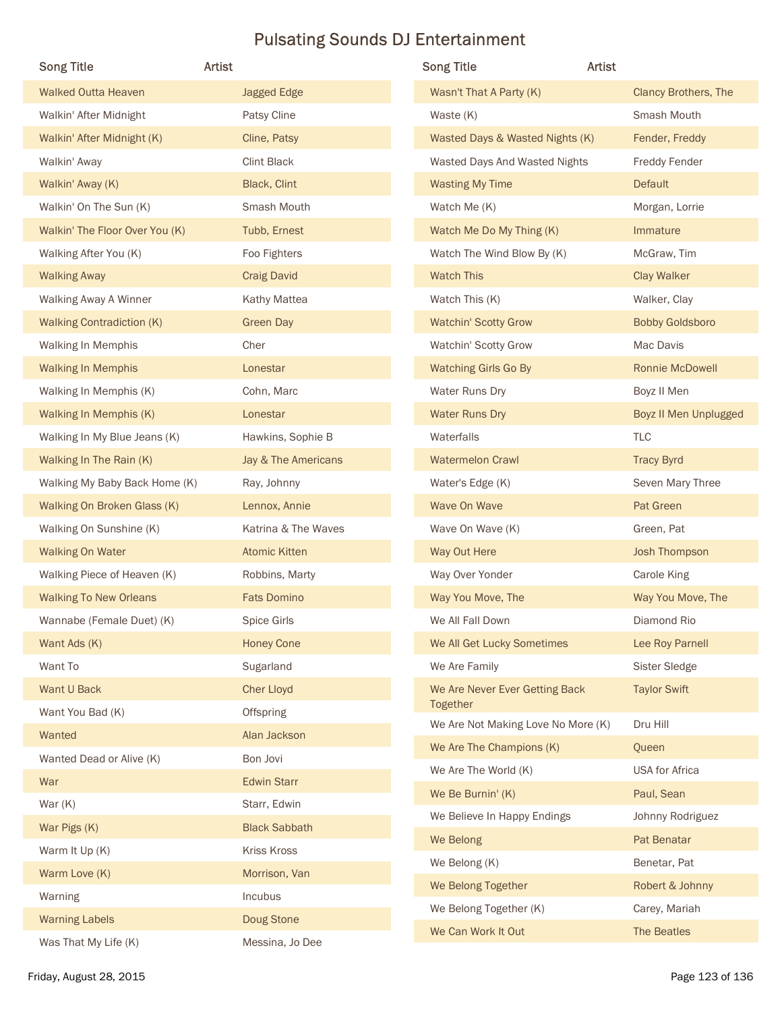|                                  | Artist               | <b>Song Title</b><br>Artist        |                        |
|----------------------------------|----------------------|------------------------------------|------------------------|
| <b>Walked Outta Heaven</b>       | <b>Jagged Edge</b>   | Wasn't That A Party (K)            | Clancy Brothers, The   |
| Walkin' After Midnight           | Patsy Cline          | Waste (K)                          | Smash Mouth            |
| Walkin' After Midnight (K)       | Cline, Patsy         | Wasted Days & Wasted Nights (K)    | Fender, Freddy         |
| Walkin' Away                     | Clint Black          | Wasted Days And Wasted Nights      | Freddy Fender          |
| Walkin' Away (K)                 | Black, Clint         | <b>Wasting My Time</b>             | Default                |
| Walkin' On The Sun (K)           | Smash Mouth          | Watch Me (K)                       | Morgan, Lorrie         |
| Walkin' The Floor Over You (K)   | Tubb, Ernest         | Watch Me Do My Thing (K)           | Immature               |
| Walking After You (K)            | Foo Fighters         | Watch The Wind Blow By (K)         | McGraw, Tim            |
| <b>Walking Away</b>              | <b>Craig David</b>   | <b>Watch This</b>                  | Clay Walker            |
| Walking Away A Winner            | Kathy Mattea         | Watch This (K)                     | Walker, Clay           |
| <b>Walking Contradiction (K)</b> | <b>Green Day</b>     | <b>Watchin' Scotty Grow</b>        | <b>Bobby Goldsboro</b> |
| Walking In Memphis               | Cher                 | Watchin' Scotty Grow               | Mac Davis              |
| <b>Walking In Memphis</b>        | Lonestar             | Watching Girls Go By               | Ronnie McDowell        |
| Walking In Memphis (K)           | Cohn, Marc           | Water Runs Dry                     | Boyz II Men            |
| Walking In Memphis (K)           | Lonestar             | Water Runs Dry                     | Boyz II Men Unplugged  |
| Walking In My Blue Jeans (K)     | Hawkins, Sophie B    | Waterfalls                         | <b>TLC</b>             |
| Walking In The Rain (K)          | Jay & The Americans  | <b>Watermelon Crawl</b>            | <b>Tracy Byrd</b>      |
| Walking My Baby Back Home (K)    | Ray, Johnny          | Water's Edge (K)                   | Seven Mary Three       |
| Walking On Broken Glass (K)      | Lennox, Annie        | Wave On Wave                       | Pat Green              |
| Walking On Sunshine (K)          | Katrina & The Waves  | Wave On Wave (K)                   | Green, Pat             |
| <b>Walking On Water</b>          | <b>Atomic Kitten</b> | Way Out Here                       | Josh Thompson          |
| Walking Piece of Heaven (K)      | Robbins, Marty       | Way Over Yonder                    | Carole King            |
| <b>Walking To New Orleans</b>    | <b>Fats Domino</b>   | Way You Move, The                  | Way You Move, The      |
| Wannabe (Female Duet) (K)        | <b>Spice Girls</b>   | We All Fall Down                   | Diamond Rio            |
| Want Ads (K)                     | <b>Honey Cone</b>    | We All Get Lucky Sometimes         | Lee Roy Parnell        |
| Want To                          | Sugarland            | We Are Family                      | Sister Sledge          |
| Want U Back                      | <b>Cher Lloyd</b>    | We Are Never Ever Getting Back     | <b>Taylor Swift</b>    |
| Want You Bad (K)                 | Offspring            | Together                           |                        |
| Wanted                           | Alan Jackson         | We Are Not Making Love No More (K) | Dru Hill               |
| Wanted Dead or Alive (K)         | Bon Jovi             | We Are The Champions (K)           | Queen                  |
| War                              | <b>Edwin Starr</b>   | We Are The World (K)               | USA for Africa         |
| War (K)                          | Starr, Edwin         | We Be Burnin' (K)                  | Paul, Sean             |
| War Pigs (K)                     | <b>Black Sabbath</b> | We Believe In Happy Endings        | Johnny Rodriguez       |
| Warm It Up (K)                   | Kriss Kross          | We Belong                          | Pat Benatar            |
| Warm Love (K)                    | Morrison, Van        | We Belong (K)                      | Benetar, Pat           |
| Warning                          | Incubus              | We Belong Together                 | Robert & Johnny        |
|                                  | Doug Stone           | We Belong Together (K)             | Carey, Mariah          |
| <b>Warning Labels</b>            |                      | We Can Work It Out                 | The Beatles            |

| <b>Intertainment</b>                              |                              |
|---------------------------------------------------|------------------------------|
|                                                   |                              |
|                                                   |                              |
| <b>Song Title</b>                                 | Artist                       |
| Wasn't That A Party (K)                           | Clancy Brothers, The         |
| Waste (K)                                         | Smash Mouth                  |
| Wasted Days & Wasted Nights (K)                   | Fender, Freddy               |
| Wasted Days And Wasted Nights                     | Freddy Fender                |
| <b>Wasting My Time</b>                            | <b>Default</b>               |
| Watch Me (K)                                      | Morgan, Lorrie               |
| Watch Me Do My Thing (K)                          | Immature                     |
| Watch The Wind Blow By (K)                        | McGraw, Tim                  |
| <b>Watch This</b>                                 | Clay Walker                  |
| Watch This (K)                                    | Walker, Clay                 |
| <b>Watchin' Scotty Grow</b>                       | <b>Bobby Goldsboro</b>       |
| Watchin' Scotty Grow                              | Mac Davis                    |
| Watching Girls Go By                              | Ronnie McDowell              |
| Water Runs Dry                                    | Boyz II Men                  |
| <b>Water Runs Dry</b><br>Waterfalls               | Boyz II Men Unplugged<br>TLC |
| <b>Watermelon Crawl</b>                           | <b>Tracy Byrd</b>            |
| Water's Edge (K)                                  | Seven Mary Three             |
| Wave On Wave                                      | Pat Green                    |
| Wave On Wave (K)                                  | Green, Pat                   |
| Way Out Here                                      | Josh Thompson                |
| Way Over Yonder                                   | Carole King                  |
| Way You Move, The                                 | Way You Move, The            |
| We All Fall Down                                  | Diamond Rio                  |
| We All Get Lucky Sometimes                        | Lee Roy Parnell              |
| We Are Family                                     | Sister Sledge                |
| We Are Never Ever Getting Back<br><b>Together</b> | <b>Taylor Swift</b>          |
| We Are Not Making Love No More (K)                | Dru Hill                     |
| We Are The Champions (K)                          | Queen                        |
| We Are The World (K)                              | USA for Africa               |
| We Be Burnin' (K)                                 | Paul, Sean                   |
| We Believe In Happy Endings                       | Johnny Rodriguez             |
| We Belong                                         | Pat Benatar                  |
| We Belong (K)                                     | Benetar, Pat                 |
| We Belong Together                                | Robert & Johnny              |
| We Belong Together (K)                            | Carey, Mariah                |
| We Can Work It Out                                | The Beatles                  |
|                                                   | Page 123 of 136              |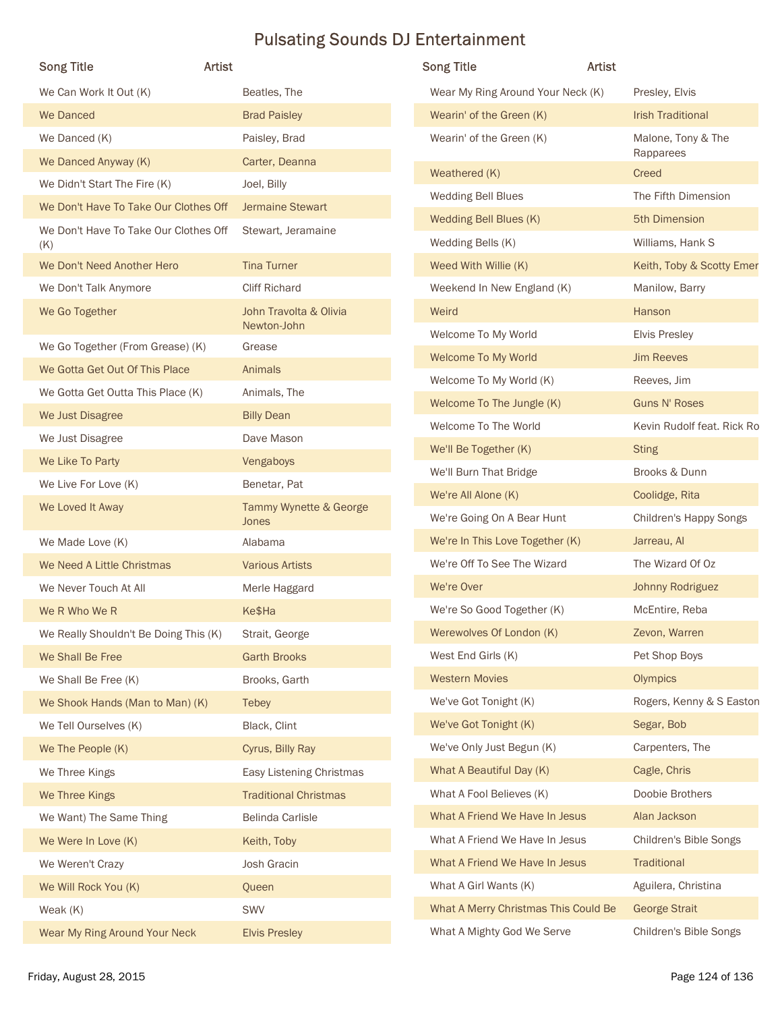| <b>Song Title</b><br>Artist               | <b>Pulsating Sounds DJ Entertainment</b>                 | <b>Song Title</b><br>Artist                          |                                                |
|-------------------------------------------|----------------------------------------------------------|------------------------------------------------------|------------------------------------------------|
|                                           |                                                          |                                                      |                                                |
| We Can Work It Out (K)                    | Beatles, The                                             | Wear My Ring Around Your Neck (K)                    | Presley, Elvis                                 |
| We Danced<br>We Danced (K)                | <b>Brad Paisley</b><br>Paisley, Brad                     | Wearin' of the Green (K)<br>Wearin' of the Green (K) | <b>Irish Traditional</b><br>Malone, Tony & The |
| We Danced Anyway (K)                      | Carter, Deanna                                           |                                                      | Rapparees                                      |
| We Didn't Start The Fire (K)              | Joel, Billy                                              | Weathered (K)                                        | Creed                                          |
| We Don't Have To Take Our Clothes Off     | Jermaine Stewart                                         | Wedding Bell Blues                                   | The Fifth Dimension                            |
| We Don't Have To Take Our Clothes Off     | Stewart, Jeramaine                                       | <b>Wedding Bell Blues (K)</b>                        | 5th Dimension                                  |
| (K)                                       |                                                          | Wedding Bells (K)                                    | Williams, Hank S                               |
| We Don't Need Another Hero                | <b>Tina Turner</b>                                       | Weed With Willie (K)                                 | Keith, Toby & Scotty Emer                      |
| We Don't Talk Anymore                     | Cliff Richard                                            | Weekend In New England (K)                           | Manilow, Barry                                 |
| We Go Together                            | John Travolta & Olivia<br>Newton-John                    | Weird                                                | Hanson                                         |
| We Go Together (From Grease) (K)          | Grease                                                   | Welcome To My World                                  | <b>Elvis Presley</b>                           |
| We Gotta Get Out Of This Place            | Animals                                                  | Welcome To My World                                  | <b>Jim Reeves</b>                              |
| We Gotta Get Outta This Place (K)         | Animals, The                                             | Welcome To My World (K)                              | Reeves, Jim                                    |
| We Just Disagree                          | <b>Billy Dean</b>                                        | Welcome To The Jungle (K)                            | <b>Guns N' Roses</b>                           |
| We Just Disagree                          | Dave Mason                                               | Welcome To The World                                 | Kevin Rudolf feat. Rick Ro                     |
| We Like To Party                          | Vengaboys                                                | We'll Be Together (K)                                | <b>Sting</b>                                   |
| We Live For Love (K)                      | Benetar, Pat                                             | We'll Burn That Bridge                               | Brooks & Dunn                                  |
| We Loved It Away                          | Tammy Wynette & George                                   | We're All Alone (K)                                  | Coolidge, Rita                                 |
|                                           | Jones                                                    | We're Going On A Bear Hunt                           | Children's Happy Songs                         |
| We Made Love (K)                          | Alabama                                                  | We're In This Love Together (K)                      | Jarreau, Al                                    |
| We Need A Little Christmas                | <b>Various Artists</b>                                   | We're Off To See The Wizard                          | The Wizard Of Oz                               |
| We Never Touch At All                     | Merle Haggard                                            | We're Over                                           | Johnny Rodriguez                               |
| We R Who We R                             | Ke\$Ha                                                   | We're So Good Together (K)                           | McEntire, Reba                                 |
| We Really Shouldn't Be Doing This (K)     | Strait, George                                           | Werewolves Of London (K)                             | Zevon, Warren                                  |
| We Shall Be Free                          | <b>Garth Brooks</b>                                      | West End Girls (K)                                   | Pet Shop Boys                                  |
| We Shall Be Free (K)                      | Brooks, Garth                                            | <b>Western Movies</b><br>We've Got Tonight (K)       | <b>Olympics</b><br>Rogers, Kenny & S Easton    |
| We Shook Hands (Man to Man) (K)           | <b>Tebey</b>                                             | We've Got Tonight (K)                                | Segar, Bob                                     |
| We Tell Ourselves (K)                     | Black, Clint                                             | We've Only Just Begun (K)                            | Carpenters, The                                |
| We The People (K)                         | Cyrus, Billy Ray                                         | What A Beautiful Day (K)                             | Cagle, Chris                                   |
| We Three Kings                            | Easy Listening Christmas<br><b>Traditional Christmas</b> | What A Fool Believes (K)                             | Doobie Brothers                                |
| We Three Kings<br>We Want) The Same Thing | Belinda Carlisle                                         | What A Friend We Have In Jesus                       | Alan Jackson                                   |
| We Were In Love (K)                       | Keith, Toby                                              | What A Friend We Have In Jesus                       | Children's Bible Songs                         |
| We Weren't Crazy                          | Josh Gracin                                              | What A Friend We Have In Jesus                       | Traditional                                    |
| We Will Rock You (K)                      | Queen                                                    | What A Girl Wants (K)                                | Aguilera, Christina                            |
| Weak (K)                                  | SWV                                                      | What A Merry Christmas This Could Be                 | <b>George Strait</b>                           |
| Wear My Ring Around Your Neck             | <b>Elvis Presley</b>                                     | What A Mighty God We Serve                           | Children's Bible Songs                         |
|                                           |                                                          |                                                      |                                                |
| Friday, August 28, 2015                   |                                                          |                                                      | Page 124 of 136                                |

| <b>Intertainment</b>                 |                            |
|--------------------------------------|----------------------------|
| <b>Song Title</b><br>Artist          |                            |
| Wear My Ring Around Your Neck (K)    | Presley, Elvis             |
| Wearin' of the Green (K)             | <b>Irish Traditional</b>   |
| Wearin' of the Green (K)             | Malone, Tony & The         |
|                                      | Rapparees                  |
| Weathered (K)                        | <b>Creed</b>               |
| Wedding Bell Blues                   | The Fifth Dimension        |
| Wedding Bell Blues (K)               | 5th Dimension              |
| Wedding Bells (K)                    | Williams, Hank S           |
| Weed With Willie (K)                 | Keith, Toby & Scotty Emer  |
| Weekend In New England (K)           | Manilow, Barry             |
| Weird                                | Hanson                     |
| Welcome To My World                  | <b>Elvis Presley</b>       |
| Welcome To My World                  | <b>Jim Reeves</b>          |
| Welcome To My World (K)              | Reeves, Jim                |
| Welcome To The Jungle (K)            | <b>Guns N' Roses</b>       |
| Welcome To The World                 | Kevin Rudolf feat. Rick Ro |
| We'll Be Together (K)                | <b>Sting</b>               |
| We'll Burn That Bridge               | Brooks & Dunn              |
| We're All Alone (K)                  | Coolidge, Rita             |
| We're Going On A Bear Hunt           | Children's Happy Songs     |
| We're In This Love Together (K)      | Jarreau, Al                |
| We're Off To See The Wizard          | The Wizard Of Oz           |
| We're Over                           | Johnny Rodriguez           |
| We're So Good Together (K)           | McEntire, Reba             |
| Werewolves Of London (K)             | Zevon, Warren              |
| West End Girls (K)                   | Pet Shop Boys              |
| <b>Western Movies</b>                | <b>Olympics</b>            |
| We've Got Tonight (K)                | Rogers, Kenny & S Easton   |
| We've Got Tonight (K)                | Segar, Bob                 |
| We've Only Just Begun (K)            | Carpenters, The            |
| What A Beautiful Day (K)             | Cagle, Chris               |
| What A Fool Believes (K)             | Doobie Brothers            |
| What A Friend We Have In Jesus       | Alan Jackson               |
| What A Friend We Have In Jesus       | Children's Bible Songs     |
| What A Friend We Have In Jesus       | Traditional                |
| What A Girl Wants (K)                | Aguilera, Christina        |
| What A Merry Christmas This Could Be | <b>George Strait</b>       |
| What A Mighty God We Serve           | Children's Bible Songs     |
|                                      |                            |
|                                      | Page 124 of 136            |
|                                      |                            |
|                                      |                            |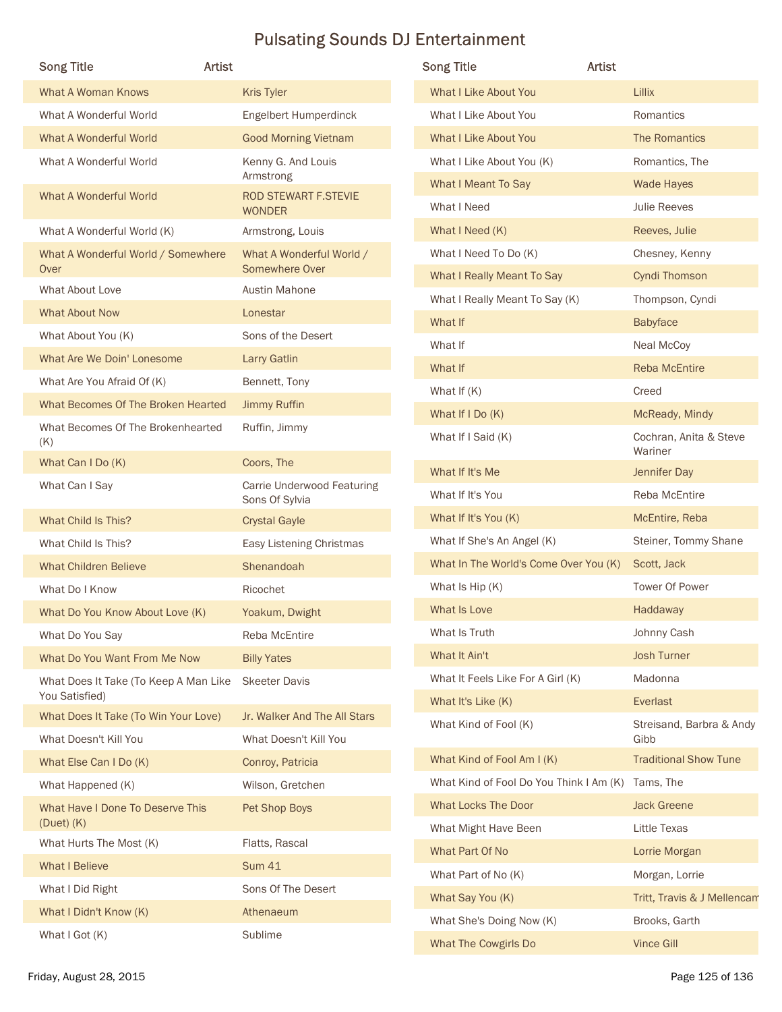| <b>Song Title</b><br>Artist<br><b>What A Woman Knows</b><br>What A Wonderful World<br>What A Wonderful World<br>What A Wonderful World<br>What A Wonderful World | <b>Kris Tyler</b><br>Engelbert Humperdinck<br><b>Good Morning Vietnam</b> | <b>Song Title</b><br>Artist<br>What I Like About You | Lillix                            |
|------------------------------------------------------------------------------------------------------------------------------------------------------------------|---------------------------------------------------------------------------|------------------------------------------------------|-----------------------------------|
|                                                                                                                                                                  |                                                                           |                                                      |                                   |
|                                                                                                                                                                  |                                                                           | What I Like About You                                | Romantics                         |
|                                                                                                                                                                  |                                                                           | What I Like About You                                | The Romantics                     |
|                                                                                                                                                                  | Kenny G. And Louis                                                        | What I Like About You (K)                            | Romantics, The                    |
|                                                                                                                                                                  | Armstrong                                                                 | What I Meant To Say                                  | <b>Wade Hayes</b>                 |
|                                                                                                                                                                  | <b>ROD STEWART F.STEVIE</b><br><b>WONDER</b>                              | What I Need                                          | Julie Reeves                      |
| What A Wonderful World (K)                                                                                                                                       | Armstrong, Louis                                                          | What I Need (K)                                      | Reeves, Julie                     |
| What A Wonderful World / Somewhere                                                                                                                               | What A Wonderful World /                                                  | What I Need To Do (K)                                | Chesney, Kenny                    |
| Over                                                                                                                                                             | Somewhere Over                                                            | What I Really Meant To Say                           | Cyndi Thomson                     |
| <b>What About Love</b>                                                                                                                                           | Austin Mahone                                                             | What I Really Meant To Say (K)                       | Thompson, Cyndi                   |
| <b>What About Now</b>                                                                                                                                            | Lonestar                                                                  | What If                                              | Babyface                          |
| What About You (K)                                                                                                                                               | Sons of the Desert                                                        | What If                                              | Neal McCoy                        |
| What Are We Doin' Lonesome                                                                                                                                       | <b>Larry Gatlin</b>                                                       | What If                                              | <b>Reba McEntire</b>              |
| What Are You Afraid Of (K)<br>What Becomes Of The Broken Hearted                                                                                                 | Bennett, Tony<br><b>Jimmy Ruffin</b>                                      | What If $(K)$                                        | Creed                             |
| What Becomes Of The Brokenhearted                                                                                                                                | Ruffin, Jimmy                                                             | What If I Do (K)                                     | McReady, Mindy                    |
| (K)                                                                                                                                                              |                                                                           | What If I Said (K)                                   | Cochran, Anita & Steve<br>Wariner |
| What Can I Do (K)                                                                                                                                                | Coors, The                                                                | What If It's Me                                      | Jennifer Day                      |
| What Can I Say                                                                                                                                                   | Carrie Underwood Featuring<br>Sons Of Sylvia                              | What If It's You                                     | Reba McEntire                     |
| What Child Is This?                                                                                                                                              | <b>Crystal Gayle</b>                                                      | What If It's You (K)                                 | McEntire, Reba                    |
| What Child Is This?                                                                                                                                              | Easy Listening Christmas                                                  | What If She's An Angel (K)                           | Steiner, Tommy Shane              |
| <b>What Children Believe</b>                                                                                                                                     | Shenandoah                                                                | What In The World's Come Over You (K)                | Scott, Jack                       |
| What Do I Know                                                                                                                                                   | Ricochet                                                                  | What Is Hip (K)                                      | Tower Of Power                    |
| What Do You Know About Love (K)                                                                                                                                  | Yoakum, Dwight                                                            | What Is Love                                         | Haddaway                          |
| What Do You Say                                                                                                                                                  | Reba McEntire                                                             | What Is Truth                                        | Johnny Cash                       |
| What Do You Want From Me Now                                                                                                                                     | <b>Billy Yates</b>                                                        | What It Ain't                                        | <b>Josh Turner</b>                |
| What Does It Take (To Keep A Man Like                                                                                                                            | <b>Skeeter Davis</b>                                                      | What It Feels Like For A Girl (K)                    | Madonna                           |
| You Satisfied)<br>What Does It Take (To Win Your Love)                                                                                                           | Jr. Walker And The All Stars                                              | What It's Like (K)                                   | Everlast                          |
| What Doesn't Kill You                                                                                                                                            | What Doesn't Kill You                                                     | What Kind of Fool (K)                                | Streisand, Barbra & Andy<br>Gibb  |
| What Else Can I Do (K)                                                                                                                                           | Conroy, Patricia                                                          | What Kind of Fool Am I (K)                           | <b>Traditional Show Tune</b>      |
| What Happened (K)                                                                                                                                                | Wilson, Gretchen                                                          | What Kind of Fool Do You Think I Am (K)              | Tams, The                         |
| What Have I Done To Deserve This                                                                                                                                 | Pet Shop Boys                                                             | What Locks The Door                                  | <b>Jack Greene</b>                |
| $(Duet)$ $(K)$                                                                                                                                                   |                                                                           | What Might Have Been                                 | <b>Little Texas</b>               |
| What Hurts The Most (K)                                                                                                                                          | Flatts, Rascal                                                            | What Part Of No                                      | Lorrie Morgan                     |
| <b>What I Believe</b>                                                                                                                                            | <b>Sum 41</b>                                                             | What Part of No (K)                                  | Morgan, Lorrie                    |
| What I Did Right                                                                                                                                                 | Sons Of The Desert                                                        | What Say You (K)                                     | Tritt, Travis & J Mellencam       |
| What I Didn't Know (K)                                                                                                                                           | Athenaeum                                                                 | What She's Doing Now (K)                             | Brooks, Garth                     |
| What I Got (K)                                                                                                                                                   | Sublime                                                                   | <b>What The Cowgirls Do</b>                          | <b>Vince Gill</b>                 |
| riday, August 28, 2015                                                                                                                                           |                                                                           |                                                      | Page 125 of 136                   |

| <b>Song Title</b><br>Artist                                           |                                          |                                         |                                          |
|-----------------------------------------------------------------------|------------------------------------------|-----------------------------------------|------------------------------------------|
|                                                                       |                                          | <b>Song Title</b><br>Artist             |                                          |
| What A Woman Knows                                                    | Kris Tyler                               | What I Like About You                   | Lillix                                   |
| What A Wonderful World                                                | Engelbert Humperdinck                    | What I Like About You                   | Romantics                                |
| What A Wonderful World                                                | <b>Good Morning Vietnam</b>              | What I Like About You                   | The Romantics                            |
| What A Wonderful World                                                | Kenny G. And Louis                       | What I Like About You (K)               | Romantics, The                           |
| What A Wonderful World                                                | Armstrong<br><b>ROD STEWART F.STEVIE</b> | What I Meant To Say                     | <b>Wade Hayes</b>                        |
|                                                                       | <b>WONDER</b>                            | What I Need                             | Julie Reeves                             |
| What A Wonderful World (K)                                            | Armstrong, Louis                         | What I Need (K)                         | Reeves, Julie                            |
| What A Wonderful World / Somewhere                                    | What A Wonderful World /                 | What I Need To Do (K)                   | Chesney, Kenny                           |
| Over<br>What About Love                                               | Somewhere Over<br>Austin Mahone          | What I Really Meant To Say              | Cyndi Thomson                            |
| <b>What About Now</b>                                                 | Lonestar                                 | What I Really Meant To Say (K)          | Thompson, Cyndi                          |
| What About You (K)                                                    | Sons of the Desert                       | What If                                 | <b>Babyface</b>                          |
| What Are We Doin' Lonesome                                            | Larry Gatlin                             | What If                                 | Neal McCoy                               |
| What Are You Afraid Of (K)                                            | Bennett, Tony                            | What If                                 | <b>Reba McEntire</b>                     |
| What Becomes Of The Broken Hearted                                    | Jimmy Ruffin                             | What If $(K)$                           | Creed                                    |
| What Becomes Of The Brokenhearted<br>(K)                              | Ruffin, Jimmy                            | What If I Do (K)<br>What If I Said (K)  | McReady, Mindy<br>Cochran, Anita & Steve |
| What Can I Do (K)                                                     | Coors, The                               |                                         | Wariner                                  |
| What Can I Say                                                        | Carrie Underwood Featuring               | What If It's Me                         | Jennifer Day                             |
|                                                                       | Sons Of Sylvia                           | What If It's You                        | Reba McEntire                            |
| What Child Is This?                                                   | <b>Crystal Gayle</b>                     | What If It's You (K)                    | McEntire, Reba                           |
| What Child Is This?                                                   | Easy Listening Christmas                 | What If She's An Angel (K)              | Steiner, Tommy Shane                     |
| <b>What Children Believe</b>                                          | Shenandoah                               | What In The World's Come Over You (K)   | Scott, Jack                              |
| What Do I Know                                                        | Ricochet                                 | What Is Hip (K)                         | Tower Of Power                           |
| What Do You Know About Love (K)                                       | Yoakum, Dwight                           | What Is Love                            | Haddaway                                 |
| What Do You Say                                                       | Reba McEntire                            | What Is Truth                           | Johnny Cash                              |
| What Do You Want From Me Now                                          | <b>Billy Yates</b>                       | What It Ain't                           | <b>Josh Turner</b>                       |
| What Does It Take (To Keep A Man Like Skeeter Davis<br>You Satisfied) |                                          | What It Feels Like For A Girl (K)       | Madonna                                  |
| What Does It Take (To Win Your Love)                                  | Jr. Walker And The All Stars             | What It's Like (K)                      | Everlast                                 |
| What Doesn't Kill You                                                 | What Doesn't Kill You                    | What Kind of Fool (K)                   | Streisand, Barbra & Andy<br>Gibb         |
| What Else Can I Do (K)                                                | Conroy, Patricia                         | What Kind of Fool Am I (K)              | <b>Traditional Show Tune</b>             |
| What Happened (K)                                                     | Wilson, Gretchen                         | What Kind of Fool Do You Think I Am (K) | Tams, The                                |
| What Have I Done To Deserve This                                      | Pet Shop Boys                            | What Locks The Door                     | <b>Jack Greene</b>                       |
| $(Duet)$ $(K)$<br>What Hurts The Most (K)                             | Flatts, Rascal                           | What Might Have Been                    | Little Texas                             |
| <b>What I Believe</b>                                                 | <b>Sum 41</b>                            | What Part Of No                         | Lorrie Morgan                            |
| What I Did Right                                                      | Sons Of The Desert                       | What Part of No (K)                     | Morgan, Lorrie                           |
| What I Didn't Know (K)                                                | Athenaeum                                | What Say You (K)                        | Tritt, Travis & J Mellencam              |
|                                                                       |                                          | What She's Doing Now (K)                | Brooks, Garth                            |
| What I Got (K)                                                        | Sublime                                  | What The Cowgirls Do                    | <b>Vince Gill</b>                        |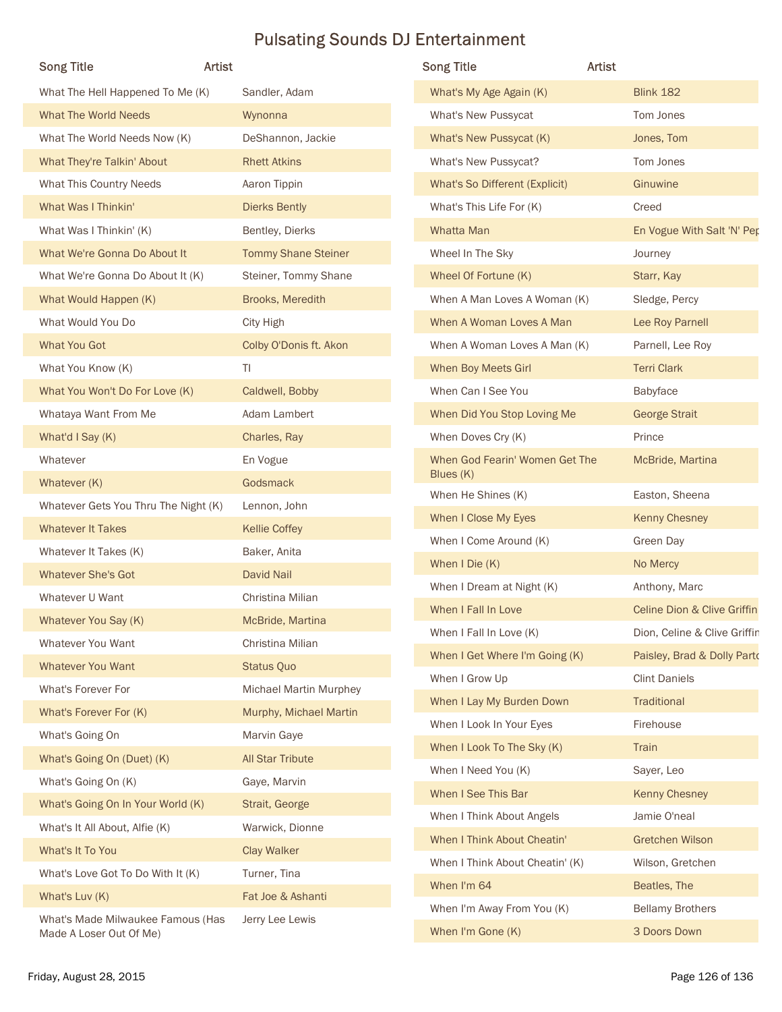| Artist              |                                                                                                                                                                                                                                                                                                                                                                                                                                                                                                                                                                                                                                                            |                                                                                                                                                                                                                                                                                                                                                                                                                                                                                                                                      |
|---------------------|------------------------------------------------------------------------------------------------------------------------------------------------------------------------------------------------------------------------------------------------------------------------------------------------------------------------------------------------------------------------------------------------------------------------------------------------------------------------------------------------------------------------------------------------------------------------------------------------------------------------------------------------------------|--------------------------------------------------------------------------------------------------------------------------------------------------------------------------------------------------------------------------------------------------------------------------------------------------------------------------------------------------------------------------------------------------------------------------------------------------------------------------------------------------------------------------------------|
|                     |                                                                                                                                                                                                                                                                                                                                                                                                                                                                                                                                                                                                                                                            | <b>Blink 182</b>                                                                                                                                                                                                                                                                                                                                                                                                                                                                                                                     |
|                     |                                                                                                                                                                                                                                                                                                                                                                                                                                                                                                                                                                                                                                                            | Tom Jones                                                                                                                                                                                                                                                                                                                                                                                                                                                                                                                            |
|                     |                                                                                                                                                                                                                                                                                                                                                                                                                                                                                                                                                                                                                                                            | Jones, Tom                                                                                                                                                                                                                                                                                                                                                                                                                                                                                                                           |
| <b>Rhett Atkins</b> |                                                                                                                                                                                                                                                                                                                                                                                                                                                                                                                                                                                                                                                            | Tom Jones                                                                                                                                                                                                                                                                                                                                                                                                                                                                                                                            |
|                     |                                                                                                                                                                                                                                                                                                                                                                                                                                                                                                                                                                                                                                                            | Ginuwine                                                                                                                                                                                                                                                                                                                                                                                                                                                                                                                             |
|                     |                                                                                                                                                                                                                                                                                                                                                                                                                                                                                                                                                                                                                                                            | Creed                                                                                                                                                                                                                                                                                                                                                                                                                                                                                                                                |
|                     |                                                                                                                                                                                                                                                                                                                                                                                                                                                                                                                                                                                                                                                            | En Vogue With Salt 'N' Per                                                                                                                                                                                                                                                                                                                                                                                                                                                                                                           |
|                     |                                                                                                                                                                                                                                                                                                                                                                                                                                                                                                                                                                                                                                                            | Journey                                                                                                                                                                                                                                                                                                                                                                                                                                                                                                                              |
|                     |                                                                                                                                                                                                                                                                                                                                                                                                                                                                                                                                                                                                                                                            | Starr, Kay                                                                                                                                                                                                                                                                                                                                                                                                                                                                                                                           |
|                     |                                                                                                                                                                                                                                                                                                                                                                                                                                                                                                                                                                                                                                                            | Sledge, Percy                                                                                                                                                                                                                                                                                                                                                                                                                                                                                                                        |
|                     |                                                                                                                                                                                                                                                                                                                                                                                                                                                                                                                                                                                                                                                            | Lee Roy Parnell                                                                                                                                                                                                                                                                                                                                                                                                                                                                                                                      |
|                     |                                                                                                                                                                                                                                                                                                                                                                                                                                                                                                                                                                                                                                                            | Parnell, Lee Roy                                                                                                                                                                                                                                                                                                                                                                                                                                                                                                                     |
|                     |                                                                                                                                                                                                                                                                                                                                                                                                                                                                                                                                                                                                                                                            | <b>Terri Clark</b>                                                                                                                                                                                                                                                                                                                                                                                                                                                                                                                   |
|                     |                                                                                                                                                                                                                                                                                                                                                                                                                                                                                                                                                                                                                                                            | Babyface                                                                                                                                                                                                                                                                                                                                                                                                                                                                                                                             |
|                     |                                                                                                                                                                                                                                                                                                                                                                                                                                                                                                                                                                                                                                                            | <b>George Strait</b>                                                                                                                                                                                                                                                                                                                                                                                                                                                                                                                 |
|                     |                                                                                                                                                                                                                                                                                                                                                                                                                                                                                                                                                                                                                                                            | Prince                                                                                                                                                                                                                                                                                                                                                                                                                                                                                                                               |
|                     |                                                                                                                                                                                                                                                                                                                                                                                                                                                                                                                                                                                                                                                            | McBride, Martina                                                                                                                                                                                                                                                                                                                                                                                                                                                                                                                     |
|                     | Blues (K)                                                                                                                                                                                                                                                                                                                                                                                                                                                                                                                                                                                                                                                  |                                                                                                                                                                                                                                                                                                                                                                                                                                                                                                                                      |
|                     | When He Shines (K)                                                                                                                                                                                                                                                                                                                                                                                                                                                                                                                                                                                                                                         | Easton, Sheena                                                                                                                                                                                                                                                                                                                                                                                                                                                                                                                       |
|                     | When I Close My Eyes                                                                                                                                                                                                                                                                                                                                                                                                                                                                                                                                                                                                                                       | <b>Kenny Chesney</b>                                                                                                                                                                                                                                                                                                                                                                                                                                                                                                                 |
|                     | When I Come Around (K)                                                                                                                                                                                                                                                                                                                                                                                                                                                                                                                                                                                                                                     | Green Day                                                                                                                                                                                                                                                                                                                                                                                                                                                                                                                            |
|                     | When I Die (K)                                                                                                                                                                                                                                                                                                                                                                                                                                                                                                                                                                                                                                             | No Mercy                                                                                                                                                                                                                                                                                                                                                                                                                                                                                                                             |
|                     | When I Dream at Night (K)                                                                                                                                                                                                                                                                                                                                                                                                                                                                                                                                                                                                                                  | Anthony, Marc                                                                                                                                                                                                                                                                                                                                                                                                                                                                                                                        |
|                     | When I Fall In Love                                                                                                                                                                                                                                                                                                                                                                                                                                                                                                                                                                                                                                        | Celine Dion & Clive Griffin                                                                                                                                                                                                                                                                                                                                                                                                                                                                                                          |
|                     | When I Fall In Love (K)                                                                                                                                                                                                                                                                                                                                                                                                                                                                                                                                                                                                                                    | Dion, Celine & Clive Griffin                                                                                                                                                                                                                                                                                                                                                                                                                                                                                                         |
|                     | When I Get Where I'm Going (K)                                                                                                                                                                                                                                                                                                                                                                                                                                                                                                                                                                                                                             | Paisley, Brad & Dolly Parto                                                                                                                                                                                                                                                                                                                                                                                                                                                                                                          |
|                     | When I Grow Up                                                                                                                                                                                                                                                                                                                                                                                                                                                                                                                                                                                                                                             | <b>Clint Daniels</b>                                                                                                                                                                                                                                                                                                                                                                                                                                                                                                                 |
|                     | When I Lay My Burden Down                                                                                                                                                                                                                                                                                                                                                                                                                                                                                                                                                                                                                                  | Traditional                                                                                                                                                                                                                                                                                                                                                                                                                                                                                                                          |
|                     | When I Look In Your Eyes                                                                                                                                                                                                                                                                                                                                                                                                                                                                                                                                                                                                                                   | Firehouse                                                                                                                                                                                                                                                                                                                                                                                                                                                                                                                            |
|                     | When I Look To The Sky (K)                                                                                                                                                                                                                                                                                                                                                                                                                                                                                                                                                                                                                                 | Train                                                                                                                                                                                                                                                                                                                                                                                                                                                                                                                                |
|                     | When I Need You (K)                                                                                                                                                                                                                                                                                                                                                                                                                                                                                                                                                                                                                                        | Sayer, Leo                                                                                                                                                                                                                                                                                                                                                                                                                                                                                                                           |
|                     | When I See This Bar                                                                                                                                                                                                                                                                                                                                                                                                                                                                                                                                                                                                                                        | <b>Kenny Chesney</b>                                                                                                                                                                                                                                                                                                                                                                                                                                                                                                                 |
|                     | When I Think About Angels                                                                                                                                                                                                                                                                                                                                                                                                                                                                                                                                                                                                                                  | Jamie O'neal                                                                                                                                                                                                                                                                                                                                                                                                                                                                                                                         |
|                     | When I Think About Cheatin'                                                                                                                                                                                                                                                                                                                                                                                                                                                                                                                                                                                                                                | <b>Gretchen Wilson</b>                                                                                                                                                                                                                                                                                                                                                                                                                                                                                                               |
|                     | When I Think About Cheatin' (K)                                                                                                                                                                                                                                                                                                                                                                                                                                                                                                                                                                                                                            | Wilson, Gretchen                                                                                                                                                                                                                                                                                                                                                                                                                                                                                                                     |
|                     | When I'm 64                                                                                                                                                                                                                                                                                                                                                                                                                                                                                                                                                                                                                                                | Beatles, The                                                                                                                                                                                                                                                                                                                                                                                                                                                                                                                         |
| Fat Joe & Ashanti   | When I'm Away From You (K)                                                                                                                                                                                                                                                                                                                                                                                                                                                                                                                                                                                                                                 | <b>Bellamy Brothers</b>                                                                                                                                                                                                                                                                                                                                                                                                                                                                                                              |
| Jerry Lee Lewis     |                                                                                                                                                                                                                                                                                                                                                                                                                                                                                                                                                                                                                                                            |                                                                                                                                                                                                                                                                                                                                                                                                                                                                                                                                      |
|                     | Sandler, Adam<br>Wynonna<br>DeShannon, Jackie<br>Aaron Tippin<br><b>Dierks Bently</b><br>Bentley, Dierks<br><b>Tommy Shane Steiner</b><br>Steiner, Tommy Shane<br><b>Brooks, Meredith</b><br>City High<br>Colby O'Donis ft. Akon<br>TI<br>Caldwell, Bobby<br>Adam Lambert<br>Charles, Ray<br>En Vogue<br>Godsmack<br>Lennon, John<br><b>Kellie Coffey</b><br>Baker, Anita<br>David Nail<br>Christina Milian<br>McBride, Martina<br>Christina Milian<br>Status Quo<br><b>Michael Martin Murphey</b><br>Murphy, Michael Martin<br>Marvin Gaye<br>All Star Tribute<br>Gaye, Marvin<br>Strait, George<br>Warwick, Dionne<br><b>Clay Walker</b><br>Turner, Tina | <b>Pulsating Sounds DJ Entertainment</b><br><b>Song Title</b><br>Artist<br>What's My Age Again (K)<br>What's New Pussycat<br>What's New Pussycat (K)<br>What's New Pussycat?<br>What's So Different (Explicit)<br>What's This Life For (K)<br>Whatta Man<br>Wheel In The Sky<br>Wheel Of Fortune (K)<br>When A Man Loves A Woman (K)<br>When A Woman Loves A Man<br>When A Woman Loves A Man (K)<br>When Boy Meets Girl<br>When Can I See You<br>When Did You Stop Loving Me<br>When Doves Cry (K)<br>When God Fearin' Women Get The |

| What's Made Milwaukee Famous (Has | Jerry Le |
|-----------------------------------|----------|
| Made A Loser Out Of Me)           |          |

| <b>Song Title</b>                           | Artist                       |
|---------------------------------------------|------------------------------|
| What's My Age Again (K)                     | <b>Blink 182</b>             |
| What's New Pussycat                         | Tom Jones                    |
| What's New Pussycat (K)                     | Jones, Tom                   |
| What's New Pussycat?                        | Tom Jones                    |
| <b>What's So Different (Explicit)</b>       | Ginuwine                     |
| What's This Life For (K)                    | Creed                        |
| <b>Whatta Man</b>                           | En Vogue With Salt 'N' Per   |
| Wheel In The Sky                            | Journey                      |
| Wheel Of Fortune (K)                        | Starr, Kay                   |
| When A Man Loves A Woman (K)                | Sledge, Percy                |
| When A Woman Loves A Man                    | Lee Roy Parnell              |
| When A Woman Loves A Man (K)                | Parnell, Lee Roy             |
| When Boy Meets Girl                         | <b>Terri Clark</b>           |
| When Can I See You                          | Babyface                     |
| When Did You Stop Loving Me                 | <b>George Strait</b>         |
| When Doves Cry (K)                          | Prince                       |
| When God Fearin' Women Get The<br>Blues (K) | McBride, Martina             |
| When He Shines (K)                          | Easton, Sheena               |
| When I Close My Eyes                        | <b>Kenny Chesney</b>         |
| When I Come Around (K)                      | Green Day                    |
| When I Die (K)                              | No Mercy                     |
| When I Dream at Night (K)                   | Anthony, Marc                |
| When I Fall In Love                         | Celine Dion & Clive Griffin  |
| When I Fall In Love (K)                     | Dion, Celine & Clive Griffin |
| When I Get Where I'm Going (K)              | Paisley, Brad & Dolly Parto  |
| When I Grow Up                              | <b>Clint Daniels</b>         |
| When I Lay My Burden Down                   | Traditional                  |
| When I Look In Your Eyes                    | Firehouse                    |
| When I Look To The Sky (K)                  | Train                        |
| When I Need You (K)                         | Sayer, Leo                   |
| When I See This Bar                         | <b>Kenny Chesney</b>         |
| When I Think About Angels                   | Jamie O'neal                 |
| When I Think About Cheatin'                 | Gretchen Wilson              |
| When I Think About Cheatin' (K)             | Wilson, Gretchen             |
| When I'm 64                                 | Beatles, The                 |
| When I'm Away From You (K)                  | <b>Bellamy Brothers</b>      |
| When I'm Gone (K)                           | 3 Doors Down                 |
|                                             | Page 126 of 136              |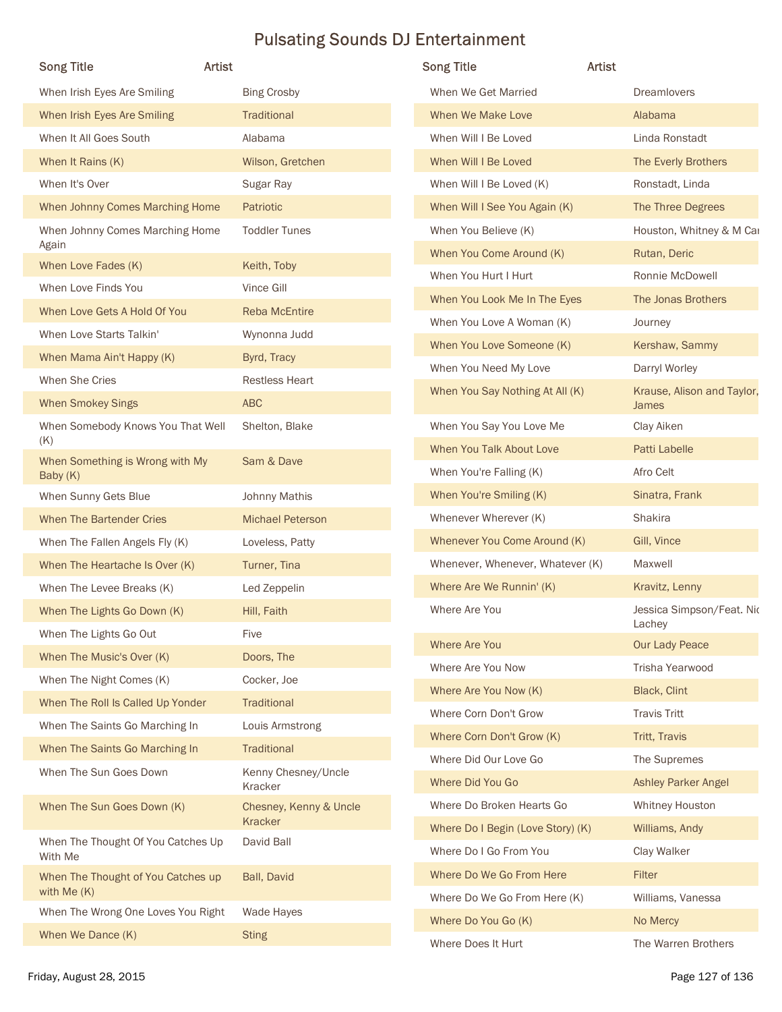| When Irish Eyes Are Smiling<br>When We Get Married<br><b>Bing Crosby</b><br><b>Dreamlovers</b><br>When We Make Love<br>When Irish Eyes Are Smiling<br>Traditional<br>Alabama<br>When It All Goes South<br>Alabama<br>When Will I Be Loved<br>Linda Ronstadt<br>Wilson, Gretchen<br>When Will I Be Loved<br>The Everly Brothers<br>When It Rains (K)<br>When It's Over<br>When Will I Be Loved (K)<br>Sugar Ray<br>Ronstadt, Linda<br>When Johnny Comes Marching Home<br>The Three Degrees<br>Patriotic<br>When Will I See You Again (K)<br>When Johnny Comes Marching Home<br><b>Toddler Tunes</b><br>When You Believe (K)<br>Houston, Whitney & M Car<br>Again<br>When You Come Around (K)<br>Rutan, Deric<br>Keith, Toby<br>When Love Fades (K)<br>When You Hurt I Hurt<br>Ronnie McDowell<br>When Love Finds You<br>Vince Gill<br>The Jonas Brothers<br>When You Look Me In The Eyes<br>When Love Gets A Hold Of You<br><b>Reba McEntire</b><br>When You Love A Woman (K)<br>Journey<br>When Love Starts Talkin'<br>Wynonna Judd<br>When You Love Someone (K)<br>Kershaw, Sammy<br>Byrd, Tracy<br>When Mama Ain't Happy (K)<br>When You Need My Love<br>Darryl Worley<br>When She Cries<br>Restless Heart<br>When You Say Nothing At All (K)<br>Krause, Alison and Taylor,<br><b>ABC</b><br><b>When Smokey Sings</b><br><b>James</b><br>When Somebody Knows You That Well<br>Shelton, Blake<br>When You Say You Love Me<br>Clay Aiken<br>(K)<br>When You Talk About Love<br>Patti Labelle<br>When Something is Wrong with My<br>Sam & Dave<br>When You're Falling (K)<br>Afro Celt<br>Baby (K)<br>When You're Smiling (K)<br>Sinatra, Frank<br>When Sunny Gets Blue<br>Johnny Mathis<br>Whenever Wherever (K)<br>Shakira<br>When The Bartender Cries<br><b>Michael Peterson</b><br>Whenever You Come Around (K)<br>Gill, Vince<br>Loveless, Patty<br>When The Fallen Angels Fly (K)<br>Whenever, Whenever, Whatever (K)<br>Maxwell<br>When The Heartache Is Over (K)<br>Turner, Tina<br>Where Are We Runnin' (K)<br>Kravitz, Lenny<br>When The Levee Breaks (K)<br>Led Zeppelin<br>Where Are You<br>Jessica Simpson/Feat. Nic<br>When The Lights Go Down (K)<br>Hill, Faith<br>Lachey<br>Five<br>When The Lights Go Out<br>Where Are You<br><b>Our Lady Peace</b><br>Doors, The<br>When The Music's Over (K)<br>Where Are You Now<br>Trisha Yearwood<br>When The Night Comes (K)<br>Cocker, Joe<br>Where Are You Now (K)<br>Black, Clint<br>Traditional<br>When The Roll Is Called Up Yonder<br>Where Corn Don't Grow<br><b>Travis Tritt</b><br>When The Saints Go Marching In<br>Louis Armstrong<br>Where Corn Don't Grow (K)<br>Tritt, Travis<br>When The Saints Go Marching In<br>Traditional<br>Where Did Our Love Go<br>The Supremes<br>When The Sun Goes Down<br>Kenny Chesney/Uncle<br>Where Did You Go<br><b>Ashley Parker Angel</b><br>Kracker<br>Where Do Broken Hearts Go<br>Whitney Houston<br>Chesney, Kenny & Uncle<br>When The Sun Goes Down (K)<br>Kracker<br>Where Do I Begin (Love Story) (K)<br>Williams, Andy<br>David Ball<br>When The Thought Of You Catches Up<br>Where Do I Go From You<br>Clay Walker<br>With Me<br>Where Do We Go From Here<br>Filter<br>Ball, David<br>When The Thought of You Catches up<br>with Me $(K)$<br>Where Do We Go From Here (K)<br>Williams, Vanessa<br>When The Wrong One Loves You Right<br>Wade Hayes<br>Where Do You Go (K)<br>No Mercy<br>When We Dance (K)<br><b>Sting</b><br>Where Does It Hurt<br>The Warren Brothers<br>riday, August 28, 2015<br>Page 127 of 136 | <b>Song Title</b><br>Artist | <b>Pulsating Sounds DJ Entertainment</b><br><b>Song Title</b> | Artist |
|-------------------------------------------------------------------------------------------------------------------------------------------------------------------------------------------------------------------------------------------------------------------------------------------------------------------------------------------------------------------------------------------------------------------------------------------------------------------------------------------------------------------------------------------------------------------------------------------------------------------------------------------------------------------------------------------------------------------------------------------------------------------------------------------------------------------------------------------------------------------------------------------------------------------------------------------------------------------------------------------------------------------------------------------------------------------------------------------------------------------------------------------------------------------------------------------------------------------------------------------------------------------------------------------------------------------------------------------------------------------------------------------------------------------------------------------------------------------------------------------------------------------------------------------------------------------------------------------------------------------------------------------------------------------------------------------------------------------------------------------------------------------------------------------------------------------------------------------------------------------------------------------------------------------------------------------------------------------------------------------------------------------------------------------------------------------------------------------------------------------------------------------------------------------------------------------------------------------------------------------------------------------------------------------------------------------------------------------------------------------------------------------------------------------------------------------------------------------------------------------------------------------------------------------------------------------------------------------------------------------------------------------------------------------------------------------------------------------------------------------------------------------------------------------------------------------------------------------------------------------------------------------------------------------------------------------------------------------------------------------------------------------------------------------------------------------------------------------------------------------------------------------------------------------------------------------------------------------------------------------------------------------------------------------------------------------------------------------------------------------------------------------------------------------------------------------------------------------------------------------------------------------------------------|-----------------------------|---------------------------------------------------------------|--------|
|                                                                                                                                                                                                                                                                                                                                                                                                                                                                                                                                                                                                                                                                                                                                                                                                                                                                                                                                                                                                                                                                                                                                                                                                                                                                                                                                                                                                                                                                                                                                                                                                                                                                                                                                                                                                                                                                                                                                                                                                                                                                                                                                                                                                                                                                                                                                                                                                                                                                                                                                                                                                                                                                                                                                                                                                                                                                                                                                                                                                                                                                                                                                                                                                                                                                                                                                                                                                                                                                                                                                     |                             |                                                               |        |
|                                                                                                                                                                                                                                                                                                                                                                                                                                                                                                                                                                                                                                                                                                                                                                                                                                                                                                                                                                                                                                                                                                                                                                                                                                                                                                                                                                                                                                                                                                                                                                                                                                                                                                                                                                                                                                                                                                                                                                                                                                                                                                                                                                                                                                                                                                                                                                                                                                                                                                                                                                                                                                                                                                                                                                                                                                                                                                                                                                                                                                                                                                                                                                                                                                                                                                                                                                                                                                                                                                                                     |                             |                                                               |        |
|                                                                                                                                                                                                                                                                                                                                                                                                                                                                                                                                                                                                                                                                                                                                                                                                                                                                                                                                                                                                                                                                                                                                                                                                                                                                                                                                                                                                                                                                                                                                                                                                                                                                                                                                                                                                                                                                                                                                                                                                                                                                                                                                                                                                                                                                                                                                                                                                                                                                                                                                                                                                                                                                                                                                                                                                                                                                                                                                                                                                                                                                                                                                                                                                                                                                                                                                                                                                                                                                                                                                     |                             |                                                               |        |
|                                                                                                                                                                                                                                                                                                                                                                                                                                                                                                                                                                                                                                                                                                                                                                                                                                                                                                                                                                                                                                                                                                                                                                                                                                                                                                                                                                                                                                                                                                                                                                                                                                                                                                                                                                                                                                                                                                                                                                                                                                                                                                                                                                                                                                                                                                                                                                                                                                                                                                                                                                                                                                                                                                                                                                                                                                                                                                                                                                                                                                                                                                                                                                                                                                                                                                                                                                                                                                                                                                                                     |                             |                                                               |        |
|                                                                                                                                                                                                                                                                                                                                                                                                                                                                                                                                                                                                                                                                                                                                                                                                                                                                                                                                                                                                                                                                                                                                                                                                                                                                                                                                                                                                                                                                                                                                                                                                                                                                                                                                                                                                                                                                                                                                                                                                                                                                                                                                                                                                                                                                                                                                                                                                                                                                                                                                                                                                                                                                                                                                                                                                                                                                                                                                                                                                                                                                                                                                                                                                                                                                                                                                                                                                                                                                                                                                     |                             |                                                               |        |
|                                                                                                                                                                                                                                                                                                                                                                                                                                                                                                                                                                                                                                                                                                                                                                                                                                                                                                                                                                                                                                                                                                                                                                                                                                                                                                                                                                                                                                                                                                                                                                                                                                                                                                                                                                                                                                                                                                                                                                                                                                                                                                                                                                                                                                                                                                                                                                                                                                                                                                                                                                                                                                                                                                                                                                                                                                                                                                                                                                                                                                                                                                                                                                                                                                                                                                                                                                                                                                                                                                                                     |                             |                                                               |        |
|                                                                                                                                                                                                                                                                                                                                                                                                                                                                                                                                                                                                                                                                                                                                                                                                                                                                                                                                                                                                                                                                                                                                                                                                                                                                                                                                                                                                                                                                                                                                                                                                                                                                                                                                                                                                                                                                                                                                                                                                                                                                                                                                                                                                                                                                                                                                                                                                                                                                                                                                                                                                                                                                                                                                                                                                                                                                                                                                                                                                                                                                                                                                                                                                                                                                                                                                                                                                                                                                                                                                     |                             |                                                               |        |
|                                                                                                                                                                                                                                                                                                                                                                                                                                                                                                                                                                                                                                                                                                                                                                                                                                                                                                                                                                                                                                                                                                                                                                                                                                                                                                                                                                                                                                                                                                                                                                                                                                                                                                                                                                                                                                                                                                                                                                                                                                                                                                                                                                                                                                                                                                                                                                                                                                                                                                                                                                                                                                                                                                                                                                                                                                                                                                                                                                                                                                                                                                                                                                                                                                                                                                                                                                                                                                                                                                                                     |                             |                                                               |        |
|                                                                                                                                                                                                                                                                                                                                                                                                                                                                                                                                                                                                                                                                                                                                                                                                                                                                                                                                                                                                                                                                                                                                                                                                                                                                                                                                                                                                                                                                                                                                                                                                                                                                                                                                                                                                                                                                                                                                                                                                                                                                                                                                                                                                                                                                                                                                                                                                                                                                                                                                                                                                                                                                                                                                                                                                                                                                                                                                                                                                                                                                                                                                                                                                                                                                                                                                                                                                                                                                                                                                     |                             |                                                               |        |
|                                                                                                                                                                                                                                                                                                                                                                                                                                                                                                                                                                                                                                                                                                                                                                                                                                                                                                                                                                                                                                                                                                                                                                                                                                                                                                                                                                                                                                                                                                                                                                                                                                                                                                                                                                                                                                                                                                                                                                                                                                                                                                                                                                                                                                                                                                                                                                                                                                                                                                                                                                                                                                                                                                                                                                                                                                                                                                                                                                                                                                                                                                                                                                                                                                                                                                                                                                                                                                                                                                                                     |                             |                                                               |        |
|                                                                                                                                                                                                                                                                                                                                                                                                                                                                                                                                                                                                                                                                                                                                                                                                                                                                                                                                                                                                                                                                                                                                                                                                                                                                                                                                                                                                                                                                                                                                                                                                                                                                                                                                                                                                                                                                                                                                                                                                                                                                                                                                                                                                                                                                                                                                                                                                                                                                                                                                                                                                                                                                                                                                                                                                                                                                                                                                                                                                                                                                                                                                                                                                                                                                                                                                                                                                                                                                                                                                     |                             |                                                               |        |
|                                                                                                                                                                                                                                                                                                                                                                                                                                                                                                                                                                                                                                                                                                                                                                                                                                                                                                                                                                                                                                                                                                                                                                                                                                                                                                                                                                                                                                                                                                                                                                                                                                                                                                                                                                                                                                                                                                                                                                                                                                                                                                                                                                                                                                                                                                                                                                                                                                                                                                                                                                                                                                                                                                                                                                                                                                                                                                                                                                                                                                                                                                                                                                                                                                                                                                                                                                                                                                                                                                                                     |                             |                                                               |        |
|                                                                                                                                                                                                                                                                                                                                                                                                                                                                                                                                                                                                                                                                                                                                                                                                                                                                                                                                                                                                                                                                                                                                                                                                                                                                                                                                                                                                                                                                                                                                                                                                                                                                                                                                                                                                                                                                                                                                                                                                                                                                                                                                                                                                                                                                                                                                                                                                                                                                                                                                                                                                                                                                                                                                                                                                                                                                                                                                                                                                                                                                                                                                                                                                                                                                                                                                                                                                                                                                                                                                     |                             |                                                               |        |
|                                                                                                                                                                                                                                                                                                                                                                                                                                                                                                                                                                                                                                                                                                                                                                                                                                                                                                                                                                                                                                                                                                                                                                                                                                                                                                                                                                                                                                                                                                                                                                                                                                                                                                                                                                                                                                                                                                                                                                                                                                                                                                                                                                                                                                                                                                                                                                                                                                                                                                                                                                                                                                                                                                                                                                                                                                                                                                                                                                                                                                                                                                                                                                                                                                                                                                                                                                                                                                                                                                                                     |                             |                                                               |        |
|                                                                                                                                                                                                                                                                                                                                                                                                                                                                                                                                                                                                                                                                                                                                                                                                                                                                                                                                                                                                                                                                                                                                                                                                                                                                                                                                                                                                                                                                                                                                                                                                                                                                                                                                                                                                                                                                                                                                                                                                                                                                                                                                                                                                                                                                                                                                                                                                                                                                                                                                                                                                                                                                                                                                                                                                                                                                                                                                                                                                                                                                                                                                                                                                                                                                                                                                                                                                                                                                                                                                     |                             |                                                               |        |
|                                                                                                                                                                                                                                                                                                                                                                                                                                                                                                                                                                                                                                                                                                                                                                                                                                                                                                                                                                                                                                                                                                                                                                                                                                                                                                                                                                                                                                                                                                                                                                                                                                                                                                                                                                                                                                                                                                                                                                                                                                                                                                                                                                                                                                                                                                                                                                                                                                                                                                                                                                                                                                                                                                                                                                                                                                                                                                                                                                                                                                                                                                                                                                                                                                                                                                                                                                                                                                                                                                                                     |                             |                                                               |        |
|                                                                                                                                                                                                                                                                                                                                                                                                                                                                                                                                                                                                                                                                                                                                                                                                                                                                                                                                                                                                                                                                                                                                                                                                                                                                                                                                                                                                                                                                                                                                                                                                                                                                                                                                                                                                                                                                                                                                                                                                                                                                                                                                                                                                                                                                                                                                                                                                                                                                                                                                                                                                                                                                                                                                                                                                                                                                                                                                                                                                                                                                                                                                                                                                                                                                                                                                                                                                                                                                                                                                     |                             |                                                               |        |
|                                                                                                                                                                                                                                                                                                                                                                                                                                                                                                                                                                                                                                                                                                                                                                                                                                                                                                                                                                                                                                                                                                                                                                                                                                                                                                                                                                                                                                                                                                                                                                                                                                                                                                                                                                                                                                                                                                                                                                                                                                                                                                                                                                                                                                                                                                                                                                                                                                                                                                                                                                                                                                                                                                                                                                                                                                                                                                                                                                                                                                                                                                                                                                                                                                                                                                                                                                                                                                                                                                                                     |                             |                                                               |        |
|                                                                                                                                                                                                                                                                                                                                                                                                                                                                                                                                                                                                                                                                                                                                                                                                                                                                                                                                                                                                                                                                                                                                                                                                                                                                                                                                                                                                                                                                                                                                                                                                                                                                                                                                                                                                                                                                                                                                                                                                                                                                                                                                                                                                                                                                                                                                                                                                                                                                                                                                                                                                                                                                                                                                                                                                                                                                                                                                                                                                                                                                                                                                                                                                                                                                                                                                                                                                                                                                                                                                     |                             |                                                               |        |
|                                                                                                                                                                                                                                                                                                                                                                                                                                                                                                                                                                                                                                                                                                                                                                                                                                                                                                                                                                                                                                                                                                                                                                                                                                                                                                                                                                                                                                                                                                                                                                                                                                                                                                                                                                                                                                                                                                                                                                                                                                                                                                                                                                                                                                                                                                                                                                                                                                                                                                                                                                                                                                                                                                                                                                                                                                                                                                                                                                                                                                                                                                                                                                                                                                                                                                                                                                                                                                                                                                                                     |                             |                                                               |        |
|                                                                                                                                                                                                                                                                                                                                                                                                                                                                                                                                                                                                                                                                                                                                                                                                                                                                                                                                                                                                                                                                                                                                                                                                                                                                                                                                                                                                                                                                                                                                                                                                                                                                                                                                                                                                                                                                                                                                                                                                                                                                                                                                                                                                                                                                                                                                                                                                                                                                                                                                                                                                                                                                                                                                                                                                                                                                                                                                                                                                                                                                                                                                                                                                                                                                                                                                                                                                                                                                                                                                     |                             |                                                               |        |
|                                                                                                                                                                                                                                                                                                                                                                                                                                                                                                                                                                                                                                                                                                                                                                                                                                                                                                                                                                                                                                                                                                                                                                                                                                                                                                                                                                                                                                                                                                                                                                                                                                                                                                                                                                                                                                                                                                                                                                                                                                                                                                                                                                                                                                                                                                                                                                                                                                                                                                                                                                                                                                                                                                                                                                                                                                                                                                                                                                                                                                                                                                                                                                                                                                                                                                                                                                                                                                                                                                                                     |                             |                                                               |        |
|                                                                                                                                                                                                                                                                                                                                                                                                                                                                                                                                                                                                                                                                                                                                                                                                                                                                                                                                                                                                                                                                                                                                                                                                                                                                                                                                                                                                                                                                                                                                                                                                                                                                                                                                                                                                                                                                                                                                                                                                                                                                                                                                                                                                                                                                                                                                                                                                                                                                                                                                                                                                                                                                                                                                                                                                                                                                                                                                                                                                                                                                                                                                                                                                                                                                                                                                                                                                                                                                                                                                     |                             |                                                               |        |
|                                                                                                                                                                                                                                                                                                                                                                                                                                                                                                                                                                                                                                                                                                                                                                                                                                                                                                                                                                                                                                                                                                                                                                                                                                                                                                                                                                                                                                                                                                                                                                                                                                                                                                                                                                                                                                                                                                                                                                                                                                                                                                                                                                                                                                                                                                                                                                                                                                                                                                                                                                                                                                                                                                                                                                                                                                                                                                                                                                                                                                                                                                                                                                                                                                                                                                                                                                                                                                                                                                                                     |                             |                                                               |        |
|                                                                                                                                                                                                                                                                                                                                                                                                                                                                                                                                                                                                                                                                                                                                                                                                                                                                                                                                                                                                                                                                                                                                                                                                                                                                                                                                                                                                                                                                                                                                                                                                                                                                                                                                                                                                                                                                                                                                                                                                                                                                                                                                                                                                                                                                                                                                                                                                                                                                                                                                                                                                                                                                                                                                                                                                                                                                                                                                                                                                                                                                                                                                                                                                                                                                                                                                                                                                                                                                                                                                     |                             |                                                               |        |
|                                                                                                                                                                                                                                                                                                                                                                                                                                                                                                                                                                                                                                                                                                                                                                                                                                                                                                                                                                                                                                                                                                                                                                                                                                                                                                                                                                                                                                                                                                                                                                                                                                                                                                                                                                                                                                                                                                                                                                                                                                                                                                                                                                                                                                                                                                                                                                                                                                                                                                                                                                                                                                                                                                                                                                                                                                                                                                                                                                                                                                                                                                                                                                                                                                                                                                                                                                                                                                                                                                                                     |                             |                                                               |        |
|                                                                                                                                                                                                                                                                                                                                                                                                                                                                                                                                                                                                                                                                                                                                                                                                                                                                                                                                                                                                                                                                                                                                                                                                                                                                                                                                                                                                                                                                                                                                                                                                                                                                                                                                                                                                                                                                                                                                                                                                                                                                                                                                                                                                                                                                                                                                                                                                                                                                                                                                                                                                                                                                                                                                                                                                                                                                                                                                                                                                                                                                                                                                                                                                                                                                                                                                                                                                                                                                                                                                     |                             |                                                               |        |
|                                                                                                                                                                                                                                                                                                                                                                                                                                                                                                                                                                                                                                                                                                                                                                                                                                                                                                                                                                                                                                                                                                                                                                                                                                                                                                                                                                                                                                                                                                                                                                                                                                                                                                                                                                                                                                                                                                                                                                                                                                                                                                                                                                                                                                                                                                                                                                                                                                                                                                                                                                                                                                                                                                                                                                                                                                                                                                                                                                                                                                                                                                                                                                                                                                                                                                                                                                                                                                                                                                                                     |                             |                                                               |        |
|                                                                                                                                                                                                                                                                                                                                                                                                                                                                                                                                                                                                                                                                                                                                                                                                                                                                                                                                                                                                                                                                                                                                                                                                                                                                                                                                                                                                                                                                                                                                                                                                                                                                                                                                                                                                                                                                                                                                                                                                                                                                                                                                                                                                                                                                                                                                                                                                                                                                                                                                                                                                                                                                                                                                                                                                                                                                                                                                                                                                                                                                                                                                                                                                                                                                                                                                                                                                                                                                                                                                     |                             |                                                               |        |
|                                                                                                                                                                                                                                                                                                                                                                                                                                                                                                                                                                                                                                                                                                                                                                                                                                                                                                                                                                                                                                                                                                                                                                                                                                                                                                                                                                                                                                                                                                                                                                                                                                                                                                                                                                                                                                                                                                                                                                                                                                                                                                                                                                                                                                                                                                                                                                                                                                                                                                                                                                                                                                                                                                                                                                                                                                                                                                                                                                                                                                                                                                                                                                                                                                                                                                                                                                                                                                                                                                                                     |                             |                                                               |        |
|                                                                                                                                                                                                                                                                                                                                                                                                                                                                                                                                                                                                                                                                                                                                                                                                                                                                                                                                                                                                                                                                                                                                                                                                                                                                                                                                                                                                                                                                                                                                                                                                                                                                                                                                                                                                                                                                                                                                                                                                                                                                                                                                                                                                                                                                                                                                                                                                                                                                                                                                                                                                                                                                                                                                                                                                                                                                                                                                                                                                                                                                                                                                                                                                                                                                                                                                                                                                                                                                                                                                     |                             |                                                               |        |
|                                                                                                                                                                                                                                                                                                                                                                                                                                                                                                                                                                                                                                                                                                                                                                                                                                                                                                                                                                                                                                                                                                                                                                                                                                                                                                                                                                                                                                                                                                                                                                                                                                                                                                                                                                                                                                                                                                                                                                                                                                                                                                                                                                                                                                                                                                                                                                                                                                                                                                                                                                                                                                                                                                                                                                                                                                                                                                                                                                                                                                                                                                                                                                                                                                                                                                                                                                                                                                                                                                                                     |                             |                                                               |        |
|                                                                                                                                                                                                                                                                                                                                                                                                                                                                                                                                                                                                                                                                                                                                                                                                                                                                                                                                                                                                                                                                                                                                                                                                                                                                                                                                                                                                                                                                                                                                                                                                                                                                                                                                                                                                                                                                                                                                                                                                                                                                                                                                                                                                                                                                                                                                                                                                                                                                                                                                                                                                                                                                                                                                                                                                                                                                                                                                                                                                                                                                                                                                                                                                                                                                                                                                                                                                                                                                                                                                     |                             |                                                               |        |
|                                                                                                                                                                                                                                                                                                                                                                                                                                                                                                                                                                                                                                                                                                                                                                                                                                                                                                                                                                                                                                                                                                                                                                                                                                                                                                                                                                                                                                                                                                                                                                                                                                                                                                                                                                                                                                                                                                                                                                                                                                                                                                                                                                                                                                                                                                                                                                                                                                                                                                                                                                                                                                                                                                                                                                                                                                                                                                                                                                                                                                                                                                                                                                                                                                                                                                                                                                                                                                                                                                                                     |                             |                                                               |        |
|                                                                                                                                                                                                                                                                                                                                                                                                                                                                                                                                                                                                                                                                                                                                                                                                                                                                                                                                                                                                                                                                                                                                                                                                                                                                                                                                                                                                                                                                                                                                                                                                                                                                                                                                                                                                                                                                                                                                                                                                                                                                                                                                                                                                                                                                                                                                                                                                                                                                                                                                                                                                                                                                                                                                                                                                                                                                                                                                                                                                                                                                                                                                                                                                                                                                                                                                                                                                                                                                                                                                     |                             |                                                               |        |
|                                                                                                                                                                                                                                                                                                                                                                                                                                                                                                                                                                                                                                                                                                                                                                                                                                                                                                                                                                                                                                                                                                                                                                                                                                                                                                                                                                                                                                                                                                                                                                                                                                                                                                                                                                                                                                                                                                                                                                                                                                                                                                                                                                                                                                                                                                                                                                                                                                                                                                                                                                                                                                                                                                                                                                                                                                                                                                                                                                                                                                                                                                                                                                                                                                                                                                                                                                                                                                                                                                                                     |                             |                                                               |        |
|                                                                                                                                                                                                                                                                                                                                                                                                                                                                                                                                                                                                                                                                                                                                                                                                                                                                                                                                                                                                                                                                                                                                                                                                                                                                                                                                                                                                                                                                                                                                                                                                                                                                                                                                                                                                                                                                                                                                                                                                                                                                                                                                                                                                                                                                                                                                                                                                                                                                                                                                                                                                                                                                                                                                                                                                                                                                                                                                                                                                                                                                                                                                                                                                                                                                                                                                                                                                                                                                                                                                     |                             |                                                               |        |

| <b>Song Title</b><br>Artist                         |                                   | <b>Song Title</b>                                              | Artist                            |
|-----------------------------------------------------|-----------------------------------|----------------------------------------------------------------|-----------------------------------|
| When Irish Eyes Are Smiling                         | <b>Bing Crosby</b>                | When We Get Married                                            | <b>Dreamlovers</b>                |
| When Irish Eyes Are Smiling                         | Traditional                       | When We Make Love                                              | Alabama                           |
| When It All Goes South                              | Alabama                           | When Will I Be Loved                                           | Linda Ronstadt                    |
| When It Rains (K)                                   | Wilson, Gretchen                  | When Will I Be Loved                                           | The Everly Brothers               |
| When It's Over                                      | Sugar Ray                         | When Will I Be Loved (K)                                       | Ronstadt, Linda                   |
| When Johnny Comes Marching Home                     | Patriotic                         | When Will I See You Again (K)                                  | The Three Degrees                 |
| When Johnny Comes Marching Home                     | <b>Toddler Tunes</b>              | When You Believe (K)                                           | Houston, Whitney & M Car          |
| Again                                               |                                   | When You Come Around (K)                                       | Rutan, Deric                      |
| When Love Fades (K)                                 | Keith, Toby                       | When You Hurt I Hurt                                           | Ronnie McDowell                   |
| When Love Finds You                                 | Vince Gill                        | When You Look Me In The Eyes                                   | The Jonas Brothers                |
| When Love Gets A Hold Of You                        | <b>Reba McEntire</b>              | When You Love A Woman (K)                                      | Journey                           |
| When Love Starts Talkin'                            | Wynonna Judd                      | When You Love Someone (K)                                      | Kershaw, Sammy                    |
| When Mama Ain't Happy (K)                           | Byrd, Tracy                       | When You Need My Love                                          | Darryl Worley                     |
| When She Cries                                      | <b>Restless Heart</b>             | When You Say Nothing At All (K)                                | Krause, Alison and Taylor,        |
| <b>When Smokey Sings</b>                            | <b>ABC</b>                        |                                                                | <b>James</b>                      |
| When Somebody Knows You That Well<br>(K)            | Shelton, Blake                    | When You Say You Love Me                                       | Clay Aiken                        |
| When Something is Wrong with My                     | Sam & Dave                        | When You Talk About Love<br>When You're Falling (K)            | Patti Labelle<br>Afro Celt        |
| Baby (K)                                            |                                   |                                                                | Sinatra, Frank                    |
| When Sunny Gets Blue                                | Johnny Mathis                     | When You're Smiling (K)<br>Whenever Wherever (K)               | Shakira                           |
| When The Bartender Cries                            | <b>Michael Peterson</b>           | Whenever You Come Around (K)                                   | Gill, Vince                       |
| When The Fallen Angels Fly (K)                      | Loveless, Patty                   | Whenever, Whenever, Whatever (K)                               | Maxwell                           |
| When The Heartache Is Over (K)                      | Turner, Tina                      | Where Are We Runnin' (K)                                       | Kravitz, Lenny                    |
| When The Levee Breaks (K)                           | Led Zeppelin                      | Where Are You                                                  | Jessica Simpson/Feat. Nic         |
| When The Lights Go Down (K)                         | Hill, Faith                       |                                                                | Lachey                            |
| When The Lights Go Out<br>When The Music's Over (K) | Five<br>Doors, The                | Where Are You                                                  | Our Lady Peace                    |
| When The Night Comes (K)                            | Cocker, Joe                       | Where Are You Now                                              | Trisha Yearwood                   |
| When The Roll Is Called Up Yonder                   | Traditional                       | Where Are You Now (K)                                          | Black, Clint                      |
| When The Saints Go Marching In                      | Louis Armstrong                   | Where Corn Don't Grow                                          | <b>Travis Tritt</b>               |
| When The Saints Go Marching In                      | Traditional                       | Where Corn Don't Grow (K)                                      | Tritt, Travis                     |
| When The Sun Goes Down                              | Kenny Chesney/Uncle               | Where Did Our Love Go                                          | The Supremes                      |
|                                                     | Kracker                           | Where Did You Go                                               | <b>Ashley Parker Angel</b>        |
| When The Sun Goes Down (K)                          | Chesney, Kenny & Uncle<br>Kracker | Where Do Broken Hearts Go<br>Where Do I Begin (Love Story) (K) | Whitney Houston<br>Williams, Andy |
| When The Thought Of You Catches Up                  | David Ball                        | Where Do I Go From You                                         | Clay Walker                       |
| With Me                                             |                                   | Where Do We Go From Here                                       | Filter                            |
| When The Thought of You Catches up<br>with Me (K)   | Ball, David                       | Where Do We Go From Here (K)                                   | Williams, Vanessa                 |
| When The Wrong One Loves You Right                  | Wade Hayes                        | Where Do You Go (K)                                            | No Mercy                          |
| When We Dance (K)                                   | <b>Sting</b>                      | Where Does It Hurt                                             | The Warren Brothers               |
|                                                     |                                   |                                                                |                                   |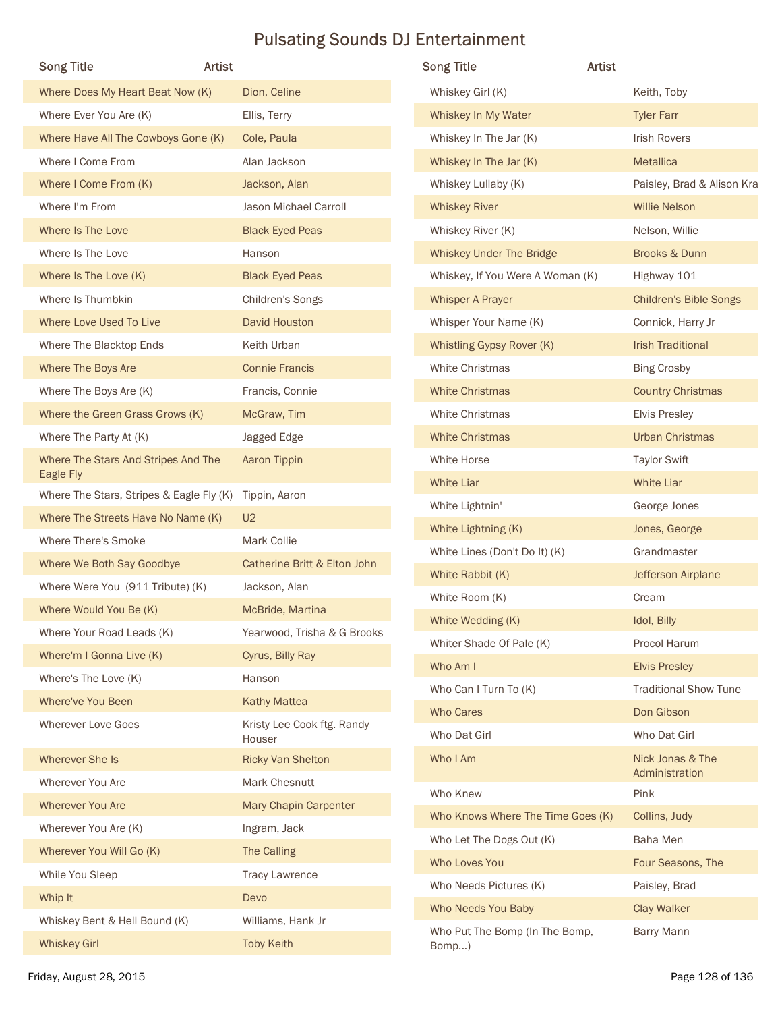|                                                       | Artist                               | <b>Song Title</b><br>Artist       |                               |
|-------------------------------------------------------|--------------------------------------|-----------------------------------|-------------------------------|
| <b>Song Title</b><br>Where Does My Heart Beat Now (K) | Dion, Celine                         | Whiskey Girl (K)                  | Keith, Toby                   |
| Where Ever You Are (K)                                | Ellis, Terry                         | Whiskey In My Water               | <b>Tyler Farr</b>             |
| Where Have All The Cowboys Gone (K)                   | Cole, Paula                          | Whiskey In The Jar (K)            | <b>Irish Rovers</b>           |
| Where I Come From                                     | Alan Jackson                         | Whiskey In The Jar (K)            | Metallica                     |
|                                                       |                                      |                                   |                               |
| Where I Come From (K)                                 | Jackson, Alan                        | Whiskey Lullaby (K)               | Paisley, Brad & Alison Kra    |
| Where I'm From                                        | Jason Michael Carroll                | <b>Whiskey River</b>              | <b>Willie Nelson</b>          |
| Where Is The Love                                     | <b>Black Eyed Peas</b>               | Whiskey River (K)                 | Nelson, Willie                |
| Where Is The Love                                     | Hanson                               | Whiskey Under The Bridge          | <b>Brooks &amp; Dunn</b>      |
| Where Is The Love (K)                                 | <b>Black Eyed Peas</b>               | Whiskey, If You Were A Woman (K)  | Highway 101                   |
| Where Is Thumbkin                                     | Children's Songs                     | Whisper A Prayer                  | <b>Children's Bible Songs</b> |
| Where Love Used To Live                               | David Houston                        | Whisper Your Name (K)             | Connick, Harry Jr             |
| Where The Blacktop Ends                               | Keith Urban                          | Whistling Gypsy Rover (K)         | <b>Irish Traditional</b>      |
| Where The Boys Are                                    | <b>Connie Francis</b>                | White Christmas                   | <b>Bing Crosby</b>            |
| Where The Boys Are (K)                                | Francis, Connie                      | <b>White Christmas</b>            | <b>Country Christmas</b>      |
| Where the Green Grass Grows (K)                       | McGraw, Tim                          | White Christmas                   | <b>Elvis Presley</b>          |
| Where The Party At (K)                                | Jagged Edge                          | <b>White Christmas</b>            | <b>Urban Christmas</b>        |
| Where The Stars And Stripes And The<br>Eagle Fly      | <b>Aaron Tippin</b>                  | White Horse                       | <b>Taylor Swift</b>           |
| Where The Stars, Stripes & Eagle Fly (K)              | Tippin, Aaron                        | <b>White Liar</b>                 | <b>White Liar</b>             |
| Where The Streets Have No Name (K)                    | U2                                   | White Lightnin'                   | George Jones                  |
| Where There's Smoke                                   | Mark Collie                          | White Lightning (K)               | Jones, George                 |
| Where We Both Say Goodbye                             | Catherine Britt & Elton John         | White Lines (Don't Do It) (K)     | Grandmaster                   |
| Where Were You (911 Tribute) (K)                      |                                      | White Rabbit (K)                  | Jefferson Airplane            |
|                                                       | Jackson, Alan                        | White Room (K)                    | Cream                         |
| Where Would You Be (K)                                | McBride, Martina                     | White Wedding (K)                 | Idol, Billy                   |
| Where Your Road Leads (K)                             | Yearwood, Trisha & G Brooks          | Whiter Shade Of Pale (K)          | Procol Harum                  |
| Where'm I Gonna Live (K)                              | Cyrus, Billy Ray                     | Who Am I                          | <b>Elvis Presley</b>          |
| Where's The Love (K)                                  | Hanson                               | Who Can I Turn To (K)             | <b>Traditional Show Tune</b>  |
| Where've You Been                                     | <b>Kathy Mattea</b>                  | Who Cares                         | Don Gibson                    |
| Wherever Love Goes                                    | Kristy Lee Cook ftg. Randy<br>Houser | Who Dat Girl                      | Who Dat Girl                  |
| <b>Wherever She Is</b>                                | <b>Ricky Van Shelton</b>             | Who I Am                          | Nick Jonas & The              |
| Wherever You Are                                      | Mark Chesnutt                        |                                   | Administration                |
| Wherever You Are                                      | Mary Chapin Carpenter                | Who Knew                          | Pink                          |
| Wherever You Are (K)                                  | Ingram, Jack                         | Who Knows Where The Time Goes (K) | Collins, Judy                 |
| Wherever You Will Go (K)                              | The Calling                          | Who Let The Dogs Out (K)          | Baha Men                      |
| While You Sleep                                       | <b>Tracy Lawrence</b>                | Who Loves You                     | Four Seasons, The             |
| Whip It                                               | Devo                                 | Who Needs Pictures (K)            | Paisley, Brad                 |
|                                                       | Williams, Hank Jr                    | Who Needs You Baby                | <b>Clay Walker</b>            |
| Whiskey Bent & Hell Bound (K)<br><b>Whiskey Girl</b>  | <b>Toby Keith</b>                    | Who Put The Bomp (In The Bomp,    | Barry Mann                    |
|                                                       |                                      | Bomp)                             |                               |

| <b>Entertainment</b>                    |                                    |
|-----------------------------------------|------------------------------------|
| <b>Song Title</b>                       | Artist                             |
|                                         |                                    |
| Whiskey Girl (K)<br>Whiskey In My Water | Keith, Toby<br><b>Tyler Farr</b>   |
| Whiskey In The Jar (K)                  | <b>Irish Rovers</b>                |
| Whiskey In The Jar (K)                  | Metallica                          |
| Whiskey Lullaby (K)                     | Paisley, Brad & Alison Kra         |
| <b>Whiskey River</b>                    | <b>Willie Nelson</b>               |
| Whiskey River (K)                       | Nelson, Willie                     |
| Whiskey Under The Bridge                | Brooks & Dunn                      |
| Whiskey, If You Were A Woman (K)        | Highway 101                        |
| Whisper A Prayer                        | <b>Children's Bible Songs</b>      |
| Whisper Your Name (K)                   | Connick, Harry Jr                  |
| Whistling Gypsy Rover (K)               | <b>Irish Traditional</b>           |
| White Christmas                         | <b>Bing Crosby</b>                 |
| <b>White Christmas</b>                  | <b>Country Christmas</b>           |
| White Christmas                         | <b>Elvis Presley</b>               |
| <b>White Christmas</b>                  | <b>Urban Christmas</b>             |
| White Horse                             | <b>Taylor Swift</b>                |
| <b>White Liar</b>                       | <b>White Liar</b>                  |
| White Lightnin'                         | George Jones                       |
| White Lightning (K)                     | Jones, George                      |
| White Lines (Don't Do It) (K)           | Grandmaster                        |
| White Rabbit (K)                        | Jefferson Airplane                 |
| White Room (K)                          | Cream                              |
| White Wedding (K)                       | Idol, Billy                        |
| Whiter Shade Of Pale (K)                | Procol Harum                       |
| Who Am I                                | <b>Elvis Presley</b>               |
| Who Can I Turn To (K)                   | <b>Traditional Show Tune</b>       |
| Who Cares                               | Don Gibson                         |
| Who Dat Girl                            | Who Dat Girl                       |
| Who I Am                                | Nick Jonas & The<br>Administration |
| Who Knew                                | Pink                               |
| Who Knows Where The Time Goes (K)       | Collins, Judy                      |
| Who Let The Dogs Out (K)                | Baha Men                           |
| Who Loves You                           | Four Seasons, The                  |
| Who Needs Pictures (K)                  | Paisley, Brad                      |
| Who Needs You Baby                      | Clay Walker                        |
| Who Put The Bomp (In The Bomp,<br>Bomp) | Barry Mann                         |
|                                         |                                    |
|                                         |                                    |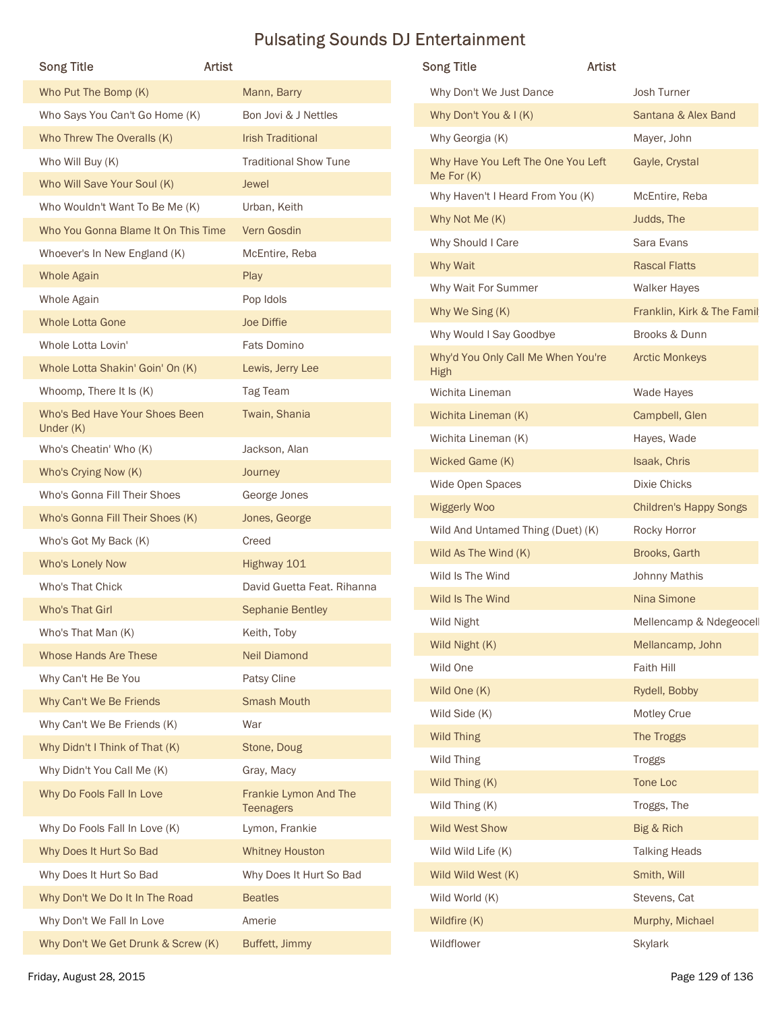| <b>Song Title</b><br>Artist                                     |                              | <b>Song Title</b><br>Artist                       |                               |
|-----------------------------------------------------------------|------------------------------|---------------------------------------------------|-------------------------------|
| Who Put The Bomp (K)                                            | Mann, Barry                  | Why Don't We Just Dance                           | Josh Turner                   |
| Who Says You Can't Go Home (K)                                  | Bon Jovi & J Nettles         | Why Don't You & I (K)                             | Santana & Alex Band           |
| Who Threw The Overalls (K)                                      | <b>Irish Traditional</b>     | Why Georgia (K)                                   | Mayer, John                   |
| Who Will Buy (K)                                                | <b>Traditional Show Tune</b> | Why Have You Left The One You Left                | Gayle, Crystal                |
| Who Will Save Your Soul (K)                                     | Jewel                        | Me For $(K)$                                      |                               |
| Who Wouldn't Want To Be Me (K)                                  | Urban, Keith                 | Why Haven't I Heard From You (K)                  | McEntire, Reba                |
| Who You Gonna Blame It On This Time                             | Vern Gosdin                  | Why Not Me (K)                                    | Judds, The                    |
| Whoever's In New England (K)                                    | McEntire, Reba               | Why Should I Care                                 | Sara Evans                    |
| <b>Whole Again</b>                                              | Play                         | Why Wait                                          | <b>Rascal Flatts</b>          |
| Whole Again                                                     | Pop Idols                    | Why Wait For Summer                               | Walker Hayes                  |
| Whole Lotta Gone                                                | Joe Diffie                   | Why We Sing (K)                                   | Franklin, Kirk & The Famil    |
| Whole Lotta Lovin'                                              | Fats Domino                  | Why Would I Say Goodbye                           | Brooks & Dunn                 |
| Whole Lotta Shakin' Goin' On (K)                                | Lewis, Jerry Lee             | Why'd You Only Call Me When You're<br><b>High</b> | <b>Arctic Monkeys</b>         |
| Whoomp, There It Is (K)                                         | Tag Team                     | Wichita Lineman                                   | Wade Hayes                    |
| Who's Bed Have Your Shoes Been                                  | Twain, Shania                | Wichita Lineman (K)                               | Campbell, Glen                |
| Under (K)<br>Who's Cheatin' Who (K)                             | Jackson, Alan                | Wichita Lineman (K)                               | Hayes, Wade                   |
| Who's Crying Now (K)                                            | Journey                      | Wicked Game (K)                                   | Isaak, Chris                  |
| Who's Gonna Fill Their Shoes                                    | George Jones                 | Wide Open Spaces                                  | Dixie Chicks                  |
| Who's Gonna Fill Their Shoes (K)                                | Jones, George                | Wiggerly Woo                                      | <b>Children's Happy Songs</b> |
| Who's Got My Back (K)                                           | Creed                        | Wild And Untamed Thing (Duet) (K)                 | Rocky Horror                  |
| Who's Lonely Now                                                | Highway 101                  | Wild As The Wind (K)                              | Brooks, Garth                 |
| Who's That Chick                                                | David Guetta Feat. Rihanna   | Wild Is The Wind                                  | Johnny Mathis                 |
| Who's That Girl                                                 | <b>Sephanie Bentley</b>      | Wild Is The Wind                                  | Nina Simone                   |
| Who's That Man (K)                                              | Keith, Toby                  | Wild Night                                        | Mellencamp & Ndegeocell       |
| Whose Hands Are These                                           | <b>Neil Diamond</b>          | Wild Night (K)                                    | Mellancamp, John              |
| Why Can't He Be You                                             | Patsy Cline                  | Wild One                                          | Faith Hill                    |
| Why Can't We Be Friends                                         | Smash Mouth                  | Wild One (K)                                      | Rydell, Bobby                 |
| Why Can't We Be Friends (K)                                     | War                          | Wild Side (K)                                     | Motley Crue                   |
| Why Didn't I Think of That (K)                                  | Stone, Doug                  | <b>Wild Thing</b>                                 | The Troggs                    |
| Why Didn't You Call Me (K)                                      | Gray, Macy                   | Wild Thing                                        | <b>Troggs</b>                 |
| Why Do Fools Fall In Love                                       | Frankie Lymon And The        | Wild Thing (K)                                    | Tone Loc                      |
|                                                                 | <b>Teenagers</b>             | Wild Thing (K)                                    | Troggs, The                   |
| Why Do Fools Fall In Love (K)                                   | Lymon, Frankie               | <b>Wild West Show</b>                             | Big & Rich                    |
| Why Does It Hurt So Bad                                         | <b>Whitney Houston</b>       | Wild Wild Life (K)                                | <b>Talking Heads</b>          |
| Why Does It Hurt So Bad                                         | Why Does It Hurt So Bad      | Wild Wild West (K)                                | Smith, Will                   |
| Why Don't We Do It In The Road                                  | <b>Beatles</b>               | Wild World (K)                                    | Stevens, Cat                  |
| Why Don't We Fall In Love<br>Why Don't We Get Drunk & Screw (K) | Amerie                       | Wildfire (K)                                      | Murphy, Michael               |
|                                                                 | Buffett, Jimmy               | Wildflower                                        | Skylark                       |

| <b>Entertainment</b>                                          |                                        |
|---------------------------------------------------------------|----------------------------------------|
| <b>Song Title</b><br>Artist                                   |                                        |
| Why Don't We Just Dance                                       | Josh Turner                            |
| Why Don't You & I (K)                                         | Santana & Alex Band                    |
| Why Georgia (K)                                               | Mayer, John                            |
| Why Have You Left The One You Left<br>Me For $(K)$            | Gayle, Crystal                         |
| Why Haven't I Heard From You (K)                              | McEntire, Reba                         |
| Why Not Me (K)                                                | Judds, The                             |
| Why Should I Care                                             | Sara Evans                             |
| Why Wait                                                      | <b>Rascal Flatts</b>                   |
| Why Wait For Summer                                           | <b>Walker Hayes</b>                    |
| Why We Sing (K)                                               | Franklin, Kirk & The Famil             |
| Why Would I Say Goodbye<br>Why'd You Only Call Me When You're | Brooks & Dunn<br><b>Arctic Monkeys</b> |
| High                                                          |                                        |
| Wichita Lineman                                               | Wade Hayes                             |
| Wichita Lineman (K)                                           | Campbell, Glen                         |
| Wichita Lineman (K)<br>Wicked Game (K)                        | Hayes, Wade<br>Isaak, Chris            |
| Wide Open Spaces                                              | Dixie Chicks                           |
| Wiggerly Woo                                                  | <b>Children's Happy Songs</b>          |
| Wild And Untamed Thing (Duet) (K)                             | Rocky Horror                           |
| Wild As The Wind (K)                                          | Brooks, Garth                          |
| Wild Is The Wind                                              | Johnny Mathis                          |
| Wild Is The Wind                                              | Nina Simone                            |
| Wild Night                                                    | Mellencamp & Ndegeocell                |
| Wild Night (K)                                                | Mellancamp, John                       |
| Wild One                                                      | Faith Hill                             |
| Wild One (K)                                                  | Rydell, Bobby                          |
| Wild Side (K)                                                 | Motley Crue                            |
| <b>Wild Thing</b>                                             | The Troggs                             |
| Wild Thing                                                    | Troggs                                 |
| Wild Thing (K)                                                | <b>Tone Loc</b>                        |
| Wild Thing (K)                                                | Troggs, The                            |
| <b>Wild West Show</b>                                         | Big & Rich                             |
| Wild Wild Life (K)                                            | <b>Talking Heads</b>                   |
| Wild Wild West (K)                                            | Smith, Will                            |
| Wild World (K)                                                | Stevens, Cat                           |
| Wildfire (K)                                                  | Murphy, Michael                        |
| Wildflower                                                    | <b>Skylark</b><br>Page 129 of 136      |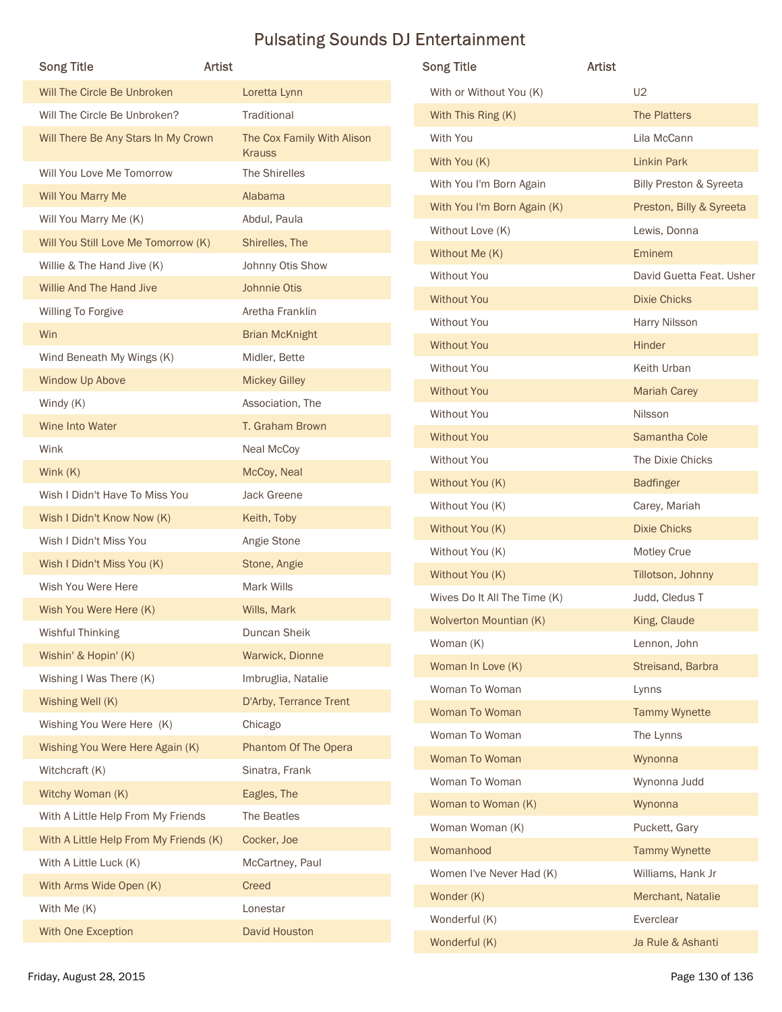| <b>Song Title</b><br>Artist            | <b>Pulsating Sounds DJ Entertainment</b>    | <b>Song Title</b>            | Artist |                          |
|----------------------------------------|---------------------------------------------|------------------------------|--------|--------------------------|
|                                        |                                             |                              |        | U2                       |
| Will The Circle Be Unbroken            | Loretta Lynn                                | With or Without You (K)      |        | The Platters             |
| Will The Circle Be Unbroken?           | Traditional                                 | With This Ring (K)           |        |                          |
| Will There Be Any Stars In My Crown    | The Cox Family With Alison<br><b>Krauss</b> | With You                     |        | Lila McCann              |
| Will You Love Me Tomorrow              | The Shirelles                               | With You (K)                 |        | Linkin Park              |
| Will You Marry Me                      | Alabama                                     | With You I'm Born Again      |        | Billy Preston & Syreeta  |
| Will You Marry Me (K)                  | Abdul, Paula                                | With You I'm Born Again (K)  |        | Preston, Billy & Syreeta |
| Will You Still Love Me Tomorrow (K)    | Shirelles, The                              | Without Love (K)             |        | Lewis, Donna             |
| Willie & The Hand Jive (K)             | Johnny Otis Show                            | Without Me (K)               |        | Eminem                   |
| <b>Willie And The Hand Jive</b>        | Johnnie Otis                                | Without You                  |        | David Guetta Feat. Usher |
| Willing To Forgive                     | Aretha Franklin                             | <b>Without You</b>           |        | <b>Dixie Chicks</b>      |
| Win                                    | <b>Brian McKnight</b>                       | Without You                  |        | Harry Nilsson            |
| Wind Beneath My Wings (K)              | Midler, Bette                               | <b>Without You</b>           |        | Hinder                   |
| Window Up Above                        | <b>Mickey Gilley</b>                        | Without You                  |        | Keith Urban              |
| Windy (K)                              | Association, The                            | <b>Without You</b>           |        | <b>Mariah Carey</b>      |
| Wine Into Water                        | T. Graham Brown                             | Without You                  |        | Nilsson                  |
| Wink                                   | Neal McCoy                                  | <b>Without You</b>           |        | Samantha Cole            |
| Wink (K)                               | McCoy, Neal                                 | Without You                  |        | The Dixie Chicks         |
| Wish I Didn't Have To Miss You         | Jack Greene                                 | Without You (K)              |        | <b>Badfinger</b>         |
| Wish I Didn't Know Now (K)             | Keith, Toby                                 | Without You (K)              |        | Carey, Mariah            |
| Wish I Didn't Miss You                 | Angie Stone                                 | Without You (K)              |        | <b>Dixie Chicks</b>      |
| Wish I Didn't Miss You (K)             | Stone, Angie                                | Without You (K)              |        | Motley Crue              |
| Wish You Were Here                     | Mark Wills                                  | Without You (K)              |        | Tillotson, Johnny        |
| Wish You Were Here (K)                 | Wills, Mark                                 | Wives Do It All The Time (K) |        | Judd, Cledus T           |
| Wishful Thinking                       | Duncan Sheik                                | Wolverton Mountian (K)       |        | King, Claude             |
| Wishin' & Hopin' (K)                   | Warwick, Dionne                             | Woman (K)                    |        | Lennon, John             |
| Wishing I Was There (K)                | Imbruglia, Natalie                          | Woman In Love (K)            |        | Streisand, Barbra        |
| Wishing Well (K)                       | D'Arby, Terrance Trent                      | Woman To Woman               |        | Lynns                    |
| Wishing You Were Here (K)              | Chicago                                     | Woman To Woman               |        | <b>Tammy Wynette</b>     |
| Wishing You Were Here Again (K)        | Phantom Of The Opera                        | Woman To Woman               |        | The Lynns                |
| Witchcraft (K)                         | Sinatra, Frank                              | Woman To Woman               |        | Wynonna                  |
| Witchy Woman (K)                       | Eagles, The                                 | Woman To Woman               |        | Wynonna Judd             |
| With A Little Help From My Friends     | The Beatles                                 | Woman to Woman (K)           |        | Wynonna                  |
| With A Little Help From My Friends (K) | Cocker, Joe                                 | Woman Woman (K)              |        | Puckett, Gary            |
| With A Little Luck (K)                 | McCartney, Paul                             | Womanhood                    |        | <b>Tammy Wynette</b>     |
| With Arms Wide Open (K)                | Creed                                       | Women I've Never Had (K)     |        | Williams, Hank Jr        |
| With Me (K)                            | Lonestar                                    | Wonder (K)                   |        | Merchant, Natalie        |
| With One Exception                     | David Houston                               | Wonderful (K)                |        | Everclear                |
|                                        |                                             | Wonderful (K)                |        | Ja Rule & Ashanti        |
| riday, August 28, 2015                 |                                             |                              |        | Page 130 of 136          |

| <b>Song Title</b><br>Artist<br>With or Without You (K)<br>U2<br>Will The Circle Be Unbroken<br>Loretta Lynn<br>Traditional<br>The Platters<br>Will The Circle Be Unbroken?<br>With This Ring (K)<br>The Cox Family With Alison<br>Lila McCann<br>Will There Be Any Stars In My Crown<br>With You<br><b>Krauss</b><br>With You (K)<br><b>Linkin Park</b><br>Will You Love Me Tomorrow<br>The Shirelles<br>With You I'm Born Again<br>Billy Preston & Syreeta<br>Will You Marry Me<br>Alabama<br>With You I'm Born Again (K)<br>Preston, Billy & Syreeta<br>Will You Marry Me (K)<br>Abdul, Paula<br>Without Love (K)<br>Lewis, Donna<br>Will You Still Love Me Tomorrow (K)<br>Shirelles, The<br>Without Me (K)<br>Eminem<br>Willie & The Hand Jive (K)<br>Johnny Otis Show<br>David Guetta Feat. Usher<br>Without You<br>Willie And The Hand Jive<br>Johnnie Otis<br><b>Dixie Chicks</b><br><b>Without You</b><br>Willing To Forgive<br>Aretha Franklin<br>Without You<br>Harry Nilsson<br><b>Brian McKnight</b><br>Win<br><b>Without You</b><br>Hinder<br>Midler, Bette<br>Wind Beneath My Wings (K)<br>Keith Urban<br>Without You<br>Window Up Above<br><b>Mickey Gilley</b><br><b>Without You</b><br><b>Mariah Carey</b><br>Association, The<br>Windy (K)<br>Without You<br>Nilsson<br>T. Graham Brown<br>Wine Into Water<br><b>Without You</b><br>Samantha Cole<br>Wink<br>Neal McCoy<br>Without You<br>The Dixie Chicks<br>Wink (K)<br>McCoy, Neal<br>Without You (K)<br><b>Badfinger</b><br>Wish I Didn't Have To Miss You<br>Jack Greene<br>Without You (K)<br>Carey, Mariah<br>Keith, Toby<br>Wish I Didn't Know Now (K)<br>Without You (K)<br><b>Dixie Chicks</b><br>Wish I Didn't Miss You<br>Angie Stone<br>Without You (K)<br><b>Motley Crue</b><br>Wish I Didn't Miss You (K)<br>Stone, Angie<br>Without You (K)<br>Tillotson, Johnny<br>Wish You Were Here<br>Mark Wills<br>Wives Do It All The Time (K)<br>Judd, Cledus T<br>Wish You Were Here (K)<br>Wills, Mark<br><b>Wolverton Mountian (K)</b><br>King, Claude<br>Wishful Thinking<br>Duncan Sheik<br>Woman (K)<br>Lennon, John<br>Wishin' & Hopin' (K)<br>Warwick, Dionne<br>Woman In Love (K)<br>Streisand, Barbra<br>Wishing I Was There (K)<br>Imbruglia, Natalie<br>Woman To Woman<br>Lynns<br>Wishing Well (K)<br>D'Arby, Terrance Trent<br>Woman To Woman<br><b>Tammy Wynette</b><br>Wishing You Were Here (K)<br>Chicago<br>Woman To Woman<br>The Lynns<br>Phantom Of The Opera<br>Wishing You Were Here Again (K)<br>Woman To Woman<br>Wynonna<br>Sinatra, Frank<br>Witchcraft (K)<br>Woman To Woman<br>Wynonna Judd<br>Witchy Woman (K)<br>Eagles, The<br>Woman to Woman (K)<br>Wynonna<br>With A Little Help From My Friends<br>The Beatles<br>Woman Woman (K)<br>Puckett, Gary<br>With A Little Help From My Friends (K)<br>Cocker, Joe<br>Womanhood<br><b>Tammy Wynette</b><br>McCartney, Paul<br>With A Little Luck (K)<br>Women I've Never Had (K)<br>Williams, Hank Jr<br>With Arms Wide Open (K)<br>Creed<br>Wonder (K)<br>Merchant, Natalie<br>With Me (K)<br>Lonestar<br>Wonderful (K)<br>Everclear<br>With One Exception<br><b>David Houston</b><br>Wonderful (K)<br>Ja Rule & Ashanti |  | <b>Song Title</b> | Artist |  |
|--------------------------------------------------------------------------------------------------------------------------------------------------------------------------------------------------------------------------------------------------------------------------------------------------------------------------------------------------------------------------------------------------------------------------------------------------------------------------------------------------------------------------------------------------------------------------------------------------------------------------------------------------------------------------------------------------------------------------------------------------------------------------------------------------------------------------------------------------------------------------------------------------------------------------------------------------------------------------------------------------------------------------------------------------------------------------------------------------------------------------------------------------------------------------------------------------------------------------------------------------------------------------------------------------------------------------------------------------------------------------------------------------------------------------------------------------------------------------------------------------------------------------------------------------------------------------------------------------------------------------------------------------------------------------------------------------------------------------------------------------------------------------------------------------------------------------------------------------------------------------------------------------------------------------------------------------------------------------------------------------------------------------------------------------------------------------------------------------------------------------------------------------------------------------------------------------------------------------------------------------------------------------------------------------------------------------------------------------------------------------------------------------------------------------------------------------------------------------------------------------------------------------------------------------------------------------------------------------------------------------------------------------------------------------------------------------------------------------------------------------------------------------------------------------------------------------------------------------------------------------------------------------------------------------------------------------------------------------------------------------------------------------------------------------------------------------------------------------------------------------------------------------------------------------------|--|-------------------|--------|--|
|                                                                                                                                                                                                                                                                                                                                                                                                                                                                                                                                                                                                                                                                                                                                                                                                                                                                                                                                                                                                                                                                                                                                                                                                                                                                                                                                                                                                                                                                                                                                                                                                                                                                                                                                                                                                                                                                                                                                                                                                                                                                                                                                                                                                                                                                                                                                                                                                                                                                                                                                                                                                                                                                                                                                                                                                                                                                                                                                                                                                                                                                                                                                                                                |  |                   |        |  |
|                                                                                                                                                                                                                                                                                                                                                                                                                                                                                                                                                                                                                                                                                                                                                                                                                                                                                                                                                                                                                                                                                                                                                                                                                                                                                                                                                                                                                                                                                                                                                                                                                                                                                                                                                                                                                                                                                                                                                                                                                                                                                                                                                                                                                                                                                                                                                                                                                                                                                                                                                                                                                                                                                                                                                                                                                                                                                                                                                                                                                                                                                                                                                                                |  |                   |        |  |
|                                                                                                                                                                                                                                                                                                                                                                                                                                                                                                                                                                                                                                                                                                                                                                                                                                                                                                                                                                                                                                                                                                                                                                                                                                                                                                                                                                                                                                                                                                                                                                                                                                                                                                                                                                                                                                                                                                                                                                                                                                                                                                                                                                                                                                                                                                                                                                                                                                                                                                                                                                                                                                                                                                                                                                                                                                                                                                                                                                                                                                                                                                                                                                                |  |                   |        |  |
|                                                                                                                                                                                                                                                                                                                                                                                                                                                                                                                                                                                                                                                                                                                                                                                                                                                                                                                                                                                                                                                                                                                                                                                                                                                                                                                                                                                                                                                                                                                                                                                                                                                                                                                                                                                                                                                                                                                                                                                                                                                                                                                                                                                                                                                                                                                                                                                                                                                                                                                                                                                                                                                                                                                                                                                                                                                                                                                                                                                                                                                                                                                                                                                |  |                   |        |  |
|                                                                                                                                                                                                                                                                                                                                                                                                                                                                                                                                                                                                                                                                                                                                                                                                                                                                                                                                                                                                                                                                                                                                                                                                                                                                                                                                                                                                                                                                                                                                                                                                                                                                                                                                                                                                                                                                                                                                                                                                                                                                                                                                                                                                                                                                                                                                                                                                                                                                                                                                                                                                                                                                                                                                                                                                                                                                                                                                                                                                                                                                                                                                                                                |  |                   |        |  |
|                                                                                                                                                                                                                                                                                                                                                                                                                                                                                                                                                                                                                                                                                                                                                                                                                                                                                                                                                                                                                                                                                                                                                                                                                                                                                                                                                                                                                                                                                                                                                                                                                                                                                                                                                                                                                                                                                                                                                                                                                                                                                                                                                                                                                                                                                                                                                                                                                                                                                                                                                                                                                                                                                                                                                                                                                                                                                                                                                                                                                                                                                                                                                                                |  |                   |        |  |
|                                                                                                                                                                                                                                                                                                                                                                                                                                                                                                                                                                                                                                                                                                                                                                                                                                                                                                                                                                                                                                                                                                                                                                                                                                                                                                                                                                                                                                                                                                                                                                                                                                                                                                                                                                                                                                                                                                                                                                                                                                                                                                                                                                                                                                                                                                                                                                                                                                                                                                                                                                                                                                                                                                                                                                                                                                                                                                                                                                                                                                                                                                                                                                                |  |                   |        |  |
|                                                                                                                                                                                                                                                                                                                                                                                                                                                                                                                                                                                                                                                                                                                                                                                                                                                                                                                                                                                                                                                                                                                                                                                                                                                                                                                                                                                                                                                                                                                                                                                                                                                                                                                                                                                                                                                                                                                                                                                                                                                                                                                                                                                                                                                                                                                                                                                                                                                                                                                                                                                                                                                                                                                                                                                                                                                                                                                                                                                                                                                                                                                                                                                |  |                   |        |  |
|                                                                                                                                                                                                                                                                                                                                                                                                                                                                                                                                                                                                                                                                                                                                                                                                                                                                                                                                                                                                                                                                                                                                                                                                                                                                                                                                                                                                                                                                                                                                                                                                                                                                                                                                                                                                                                                                                                                                                                                                                                                                                                                                                                                                                                                                                                                                                                                                                                                                                                                                                                                                                                                                                                                                                                                                                                                                                                                                                                                                                                                                                                                                                                                |  |                   |        |  |
|                                                                                                                                                                                                                                                                                                                                                                                                                                                                                                                                                                                                                                                                                                                                                                                                                                                                                                                                                                                                                                                                                                                                                                                                                                                                                                                                                                                                                                                                                                                                                                                                                                                                                                                                                                                                                                                                                                                                                                                                                                                                                                                                                                                                                                                                                                                                                                                                                                                                                                                                                                                                                                                                                                                                                                                                                                                                                                                                                                                                                                                                                                                                                                                |  |                   |        |  |
|                                                                                                                                                                                                                                                                                                                                                                                                                                                                                                                                                                                                                                                                                                                                                                                                                                                                                                                                                                                                                                                                                                                                                                                                                                                                                                                                                                                                                                                                                                                                                                                                                                                                                                                                                                                                                                                                                                                                                                                                                                                                                                                                                                                                                                                                                                                                                                                                                                                                                                                                                                                                                                                                                                                                                                                                                                                                                                                                                                                                                                                                                                                                                                                |  |                   |        |  |
|                                                                                                                                                                                                                                                                                                                                                                                                                                                                                                                                                                                                                                                                                                                                                                                                                                                                                                                                                                                                                                                                                                                                                                                                                                                                                                                                                                                                                                                                                                                                                                                                                                                                                                                                                                                                                                                                                                                                                                                                                                                                                                                                                                                                                                                                                                                                                                                                                                                                                                                                                                                                                                                                                                                                                                                                                                                                                                                                                                                                                                                                                                                                                                                |  |                   |        |  |
|                                                                                                                                                                                                                                                                                                                                                                                                                                                                                                                                                                                                                                                                                                                                                                                                                                                                                                                                                                                                                                                                                                                                                                                                                                                                                                                                                                                                                                                                                                                                                                                                                                                                                                                                                                                                                                                                                                                                                                                                                                                                                                                                                                                                                                                                                                                                                                                                                                                                                                                                                                                                                                                                                                                                                                                                                                                                                                                                                                                                                                                                                                                                                                                |  |                   |        |  |
|                                                                                                                                                                                                                                                                                                                                                                                                                                                                                                                                                                                                                                                                                                                                                                                                                                                                                                                                                                                                                                                                                                                                                                                                                                                                                                                                                                                                                                                                                                                                                                                                                                                                                                                                                                                                                                                                                                                                                                                                                                                                                                                                                                                                                                                                                                                                                                                                                                                                                                                                                                                                                                                                                                                                                                                                                                                                                                                                                                                                                                                                                                                                                                                |  |                   |        |  |
|                                                                                                                                                                                                                                                                                                                                                                                                                                                                                                                                                                                                                                                                                                                                                                                                                                                                                                                                                                                                                                                                                                                                                                                                                                                                                                                                                                                                                                                                                                                                                                                                                                                                                                                                                                                                                                                                                                                                                                                                                                                                                                                                                                                                                                                                                                                                                                                                                                                                                                                                                                                                                                                                                                                                                                                                                                                                                                                                                                                                                                                                                                                                                                                |  |                   |        |  |
|                                                                                                                                                                                                                                                                                                                                                                                                                                                                                                                                                                                                                                                                                                                                                                                                                                                                                                                                                                                                                                                                                                                                                                                                                                                                                                                                                                                                                                                                                                                                                                                                                                                                                                                                                                                                                                                                                                                                                                                                                                                                                                                                                                                                                                                                                                                                                                                                                                                                                                                                                                                                                                                                                                                                                                                                                                                                                                                                                                                                                                                                                                                                                                                |  |                   |        |  |
|                                                                                                                                                                                                                                                                                                                                                                                                                                                                                                                                                                                                                                                                                                                                                                                                                                                                                                                                                                                                                                                                                                                                                                                                                                                                                                                                                                                                                                                                                                                                                                                                                                                                                                                                                                                                                                                                                                                                                                                                                                                                                                                                                                                                                                                                                                                                                                                                                                                                                                                                                                                                                                                                                                                                                                                                                                                                                                                                                                                                                                                                                                                                                                                |  |                   |        |  |
|                                                                                                                                                                                                                                                                                                                                                                                                                                                                                                                                                                                                                                                                                                                                                                                                                                                                                                                                                                                                                                                                                                                                                                                                                                                                                                                                                                                                                                                                                                                                                                                                                                                                                                                                                                                                                                                                                                                                                                                                                                                                                                                                                                                                                                                                                                                                                                                                                                                                                                                                                                                                                                                                                                                                                                                                                                                                                                                                                                                                                                                                                                                                                                                |  |                   |        |  |
|                                                                                                                                                                                                                                                                                                                                                                                                                                                                                                                                                                                                                                                                                                                                                                                                                                                                                                                                                                                                                                                                                                                                                                                                                                                                                                                                                                                                                                                                                                                                                                                                                                                                                                                                                                                                                                                                                                                                                                                                                                                                                                                                                                                                                                                                                                                                                                                                                                                                                                                                                                                                                                                                                                                                                                                                                                                                                                                                                                                                                                                                                                                                                                                |  |                   |        |  |
|                                                                                                                                                                                                                                                                                                                                                                                                                                                                                                                                                                                                                                                                                                                                                                                                                                                                                                                                                                                                                                                                                                                                                                                                                                                                                                                                                                                                                                                                                                                                                                                                                                                                                                                                                                                                                                                                                                                                                                                                                                                                                                                                                                                                                                                                                                                                                                                                                                                                                                                                                                                                                                                                                                                                                                                                                                                                                                                                                                                                                                                                                                                                                                                |  |                   |        |  |
|                                                                                                                                                                                                                                                                                                                                                                                                                                                                                                                                                                                                                                                                                                                                                                                                                                                                                                                                                                                                                                                                                                                                                                                                                                                                                                                                                                                                                                                                                                                                                                                                                                                                                                                                                                                                                                                                                                                                                                                                                                                                                                                                                                                                                                                                                                                                                                                                                                                                                                                                                                                                                                                                                                                                                                                                                                                                                                                                                                                                                                                                                                                                                                                |  |                   |        |  |
|                                                                                                                                                                                                                                                                                                                                                                                                                                                                                                                                                                                                                                                                                                                                                                                                                                                                                                                                                                                                                                                                                                                                                                                                                                                                                                                                                                                                                                                                                                                                                                                                                                                                                                                                                                                                                                                                                                                                                                                                                                                                                                                                                                                                                                                                                                                                                                                                                                                                                                                                                                                                                                                                                                                                                                                                                                                                                                                                                                                                                                                                                                                                                                                |  |                   |        |  |
|                                                                                                                                                                                                                                                                                                                                                                                                                                                                                                                                                                                                                                                                                                                                                                                                                                                                                                                                                                                                                                                                                                                                                                                                                                                                                                                                                                                                                                                                                                                                                                                                                                                                                                                                                                                                                                                                                                                                                                                                                                                                                                                                                                                                                                                                                                                                                                                                                                                                                                                                                                                                                                                                                                                                                                                                                                                                                                                                                                                                                                                                                                                                                                                |  |                   |        |  |
|                                                                                                                                                                                                                                                                                                                                                                                                                                                                                                                                                                                                                                                                                                                                                                                                                                                                                                                                                                                                                                                                                                                                                                                                                                                                                                                                                                                                                                                                                                                                                                                                                                                                                                                                                                                                                                                                                                                                                                                                                                                                                                                                                                                                                                                                                                                                                                                                                                                                                                                                                                                                                                                                                                                                                                                                                                                                                                                                                                                                                                                                                                                                                                                |  |                   |        |  |
|                                                                                                                                                                                                                                                                                                                                                                                                                                                                                                                                                                                                                                                                                                                                                                                                                                                                                                                                                                                                                                                                                                                                                                                                                                                                                                                                                                                                                                                                                                                                                                                                                                                                                                                                                                                                                                                                                                                                                                                                                                                                                                                                                                                                                                                                                                                                                                                                                                                                                                                                                                                                                                                                                                                                                                                                                                                                                                                                                                                                                                                                                                                                                                                |  |                   |        |  |
|                                                                                                                                                                                                                                                                                                                                                                                                                                                                                                                                                                                                                                                                                                                                                                                                                                                                                                                                                                                                                                                                                                                                                                                                                                                                                                                                                                                                                                                                                                                                                                                                                                                                                                                                                                                                                                                                                                                                                                                                                                                                                                                                                                                                                                                                                                                                                                                                                                                                                                                                                                                                                                                                                                                                                                                                                                                                                                                                                                                                                                                                                                                                                                                |  |                   |        |  |
|                                                                                                                                                                                                                                                                                                                                                                                                                                                                                                                                                                                                                                                                                                                                                                                                                                                                                                                                                                                                                                                                                                                                                                                                                                                                                                                                                                                                                                                                                                                                                                                                                                                                                                                                                                                                                                                                                                                                                                                                                                                                                                                                                                                                                                                                                                                                                                                                                                                                                                                                                                                                                                                                                                                                                                                                                                                                                                                                                                                                                                                                                                                                                                                |  |                   |        |  |
|                                                                                                                                                                                                                                                                                                                                                                                                                                                                                                                                                                                                                                                                                                                                                                                                                                                                                                                                                                                                                                                                                                                                                                                                                                                                                                                                                                                                                                                                                                                                                                                                                                                                                                                                                                                                                                                                                                                                                                                                                                                                                                                                                                                                                                                                                                                                                                                                                                                                                                                                                                                                                                                                                                                                                                                                                                                                                                                                                                                                                                                                                                                                                                                |  |                   |        |  |
|                                                                                                                                                                                                                                                                                                                                                                                                                                                                                                                                                                                                                                                                                                                                                                                                                                                                                                                                                                                                                                                                                                                                                                                                                                                                                                                                                                                                                                                                                                                                                                                                                                                                                                                                                                                                                                                                                                                                                                                                                                                                                                                                                                                                                                                                                                                                                                                                                                                                                                                                                                                                                                                                                                                                                                                                                                                                                                                                                                                                                                                                                                                                                                                |  |                   |        |  |
|                                                                                                                                                                                                                                                                                                                                                                                                                                                                                                                                                                                                                                                                                                                                                                                                                                                                                                                                                                                                                                                                                                                                                                                                                                                                                                                                                                                                                                                                                                                                                                                                                                                                                                                                                                                                                                                                                                                                                                                                                                                                                                                                                                                                                                                                                                                                                                                                                                                                                                                                                                                                                                                                                                                                                                                                                                                                                                                                                                                                                                                                                                                                                                                |  |                   |        |  |
|                                                                                                                                                                                                                                                                                                                                                                                                                                                                                                                                                                                                                                                                                                                                                                                                                                                                                                                                                                                                                                                                                                                                                                                                                                                                                                                                                                                                                                                                                                                                                                                                                                                                                                                                                                                                                                                                                                                                                                                                                                                                                                                                                                                                                                                                                                                                                                                                                                                                                                                                                                                                                                                                                                                                                                                                                                                                                                                                                                                                                                                                                                                                                                                |  |                   |        |  |
|                                                                                                                                                                                                                                                                                                                                                                                                                                                                                                                                                                                                                                                                                                                                                                                                                                                                                                                                                                                                                                                                                                                                                                                                                                                                                                                                                                                                                                                                                                                                                                                                                                                                                                                                                                                                                                                                                                                                                                                                                                                                                                                                                                                                                                                                                                                                                                                                                                                                                                                                                                                                                                                                                                                                                                                                                                                                                                                                                                                                                                                                                                                                                                                |  |                   |        |  |
|                                                                                                                                                                                                                                                                                                                                                                                                                                                                                                                                                                                                                                                                                                                                                                                                                                                                                                                                                                                                                                                                                                                                                                                                                                                                                                                                                                                                                                                                                                                                                                                                                                                                                                                                                                                                                                                                                                                                                                                                                                                                                                                                                                                                                                                                                                                                                                                                                                                                                                                                                                                                                                                                                                                                                                                                                                                                                                                                                                                                                                                                                                                                                                                |  |                   |        |  |
|                                                                                                                                                                                                                                                                                                                                                                                                                                                                                                                                                                                                                                                                                                                                                                                                                                                                                                                                                                                                                                                                                                                                                                                                                                                                                                                                                                                                                                                                                                                                                                                                                                                                                                                                                                                                                                                                                                                                                                                                                                                                                                                                                                                                                                                                                                                                                                                                                                                                                                                                                                                                                                                                                                                                                                                                                                                                                                                                                                                                                                                                                                                                                                                |  |                   |        |  |
|                                                                                                                                                                                                                                                                                                                                                                                                                                                                                                                                                                                                                                                                                                                                                                                                                                                                                                                                                                                                                                                                                                                                                                                                                                                                                                                                                                                                                                                                                                                                                                                                                                                                                                                                                                                                                                                                                                                                                                                                                                                                                                                                                                                                                                                                                                                                                                                                                                                                                                                                                                                                                                                                                                                                                                                                                                                                                                                                                                                                                                                                                                                                                                                |  |                   |        |  |
|                                                                                                                                                                                                                                                                                                                                                                                                                                                                                                                                                                                                                                                                                                                                                                                                                                                                                                                                                                                                                                                                                                                                                                                                                                                                                                                                                                                                                                                                                                                                                                                                                                                                                                                                                                                                                                                                                                                                                                                                                                                                                                                                                                                                                                                                                                                                                                                                                                                                                                                                                                                                                                                                                                                                                                                                                                                                                                                                                                                                                                                                                                                                                                                |  |                   |        |  |
|                                                                                                                                                                                                                                                                                                                                                                                                                                                                                                                                                                                                                                                                                                                                                                                                                                                                                                                                                                                                                                                                                                                                                                                                                                                                                                                                                                                                                                                                                                                                                                                                                                                                                                                                                                                                                                                                                                                                                                                                                                                                                                                                                                                                                                                                                                                                                                                                                                                                                                                                                                                                                                                                                                                                                                                                                                                                                                                                                                                                                                                                                                                                                                                |  |                   |        |  |
|                                                                                                                                                                                                                                                                                                                                                                                                                                                                                                                                                                                                                                                                                                                                                                                                                                                                                                                                                                                                                                                                                                                                                                                                                                                                                                                                                                                                                                                                                                                                                                                                                                                                                                                                                                                                                                                                                                                                                                                                                                                                                                                                                                                                                                                                                                                                                                                                                                                                                                                                                                                                                                                                                                                                                                                                                                                                                                                                                                                                                                                                                                                                                                                |  |                   |        |  |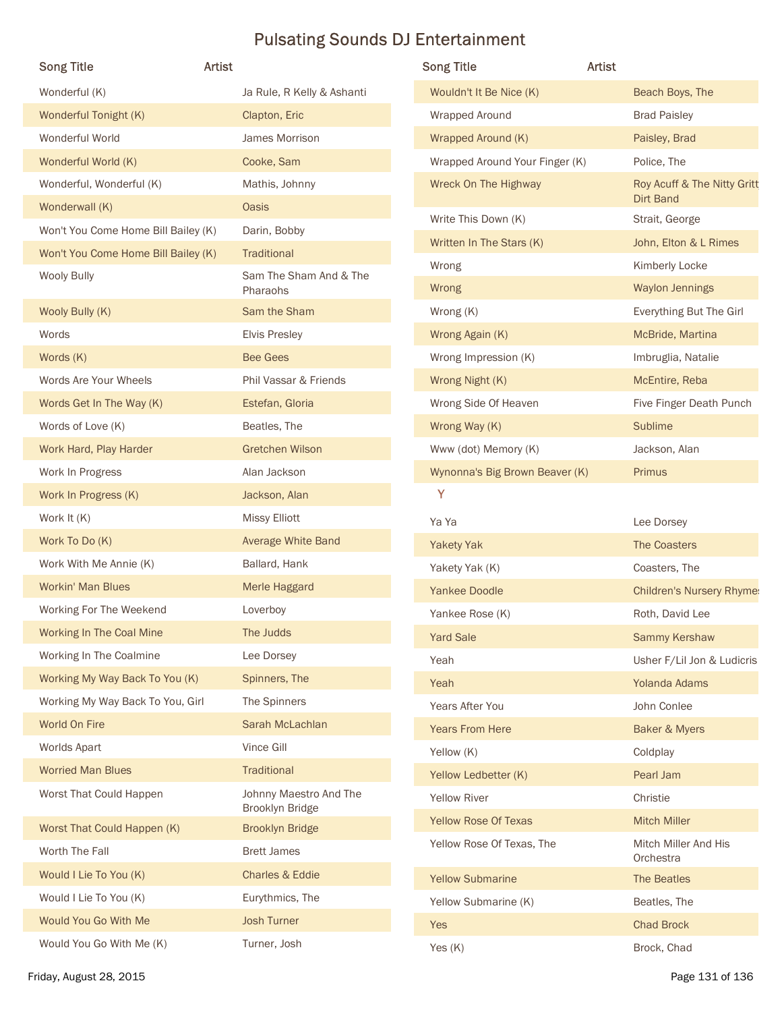|                                     | Artist                                    | <b>Song Title</b><br>Artist    |                                  |
|-------------------------------------|-------------------------------------------|--------------------------------|----------------------------------|
| Wonderful (K)                       | Ja Rule, R Kelly & Ashanti                | Wouldn't It Be Nice (K)        | Beach Boys, The                  |
| Wonderful Tonight (K)               | Clapton, Eric                             | Wrapped Around                 | <b>Brad Paisley</b>              |
| Wonderful World                     | James Morrison                            | Wrapped Around (K)             | Paisley, Brad                    |
| Wonderful World (K)                 | Cooke, Sam                                | Wrapped Around Your Finger (K) | Police, The                      |
| Wonderful, Wonderful (K)            | Mathis, Johnny                            | Wreck On The Highway           | Roy Acuff & The Nitty Gritt      |
| Wonderwall (K)                      | <b>Oasis</b>                              |                                | <b>Dirt Band</b>                 |
| Won't You Come Home Bill Bailey (K) | Darin, Bobby                              | Write This Down (K)            | Strait, George                   |
| Won't You Come Home Bill Bailey (K) | Traditional                               | Written In The Stars (K)       | John, Elton & L Rimes            |
| <b>Wooly Bully</b>                  | Sam The Sham And & The                    | Wrong                          | Kimberly Locke                   |
|                                     | Pharaohs                                  | Wrong                          | <b>Waylon Jennings</b>           |
| Wooly Bully (K)                     | Sam the Sham                              | Wrong (K)                      | Everything But The Girl          |
| Words                               | <b>Elvis Presley</b>                      | Wrong Again (K)                | McBride, Martina                 |
| Words (K)                           | <b>Bee Gees</b>                           | Wrong Impression (K)           | Imbruglia, Natalie               |
| Words Are Your Wheels               | Phil Vassar & Friends                     | Wrong Night (K)                | McEntire, Reba                   |
| Words Get In The Way (K)            | Estefan, Gloria                           | Wrong Side Of Heaven           | Five Finger Death Punch          |
| Words of Love (K)                   | Beatles, The                              | Wrong Way (K)                  | Sublime                          |
| Work Hard, Play Harder              | Gretchen Wilson                           | Www (dot) Memory (K)           | Jackson, Alan                    |
| Work In Progress                    | Alan Jackson                              | Wynonna's Big Brown Beaver (K) | Primus                           |
| Work In Progress (K)                | Jackson, Alan                             | Y                              |                                  |
| Work It (K)                         | Missy Elliott                             | Ya Ya                          | Lee Dorsey                       |
| Work To Do (K)                      | Average White Band                        | <b>Yakety Yak</b>              | The Coasters                     |
| Work With Me Annie (K)              | Ballard, Hank                             | Yakety Yak (K)                 | Coasters, The                    |
| Workin' Man Blues                   | Merle Haggard                             | Yankee Doodle                  | <b>Children's Nursery Rhyme:</b> |
| Working For The Weekend             | Loverboy                                  | Yankee Rose (K)                | Roth, David Lee                  |
| Working In The Coal Mine            | The Judds                                 | <b>Yard Sale</b>               | Sammy Kershaw                    |
| Working In The Coalmine             | Lee Dorsey                                | Yeah                           | Usher F/Lil Jon & Ludicris       |
| Working My Way Back To You (K)      | Spinners, The                             | Yeah                           | Yolanda Adams                    |
| Working My Way Back To You, Girl    | The Spinners                              | Years After You                | John Conlee                      |
| World On Fire                       | Sarah McLachlan                           | <b>Years From Here</b>         | Baker & Myers                    |
| Worlds Apart                        | Vince Gill                                | Yellow (K)                     | Coldplay                         |
| <b>Worried Man Blues</b>            | Traditional                               | Yellow Ledbetter (K)           | Pearl Jam                        |
| Worst That Could Happen             | Johnny Maestro And The                    | Yellow River                   | Christie                         |
| Worst That Could Happen (K)         | Brooklyn Bridge<br><b>Brooklyn Bridge</b> | Yellow Rose Of Texas           | <b>Mitch Miller</b>              |
| Worth The Fall                      | <b>Brett James</b>                        | Yellow Rose Of Texas, The      | Mitch Miller And His             |
| Would I Lie To You (K)              | Charles & Eddie                           |                                | Orchestra                        |
|                                     | Eurythmics, The                           | <b>Yellow Submarine</b>        | The Beatles                      |
| Would I Lie To You (K)              |                                           | Yellow Submarine (K)           | Beatles, The                     |
| Would You Go With Me                | <b>Josh Turner</b>                        | Yes                            | Chad Brock                       |
| Would You Go With Me (K)            | Turner, Josh                              | Yes $(K)$                      | Brock, Chad                      |

| <b>Entertainment</b>                |                                                 |
|-------------------------------------|-------------------------------------------------|
| <b>Song Title</b>                   | Artist                                          |
| Wouldn't It Be Nice (K)             | Beach Boys, The                                 |
| Wrapped Around                      | <b>Brad Paisley</b>                             |
| Wrapped Around (K)                  | Paisley, Brad                                   |
| Wrapped Around Your Finger (K)      | Police, The                                     |
| Wreck On The Highway                | Roy Acuff & The Nitty Gritt<br><b>Dirt Band</b> |
| Write This Down (K)                 | Strait, George                                  |
| Written In The Stars (K)            | John, Elton & L Rimes                           |
| Wrong<br>Wrong                      | Kimberly Locke<br><b>Waylon Jennings</b>        |
| Wrong (K)                           | Everything But The Girl                         |
| Wrong Again (K)                     | McBride, Martina                                |
| Wrong Impression (K)                | Imbruglia, Natalie                              |
| Wrong Night (K)                     | McEntire, Reba                                  |
| Wrong Side Of Heaven                | Five Finger Death Punch                         |
| Wrong Way (K)                       | <b>Sublime</b>                                  |
| Www (dot) Memory (K)                | Jackson, Alan                                   |
| Wynonna's Big Brown Beaver (K)      | Primus                                          |
| Y                                   |                                                 |
| Ya Ya                               | Lee Dorsey                                      |
| <b>Yakety Yak</b>                   | The Coasters                                    |
| Yakety Yak (K)                      | Coasters, The                                   |
| Yankee Doodle                       | <b>Children's Nursery Rhyme:</b>                |
| Yankee Rose (K)<br><b>Yard Sale</b> | Roth, David Lee                                 |
| Yeah                                | Sammy Kershaw<br>Usher F/Lil Jon & Ludicris     |
| Yeah                                | Yolanda Adams                                   |
| Years After You                     | John Conlee                                     |
| <b>Years From Here</b>              | Baker & Myers                                   |
| Yellow (K)                          | Coldplay                                        |
| Yellow Ledbetter (K)                | Pearl Jam                                       |
| <b>Yellow River</b>                 | Christie                                        |
| <b>Yellow Rose Of Texas</b>         | <b>Mitch Miller</b>                             |
| Yellow Rose Of Texas, The           | Mitch Miller And His<br>Orchestra               |
| <b>Yellow Submarine</b>             | The Beatles                                     |
| Yellow Submarine (K)                | Beatles, The                                    |
| Yes                                 | <b>Chad Brock</b>                               |
| Yes (K)                             | Brock, Chad                                     |
|                                     | Page 131 of 136                                 |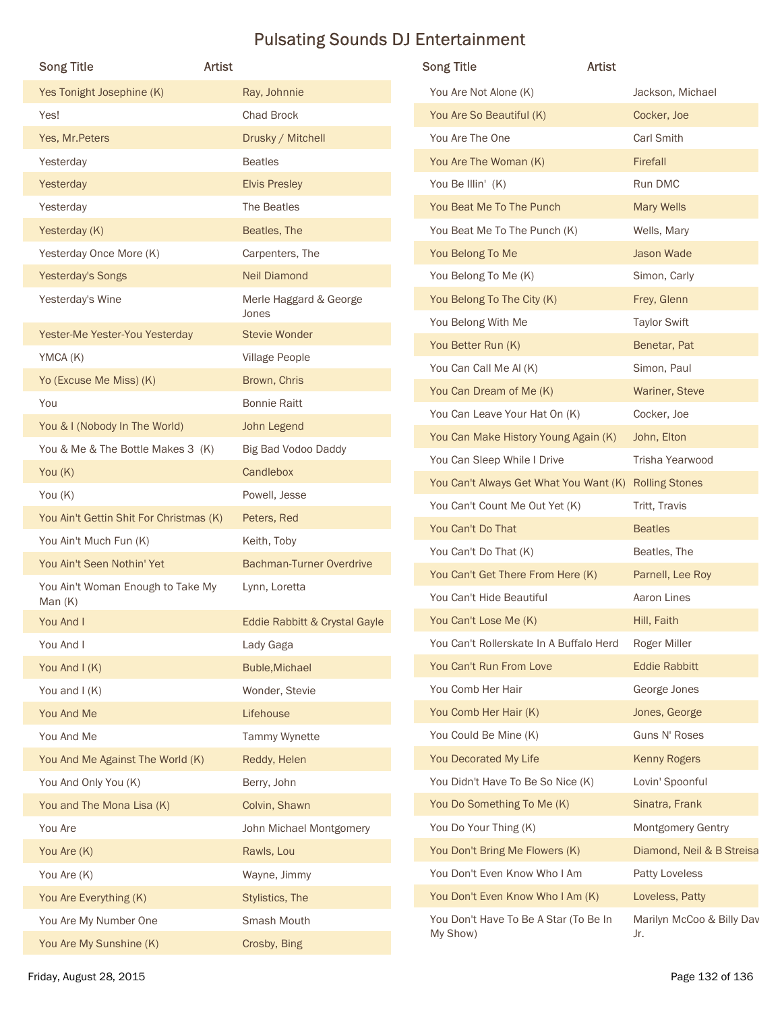| <b>Song Title</b><br>Artist                  |                                 | Artist                                      |                           |
|----------------------------------------------|---------------------------------|---------------------------------------------|---------------------------|
|                                              |                                 | <b>Song Title</b>                           |                           |
| Yes Tonight Josephine (K)                    | Ray, Johnnie                    | You Are Not Alone (K)                       | Jackson, Michael          |
| Yes!<br>Yes, Mr. Peters                      | Chad Brock<br>Drusky / Mitchell | You Are So Beautiful (K)<br>You Are The One | Cocker, Joe<br>Carl Smith |
| Yesterday                                    | <b>Beatles</b>                  | You Are The Woman (K)                       | Firefall                  |
| Yesterday                                    | <b>Elvis Presley</b>            | You Be Illin' (K)                           | Run DMC                   |
| Yesterday                                    | The Beatles                     | You Beat Me To The Punch                    | <b>Mary Wells</b>         |
| Yesterday (K)                                | Beatles, The                    | You Beat Me To The Punch (K)                | Wells, Mary               |
| Yesterday Once More (K)                      | Carpenters, The                 | You Belong To Me                            | Jason Wade                |
| Yesterday's Songs                            | <b>Neil Diamond</b>             | You Belong To Me (K)                        | Simon, Carly              |
| Yesterday's Wine                             | Merle Haggard & George          | You Belong To The City (K)                  | Frey, Glenn               |
|                                              | Jones                           | You Belong With Me                          | <b>Taylor Swift</b>       |
| Yester-Me Yester-You Yesterday               | <b>Stevie Wonder</b>            | You Better Run (K)                          | Benetar, Pat              |
| YMCA (K)                                     | Village People                  | You Can Call Me Al (K)                      | Simon, Paul               |
| Yo (Excuse Me Miss) (K)                      | Brown, Chris                    | You Can Dream of Me (K)                     | Wariner, Steve            |
| You                                          | <b>Bonnie Raitt</b>             | You Can Leave Your Hat On (K)               | Cocker, Joe               |
| You & I (Nobody In The World)                | John Legend                     | You Can Make History Young Again (K)        | John, Elton               |
| You & Me & The Bottle Makes 3 (K)            | Big Bad Vodoo Daddy             | You Can Sleep While I Drive                 | Trisha Yearwood           |
| You (K)                                      | Candlebox                       | You Can't Always Get What You Want (K)      | <b>Rolling Stones</b>     |
| You (K)                                      | Powell, Jesse                   | You Can't Count Me Out Yet (K)              | Tritt, Travis             |
| You Ain't Gettin Shit For Christmas (K)      | Peters, Red                     | You Can't Do That                           | <b>Beatles</b>            |
| You Ain't Much Fun (K)                       | Keith, Toby                     | You Can't Do That (K)                       | Beatles, The              |
| You Ain't Seen Nothin' Yet                   | Bachman-Turner Overdrive        | You Can't Get There From Here (K)           | Parnell, Lee Roy          |
| You Ain't Woman Enough to Take My<br>Man (K) | Lynn, Loretta                   | You Can't Hide Beautiful                    | Aaron Lines               |
| You And I                                    | Eddie Rabbitt & Crystal Gayle   | You Can't Lose Me (K)                       | Hill, Faith               |
| You And I                                    | Lady Gaga                       | You Can't Rollerskate In A Buffalo Herd     | Roger Miller              |
| You And I (K)                                | <b>Buble, Michael</b>           | You Can't Run From Love                     | <b>Eddie Rabbitt</b>      |
| You and I (K)                                | Wonder, Stevie                  | You Comb Her Hair                           | George Jones              |
| You And Me                                   | Lifehouse                       | You Comb Her Hair (K)                       | Jones, George             |
| You And Me                                   | Tammy Wynette                   | You Could Be Mine (K)                       | Guns N' Roses             |
| You And Me Against The World (K)             | Reddy, Helen                    | You Decorated My Life                       | <b>Kenny Rogers</b>       |
| You And Only You (K)                         | Berry, John                     | You Didn't Have To Be So Nice (K)           | Lovin' Spoonful           |
| You and The Mona Lisa (K)                    | Colvin, Shawn                   | You Do Something To Me (K)                  | Sinatra, Frank            |
| You Are                                      | John Michael Montgomery         | You Do Your Thing (K)                       | <b>Montgomery Gentry</b>  |
| You Are (K)                                  | Rawls, Lou                      | You Don't Bring Me Flowers (K)              | Diamond, Neil & B Streisa |
| You Are (K)                                  | Wayne, Jimmy                    | You Don't Even Know Who I Am                | Patty Loveless            |
| You Are Everything (K)                       | Stylistics, The                 | You Don't Even Know Who I Am (K)            | Loveless, Patty           |
| You Are My Number One                        | Smash Mouth                     | You Don't Have To Be A Star (To Be In       | Marilyn McCoo & Billy Dav |
|                                              |                                 | My Show)                                    | Jr.                       |

| <b>Entertainment</b><br>Artist<br><b>Song Title</b><br>You Are Not Alone (K)<br>You Are So Beautiful (K)<br>You Are The One<br>You Are The Woman (K)<br>You Be Illin' (K)<br>You Beat Me To The Punch<br>You Beat Me To The Punch (K)<br>You Belong To Me | Jackson, Michael<br>Cocker, Joe<br>Carl Smith<br><b>Firefall</b><br>Run DMC<br><b>Mary Wells</b>                                                                                                                                                                                                                                                              |
|-----------------------------------------------------------------------------------------------------------------------------------------------------------------------------------------------------------------------------------------------------------|---------------------------------------------------------------------------------------------------------------------------------------------------------------------------------------------------------------------------------------------------------------------------------------------------------------------------------------------------------------|
|                                                                                                                                                                                                                                                           |                                                                                                                                                                                                                                                                                                                                                               |
|                                                                                                                                                                                                                                                           |                                                                                                                                                                                                                                                                                                                                                               |
|                                                                                                                                                                                                                                                           |                                                                                                                                                                                                                                                                                                                                                               |
|                                                                                                                                                                                                                                                           |                                                                                                                                                                                                                                                                                                                                                               |
|                                                                                                                                                                                                                                                           |                                                                                                                                                                                                                                                                                                                                                               |
|                                                                                                                                                                                                                                                           |                                                                                                                                                                                                                                                                                                                                                               |
|                                                                                                                                                                                                                                                           |                                                                                                                                                                                                                                                                                                                                                               |
|                                                                                                                                                                                                                                                           |                                                                                                                                                                                                                                                                                                                                                               |
|                                                                                                                                                                                                                                                           |                                                                                                                                                                                                                                                                                                                                                               |
|                                                                                                                                                                                                                                                           |                                                                                                                                                                                                                                                                                                                                                               |
|                                                                                                                                                                                                                                                           | Wells, Mary                                                                                                                                                                                                                                                                                                                                                   |
|                                                                                                                                                                                                                                                           | Jason Wade                                                                                                                                                                                                                                                                                                                                                    |
| You Belong To Me (K)                                                                                                                                                                                                                                      | Simon, Carly                                                                                                                                                                                                                                                                                                                                                  |
| You Belong To The City (K)                                                                                                                                                                                                                                | Frey, Glenn                                                                                                                                                                                                                                                                                                                                                   |
| You Belong With Me                                                                                                                                                                                                                                        | <b>Taylor Swift</b>                                                                                                                                                                                                                                                                                                                                           |
|                                                                                                                                                                                                                                                           | Benetar, Pat                                                                                                                                                                                                                                                                                                                                                  |
|                                                                                                                                                                                                                                                           | Simon, Paul                                                                                                                                                                                                                                                                                                                                                   |
|                                                                                                                                                                                                                                                           | <b>Wariner, Steve</b><br>Cocker, Joe                                                                                                                                                                                                                                                                                                                          |
|                                                                                                                                                                                                                                                           | John, Elton                                                                                                                                                                                                                                                                                                                                                   |
|                                                                                                                                                                                                                                                           | Trisha Yearwood                                                                                                                                                                                                                                                                                                                                               |
|                                                                                                                                                                                                                                                           |                                                                                                                                                                                                                                                                                                                                                               |
|                                                                                                                                                                                                                                                           | Tritt, Travis                                                                                                                                                                                                                                                                                                                                                 |
|                                                                                                                                                                                                                                                           | <b>Beatles</b>                                                                                                                                                                                                                                                                                                                                                |
|                                                                                                                                                                                                                                                           | Beatles, The                                                                                                                                                                                                                                                                                                                                                  |
|                                                                                                                                                                                                                                                           | Parnell, Lee Roy                                                                                                                                                                                                                                                                                                                                              |
| You Can't Hide Beautiful                                                                                                                                                                                                                                  | Aaron Lines                                                                                                                                                                                                                                                                                                                                                   |
| You Can't Lose Me (K)                                                                                                                                                                                                                                     | Hill, Faith                                                                                                                                                                                                                                                                                                                                                   |
| You Can't Rollerskate In A Buffalo Herd                                                                                                                                                                                                                   | Roger Miller                                                                                                                                                                                                                                                                                                                                                  |
| You Can't Run From Love                                                                                                                                                                                                                                   | <b>Eddie Rabbitt</b>                                                                                                                                                                                                                                                                                                                                          |
| You Comb Her Hair                                                                                                                                                                                                                                         | George Jones                                                                                                                                                                                                                                                                                                                                                  |
| You Comb Her Hair (K)                                                                                                                                                                                                                                     | Jones, George                                                                                                                                                                                                                                                                                                                                                 |
| You Could Be Mine (K)                                                                                                                                                                                                                                     | Guns N' Roses                                                                                                                                                                                                                                                                                                                                                 |
| You Decorated My Life                                                                                                                                                                                                                                     | <b>Kenny Rogers</b>                                                                                                                                                                                                                                                                                                                                           |
| You Didn't Have To Be So Nice (K)                                                                                                                                                                                                                         | Lovin' Spoonful                                                                                                                                                                                                                                                                                                                                               |
| You Do Something To Me (K)                                                                                                                                                                                                                                | Sinatra, Frank                                                                                                                                                                                                                                                                                                                                                |
| You Do Your Thing (K)                                                                                                                                                                                                                                     | Montgomery Gentry                                                                                                                                                                                                                                                                                                                                             |
| You Don't Bring Me Flowers (K)                                                                                                                                                                                                                            | Diamond, Neil & B Streisa                                                                                                                                                                                                                                                                                                                                     |
| You Don't Even Know Who I Am                                                                                                                                                                                                                              | <b>Patty Loveless</b>                                                                                                                                                                                                                                                                                                                                         |
| You Don't Even Know Who I Am (K)                                                                                                                                                                                                                          | Loveless, Patty                                                                                                                                                                                                                                                                                                                                               |
| You Don't Have To Be A Star (To Be In<br>My Show)                                                                                                                                                                                                         | Marilyn McCoo & Billy Dav<br>Jr.                                                                                                                                                                                                                                                                                                                              |
|                                                                                                                                                                                                                                                           | You Better Run (K)<br>You Can Call Me Al (K)<br>You Can Dream of Me (K)<br>You Can Leave Your Hat On (K)<br>You Can Make History Young Again (K)<br>You Can Sleep While I Drive<br>You Can't Always Get What You Want (K) Rolling Stones<br>You Can't Count Me Out Yet (K)<br>You Can't Do That<br>You Can't Do That (K)<br>You Can't Get There From Here (K) |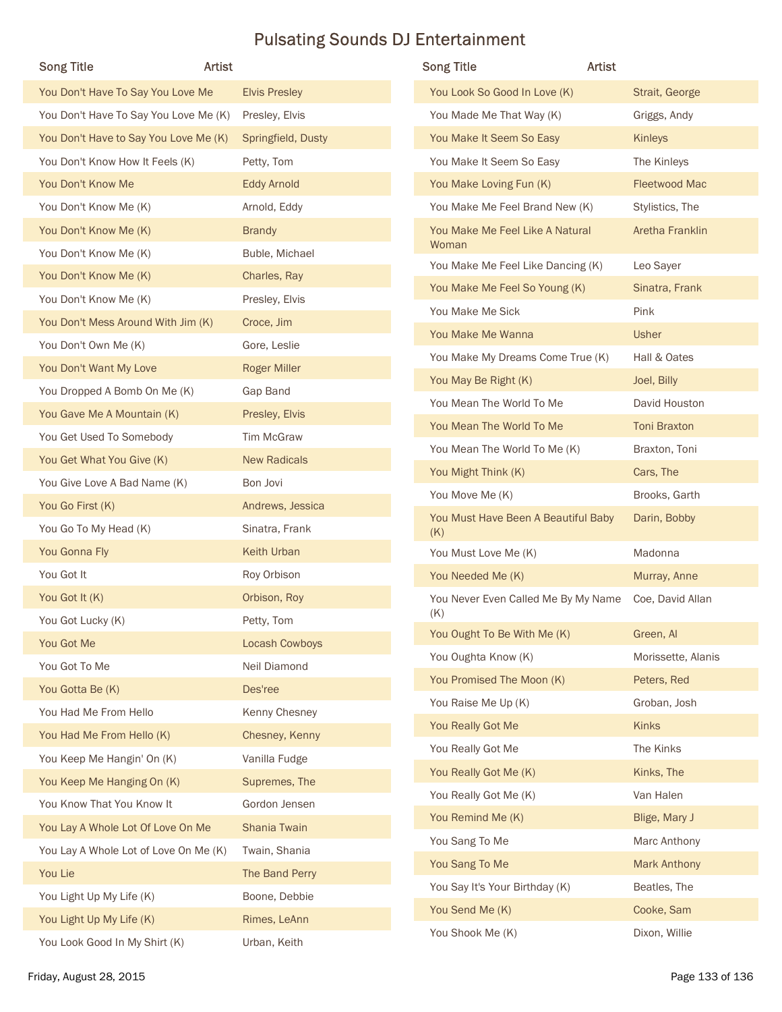| <b>Song Title</b><br>Artist           |                                 | <b>Song Title</b><br>Artist                |                      |
|---------------------------------------|---------------------------------|--------------------------------------------|----------------------|
| You Don't Have To Say You Love Me     | <b>Elvis Presley</b>            | You Look So Good In Love (K)               | Strait, George       |
| You Don't Have To Say You Love Me (K) | Presley, Elvis                  | You Made Me That Way (K)                   | Griggs, Andy         |
| You Don't Have to Say You Love Me (K) | Springfield, Dusty              | You Make It Seem So Easy                   | Kinleys              |
| You Don't Know How It Feels (K)       | Petty, Tom                      | You Make It Seem So Easy                   | The Kinleys          |
| You Don't Know Me                     | <b>Eddy Arnold</b>              | You Make Loving Fun (K)                    | <b>Fleetwood Mac</b> |
| You Don't Know Me (K)                 | Arnold, Eddy                    | You Make Me Feel Brand New (K)             | Stylistics, The      |
| You Don't Know Me (K)                 | <b>Brandy</b>                   | You Make Me Feel Like A Natural            | Aretha Franklin      |
| You Don't Know Me (K)                 | Buble, Michael                  | Woman<br>You Make Me Feel Like Dancing (K) | Leo Sayer            |
| You Don't Know Me (K)                 | Charles, Ray                    | You Make Me Feel So Young (K)              | Sinatra, Frank       |
| You Don't Know Me (K)                 | Presley, Elvis                  | You Make Me Sick                           | Pink                 |
| You Don't Mess Around With Jim (K)    | Croce, Jim                      | You Make Me Wanna                          | Usher                |
| You Don't Own Me (K)                  | Gore, Leslie                    | You Make My Dreams Come True (K)           | Hall & Oates         |
| You Don't Want My Love                | <b>Roger Miller</b>             | You May Be Right (K)                       | Joel, Billy          |
| You Dropped A Bomb On Me (K)          | Gap Band                        | You Mean The World To Me                   | David Houston        |
| You Gave Me A Mountain (K)            | Presley, Elvis                  | You Mean The World To Me                   | Toni Braxton         |
| You Get Used To Somebody              | Tim McGraw                      | You Mean The World To Me (K)               | Braxton, Toni        |
| You Get What You Give (K)             | <b>New Radicals</b>             | You Might Think (K)                        | Cars, The            |
| You Give Love A Bad Name (K)          | Bon Jovi                        | You Move Me (K)                            | Brooks, Garth        |
| You Go First (K)                      | Andrews, Jessica                | You Must Have Been A Beautiful Baby        | Darin, Bobby         |
| You Go To My Head (K)                 | Sinatra, Frank                  | (K)                                        |                      |
| You Gonna Fly                         | Keith Urban                     | You Must Love Me (K)                       | Madonna              |
| You Got It                            | Roy Orbison                     | You Needed Me (K)                          | Murray, Anne         |
| You Got It (K)                        | Orbison, Roy                    | You Never Even Called Me By My Name<br>(K) | Coe, David Allan     |
| You Got Lucky (K)                     | Petty, Tom                      | You Ought To Be With Me (K)                | Green, Al            |
| You Got Me                            | Locash Cowboys                  | You Oughta Know (K)                        | Morissette, Alanis   |
| You Got To Me                         | Neil Diamond                    | You Promised The Moon (K)                  | Peters, Red          |
| You Gotta Be (K)                      | Des'ree                         | You Raise Me Up (K)                        | Groban, Josh         |
| You Had Me From Hello                 | Kenny Chesney                   | You Really Got Me                          | Kinks                |
| You Had Me From Hello (K)             | Chesney, Kenny                  | You Really Got Me                          | The Kinks            |
| You Keep Me Hangin' On (K)            | Vanilla Fudge                   | You Really Got Me (K)                      | Kinks, The           |
| You Keep Me Hanging On (K)            | Supremes, The                   | You Really Got Me (K)                      | Van Halen            |
| You Know That You Know It             | Gordon Jensen                   | You Remind Me (K)                          | Blige, Mary J        |
| You Lay A Whole Lot Of Love On Me     | Shania Twain                    | You Sang To Me                             | Marc Anthony         |
| You Lay A Whole Lot of Love On Me (K) | Twain, Shania                   | You Sang To Me                             | <b>Mark Anthony</b>  |
| You Lie<br>You Light Up My Life (K)   | The Band Perry<br>Boone, Debbie | You Say It's Your Birthday (K)             | Beatles, The         |
| You Light Up My Life (K)              | Rimes, LeAnn                    | You Send Me (K)                            | Cooke, Sam           |
| You Look Good In My Shirt (K)         |                                 | You Shook Me (K)                           | Dixon, Willie        |
|                                       | Urban, Keith                    |                                            |                      |

| <b>Intertainment</b>                                   |                               |
|--------------------------------------------------------|-------------------------------|
| <b>Song Title</b><br>Artist                            |                               |
| You Look So Good In Love (K)                           | Strait, George                |
| You Made Me That Way (K)                               | Griggs, Andy                  |
| You Make It Seem So Easy                               | Kinleys                       |
| You Make It Seem So Easy                               | The Kinleys                   |
| You Make Loving Fun (K)                                | <b>Fleetwood Mac</b>          |
| You Make Me Feel Brand New (K)                         | Stylistics, The               |
| You Make Me Feel Like A Natural<br>Woman               | Aretha Franklin               |
| You Make Me Feel Like Dancing (K)                      | Leo Sayer                     |
| You Make Me Feel So Young (K)                          | Sinatra, Frank                |
| You Make Me Sick                                       | Pink                          |
| You Make Me Wanna                                      | <b>Usher</b>                  |
| You Make My Dreams Come True (K)                       | Hall & Oates                  |
| You May Be Right (K)                                   | Joel, Billy                   |
| You Mean The World To Me                               | David Houston                 |
| You Mean The World To Me                               | <b>Toni Braxton</b>           |
| You Mean The World To Me (K)                           | Braxton, Toni                 |
| You Might Think (K)                                    | Cars, The                     |
| You Move Me (K)<br>You Must Have Been A Beautiful Baby | Brooks, Garth<br>Darin, Bobby |
| (K)                                                    |                               |
| You Must Love Me (K)<br>You Needed Me (K)              | Madonna<br>Murray, Anne       |
| You Never Even Called Me By My Name<br>(K)             | Coe, David Allan              |
| You Ought To Be With Me (K)                            | Green, Al                     |
| You Oughta Know (K)                                    | Morissette, Alanis            |
| You Promised The Moon (K)                              | Peters, Red                   |
| You Raise Me Up (K)                                    | Groban, Josh                  |
| You Really Got Me                                      | <b>Kinks</b>                  |
| You Really Got Me                                      | The Kinks                     |
| You Really Got Me (K)                                  | Kinks, The                    |
| You Really Got Me (K)                                  | Van Halen                     |
| You Remind Me (K)                                      | Blige, Mary J                 |
| You Sang To Me                                         | Marc Anthony                  |
| You Sang To Me                                         | <b>Mark Anthony</b>           |
| You Say It's Your Birthday (K)                         | Beatles, The                  |
| You Send Me (K)                                        | Cooke, Sam                    |
| You Shook Me (K)                                       | Dixon, Willie                 |
|                                                        | Page 133 of 136               |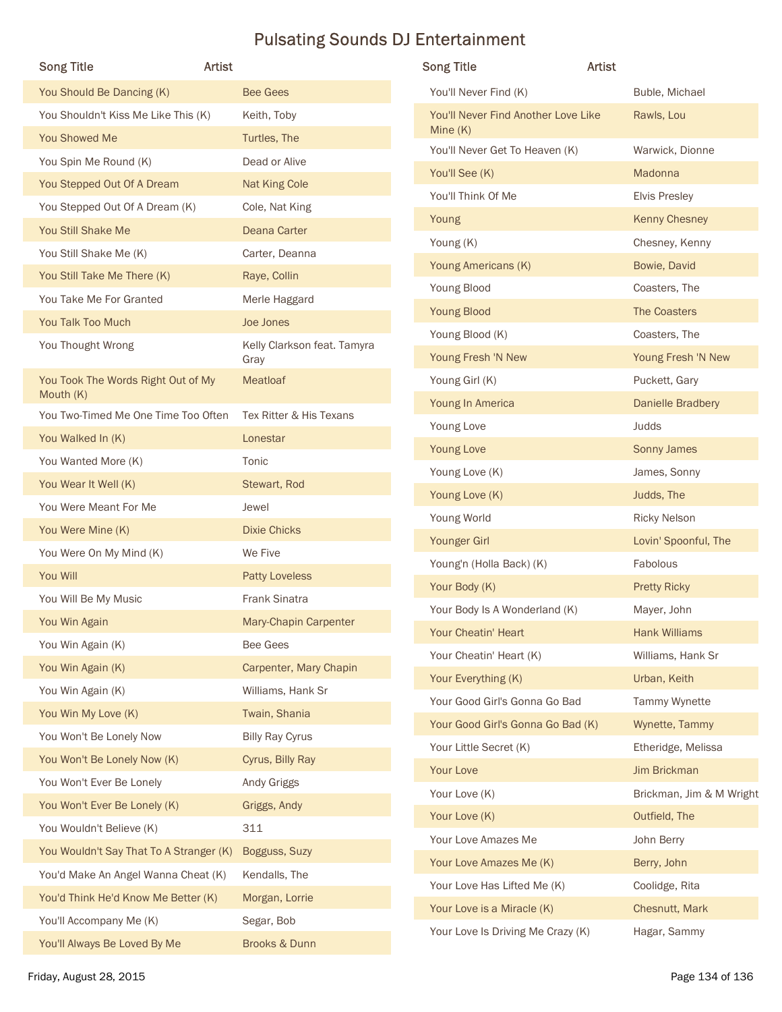| <b>Song Title</b><br>Artist                                      |                                | Artist                                                       |                              |
|------------------------------------------------------------------|--------------------------------|--------------------------------------------------------------|------------------------------|
|                                                                  |                                | <b>Song Title</b>                                            |                              |
| You Should Be Dancing (K)<br>You Shouldn't Kiss Me Like This (K) | <b>Bee Gees</b><br>Keith, Toby | You'll Never Find (K)<br>You'll Never Find Another Love Like | Buble, Michael<br>Rawls, Lou |
| You Showed Me                                                    | Turtles, The                   | Mine (K)                                                     |                              |
| You Spin Me Round (K)                                            | Dead or Alive                  | You'll Never Get To Heaven (K)                               | Warwick, Dionne              |
| You Stepped Out Of A Dream                                       | Nat King Cole                  | You'll See (K)                                               | Madonna                      |
| You Stepped Out Of A Dream (K)                                   | Cole, Nat King                 | You'll Think Of Me                                           | <b>Elvis Presley</b>         |
| You Still Shake Me                                               | Deana Carter                   | Young                                                        | <b>Kenny Chesney</b>         |
| You Still Shake Me (K)                                           | Carter, Deanna                 | Young (K)                                                    | Chesney, Kenny               |
| You Still Take Me There (K)                                      | Raye, Collin                   | Young Americans (K)                                          | Bowie, David                 |
| You Take Me For Granted                                          | Merle Haggard                  | Young Blood                                                  | Coasters, The                |
| You Talk Too Much                                                | Joe Jones                      | <b>Young Blood</b>                                           | The Coasters                 |
| You Thought Wrong                                                | Kelly Clarkson feat. Tamyra    | Young Blood (K)                                              | Coasters, The                |
|                                                                  | Gray                           | Young Fresh 'N New                                           | Young Fresh 'N New           |
| You Took The Words Right Out of My                               | Meatloaf                       | Young Girl (K)                                               | Puckett, Gary                |
| Mouth (K)<br>You Two-Timed Me One Time Too Often                 | Tex Ritter & His Texans        | Young In America                                             | Danielle Bradbery            |
| You Walked In (K)                                                | Lonestar                       | Young Love                                                   | Judds                        |
| You Wanted More (K)                                              | Tonic                          | <b>Young Love</b>                                            | Sonny James                  |
| You Wear It Well (K)                                             | Stewart, Rod                   | Young Love (K)                                               | James, Sonny                 |
| You Were Meant For Me                                            | Jewel                          | Young Love (K)                                               | Judds, The                   |
| You Were Mine (K)                                                | <b>Dixie Chicks</b>            | Young World                                                  | <b>Ricky Nelson</b>          |
| You Were On My Mind (K)                                          | We Five                        | Younger Girl                                                 | Lovin' Spoonful, The         |
| You Will                                                         | <b>Patty Loveless</b>          | Young'n (Holla Back) (K)                                     | Fabolous                     |
| You Will Be My Music                                             | Frank Sinatra                  | Your Body (K)                                                | <b>Pretty Ricky</b>          |
| You Win Again                                                    | Mary-Chapin Carpenter          | Your Body Is A Wonderland (K)                                | Mayer, John                  |
| You Win Again (K)                                                | Bee Gees                       | Your Cheatin' Heart                                          | <b>Hank Williams</b>         |
| You Win Again (K)                                                | Carpenter, Mary Chapin         | Your Cheatin' Heart (K)                                      | Williams, Hank Sr            |
| You Win Again (K)                                                | Williams, Hank Sr              | Your Everything (K)                                          | Urban, Keith                 |
| You Win My Love (K)                                              | Twain, Shania                  | Your Good Girl's Gonna Go Bad                                | Tammy Wynette                |
| You Won't Be Lonely Now                                          | <b>Billy Ray Cyrus</b>         | Your Good Girl's Gonna Go Bad (K)                            | Wynette, Tammy               |
| You Won't Be Lonely Now (K)                                      | Cyrus, Billy Ray               | Your Little Secret (K)                                       | Etheridge, Melissa           |
| You Won't Ever Be Lonely                                         | Andy Griggs                    | Your Love                                                    | Jim Brickman                 |
|                                                                  |                                | Your Love (K)                                                | Brickman, Jim & M Wright     |
| You Won't Ever Be Lonely (K)                                     | Griggs, Andy<br>311            | Your Love (K)                                                | Outfield, The                |
| You Wouldn't Believe (K)                                         |                                | Your Love Amazes Me                                          | John Berry                   |
| You Wouldn't Say That To A Stranger (K)                          | Bogguss, Suzy                  | Your Love Amazes Me (K)                                      | Berry, John                  |
| You'd Make An Angel Wanna Cheat (K)                              | Kendalls, The                  | Your Love Has Lifted Me (K)                                  | Coolidge, Rita               |
| You'd Think He'd Know Me Better (K)                              | Morgan, Lorrie                 | Your Love is a Miracle (K)                                   | Chesnutt, Mark               |
| You'll Accompany Me (K)                                          | Segar, Bob                     | Your Love Is Driving Me Crazy (K)                            | Hagar, Sammy                 |
| You'll Always Be Loved By Me                                     | Brooks & Dunn                  |                                                              |                              |

| <b>Entertainment</b>                            |                                   |
|-------------------------------------------------|-----------------------------------|
| <b>Song Title</b><br>Artist                     |                                   |
| You'll Never Find (K)                           | Buble, Michael                    |
| You'll Never Find Another Love Like<br>Mine (K) | Rawls, Lou                        |
| You'll Never Get To Heaven (K)                  | Warwick, Dionne                   |
| You'll See (K)                                  | Madonna                           |
| You'll Think Of Me                              | <b>Elvis Presley</b>              |
| Young                                           | Kenny Chesney                     |
| Young (K)                                       | Chesney, Kenny                    |
| Young Americans (K)                             | Bowie, David                      |
| Young Blood                                     | Coasters, The                     |
| <b>Young Blood</b>                              | <b>The Coasters</b>               |
| Young Blood (K)                                 | Coasters, The                     |
| Young Fresh 'N New                              | Young Fresh 'N New                |
| Young Girl (K)                                  | Puckett, Gary                     |
| Young In America                                | Danielle Bradbery                 |
| Young Love                                      | Judds                             |
| <b>Young Love</b>                               | Sonny James                       |
| Young Love (K)                                  | James, Sonny                      |
| Young Love (K)<br>Young World                   | Judds, The<br><b>Ricky Nelson</b> |
|                                                 |                                   |
| Younger Girl<br>Young'n (Holla Back) (K)        | Lovin' Spoonful, The<br>Fabolous  |
| Your Body (K)                                   | <b>Pretty Ricky</b>               |
| Your Body Is A Wonderland (K)                   | Mayer, John                       |
| Your Cheatin' Heart                             | <b>Hank Williams</b>              |
| Your Cheatin' Heart (K)                         | Williams, Hank Sr                 |
| Your Everything (K)                             | Urban, Keith                      |
| Your Good Girl's Gonna Go Bad                   | Tammy Wynette                     |
| Your Good Girl's Gonna Go Bad (K)               | Wynette, Tammy                    |
| Your Little Secret (K)                          | Etheridge, Melissa                |
| Your Love                                       | Jim Brickman                      |
| Your Love (K)                                   | Brickman, Jim & M Wright          |
| Your Love (K)                                   | Outfield, The                     |
| Your Love Amazes Me                             | John Berry                        |
| Your Love Amazes Me (K)                         | Berry, John                       |
| Your Love Has Lifted Me (K)                     | Coolidge, Rita                    |
| Your Love is a Miracle (K)                      | Chesnutt, Mark                    |
| Your Love Is Driving Me Crazy (K)               | Hagar, Sammy                      |
|                                                 |                                   |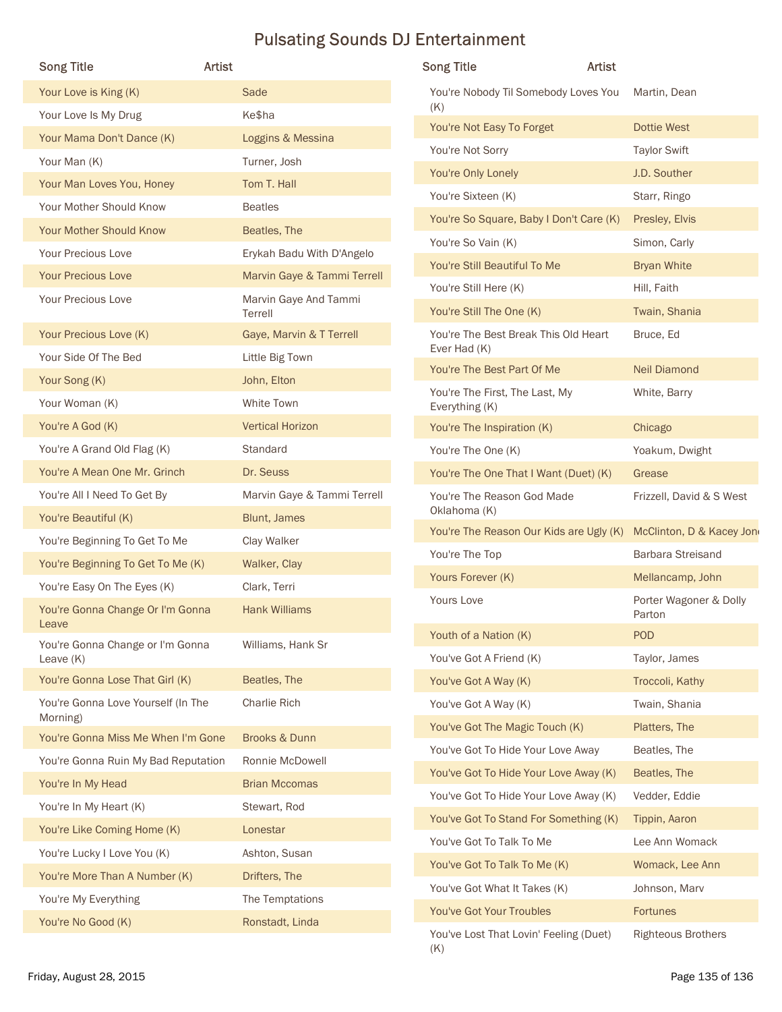|                                                | <b>Pulsating Sounds DJ Entertainment</b> |                                                                   |                                  |
|------------------------------------------------|------------------------------------------|-------------------------------------------------------------------|----------------------------------|
| <b>Song Title</b><br>Artist                    |                                          | <b>Song Title</b><br>Artist                                       |                                  |
| Your Love is King (K)                          | Sade                                     | You're Nobody Til Somebody Loves You<br>(K)                       | Martin, Dean                     |
| Your Love Is My Drug                           | Ke\$ha                                   | You're Not Easy To Forget                                         | Dottie West                      |
| Your Mama Don't Dance (K)                      | Loggins & Messina                        | You're Not Sorry                                                  | <b>Taylor Swift</b>              |
| Your Man (K)                                   | Turner, Josh                             | You're Only Lonely                                                | J.D. Souther                     |
| Your Man Loves You, Honey                      | Tom T. Hall                              | You're Sixteen (K)                                                | Starr, Ringo                     |
| Your Mother Should Know                        | <b>Beatles</b>                           | You're So Square, Baby I Don't Care (K)                           | Presley, Elvis                   |
| Your Mother Should Know                        | Beatles, The                             | You're So Vain (K)                                                | Simon, Carly                     |
| Your Precious Love                             | Erykah Badu With D'Angelo                | You're Still Beautiful To Me                                      | <b>Bryan White</b>               |
| Your Precious Love                             | Marvin Gaye & Tammi Terrell              | You're Still Here (K)                                             | Hill, Faith                      |
| Your Precious Love                             | Marvin Gaye And Tammi<br>Terrell         | You're Still The One (K)                                          | Twain, Shania                    |
| Your Precious Love (K)                         | Gaye, Marvin & T Terrell                 | You're The Best Break This Old Heart                              | Bruce, Ed                        |
| Your Side Of The Bed                           | Little Big Town                          | Ever Had (K)                                                      |                                  |
| Your Song (K)                                  | John, Elton                              | You're The Best Part Of Me                                        | <b>Neil Diamond</b>              |
| Your Woman (K)                                 | White Town                               | You're The First, The Last, My<br>Everything (K)                  | White, Barry                     |
| You're A God (K)                               | <b>Vertical Horizon</b>                  | You're The Inspiration (K)                                        | Chicago                          |
| You're A Grand Old Flag (K)                    | Standard                                 | You're The One (K)                                                | Yoakum, Dwight                   |
| You're A Mean One Mr. Grinch                   | Dr. Seuss                                | You're The One That I Want (Duet) (K)                             | Grease                           |
| You're All I Need To Get By                    | Marvin Gaye & Tammi Terrell              | You're The Reason God Made                                        | Frizzell, David & S West         |
| You're Beautiful (K)                           | Blunt, James                             | Oklahoma (K)                                                      |                                  |
| You're Beginning To Get To Me                  | Clay Walker                              | You're The Reason Our Kids are Ugly (K) McClinton, D & Kacey Jone |                                  |
| You're Beginning To Get To Me (K)              | Walker, Clay                             | You're The Top                                                    | <b>Barbara Streisand</b>         |
| You're Easy On The Eyes (K)                    | Clark, Terri                             | Yours Forever (K)                                                 | Mellancamp, John                 |
| You're Gonna Change Or I'm Gonna<br>Leave      | <b>Hank Williams</b>                     | Yours Love                                                        | Porter Wagoner & Dolly<br>Parton |
| You're Gonna Change or I'm Gonna               | Williams, Hank Sr                        | Youth of a Nation (K)                                             | POD                              |
| Leave (K)                                      |                                          | You've Got A Friend (K)                                           | Taylor, James                    |
| You're Gonna Lose That Girl (K)                | Beatles, The                             | You've Got A Way (K)                                              | Troccoli, Kathy                  |
| You're Gonna Love Yourself (In The<br>Morning) | Charlie Rich                             | You've Got A Way (K)                                              | Twain, Shania                    |
| You're Gonna Miss Me When I'm Gone             | Brooks & Dunn                            | You've Got The Magic Touch (K)                                    | Platters, The                    |
| You're Gonna Ruin My Bad Reputation            | Ronnie McDowell                          | You've Got To Hide Your Love Away                                 | Beatles, The                     |
| You're In My Head                              | <b>Brian Mccomas</b>                     | You've Got To Hide Your Love Away (K)                             | Beatles, The                     |
| You're In My Heart (K)                         | Stewart, Rod                             | You've Got To Hide Your Love Away (K)                             | Vedder, Eddie                    |
| You're Like Coming Home (K)                    | Lonestar                                 | You've Got To Stand For Something (K)                             | Tippin, Aaron                    |
| You're Lucky I Love You (K)                    | Ashton, Susan                            | You've Got To Talk To Me                                          | Lee Ann Womack                   |
| You're More Than A Number (K)                  | Drifters, The                            | You've Got To Talk To Me (K)                                      | Womack, Lee Ann                  |
| You're My Everything                           | The Temptations                          | You've Got What It Takes (K)                                      | Johnson, Marv                    |
| You're No Good (K)                             | Ronstadt, Linda                          | You've Got Your Troubles                                          | Fortunes                         |
|                                                |                                          | You've Lost That Lovin' Feeling (Duet)<br>(K)                     | <b>Righteous Brothers</b>        |
| Friday, August 28, 2015                        |                                          |                                                                   | Page 135 of 136                  |

| <b>Intertainment</b>                                                      |                                  |
|---------------------------------------------------------------------------|----------------------------------|
| <b>Song Title</b>                                                         |                                  |
| Artist<br>You're Nobody Til Somebody Loves You<br>(K)                     | Martin, Dean                     |
| You're Not Easy To Forget                                                 | <b>Dottie West</b>               |
| You're Not Sorry                                                          | <b>Taylor Swift</b>              |
| You're Only Lonely                                                        | J.D. Souther                     |
| You're Sixteen (K)                                                        | Starr, Ringo                     |
| You're So Square, Baby I Don't Care (K)                                   | Presley, Elvis                   |
| You're So Vain (K)                                                        | Simon, Carly                     |
| You're Still Beautiful To Me                                              | <b>Bryan White</b>               |
| You're Still Here (K)                                                     | Hill, Faith                      |
| You're Still The One (K)                                                  | Twain, Shania                    |
| You're The Best Break This Old Heart<br>Ever Had (K)                      | Bruce, Ed                        |
| You're The Best Part Of Me                                                | <b>Neil Diamond</b>              |
| You're The First, The Last, My<br>Everything (K)                          | White, Barry                     |
| You're The Inspiration (K)                                                | Chicago                          |
| You're The One (K)                                                        | Yoakum, Dwight                   |
| You're The One That I Want (Duet) (K)                                     | Grease                           |
| You're The Reason God Made<br>Oklahoma (K)                                | Frizzell, David & S West         |
| You're The Reason Our Kids are Ugly (K)                                   | McClinton, D & Kacey Jon         |
| You're The Top                                                            | <b>Barbara Streisand</b>         |
| Yours Forever (K)                                                         | Mellancamp, John                 |
| Yours Love                                                                | Porter Wagoner & Dolly<br>Parton |
| Youth of a Nation (K)                                                     | <b>POD</b>                       |
| You've Got A Friend (K)                                                   | Taylor, James                    |
| You've Got A Way (K)                                                      | Troccoli, Kathy                  |
| You've Got A Way (K)                                                      | Twain, Shania                    |
| You've Got The Magic Touch (K)                                            | Platters, The                    |
| You've Got To Hide Your Love Away                                         | Beatles, The                     |
| You've Got To Hide Your Love Away (K)                                     | Beatles, The                     |
| You've Got To Hide Your Love Away (K)                                     | Vedder, Eddie                    |
| You've Got To Stand For Something (K)                                     | Tippin, Aaron                    |
| You've Got To Talk To Me                                                  | Lee Ann Womack                   |
| You've Got To Talk To Me (K)                                              | Womack, Lee Ann                  |
| You've Got What It Takes (K)                                              | Johnson, Marv                    |
|                                                                           | <b>Fortunes</b>                  |
| You've Got Your Troubles<br>You've Lost That Lovin' Feeling (Duet)<br>(K) | <b>Righteous Brothers</b>        |